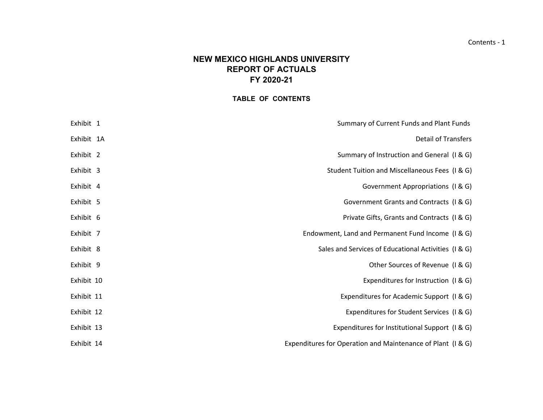# **NEW MEXICO HIGHLANDS UNIVERSITYREPORT OF ACTUALS FY 2020-21**

# **TABLE OF CONTENTS**

| Summary of Current Funds and Plant Funds                    | Exhibit 1  |  |
|-------------------------------------------------------------|------------|--|
| <b>Detail of Transfers</b>                                  | Exhibit 1A |  |
| Summary of Instruction and General (I & G)                  | Exhibit 2  |  |
| Student Tuition and Miscellaneous Fees (I & G)              | Exhibit 3  |  |
| Government Appropriations (I & G)                           | Exhibit 4  |  |
| Government Grants and Contracts (I & G)                     | Exhibit 5  |  |
| Private Gifts, Grants and Contracts (I & G)                 | Exhibit 6  |  |
| Endowment, Land and Permanent Fund Income (I & G)           | Exhibit 7  |  |
| Sales and Services of Educational Activities (I & G)        | Exhibit 8  |  |
| Other Sources of Revenue (I & G)                            | Exhibit 9  |  |
| Expenditures for Instruction (I & G)                        | Exhibit 10 |  |
| Expenditures for Academic Support (I & G)                   | Exhibit 11 |  |
| Expenditures for Student Services (I & G)                   | Exhibit 12 |  |
| Expenditures for Institutional Support (I & G)              | Exhibit 13 |  |
| Expenditures for Operation and Maintenance of Plant (I & G) | Exhibit 14 |  |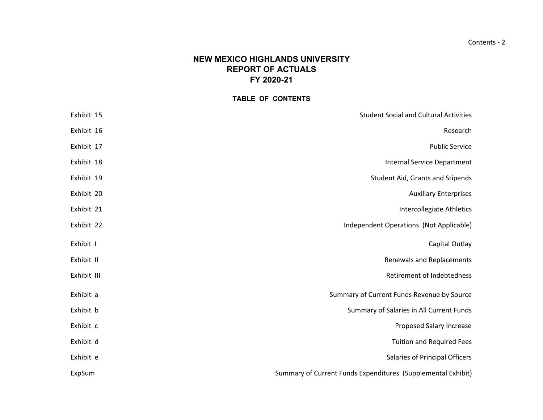# **NEW MEXICO HIGHLANDS UNIVERSITYREPORT OF ACTUALS FY 2020-21**

#### **TABLE OF CONTENTS**

| Exhibit 15  | <b>Student Social and Cultural Activities</b>                |
|-------------|--------------------------------------------------------------|
| Exhibit 16  | Research                                                     |
| Exhibit 17  | <b>Public Service</b>                                        |
| Exhibit 18  | <b>Internal Service Department</b>                           |
| Exhibit 19  | Student Aid, Grants and Stipends                             |
| Exhibit 20  | <b>Auxiliary Enterprises</b>                                 |
| Exhibit 21  | Intercollegiate Athletics                                    |
| Exhibit 22  | Independent Operations (Not Applicable)                      |
| Exhibit I   | Capital Outlay                                               |
| Exhibit II  | Renewals and Replacements                                    |
| Exhibit III | Retirement of Indebtedness                                   |
| Exhibit a   | Summary of Current Funds Revenue by Source                   |
| Exhibit b   | Summary of Salaries in All Current Funds                     |
| Exhibit c   | Proposed Salary Increase                                     |
| Exhibit d   | <b>Tuition and Required Fees</b>                             |
| Exhibit e   | Salaries of Principal Officers                               |
| ExpSum      | Summary of Current Funds Expenditures (Supplemental Exhibit) |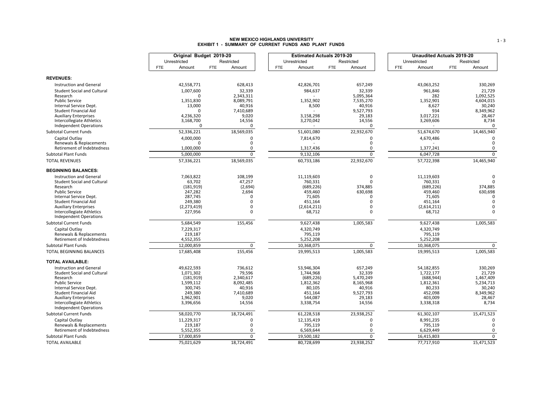# **NEW MEXICO HIGHLANDS UNIVERSITY EXHIBIT 1 - SUMMARY OF CURRENT FUNDS AND PLANT FUNDS**

|                                                                | Original Budget 2019-20 |                         |            | <b>Estimated Actuals 2019-20</b> |            |                         |            | <b>Unaudited Actuals 2019-20</b> |            |                         |
|----------------------------------------------------------------|-------------------------|-------------------------|------------|----------------------------------|------------|-------------------------|------------|----------------------------------|------------|-------------------------|
|                                                                | Unrestricted            | Restricted              |            | Unrestricted                     |            | Restricted              |            | Unrestricted                     |            | Restricted              |
|                                                                | Amount<br><b>FTE</b>    | Amount<br><b>FTE</b>    | <b>FTE</b> | Amount                           | <b>FTE</b> | Amount                  | <b>FTE</b> | Amount                           | <b>FTE</b> | Amount                  |
| <b>REVENUES:</b>                                               |                         |                         |            |                                  |            |                         |            |                                  |            |                         |
| <b>Instruction and General</b>                                 | 42,558,771              | 628,413                 |            | 42,826,701                       |            | 657,249                 |            | 43,063,252                       |            | 330,269                 |
| <b>Student Social and Cultural</b>                             | 1,007,600               | 32,339                  |            | 984,637                          |            | 32,339                  |            | 961,846                          |            | 21,729                  |
| Research                                                       |                         | 2,343,311               |            |                                  |            | 5,095,364               |            | 282                              |            | 1,092,525               |
| <b>Public Service</b>                                          | 1,351,830               | 8,089,791               |            | 1,352,902                        |            | 7,535,270               |            | 1,352,901                        |            | 4,604,015               |
| Internal Service Dept.                                         | 13,000                  | 40,916                  |            | 8,500                            |            | 40,916                  |            | 8,627                            |            | 30,240                  |
| Student Financial Aid<br><b>Auxiliary Enterprises</b>          | n<br>4,236,320          | 7,410,689<br>9,020      |            | 3,158,298                        |            | 9,527,793<br>29,183     |            | 934<br>3,017,221                 |            | 8,349,962<br>28,467     |
| Intercollegiate Athletics                                      | 3,168,700               | 14,556                  |            | 3,270,042                        |            | 14,556                  |            | 3,269,606                        |            | 8,734                   |
| <b>Independent Operations</b>                                  | $\Omega$                | $\Omega$                |            |                                  |            | 0                       |            |                                  |            | $\mathbf 0$             |
| <b>Subtotal Current Funds</b>                                  | 52,336,221              | 18,569,035              |            | 51,601,080                       |            | 22,932,670              |            | 51,674,670                       |            | 14,465,940              |
| Capital Outlay                                                 | 4,000,000               | $\mathbf 0$             |            | 7,814,670                        |            | $\Omega$                |            | 4,670,486                        |            | $\Omega$                |
| Renewals & Replacements                                        |                         | $\Omega$                |            |                                  |            | 0                       |            |                                  |            | $\Omega$                |
| Retirement of Indebtedness                                     | 1,000,000               | 0                       |            | 1,317,436                        |            | 0                       |            | 1,377,241                        |            | $\Omega$                |
| <b>Subtotal Plant Funds</b>                                    | 5,000,000               | $\mathbf 0$             |            | 9,132,106                        |            | $\mathbf 0$             |            | 6,047,728                        |            | $\mathbf 0$             |
| <b>TOTAL REVENUES</b>                                          | 57,336,221              | 18,569,035              |            | 60,733,186                       |            | 22,932,670              |            | 57,722,398                       |            | 14,465,940              |
| <b>BEGINNING BALANCES:</b>                                     |                         |                         |            |                                  |            |                         |            |                                  |            |                         |
| <b>Instruction and General</b>                                 | 7,063,822               | 108,199                 |            | 11,119,603                       |            | 0                       |            | 11,119,603                       |            | $\Omega$                |
| Student Social and Cultural                                    | 63,702                  | 47,257                  |            | 760,331                          |            | $\Omega$                |            | 760,331<br>(689, 226)            |            | $\Omega$                |
| Research<br><b>Public Service</b>                              | (181, 919)<br>247,282   | (2,694)<br>2,694        |            | (689, 226)<br>459,460            |            | 374,885<br>630,698      |            | 459,460                          |            | 374,885<br>630,698      |
| Internal Service Dept.                                         | 287,745                 | $\Omega$                |            | 71,605                           |            | n                       |            | 71,605                           |            | $\Omega$                |
| <b>Student Financial Aid</b>                                   | 249,380                 | $\Omega$                |            | 451,164                          |            | n                       |            | 451,164                          |            | $\Omega$                |
| <b>Auxiliary Enterprises</b>                                   | (2, 273, 419)           | $\Omega$                |            | (2,614,211)                      |            | $\Omega$                |            | (2,614,211)                      |            | $\Omega$                |
| Intercollegiate Athletics                                      | 227,956                 | $\Omega$                |            | 68,712                           |            | 0                       |            | 68,712                           |            | $\Omega$                |
| <b>Independent Operations</b><br><b>Subtotal Current Funds</b> | 5,684,549               | 155,456                 |            | 9,627,438                        |            | 1,005,583               |            | 9,627,438                        |            | 1,005,583               |
| Capital Outlay                                                 | 7,229,317               |                         |            | 4,320,749                        |            |                         |            | 4,320,749                        |            |                         |
| Renewals & Replacements                                        | 219,187                 |                         |            | 795,119                          |            |                         |            | 795,119                          |            |                         |
| Retirement of Indebtedness                                     | 4,552,355               |                         |            | 5,252,208                        |            |                         |            | 5,252,208                        |            |                         |
| <b>Subtotal Plant Funds</b>                                    | 12,000,859              | 0                       |            | 10,368,075                       |            | 0                       |            | 10,368,075                       |            | 0                       |
| TOTAL BEGINNING BALANCES                                       | 17,685,408              | 155,456                 |            | 19,995,513                       |            | 1,005,583               |            | 19,995,513                       |            | 1,005,583               |
| <b>TOTAL AVAILABLE:</b>                                        |                         |                         |            |                                  |            |                         |            |                                  |            |                         |
| <b>Instruction and General</b>                                 | 49,622,593              | 736,612                 |            | 53,946,304                       |            | 657,249                 |            | 54,182,855                       |            | 330,269                 |
| <b>Student Social and Cultural</b>                             | 1,071,302               | 79,596                  |            | 1,744,968                        |            | 32,339                  |            | 1,722,177                        |            | 21,729                  |
| Research<br><b>Public Service</b>                              | (181, 919)<br>1,599,112 | 2,340,617<br>8,092,485  |            | (689, 226)<br>1,812,362          |            | 5,470,249<br>8,165,968  |            | (688, 944)<br>1,812,361          |            | 1,467,409<br>5,234,713  |
| Internal Service Dept.                                         | 300,745                 | 40,916                  |            | 80,105                           |            | 40,916                  |            | 80,233                           |            | 30,240                  |
| <b>Student Financial Aid</b>                                   | 249.380                 | 7,410,689               |            | 451.164                          |            | 9,527,793               |            | 452.098                          |            | 8,349,962               |
| <b>Auxiliary Enterprises</b>                                   | 1,962,901               | 9,020                   |            | 544,087                          |            | 29,183                  |            | 403,009                          |            | 28,467                  |
| Intercollegiate Athletics                                      | 3,396,656               | 14,556                  |            | 3,338,754                        |            | 14,556                  |            | 3,338,318                        |            | 8,734                   |
| <b>Independent Operations</b>                                  |                         |                         |            |                                  |            |                         |            |                                  |            |                         |
| <b>Subtotal Current Funds</b>                                  | 58,020,770              | 18,724,491              |            | 61,228,518                       |            | 23,938,252              |            | 61,302,107                       |            | 15,471,523              |
| Capital Outlay<br>Renewals & Replacements                      | 11,229,317<br>219,187   | $\mathbf 0$<br>$\Omega$ |            | 12,135,419<br>795,119            |            | $\mathbf 0$<br>$\Omega$ |            | 8,991,235<br>795,119             |            | $\mathbf 0$<br>$\Omega$ |
| Retirement of Indebtedness                                     | 5,552,355               | 0                       |            | 6,569,644                        |            | 0                       |            | 6,629,449                        |            | 0                       |
| <b>Subtotal Plant Funds</b>                                    | 17,000,859              | 0                       |            | 19,500,182                       |            | $\mathbf 0$             |            | 16,415,803                       |            | 0                       |
| <b>TOTAL AVAILABLE</b>                                         | 75,021,629              | 18,724,491              |            | 80,728,699                       |            | 23,938,252              |            | 77,717,910                       |            | 15,471,523              |
|                                                                |                         |                         |            |                                  |            |                         |            |                                  |            |                         |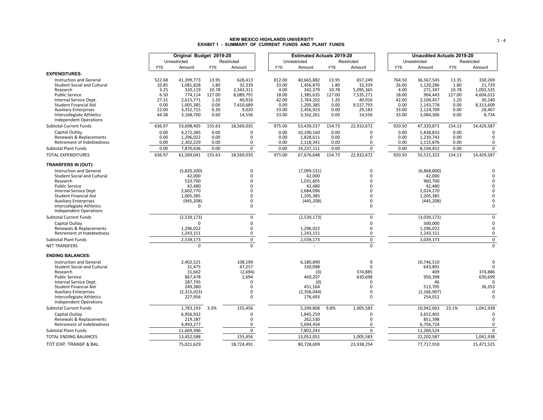# **NEW MEXICO HIGHLANDS UNIVERSITY EXHIBIT 1 - SUMMARY OF CURRENT FUNDS AND PLANT FUNDS**

|                                                                                                                                               |                                 | Original Budget 2019-20                          |                                  |                                             |                                  | <b>Estimated Actuals 2019-20</b>                 |                                  |                                             |                                  | <b>Unaudited Actuals 2019-20</b>                 |                                  |                                             |
|-----------------------------------------------------------------------------------------------------------------------------------------------|---------------------------------|--------------------------------------------------|----------------------------------|---------------------------------------------|----------------------------------|--------------------------------------------------|----------------------------------|---------------------------------------------|----------------------------------|--------------------------------------------------|----------------------------------|---------------------------------------------|
|                                                                                                                                               |                                 | Unrestricted                                     |                                  | Restricted                                  |                                  | Unrestricted                                     |                                  | Restricted                                  |                                  | Unrestricted                                     |                                  | Restricted                                  |
|                                                                                                                                               | <b>FTE</b>                      | Amount                                           | <b>FTE</b>                       | Amount                                      | <b>FTE</b>                       | Amount                                           | <b>FTE</b>                       | Amount                                      | <b>FTE</b>                       | Amount                                           | <b>FTE</b>                       | Amount                                      |
| <b>EXPENDITURES:</b>                                                                                                                          |                                 |                                                  |                                  |                                             |                                  |                                                  |                                  |                                             |                                  |                                                  |                                  |                                             |
| <b>Instruction and General</b><br><b>Student Social and Cultural</b><br>Research<br><b>Public Service</b>                                     | 522.68<br>10.85<br>3.25<br>6.50 | 41,399,773<br>1,081,828<br>320,119<br>774,114    | 13.95<br>1.80<br>10.78<br>127.00 | 628.413<br>32,339<br>2,343,311<br>8,089,791 | 812.00<br>33.00<br>4.00<br>18.00 | 40,665,882<br>1,456,870<br>342,379<br>1,385,635  | 13.95<br>1.80<br>10.78<br>127.00 | 657,249<br>32,339<br>5,095,365<br>7,535,271 | 764.50<br>26.00<br>4.00<br>18.00 | 36.567.545<br>1,120,286<br>271,347<br>904,443    | 13.35<br>1.80<br>10.78<br>127.00 | 330,269<br>21,729<br>1,092,525<br>4,604,015 |
| Internal Service Dept.<br>Student Financial Aid<br><b>Auxiliary Enterprises</b><br>Intercollegiate Athletics<br><b>Independent Operations</b> | 27.31<br>0.00<br>22.00<br>44.38 | 2,615,771<br>1,005,385<br>3,332,715<br>3,168,700 | 1.20<br>0.00<br>0.30<br>0.60     | 40,916<br>7,410,689<br>9,020<br>14,556      | 42.00<br>0.00<br>33.00<br>33.00  | 2,764,202<br>1,205,385<br>2,456,923<br>3,162,261 | 1.20<br>0.00<br>0.00<br>0.00     | 40,916<br>9,527,793<br>29,183<br>14,556     | 42.00<br>0.00<br>33.00<br>33.00  | 2,104,457<br>1,143,778<br>2,124,709<br>3,084,306 | 1.20<br>0.00<br>0.00<br>0.00     | 30,240<br>8,313,609<br>28,467<br>8,734      |
| <b>Subtotal Current Funds</b>                                                                                                                 | 636.97                          | 53,698,405                                       | 155.63                           | 18,569,035                                  | 975.00                           | 53,439,537                                       | 154.73                           | 22,932,672                                  | 920.50                           | 47,320,871                                       | 154.13                           | 14,429,587                                  |
| Capital Outlay<br>Renewals & Replacements<br>Retirement of Indebtedness                                                                       | 0.00<br>0.00<br>0.00            | 4,272,385<br>1,296,022<br>2,302,229              | 0.00<br>0.00<br>0.00             | 0<br>0<br>0                                 | 0.00<br>0.00<br>0.00             | 10,290,160<br>1,828,611<br>2,118,341             | 0.00<br>0.00<br>0.00             | $\Omega$<br>0<br>0                          | 0.00<br>0.00<br>0.00             | 5,838,833<br>1,239,743<br>1,115,876              | 0.00<br>0.00<br>0.00             | $\Omega$<br>0                               |
| <b>Subtotal Plant Funds</b>                                                                                                                   | 0.00                            | 7,870,636                                        | 0.00                             | 0                                           | 0.00                             | 14,237,111                                       | 0.00                             | $\mathbf 0$                                 | 0.00                             | 8,194,452                                        | 0.00                             | $\mathbf 0$                                 |
| <b>TOTAL EXPENDITURES</b>                                                                                                                     | 636.97                          | 61,569,041                                       | 155.63                           | 18,569,035                                  | 975.00                           | 67,676,648                                       | 154.73                           | 22,932,672                                  | 920.50                           | 55,515,323                                       | 154.13                           | 14,429,587                                  |
| TRANSFERS IN (OUT):                                                                                                                           |                                 |                                                  |                                  |                                             |                                  |                                                  |                                  |                                             |                                  |                                                  |                                  |                                             |
| <b>Instruction and General</b><br><b>Student Social and Cultural</b><br>Research                                                              |                                 | (5,820,300)<br>42,000<br>533,700                 |                                  | 0<br>0<br>O                                 |                                  | (7,099,531)<br>42,000<br>1,031,605               |                                  | $\Omega$<br>$\Omega$<br>$\Omega$            |                                  | (6,868,800)<br>42,000<br>960,700                 |                                  | $\Omega$<br>$\Omega$<br>$\Omega$            |
| <b>Public Service</b>                                                                                                                         |                                 | 42,480                                           |                                  | U                                           |                                  | 42,480                                           |                                  | $\Omega$                                    |                                  | 42,480                                           |                                  | $\Omega$                                    |
| Internal Service Dept.                                                                                                                        |                                 | 2,602,770                                        |                                  | O                                           |                                  | 2,684,096                                        |                                  | $\Omega$                                    |                                  | 2,024,270                                        |                                  | $\Omega$                                    |
| Student Financial Aid<br><b>Auxiliary Enterprises</b><br><b>Intercollegiate Athletics</b><br><b>Independent Operations</b>                    |                                 | 1,005,385<br>(945, 208)<br>0                     |                                  | 0<br>O<br>$\Omega$                          |                                  | 1,205,385<br>(445, 208)                          |                                  | $\Omega$<br>$\Omega$<br>$\Omega$            |                                  | 1,205,385<br>(445, 208)                          |                                  | $\Omega$<br>$\mathbf 0$<br>$\Omega$         |
| <b>Subtotal Current Funds</b>                                                                                                                 |                                 | (2,539,173)                                      |                                  | $\mathbf 0$                                 |                                  | (2,539,173)                                      |                                  | $\mathbf 0$                                 |                                  | (3,039,173)                                      |                                  | $\mathbf 0$                                 |
| Capital Outlay<br>Renewals & Replacements                                                                                                     |                                 | $\Omega$<br>1,296,022                            |                                  | 0<br>$\Omega$                               |                                  | 1,296,022                                        |                                  | $\mathbf 0$<br>$\Omega$                     |                                  | 500,000<br>1,296,022                             |                                  | $\mathbf 0$<br>$\mathbf 0$                  |
| Retirement of Indebtedness                                                                                                                    |                                 | 1,243,151                                        |                                  | 0                                           |                                  | 1,243,151                                        |                                  | 0                                           |                                  | 1,243,151                                        |                                  | $\mathbf 0$                                 |
| <b>Subtotal Plant Funds</b>                                                                                                                   |                                 | 2,539,173                                        |                                  | 0                                           |                                  | 2,539,173                                        |                                  | $\pmb{0}$                                   |                                  | 3,039,173                                        |                                  | $\pmb{0}$                                   |
| <b>NET TRANSFERS</b>                                                                                                                          |                                 | $\mathbf 0$                                      |                                  | $\Omega$                                    |                                  |                                                  |                                  | $\overline{0}$                              |                                  |                                                  |                                  | $\mathbf 0$                                 |
| <b>ENDING BALANCES:</b>                                                                                                                       |                                 |                                                  |                                  |                                             |                                  |                                                  |                                  |                                             |                                  |                                                  |                                  |                                             |
| <b>Instruction and General</b><br><b>Student Social and Cultural</b>                                                                          |                                 | 2,402,521<br>31,475                              |                                  | 108,199<br>47,257                           |                                  | 6,180,890<br>330,098                             |                                  | 0<br>$\Omega$                               |                                  | 10,746,510<br>643,891                            |                                  | $\Omega$                                    |
| Research                                                                                                                                      |                                 | 31,662                                           |                                  | (2,694)                                     |                                  | (0)                                              |                                  | 374,885                                     |                                  | 409                                              |                                  | 374,886                                     |
| <b>Public Service</b>                                                                                                                         |                                 | 867,478                                          |                                  | 2,694                                       |                                  | 469,207                                          |                                  | 630,698<br>$\Omega$                         |                                  | 950,398                                          |                                  | 630,699<br>$\Omega$                         |
| Internal Service Dept.<br>Student Financial Aid                                                                                               |                                 | 287,745<br>249,380                               |                                  | $\Omega$<br>0                               |                                  | (0)<br>451,164                                   |                                  | $\Omega$                                    |                                  | 46<br>513,705                                    |                                  | 36,353                                      |
| <b>Auxiliary Enterprises</b>                                                                                                                  |                                 | (2,315,023)                                      |                                  | $\Omega$                                    |                                  | (2,358,044)                                      |                                  | $\Omega$                                    |                                  | (2, 166, 907)                                    |                                  | n                                           |
| Intercollegiate Athletics<br><b>Independent Operations</b>                                                                                    |                                 | 227,956                                          |                                  | 0                                           |                                  | 176,493                                          |                                  | $\Omega$                                    |                                  | 254,012                                          |                                  | $\Omega$                                    |
| <b>Subtotal Current Funds</b>                                                                                                                 |                                 | 1,783,193                                        | 3.3%                             | 155,456                                     |                                  | 5,249,808                                        | 9.8%                             | 1,005,583                                   |                                  | 10,942,063                                       | 23.1%                            | 1,041,938                                   |
| Capital Outlay<br>Renewals & Replacements                                                                                                     |                                 | 6,956,932<br>219,187                             |                                  | 0<br>$\Omega$                               |                                  | 1,845,259<br>262,530                             |                                  | $\Omega$<br>$\Omega$                        |                                  | 3,652,402<br>851,398                             |                                  | $\Omega$<br>$\Omega$                        |
| Retirement of Indebtedness                                                                                                                    |                                 | 4,493,277                                        |                                  | 0                                           |                                  | 5,694,454                                        |                                  | 0                                           |                                  | 6,756,724                                        |                                  | $\mathbf 0$                                 |
| <b>Subtotal Plant Funds</b>                                                                                                                   |                                 | 11,669,396                                       |                                  | 0                                           |                                  | 7,802,243                                        |                                  | $\mathbf 0$                                 |                                  | 11,260,524                                       |                                  | $\mathbf 0$                                 |
| <b>TOTAL ENDING BALANCES</b>                                                                                                                  |                                 | 13,452,588                                       |                                  | 155,456                                     |                                  | 13,052,051                                       |                                  | 1,005,583                                   |                                  | 22,202,587                                       |                                  | 1,041,938                                   |
| TOT EXP, TRANSF & BAL                                                                                                                         |                                 | 75,021,629                                       |                                  | 18,724,491                                  |                                  | 80,728,699                                       |                                  | 23,938,254                                  |                                  | 77,717,910                                       |                                  | 15,471,525                                  |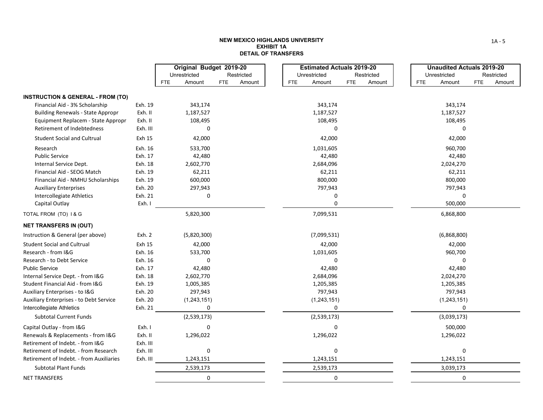#### **NEW MEXICO HIGHLANDS UNIVERSITY EXHIBIT 1ADETAIL OF TRANSFERS**

|                                                            |          | Original Budget 2019-20 |                      |            |               | <b>Estimated Actuals 2019-20</b> | <b>Unaudited Actuals 2019-20</b> |                      |
|------------------------------------------------------------|----------|-------------------------|----------------------|------------|---------------|----------------------------------|----------------------------------|----------------------|
|                                                            |          | Unrestricted            | Restricted           |            | Unrestricted  | Restricted                       | Unrestricted                     | Restricted           |
|                                                            |          | Amount<br>FTE           | <b>FTE</b><br>Amount | <b>FTE</b> | Amount        | <b>FTE</b><br>Amount             | Amount<br><b>FTE</b>             | <b>FTE</b><br>Amount |
| <b>INSTRUCTION &amp; GENERAL - FROM (TO)</b>               |          |                         |                      |            |               |                                  |                                  |                      |
| Financial Aid - 3% Scholarship                             | Exh. 19  | 343,174                 |                      |            | 343,174       |                                  | 343,174                          |                      |
| <b>Building Renewals - State Appropr</b>                   | Exh. II  | 1,187,527               |                      |            | 1,187,527     |                                  | 1,187,527                        |                      |
| Equipment Replacem - State Appropr                         | Exh. II  | 108,495                 |                      |            | 108,495       |                                  | 108,495                          |                      |
| Retirement of Indebtedness                                 | Exh. III | 0                       |                      |            | 0             |                                  | $\Omega$                         |                      |
| <b>Student Social and Cultrual</b>                         | Exh 15   | 42,000                  |                      |            | 42,000        |                                  | 42,000                           |                      |
| Research                                                   | Exh. 16  | 533,700                 |                      |            | 1,031,605     |                                  | 960,700                          |                      |
| <b>Public Service</b>                                      | Exh. 17  | 42,480                  |                      |            | 42,480        |                                  | 42,480                           |                      |
| Internal Service Dept.                                     | Exh. 18  | 2,602,770               |                      |            | 2,684,096     |                                  | 2,024,270                        |                      |
| Financial Aid - SEOG Match                                 | Exh. 19  | 62,211                  |                      |            | 62,211        |                                  | 62,211                           |                      |
| Financial Aid - NMHU Scholarships                          | Exh. 19  | 600,000                 |                      |            | 800,000       |                                  | 800,000                          |                      |
| <b>Auxiliary Enterprises</b>                               | Exh. 20  | 297,943                 |                      |            | 797,943       |                                  | 797,943                          |                      |
| Intercollegiate Athletics                                  | Exh. 21  | 0                       |                      |            | 0             |                                  | 0                                |                      |
| Capital Outlay                                             | Exh. I   |                         |                      |            | 0             |                                  | 500,000                          |                      |
| TOTAL FROM (TO) 1& G                                       |          | 5,820,300               |                      |            | 7,099,531     |                                  | 6,868,800                        |                      |
| <b>NET TRANSFERS IN (OUT)</b>                              |          |                         |                      |            |               |                                  |                                  |                      |
| Instruction & General (per above)                          | Exh. 2   | (5,820,300)             |                      |            | (7,099,531)   |                                  | (6,868,800)                      |                      |
| <b>Student Social and Cultrual</b>                         | Exh 15   | 42,000                  |                      |            | 42,000        |                                  | 42,000                           |                      |
| Research - from I&G                                        | Exh. 16  | 533,700                 |                      |            | 1,031,605     |                                  | 960,700                          |                      |
| Research - to Debt Service                                 | Exh. 16  | $\Omega$                |                      |            | 0             |                                  | 0                                |                      |
| <b>Public Service</b>                                      | Exh. 17  | 42,480                  |                      |            | 42,480        |                                  | 42,480                           |                      |
| Internal Service Dept. - from I&G                          | Exh. 18  | 2,602,770               |                      |            | 2,684,096     |                                  | 2,024,270                        |                      |
| Student Financial Aid - from I&G                           | Exh. 19  | 1,005,385               |                      |            | 1,205,385     |                                  | 1,205,385                        |                      |
| Auxiliary Enterprises - to I&G                             | Exh. 20  | 297,943                 |                      |            | 797,943       |                                  | 797,943                          |                      |
| <b>Auxiliary Enterprises - to Debt Service</b>             | Exh. 20  | (1, 243, 151)           |                      |            | (1, 243, 151) |                                  | (1, 243, 151)                    |                      |
| Intercollegiate Athletics<br><b>Subtotal Current Funds</b> | Exh. 21  | 0                       |                      |            | 0             |                                  | 0                                |                      |
|                                                            |          | (2,539,173)             |                      |            | (2,539,173)   |                                  | (3,039,173)                      |                      |
| Capital Outlay - from I&G                                  | Exh. I   | 0                       |                      |            | 0             |                                  | 500,000                          |                      |
| Renewals & Replacements - from I&G                         | Exh. II  | 1,296,022               |                      |            | 1,296,022     |                                  | 1,296,022                        |                      |
| Retirement of Indebt. - from I&G                           | Exh. III |                         |                      |            |               |                                  |                                  |                      |
| Retirement of Indebt. - from Research                      | Exh. III | 0                       |                      |            | 0             |                                  | 0                                |                      |
| Retirement of Indebt. - from Auxiliaries                   | Exh. III | 1,243,151               |                      |            | 1,243,151     |                                  | 1,243,151                        |                      |
| <b>Subtotal Plant Funds</b>                                |          | 2,539,173               |                      |            | 2,539,173     |                                  | 3,039,173                        |                      |
| <b>NET TRANSFERS</b>                                       |          | 0                       |                      |            | 0             |                                  | 0                                |                      |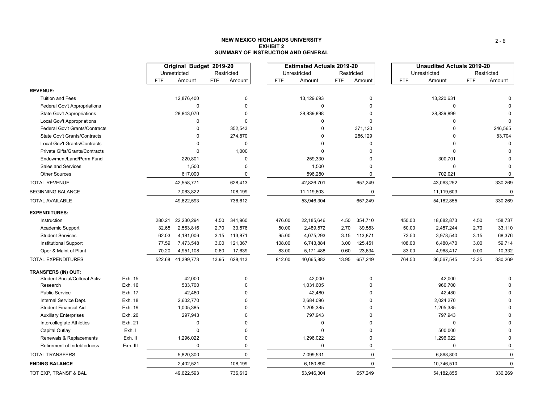#### **NEW MEXICO HIGHLANDS UNIVERSITYEXHIBIT 2SUMMARY OF INSTRUCTION AND GENERAL**

|                                      |          |            | Original Budget 2019-20 |            |             |            |       | <b>Estimated Actuals 2019-20</b> |            |             |            |       | <b>Unaudited Actuals 2019-20</b> |            |             |
|--------------------------------------|----------|------------|-------------------------|------------|-------------|------------|-------|----------------------------------|------------|-------------|------------|-------|----------------------------------|------------|-------------|
|                                      |          |            | Unrestricted            |            | Restricted  |            |       | Unrestricted                     | Restricted |             |            |       | Unrestricted                     |            | Restricted  |
|                                      |          | <b>FTE</b> | Amount                  | <b>FTE</b> | Amount      | <b>FTE</b> |       | Amount                           | <b>FTE</b> | Amount      | <b>FTE</b> |       | Amount                           | <b>FTE</b> | Amount      |
| <b>REVENUE:</b>                      |          |            |                         |            |             |            |       |                                  |            |             |            |       |                                  |            |             |
| <b>Tuition and Fees</b>              |          |            | 12,876,400              |            | $\mathbf 0$ |            |       | 13,129,693                       |            | $\mathbf 0$ |            |       | 13,220,631                       |            | $\Omega$    |
| Federal Gov't Appropriations         |          |            | 0                       |            | $\Omega$    |            |       | $\mathbf 0$                      |            | 0           |            |       | $\mathbf 0$                      |            | $\Omega$    |
| <b>State Gov't Appropriations</b>    |          |            | 28,843,070              |            | $\Omega$    |            |       | 28,839,898                       |            | $\Omega$    |            |       | 28,839,899                       |            |             |
| Local Gov't Appropriations           |          |            | 0                       |            | $\Omega$    |            |       | $\Omega$                         |            | $\Omega$    |            |       | $\Omega$                         |            |             |
| Federal Gov't Grants/Contracts       |          |            | $\Omega$                |            | 352,543     |            |       | $\Omega$                         |            | 371,120     |            |       | $\Omega$                         |            | 246,565     |
| State Gov't Grants/Contracts         |          |            | 0                       |            | 274,870     |            |       | $\Omega$                         |            | 286,129     |            |       |                                  |            | 83,704      |
| Local Gov't Grants/Contracts         |          |            | $\Omega$                |            | $\pmb{0}$   |            |       | $\Omega$                         |            | 0           |            |       | $\Omega$                         |            | $\Omega$    |
| Private Gifts/Grants/Contracts       |          |            | $\Omega$                |            | 1,000       |            |       | $\Omega$                         |            | $\Omega$    |            |       | $\Omega$                         |            | $\Omega$    |
| Endowment/Land/Perm Fund             |          |            | 220,801                 |            | $\Omega$    |            |       | 259,330                          |            | O           |            |       | 300,701                          |            | $\Omega$    |
| Sales and Services                   |          |            | 1,500                   |            | ŋ           |            |       | 1,500                            |            | $\Omega$    |            |       | $\mathbf 0$                      |            | $\Omega$    |
| <b>Other Sources</b>                 |          |            | 617,000                 |            | 0           |            |       | 596,280                          |            | $\pmb{0}$   |            |       | 702,021                          |            | $\mathbf 0$ |
| <b>TOTAL REVENUE</b>                 |          |            | 42,558,771              |            | 628,413     |            |       | 42,826,701                       |            | 657,249     |            |       | 43,063,252                       |            | 330,269     |
| <b>BEGINNING BALANCE</b>             |          |            | 7,063,822               |            | 108,199     |            |       | 11,119,603                       |            | 0           |            |       | 11,119,603                       |            | $\Omega$    |
| <b>TOTAL AVAILABLE</b>               |          |            | 49,622,593              |            | 736,612     |            |       | 53,946,304                       |            | 657,249     |            |       | 54, 182, 855                     |            | 330,269     |
| <b>EXPENDITURES:</b>                 |          |            |                         |            |             |            |       |                                  |            |             |            |       |                                  |            |             |
| Instruction                          |          | 280.21     | 22,230,294              | 4.50       | 341,960     | 476.00     |       | 22,185,646                       | 4.50       | 354,710     | 450.00     |       | 18,682,873                       | 4.50       | 158,737     |
| Academic Support                     |          | 32.65      | 2,563,816               | 2.70       | 33,576      |            | 50.00 | 2,489,572                        | 2.70       | 39,583      |            | 50.00 | 2,457,244                        | 2.70       | 33,110      |
| <b>Student Services</b>              |          | 62.03      | 4,181,006               | 3.15       | 113,871     |            | 95.00 | 4,075,293                        | 3.15       | 113,871     |            | 73.50 | 3,978,540                        | 3.15       | 68,376      |
| <b>Institutional Support</b>         |          | 77.59      | 7,473,548               | 3.00       | 121,367     | 108.00     |       | 6,743,884                        | 3.00       | 125,451     | 108.00     |       | 6,480,470                        | 3.00       | 59,714      |
| Oper & Maint of Plant                |          | 70.20      | 4,951,108               | 0.60       | 17,639      |            | 83.00 | 5,171,488                        | 0.60       | 23,634      |            | 83.00 | 4,968,417                        | 0.00       | 10,332      |
| <b>TOTAL EXPENDITURES</b>            |          |            | 522.68 41,399,773       | 13.95      | 628,413     | 812.00     |       | 40,665,882                       | 13.95      | 657,249     | 764.50     |       | 36,567,545                       | 13.35      | 330,269     |
| TRANSFERS (IN) OUT:                  |          |            |                         |            |             |            |       |                                  |            |             |            |       |                                  |            |             |
| <b>Student Social/Cultural Activ</b> | Exh. 15  |            | 42,000                  |            | $\mathbf 0$ |            |       | 42,000                           |            | 0           |            |       | 42,000                           |            | $\Omega$    |
| Research                             | Exh. 16  |            | 533,700                 |            | $\Omega$    |            |       | 1,031,605                        |            | 0           |            |       | 960,700                          |            | $\mathbf 0$ |
| <b>Public Service</b>                | Exh. 17  |            | 42,480                  |            |             |            |       | 42,480                           |            | $\Omega$    |            |       | 42,480                           |            | $\mathbf 0$ |
| Internal Service Dept.               | Exh. 18  |            | 2,602,770               |            |             |            |       | 2,684,096                        |            | U           |            |       | 2,024,270                        |            | $\Omega$    |
| <b>Student Financial Aid</b>         | Exh. 19  |            | 1,005,385               |            |             |            |       | 1,205,385                        |            | U           |            |       | 1,205,385                        |            | $\Omega$    |
| <b>Auxiliary Enterprises</b>         | Exh. 20  |            | 297,943                 |            |             |            |       | 797,943                          |            | O           |            |       | 797,943                          |            | $\Omega$    |
| Intercollegiate Athletics            | Exh. 21  |            | $\mathbf 0$             |            |             |            |       | $\Omega$                         |            | $\Omega$    |            |       | $\mathbf 0$                      |            | $\Omega$    |
| <b>Capital Outlay</b>                | Exh. I   |            | $\Omega$                |            |             |            |       | $\Omega$                         |            | 0           |            |       | 500,000                          |            | $\mathbf 0$ |
| Renewals & Replacements              | Exh. II  |            | 1,296,022               |            | $\Omega$    |            |       | 1,296,022                        |            | 0           |            |       | 1,296,022                        |            | $\Omega$    |
| Retirement of Indebtedness           | Exh. III |            | $\Omega$                |            | $\Omega$    |            |       | $\Omega$                         |            | $\mathbf 0$ |            |       | $\Omega$                         |            | $\mathbf 0$ |
| <b>TOTAL TRANSFERS</b>               |          |            | 5,820,300               |            | $\mathbf 0$ |            |       | 7,099,531                        |            | $\mathbf 0$ |            |       | 6,868,800                        |            | $\mathbf 0$ |
| <b>ENDING BALANCE</b>                |          |            | 2,402,521               |            | 108,199     |            |       | 6,180,890                        |            | $\Omega$    |            |       | 10,746,510                       |            | $\mathbf 0$ |
| TOT EXP, TRANSF & BAL                |          |            | 49,622,593              |            | 736,612     |            |       | 53,946,304                       |            | 657,249     |            |       | 54, 182, 855                     |            | 330,269     |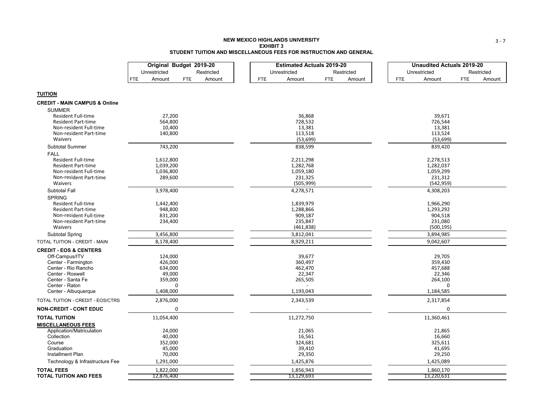#### **NEW MEXICO HIGHLANDS UNIVERSITYEXHIBIT 3STUDENT TUITION AND MISCELLANEOUS FEES FOR INSTRUCTION AND GENERAL**

| Unrestricted<br>Restricted<br>Unrestricted<br>Restricted<br>Unrestricted<br>Restricted<br>Amount<br>Amount<br>FTE.<br>FTE<br>FTE<br>Amount<br>FTE<br>Amount<br><b>FTE</b><br>Amount<br><b>FTE</b><br>Amount<br><b>TUITION</b><br><b>CREDIT - MAIN CAMPUS &amp; Online</b><br><b>SUMMER</b><br>27,200<br>36.868<br>39,671<br><b>Resident Full-time</b><br>728,532<br><b>Resident Part-time</b><br>564,800<br>726,544<br>13,381<br>13,381<br>Non-resident Full-time<br>10,400<br>Non-resident Part-time<br>140,800<br>113,518<br>113,524<br>Waivers<br>(53, 699)<br>(53, 699)<br>Subtotal Summer<br>743,200<br>838,599<br>839,420<br><b>FALL</b><br><b>Resident Full-time</b><br>1,612,800<br>2,211,298<br>2,278,513<br>1,282,768<br><b>Resident Part-time</b><br>1,039,200<br>1,282,037<br>1,059,180<br>1,059,299<br>1,036,800<br>Non-resident Full-time<br>231,325<br>231,312<br>Non-resident Part-time<br>289,600<br>(505, 999)<br><b>Waivers</b><br>(542, 959)<br>Subtotal Fall<br>3,978,400<br>4,278,571<br>4,308,203<br><b>SPRING</b><br>1,442,400<br>1,839,979<br>1,966,290<br><b>Resident Full-time</b><br>1,288,866<br>1,293,292<br><b>Resident Part-time</b><br>948,800<br>909,187<br>904,518<br>Non-resident Full-time<br>831,200<br>Non-resident Part-time<br>234,400<br>235,847<br>231,080<br>Waivers<br>(500, 195)<br>(461, 838)<br>3,812,041<br><b>Subtotal Spring</b><br>3,456,800<br>3,894,985<br>8,178,400<br>8,929,211<br>9,042,607<br>TOTAL TUITION - CREDIT - MAIN<br><b>CREDIT - EOS &amp; CENTERS</b><br>Off-Campus/ITV<br>39,677<br>29,705<br>124,000<br>Center - Farmington<br>426,000<br>360,497<br>359,430<br>Center - Rio Rancho<br>634,000<br>462,470<br>457,688<br>22,346<br>Center - Roswell<br>49,000<br>22,347<br>Center - Santa Fe<br>359,000<br>265,505<br>264,100<br>Center - Raton<br>0<br>0<br>1,408,000<br>1,193,043<br>Center - Albuquerque<br>1,184,585<br>TOTAL TUITION - CREDIT - EOS/CTRS<br>2,876,000<br>2,343,539<br>2,317,854<br><b>NON-CREDIT - CONT EDUC</b><br>0<br>0<br><b>TOTAL TUITION</b><br>11,054,400<br>11,272,750<br>11,360,461<br><b>MISCELLANEOUS FEES</b><br>Application/Matriculation<br>24,000<br>21,865<br>21,065<br>Collection<br>40,000<br>16,561<br>16,660<br>Course<br>352,000<br>324,681<br>325,611<br>Graduation<br>45,000<br>39,410<br>41,695<br>Installment Plan<br>70,000<br>29,350<br>29,250<br>1,291,000<br>1,425,876<br>1,425,089<br>Technology & Infrastructure Fee<br><b>TOTAL FEES</b><br>1,822,000<br>1,856,943<br>1,860,170<br><b>TOTAL TUITION AND FEES</b><br>12,876,400<br>13,129,693<br>13,220,631 | Original Budget 2019-20 | <b>Estimated Actuals 2019-20</b> | <b>Unaudited Actuals 2019-20</b> |
|---------------------------------------------------------------------------------------------------------------------------------------------------------------------------------------------------------------------------------------------------------------------------------------------------------------------------------------------------------------------------------------------------------------------------------------------------------------------------------------------------------------------------------------------------------------------------------------------------------------------------------------------------------------------------------------------------------------------------------------------------------------------------------------------------------------------------------------------------------------------------------------------------------------------------------------------------------------------------------------------------------------------------------------------------------------------------------------------------------------------------------------------------------------------------------------------------------------------------------------------------------------------------------------------------------------------------------------------------------------------------------------------------------------------------------------------------------------------------------------------------------------------------------------------------------------------------------------------------------------------------------------------------------------------------------------------------------------------------------------------------------------------------------------------------------------------------------------------------------------------------------------------------------------------------------------------------------------------------------------------------------------------------------------------------------------------------------------------------------------------------------------------------------------------------------------------------------------------------------------------------------------------------------------------------------------------------------------------------------------------------------------------------------------------------------------------------------------------------------------------------------------------------------------------------------------------------------------|-------------------------|----------------------------------|----------------------------------|
|                                                                                                                                                                                                                                                                                                                                                                                                                                                                                                                                                                                                                                                                                                                                                                                                                                                                                                                                                                                                                                                                                                                                                                                                                                                                                                                                                                                                                                                                                                                                                                                                                                                                                                                                                                                                                                                                                                                                                                                                                                                                                                                                                                                                                                                                                                                                                                                                                                                                                                                                                                                       |                         |                                  |                                  |
|                                                                                                                                                                                                                                                                                                                                                                                                                                                                                                                                                                                                                                                                                                                                                                                                                                                                                                                                                                                                                                                                                                                                                                                                                                                                                                                                                                                                                                                                                                                                                                                                                                                                                                                                                                                                                                                                                                                                                                                                                                                                                                                                                                                                                                                                                                                                                                                                                                                                                                                                                                                       |                         |                                  |                                  |
|                                                                                                                                                                                                                                                                                                                                                                                                                                                                                                                                                                                                                                                                                                                                                                                                                                                                                                                                                                                                                                                                                                                                                                                                                                                                                                                                                                                                                                                                                                                                                                                                                                                                                                                                                                                                                                                                                                                                                                                                                                                                                                                                                                                                                                                                                                                                                                                                                                                                                                                                                                                       |                         |                                  |                                  |
|                                                                                                                                                                                                                                                                                                                                                                                                                                                                                                                                                                                                                                                                                                                                                                                                                                                                                                                                                                                                                                                                                                                                                                                                                                                                                                                                                                                                                                                                                                                                                                                                                                                                                                                                                                                                                                                                                                                                                                                                                                                                                                                                                                                                                                                                                                                                                                                                                                                                                                                                                                                       |                         |                                  |                                  |
|                                                                                                                                                                                                                                                                                                                                                                                                                                                                                                                                                                                                                                                                                                                                                                                                                                                                                                                                                                                                                                                                                                                                                                                                                                                                                                                                                                                                                                                                                                                                                                                                                                                                                                                                                                                                                                                                                                                                                                                                                                                                                                                                                                                                                                                                                                                                                                                                                                                                                                                                                                                       |                         |                                  |                                  |
|                                                                                                                                                                                                                                                                                                                                                                                                                                                                                                                                                                                                                                                                                                                                                                                                                                                                                                                                                                                                                                                                                                                                                                                                                                                                                                                                                                                                                                                                                                                                                                                                                                                                                                                                                                                                                                                                                                                                                                                                                                                                                                                                                                                                                                                                                                                                                                                                                                                                                                                                                                                       |                         |                                  |                                  |
|                                                                                                                                                                                                                                                                                                                                                                                                                                                                                                                                                                                                                                                                                                                                                                                                                                                                                                                                                                                                                                                                                                                                                                                                                                                                                                                                                                                                                                                                                                                                                                                                                                                                                                                                                                                                                                                                                                                                                                                                                                                                                                                                                                                                                                                                                                                                                                                                                                                                                                                                                                                       |                         |                                  |                                  |
|                                                                                                                                                                                                                                                                                                                                                                                                                                                                                                                                                                                                                                                                                                                                                                                                                                                                                                                                                                                                                                                                                                                                                                                                                                                                                                                                                                                                                                                                                                                                                                                                                                                                                                                                                                                                                                                                                                                                                                                                                                                                                                                                                                                                                                                                                                                                                                                                                                                                                                                                                                                       |                         |                                  |                                  |
|                                                                                                                                                                                                                                                                                                                                                                                                                                                                                                                                                                                                                                                                                                                                                                                                                                                                                                                                                                                                                                                                                                                                                                                                                                                                                                                                                                                                                                                                                                                                                                                                                                                                                                                                                                                                                                                                                                                                                                                                                                                                                                                                                                                                                                                                                                                                                                                                                                                                                                                                                                                       |                         |                                  |                                  |
|                                                                                                                                                                                                                                                                                                                                                                                                                                                                                                                                                                                                                                                                                                                                                                                                                                                                                                                                                                                                                                                                                                                                                                                                                                                                                                                                                                                                                                                                                                                                                                                                                                                                                                                                                                                                                                                                                                                                                                                                                                                                                                                                                                                                                                                                                                                                                                                                                                                                                                                                                                                       |                         |                                  |                                  |
|                                                                                                                                                                                                                                                                                                                                                                                                                                                                                                                                                                                                                                                                                                                                                                                                                                                                                                                                                                                                                                                                                                                                                                                                                                                                                                                                                                                                                                                                                                                                                                                                                                                                                                                                                                                                                                                                                                                                                                                                                                                                                                                                                                                                                                                                                                                                                                                                                                                                                                                                                                                       |                         |                                  |                                  |
|                                                                                                                                                                                                                                                                                                                                                                                                                                                                                                                                                                                                                                                                                                                                                                                                                                                                                                                                                                                                                                                                                                                                                                                                                                                                                                                                                                                                                                                                                                                                                                                                                                                                                                                                                                                                                                                                                                                                                                                                                                                                                                                                                                                                                                                                                                                                                                                                                                                                                                                                                                                       |                         |                                  |                                  |
|                                                                                                                                                                                                                                                                                                                                                                                                                                                                                                                                                                                                                                                                                                                                                                                                                                                                                                                                                                                                                                                                                                                                                                                                                                                                                                                                                                                                                                                                                                                                                                                                                                                                                                                                                                                                                                                                                                                                                                                                                                                                                                                                                                                                                                                                                                                                                                                                                                                                                                                                                                                       |                         |                                  |                                  |
|                                                                                                                                                                                                                                                                                                                                                                                                                                                                                                                                                                                                                                                                                                                                                                                                                                                                                                                                                                                                                                                                                                                                                                                                                                                                                                                                                                                                                                                                                                                                                                                                                                                                                                                                                                                                                                                                                                                                                                                                                                                                                                                                                                                                                                                                                                                                                                                                                                                                                                                                                                                       |                         |                                  |                                  |
|                                                                                                                                                                                                                                                                                                                                                                                                                                                                                                                                                                                                                                                                                                                                                                                                                                                                                                                                                                                                                                                                                                                                                                                                                                                                                                                                                                                                                                                                                                                                                                                                                                                                                                                                                                                                                                                                                                                                                                                                                                                                                                                                                                                                                                                                                                                                                                                                                                                                                                                                                                                       |                         |                                  |                                  |
|                                                                                                                                                                                                                                                                                                                                                                                                                                                                                                                                                                                                                                                                                                                                                                                                                                                                                                                                                                                                                                                                                                                                                                                                                                                                                                                                                                                                                                                                                                                                                                                                                                                                                                                                                                                                                                                                                                                                                                                                                                                                                                                                                                                                                                                                                                                                                                                                                                                                                                                                                                                       |                         |                                  |                                  |
|                                                                                                                                                                                                                                                                                                                                                                                                                                                                                                                                                                                                                                                                                                                                                                                                                                                                                                                                                                                                                                                                                                                                                                                                                                                                                                                                                                                                                                                                                                                                                                                                                                                                                                                                                                                                                                                                                                                                                                                                                                                                                                                                                                                                                                                                                                                                                                                                                                                                                                                                                                                       |                         |                                  |                                  |
|                                                                                                                                                                                                                                                                                                                                                                                                                                                                                                                                                                                                                                                                                                                                                                                                                                                                                                                                                                                                                                                                                                                                                                                                                                                                                                                                                                                                                                                                                                                                                                                                                                                                                                                                                                                                                                                                                                                                                                                                                                                                                                                                                                                                                                                                                                                                                                                                                                                                                                                                                                                       |                         |                                  |                                  |
|                                                                                                                                                                                                                                                                                                                                                                                                                                                                                                                                                                                                                                                                                                                                                                                                                                                                                                                                                                                                                                                                                                                                                                                                                                                                                                                                                                                                                                                                                                                                                                                                                                                                                                                                                                                                                                                                                                                                                                                                                                                                                                                                                                                                                                                                                                                                                                                                                                                                                                                                                                                       |                         |                                  |                                  |
|                                                                                                                                                                                                                                                                                                                                                                                                                                                                                                                                                                                                                                                                                                                                                                                                                                                                                                                                                                                                                                                                                                                                                                                                                                                                                                                                                                                                                                                                                                                                                                                                                                                                                                                                                                                                                                                                                                                                                                                                                                                                                                                                                                                                                                                                                                                                                                                                                                                                                                                                                                                       |                         |                                  |                                  |
|                                                                                                                                                                                                                                                                                                                                                                                                                                                                                                                                                                                                                                                                                                                                                                                                                                                                                                                                                                                                                                                                                                                                                                                                                                                                                                                                                                                                                                                                                                                                                                                                                                                                                                                                                                                                                                                                                                                                                                                                                                                                                                                                                                                                                                                                                                                                                                                                                                                                                                                                                                                       |                         |                                  |                                  |
|                                                                                                                                                                                                                                                                                                                                                                                                                                                                                                                                                                                                                                                                                                                                                                                                                                                                                                                                                                                                                                                                                                                                                                                                                                                                                                                                                                                                                                                                                                                                                                                                                                                                                                                                                                                                                                                                                                                                                                                                                                                                                                                                                                                                                                                                                                                                                                                                                                                                                                                                                                                       |                         |                                  |                                  |
|                                                                                                                                                                                                                                                                                                                                                                                                                                                                                                                                                                                                                                                                                                                                                                                                                                                                                                                                                                                                                                                                                                                                                                                                                                                                                                                                                                                                                                                                                                                                                                                                                                                                                                                                                                                                                                                                                                                                                                                                                                                                                                                                                                                                                                                                                                                                                                                                                                                                                                                                                                                       |                         |                                  |                                  |
|                                                                                                                                                                                                                                                                                                                                                                                                                                                                                                                                                                                                                                                                                                                                                                                                                                                                                                                                                                                                                                                                                                                                                                                                                                                                                                                                                                                                                                                                                                                                                                                                                                                                                                                                                                                                                                                                                                                                                                                                                                                                                                                                                                                                                                                                                                                                                                                                                                                                                                                                                                                       |                         |                                  |                                  |
|                                                                                                                                                                                                                                                                                                                                                                                                                                                                                                                                                                                                                                                                                                                                                                                                                                                                                                                                                                                                                                                                                                                                                                                                                                                                                                                                                                                                                                                                                                                                                                                                                                                                                                                                                                                                                                                                                                                                                                                                                                                                                                                                                                                                                                                                                                                                                                                                                                                                                                                                                                                       |                         |                                  |                                  |
|                                                                                                                                                                                                                                                                                                                                                                                                                                                                                                                                                                                                                                                                                                                                                                                                                                                                                                                                                                                                                                                                                                                                                                                                                                                                                                                                                                                                                                                                                                                                                                                                                                                                                                                                                                                                                                                                                                                                                                                                                                                                                                                                                                                                                                                                                                                                                                                                                                                                                                                                                                                       |                         |                                  |                                  |
|                                                                                                                                                                                                                                                                                                                                                                                                                                                                                                                                                                                                                                                                                                                                                                                                                                                                                                                                                                                                                                                                                                                                                                                                                                                                                                                                                                                                                                                                                                                                                                                                                                                                                                                                                                                                                                                                                                                                                                                                                                                                                                                                                                                                                                                                                                                                                                                                                                                                                                                                                                                       |                         |                                  |                                  |
|                                                                                                                                                                                                                                                                                                                                                                                                                                                                                                                                                                                                                                                                                                                                                                                                                                                                                                                                                                                                                                                                                                                                                                                                                                                                                                                                                                                                                                                                                                                                                                                                                                                                                                                                                                                                                                                                                                                                                                                                                                                                                                                                                                                                                                                                                                                                                                                                                                                                                                                                                                                       |                         |                                  |                                  |
|                                                                                                                                                                                                                                                                                                                                                                                                                                                                                                                                                                                                                                                                                                                                                                                                                                                                                                                                                                                                                                                                                                                                                                                                                                                                                                                                                                                                                                                                                                                                                                                                                                                                                                                                                                                                                                                                                                                                                                                                                                                                                                                                                                                                                                                                                                                                                                                                                                                                                                                                                                                       |                         |                                  |                                  |
|                                                                                                                                                                                                                                                                                                                                                                                                                                                                                                                                                                                                                                                                                                                                                                                                                                                                                                                                                                                                                                                                                                                                                                                                                                                                                                                                                                                                                                                                                                                                                                                                                                                                                                                                                                                                                                                                                                                                                                                                                                                                                                                                                                                                                                                                                                                                                                                                                                                                                                                                                                                       |                         |                                  |                                  |
|                                                                                                                                                                                                                                                                                                                                                                                                                                                                                                                                                                                                                                                                                                                                                                                                                                                                                                                                                                                                                                                                                                                                                                                                                                                                                                                                                                                                                                                                                                                                                                                                                                                                                                                                                                                                                                                                                                                                                                                                                                                                                                                                                                                                                                                                                                                                                                                                                                                                                                                                                                                       |                         |                                  |                                  |
|                                                                                                                                                                                                                                                                                                                                                                                                                                                                                                                                                                                                                                                                                                                                                                                                                                                                                                                                                                                                                                                                                                                                                                                                                                                                                                                                                                                                                                                                                                                                                                                                                                                                                                                                                                                                                                                                                                                                                                                                                                                                                                                                                                                                                                                                                                                                                                                                                                                                                                                                                                                       |                         |                                  |                                  |
|                                                                                                                                                                                                                                                                                                                                                                                                                                                                                                                                                                                                                                                                                                                                                                                                                                                                                                                                                                                                                                                                                                                                                                                                                                                                                                                                                                                                                                                                                                                                                                                                                                                                                                                                                                                                                                                                                                                                                                                                                                                                                                                                                                                                                                                                                                                                                                                                                                                                                                                                                                                       |                         |                                  |                                  |
|                                                                                                                                                                                                                                                                                                                                                                                                                                                                                                                                                                                                                                                                                                                                                                                                                                                                                                                                                                                                                                                                                                                                                                                                                                                                                                                                                                                                                                                                                                                                                                                                                                                                                                                                                                                                                                                                                                                                                                                                                                                                                                                                                                                                                                                                                                                                                                                                                                                                                                                                                                                       |                         |                                  |                                  |
|                                                                                                                                                                                                                                                                                                                                                                                                                                                                                                                                                                                                                                                                                                                                                                                                                                                                                                                                                                                                                                                                                                                                                                                                                                                                                                                                                                                                                                                                                                                                                                                                                                                                                                                                                                                                                                                                                                                                                                                                                                                                                                                                                                                                                                                                                                                                                                                                                                                                                                                                                                                       |                         |                                  |                                  |
|                                                                                                                                                                                                                                                                                                                                                                                                                                                                                                                                                                                                                                                                                                                                                                                                                                                                                                                                                                                                                                                                                                                                                                                                                                                                                                                                                                                                                                                                                                                                                                                                                                                                                                                                                                                                                                                                                                                                                                                                                                                                                                                                                                                                                                                                                                                                                                                                                                                                                                                                                                                       |                         |                                  |                                  |
|                                                                                                                                                                                                                                                                                                                                                                                                                                                                                                                                                                                                                                                                                                                                                                                                                                                                                                                                                                                                                                                                                                                                                                                                                                                                                                                                                                                                                                                                                                                                                                                                                                                                                                                                                                                                                                                                                                                                                                                                                                                                                                                                                                                                                                                                                                                                                                                                                                                                                                                                                                                       |                         |                                  |                                  |
|                                                                                                                                                                                                                                                                                                                                                                                                                                                                                                                                                                                                                                                                                                                                                                                                                                                                                                                                                                                                                                                                                                                                                                                                                                                                                                                                                                                                                                                                                                                                                                                                                                                                                                                                                                                                                                                                                                                                                                                                                                                                                                                                                                                                                                                                                                                                                                                                                                                                                                                                                                                       |                         |                                  |                                  |
|                                                                                                                                                                                                                                                                                                                                                                                                                                                                                                                                                                                                                                                                                                                                                                                                                                                                                                                                                                                                                                                                                                                                                                                                                                                                                                                                                                                                                                                                                                                                                                                                                                                                                                                                                                                                                                                                                                                                                                                                                                                                                                                                                                                                                                                                                                                                                                                                                                                                                                                                                                                       |                         |                                  |                                  |
|                                                                                                                                                                                                                                                                                                                                                                                                                                                                                                                                                                                                                                                                                                                                                                                                                                                                                                                                                                                                                                                                                                                                                                                                                                                                                                                                                                                                                                                                                                                                                                                                                                                                                                                                                                                                                                                                                                                                                                                                                                                                                                                                                                                                                                                                                                                                                                                                                                                                                                                                                                                       |                         |                                  |                                  |
|                                                                                                                                                                                                                                                                                                                                                                                                                                                                                                                                                                                                                                                                                                                                                                                                                                                                                                                                                                                                                                                                                                                                                                                                                                                                                                                                                                                                                                                                                                                                                                                                                                                                                                                                                                                                                                                                                                                                                                                                                                                                                                                                                                                                                                                                                                                                                                                                                                                                                                                                                                                       |                         |                                  |                                  |
|                                                                                                                                                                                                                                                                                                                                                                                                                                                                                                                                                                                                                                                                                                                                                                                                                                                                                                                                                                                                                                                                                                                                                                                                                                                                                                                                                                                                                                                                                                                                                                                                                                                                                                                                                                                                                                                                                                                                                                                                                                                                                                                                                                                                                                                                                                                                                                                                                                                                                                                                                                                       |                         |                                  |                                  |
|                                                                                                                                                                                                                                                                                                                                                                                                                                                                                                                                                                                                                                                                                                                                                                                                                                                                                                                                                                                                                                                                                                                                                                                                                                                                                                                                                                                                                                                                                                                                                                                                                                                                                                                                                                                                                                                                                                                                                                                                                                                                                                                                                                                                                                                                                                                                                                                                                                                                                                                                                                                       |                         |                                  |                                  |
|                                                                                                                                                                                                                                                                                                                                                                                                                                                                                                                                                                                                                                                                                                                                                                                                                                                                                                                                                                                                                                                                                                                                                                                                                                                                                                                                                                                                                                                                                                                                                                                                                                                                                                                                                                                                                                                                                                                                                                                                                                                                                                                                                                                                                                                                                                                                                                                                                                                                                                                                                                                       |                         |                                  |                                  |
|                                                                                                                                                                                                                                                                                                                                                                                                                                                                                                                                                                                                                                                                                                                                                                                                                                                                                                                                                                                                                                                                                                                                                                                                                                                                                                                                                                                                                                                                                                                                                                                                                                                                                                                                                                                                                                                                                                                                                                                                                                                                                                                                                                                                                                                                                                                                                                                                                                                                                                                                                                                       |                         |                                  |                                  |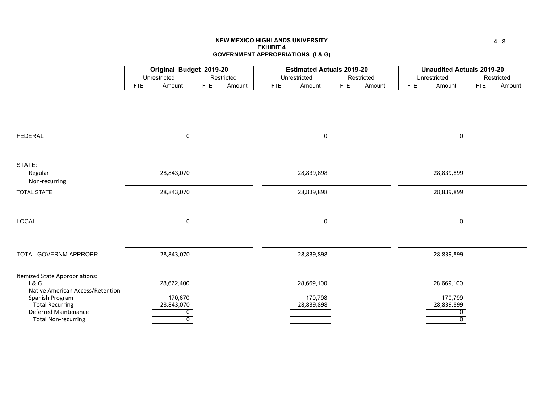#### **NEW MEXICO HIGHLANDS UNIVERSITYEXHIBIT 4GOVERNMENT APPROPRIATIONS (I & G)**

|                                                                           |            |                                                       |            |        |            | <b>Estimated Actuals 2019-20</b> |            |            |            | <b>Unaudited Actuals 2019-20</b> |            |            |
|---------------------------------------------------------------------------|------------|-------------------------------------------------------|------------|--------|------------|----------------------------------|------------|------------|------------|----------------------------------|------------|------------|
|                                                                           |            | Original Budget 2019-20<br>Unrestricted<br>Restricted |            |        |            | Unrestricted                     |            | Restricted |            | Unrestricted                     |            | Restricted |
|                                                                           | <b>FTE</b> | Amount                                                | <b>FTE</b> | Amount | <b>FTE</b> | Amount                           | <b>FTE</b> | Amount     | <b>FTE</b> | Amount                           | <b>FTE</b> | Amount     |
|                                                                           |            |                                                       |            |        |            |                                  |            |            |            |                                  |            |            |
| <b>FEDERAL</b>                                                            |            | 0                                                     |            |        |            | $\pmb{0}$                        |            |            |            | 0                                |            |            |
| STATE:<br>Regular<br>Non-recurring                                        |            | 28,843,070                                            |            |        |            | 28,839,898                       |            |            |            | 28,839,899                       |            |            |
| <b>TOTAL STATE</b>                                                        |            | 28,843,070                                            |            |        |            | 28,839,898                       |            |            |            | 28,839,899                       |            |            |
| LOCAL                                                                     |            | 0                                                     |            |        |            | $\mathbf 0$                      |            |            |            | 0                                |            |            |
| TOTAL GOVERNM APPROPR                                                     |            | 28,843,070                                            |            |        |            | 28,839,898                       |            |            |            | 28,839,899                       |            |            |
| Itemized State Appropriations:<br>1&6<br>Native American Access/Retention |            | 28,672,400                                            |            |        |            | 28,669,100                       |            |            |            | 28,669,100                       |            |            |
| Spanish Program                                                           |            | 170,670                                               |            |        |            | 170,798                          |            |            |            | 170,799                          |            |            |
| <b>Total Recurring</b><br>Deferred Maintenance                            |            | 28,843,070<br>0                                       |            |        |            | 28,839,898                       |            |            |            | 28,839,899<br>0                  |            |            |
| <b>Total Non-recurring</b>                                                |            | $\overline{0}$                                        |            |        |            |                                  |            |            |            | $\overline{0}$                   |            |            |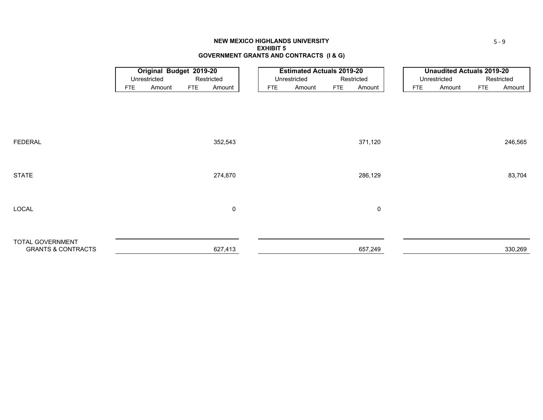#### **NEW MEXICO HIGHLANDS UNIVERSITYEXHIBIT 5GOVERNMENT GRANTS AND CONTRACTS (I & G)**

|                                                   |            | <b>Original Budget 2019-20</b> |            |            |            | <b>Estimated Actuals 2019-20</b> |            |             |            | <b>Unaudited Actuals 2019-20</b> |            |            |
|---------------------------------------------------|------------|--------------------------------|------------|------------|------------|----------------------------------|------------|-------------|------------|----------------------------------|------------|------------|
|                                                   |            | Unrestricted                   |            | Restricted |            | Unrestricted                     |            | Restricted  |            | Unrestricted                     |            | Restricted |
|                                                   | <b>FTE</b> | Amount                         | <b>FTE</b> | Amount     | <b>FTE</b> | Amount                           | <b>FTE</b> | Amount      | <b>FTE</b> | Amount                           | <b>FTE</b> | Amount     |
|                                                   |            |                                |            |            |            |                                  |            |             |            |                                  |            |            |
|                                                   |            |                                |            |            |            |                                  |            |             |            |                                  |            |            |
|                                                   |            |                                |            |            |            |                                  |            |             |            |                                  |            |            |
|                                                   |            |                                |            |            |            |                                  |            |             |            |                                  |            |            |
|                                                   |            |                                |            |            |            |                                  |            |             |            |                                  |            |            |
| <b>FEDERAL</b>                                    |            |                                |            | 352,543    |            |                                  |            | 371,120     |            |                                  |            | 246,565    |
|                                                   |            |                                |            |            |            |                                  |            |             |            |                                  |            |            |
|                                                   |            |                                |            |            |            |                                  |            |             |            |                                  |            |            |
| <b>STATE</b>                                      |            |                                |            | 274,870    |            |                                  |            | 286,129     |            |                                  |            | 83,704     |
|                                                   |            |                                |            |            |            |                                  |            |             |            |                                  |            |            |
|                                                   |            |                                |            |            |            |                                  |            |             |            |                                  |            |            |
| LOCAL                                             |            |                                |            | 0          |            |                                  |            | $\mathbf 0$ |            |                                  |            |            |
|                                                   |            |                                |            |            |            |                                  |            |             |            |                                  |            |            |
|                                                   |            |                                |            |            |            |                                  |            |             |            |                                  |            |            |
|                                                   |            |                                |            |            |            |                                  |            |             |            |                                  |            |            |
| TOTAL GOVERNMENT<br><b>GRANTS &amp; CONTRACTS</b> |            |                                |            | 627,413    |            |                                  |            | 657,249     |            |                                  |            | 330,269    |
|                                                   |            |                                |            |            |            |                                  |            |             |            |                                  |            |            |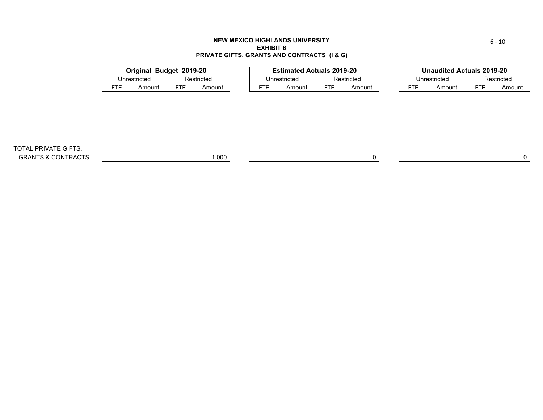#### **NEW MEXICO HIGHLANDS UNIVERSITY EXHIBIT 6PRIVATE GIFTS, GRANTS AND CONTRACTS (I & G)**

|     | Original Budget 2019-20 |     |            |     | <b>Estimated Actuals 2019-20</b> |            |            |     | Unaudited Actuals 2019-20 |     |            |
|-----|-------------------------|-----|------------|-----|----------------------------------|------------|------------|-----|---------------------------|-----|------------|
|     | Unrestricted            |     | Restricted |     | Unrestricted                     |            | Restricted |     | Unrestricted              |     | Restricted |
| FTE | Amount                  | FTE | Amount     | FTE | Amount                           | <b>FTE</b> | Amount     | FTE | Amount                    | FTE | Amount     |

TOTAL PRIVATE GIFTS, GRANTS & CONTRACTS 0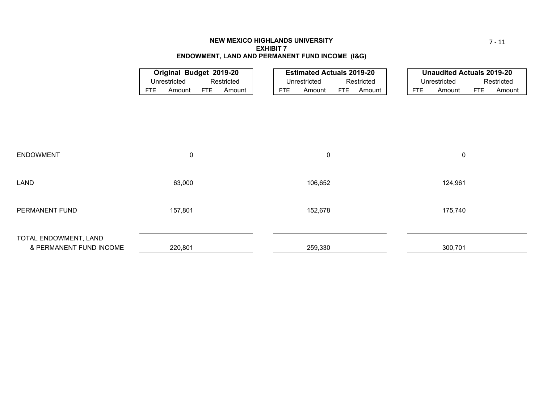#### **NEW MEXICO HIGHLANDS UNIVERSITY EXHIBIT 7ENDOWMENT, LAND AND PERMANENT FUND INCOME (I&G)**

|                         | Original Budget 2019-20<br>Unrestricted<br>Restricted |           |            |        |  |            | <b>Estimated Actuals 2019-20</b> |            |            |     | <b>Unaudited Actuals 2019-20</b> |            |            |
|-------------------------|-------------------------------------------------------|-----------|------------|--------|--|------------|----------------------------------|------------|------------|-----|----------------------------------|------------|------------|
|                         |                                                       |           |            |        |  |            | Unrestricted                     |            | Restricted |     | Unrestricted                     |            | Restricted |
|                         | <b>FTE</b>                                            | Amount    | <b>FTE</b> | Amount |  | <b>FTE</b> | Amount                           | <b>FTE</b> | Amount     | FTE | Amount                           | <b>FTE</b> | Amount     |
|                         |                                                       |           |            |        |  |            |                                  |            |            |     |                                  |            |            |
|                         |                                                       |           |            |        |  |            |                                  |            |            |     |                                  |            |            |
|                         |                                                       |           |            |        |  |            |                                  |            |            |     |                                  |            |            |
|                         |                                                       |           |            |        |  |            |                                  |            |            |     |                                  |            |            |
|                         |                                                       |           |            |        |  |            |                                  |            |            |     |                                  |            |            |
|                         |                                                       |           |            |        |  |            |                                  |            |            |     |                                  |            |            |
| <b>ENDOWMENT</b>        |                                                       | $\pmb{0}$ |            |        |  |            | $\pmb{0}$                        |            |            |     | $\pmb{0}$                        |            |            |
|                         |                                                       |           |            |        |  |            |                                  |            |            |     |                                  |            |            |
|                         |                                                       |           |            |        |  |            |                                  |            |            |     |                                  |            |            |
| LAND                    |                                                       | 63,000    |            |        |  |            | 106,652                          |            |            |     | 124,961                          |            |            |
|                         |                                                       |           |            |        |  |            |                                  |            |            |     |                                  |            |            |
|                         |                                                       |           |            |        |  |            |                                  |            |            |     |                                  |            |            |
| PERMANENT FUND          |                                                       | 157,801   |            |        |  |            | 152,678                          |            |            |     | 175,740                          |            |            |
|                         |                                                       |           |            |        |  |            |                                  |            |            |     |                                  |            |            |
|                         |                                                       |           |            |        |  |            |                                  |            |            |     |                                  |            |            |
| TOTAL ENDOWMENT, LAND   |                                                       |           |            |        |  |            |                                  |            |            |     |                                  |            |            |
| & PERMANENT FUND INCOME |                                                       | 220,801   |            |        |  |            | 259,330                          |            |            |     | 300,701                          |            |            |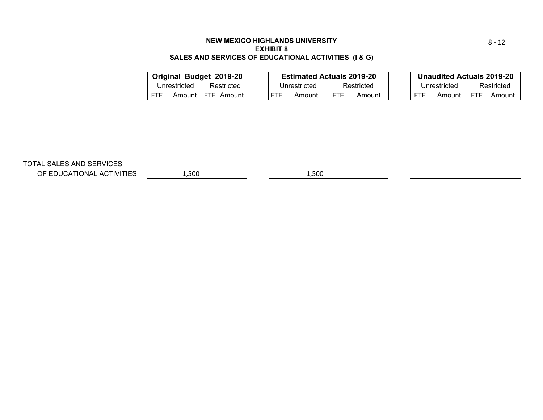# **NEW MEXICO HIGHLANDS UNIVERSITYEXHIBIT 8SALES AND SERVICES OF EDUCATIONAL ACTIVITIES (I & G)**

|              |        | Original Budget 2019-20 |  | <b>Estimated Actuals 2019-20</b> |      |            |            | <b>Unaudited Actuals 2019-20</b> |      |            |
|--------------|--------|-------------------------|--|----------------------------------|------|------------|------------|----------------------------------|------|------------|
| Unrestricted |        | Restricted              |  | Unrestricted                     |      | Restricted |            | Unrestricted                     |      | Restricted |
| FTE.         | Amount | FTE Amount              |  | Amount                           | FTE. | Amount     | <b>FTE</b> | Amount                           | FTF. | Amount     |
|              |        |                         |  |                                  |      |            |            |                                  |      |            |

TOTAL SALES AND SERVICES

OF EDUCATIONAL ACTIVITIES

1,500 1,500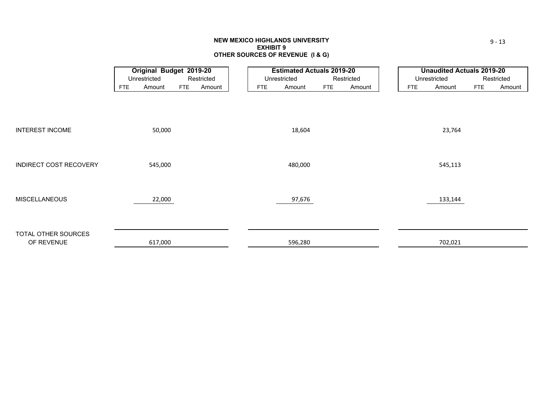#### **NEW MEXICO HIGHLANDS UNIVERSITY EXHIBIT 9 OTHER SOURCES OF REVENUE (I & G)**

|                               |            | Original Budget 2019-20 |            |            |            | <b>Estimated Actuals 2019-20</b> |            |            |            | <b>Unaudited Actuals 2019-20</b> |            |            |
|-------------------------------|------------|-------------------------|------------|------------|------------|----------------------------------|------------|------------|------------|----------------------------------|------------|------------|
|                               |            | Unrestricted            |            | Restricted |            | Unrestricted                     |            | Restricted |            | Unrestricted                     |            | Restricted |
|                               | <b>FTE</b> | Amount                  | <b>FTE</b> | Amount     | <b>FTE</b> | Amount                           | <b>FTE</b> | Amount     | <b>FTE</b> | Amount                           | <b>FTE</b> | Amount     |
|                               |            |                         |            |            |            |                                  |            |            |            |                                  |            |            |
|                               |            |                         |            |            |            |                                  |            |            |            |                                  |            |            |
|                               |            |                         |            |            |            |                                  |            |            |            |                                  |            |            |
| <b>INTEREST INCOME</b>        |            | 50,000                  |            |            |            | 18,604                           |            |            |            | 23,764                           |            |            |
|                               |            |                         |            |            |            |                                  |            |            |            |                                  |            |            |
|                               |            |                         |            |            |            |                                  |            |            |            |                                  |            |            |
|                               |            |                         |            |            |            |                                  |            |            |            |                                  |            |            |
| <b>INDIRECT COST RECOVERY</b> |            | 545,000                 |            |            |            | 480,000                          |            |            |            | 545,113                          |            |            |
|                               |            |                         |            |            |            |                                  |            |            |            |                                  |            |            |
|                               |            |                         |            |            |            |                                  |            |            |            |                                  |            |            |
| <b>MISCELLANEOUS</b>          |            | 22,000                  |            |            |            | 97,676                           |            |            |            | 133,144                          |            |            |
|                               |            |                         |            |            |            |                                  |            |            |            |                                  |            |            |
|                               |            |                         |            |            |            |                                  |            |            |            |                                  |            |            |
| TOTAL OTHER SOURCES           |            |                         |            |            |            |                                  |            |            |            |                                  |            |            |
| OF REVENUE                    |            | 617,000                 |            |            |            | 596,280                          |            |            |            | 702,021                          |            |            |
|                               |            |                         |            |            |            |                                  |            |            |            |                                  |            |            |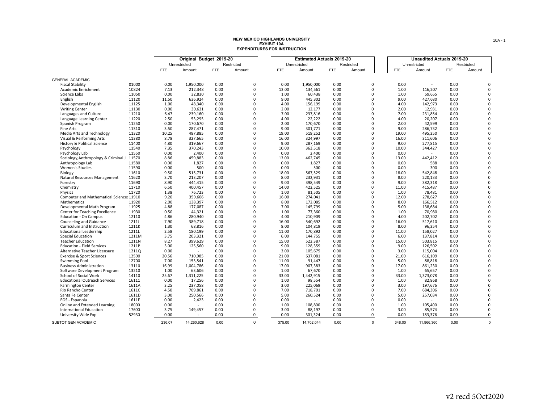|                                            |              |        | Original Budget 2019-20  |            |             |            | <b>Estimated Actuals 2019-20</b> |            |             |            | <b>Unaudited Actuals 2019-20</b> |            |            |
|--------------------------------------------|--------------|--------|--------------------------|------------|-------------|------------|----------------------------------|------------|-------------|------------|----------------------------------|------------|------------|
|                                            |              |        | Unrestricted             |            | Restricted  |            | Unrestricted                     |            | Restricted  |            | Unrestricted                     |            | Restricted |
|                                            |              | FTE    | Amount                   | <b>FTE</b> | Amount      | <b>FTE</b> | Amount                           | <b>FTE</b> | Amount      | <b>FTE</b> | Amount                           | <b>FTE</b> | Amount     |
|                                            |              |        |                          |            |             |            |                                  |            |             |            |                                  |            |            |
| <b>GENERAL ACADEMIC</b>                    |              |        |                          |            |             |            |                                  |            |             |            |                                  |            |            |
| <b>Fiscal Stability</b>                    | 01000        | 0.00   | 1,950,000                | 0.00       | $\Omega$    | 0.00       | 1,950,000                        | 0.00       | $\Omega$    | 0.00       |                                  | 0.00       |            |
| Academic Enrichment                        | 10824        | 7.13   | 212,348                  | 0.00       | $\Omega$    | 13.00      | 134,561                          | 0.00       | $\Omega$    | 1.00       | 116,207                          | 0.00       |            |
| Science Labs                               | 11050        | 0.00   | 32,830                   | 0.00       | $\mathbf 0$ | 1.00       | 60,438                           | 0.00       | $\mathbf 0$ | 1.00       | 59,655                           | 0.00       |            |
| English                                    | 11120        | 11.50  | 636,924                  | 0.00       | $\mathbf 0$ | 9.00       | 445,302                          | 0.00       | $\Omega$    | 9.00       | 427,680                          | 0.00       |            |
| Developmental English                      | 11125        | 1.00   | 48,340                   | 0.00       | $\Omega$    | 4.00       | 156,199                          | 0.00       | $\Omega$    | 4.00       | 142,973                          | 0.00       |            |
| <b>Writing Center</b>                      | 11130        | 0.00   | 30.631                   | 0.00       | $\Omega$    | 2.00       | 12,177                           | 0.00       | $\Omega$    | 2.00       | 12,931                           | 0.00       |            |
| Languages and Culture                      | 11210        | 6.47   | 239,160                  | 0.00       | $\mathbf 0$ | 7.00       | 237,816                          | 0.00       | $\mathbf 0$ | 7.00       | 231,854                          | 0.00       |            |
| Language Learning Center                   | 11220        | 2.50   | 53,295                   | 0.00       | $\Omega$    | 4.00       | 22,222                           | 0.00       | $\Omega$    | 4.00       | 20,207                           | 0.00       |            |
| Spanish Program                            | 11250        | 0.00   | 170,670                  | 0.00       | $\Omega$    | 2.00       | 170,670                          | 0.00       | $\Omega$    | 2.00       | 42,599                           | 0.00       |            |
| Fine Arts                                  | 11310        | 3.50   | 287,471                  | 0.00       | $\Omega$    | 9.00       | 301,771                          | 0.00       | $\Omega$    | 9.00       | 286,732                          | 0.00       |            |
| Media Arts and Technology                  | 11320        | 10.25  | 487,885                  | 0.00       | $\Omega$    | 19.00      | 519,252                          | 0.00       | $\Omega$    | 19.00      | 495,350                          | 0.00       |            |
| Visual & Performing Arts                   | 11380        | 8.78   | 327,665                  | 0.00       | $\mathbf 0$ | 16.00      | 324,997                          | 0.00       | $\Omega$    | 16.00      | 311,606                          | 0.00       |            |
| <b>History &amp; Political Science</b>     | 11400        | 4.80   | 319.667                  | 0.00       | $\Omega$    | 9.00       | 287,169                          | 0.00       | $\Omega$    | 9.00       | 277,815                          | 0.00       |            |
| Psychology                                 | 11540        | 7.35   | 370,243                  | 0.00       | $\Omega$    | 10.00      | 363,518                          | 0.00       | $\Omega$    | 10.00      | 344,427                          | 0.00       |            |
| Psychology Lab                             | 11550        | 0.00   | 2,400                    | 0.00       | $\mathbf 0$ | 0.00       | 2,400                            | 0.00       | $\mathbf 0$ | 0.00       |                                  | 0.00       |            |
| Sociology, Anthropology & Criminal J 11570 |              | 8.86   | 459,883                  | 0.00       | $\Omega$    | 13.00      | 462,745                          | 0.00       | $\Omega$    | 13.00      | 442,412                          | 0.00       |            |
| Anthropology Lab                           | 11580        | 0.00   | 1,827                    | 0.00       | $\Omega$    | 0.00       | 1,827                            | 0.00       | $\Omega$    | 0.00       | 588                              | 0.00       |            |
| Women's Studies                            | 11590        | 0.00   | 500                      | 0.00       | $\Omega$    | 0.00       | 500                              | 0.00       | $\Omega$    | 0.00       | 300                              | 0.00       |            |
| Biology                                    | 11610        | 9.50   | 515,731                  | 0.00       | $\Omega$    | 18.00      | 567,529                          | 0.00       | $\Omega$    | 18.00      | 542,848                          | 0.00       |            |
| Natural Resources Management               | 11620        | 3.70   | 213,207                  | 0.00       | $\Omega$    | 8.00       | 232,931                          | 0.00       | $\Omega$    | 8.00       | 220,133                          | 0.00       |            |
| Forestry                                   | 11690        | 8.90   | 444,415                  | 0.00       | $\mathbf 0$ | 9.00       | 398,549                          | 0.00       | $\mathbf 0$ | 9.00       | 382,318                          | 0.00       |            |
| Chemistry                                  | 11710        | 6.50   | 400,457                  | 0.00       | $\Omega$    | 14.00      | 422,525                          | 0.00       | $\Omega$    | 11.00      | 415,487                          | 0.00       |            |
| Physics                                    | 11720        | 1.38   | 76,723                   | 0.00       | $\Omega$    | 1.00       | 81,505                           | 0.00       | $\Omega$    | 1.00       | 78,481                           | 0.00       |            |
| Computer and Mathematical Sciences 11910   |              | 9.20   | 359,606                  | 0.00       | $\Omega$    | 16.00      | 274,041                          | 0.00       | $\Omega$    | 12.00      | 278,627                          | 0.00       |            |
| Mathematics                                | 11920        | 2.00   | 138,397                  | 0.00       | $\mathbf 0$ | 8.00       | 172,085                          | 0.00       | $\mathbf 0$ | 8.00       | 166,512                          | 0.00       |            |
| Developmental Math Program                 | 11925        | 4.88   | 177,087                  | 0.00       | $\mathbf 0$ | 7.00       | 145,799                          | 0.00       | $\Omega$    | 5.00       | 138,684                          | 0.00       |            |
| Center for Teaching Excellence             | 11930        | 0.50   | 44,321                   | 0.00       | $\Omega$    | 1.00       | 77,360                           | 0.00       | $\Omega$    | 1.00       | 70,980                           | 0.00       |            |
| <b>Education - On Campus</b>               | 12110        | 4.86   | 280,940                  | 0.00       | $\mathbf 0$ | 4.00       | 210,909                          | 0.00       | $\Omega$    | 4.00       | 202,702                          | 0.00       |            |
| Counseling and Guidance                    | <b>1211J</b> | 7.90   | 389,718                  | 0.00       | $\mathbf 0$ | 16.00      | 540,692                          | 0.00       | $\mathbf 0$ | 16.00      | 517,610                          | 0.00       |            |
| Curriculum and Instruction                 | 1211K        | 1.30   | 68,816                   | 0.00       | $\Omega$    | 8.00       | 104,819                          | 0.00       | $\Omega$    | 8.00       | 96,354                           | 0.00       |            |
| <b>Educational Leadership</b>              | 1211L        | 2.58   | 180,199                  | 0.00       | $\Omega$    | 11.00      | 170,892                          | 0.00       | $\Omega$    | 11.00      | 158,027                          | 0.00       |            |
| Special Education                          | 1211M        | 3.75   | 203,321                  | 0.00       | $\mathbf 0$ | 6.00       | 144,755                          | 0.00       | $\mathbf 0$ | 6.00       | 137,814                          | 0.00       |            |
| <b>Teacher Education</b>                   | 1211N        | 8.27   | 399,629                  | 0.00       | $\Omega$    | 15.00      | 522,387                          | 0.00       | $\Omega$    | 15.00      | 503,815                          | 0.00       |            |
| <b>Education - Field Services</b>          | 1211P        | 3.00   | 125,560                  | 0.00       | $\Omega$    | 9.00       | 128,359                          | 0.00       | $\Omega$    | 9.00       | 126,502                          | 0.00       |            |
| Alternative Teacher Licensure              | 1211Q        | 0.00   |                          | 0.00       | $\Omega$    | 3.00       | 105,675                          | 0.00       | $\Omega$    | 3.00       | 115,004                          | 0.00       |            |
| <b>Exercise &amp; Sport Sciences</b>       | 12500        | 20.56  | 710,985                  | 0.00       | $\mathbf 0$ | 21.00      | 637,081                          | 0.00       | $\mathbf 0$ | 21.00      | 616,109                          | 0.00       |            |
| Swimming Pool                              | 12700        | 7.00   | 153,541                  | 0.00       | $\mathbf 0$ | 11.00      | 91,447                           | 0.00       | $\Omega$    | 5.00       | 88,818                           | 0.00       |            |
| <b>Business Administration</b>             | 13110        | 16.99  | 1,004,786                | 0.00       | $\Omega$    | 17.00      | 907,383                          | 0.00       | $\Omega$    | 17.00      | 861,230                          | 0.00       |            |
| Software Development Program               | 13210        | 1.00   | 63,606                   | 0.00       | $\Omega$    | 1.00       | 67,670                           | 0.00       | $\Omega$    | 1.00       | 65,657                           | 0.00       |            |
| School of Social Work                      | 14110        | 25.67  | 1,311,225                | 0.00       | $\mathbf 0$ | 33.00      | 1,442,915                        | 0.00       | $\mathbf 0$ | 33.00      | 1,373,078                        | 0.00       |            |
| <b>Educational Outreach Services</b>       | 16111        | 0.00   | 17,256                   | 0.00       | $\Omega$    | 1.00       | 98,554                           | 0.00       | $\Omega$    | 1.00       | 82,868                           | 0.00       |            |
| <b>Farmington Center</b>                   | 1611A        | 3.25   | 237,058                  | 0.00       | $\Omega$    | 3.00       | 225,069                          | 0.00       | $\Omega$    | 3.00       | 197,676                          | 0.00       |            |
| Rio Rancho Center                          | 1611C        | 4.50   | 709,861                  | 0.00       | $\mathbf 0$ | 7.00       | 718,701                          | 0.00       | $\mathbf 0$ | 7.00       | 684,306                          | 0.00       |            |
| Santa Fe Center                            | 1611D        | 3.00   | 250,566                  | 0.00       | $\mathbf 0$ | 5.00       | 260.524                          | 0.00       | $\mathbf 0$ | 5.00       | 257,034                          | 0.00       |            |
| EOS - Espanola                             | 1611F        | 0.00   | 2,423                    | 0.00       | $\mathbf 0$ | 0.00       |                                  | 0.00       | $\mathbf 0$ | 0.00       |                                  | 0.00       |            |
| Online and Extended Learning               | 18000        | 0.00   |                          | 0.00       | $\Omega$    | 1.00       | 108,800                          | 0.00       | $\Omega$    | 1.00       | 105,400                          | 0.00       |            |
| International Education                    | 17600        | 3.75   | 149,457                  | 0.00       | $\mathbf 0$ | 3.00       | 88,197                           | 0.00       | $\mathbf 0$ | 3.00       | 85,574                           | 0.00       | $\Omega$   |
| University Wide Exp                        | 52930        | 0.00   | $\overline{\phantom{a}}$ | 0.00       | 0           | 0.00       | 301,324                          | 0.00       | $\mathbf 0$ | 0.00       | 183,376                          | 0.00       | $\Omega$   |
| SUBTOT GEN ACADEMIC                        |              | 236.07 | 14,260,628               | 0.00       | $\Omega$    | 375.00     | 14,702,044                       | 0.00       | $\Omega$    | 348.00     | 11,966,360                       | 0.00       | $\Omega$   |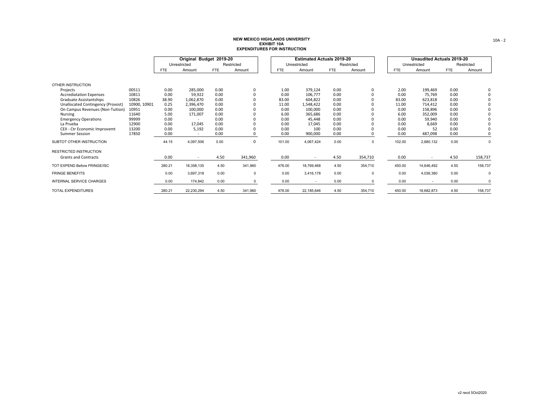|                                   |              |            | Original Budget 2019-20  |            |             |            | <b>Estimated Actuals 2019-20</b> |            |            |            | <b>Unaudited Actuals 2019-20</b> |            |              |
|-----------------------------------|--------------|------------|--------------------------|------------|-------------|------------|----------------------------------|------------|------------|------------|----------------------------------|------------|--------------|
|                                   |              |            | Unrestricted             |            | Restricted  |            | Unrestricted                     |            | Restricted |            | Unrestricted                     |            | Restricted   |
|                                   |              | <b>FTE</b> | Amount                   | <b>FTE</b> | Amount      | <b>FTE</b> | Amount                           | <b>FTE</b> | Amount     | <b>FTE</b> | Amount                           | <b>FTE</b> | Amount       |
| OTHER INSTRUCTION                 |              |            |                          |            |             |            |                                  |            |            |            |                                  |            |              |
| Projects                          | 00511        | 0.00       | 285,000                  | 0.00       | 0           | 1.00       | 379,124                          | 0.00       |            | 2.00       | 199,469                          | 0.00       | 0            |
| <b>Accrediatation Expenses</b>    | 10811        | 0.00       | 59,922                   | 0.00       | 0           | 0.00       | 106,777                          | 0.00       |            | 0.00       | 75,769                           | 0.00       | $\mathbf{0}$ |
| Graduate Assistantships           | 10826        | 38.90      | 1,062,870                | 0.00       |             | 83.00      | 604,822                          | 0.00       |            | 83.00      | 623,818                          | 0.00       | 0            |
| Unallocated Contingency (Provost) | 10900, 10901 | 0.25       | 2,396,470                | 0.00       |             | 11.00      | 1,548,422                        | 0.00       |            | 11.00      | 714,412                          | 0.00       | 0            |
| On Campus Revenues (Non-Tuition)  | 10951        | 0.00       | 100,000                  | 0.00       | 0           | 0.00       | 100,000                          | 0.00       |            | 0.00       | 158,896                          | 0.00       | 0            |
| Nursing                           | 11640        | 5.00       | 171,007                  | 0.00       |             | 6.00       | 365,686                          | 0.00       |            | 6.00       | 352,009                          | 0.00       | 0            |
| <b>Emergency Operations</b>       | 99999        | 0.00       | $\sim$                   | 0.00       |             | 0.00       | 45,448                           | 0.00       |            | 0.00       | 59,940                           | 0.00       | 0            |
| La Prueba                         | 12900        | 0.00       | 17,045                   | 0.00       |             | 0.00       | 17,045                           | 0.00       |            | 0.00       | 8,669                            | 0.00       | 0            |
| CEII - Ctr Economic Improvemt     | 13200        | 0.00       | 5,192                    | 0.00       | 0           | 0.00       | 100                              | 0.00       |            | 0.00       | 52                               | 0.00       | 0            |
| <b>Summer Session</b>             | 17850        | 0.00       | ٠                        | 0.00       | 0           | 0.00       | 900,000                          | 0.00       |            | 0.00       | 487,098                          | 0.00       | 0            |
| SUBTOT OTHER INSTRUCTION          |              | 44.15      | 4,097,506                | 0.00       | $\mathbf 0$ | 101.00     | 4,067,424                        | 0.00       | 0          | 102.00     | 2,680,132                        | 0.00       | 0            |
| <b>RESTRICTED INSTRUCTION</b>     |              |            |                          |            |             |            |                                  |            |            |            |                                  |            |              |
| <b>Grants and Contracts</b>       |              | 0.00       | $\overline{\phantom{a}}$ | 4.50       | 341,960     | 0.00       | $\overline{\phantom{a}}$         | 4.50       | 354,710    | 0.00       | $\sim$                           | 4.50       | 158,737      |
| TOT EXPEND Before FRINGE/ISC      |              | 280.21     | 18,358,135               | 4.50       | 341,960     | 476.00     | 18,769,468                       | 4.50       | 354,710    | 450.00     | 14,646,492                       | 4.50       | 158,737      |
| <b>FRINGE BENEFITS</b>            |              | 0.00       | 3,697,318                | 0.00       | 0           | 0.00       | 3,416,178                        | 0.00       | 0          | 0.00       | 4,036,380                        | 0.00       | 0            |
| <b>INTERNAL SERVICE CHARGES</b>   |              | 0.00       | 174,842                  | 0.00       | $\Omega$    | 0.00       | $\overline{\phantom{a}}$         | 0.00       | $\Omega$   | 0.00       | $\overline{\phantom{a}}$         | 0.00       | $\Omega$     |
| TOTAL EXPENDITURES                |              | 280.21     | 22.230.294               | 4.50       | 341.960     | 476.00     | 22.185.646                       | 4.50       | 354.710    | 450.00     | 18.682.873                       | 4.50       | 158,737      |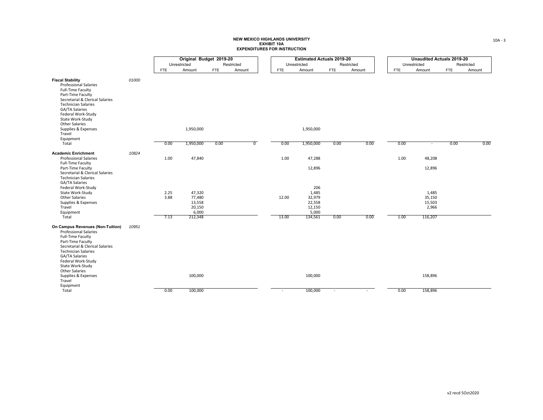|                                                                                                                                                                                                                                                                         |       |              | Original Budget 2019-20                       |            |                |            | <b>Estimated Actuals 2019-20</b>                    |            |            |            | <b>Unaudited Actuals 2019-20</b>   |            |            |
|-------------------------------------------------------------------------------------------------------------------------------------------------------------------------------------------------------------------------------------------------------------------------|-------|--------------|-----------------------------------------------|------------|----------------|------------|-----------------------------------------------------|------------|------------|------------|------------------------------------|------------|------------|
|                                                                                                                                                                                                                                                                         |       |              | Unrestricted                                  |            | Restricted     |            | Unrestricted                                        |            | Restricted |            | Unrestricted                       |            | Restricted |
|                                                                                                                                                                                                                                                                         |       | FTE          | Amount                                        | <b>FTE</b> | Amount         | <b>FTE</b> | Amount                                              | <b>FTE</b> | Amount     | <b>FTE</b> | Amount                             | <b>FTE</b> | Amount     |
| <b>Fiscal Stability</b><br><b>Professional Salaries</b><br><b>Full-Time Faculty</b><br>Part-Time Faculty<br>Secretarial & Clerical Salaries<br><b>Technician Salaries</b><br>GA/TA Salaries<br>Federal Work-Study<br>State Work-Study<br><b>Other Salaries</b>          | 01000 |              |                                               |            |                |            |                                                     |            |            |            |                                    |            |            |
| Supplies & Expenses<br>Travel                                                                                                                                                                                                                                           |       |              | 1,950,000                                     |            |                |            | 1,950,000                                           |            |            |            |                                    |            |            |
| Equipment<br>Total                                                                                                                                                                                                                                                      |       | 0.00         | 1,950,000                                     | 0.00       | $\overline{0}$ | 0.00       | 1,950,000                                           | 0.00       | 0.00       | 0.00       | $\sim$                             | 0.00       | 0.00       |
| <b>Academic Enrichment</b><br><b>Professional Salaries</b>                                                                                                                                                                                                              | 10824 | 1.00         | 47,840                                        |            |                | 1.00       | 47,288                                              |            |            | 1.00       | 48,208                             |            |            |
| Full-Time Faculty<br>Part-Time Faculty<br>Secretarial & Clerical Salaries<br><b>Technician Salaries</b><br>GA/TA Salaries                                                                                                                                               |       |              |                                               |            |                |            | 12,896                                              |            |            |            | 12,896                             |            |            |
| Federal Work-Study<br>State Work-Study<br><b>Other Salaries</b><br>Supplies & Expenses<br>Travel<br>Equipment                                                                                                                                                           |       | 2.25<br>3.88 | 47,320<br>77,480<br>13,558<br>20,150<br>6,000 |            |                | 12.00      | 206<br>1,485<br>32,979<br>22,558<br>12,150<br>5,000 |            |            |            | 1,485<br>35,150<br>15,503<br>2,966 |            |            |
| Total                                                                                                                                                                                                                                                                   |       | 7.13         | 212,348                                       |            |                | 13.00      | 134,561                                             | 0.00       | 0.00       | 1.00       | 116,207                            |            |            |
| On Campus Revenues (Non-Tuition)<br><b>Professional Salaries</b><br><b>Full-Time Faculty</b><br>Part-Time Faculty<br>Secretarial & Clerical Salaries<br><b>Technician Salaries</b><br>GA/TA Salaries<br>Federal Work-Study<br>State Work-Study<br><b>Other Salaries</b> | 10951 |              |                                               |            |                |            |                                                     |            |            |            |                                    |            |            |
| Supplies & Expenses<br>Travel<br>Equipment                                                                                                                                                                                                                              |       |              | 100,000                                       |            |                |            | 100,000                                             |            |            |            | 158,896                            |            |            |
| Total                                                                                                                                                                                                                                                                   |       | 0.00         | 100,000                                       |            |                | $\sim$     | 100,000                                             | $\sim$     | $\sim$     | 0.00       | 158,896                            |            |            |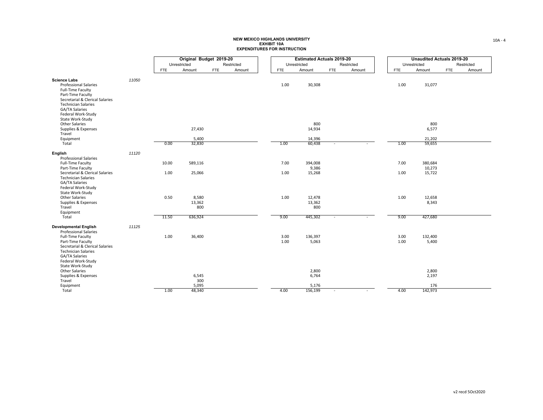| Original Budget 2019-20<br><b>Estimated Actuals 2019-20</b>                                                                                                                    |                 |
|--------------------------------------------------------------------------------------------------------------------------------------------------------------------------------|-----------------|
| Unrestricted<br>Unrestricted<br>Restricted<br>Restricted                                                                                                                       |                 |
| Amount<br><b>FTE</b><br><b>FTE</b><br>Amount<br><b>FTE</b><br>Amount<br>Amount<br><b>FTE</b>                                                                                   | <b>FTE</b>      |
|                                                                                                                                                                                |                 |
| <b>Science Labs</b><br>11050<br><b>Professional Salaries</b><br>1.00<br>30,308<br>Full-Time Faculty                                                                            | 1.00            |
| Part-Time Faculty<br>Secretarial & Clerical Salaries<br><b>Technician Salaries</b><br>GA/TA Salaries<br>Federal Work-Study<br>State Work-Study<br>800<br><b>Other Salaries</b> |                 |
| 27,430<br>14,934<br>Supplies & Expenses<br>Travel                                                                                                                              |                 |
| 5,400<br>Equipment<br>14,396                                                                                                                                                   |                 |
| 32,830<br>Total<br>0.00<br>1.00<br>60,438                                                                                                                                      | 1.00            |
| 11120<br>English<br><b>Professional Salaries</b>                                                                                                                               |                 |
| 7.00<br>394,008<br>Full-Time Faculty<br>10.00<br>589,116                                                                                                                       | 7.00            |
| 9,386<br>Part-Time Faculty                                                                                                                                                     |                 |
| Secretarial & Clerical Salaries<br>1.00<br>25,066<br>1.00<br>15,268<br><b>Technician Salaries</b><br>GA/TA Salaries<br>Federal Work-Study<br>State Work-Study                  | 1.00            |
| <b>Other Salaries</b><br>0.50<br>8,580<br>1.00<br>12,478                                                                                                                       | 1.00            |
| Supplies & Expenses<br>13,362<br>13,362                                                                                                                                        |                 |
| Travel<br>800<br>800                                                                                                                                                           |                 |
| Equipment<br>Total<br>11.50<br>636,924<br>9.00<br>445,302<br>$\sim$                                                                                                            | 9.00            |
| 11125<br><b>Developmental English</b><br><b>Professional Salaries</b>                                                                                                          |                 |
| 136,397<br>Full-Time Faculty<br>1.00<br>36,400<br>3.00                                                                                                                         | 3.00            |
| 5,063<br>Part-Time Faculty<br>1.00                                                                                                                                             | 1.00            |
| Secretarial & Clerical Salaries<br><b>Technician Salaries</b><br>GA/TA Salaries<br>Federal Work-Study                                                                          |                 |
| State Work-Study                                                                                                                                                               |                 |
| Other Salaries<br>2,800                                                                                                                                                        |                 |
| Supplies & Expenses<br>6,545<br>6,764                                                                                                                                          |                 |
| 300<br>Travel                                                                                                                                                                  |                 |
| 5,095<br>Equipment<br>5,176<br>48,340<br>156,199<br>Total<br>1.00<br>4.00                                                                                                      | 142,973<br>4.00 |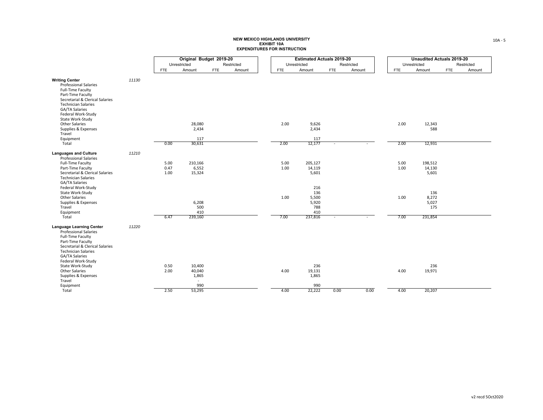|                                                                                                                                                                                                          |       |              | Original Budget 2019-20 |            |            |              | <b>Estimated Actuals 2019-20</b> |            |            |              | <b>Unaudited Actuals 2019-20</b> |            |            |
|----------------------------------------------------------------------------------------------------------------------------------------------------------------------------------------------------------|-------|--------------|-------------------------|------------|------------|--------------|----------------------------------|------------|------------|--------------|----------------------------------|------------|------------|
|                                                                                                                                                                                                          |       | Unrestricted |                         |            | Restricted | Unrestricted |                                  |            | Restricted | Unrestricted |                                  |            | Restricted |
|                                                                                                                                                                                                          |       | <b>FTE</b>   | Amount                  | <b>FTE</b> | Amount     | <b>FTE</b>   | Amount                           | <b>FTE</b> | Amount     | FTE          | Amount                           | <b>FTE</b> | Amount     |
|                                                                                                                                                                                                          |       |              |                         |            |            |              |                                  |            |            |              |                                  |            |            |
| <b>Writing Center</b><br><b>Professional Salaries</b><br>Full-Time Faculty<br>Part-Time Faculty<br>Secretarial & Clerical Salaries<br><b>Technician Salaries</b><br>GA/TA Salaries<br>Federal Work-Study | 11130 |              |                         |            |            |              |                                  |            |            |              |                                  |            |            |
| State Work-Study                                                                                                                                                                                         |       |              |                         |            |            |              |                                  |            |            |              |                                  |            |            |
| Other Salaries                                                                                                                                                                                           |       |              | 28,080                  |            |            | 2.00         | 9,626                            |            |            | 2.00         | 12,343                           |            |            |
| Supplies & Expenses                                                                                                                                                                                      |       |              | 2,434                   |            |            |              | 2,434                            |            |            |              | 588                              |            |            |
| Travel                                                                                                                                                                                                   |       |              | 117                     |            |            |              | 117                              |            |            |              |                                  |            |            |
| Equipment<br>Total                                                                                                                                                                                       |       | 0.00         | 30,631                  |            |            | 2.00         | 12,177                           |            |            | 2.00         | 12,931                           |            |            |
|                                                                                                                                                                                                          |       |              |                         |            |            |              |                                  |            |            |              |                                  |            |            |
| <b>Languages and Culture</b><br><b>Professional Salaries</b>                                                                                                                                             | 11210 |              |                         |            |            |              |                                  |            |            |              |                                  |            |            |
| Full-Time Faculty                                                                                                                                                                                        |       | 5.00         | 210,166                 |            |            | 5.00         | 205,127                          |            |            | 5.00         | 198,512                          |            |            |
| Part-Time Faculty                                                                                                                                                                                        |       | 0.47         | 6,552                   |            |            | 1.00         | 14,119                           |            |            | 1.00         | 14,130                           |            |            |
| Secretarial & Clerical Salaries<br><b>Technician Salaries</b><br>GA/TA Salaries<br>Federal Work-Study                                                                                                    |       | 1.00         | 15,324                  |            |            |              | 5,601<br>216                     |            |            |              | 5,601                            |            |            |
| State Work-Study                                                                                                                                                                                         |       |              |                         |            |            |              | 136                              |            |            |              | 136                              |            |            |
| Other Salaries                                                                                                                                                                                           |       |              |                         |            |            | 1.00         | 5,500                            |            |            | 1.00         | 8,272                            |            |            |
| Supplies & Expenses                                                                                                                                                                                      |       |              | 6,208                   |            |            |              | 5,920                            |            |            |              | 5,027                            |            |            |
| Travel                                                                                                                                                                                                   |       |              | 500                     |            |            |              | 788                              |            |            |              | 175                              |            |            |
| Equipment                                                                                                                                                                                                |       |              | 410                     |            |            |              | 410                              |            |            |              |                                  |            |            |
| Total                                                                                                                                                                                                    |       | 6.47         | 239,160                 |            |            | 7.00         | 237,816                          |            |            | 7.00         | 231,854                          |            |            |
| <b>Language Learning Center</b><br><b>Professional Salaries</b><br>Full-Time Faculty<br>Part-Time Faculty<br>Secretarial & Clerical Salaries<br><b>Technician Salaries</b><br><b>GA/TA Salaries</b>      | 11220 |              |                         |            |            |              |                                  |            |            |              |                                  |            |            |
| Federal Work-Study                                                                                                                                                                                       |       |              |                         |            |            |              |                                  |            |            |              |                                  |            |            |
| State Work-Study<br>Other Salaries                                                                                                                                                                       |       | 0.50<br>2.00 | 10,400<br>40,040        |            |            | 4.00         | 236                              |            |            | 4.00         | 236                              |            |            |
| Supplies & Expenses                                                                                                                                                                                      |       |              | 1,865                   |            |            |              | 19,131<br>1,865                  |            |            |              | 19,971                           |            |            |
| Travel                                                                                                                                                                                                   |       |              | $\sim$                  |            |            |              |                                  |            |            |              |                                  |            |            |
| Equipment                                                                                                                                                                                                |       |              | 990                     |            |            |              | 990                              |            |            |              |                                  |            |            |
| Total                                                                                                                                                                                                    |       | 2.50         | 53,295                  |            |            | 4.00         | 22,222                           | 0.00       | 0.00       | 4.00         | 20,207                           |            |            |
|                                                                                                                                                                                                          |       |              |                         |            |            |              |                                  |            |            |              |                                  |            |            |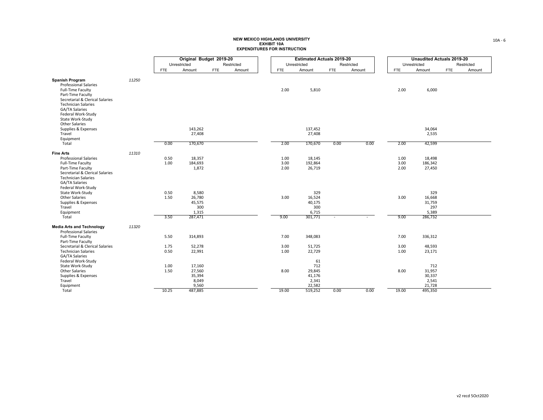|                                                          |       |              | Original Budget 2019-20 |            |            |              |                   |              |            | <b>Estimated Actuals 2019-20</b> |              |                   |            | <b>Unaudited Actuals 2019-20</b> |
|----------------------------------------------------------|-------|--------------|-------------------------|------------|------------|--------------|-------------------|--------------|------------|----------------------------------|--------------|-------------------|------------|----------------------------------|
|                                                          |       |              | Unrestricted            |            | Restricted |              |                   | Unrestricted |            | Restricted                       |              | Unrestricted      |            | Restricted                       |
|                                                          |       | <b>FTE</b>   | Amount                  | <b>FTE</b> | Amount     | FTE          |                   | Amount       | <b>FTE</b> | Amount                           | FTE          | Amount            | <b>FTE</b> | Amount                           |
| <b>Spanish Program</b>                                   |       |              |                         |            |            |              |                   |              |            |                                  |              |                   |            |                                  |
| <b>Professional Salaries</b>                             | 11250 |              |                         |            |            |              |                   |              |            |                                  |              |                   |            |                                  |
| Full-Time Faculty                                        |       |              |                         |            |            | 2.00         | 5,810             |              |            |                                  | 2.00         | 6,000             |            |                                  |
| Part-Time Faculty<br>Secretarial & Clerical Salaries     |       |              |                         |            |            |              |                   |              |            |                                  |              |                   |            |                                  |
| <b>Technician Salaries</b>                               |       |              |                         |            |            |              |                   |              |            |                                  |              |                   |            |                                  |
| GA/TA Salaries<br>Federal Work-Study                     |       |              |                         |            |            |              |                   |              |            |                                  |              |                   |            |                                  |
| State Work-Study                                         |       |              |                         |            |            |              |                   |              |            |                                  |              |                   |            |                                  |
| Other Salaries                                           |       |              |                         |            |            |              |                   |              |            |                                  |              |                   |            |                                  |
| Supplies & Expenses<br>Travel                            |       |              | 143,262<br>27,408       |            |            |              | 137,452<br>27,408 |              |            |                                  |              | 34,064<br>2,535   |            |                                  |
| Equipment                                                |       |              |                         |            |            |              |                   |              |            |                                  |              |                   |            |                                  |
| Total                                                    |       | 0.00         | 170,670                 |            |            | 2.00         | 170,670           |              | 0.00       | 0.00                             | 2.00         | 42,599            |            |                                  |
| <b>Fine Arts</b>                                         | 11310 |              |                         |            |            |              |                   |              |            |                                  |              |                   |            |                                  |
| <b>Professional Salaries</b><br><b>Full-Time Faculty</b> |       | 0.50<br>1.00 | 18,357<br>184,693       |            |            | 1.00<br>3.00 | 18,145<br>192,864 |              |            |                                  | 1.00<br>3.00 | 18,498<br>186,342 |            |                                  |
| Part-Time Faculty                                        |       |              | 1,872                   |            |            | 2.00         | 26,719            |              |            |                                  | 2.00         | 27,450            |            |                                  |
| Secretarial & Clerical Salaries                          |       |              |                         |            |            |              |                   |              |            |                                  |              |                   |            |                                  |
| <b>Technician Salaries</b><br>GA/TA Salaries             |       |              |                         |            |            |              |                   |              |            |                                  |              |                   |            |                                  |
| Federal Work-Study                                       |       |              |                         |            |            |              |                   |              |            |                                  |              |                   |            |                                  |
| State Work-Study                                         |       | 0.50         | 8,580                   |            |            |              | 329               |              |            |                                  |              | 329               |            |                                  |
| Other Salaries                                           |       | 1.50         | 26,780                  |            |            | 3.00         | 16,524            |              |            |                                  | 3.00         | 16,668            |            |                                  |
| Supplies & Expenses<br>Travel                            |       |              | 45,575<br>300           |            |            |              | 40,175<br>300     |              |            |                                  |              | 31,759<br>297     |            |                                  |
| Equipment                                                |       |              | 1,315                   |            |            |              | 6,715             |              |            |                                  |              | 5,389             |            |                                  |
| Total                                                    |       | 3.50         | 287,471                 |            |            | 9.00         | 301,771           |              |            |                                  | 9.00         | 286,732           |            |                                  |
| <b>Media Arts and Technology</b>                         | 11320 |              |                         |            |            |              |                   |              |            |                                  |              |                   |            |                                  |
| <b>Professional Salaries</b><br>Full-Time Faculty        |       | 5.50         | 314,893                 |            |            | 7.00         | 348,083           |              |            |                                  | 7.00         | 336,312           |            |                                  |
| Part-Time Faculty                                        |       |              |                         |            |            |              |                   |              |            |                                  |              |                   |            |                                  |
| Secretarial & Clerical Salaries                          |       | 1.75         | 52,278                  |            |            | 3.00         | 51,725            |              |            |                                  | 3.00         | 48,593            |            |                                  |
| <b>Technician Salaries</b><br>GA/TA Salaries             |       | 0.50         | 22,991                  |            |            | 1.00         | 22,729            |              |            |                                  | 1.00         | 23,171            |            |                                  |
| Federal Work-Study                                       |       |              |                         |            |            |              | 61                |              |            |                                  |              |                   |            |                                  |
| State Work-Study                                         |       | 1.00         | 17,160                  |            |            |              | 712               |              |            |                                  |              | 712               |            |                                  |
| Other Salaries<br>Supplies & Expenses                    |       | 1.50         | 27,560<br>35,394        |            |            | 8.00         | 29,845<br>41,176  |              |            |                                  | 8.00         | 31,957<br>30,337  |            |                                  |
| Travel                                                   |       |              | 8,049                   |            |            |              | 2,341             |              |            |                                  |              | 2,541             |            |                                  |
| Equipment                                                |       |              | 9,560                   |            |            |              | 22,582            |              |            |                                  |              | 21,728            |            |                                  |
| Total                                                    |       | 10.25        | 487,885                 |            |            | 19.00        | 519,252           | 0.00         |            | 0.00                             | 19.00        | 495,350           |            |                                  |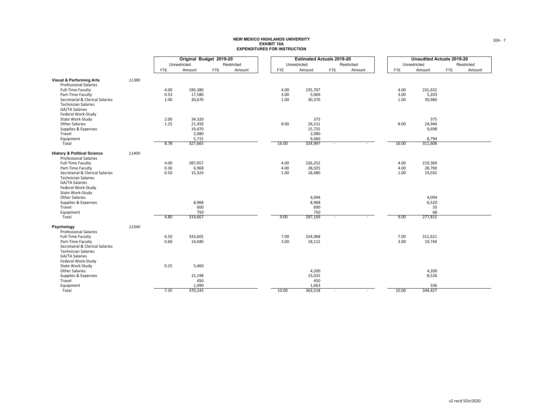|                                                               |       |            | Original Budget 2019-20 |     |            |       |                  |              |            | <b>Estimated Actuals 2019-20</b> |            |                  |            | <b>Unaudited Actuals 2019-20</b> |
|---------------------------------------------------------------|-------|------------|-------------------------|-----|------------|-------|------------------|--------------|------------|----------------------------------|------------|------------------|------------|----------------------------------|
|                                                               |       |            | Unrestricted            |     | Restricted |       |                  | Unrestricted |            | Restricted                       |            | Unrestricted     |            | Restricted                       |
|                                                               |       | <b>FTE</b> | Amount                  | FTE | Amount     |       | <b>FTE</b>       | Amount       | <b>FTE</b> | Amount                           | <b>FTE</b> | Amount           | <b>FTE</b> | Amount                           |
| <b>Visual &amp; Performing Arts</b>                           | 11380 |            |                         |     |            |       |                  |              |            |                                  |            |                  |            |                                  |
| <b>Professional Salaries</b>                                  |       |            |                         |     |            |       |                  |              |            |                                  |            |                  |            |                                  |
| Full-Time Faculty                                             |       | 4.00       | 196,380                 |     |            |       | 4.00             | 235,707      |            |                                  | 4.00       | 231,632          |            |                                  |
| Part-Time Faculty                                             |       | 0.53       | 17,580                  |     |            |       | 3.00             | 5,069        |            |                                  | 3.00       | 5,203            |            |                                  |
| Secretarial & Clerical Salaries                               |       | 1.00       | 30,670                  |     |            |       | 1.00             | 30,370       |            |                                  | 1.00       | 30,960           |            |                                  |
| <b>Technician Salaries</b>                                    |       |            |                         |     |            |       |                  |              |            |                                  |            |                  |            |                                  |
| <b>GA/TA Salaries</b><br>Federal Work-Study                   |       |            |                         |     |            |       |                  |              |            |                                  |            |                  |            |                                  |
| State Work-Study                                              |       | 2.00       | 34,320                  |     |            |       |                  | 375          |            |                                  |            | 375              |            |                                  |
| <b>Other Salaries</b>                                         |       | 1.25       | 21,450                  |     |            |       | 8.00             | 26,211       |            |                                  | 8.00       | 24,944           |            |                                  |
| Supplies & Expenses                                           |       |            | 19,470                  |     |            |       |                  | 15,725       |            |                                  |            | 9,698            |            |                                  |
| Travel                                                        |       |            | 2,080                   |     |            |       |                  | 2,080        |            |                                  |            |                  |            |                                  |
| Equipment<br>Total                                            |       | 8.78       | 5,715<br>327,665        |     |            | 16.00 |                  | 9,460        |            |                                  | 16.00      | 8,794<br>311,606 |            |                                  |
|                                                               |       |            |                         |     |            |       | 324,997          |              |            |                                  |            |                  |            |                                  |
| <b>History &amp; Political Science</b>                        | 11400 |            |                         |     |            |       |                  |              |            |                                  |            |                  |            |                                  |
| <b>Professional Salaries</b>                                  |       |            |                         |     |            |       |                  |              |            |                                  |            |                  |            |                                  |
| Full-Time Faculty                                             |       | 4.00       | 287,057                 |     |            | 4.00  | 226,252          |              |            |                                  | 4.00       | 219,369          |            |                                  |
| Part-Time Faculty                                             |       | 0.30       | 6,968                   |     |            | 4.00  | 28,025           |              |            |                                  | 4.00       | 28,700           |            |                                  |
| Secretarial & Clerical Salaries                               |       | 0.50       | 15,324                  |     |            | 1.00  | 18,480           |              |            |                                  | 1.00       | 19,032           |            |                                  |
| <b>Technician Salaries</b><br>GA/TA Salaries                  |       |            |                         |     |            |       |                  |              |            |                                  |            |                  |            |                                  |
| Federal Work-Study                                            |       |            |                         |     |            |       |                  |              |            |                                  |            |                  |            |                                  |
| State Work-Study                                              |       |            |                         |     |            |       |                  |              |            |                                  |            |                  |            |                                  |
| <b>Other Salaries</b>                                         |       |            |                         |     |            |       | 4,094            |              |            |                                  |            | 4,094            |            |                                  |
| Supplies & Expenses                                           |       |            | 8,968                   |     |            |       | 8,968            |              |            |                                  |            | 6,520            |            |                                  |
| Travel                                                        |       |            | 600                     |     |            |       | 600              |              |            |                                  |            | 33               |            |                                  |
| Equipment                                                     |       |            | 750                     |     |            |       | 750              |              |            |                                  |            | 68               |            |                                  |
| Total                                                         |       | 4.80       | 319,667                 |     |            | 9.00  | 287,169          | $\sim$       |            |                                  | 9.00       | 277,815          |            |                                  |
| Psychology                                                    | 11540 |            |                         |     |            |       |                  |              |            |                                  |            |                  |            |                                  |
| <b>Professional Salaries</b>                                  |       |            |                         |     |            |       |                  |              |            |                                  |            |                  |            |                                  |
| Full-Time Faculty                                             |       | 6.50       | 333,605                 |     |            | 7.00  | 324,068          |              |            |                                  | 7.00       | 311,621          |            |                                  |
| Part-Time Faculty                                             |       | 0.60       | 14,040                  |     |            | 3.00  | 18,112           |              |            |                                  | 3.00       | 19,744           |            |                                  |
| Secretarial & Clerical Salaries<br><b>Technician Salaries</b> |       |            |                         |     |            |       |                  |              |            |                                  |            |                  |            |                                  |
| GA/TA Salaries                                                |       |            |                         |     |            |       |                  |              |            |                                  |            |                  |            |                                  |
| Federal Work-Study                                            |       |            |                         |     |            |       |                  |              |            |                                  |            |                  |            |                                  |
| State Work-Study                                              |       | 0.25       | 5,460                   |     |            |       |                  |              |            |                                  |            |                  |            |                                  |
| Other Salaries                                                |       |            |                         |     |            |       | 4,200            |              |            |                                  |            | 4,200            |            |                                  |
| Supplies & Expenses                                           |       |            | 15,198                  |     |            |       | 15,025           |              |            |                                  |            | 8,526            |            |                                  |
| Travel                                                        |       |            | 450                     |     |            |       | 450              |              |            |                                  |            |                  |            |                                  |
| Equipment                                                     |       |            | 1,490<br>370,243        |     |            | 10.00 | 1,663<br>363,518 |              |            |                                  | 10.00      | 336<br>344,427   |            |                                  |
| Total                                                         |       | 7.35       |                         |     |            |       |                  |              |            |                                  |            |                  |            |                                  |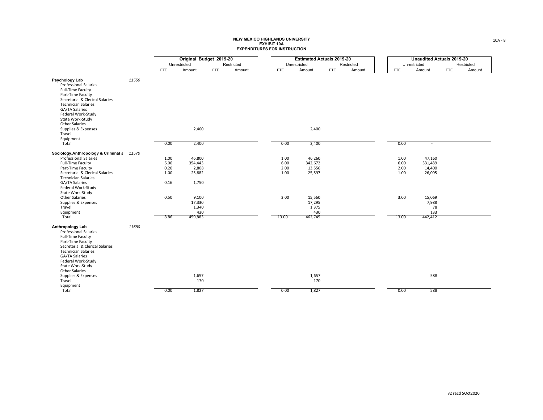|                                                                                                                                                                                                                                                |       |            | Original Budget 2019-20 |            |            |            | <b>Estimated Actuals 2019-20</b> |            |            |            | <b>Unaudited Actuals 2019-20</b> |            |            |
|------------------------------------------------------------------------------------------------------------------------------------------------------------------------------------------------------------------------------------------------|-------|------------|-------------------------|------------|------------|------------|----------------------------------|------------|------------|------------|----------------------------------|------------|------------|
|                                                                                                                                                                                                                                                |       |            | Unrestricted            |            | Restricted |            | Unrestricted                     |            | Restricted |            | Unrestricted                     |            | Restricted |
|                                                                                                                                                                                                                                                |       | <b>FTE</b> | Amount                  | <b>FTE</b> | Amount     | <b>FTE</b> | Amount                           | <b>FTE</b> | Amount     | <b>FTE</b> | Amount                           | <b>FTE</b> | Amount     |
| Psychology Lab<br><b>Professional Salaries</b><br>Full-Time Faculty<br>Part-Time Faculty<br>Secretarial & Clerical Salaries<br><b>Technician Salaries</b><br>GA/TA Salaries<br>Federal Work-Study<br>State Work-Study<br><b>Other Salaries</b> | 11550 |            |                         |            |            |            |                                  |            |            |            |                                  |            |            |
| Supplies & Expenses<br>Travel                                                                                                                                                                                                                  |       |            | 2,400                   |            |            |            | 2,400                            |            |            |            |                                  |            |            |
| Equipment<br>Total                                                                                                                                                                                                                             |       | 0.00       | 2,400                   |            |            | 0.00       | 2,400                            |            |            | 0.00       | $\sim$                           |            |            |
| Sociology, Anthropology & Criminal J 11570<br><b>Professional Salaries</b>                                                                                                                                                                     |       | 1.00       | 46,800                  |            |            | 1.00       | 46,260                           |            |            | 1.00       | 47,160                           |            |            |
| Full-Time Faculty                                                                                                                                                                                                                              |       | 6.00       | 354,443                 |            |            | 6.00       | 342,672                          |            |            | 6.00       | 331,489                          |            |            |
| Part-Time Faculty                                                                                                                                                                                                                              |       | 0.20       | 2,808                   |            |            | 2.00       | 13,556                           |            |            | 2.00       | 14,400                           |            |            |
| Secretarial & Clerical Salaries<br><b>Technician Salaries</b>                                                                                                                                                                                  |       | 1.00       | 25,882                  |            |            | 1.00       | 25,597                           |            |            | 1.00       | 26,095                           |            |            |
| GA/TA Salaries<br>Federal Work-Study<br>State Work-Study                                                                                                                                                                                       |       | 0.16       | 1,750                   |            |            |            |                                  |            |            |            |                                  |            |            |
| <b>Other Salaries</b>                                                                                                                                                                                                                          |       | 0.50       | 9,100                   |            |            | 3.00       | 15,560                           |            |            | 3.00       | 15,069                           |            |            |
| Supplies & Expenses                                                                                                                                                                                                                            |       |            | 17,330                  |            |            |            | 17,295                           |            |            |            | 7,988                            |            |            |
| Travel                                                                                                                                                                                                                                         |       |            | 1,340                   |            |            |            | 1,375                            |            |            |            | 78                               |            |            |
| Equipment                                                                                                                                                                                                                                      |       |            | 430<br>459,883          |            |            |            | 430                              |            |            | 13.00      | 133                              |            |            |
| Total                                                                                                                                                                                                                                          |       | 8.86       |                         |            |            | 13.00      | 462,745                          |            |            |            | 442,412                          |            |            |
| Anthropology Lab<br><b>Professional Salaries</b><br>Full-Time Faculty<br>Part-Time Faculty<br>Secretarial & Clerical Salaries<br><b>Technician Salaries</b><br>GA/TA Salaries<br>Federal Work-Study<br>State Work-Study<br>Other Salaries      | 11580 |            |                         |            |            |            |                                  |            |            |            |                                  |            |            |
| Supplies & Expenses<br>Travel<br>Equipment                                                                                                                                                                                                     |       |            | 1,657<br>170            |            |            |            | 1,657<br>170                     |            |            |            | 588                              |            |            |
| Total                                                                                                                                                                                                                                          |       | 0.00       | 1,827                   |            |            | 0.00       | 1,827                            |            |            | 0.00       | 588                              |            |            |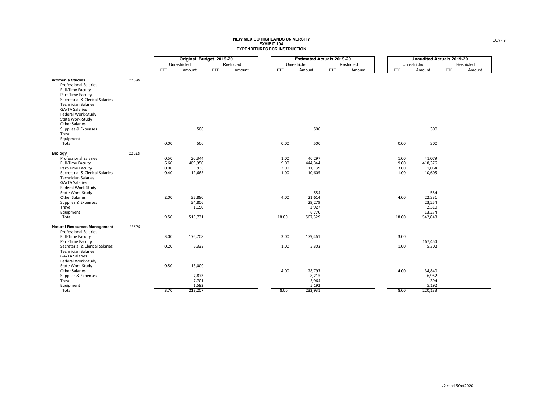|                                                                                                                                                                                                                               |       |              | Original Budget 2019-20              |            |            |               | <b>Estimated Actuals 2019-20</b>              |            |            |               | <b>Unaudited Actuals 2019-20</b>               |                      |  |
|-------------------------------------------------------------------------------------------------------------------------------------------------------------------------------------------------------------------------------|-------|--------------|--------------------------------------|------------|------------|---------------|-----------------------------------------------|------------|------------|---------------|------------------------------------------------|----------------------|--|
|                                                                                                                                                                                                                               |       |              | Unrestricted                         |            | Restricted |               | Unrestricted                                  |            | Restricted |               | Unrestricted                                   | Restricted           |  |
|                                                                                                                                                                                                                               |       | <b>FTE</b>   | Amount                               | <b>FTE</b> | Amount     | <b>FTE</b>    | Amount                                        | <b>FTE</b> | Amount     | FTE           | Amount                                         | <b>FTE</b><br>Amount |  |
| <b>Women's Studies</b><br><b>Professional Salaries</b><br>Full-Time Faculty<br>Part-Time Faculty<br>Secretarial & Clerical Salaries<br><b>Technician Salaries</b><br>GA/TA Salaries<br>Federal Work-Study<br>State Work-Study | 11590 |              |                                      |            |            |               |                                               |            |            |               |                                                |                      |  |
| <b>Other Salaries</b><br>Supplies & Expenses<br>Travel<br>Equipment                                                                                                                                                           |       |              | 500                                  |            |            |               | 500                                           |            |            |               | 300                                            |                      |  |
| Total                                                                                                                                                                                                                         |       | 0.00         | 500                                  |            |            | 0.00          | 500                                           |            |            | 0.00          | 300                                            |                      |  |
| <b>Biology</b>                                                                                                                                                                                                                | 11610 |              |                                      |            |            |               |                                               |            |            |               |                                                |                      |  |
| <b>Professional Salaries</b><br>Full-Time Faculty                                                                                                                                                                             |       | 0.50<br>6.60 | 20,344<br>409,950                    |            |            | 1.00<br>9.00  | 40,297<br>444,344                             |            |            | 1.00<br>9.00  | 41,079<br>418,376                              |                      |  |
| Part-Time Faculty                                                                                                                                                                                                             |       | 0.00         | 936                                  |            |            | 3.00          | 11,139                                        |            |            | 3.00          | 11,064                                         |                      |  |
| Secretarial & Clerical Salaries<br><b>Technician Salaries</b><br>GA/TA Salaries<br>Federal Work-Study                                                                                                                         |       | 0.40         | 12,665                               |            |            | 1.00          | 10,605                                        |            |            | 1.00          | 10,605                                         |                      |  |
| State Work-Study                                                                                                                                                                                                              |       |              |                                      |            |            |               | 554                                           |            |            |               | 554                                            |                      |  |
| <b>Other Salaries</b><br>Supplies & Expenses<br>Travel<br>Equipment<br>Total                                                                                                                                                  |       | 2.00<br>9.50 | 35,880<br>34,806<br>1,150<br>515,731 |            |            | 4.00<br>18.00 | 21,614<br>29,279<br>2,927<br>6,770<br>567,529 |            |            | 4.00<br>18.00 | 22,331<br>23,254<br>2,310<br>13,274<br>542,848 |                      |  |
| <b>Natural Resources Management</b><br><b>Professional Salaries</b>                                                                                                                                                           | 11620 |              |                                      |            |            |               |                                               |            |            |               |                                                |                      |  |
| <b>Full-Time Faculty</b><br>Part-Time Faculty                                                                                                                                                                                 |       | 3.00         | 176,708                              |            |            | 3.00          | 179,461                                       |            |            | 3.00          | 167,454                                        |                      |  |
| Secretarial & Clerical Salaries<br><b>Technician Salaries</b><br>GA/TA Salaries<br>Federal Work-Study                                                                                                                         |       | 0.20         | 6,333                                |            |            | 1.00          | 5,302                                         |            |            | 1.00          | 5,302                                          |                      |  |
| State Work-Study<br><b>Other Salaries</b>                                                                                                                                                                                     |       | 0.50         | 13,000                               |            |            | 4.00          | 28,797                                        |            |            | 4.00          | 34,840                                         |                      |  |
| Supplies & Expenses<br>Travel                                                                                                                                                                                                 |       |              | 7,873<br>7,701                       |            |            |               | 8,215<br>5,964                                |            |            |               | 6,952<br>394                                   |                      |  |
| Equipment<br>Total                                                                                                                                                                                                            |       | 3.70         | 1,592<br>213,207                     |            |            | 8.00          | 5,192<br>232,931                              |            |            | 8.00          | 5,192<br>220,133                               |                      |  |
|                                                                                                                                                                                                                               |       |              |                                      |            |            |               |                                               |            |            |               |                                                |                      |  |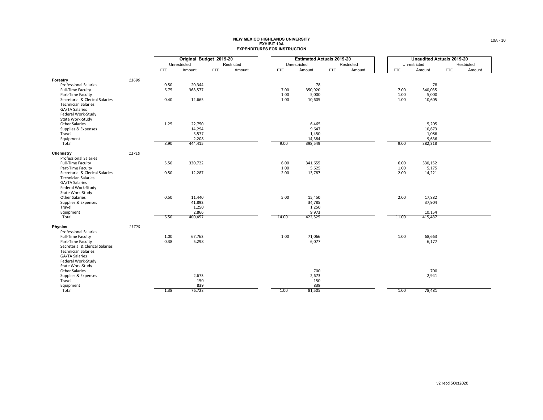|                                                                           |       |            | Original Budget 2019-20 |            |            |              |                 |                |            | <b>Estimated Actuals 2019-20</b> |              |                  |            | <b>Unaudited Actuals 2019-20</b> |
|---------------------------------------------------------------------------|-------|------------|-------------------------|------------|------------|--------------|-----------------|----------------|------------|----------------------------------|--------------|------------------|------------|----------------------------------|
|                                                                           |       |            | Unrestricted            |            | Restricted |              |                 | Unrestricted   |            | Restricted                       |              | Unrestricted     |            | Restricted                       |
|                                                                           |       | <b>FTE</b> | Amount                  | <b>FTE</b> | Amount     |              | <b>FTE</b>      | Amount         | <b>FTE</b> | Amount                           | <b>FTE</b>   | Amount           | <b>FTE</b> | Amount                           |
| Forestry                                                                  |       |            |                         |            |            |              |                 |                |            |                                  |              |                  |            |                                  |
| <b>Professional Salaries</b>                                              | 11690 | 0.50       | 20,344                  |            |            |              |                 | 78             |            |                                  |              | 78               |            |                                  |
| Full-Time Faculty                                                         |       | 6.75       | 368,577                 |            |            |              | 7.00            | 350,920        |            |                                  | 7.00         | 340,035          |            |                                  |
| Part-Time Faculty                                                         |       |            |                         |            |            |              | 1.00            | 5,000          |            |                                  | 1.00         | 5,000            |            |                                  |
| Secretarial & Clerical Salaries                                           |       | 0.40       | 12,665                  |            |            |              | 1.00            | 10,605         |            |                                  | 1.00         | 10,605           |            |                                  |
| <b>Technician Salaries</b><br><b>GA/TA Salaries</b><br>Federal Work-Study |       |            |                         |            |            |              |                 |                |            |                                  |              |                  |            |                                  |
| State Work-Study                                                          |       |            |                         |            |            |              |                 |                |            |                                  |              |                  |            |                                  |
| <b>Other Salaries</b>                                                     |       | 1.25       | 22,750                  |            |            |              |                 | 6,465          |            |                                  |              | 5,205            |            |                                  |
| Supplies & Expenses<br>Travel                                             |       |            | 14,294<br>3,577         |            |            |              |                 | 9,647<br>1,450 |            |                                  |              | 10,673<br>1,086  |            |                                  |
| Equipment                                                                 |       |            | 2,208                   |            |            |              | 14,384          |                |            |                                  |              | 9,636            |            |                                  |
| Total                                                                     |       | 8.90       | 444,415                 |            |            | 9.00         | 398,549         |                |            |                                  | 9.00         | 382,318          |            |                                  |
|                                                                           |       |            |                         |            |            |              |                 |                |            |                                  |              |                  |            |                                  |
| Chemistry                                                                 | 11710 |            |                         |            |            |              |                 |                |            |                                  |              |                  |            |                                  |
| <b>Professional Salaries</b>                                              |       |            |                         |            |            |              |                 |                |            |                                  |              |                  |            |                                  |
| Full-Time Faculty<br>Part-Time Faculty                                    |       | 5.50       | 330,722                 |            |            | 6.00         | 341,655         |                |            |                                  | 6.00         | 330,152<br>5,175 |            |                                  |
| Secretarial & Clerical Salaries                                           |       | 0.50       | 12,287                  |            |            | 1.00<br>2.00 | 5,625<br>13,787 |                |            |                                  | 1.00<br>2.00 | 14,221           |            |                                  |
| <b>Technician Salaries</b>                                                |       |            |                         |            |            |              |                 |                |            |                                  |              |                  |            |                                  |
| GA/TA Salaries                                                            |       |            |                         |            |            |              |                 |                |            |                                  |              |                  |            |                                  |
| Federal Work-Study                                                        |       |            |                         |            |            |              |                 |                |            |                                  |              |                  |            |                                  |
| State Work-Study                                                          |       |            |                         |            |            |              |                 |                |            |                                  |              |                  |            |                                  |
| <b>Other Salaries</b>                                                     |       | 0.50       | 11,440                  |            |            | 5.00         | 15,450          |                |            |                                  | 2.00         | 17,882           |            |                                  |
| Supplies & Expenses                                                       |       |            | 41,892                  |            |            |              | 34,785          |                |            |                                  |              | 37,904           |            |                                  |
| Travel                                                                    |       |            | 1,250                   |            |            |              | 1,250           |                |            |                                  |              |                  |            |                                  |
| Equipment                                                                 |       |            | 2,866                   |            |            |              | 9,973           |                |            |                                  |              | 10,154           |            |                                  |
| Total                                                                     |       | 6.50       | 400,457                 |            |            | 14.00        | 422,525         |                |            |                                  | 11.00        | 415,487          |            |                                  |
| <b>Physics</b>                                                            | 11720 |            |                         |            |            |              |                 |                |            |                                  |              |                  |            |                                  |
| <b>Professional Salaries</b>                                              |       |            |                         |            |            |              |                 |                |            |                                  |              |                  |            |                                  |
| Full-Time Faculty                                                         |       | 1.00       | 67,763                  |            |            | 1.00         | 71,066          |                |            |                                  | 1.00         | 68,663           |            |                                  |
| Part-Time Faculty                                                         |       | 0.38       | 5,298                   |            |            |              | 6,077           |                |            |                                  |              | 6,177            |            |                                  |
| Secretarial & Clerical Salaries                                           |       |            |                         |            |            |              |                 |                |            |                                  |              |                  |            |                                  |
| <b>Technician Salaries</b>                                                |       |            |                         |            |            |              |                 |                |            |                                  |              |                  |            |                                  |
| GA/TA Salaries                                                            |       |            |                         |            |            |              |                 |                |            |                                  |              |                  |            |                                  |
| Federal Work-Study                                                        |       |            |                         |            |            |              |                 |                |            |                                  |              |                  |            |                                  |
| State Work-Study                                                          |       |            |                         |            |            |              |                 |                |            |                                  |              |                  |            |                                  |
| Other Salaries<br>Supplies & Expenses                                     |       |            | 2,673                   |            |            |              | 700<br>2,673    |                |            |                                  |              | 700<br>2,941     |            |                                  |
| Travel                                                                    |       |            | 150                     |            |            |              | 150             |                |            |                                  |              |                  |            |                                  |
| Equipment                                                                 |       |            | 839                     |            |            |              | 839             |                |            |                                  |              |                  |            |                                  |
| Total                                                                     |       | 1.38       | 76,723                  |            |            | 1.00         | 81,505          |                |            |                                  | 1.00         | 78,481           |            |                                  |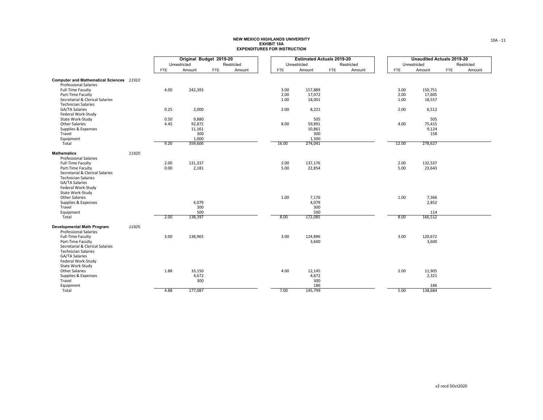| Original Budget 2019-20<br>Unrestricted<br>Restricted<br>Unrestricted<br>Restricted     |            |              | <b>Unaudited Actuals 2019-20</b> |
|-----------------------------------------------------------------------------------------|------------|--------------|----------------------------------|
|                                                                                         |            | Unrestricted | Restricted                       |
| Amount<br>Amount<br>Amount<br><b>FTE</b><br>Amount<br><b>FTE</b><br>FTE<br><b>FTE</b>   | <b>FTE</b> | Amount       | <b>FTE</b><br>Amount             |
|                                                                                         |            |              |                                  |
| Computer and Mathematical Sciences 11910<br><b>Professional Salaries</b>                |            |              |                                  |
| Full-Time Faculty<br>4.00<br>242,393<br>3.00<br>157,889                                 | 3.00       | 150,751      |                                  |
| 2.00<br>17,072<br>Part-Time Faculty                                                     | 2.00       | 17,605       |                                  |
| Secretarial & Clerical Salaries<br>1.00<br>18,001                                       | 1.00       | 18,557       |                                  |
| <b>Technician Salaries</b>                                                              |            |              |                                  |
| GA/TA Salaries<br>0.25<br>2,000<br>2.00<br>8,221                                        | 2.00       | 6,512        |                                  |
| Federal Work-Study                                                                      |            |              |                                  |
| State Work-Study<br>0.50<br>9,880<br>505                                                |            | 505          |                                  |
| Other Salaries<br>92,872<br>8.00<br>59,891<br>4.45                                      | 4.00       | 75,415       |                                  |
| Supplies & Expenses<br>11,161<br>10,861<br>Travel<br>300<br>300                         |            | 9,124<br>158 |                                  |
| 1,000<br>1,300<br>Equipment                                                             |            |              |                                  |
| 9.20<br>16.00<br>274,041<br>Total<br>359,606                                            | 12.00      | 278,627      |                                  |
|                                                                                         |            |              |                                  |
| 11920<br><b>Mathematics</b>                                                             |            |              |                                  |
| <b>Professional Salaries</b>                                                            |            |              |                                  |
| 137,176<br><b>Full-Time Faculty</b><br>2.00<br>131,337<br>2.00                          | 2.00       | 132,537      |                                  |
| 0.00<br>2,181<br>5.00<br>22,854<br>Part-Time Faculty<br>Secretarial & Clerical Salaries | 5.00       | 23,643       |                                  |
| <b>Technician Salaries</b>                                                              |            |              |                                  |
| GA/TA Salaries                                                                          |            |              |                                  |
| Federal Work-Study                                                                      |            |              |                                  |
| State Work-Study                                                                        |            |              |                                  |
| <b>Other Salaries</b><br>1.00<br>7,176                                                  | 1.00       | 7,366        |                                  |
| 4,079<br>4,079<br>Supplies & Expenses                                                   |            | 2,852        |                                  |
| 300<br>Travel<br>300                                                                    |            |              |                                  |
| 500<br>500<br>Equipment                                                                 |            | 114          |                                  |
| 2.00<br>138,397<br>8.00<br>172,085<br>Total                                             | 8.00       | 166,512      |                                  |
| Developmental Math Program<br>11925                                                     |            |              |                                  |
| <b>Professional Salaries</b>                                                            |            |              |                                  |
| 3.00<br>3.00<br>124,896<br>Full-Time Faculty<br>138,965                                 | 3.00       | 120,672      |                                  |
| Part-Time Faculty<br>3,600                                                              |            | 3,600        |                                  |
| Secretarial & Clerical Salaries                                                         |            |              |                                  |
| <b>Technician Salaries</b>                                                              |            |              |                                  |
| GA/TA Salaries                                                                          |            |              |                                  |
| Federal Work-Study<br>State Work-Study                                                  |            |              |                                  |
| Other Salaries<br>1.88<br>33,150<br>4.00<br>12,145                                      | 2.00       | 11,905       |                                  |
| 4,672<br>4,672<br>Supplies & Expenses                                                   |            | 2,321        |                                  |
| Travel<br>300<br>300                                                                    |            |              |                                  |
| 186<br>Equipment                                                                        |            | 186          |                                  |
| 4.88<br>177,087<br>145,799<br>Total<br>7.00                                             | 5.00       | 138,684      |                                  |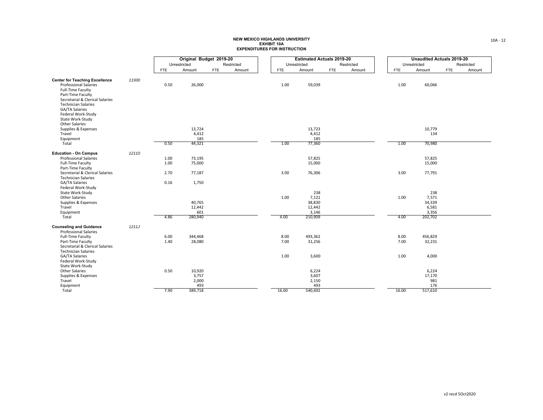| Original Budget 2019-20                                                                                            | <b>Estimated Actuals 2019-20</b> |              |
|--------------------------------------------------------------------------------------------------------------------|----------------------------------|--------------|
| Unrestricted<br>Unrestricted<br>Restricted                                                                         | Restricted                       | Unrestricted |
| Amount<br>Amount<br><b>FTE</b><br>Amount<br>FTE<br><b>FTE</b>                                                      | <b>FTE</b><br>Amount             | FTE          |
|                                                                                                                    |                                  |              |
| <b>Center for Teaching Excellence</b><br>11930<br>26,000<br><b>Professional Salaries</b><br>0.50<br>1.00<br>59,039 |                                  | 1.00         |
| Full-Time Faculty                                                                                                  |                                  |              |
| Part-Time Faculty                                                                                                  |                                  |              |
| Secretarial & Clerical Salaries                                                                                    |                                  |              |
| <b>Technician Salaries</b><br>GA/TA Salaries                                                                       |                                  |              |
| Federal Work-Study                                                                                                 |                                  |              |
| State Work-Study                                                                                                   |                                  |              |
| <b>Other Salaries</b>                                                                                              |                                  |              |
| 13,724<br>13,723<br>Supplies & Expenses                                                                            |                                  |              |
| 4,412<br>Travel<br>4,412<br>185<br>185<br>Equipment                                                                |                                  |              |
| 0.50<br>44,321<br>77,360<br>Total<br>1.00                                                                          |                                  | 1.00         |
|                                                                                                                    |                                  |              |
| 12110<br><b>Education - On Campus</b><br>57,825<br><b>Professional Salaries</b><br>73,195<br>1.00                  |                                  |              |
| 1.00<br>75,000<br>15,000<br>Full-Time Faculty                                                                      |                                  |              |
| Part-Time Faculty                                                                                                  |                                  |              |
| 3.00<br>76,306<br>Secretarial & Clerical Salaries<br>2.70<br>77,187                                                |                                  | 3.00         |
| <b>Technician Salaries</b>                                                                                         |                                  |              |
| GA/TA Salaries<br>0.16<br>1,750<br>Federal Work-Study                                                              |                                  |              |
| State Work-Study<br>238                                                                                            |                                  |              |
| <b>Other Salaries</b><br>1.00<br>7,121                                                                             |                                  | 1.00         |
| Supplies & Expenses<br>40,765<br>38,830                                                                            |                                  |              |
| Travel<br>12,442<br>12,442                                                                                         |                                  |              |
| Equipment<br>601<br>3,146<br>4.86<br>280,940<br>4.00<br>210,909<br>Total                                           |                                  | 4.00         |
|                                                                                                                    |                                  |              |
| <b>Counseling and Guidance</b><br>1211J<br><b>Professional Salaries</b>                                            |                                  |              |
| 493,362<br>Full-Time Faculty<br>6.00<br>344,468<br>8.00                                                            |                                  | 8.00         |
| Part-Time Faculty<br>1.40<br>28,080<br>7.00<br>31,256                                                              |                                  | 7.00         |
| Secretarial & Clerical Salaries                                                                                    |                                  |              |
| <b>Technician Salaries</b>                                                                                         |                                  |              |
| 1.00<br>GA/TA Salaries<br>3,600<br>Federal Work-Study                                                              |                                  | 1.00         |
| State Work-Study                                                                                                   |                                  |              |
| 0.50<br>Other Salaries<br>10,920<br>6,224                                                                          |                                  |              |
| Supplies & Expenses<br>3,757<br>3,607                                                                              |                                  |              |
| 2,000<br>Travel<br>2,150<br>493<br>493                                                                             |                                  |              |
| Equipment<br>7.90<br>389,718<br>16.00<br>540,692<br>Total                                                          |                                  | 16.00        |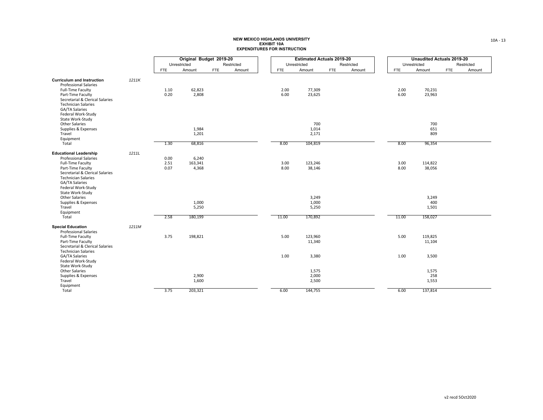| Amount           | Unrestricted<br>Restricted<br><b>FTE</b><br>Amount<br><b>FTE</b><br>Amount<br>2.00<br>77,309<br>6.00<br>23,625 | Unrestricted<br>Amount<br>FTE |
|------------------|----------------------------------------------------------------------------------------------------------------|-------------------------------|
|                  |                                                                                                                |                               |
|                  |                                                                                                                |                               |
|                  |                                                                                                                |                               |
|                  |                                                                                                                | 2.00<br>70,231                |
|                  |                                                                                                                | 6.00<br>23,963                |
|                  |                                                                                                                |                               |
|                  | 700                                                                                                            | 700                           |
|                  | 1,014                                                                                                          | 651                           |
|                  | 2,171                                                                                                          | 809                           |
|                  | 8.00<br>104,819                                                                                                | 8.00<br>96,354                |
|                  |                                                                                                                |                               |
|                  | 3.00<br>123,246                                                                                                | 3.00<br>114,822               |
|                  | 8.00<br>38,146                                                                                                 | 8.00<br>38,056                |
|                  |                                                                                                                |                               |
|                  | 3,249                                                                                                          | 3,249                         |
|                  | 1,000<br>5,250                                                                                                 | 400<br>1,501                  |
|                  |                                                                                                                |                               |
| 11.00<br>170,892 |                                                                                                                | 11.00<br>158,027              |
|                  |                                                                                                                |                               |
| 5.00<br>123,960  |                                                                                                                | 5.00<br>119,825               |
| 11,340           |                                                                                                                | 11,104                        |
|                  |                                                                                                                |                               |
|                  |                                                                                                                |                               |
| 1.00<br>3,380    |                                                                                                                | 1.00<br>3,500                 |
|                  |                                                                                                                |                               |
| 1,575            |                                                                                                                | 1,575                         |
| 2,000            |                                                                                                                | 258                           |
| 2,500            |                                                                                                                | 1,553                         |
| 6.00<br>144,755  |                                                                                                                | 6.00<br>137,814               |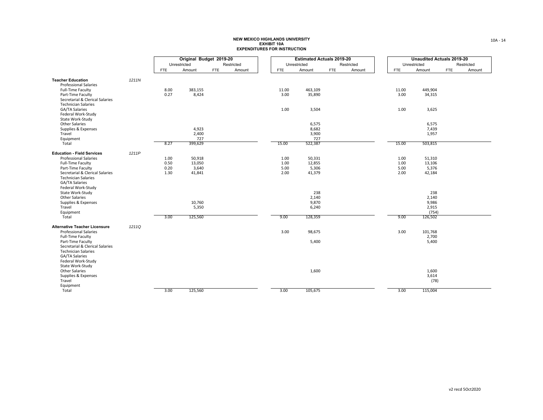|                                                                                                                                                                              |       |                              | Original Budget 2019-20             |            |            | <b>Estimated Actuals 2019-20</b> |                                           |            |            | <b>Unaudited Actuals 2019-20</b> |                                                    |     |            |
|------------------------------------------------------------------------------------------------------------------------------------------------------------------------------|-------|------------------------------|-------------------------------------|------------|------------|----------------------------------|-------------------------------------------|------------|------------|----------------------------------|----------------------------------------------------|-----|------------|
|                                                                                                                                                                              |       |                              | Unrestricted                        |            | Restricted |                                  | Unrestricted                              |            | Restricted |                                  | Unrestricted                                       |     | Restricted |
|                                                                                                                                                                              |       | <b>FTE</b>                   | Amount                              | <b>FTE</b> | Amount     | <b>FTE</b>                       | Amount                                    | <b>FTE</b> | Amount     | <b>FTE</b>                       | Amount                                             | FTE | Amount     |
| <b>Teacher Education</b><br><b>Professional Salaries</b><br>Full-Time Faculty<br>Part-Time Faculty<br>Secretarial & Clerical Salaries                                        | 1211N | 8.00<br>0.27                 | 383,155<br>8,424                    |            |            | 11.00<br>3.00                    | 463,109<br>35,890                         |            |            | 11.00<br>3.00                    | 449,904<br>34,315                                  |     |            |
| <b>Technician Salaries</b><br>GA/TA Salaries<br>Federal Work-Study<br>State Work-Study                                                                                       |       |                              |                                     |            |            | 1.00                             | 3,504                                     |            |            | 1.00                             | 3,625                                              |     |            |
| Other Salaries<br>Supplies & Expenses<br>Travel                                                                                                                              |       |                              | 4,923<br>2,400                      |            |            |                                  | 6,575<br>8,682<br>3,900                   |            |            |                                  | 6,575<br>7,439<br>1,957                            |     |            |
| Equipment<br>Total                                                                                                                                                           |       | 8.27                         | 727<br>399,629                      |            |            | 15.00                            | 727<br>522,387                            |            |            | 15.00                            | 503,815                                            |     |            |
|                                                                                                                                                                              |       |                              |                                     |            |            |                                  |                                           |            |            |                                  |                                                    |     |            |
| <b>Education - Field Services</b><br><b>Professional Salaries</b><br>Full-Time Faculty<br>Part-Time Faculty<br>Secretarial & Clerical Salaries<br><b>Technician Salaries</b> | 1211P | 1.00<br>0.50<br>0.20<br>1.30 | 50,918<br>13,050<br>3,640<br>41,841 |            |            | 1.00<br>1.00<br>5.00<br>2.00     | 50,331<br>12,855<br>5,306<br>41,379       |            |            | 1.00<br>1.00<br>5.00<br>2.00     | 51,310<br>13,106<br>5,376<br>42,184                |     |            |
| GA/TA Salaries<br>Federal Work-Study<br>State Work-Study<br>Other Salaries<br>Supplies & Expenses<br>Travel<br>Equipment<br>Total                                            |       | 3.00                         | 10,760<br>5,350<br>125,560          |            |            | 9.00                             | 238<br>2,140<br>9,870<br>6,240<br>128,359 |            |            | 9.00                             | 238<br>2,140<br>9,986<br>2,915<br>(754)<br>126,502 |     |            |
| <b>Alternative Teacher Licensure</b><br><b>Professional Salaries</b><br>Full-Time Faculty<br>Part-Time Faculty<br>Secretarial & Clerical Salaries                            | 1211Q |                              |                                     |            |            | 3.00                             | 98,675<br>5,400                           |            |            | 3.00                             | 101,768<br>2,700<br>5,400                          |     |            |
| <b>Technician Salaries</b><br><b>GA/TA Salaries</b><br>Federal Work-Study<br>State Work-Study<br>Other Salaries<br>Supplies & Expenses<br>Travel<br>Equipment                |       |                              |                                     |            |            |                                  | 1,600                                     |            |            |                                  | 1,600<br>3,614<br>(78)                             |     |            |
| Total                                                                                                                                                                        |       | 3.00                         | 125,560                             |            |            | 3.00                             | 105,675                                   |            |            | 3.00                             | 115,004                                            |     |            |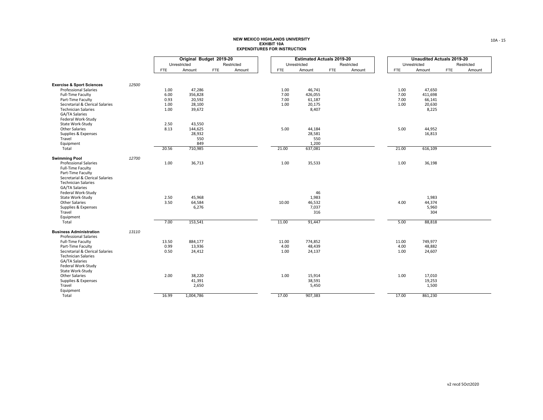|                                      |       |            | Original Budget 2019-20 |            |            |            |              | <b>Estimated Actuals 2019-20</b> |        |       | <b>Unaudited Actuals 2019-20</b> |            |
|--------------------------------------|-------|------------|-------------------------|------------|------------|------------|--------------|----------------------------------|--------|-------|----------------------------------|------------|
|                                      |       |            | Unrestricted            |            | Restricted |            | Unrestricted | Restricted                       |        |       | Unrestricted                     | Restricted |
|                                      |       | <b>FTE</b> | Amount                  | <b>FTE</b> | Amount     | <b>FTE</b> | Amount       | FTE                              | Amount | FTE   | Amount                           | <b>FTE</b> |
|                                      |       |            |                         |            |            |            |              |                                  |        |       |                                  |            |
| <b>Exercise &amp; Sport Sciences</b> | 12500 |            |                         |            |            |            |              |                                  |        |       |                                  |            |
| <b>Professional Salaries</b>         |       | 1.00       | 47,286                  |            |            | 1.00       | 46,741       |                                  |        | 1.00  | 47,650                           |            |
| Full-Time Faculty                    |       | 6.00       | 356,828                 |            |            | 7.00       | 426,055      |                                  |        | 7.00  | 411,698                          |            |
| Part-Time Faculty                    |       | 0.93       | 20,592                  |            |            | 7.00       | 61,187       |                                  |        | 7.00  | 66,141                           |            |
| Secretarial & Clerical Salaries      |       | 1.00       | 28,100                  |            |            | 1.00       | 20,175       |                                  |        | 1.00  | 20,630                           |            |
| <b>Technician Salaries</b>           |       | 1.00       | 39,672                  |            |            |            | 8,407        |                                  |        |       | 8,225                            |            |
| GA/TA Salaries                       |       |            |                         |            |            |            |              |                                  |        |       |                                  |            |
|                                      |       |            |                         |            |            |            |              |                                  |        |       |                                  |            |
| Federal Work-Study                   |       |            |                         |            |            |            |              |                                  |        |       |                                  |            |
| State Work-Study                     |       | 2.50       | 43,550                  |            |            |            |              |                                  |        |       |                                  |            |
| <b>Other Salaries</b>                |       | 8.13       | 144,625                 |            |            | 5.00       | 44,184       |                                  |        | 5.00  | 44,952                           |            |
| Supplies & Expenses                  |       |            | 28,932                  |            |            |            | 28,581       |                                  |        |       | 16,813                           |            |
| Travel                               |       |            | 550                     |            |            |            | 550          |                                  |        |       |                                  |            |
| Equipment                            |       |            | 849                     |            |            |            | 1,200        |                                  |        |       |                                  |            |
| Total                                |       | 20.56      | 710,985                 |            |            | 21.00      | 637,081      |                                  |        | 21.00 | 616,109                          |            |
| <b>Swimming Pool</b>                 | 12700 |            |                         |            |            |            |              |                                  |        |       |                                  |            |
| <b>Professional Salaries</b>         |       | 1.00       | 36,713                  |            |            | 1.00       | 35,533       |                                  |        | 1.00  | 36,198                           |            |
| Full-Time Faculty                    |       |            |                         |            |            |            |              |                                  |        |       |                                  |            |
| Part-Time Faculty                    |       |            |                         |            |            |            |              |                                  |        |       |                                  |            |
| Secretarial & Clerical Salaries      |       |            |                         |            |            |            |              |                                  |        |       |                                  |            |
| <b>Technician Salaries</b>           |       |            |                         |            |            |            |              |                                  |        |       |                                  |            |
| GA/TA Salaries                       |       |            |                         |            |            |            |              |                                  |        |       |                                  |            |
| Federal Work-Study                   |       |            |                         |            |            |            | 46           |                                  |        |       |                                  |            |
| State Work-Study                     |       | 2.50       | 45,968                  |            |            |            | 1,983        |                                  |        |       | 1,983                            |            |
| <b>Other Salaries</b>                |       | 3.50       | 64,584                  |            |            | 10.00      | 46,532       |                                  |        | 4.00  | 44,374                           |            |
| Supplies & Expenses                  |       |            | 6,276                   |            |            |            | 7,037        |                                  |        |       | 5,960                            |            |
| Travel                               |       |            |                         |            |            |            | 316          |                                  |        |       | 304                              |            |
| Equipment                            |       |            |                         |            |            |            |              |                                  |        |       |                                  |            |
| Total                                |       | 7.00       | 153,541                 |            |            | 11.00      | 91,447       |                                  |        | 5.00  | 88,818                           |            |
| <b>Business Administration</b>       | 13110 |            |                         |            |            |            |              |                                  |        |       |                                  |            |
| <b>Professional Salaries</b>         |       |            |                         |            |            |            |              |                                  |        |       |                                  |            |
| <b>Full-Time Faculty</b>             |       | 13.50      | 884,177                 |            |            | 11.00      | 774,852      |                                  |        | 11.00 | 749,977                          |            |
| Part-Time Faculty                    |       | 0.99       | 13,936                  |            |            | 4.00       | 48,439       |                                  |        | 4.00  | 48,882                           |            |
| Secretarial & Clerical Salaries      |       | 0.50       | 24,412                  |            |            | 1.00       | 24,137       |                                  |        | 1.00  | 24,607                           |            |
| <b>Technician Salaries</b>           |       |            |                         |            |            |            |              |                                  |        |       |                                  |            |
| GA/TA Salaries                       |       |            |                         |            |            |            |              |                                  |        |       |                                  |            |
| Federal Work-Study                   |       |            |                         |            |            |            |              |                                  |        |       |                                  |            |
| State Work-Study                     |       |            |                         |            |            |            |              |                                  |        |       |                                  |            |
| Other Salaries                       |       | 2.00       | 38,220                  |            |            | 1.00       | 15,914       |                                  |        | 1.00  | 17,010                           |            |
| Supplies & Expenses                  |       |            | 41,391                  |            |            |            | 38,591       |                                  |        |       | 19,253                           |            |
| Travel                               |       |            | 2,650                   |            |            |            | 5,450        |                                  |        |       | 1,500                            |            |
| Equipment                            |       |            |                         |            |            |            |              |                                  |        |       |                                  |            |
| Total                                |       | 16.99      | 1,004,786               |            |            | 17.00      | 907,383      |                                  |        | 17.00 | 861,230                          |            |
|                                      |       |            |                         |            |            |            |              |                                  |        |       |                                  |            |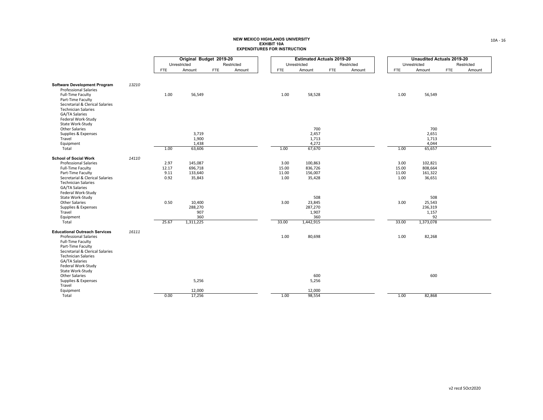|                                                               |       |              | Original Budget 2019-20 |     |            |               | <b>Estimated Actuals 2019-20</b> |            |            |               | <b>Unaudited Actuals 2019-20</b> |     |            |
|---------------------------------------------------------------|-------|--------------|-------------------------|-----|------------|---------------|----------------------------------|------------|------------|---------------|----------------------------------|-----|------------|
|                                                               |       |              | Unrestricted            |     | Restricted |               | Unrestricted                     |            | Restricted |               | Unrestricted                     |     | Restricted |
|                                                               |       | <b>FTE</b>   | Amount                  | FTE | Amount     | <b>FTE</b>    | Amount                           | <b>FTE</b> | Amount     | <b>FTE</b>    | Amount                           | FTE | Amount     |
|                                                               |       |              |                         |     |            |               |                                  |            |            |               |                                  |     |            |
| <b>Software Development Program</b>                           | 13210 |              |                         |     |            |               |                                  |            |            |               |                                  |     |            |
| <b>Professional Salaries</b><br>Full-Time Faculty             |       | 1.00         | 56,549                  |     |            | 1.00          | 58,528                           |            |            | 1.00          | 56,549                           |     |            |
| Part-Time Faculty                                             |       |              |                         |     |            |               |                                  |            |            |               |                                  |     |            |
| Secretarial & Clerical Salaries<br><b>Technician Salaries</b> |       |              |                         |     |            |               |                                  |            |            |               |                                  |     |            |
| GA/TA Salaries                                                |       |              |                         |     |            |               |                                  |            |            |               |                                  |     |            |
| Federal Work-Study<br>State Work-Study                        |       |              |                         |     |            |               |                                  |            |            |               |                                  |     |            |
| <b>Other Salaries</b>                                         |       |              |                         |     |            |               | 700                              |            |            |               | 700                              |     |            |
| Supplies & Expenses                                           |       |              | 3,719                   |     |            |               | 2,457                            |            |            |               | 2,651                            |     |            |
| Travel<br>Equipment                                           |       |              | 1,900<br>1,438          |     |            |               | 1,713<br>4,272                   |            |            |               | 1,713<br>4,044                   |     |            |
| Total                                                         |       | 1.00         | 63,606                  |     |            | 1.00          | 67,670                           |            |            | 1.00          | 65,657                           |     |            |
| <b>School of Social Work</b>                                  | 14110 |              |                         |     |            |               |                                  |            |            |               |                                  |     |            |
| <b>Professional Salaries</b>                                  |       | 2.97         | 145,087                 |     |            | 3.00          | 100,863                          |            |            | 3.00          | 102,821                          |     |            |
| Full-Time Faculty                                             |       | 12.17        | 696,718                 |     |            | 15.00         | 836,726                          |            |            | 15.00         | 808,664                          |     |            |
| Part-Time Faculty<br>Secretarial & Clerical Salaries          |       | 9.11<br>0.92 | 133,640<br>35,843       |     |            | 11.00<br>1.00 | 156,007<br>35,428                |            |            | 11.00<br>1.00 | 161,322<br>36,651                |     |            |
| <b>Technician Salaries</b>                                    |       |              |                         |     |            |               |                                  |            |            |               |                                  |     |            |
| GA/TA Salaries                                                |       |              |                         |     |            |               |                                  |            |            |               |                                  |     |            |
| Federal Work-Study<br>State Work-Study                        |       |              |                         |     |            |               | 508                              |            |            |               | 508                              |     |            |
| <b>Other Salaries</b>                                         |       | 0.50         | 10,400                  |     |            | 3.00          | 23,845                           |            |            | 3.00          | 25,543                           |     |            |
| Supplies & Expenses                                           |       |              | 288,270                 |     |            |               | 287,270                          |            |            |               | 236,319                          |     |            |
| Travel<br>Equipment                                           |       |              | 907<br>360              |     |            |               | 1,907<br>360                     |            |            |               | 1,157<br>92                      |     |            |
| Total                                                         |       | 25.67        | 1,311,225               |     |            | 33.00         | 1,442,915                        |            |            | 33.00         | 1,373,078                        |     |            |
| <b>Educational Outreach Services</b>                          | 16111 |              |                         |     |            |               |                                  |            |            |               |                                  |     |            |
| <b>Professional Salaries</b>                                  |       |              |                         |     |            | 1.00          | 80,698                           |            |            | 1.00          | 82,268                           |     |            |
| Full-Time Faculty                                             |       |              |                         |     |            |               |                                  |            |            |               |                                  |     |            |
| Part-Time Faculty<br>Secretarial & Clerical Salaries          |       |              |                         |     |            |               |                                  |            |            |               |                                  |     |            |
| <b>Technician Salaries</b>                                    |       |              |                         |     |            |               |                                  |            |            |               |                                  |     |            |
| GA/TA Salaries<br>Federal Work-Study                          |       |              |                         |     |            |               |                                  |            |            |               |                                  |     |            |
| State Work-Study                                              |       |              |                         |     |            |               |                                  |            |            |               |                                  |     |            |
| Other Salaries                                                |       |              |                         |     |            |               | 600                              |            |            |               | 600                              |     |            |
| Supplies & Expenses<br>Travel                                 |       |              | 5,256                   |     |            |               | 5,256                            |            |            |               |                                  |     |            |
| Equipment                                                     |       |              | 12,000                  |     |            |               | 12,000                           |            |            |               |                                  |     |            |
| Total                                                         |       | 0.00         | 17,256                  |     |            | 1.00          | 98,554                           |            |            | 1.00          | 82,868                           |     |            |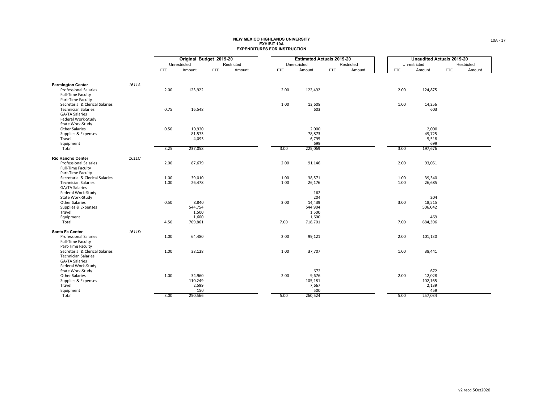|                                                                                    |       |            | Original Budget 2019-20 |            |            |            | <b>Estimated Actuals 2019-20</b> |            |            |            | Unaudited Actuals 2019-20 |  |
|------------------------------------------------------------------------------------|-------|------------|-------------------------|------------|------------|------------|----------------------------------|------------|------------|------------|---------------------------|--|
|                                                                                    |       |            | Unrestricted            |            | Restricted |            | Unrestricted                     |            | Restricted |            | Unrestricted              |  |
|                                                                                    |       | <b>FTE</b> | Amount                  | <b>FTE</b> | Amount     | <b>FTE</b> | Amount                           | <b>FTE</b> | Amount     | <b>FTE</b> | Amount                    |  |
|                                                                                    |       |            |                         |            |            |            |                                  |            |            |            |                           |  |
| <b>Farmington Center</b>                                                           | 1611A |            |                         |            |            |            |                                  |            |            |            |                           |  |
| <b>Professional Salaries</b><br>Full-Time Faculty<br>Part-Time Faculty             |       | 2.00       | 123,922                 |            |            | 2.00       | 122,492                          |            |            | 2.00       | 124,875                   |  |
| Secretarial & Clerical Salaries                                                    |       |            |                         |            |            | 1.00       | 13,608                           |            |            | 1.00       | 14,256                    |  |
| <b>Technician Salaries</b><br>GA/TA Salaries<br>Federal Work-Study                 |       | 0.75       | 16,548                  |            |            |            | 603                              |            |            |            | 603                       |  |
| State Work-Study<br>Other Salaries                                                 |       | 0.50       | 10,920                  |            |            |            | 2,000                            |            |            |            | 2,000                     |  |
| Supplies & Expenses                                                                |       |            | 81,573                  |            |            |            | 78,873                           |            |            |            | 49,725                    |  |
| Travel                                                                             |       |            | 4,095                   |            |            |            | 6,795                            |            |            |            | 5,518                     |  |
| Equipment<br>Total                                                                 |       | 3.25       | 237,058                 |            |            | 3.00       | 699<br>225,069                   |            |            | 3.00       | 699<br>197,676            |  |
|                                                                                    |       |            |                         |            |            |            |                                  |            |            |            |                           |  |
| <b>Rio Rancho Center</b>                                                           | 1611C |            |                         |            |            |            |                                  |            |            |            |                           |  |
| <b>Professional Salaries</b><br>Full-Time Faculty<br>Part-Time Faculty             |       | 2.00       | 87,679                  |            |            | 2.00       | 91,146                           |            |            | 2.00       | 93,051                    |  |
| Secretarial & Clerical Salaries                                                    |       | 1.00       | 39,010                  |            |            | 1.00       | 38,571                           |            |            | 1.00       | 39,340                    |  |
| <b>Technician Salaries</b><br>GA/TA Salaries<br>Federal Work-Study                 |       | 1.00       | 26,478                  |            |            | 1.00       | 26,176<br>162                    |            |            | 1.00       | 26,685                    |  |
| State Work-Study                                                                   |       |            |                         |            |            |            | 204                              |            |            |            | 204                       |  |
| <b>Other Salaries</b>                                                              |       | 0.50       | 8,840                   |            |            | 3.00       | 14,439                           |            |            | 3.00       | 18,515                    |  |
| Supplies & Expenses                                                                |       |            | 544,754                 |            |            |            | 544,904                          |            |            |            | 506,042                   |  |
| Travel                                                                             |       |            | 1,500                   |            |            |            | 1,500                            |            |            |            |                           |  |
| Equipment<br>Total                                                                 |       | 4.50       | 1,600<br>709,861        |            |            | 7.00       | 1,600<br>718,701                 |            |            | 7.00       | 469<br>684,306            |  |
|                                                                                    |       |            |                         |            |            |            |                                  |            |            |            |                           |  |
| Santa Fe Center<br><b>Professional Salaries</b><br>Full-Time Faculty               | 1611D | 1.00       | 64,480                  |            |            | 2.00       | 99,121                           |            |            | 2.00       | 101,130                   |  |
| Part-Time Faculty<br>Secretarial & Clerical Salaries<br><b>Technician Salaries</b> |       | 1.00       | 38,128                  |            |            | 1.00       | 37,707                           |            |            | 1.00       | 38,441                    |  |
| GA/TA Salaries<br>Federal Work-Study                                               |       |            |                         |            |            |            |                                  |            |            |            |                           |  |
| State Work-Study                                                                   |       |            |                         |            |            |            | 672                              |            |            |            | 672                       |  |
| Other Salaries                                                                     |       | 1.00       | 34,960                  |            |            | 2.00       | 9,676                            |            |            | 2.00       | 12,028                    |  |
| Supplies & Expenses<br>Travel                                                      |       |            | 110,249<br>2,599        |            |            |            | 105,181<br>7,667                 |            |            |            | 102,165<br>2,139          |  |
| Equipment                                                                          |       |            | 150                     |            |            |            | 500                              |            |            |            | 459                       |  |
| Total                                                                              |       | 3.00       | 250,566                 |            |            | 5.00       | 260,524                          |            |            | 5.00       | 257,034                   |  |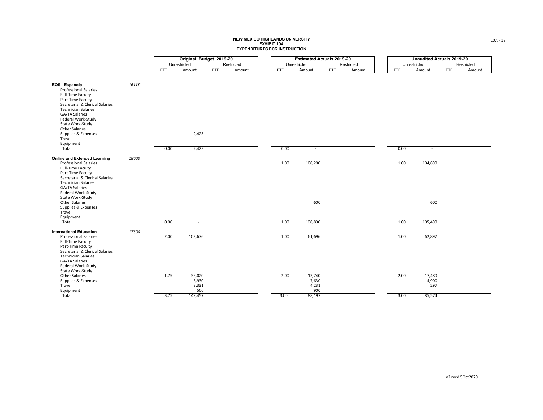|                                                                                                                                                                                              |       |              | Original Budget 2019-20 |            |            |  |              |              | <b>Estimated Actuals 2019-20</b> |        |              | <b>Unaudited Actuals 2019-20</b> |            |            |
|----------------------------------------------------------------------------------------------------------------------------------------------------------------------------------------------|-------|--------------|-------------------------|------------|------------|--|--------------|--------------|----------------------------------|--------|--------------|----------------------------------|------------|------------|
|                                                                                                                                                                                              |       | Unrestricted |                         |            | Restricted |  | Unrestricted |              | Restricted                       |        | Unrestricted |                                  |            | Restricted |
|                                                                                                                                                                                              |       | <b>FTE</b>   | Amount                  | <b>FTE</b> | Amount     |  | <b>FTE</b>   | Amount       | <b>FTE</b>                       | Amount | <b>FTE</b>   | Amount                           | <b>FTE</b> | Amount     |
| EOS - Espanola<br><b>Professional Salaries</b>                                                                                                                                               | 1611F |              |                         |            |            |  |              |              |                                  |        |              |                                  |            |            |
| Full-Time Faculty<br>Part-Time Faculty<br>Secretarial & Clerical Salaries<br><b>Technician Salaries</b><br>GA/TA Salaries<br>Federal Work-Study<br>State Work-Study<br><b>Other Salaries</b> |       |              |                         |            |            |  |              |              |                                  |        |              |                                  |            |            |
| Supplies & Expenses                                                                                                                                                                          |       |              | 2,423                   |            |            |  |              |              |                                  |        |              |                                  |            |            |
| Travel                                                                                                                                                                                       |       |              |                         |            |            |  |              |              |                                  |        |              |                                  |            |            |
| Equipment<br>Total                                                                                                                                                                           |       | 0.00         | 2,423                   |            |            |  | 0.00         | $\sim$       |                                  |        | 0.00         | $\sim$                           |            |            |
|                                                                                                                                                                                              |       |              |                         |            |            |  |              |              |                                  |        |              |                                  |            |            |
| <b>Online and Extended Learning</b><br><b>Professional Salaries</b><br>Full-Time Faculty                                                                                                     | 18000 |              |                         |            |            |  | 1.00         | 108,200      |                                  |        | 1.00         | 104,800                          |            |            |
| Part-Time Faculty<br>Secretarial & Clerical Salaries<br><b>Technician Salaries</b><br>GA/TA Salaries<br>Federal Work-Study<br>State Work-Study                                               |       |              |                         |            |            |  |              |              |                                  |        |              |                                  |            |            |
| <b>Other Salaries</b><br>Supplies & Expenses<br>Travel<br>Equipment                                                                                                                          |       |              |                         |            |            |  |              | 600          |                                  |        |              | 600                              |            |            |
| Total                                                                                                                                                                                        |       | 0.00         | $\sim$                  |            |            |  | 1.00         | 108,800      |                                  |        | 1.00         | 105,400                          |            |            |
|                                                                                                                                                                                              |       |              |                         |            |            |  |              |              |                                  |        |              |                                  |            |            |
| <b>International Education</b><br><b>Professional Salaries</b><br>Full-Time Faculty<br>Part-Time Faculty                                                                                     | 17600 | 2.00         | 103,676                 |            |            |  | 1.00         | 61,696       |                                  |        | 1.00         | 62,897                           |            |            |
| Secretarial & Clerical Salaries<br><b>Technician Salaries</b><br>GA/TA Salaries<br>Federal Work-Study<br>State Work-Study                                                                    |       |              |                         |            |            |  |              |              |                                  |        |              |                                  |            |            |
| <b>Other Salaries</b>                                                                                                                                                                        |       | 1.75         | 33,020                  |            |            |  | 2.00         | 13,740       |                                  |        | 2.00         | 17,480                           |            |            |
| Supplies & Expenses                                                                                                                                                                          |       |              | 8,930                   |            |            |  |              | 7,630        |                                  |        |              | 4,900                            |            |            |
| Travel<br>Equipment                                                                                                                                                                          |       |              | 3,331<br>500            |            |            |  |              | 4,231<br>900 |                                  |        |              | 297                              |            |            |
| Total                                                                                                                                                                                        |       | 3.75         | 149,457                 |            |            |  | 3.00         | 88,197       |                                  |        | 3.00         | 85,574                           |            |            |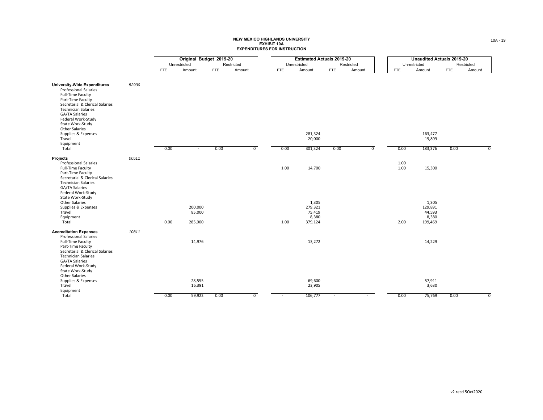|                                                                                                                                                                                                                                                                                                            |       |            | Original Budget 2019-20      |            |                |              | <b>Estimated Actuals 2019-20</b>                         |            |                |                      | <b>Unaudited Actuals 2019-20</b>                         |               |                |
|------------------------------------------------------------------------------------------------------------------------------------------------------------------------------------------------------------------------------------------------------------------------------------------------------------|-------|------------|------------------------------|------------|----------------|--------------|----------------------------------------------------------|------------|----------------|----------------------|----------------------------------------------------------|---------------|----------------|
|                                                                                                                                                                                                                                                                                                            |       |            | Unrestricted                 | Restricted |                | Unrestricted |                                                          | Restricted |                |                      | Unrestricted                                             | Restricted    |                |
|                                                                                                                                                                                                                                                                                                            |       | <b>FTE</b> | Amount                       | <b>FTE</b> | Amount         | <b>FTE</b>   | Amount                                                   | <b>FTE</b> | Amount         | <b>FTE</b>           | Amount                                                   | FTE<br>Amount |                |
| <b>University-Wide Expenditures</b><br><b>Professional Salaries</b><br>Full-Time Faculty<br>Part-Time Faculty<br>Secretarial & Clerical Salaries<br><b>Technician Salaries</b><br>GA/TA Salaries<br>Federal Work-Study<br>State Work-Study<br>Other Salaries<br>Supplies & Expenses<br>Travel<br>Equipment | 52930 |            |                              |            |                |              | 281,324<br>20,000                                        |            |                |                      | 163,477<br>19,899                                        |               |                |
| Total                                                                                                                                                                                                                                                                                                      |       | 0.00       | $\sim$                       | 0.00       | $\overline{0}$ | 0.00         | 301,324                                                  | 0.00       | $\overline{0}$ | 0.00                 | 183,376                                                  | 0.00          | $\overline{0}$ |
| <b>Projects</b><br><b>Professional Salaries</b><br>Full-Time Faculty<br>Part-Time Faculty<br>Secretarial & Clerical Salaries<br><b>Technician Salaries</b><br>GA/TA Salaries<br>Federal Work-Study<br>State Work-Study<br>Other Salaries<br>Supplies & Expenses<br>Travel<br>Equipment<br>Total            | 00511 | 0.00       | 200,000<br>85,000<br>285,000 |            |                | 1.00<br>1.00 | 14,700<br>1,305<br>279,321<br>75,419<br>8,380<br>379,124 |            |                | 1.00<br>1.00<br>2.00 | 15,300<br>1,305<br>129,891<br>44,593<br>8,380<br>199,469 |               |                |
| <b>Accreditation Expenses</b><br><b>Professional Salaries</b><br>Full-Time Faculty<br>Part-Time Faculty<br>Secretarial & Clerical Salaries<br><b>Technician Salaries</b><br>GA/TA Salaries<br>Federal Work-Study<br>State Work-Study<br>Other Salaries<br>Supplies & Expenses<br>Travel<br>Equipment       | 10811 |            | 14,976<br>28,555<br>16,391   |            |                |              | 13,272<br>69,600<br>23,905                               |            |                |                      | 14,229<br>57,911<br>3,630                                |               |                |
| Total                                                                                                                                                                                                                                                                                                      |       | 0.00       | 59,922                       | 0.00       | $\overline{0}$ |              | 106,777                                                  |            |                | 0.00                 | 75,769                                                   | 0.00          | $\overline{0}$ |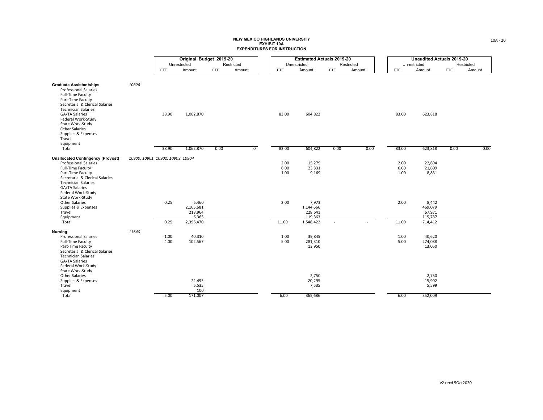|                                                                                                                                                                                                                                       |       |                                   | Original Budget 2019-20                             |            |                |                      | <b>Estimated Actuals 2019-20</b>                      |                          |            |                      | <b>Unaudited Actuals 2019-20</b>                 |            |            |
|---------------------------------------------------------------------------------------------------------------------------------------------------------------------------------------------------------------------------------------|-------|-----------------------------------|-----------------------------------------------------|------------|----------------|----------------------|-------------------------------------------------------|--------------------------|------------|----------------------|--------------------------------------------------|------------|------------|
|                                                                                                                                                                                                                                       |       |                                   | Unrestricted                                        |            | Restricted     |                      | Unrestricted                                          |                          | Restricted |                      | Unrestricted                                     |            | Restricted |
|                                                                                                                                                                                                                                       |       | FTE                               | Amount                                              | <b>FTE</b> | Amount         | <b>FTE</b>           | Amount                                                | <b>FTE</b>               | Amount     | <b>FTE</b>           | Amount                                           | <b>FTE</b> | Amount     |
| <b>Graduate Assistantships</b><br><b>Professional Salaries</b><br>Full-Time Faculty<br>Part-Time Faculty<br>Secretarial & Clerical Salaries<br><b>Technician Salaries</b><br>GA/TA Salaries<br>Federal Work-Study<br>State Work-Study | 10826 | 38.90                             | 1,062,870                                           |            |                | 83.00                | 604,822                                               |                          |            | 83.00                | 623,818                                          |            |            |
| Other Salaries<br>Supplies & Expenses<br>Travel<br>Equipment<br>Total                                                                                                                                                                 |       | 38.90                             | 1,062,870                                           | 0.00       | $\overline{0}$ | 83.00                | 604,822                                               | 0.00                     | 0.00       | 83.00                | 623,818                                          | 0.00       | 0.00       |
| <b>Unallocated Contingency (Provost)</b><br><b>Professional Salaries</b><br>Full-Time Faculty<br>Part-Time Faculty<br>Secretarial & Clerical Salaries<br><b>Technician Salaries</b><br>GA/TA Salaries<br>Federal Work-Study           |       | 10900, 10901, 10902, 10903, 10904 |                                                     |            |                | 2.00<br>6.00<br>1.00 | 15,279<br>23,331<br>9,169                             |                          |            | 2.00<br>6.00<br>1.00 | 22,694<br>21,609<br>8,831                        |            |            |
| State Work-Study<br>Other Salaries<br>Supplies & Expenses<br>Travel<br>Equipment<br>Total                                                                                                                                             |       | 0.25<br>0.25                      | 5,460<br>2,165,681<br>218,964<br>6,365<br>2,396,470 |            |                | 2.00<br>11.00        | 7,973<br>1,144,666<br>228,641<br>119,363<br>1,548,422 | $\overline{\phantom{a}}$ |            | 2.00<br>11.00        | 8,442<br>469,079<br>67,971<br>115,787<br>714,412 |            |            |
| <b>Nursing</b><br><b>Professional Salaries</b><br><b>Full-Time Faculty</b><br>Part-Time Faculty<br>Secretarial & Clerical Salaries<br><b>Technician Salaries</b><br>GA/TA Salaries<br>Federal Work-Study<br>State Work-Study          | 11640 | 1.00<br>4.00                      | 40,310<br>102,567                                   |            |                | 1.00<br>5.00         | 39,845<br>281,310<br>13,950                           |                          |            | 1.00<br>5.00         | 40,620<br>274,088<br>13,050                      |            |            |
| Other Salaries<br>Supplies & Expenses<br>Travel<br>Equipment<br>Total                                                                                                                                                                 |       | 5.00                              | 22,495<br>5,535<br>100<br>171,007                   |            |                | 6.00                 | 2,750<br>20,295<br>7,535<br>365,686                   |                          |            | 6.00                 | 2,750<br>15,902<br>5,599<br>352,009              |            |            |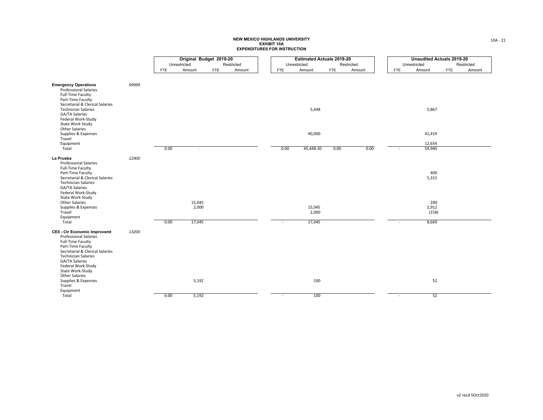|                                                                                                                                                                                                     |       |              | Original Budget 2019-20 |                      |              | <b>Estimated Actuals 2019-20</b> |            |        |            | <b>Unaudited Actuals 2019-20</b> |     |            |
|-----------------------------------------------------------------------------------------------------------------------------------------------------------------------------------------------------|-------|--------------|-------------------------|----------------------|--------------|----------------------------------|------------|--------|------------|----------------------------------|-----|------------|
|                                                                                                                                                                                                     |       | Unrestricted |                         | Restricted           | Unrestricted |                                  | Restricted |        |            | Unrestricted                     |     | Restricted |
|                                                                                                                                                                                                     |       | <b>FTE</b>   | Amount                  | Amount<br><b>FTE</b> | <b>FTE</b>   | Amount                           | FTE        | Amount | <b>FTE</b> | Amount                           | FTE | Amount     |
| <b>Emergency Operations</b><br><b>Professional Salaries</b><br>Full-Time Faculty<br>Part-Time Faculty                                                                                               | 99999 |              |                         |                      |              |                                  |            |        |            |                                  |     |            |
| Secretarial & Clerical Salaries<br><b>Technician Salaries</b><br>GA/TA Salaries<br>Federal Work-Study<br>State Work-Study<br><b>Other Salaries</b>                                                  |       |              |                         |                      |              | 5,448                            |            |        |            | 5,867                            |     |            |
| Supplies & Expenses<br>Travel                                                                                                                                                                       |       |              |                         |                      |              | 40,000                           |            |        |            | 41,419                           |     |            |
| Equipment<br>Total                                                                                                                                                                                  |       | 0.00         | $\sim$                  |                      | 0.00         | 45,448.30                        | 0.00       | 0.00   | $\sim$     | 12,654<br>59,940                 |     |            |
| La Prueba<br><b>Professional Salaries</b>                                                                                                                                                           | 12900 |              |                         |                      |              |                                  |            |        |            |                                  |     |            |
| Full-Time Faculty<br>Part-Time Faculty<br>Secretarial & Clerical Salaries<br><b>Technician Salaries</b><br>GA/TA Salaries<br>Federal Work-Study                                                     |       |              |                         |                      |              |                                  |            |        |            | 400<br>5,315                     |     |            |
| State Work-Study<br><b>Other Salaries</b><br>Supplies & Expenses<br>Travel<br>Equipment                                                                                                             |       |              | 15,045<br>2,000         |                      |              | 15,045<br>2,000                  |            |        |            | 200<br>2,912<br>(158)            |     |            |
| Total<br><b>CEII - Ctr Economic Improvemt</b><br><b>Professional Salaries</b>                                                                                                                       | 13200 | 0.00         | 17,045                  |                      |              | 17,045                           |            |        | $\sim$     | 8,669                            |     |            |
| <b>Full-Time Faculty</b><br>Part-Time Faculty<br>Secretarial & Clerical Salaries<br><b>Technician Salaries</b><br>GA/TA Salaries<br>Federal Work-Study<br>State Work-Study<br><b>Other Salaries</b> |       |              |                         |                      |              |                                  |            |        |            |                                  |     |            |
| Supplies & Expenses<br>Travel<br>Equipment                                                                                                                                                          |       |              | 5,192                   |                      |              | 100                              |            |        |            | 52                               |     |            |
| Total                                                                                                                                                                                               |       | 0.00         | 5,192                   |                      | $\sim$       | 100                              |            |        | $\sim$     | 52                               |     |            |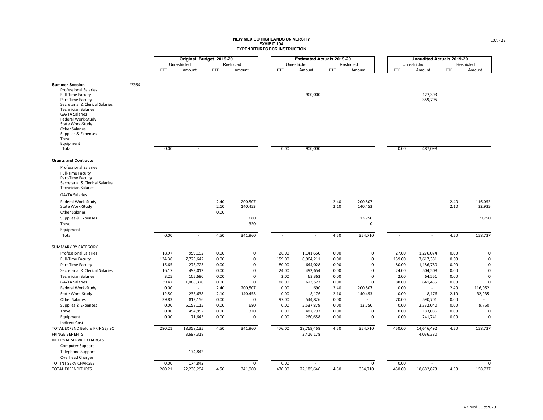|                                                                                                                                                                                                                                                                                                     |       |            | Original Budget 2019-20 |            |             |            | <b>Estimated Actuals 2019-20</b> |            |            |        | <b>Unaudited Actuals 2019-20</b> |            |             |
|-----------------------------------------------------------------------------------------------------------------------------------------------------------------------------------------------------------------------------------------------------------------------------------------------------|-------|------------|-------------------------|------------|-------------|------------|----------------------------------|------------|------------|--------|----------------------------------|------------|-------------|
|                                                                                                                                                                                                                                                                                                     |       |            | Unrestricted            |            | Restricted  |            | Unrestricted                     |            | Restricted |        | Unrestricted                     |            | Restricted  |
|                                                                                                                                                                                                                                                                                                     |       | <b>FTE</b> | Amount                  | <b>FTE</b> | Amount      | <b>FTE</b> | Amount                           | <b>FTE</b> | Amount     | FTE.   | Amount                           | <b>FTE</b> | Amount      |
|                                                                                                                                                                                                                                                                                                     |       |            |                         |            |             |            |                                  |            |            |        |                                  |            |             |
| <b>Summer Session</b><br><b>Professional Salaries</b><br>Full-Time Faculty<br>Part-Time Faculty<br>Secretarial & Clerical Salaries<br><b>Technician Salaries</b><br>GA/TA Salaries<br>Federal Work-Study<br>State Work-Study<br><b>Other Salaries</b><br>Supplies & Expenses<br>Travel<br>Equipment | 17850 |            |                         |            |             |            | 900,000                          |            |            |        | 127,303<br>359,795               |            |             |
| Total                                                                                                                                                                                                                                                                                               |       | 0.00       |                         |            |             | 0.00       | 900,000                          |            |            | 0.00   | 487,098                          |            |             |
| <b>Grants and Contracts</b>                                                                                                                                                                                                                                                                         |       |            |                         |            |             |            |                                  |            |            |        |                                  |            |             |
|                                                                                                                                                                                                                                                                                                     |       |            |                         |            |             |            |                                  |            |            |        |                                  |            |             |
| <b>Professional Salaries</b><br>Full-Time Faculty<br>Part-Time Faculty<br>Secretarial & Clerical Salaries<br><b>Technician Salaries</b>                                                                                                                                                             |       |            |                         |            |             |            |                                  |            |            |        |                                  |            |             |
| GA/TA Salaries                                                                                                                                                                                                                                                                                      |       |            |                         |            |             |            |                                  |            |            |        |                                  |            |             |
| Federal Work-Study                                                                                                                                                                                                                                                                                  |       |            |                         | 2.40       | 200,507     |            |                                  | 2.40       | 200,507    |        |                                  | 2.40       | 116,052     |
| State Work-Study                                                                                                                                                                                                                                                                                    |       |            |                         | 2.10       | 140,453     |            |                                  | 2.10       | 140,453    |        |                                  | 2.10       | 32,935      |
| <b>Other Salaries</b><br>Supplies & Expenses                                                                                                                                                                                                                                                        |       |            |                         | 0.00       | 680         |            |                                  |            | 13,750     |        |                                  |            | 9,750       |
| Travel                                                                                                                                                                                                                                                                                              |       |            |                         |            | 320         |            |                                  |            | 0          |        |                                  |            |             |
| Equipment                                                                                                                                                                                                                                                                                           |       |            |                         |            |             |            |                                  |            |            |        |                                  |            |             |
| Total                                                                                                                                                                                                                                                                                               |       | 0.00       | $\sim$                  | 4.50       | 341,960     |            | $\sim$                           | 4.50       | 354,710    | $\sim$ | $\blacksquare$                   | 4.50       | 158,737     |
| <b>SUMMARY BY CATEGORY</b>                                                                                                                                                                                                                                                                          |       |            |                         |            |             |            |                                  |            |            |        |                                  |            |             |
| <b>Professional Salaries</b>                                                                                                                                                                                                                                                                        |       | 18.97      | 959,192                 | 0.00       | 0           | 26.00      | 1,141,660                        | 0.00       | 0          | 27.00  | 1,276,074                        | 0.00       | 0           |
| Full-Time Faculty                                                                                                                                                                                                                                                                                   |       | 134.38     | 7,725,642               | 0.00       | 0           | 159.00     | 8,964,211                        | 0.00       | 0          | 159.00 | 7,617,381                        | 0.00       | $\mathbf 0$ |
| Part-Time Faculty                                                                                                                                                                                                                                                                                   |       | 15.65      | 273,723                 | 0.00       | 0           | 80.00      | 644,028                          | 0.00       | 0          | 80.00  | 1,186,780                        | 0.00       | $\Omega$    |
| Secretarial & Clerical Salaries                                                                                                                                                                                                                                                                     |       | 16.17      | 493,012                 | 0.00       | 0           | 24.00      | 492,654                          | 0.00       | 0          | 24.00  | 504,508                          | 0.00       | $\mathbf 0$ |
| <b>Technician Salaries</b>                                                                                                                                                                                                                                                                          |       | 3.25       | 105,690                 | 0.00       | $\pmb{0}$   | 2.00       | 63,363                           | 0.00       | 0          | 2.00   | 64,551                           | 0.00       | $\Omega$    |
| GA/TA Salaries                                                                                                                                                                                                                                                                                      |       | 39.47      | 1,068,370               | 0.00       | 0           | 88.00      | 623,527                          | 0.00       | 0          | 88.00  | 641,455                          | 0.00       | $\Omega$    |
| Federal Work-Study                                                                                                                                                                                                                                                                                  |       | 0.00       | $\omega$                | 2.40       | 200,507     | 0.00       | 690                              | 2.40       | 200,507    | 0.00   | $\sim$                           | 2.40       | 116,052     |
| State Work-Study                                                                                                                                                                                                                                                                                    |       | 12.50      | 235,638                 | 2.10       | 140,453     | 0.00       | 8,176                            | 2.10       | 140,453    | 0.00   | 8,176                            | 2.10       | 32,935      |
| <b>Other Salaries</b>                                                                                                                                                                                                                                                                               |       | 39.83      | 812,156                 | 0.00       | $\mathbf 0$ | 97.00      | 544,826                          | 0.00       | $\sim$     | 70.00  | 590,701                          | 0.00       |             |
| Supplies & Expenses                                                                                                                                                                                                                                                                                 |       | 0.00       | 6,158,115               | 0.00       | 680         | 0.00       | 5,537,879                        | 0.00       | 13,750     | 0.00   | 2,332,040                        | 0.00       | 9,750       |
| Travel                                                                                                                                                                                                                                                                                              |       | 0.00       | 454,952                 | 0.00       | 320         | 0.00       | 487,797                          | 0.00       | 0          | 0.00   | 183,086                          | 0.00       | $\mathbf 0$ |
| Equipment                                                                                                                                                                                                                                                                                           |       | 0.00       | 71,645                  | 0.00       | 0           | 0.00       | 260,658                          | 0.00       | 0          | 0.00   | 241,741                          | 0.00       | $\mathbf 0$ |
| <b>Indirect Cost</b>                                                                                                                                                                                                                                                                                |       |            |                         |            |             |            |                                  |            |            |        |                                  |            |             |
| TOTAL EXPEND Before FRINGE/ISC                                                                                                                                                                                                                                                                      |       | 280.21     | 18,358,135              | 4.50       | 341,960     | 476.00     | 18,769,468                       | 4.50       | 354,710    | 450.00 | 14,646,492                       | 4.50       | 158,737     |
| <b>FRINGE BENEFITS</b>                                                                                                                                                                                                                                                                              |       |            | 3,697,318               |            |             |            | 3,416,178                        |            |            |        | 4,036,380                        |            |             |
| INTERNAL SERVICE CHARGES                                                                                                                                                                                                                                                                            |       |            |                         |            |             |            |                                  |            |            |        |                                  |            |             |
| Computer Support                                                                                                                                                                                                                                                                                    |       |            |                         |            |             |            |                                  |            |            |        |                                  |            |             |
| Telephone Support                                                                                                                                                                                                                                                                                   |       |            | 174,842                 |            |             |            |                                  |            |            |        |                                  |            |             |
| Overhead Charges                                                                                                                                                                                                                                                                                    |       |            |                         |            |             |            |                                  |            |            |        |                                  |            |             |
| TOT INT SERV CHARGES                                                                                                                                                                                                                                                                                |       | 0.00       | 174,842                 |            | 0           | 0.00       |                                  |            | 0          | 0.00   | $\sim$                           |            | 0           |
| <b>TOTAL EXPENDITURES</b>                                                                                                                                                                                                                                                                           |       | 280.21     | 22,230,294              | 4.50       | 341,960     | 476.00     | 22,185,646                       | 4.50       | 354,710    | 450.00 | 18,682,873                       | 4.50       | 158,737     |
|                                                                                                                                                                                                                                                                                                     |       |            |                         |            |             |            |                                  |            |            |        |                                  |            |             |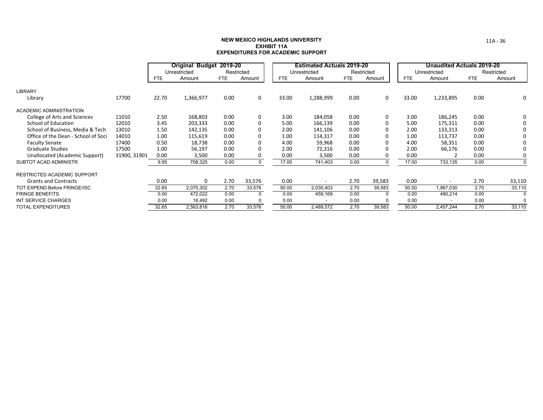#### **NEW MEXICO HIGHLANDS UNIVERSITYEXHIBIT 11AEXPENDITURES FOR ACADEMIC SUPPORT**

|                                     |              | Original Budget 2019-20 |              |            |            |            | <b>Estimated Actuals 2019-20</b> |      |            |            | <b>Unaudited Actuals 2019-20</b> |            |            |
|-------------------------------------|--------------|-------------------------|--------------|------------|------------|------------|----------------------------------|------|------------|------------|----------------------------------|------------|------------|
|                                     |              |                         | Unrestricted |            | Restricted |            | Unrestricted                     |      | Restricted |            | Unrestricted                     |            | Restricted |
|                                     |              | <b>FTE</b>              | Amount       | <b>FTE</b> | Amount     | <b>FTE</b> | Amount                           | FTE  | Amount     | <b>FTE</b> | Amount                           | <b>FTE</b> | Amount     |
| <b>LIBRARY</b>                      |              |                         |              |            |            |            |                                  |      |            |            |                                  |            |            |
| Library                             | 17700        | 22.70                   | 1,366,977    | 0.00       | $\Omega$   | 33.00      | 1,288,999                        | 0.00 | 0          | 33.00      | 1,233,895                        | 0.00       | 0          |
| ACADEMIC ADMINISTRATION             |              |                         |              |            |            |            |                                  |      |            |            |                                  |            |            |
| College of Arts and Sciences        | 11010        | 2.50                    | 168,803      | 0.00       | $\Omega$   | 3.00       | 184,058                          | 0.00 | 0          | 3.00       | 186,245                          | 0.00       | 0          |
| School of Education                 | 12010        | 3.45                    | 203,333      | 0.00       |            | 5.00       | 166,139                          | 0.00 | $\Omega$   | 5.00       | 175,311                          | 0.00       | 0          |
| School of Business, Media & Tech    | 13010        | 1.50                    | 142,135      | 0.00       |            | 2.00       | 141,106                          | 0.00 |            | 2.00       | 133,313                          | 0.00       | 0          |
| Office of the Dean - School of Soci | 14010        | 1.00                    | 115,619      | 0.00       |            | 1.00       | 114,317                          | 0.00 | 0          | 1.00       | 113,737                          | 0.00       | 0          |
| <b>Faculty Senate</b>               | 17400        | 0.50                    | 18,738       | 0.00       |            | 4.00       | 59,968                           | 0.00 | $\Omega$   | 4.00       | 58,351                           | 0.00       | 0          |
| <b>Graduate Studies</b>             | 17500        | 1.00                    | 56,197       | 0.00       |            | 2.00       | 72,316                           | 0.00 |            | 2.00       | 66,176                           | 0.00       | $\Omega$   |
| Unallocated (Academic Support)      | 31900, 31901 | 0.00                    | 3,500        | 0.00       |            | 0.00       | 3,500                            | 0.00 |            | 0.00       |                                  | 0.00       | 0          |
| <b>SUBTOT ACAD ADMINISTR</b>        |              | 9.95                    | 708,325      | 0.00       |            | 17.00      | 741,403                          | 0.00 | $\Omega$   | 17.00      | 733,135                          | 0.00       | $\Omega$   |
| <b>RESTRICTED ACADEMIC SUPPORT</b>  |              |                         |              |            |            |            |                                  |      |            |            |                                  |            |            |
| <b>Grants and Contracts</b>         |              | 0.00                    | 0            | 2.70       | 33,576     | 0.00       |                                  | 2.70 | 39,583     | 0.00       | $\blacksquare$                   | 2.70       | 33,110     |
| TOT EXPEND Before FRINGE/ISC        |              | 32.65                   | 2,075,302    | 2.70       | 33,576     | 50.00      | 2,030,403                        | 2.70 | 39,583     | 50.00      | 1,967,030                        | 2.70       | 33,110     |
| <b>FRINGE BENEFITS</b>              |              | 0.00                    | 472,022      | 0.00       | $\Omega$   | 0.00       | 459,169                          | 0.00 | -0         | 0.00       | 490,214                          | 0.00       | $\Omega$   |
| INT SERVICE CHARGES                 |              | 0.00                    | 16,492       | 0.00       | $\Omega$   | 0.00       | $\overline{\phantom{a}}$         | 0.00 | $\Omega$   | 0.00       | $\overline{\phantom{a}}$         | 0.00       | $\Omega$   |
| <b>TOTAL EXPENDITURES</b>           |              | 32.65                   | 2,563,816    | 2.70       | 33,576     | 50.00      | 2,489,572                        | 2.70 | 39,583     | 50.00      | 2,457,244                        | 2.70       | 33,110     |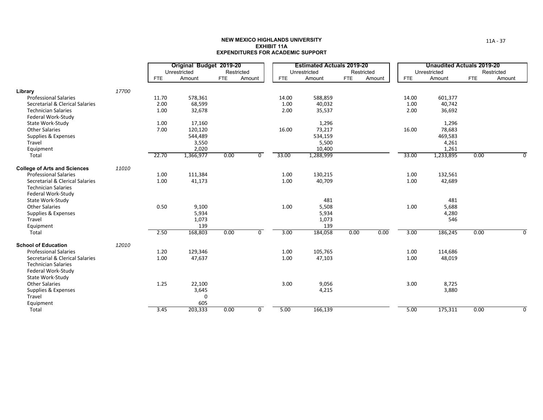|                                     |       |            | Original Budget 2019-20 |            |                |            | <b>Estimated Actuals 2019-20</b> |            |        |            | <b>Unaudited Actuals 2019-20</b> |            |            |
|-------------------------------------|-------|------------|-------------------------|------------|----------------|------------|----------------------------------|------------|--------|------------|----------------------------------|------------|------------|
|                                     |       |            | Unrestricted            |            | Restricted     |            | Unrestricted                     | Restricted |        |            | Unrestricted                     |            | Restricted |
|                                     |       | <b>FTE</b> | Amount                  | <b>FTE</b> | Amount         | <b>FTE</b> | Amount                           | <b>FTE</b> | Amount | <b>FTE</b> | Amount                           | <b>FTE</b> | Amount     |
| Library                             | 17700 |            |                         |            |                |            |                                  |            |        |            |                                  |            |            |
| <b>Professional Salaries</b>        |       | 11.70      | 578,361                 |            |                | 14.00      | 588,859                          |            |        | 14.00      | 601,377                          |            |            |
| Secretarial & Clerical Salaries     |       | 2.00       | 68,599                  |            |                | 1.00       | 40,032                           |            |        | 1.00       | 40,742                           |            |            |
| <b>Technician Salaries</b>          |       | 1.00       | 32,678                  |            |                | 2.00       | 35,537                           |            |        | 2.00       | 36,692                           |            |            |
| Federal Work-Study                  |       |            |                         |            |                |            |                                  |            |        |            |                                  |            |            |
| State Work-Study                    |       | 1.00       | 17,160                  |            |                |            | 1,296                            |            |        |            | 1,296                            |            |            |
| <b>Other Salaries</b>               |       | 7.00       | 120,120                 |            |                | 16.00      | 73,217                           |            |        | 16.00      | 78,683                           |            |            |
| Supplies & Expenses                 |       |            | 544,489                 |            |                |            | 534,159                          |            |        |            | 469,583                          |            |            |
| Travel                              |       |            | 3,550                   |            |                |            | 5,500                            |            |        |            | 4,261                            |            |            |
| Equipment                           |       |            | 2,020                   |            |                |            | 10,400                           |            |        |            | 1,261                            |            |            |
| Total                               |       | 22.70      | 1,366,977               | 0.00       | $\mathbf 0$    | 33.00      | 1,288,999                        |            |        | 33.00      | 1,233,895                        | 0.00       | $\Omega$   |
| <b>College of Arts and Sciences</b> | 11010 |            |                         |            |                |            |                                  |            |        |            |                                  |            |            |
| <b>Professional Salaries</b>        |       | 1.00       | 111,384                 |            |                | 1.00       | 130,215                          |            |        | 1.00       | 132,561                          |            |            |
| Secretarial & Clerical Salaries     |       | 1.00       | 41,173                  |            |                | 1.00       | 40,709                           |            |        | 1.00       | 42,689                           |            |            |
| <b>Technician Salaries</b>          |       |            |                         |            |                |            |                                  |            |        |            |                                  |            |            |
| Federal Work-Study                  |       |            |                         |            |                |            |                                  |            |        |            |                                  |            |            |
| State Work-Study                    |       |            |                         |            |                |            | 481                              |            |        |            | 481                              |            |            |
| <b>Other Salaries</b>               |       | 0.50       | 9,100                   |            |                | 1.00       | 5,508                            |            |        | 1.00       | 5,688                            |            |            |
| Supplies & Expenses                 |       |            | 5,934                   |            |                |            | 5,934                            |            |        |            | 4,280                            |            |            |
| Travel                              |       |            | 1,073                   |            |                |            | 1,073                            |            |        |            | 546                              |            |            |
| Equipment                           |       |            | 139                     |            |                |            | 139                              |            |        |            |                                  |            |            |
| Total                               |       | 2.50       | 168,803                 | 0.00       | $\overline{0}$ | 3.00       | 184,058                          | 0.00       | 0.00   | 3.00       | 186,245                          | 0.00       | 0          |
| <b>School of Education</b>          | 12010 |            |                         |            |                |            |                                  |            |        |            |                                  |            |            |
| <b>Professional Salaries</b>        |       | 1.20       | 129,346                 |            |                | 1.00       | 105,765                          |            |        | 1.00       | 114,686                          |            |            |
| Secretarial & Clerical Salaries     |       | 1.00       | 47,637                  |            |                | 1.00       | 47,103                           |            |        | 1.00       | 48,019                           |            |            |
| <b>Technician Salaries</b>          |       |            |                         |            |                |            |                                  |            |        |            |                                  |            |            |
| Federal Work-Study                  |       |            |                         |            |                |            |                                  |            |        |            |                                  |            |            |
| State Work-Study                    |       |            |                         |            |                |            |                                  |            |        |            |                                  |            |            |
| <b>Other Salaries</b>               |       | 1.25       | 22,100                  |            |                | 3.00       | 9,056                            |            |        | 3.00       | 8,725                            |            |            |
| Supplies & Expenses                 |       |            | 3,645                   |            |                |            | 4,215                            |            |        |            | 3,880                            |            |            |
| Travel                              |       |            | 0                       |            |                |            |                                  |            |        |            |                                  |            |            |
| Equipment                           |       |            | 605                     |            |                |            |                                  |            |        |            |                                  |            |            |
| Total                               |       | 3.45       | 203,333                 | 0.00       | $\mathbf 0$    | 5.00       | 166,139                          |            |        | 5.00       | 175,311                          | 0.00       | 0          |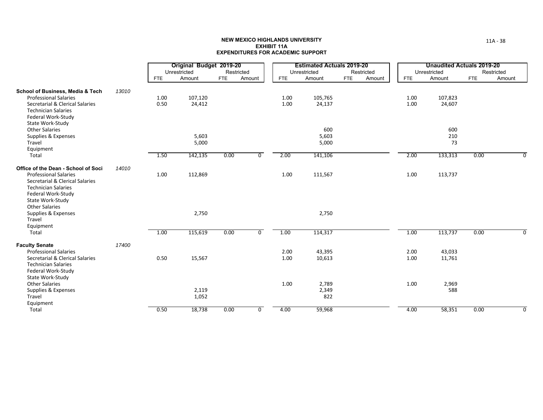|                                                                                                                                                                  |       |            | Original Budget 2019-20 |            |                |            | <b>Estimated Actuals 2019-20</b> |            |            |            | <b>Unaudited Actuals 2019-20</b> |            |            |
|------------------------------------------------------------------------------------------------------------------------------------------------------------------|-------|------------|-------------------------|------------|----------------|------------|----------------------------------|------------|------------|------------|----------------------------------|------------|------------|
|                                                                                                                                                                  |       |            | Unrestricted            |            | Restricted     |            | Unrestricted                     |            | Restricted |            | Unrestricted                     |            | Restricted |
|                                                                                                                                                                  |       | <b>FTE</b> | Amount                  | <b>FTE</b> | Amount         | <b>FTE</b> | Amount                           | <b>FTE</b> | Amount     | <b>FTE</b> | Amount                           | <b>FTE</b> | Amount     |
| School of Business, Media & Tech                                                                                                                                 | 13010 |            |                         |            |                |            |                                  |            |            |            |                                  |            |            |
| <b>Professional Salaries</b>                                                                                                                                     |       | 1.00       | 107,120                 |            |                | 1.00       | 105,765                          |            |            | 1.00       | 107,823                          |            |            |
| Secretarial & Clerical Salaries<br><b>Technician Salaries</b><br>Federal Work-Study<br>State Work-Study                                                          |       | 0.50       | 24,412                  |            |                | 1.00       | 24,137                           |            |            | 1.00       | 24,607                           |            |            |
| <b>Other Salaries</b>                                                                                                                                            |       |            |                         |            |                |            | 600                              |            |            |            | 600                              |            |            |
| Supplies & Expenses                                                                                                                                              |       |            | 5,603                   |            |                |            | 5,603                            |            |            |            | 210                              |            |            |
| Travel<br>Equipment                                                                                                                                              |       |            | 5,000                   |            |                |            | 5,000                            |            |            |            | 73                               |            |            |
| Total                                                                                                                                                            |       | 1.50       | 142,135                 | 0.00       | 0              | 2.00       | 141,106                          |            |            | 2.00       | 133,313                          | 0.00       | 0          |
| Office of the Dean - School of Soci                                                                                                                              | 14010 |            |                         |            |                |            |                                  |            |            |            |                                  |            |            |
| <b>Professional Salaries</b><br>Secretarial & Clerical Salaries<br><b>Technician Salaries</b><br>Federal Work-Study<br>State Work-Study<br><b>Other Salaries</b> |       | 1.00       | 112,869                 |            |                | 1.00       | 111,567                          |            |            | 1.00       | 113,737                          |            |            |
| Supplies & Expenses<br>Travel<br>Equipment                                                                                                                       |       |            | 2,750                   |            |                |            | 2,750                            |            |            |            |                                  |            |            |
| Total                                                                                                                                                            |       | 1.00       | 115,619                 | 0.00       | $\overline{0}$ | 1.00       | 114,317                          |            |            | 1.00       | 113,737                          | 0.00       | 0          |
| <b>Faculty Senate</b>                                                                                                                                            | 17400 |            |                         |            |                |            |                                  |            |            |            |                                  |            |            |
| <b>Professional Salaries</b>                                                                                                                                     |       |            |                         |            |                | 2.00       | 43,395                           |            |            | 2.00       | 43,033                           |            |            |
| Secretarial & Clerical Salaries<br><b>Technician Salaries</b><br>Federal Work-Study<br>State Work-Study                                                          |       | 0.50       | 15,567                  |            |                | 1.00       | 10,613                           |            |            | 1.00       | 11,761                           |            |            |
| <b>Other Salaries</b>                                                                                                                                            |       |            |                         |            |                | 1.00       | 2,789                            |            |            | 1.00       | 2,969                            |            |            |
| Supplies & Expenses                                                                                                                                              |       |            | 2,119                   |            |                |            | 2,349                            |            |            |            | 588                              |            |            |
| Travel<br>Equipment                                                                                                                                              |       |            | 1,052                   |            |                |            | 822                              |            |            |            |                                  |            |            |
| Total                                                                                                                                                            |       | 0.50       | 18,738                  | 0.00       | $\mathbf 0$    | 4.00       | 59,968                           |            |            | 4.00       | 58,351                           | 0.00       | $\Omega$   |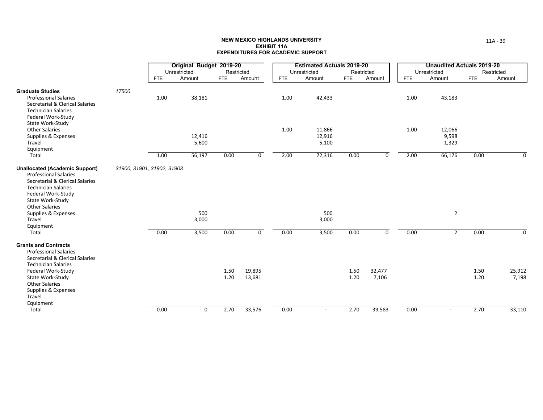|                                                                                                                                                                                                                                                                  |                            |            | Original Budget 2019-20<br>Unrestricted | Restricted   |                  |      | <b>Estimated Actuals 2019-20</b><br>Unrestricted |              | Restricted      |            | <b>Unaudited Actuals 2019-20</b><br>Unrestricted |              | Restricted      |
|------------------------------------------------------------------------------------------------------------------------------------------------------------------------------------------------------------------------------------------------------------------|----------------------------|------------|-----------------------------------------|--------------|------------------|------|--------------------------------------------------|--------------|-----------------|------------|--------------------------------------------------|--------------|-----------------|
|                                                                                                                                                                                                                                                                  |                            | <b>FTE</b> | Amount                                  | <b>FTE</b>   | Amount           | FTE  | Amount                                           | FTE          | Amount          | <b>FTE</b> | Amount                                           | <b>FTE</b>   | Amount          |
| <b>Graduate Studies</b><br><b>Professional Salaries</b><br>Secretarial & Clerical Salaries<br><b>Technician Salaries</b><br>Federal Work-Study                                                                                                                   | 17500                      | 1.00       | 38,181                                  |              |                  | 1.00 | 42,433                                           |              |                 | 1.00       | 43,183                                           |              |                 |
| State Work-Study<br><b>Other Salaries</b><br>Supplies & Expenses<br>Travel<br>Equipment                                                                                                                                                                          |                            |            | 12,416<br>5,600                         |              |                  | 1.00 | 11,866<br>12,916<br>5,100                        |              |                 | 1.00       | 12,066<br>9,598<br>1,329                         |              |                 |
| Total                                                                                                                                                                                                                                                            |                            | 1.00       | 56,197                                  | 0.00         | 0                | 2.00 | 72,316                                           | 0.00         | $\overline{0}$  | 2.00       | 66,176                                           | 0.00         | $\Omega$        |
| <b>Unallocated (Academic Support)</b><br><b>Professional Salaries</b><br>Secretarial & Clerical Salaries<br><b>Technician Salaries</b><br>Federal Work-Study<br>State Work-Study<br><b>Other Salaries</b><br>Supplies & Expenses<br>Travel<br>Equipment<br>Total | 31900, 31901, 31902, 31903 | 0.00       | 500<br>3,000<br>3,500                   | 0.00         | $\overline{0}$   | 0.00 | 500<br>3,000<br>3,500                            | 0.00         | $\overline{0}$  | 0.00       | $\overline{2}$<br>$\overline{2}$                 | 0.00         | $\Omega$        |
| <b>Grants and Contracts</b><br><b>Professional Salaries</b><br>Secretarial & Clerical Salaries<br><b>Technician Salaries</b><br>Federal Work-Study<br>State Work-Study                                                                                           |                            |            |                                         | 1.50<br>1.20 | 19,895<br>13,681 |      |                                                  | 1.50<br>1.20 | 32,477<br>7,106 |            |                                                  | 1.50<br>1.20 | 25,912<br>7,198 |
| <b>Other Salaries</b><br>Supplies & Expenses<br>Travel<br>Equipment<br>Total                                                                                                                                                                                     |                            | 0.00       | 0                                       | 2.70         | 33,576           | 0.00 | $\overline{\phantom{a}}$                         | 2.70         | 39,583          | 0.00       |                                                  | 2.70         | 33,110          |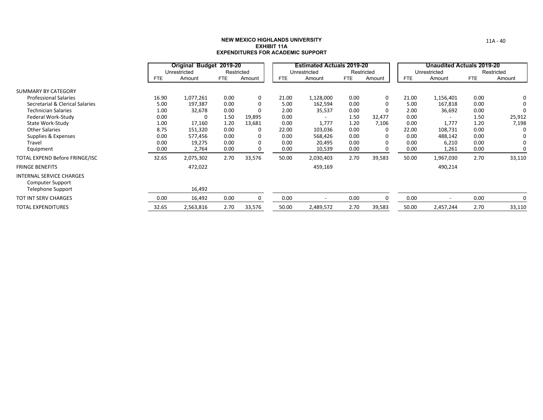|                                                            |            | Original Budget 2019-20 |            |            |            | <b>Estimated Actuals 2019-20</b> |            |            |            | <b>Unaudited Actuals 2019-20</b> |            |            |
|------------------------------------------------------------|------------|-------------------------|------------|------------|------------|----------------------------------|------------|------------|------------|----------------------------------|------------|------------|
|                                                            |            | Unrestricted            |            | Restricted |            | Unrestricted                     |            | Restricted |            | Unrestricted                     |            | Restricted |
|                                                            | <b>FTE</b> | Amount                  | <b>FTE</b> | Amount     | <b>FTE</b> | Amount                           | <b>FTE</b> | Amount     | <b>FTE</b> | Amount                           | <b>FTE</b> | Amount     |
| SUMMARY BY CATEGORY                                        |            |                         |            |            |            |                                  |            |            |            |                                  |            |            |
| <b>Professional Salaries</b>                               | 16.90      | 1,077,261               | 0.00       | 0          | 21.00      | 1,128,000                        | 0.00       | 0          | 21.00      | 1,156,401                        | 0.00       | 0          |
| Secretarial & Clerical Salaries                            | 5.00       | 197,387                 | 0.00       | 0          | 5.00       | 162,594                          | 0.00       | $\Omega$   | 5.00       | 167,818                          | 0.00       | 0          |
| <b>Technician Salaries</b>                                 | 1.00       | 32,678                  | 0.00       | 0          | 2.00       | 35,537                           | 0.00       | $\Omega$   | 2.00       | 36,692                           | 0.00       | 0          |
| Federal Work-Study                                         | 0.00       | 0                       | 1.50       | 19,895     | 0.00       |                                  | 1.50       | 32,477     | 0.00       |                                  | 1.50       | 25,912     |
| State Work-Study                                           | 1.00       | 17,160                  | 1.20       | 13,681     | 0.00       | 1,777                            | 1.20       | 7,106      | 0.00       | 1,777                            | 1.20       | 7,198      |
| <b>Other Salaries</b>                                      | 8.75       | 151,320                 | 0.00       | 0          | 22.00      | 103,036                          | 0.00       | 0          | 22.00      | 108,731                          | 0.00       | 0          |
| Supplies & Expenses                                        | 0.00       | 577,456                 | 0.00       |            | 0.00       | 568,426                          | 0.00       | 0          | 0.00       | 488,142                          | 0.00       |            |
| Travel                                                     | 0.00       | 19,275                  | 0.00       | 0          | 0.00       | 20,495                           | 0.00       | 0          | 0.00       | 6,210                            | 0.00       | 0          |
| Equipment                                                  | 0.00       | 2,764                   | 0.00       |            | 0.00       | 10,539                           | 0.00       | 0          | 0.00       | 1,261                            | 0.00       |            |
| TOTAL EXPEND Before FRINGE/ISC                             | 32.65      | 2,075,302               | 2.70       | 33,576     | 50.00      | 2,030,403                        | 2.70       | 39,583     | 50.00      | 1,967,030                        | 2.70       | 33,110     |
| <b>FRINGE BENEFITS</b>                                     |            | 472,022                 |            |            |            | 459,169                          |            |            |            | 490,214                          |            |            |
| <b>INTERNAL SERVICE CHARGES</b><br><b>Computer Support</b> |            |                         |            |            |            |                                  |            |            |            |                                  |            |            |
| Telephone Support                                          |            | 16,492                  |            |            |            |                                  |            |            |            |                                  |            |            |
| <b>TOT INT SERV CHARGES</b>                                | 0.00       | 16,492                  | 0.00       | $\Omega$   | 0.00       | $\overline{\phantom{a}}$         | 0.00       | $\Omega$   | 0.00       | $\overline{\phantom{a}}$         | 0.00       | 0          |
| <b>TOTAL EXPENDITURES</b>                                  | 32.65      | 2,563,816               | 2.70       | 33,576     | 50.00      | 2,489,572                        | 2.70       | 39,583     | 50.00      | 2,457,244                        | 2.70       | 33,110     |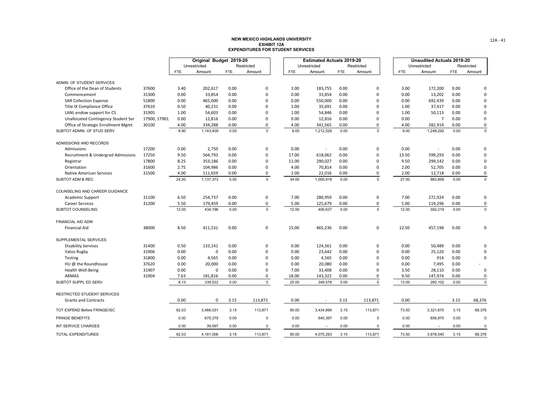|                                     |               |            | Original Budget 2019-20 |            |             |            | <b>Estimated Actuals 2019-20</b> |            |             |            | <b>Unaudited Actuals 2019-20</b> |            |             |
|-------------------------------------|---------------|------------|-------------------------|------------|-------------|------------|----------------------------------|------------|-------------|------------|----------------------------------|------------|-------------|
|                                     |               |            | Unrestricted            |            | Restricted  |            | Unrestricted                     |            | Restricted  |            | Unrestricted                     |            | Restricted  |
|                                     |               | <b>FTE</b> | Amount                  | <b>FTE</b> | Amount      | <b>FTE</b> | Amount                           | <b>FTE</b> | Amount      | <b>FTE</b> | Amount                           | <b>FTE</b> | Amount      |
| ADMIN. OF STUDENT SERVICES          |               |            |                         |            |             |            |                                  |            |             |            |                                  |            |             |
| Office of the Dean of Students      | 37600         | 3.40       | 202,617                 | 0.00       | 0           | 3.00       | 183,755                          | 0.00       | $\pmb{0}$   | 3.00       | 172,200                          | 0.00       | 0           |
| Commencement                        | 31300         | 0.00       | 33,854                  | 0.00       | 0           | 0.00       | 33,854                           | 0.00       | $\mathbf 0$ | 0.00       | 13,202                           | 0.00       | 0           |
| <b>SAR Collection Expense</b>       | 51800         | 0.00       | 465,000                 | 0.00       | $\Omega$    | 0.00       | 550,000                          | 0.00       | $\mathbf 0$ | 0.00       | 692,439                          | 0.00       | 0           |
| Title IX Compliance Office          | 37610         | 0.50       | 40,231                  | 0.00       | $\Omega$    | 1.00       | 35,691                           | 0.00       | $\mathbf 0$ | 1.00       | 37,417                           | 0.00       | $\Omega$    |
| LANL endow support for CS           | 31905         | 1.00       | 54,603                  | 0.00       | $\Omega$    | 1.00       | 54,846                           | 0.00       | $\Omega$    | 1.00       | 50,113                           | 0.00       | $\Omega$    |
| Unallocated Contingency Student Ser | 17900, 17901, | 0.00       | 12,816                  | 0.00       | 0           | 0.00       | 12,816                           | 0.00       | $\mathbf 0$ | 0.00       | $\overline{7}$                   | 0.00       | 0           |
| Office of Strategic Enrollment Mgmt | 30100         | 4.00       | 334,288                 | 0.00       | 0           | 4.00       | 341,565                          | 0.00       | 0           | 4.00       | 282,914                          | 0.00       | 0           |
| SUBTOT ADMIN. OF STUD SERV          |               | 8.90       | 1,143,409               | 0.00       | $\mathbf 0$ | 9.00       | 1,212,526                        | 0.00       | $\Omega$    | 9.00       | 1,248,292                        | 0.00       | $\mathbf 0$ |
| ADMISSIONS AND RECORDS              |               |            |                         |            |             |            |                                  |            |             |            |                                  |            |             |
| Admissions                          | 17200         | 0.00       | 2,750                   | 0.00       | 0           | 0.00       |                                  | 0.00       | $\mathbf 0$ | 0.00       | $\sim$                           | 0.00       | 0           |
| Recruitment & Undergrad Admissions  | 17250         | 9.50       | 564,793                 | 0.00       | 0           | 17.00      | 618,062                          | 0.00       | $\pmb{0}$   | 13.50      | 599,293                          | 0.00       | $\Omega$    |
| Registrar                           | 17800         | 8.25       | 353,186                 | 0.00       | $\Omega$    | 11.00      | 290,027                          | 0.00       | $\pmb{0}$   | 9.50       | 299,142                          | 0.00       | 0           |
| Orientation                         | 31600         | 2.75       | 104,986                 | 0.00       | 0           | 4.00       | 70,814                           | 0.00       | $\mathbf 0$ | 2.00       | 52,705                           | 0.00       | 0           |
| <b>Native American Services</b>     | 31500         | 4.00       | 111,659                 | 0.00       | 0           | 2.00       | 22,016                           | 0.00       | 0           | 2.00       | 12,718                           | 0.00       | 0           |
| SUBTOT ADM & REC                    |               | 24.50      | 1,137,373               | 0.00       | $\mathbf 0$ | 34.00      | 1,000,918                        | 0.00       | $\Omega$    | 27.00      | 963,858                          | 0.00       | $\mathbf 0$ |
| COUNSELING AND CAREER GUIDANCE      |               |            |                         |            |             |            |                                  |            |             |            |                                  |            |             |
| Academic Support                    | 31100         | 6.50       | 254,737                 | 0.00       | 0           | 7.00       | 280,959                          | 0.00       | $\pmb{0}$   | 7.00       | 272,924                          | 0.00       | 0           |
| <b>Career Services</b>              | 31200         | 5.50       | 179,459                 | 0.00       | 0           | 5.00       | 125,679                          | 0.00       | 0           | 5.00       | 119,296                          | 0.00       | 0           |
| SUBTOT COUNSELING                   |               | 12.00      | 434,196                 | 0.00       | $\mathbf 0$ | 12.00      | 406,637                          | 0.00       | $\mathbf 0$ | 12.00      | 392,219                          | 0.00       | $\mathbf 0$ |
| FINANCIAL AID ADM.                  |               |            |                         |            |             |            |                                  |            |             |            |                                  |            |             |
| <b>Financial Aid</b>                | 38000         | 8.50       | 411,531                 | 0.00       | 0           | 15.00      | 465,236                          | 0.00       | $\pmb{0}$   | 12.50      | 457,198                          | 0.00       | 0           |
| SUPPLEMENTAL SERVICES               |               |            |                         |            |             |            |                                  |            |             |            |                                  |            |             |
| <b>Disability Services</b>          | 31400         | 0.50       | 133,141                 | 0.00       | 0           | 0.00       | 124,561                          | 0.00       | $\pmb{0}$   | 0.00       | 50,489                           | 0.00       | $\Omega$    |
| Vatos Rugby                         | 31906         | 0.00       | 0                       | 0.00       | 0           | 0.00       | 23,642                           | 0.00       | $\mathbf 0$ | 0.00       | 25,120                           | 0.00       | 0           |
| Testing                             | 31800         | 0.00       | 4,565                   | 0.00       | $\Omega$    | 0.00       | 4,565                            | 0.00       | $\mathbf 0$ | 0.00       | 914                              | 0.00       | 0           |
| HU @ the Roundhouse                 | 37620         | 0.00       | 20,000                  | 0.00       | $\Omega$    | 0.00       | 20,080                           | 0.00       | $\mathbf 0$ | 0.00       | 7,495                            | 0.00       |             |
| Health Well-Being                   | 31907         | 0.00       | $\mathbf 0$             | 0.00       | $\Omega$    | 7.00       | 33,408                           | 0.00       | $\Omega$    | 3.50       | 28,110                           | 0.00       | 0           |
| <b>ARMAS</b>                        | 31904         | 7.63       | 181,816                 | 0.00       | 0           | 18.00      | 143,322                          | 0.00       | 0           | 9.50       | 147,974                          | 0.00       | 0           |
| SUBTOT SUPPL ED SERV                |               | 8.13       | 339,522                 | 0.00       | $\mathsf 0$ | 25.00      | 349,578                          | 0.00       | $\mathbf 0$ | 13.00      | 260,102                          | 0.00       | $\mathsf 0$ |
| <b>RESTRICTED STUDENT SERVICES</b>  |               |            |                         |            |             |            |                                  |            |             |            |                                  |            |             |
| <b>Grants and Contracts</b>         |               | 0.00       | $\mathbf 0$             | 3.15       | 113,871     | 0.00       | $\sim$                           | 3.15       | 113,871     | 0.00       | $\overline{\phantom{a}}$         | 3.15       | 68,376      |
| TOT EXPEND Before FRINGE/ISC        |               | 62.03      | 3,466,031               | 3.15       | 113,871     | 95.00      | 3,434,896                        | 3.15       | 113,871     | 73.50      | 3,321,670                        | 3.15       | 68,376      |
| <b>FRINGE BENEFITS</b>              |               | 0.00       | 675,379                 | 0.00       | 0           | 0.00       | 640,397                          | 0.00       | $\mathbf 0$ | 0.00       | 656,870                          | 0.00       | 0           |
| INT SERVICE CHARGES                 |               | 0.00       | 39,597                  | 0.00       | $\Omega$    | 0.00       |                                  | 0.00       | $\Omega$    | 0.00       |                                  | 0.00       | $\mathbf 0$ |
| <b>TOTAL EXPENDITURES</b>           |               | 62.03      | 4,181,006               | 3.15       | 113,871     | 95.00      | 4,075,293                        | 3.15       | 113,871     | 73.50      | 3,978,540                        | 3.15       | 68,376      |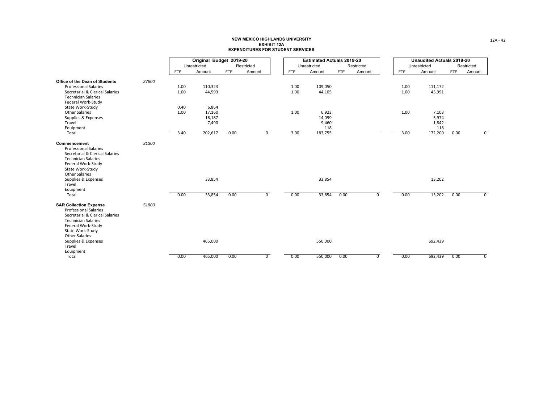|                                                                                                                                                                                                                                                 |       |            | Original Budget 2019-20 |            |                |            | <b>Estimated Actuals 2019-20</b> |            |            |            | <b>Unaudited Actuals 2019-20</b> |            |            |
|-------------------------------------------------------------------------------------------------------------------------------------------------------------------------------------------------------------------------------------------------|-------|------------|-------------------------|------------|----------------|------------|----------------------------------|------------|------------|------------|----------------------------------|------------|------------|
|                                                                                                                                                                                                                                                 |       |            | Unrestricted            |            | Restricted     |            | Unrestricted                     |            | Restricted |            | Unrestricted                     |            | Restricted |
|                                                                                                                                                                                                                                                 |       | <b>FTE</b> | Amount                  | <b>FTE</b> | Amount         | <b>FTE</b> | Amount                           | <b>FTE</b> | Amount     | <b>FTE</b> | Amount                           | <b>FTE</b> | Amount     |
| <b>Office of the Dean of Students</b>                                                                                                                                                                                                           | 37600 |            |                         |            |                |            |                                  |            |            |            |                                  |            |            |
| <b>Professional Salaries</b>                                                                                                                                                                                                                    |       | 1.00       | 110,323                 |            |                | 1.00       | 109,050                          |            |            | 1.00       | 111,172                          |            |            |
| Secretarial & Clerical Salaries<br><b>Technician Salaries</b><br>Federal Work-Study                                                                                                                                                             |       | 1.00       | 44,593                  |            |                | 1.00       | 44,105                           |            |            | 1.00       | 45,991                           |            |            |
| State Work-Study                                                                                                                                                                                                                                |       | 0.40       | 6,864                   |            |                |            |                                  |            |            |            |                                  |            |            |
| <b>Other Salaries</b>                                                                                                                                                                                                                           |       | 1.00       | 17,160                  |            |                | 1.00       | 6,923                            |            |            | 1.00       | 7,103                            |            |            |
| Supplies & Expenses                                                                                                                                                                                                                             |       |            | 16,187                  |            |                |            | 14,099                           |            |            |            | 5,974                            |            |            |
| Travel                                                                                                                                                                                                                                          |       |            | 7,490                   |            |                |            | 9,460                            |            |            |            | 1,842                            |            |            |
| Equipment                                                                                                                                                                                                                                       |       |            |                         |            |                |            | 118                              |            |            |            | 118                              |            |            |
| Total                                                                                                                                                                                                                                           |       | 3.40       | 202,617                 | 0.00       | $\overline{0}$ | 3.00       | 183,755                          |            |            | 3.00       | 172,200                          | 0.00       | 0          |
| Commencement<br><b>Professional Salaries</b><br>Secretarial & Clerical Salaries<br><b>Technician Salaries</b><br>Federal Work-Study<br>State Work-Study<br><b>Other Salaries</b><br>Supplies & Expenses<br>Travel<br>Equipment<br>Total         | 31300 | 0.00       | 33,854<br>33,854        | 0.00       | $\overline{0}$ | 0.00       | 33,854<br>33,854                 | 0.00       | 0          | 0.00       | 13,202<br>13,202                 | 0.00       | $\Omega$   |
| <b>SAR Collection Expense</b><br><b>Professional Salaries</b><br>Secretarial & Clerical Salaries<br><b>Technician Salaries</b><br>Federal Work-Study<br>State Work-Study<br><b>Other Salaries</b><br>Supplies & Expenses<br>Travel<br>Equipment | 51800 |            | 465,000                 |            |                |            | 550,000                          |            |            |            | 692,439                          |            |            |
| Total                                                                                                                                                                                                                                           |       | 0.00       | 465,000                 | 0.00       | $\overline{0}$ | 0.00       | 550,000                          | 0.00       | 0          | 0.00       | 692,439                          | 0.00       | 0          |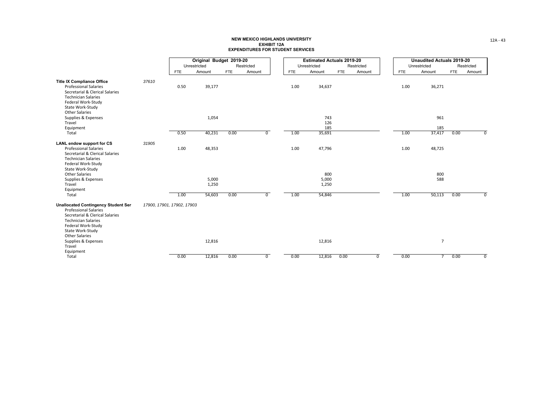|                                                                                                                                                                                                                         |                            |            | Original Budget 2019-20 |            |                |            | <b>Estimated Actuals 2019-20</b> |            |                |            | <b>Unaudited Actuals 2019-20</b> |            |                |
|-------------------------------------------------------------------------------------------------------------------------------------------------------------------------------------------------------------------------|----------------------------|------------|-------------------------|------------|----------------|------------|----------------------------------|------------|----------------|------------|----------------------------------|------------|----------------|
|                                                                                                                                                                                                                         |                            |            | Unrestricted            |            | Restricted     |            | Unrestricted                     |            | Restricted     |            | Unrestricted                     |            | Restricted     |
|                                                                                                                                                                                                                         |                            | <b>FTE</b> | Amount                  | <b>FTE</b> | Amount         | <b>FTE</b> | Amount                           | <b>FTE</b> | Amount         | <b>FTE</b> | Amount                           | <b>FTE</b> | Amount         |
| <b>Title IX Compliance Office</b><br><b>Professional Salaries</b><br>Secretarial & Clerical Salaries<br><b>Technician Salaries</b><br>Federal Work-Study                                                                | 37610                      | 0.50       | 39,177                  |            |                | 1.00       | 34,637                           |            |                | 1.00       | 36,271                           |            |                |
| State Work-Study<br><b>Other Salaries</b><br>Supplies & Expenses<br>Travel<br>Equipment                                                                                                                                 |                            |            | 1,054                   |            |                |            | 743<br>126<br>185                |            |                |            | 961<br>185                       |            |                |
| Total                                                                                                                                                                                                                   |                            | 0.50       | 40,231                  | 0.00       | $\overline{0}$ | 1.00       | 35,691                           |            |                | 1.00       | 37,417                           | 0.00       | $\overline{0}$ |
| <b>LANL endow support for CS</b><br><b>Professional Salaries</b><br>Secretarial & Clerical Salaries<br><b>Technician Salaries</b><br>Federal Work-Study                                                                 | 31905                      | 1.00       | 48,353                  |            |                | 1.00       | 47,796                           |            |                | 1.00       | 48,725                           |            |                |
| State Work-Study<br><b>Other Salaries</b><br>Supplies & Expenses<br>Travel<br>Equipment                                                                                                                                 |                            |            | 5,000<br>1,250          |            |                |            | 800<br>5,000<br>1,250            |            |                |            | 800<br>588                       |            |                |
| Total<br><b>Unallocated Contingency Student Ser</b><br><b>Professional Salaries</b><br>Secretarial & Clerical Salaries<br><b>Technician Salaries</b><br>Federal Work-Study<br>State Work-Study<br><b>Other Salaries</b> | 17900, 17901, 17902, 17903 | 1.00       | 54,603                  | 0.00       | $\overline{0}$ | 1.00       | 54,846                           |            |                | 1.00       | 50,113                           | 0.00       | $\overline{0}$ |
| Supplies & Expenses<br>Travel<br>Equipment                                                                                                                                                                              |                            |            | 12,816                  |            |                |            | 12,816                           |            |                |            | $\overline{7}$                   |            |                |
| Total                                                                                                                                                                                                                   |                            | 0.00       | 12,816                  | 0.00       | $\overline{0}$ | 0.00       | 12,816                           | 0.00       | $\overline{0}$ | 0.00       | $\overline{7}$                   | 0.00       | $\overline{0}$ |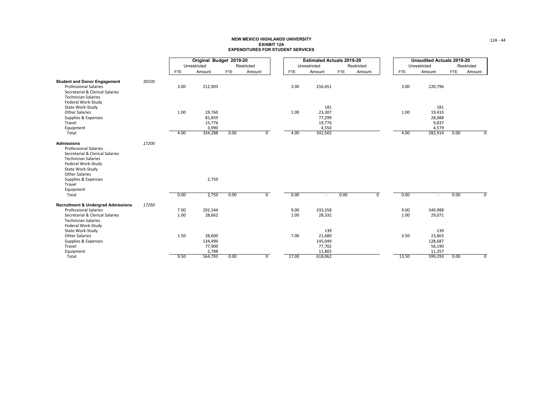|                                                                                                                                                                                                                                              |       |              | Original Budget 2019-20              |            |                |              | <b>Estimated Actuals 2019-20</b>             |            |                |              | <b>Unaudited Actuals 2019-20</b>             |            |                |
|----------------------------------------------------------------------------------------------------------------------------------------------------------------------------------------------------------------------------------------------|-------|--------------|--------------------------------------|------------|----------------|--------------|----------------------------------------------|------------|----------------|--------------|----------------------------------------------|------------|----------------|
|                                                                                                                                                                                                                                              |       |              | Unrestricted                         |            | Restricted     |              | Unrestricted                                 |            | Restricted     |              | Unrestricted                                 |            | Restricted     |
|                                                                                                                                                                                                                                              |       | <b>FTE</b>   | Amount                               | <b>FTE</b> | Amount         | <b>FTE</b>   | Amount                                       | <b>FTE</b> | Amount         | <b>FTE</b>   | Amount                                       | <b>FTE</b> | Amount         |
| <b>Student and Donor Engagement</b><br><b>Professional Salaries</b><br>Secretarial & Clerical Salaries<br><b>Technician Salaries</b>                                                                                                         | 30100 | 3.00         | 212,903                              |            |                | 3.00         | 216,451                                      |            |                | 3.00         | 220,796                                      |            |                |
| Federal Work-Study<br>State Work-Study<br><b>Other Salaries</b><br>Supplies & Expenses<br>Travel<br>Equipment                                                                                                                                |       | 1.00         | 19,760<br>81,859<br>15,776<br>3,990  |            |                | 1.00         | 181<br>23,307<br>77,299<br>19,776<br>4,550   |            |                | 1.00         | 181<br>19,433<br>28,088<br>9,837<br>4,579    |            |                |
| Total                                                                                                                                                                                                                                        |       | 4.00         | 334,288                              | 0.00       | $\mathbf{0}$   | 4.00         | 341,565                                      |            |                | 4.00         | 282,914                                      | 0.00       | $^{\circ}$     |
| <b>Admissions</b><br><b>Professional Salaries</b><br>Secretarial & Clerical Salaries<br><b>Technician Salaries</b><br>Federal Work-Study<br>State Work-Study<br><b>Other Salaries</b><br>Supplies & Expenses<br>Travel<br>Equipment<br>Total | 17200 | 0.00         | 2,750<br>2,750                       | 0.00       | $\overline{0}$ | 0.00         | $\sim$                                       | 0.00       | $\overline{0}$ | 0.00         | $\sim$                                       | 0.00       | $\overline{0}$ |
|                                                                                                                                                                                                                                              | 17250 |              |                                      |            |                |              |                                              |            |                |              |                                              |            |                |
| <b>Recruitment &amp; Undergrad Admissions</b><br><b>Professional Salaries</b><br>Secretarial & Clerical Salaries<br><b>Technician Salaries</b>                                                                                               |       | 7.00<br>1.00 | 292,344<br>28,662                    |            |                | 9.00<br>1.00 | 333,358<br>28,332                            |            |                | 9.00<br>1.00 | 349,988<br>29,071                            |            |                |
| Federal Work-Study<br>State Work-Study<br><b>Other Salaries</b><br>Supplies & Expenses<br>Travel<br>Equipment                                                                                                                                |       | 1.50         | 28,600<br>134,499<br>77,900<br>2,788 |            |                | 7.00         | 139<br>21,680<br>145,049<br>77,702<br>11,802 |            |                | 3.50         | 139<br>23,863<br>128,687<br>56,190<br>11,357 |            |                |
| Total                                                                                                                                                                                                                                        |       | 9.50         | 564,793                              | 0.00       | $\overline{0}$ | 17.00        | 618,062                                      |            |                | 13.50        | 599,293                                      | 0.00       | $\mathbf 0$    |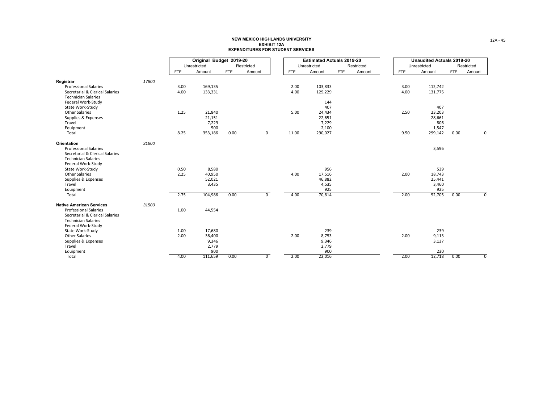|                                                  |       |            | Original Budget 2019-20 |            |                |            | <b>Estimated Actuals 2019-20</b> |            |            |            | <b>Unaudited Actuals 2019-20</b> |            |                |
|--------------------------------------------------|-------|------------|-------------------------|------------|----------------|------------|----------------------------------|------------|------------|------------|----------------------------------|------------|----------------|
|                                                  |       |            | Unrestricted            |            | Restricted     |            | Unrestricted                     |            | Restricted |            | Unrestricted                     |            | Restricted     |
|                                                  |       | <b>FTE</b> | Amount                  | <b>FTE</b> | Amount         | <b>FTE</b> | Amount                           | <b>FTE</b> | Amount     | <b>FTE</b> | Amount                           | <b>FTE</b> | Amount         |
| Registrar                                        | 17800 |            |                         |            |                |            |                                  |            |            |            |                                  |            |                |
| <b>Professional Salaries</b>                     |       | 3.00       | 169,135                 |            |                | 2.00       | 103,833                          |            |            | 3.00       | 112,742                          |            |                |
| Secretarial & Clerical Salaries                  |       | 4.00       | 133,331                 |            |                | 4.00       | 129,229                          |            |            | 4.00       | 131,775                          |            |                |
| <b>Technician Salaries</b>                       |       |            |                         |            |                |            |                                  |            |            |            |                                  |            |                |
| Federal Work-Study                               |       |            |                         |            |                |            | 144                              |            |            |            |                                  |            |                |
| State Work-Study                                 |       |            |                         |            |                |            | 407                              |            |            |            | 407                              |            |                |
| <b>Other Salaries</b>                            |       | 1.25       | 21,840                  |            |                | 5.00       | 24,434                           |            |            | 2.50       | 23,203                           |            |                |
| Supplies & Expenses<br>Travel                    |       |            | 21,151                  |            |                |            | 22,651                           |            |            |            | 28,661<br>806                    |            |                |
| Equipment                                        |       |            | 7,229<br>500            |            |                |            | 7,229<br>2,100                   |            |            |            | 1,547                            |            |                |
| Total                                            |       | 8.25       | 353,186                 | 0.00       | $\overline{0}$ | 11.00      | 290,027                          |            |            | 9.50       | 299,142                          | 0.00       | $\overline{0}$ |
|                                                  |       |            |                         |            |                |            |                                  |            |            |            |                                  |            |                |
| Orientation                                      | 31600 |            |                         |            |                |            |                                  |            |            |            |                                  |            |                |
| <b>Professional Salaries</b>                     |       |            |                         |            |                |            |                                  |            |            |            | 3,596                            |            |                |
| Secretarial & Clerical Salaries                  |       |            |                         |            |                |            |                                  |            |            |            |                                  |            |                |
| <b>Technician Salaries</b><br>Federal Work-Study |       |            |                         |            |                |            |                                  |            |            |            |                                  |            |                |
| State Work-Study                                 |       | 0.50       | 8,580                   |            |                |            | 956                              |            |            |            | 539                              |            |                |
| <b>Other Salaries</b>                            |       | 2.25       | 40,950                  |            |                | 4.00       | 17,516                           |            |            | 2.00       | 18,743                           |            |                |
| Supplies & Expenses                              |       |            | 52,021                  |            |                |            | 46,882                           |            |            |            | 25,441                           |            |                |
| Travel                                           |       |            | 3,435                   |            |                |            | 4,535                            |            |            |            | 3,460                            |            |                |
| Equipment                                        |       |            |                         |            |                |            | 925                              |            |            |            | 925                              |            |                |
| Total                                            |       | 2.75       | 104,986                 | 0.00       | $\overline{0}$ | 4.00       | 70,814                           |            |            | 2.00       | 52,705                           | 0.00       | $\overline{0}$ |
| <b>Native American Services</b>                  | 31500 |            |                         |            |                |            |                                  |            |            |            |                                  |            |                |
| <b>Professional Salaries</b>                     |       | 1.00       | 44,554                  |            |                |            |                                  |            |            |            |                                  |            |                |
| Secretarial & Clerical Salaries                  |       |            |                         |            |                |            |                                  |            |            |            |                                  |            |                |
| <b>Technician Salaries</b>                       |       |            |                         |            |                |            |                                  |            |            |            |                                  |            |                |
| Federal Work-Study                               |       |            |                         |            |                |            |                                  |            |            |            |                                  |            |                |
| State Work-Study                                 |       | 1.00       | 17,680                  |            |                |            | 239                              |            |            |            | 239                              |            |                |
| Other Salaries                                   |       | 2.00       | 36,400                  |            |                | 2.00       | 8,753                            |            |            | 2.00       | 9,113                            |            |                |
| Supplies & Expenses                              |       |            | 9,346                   |            |                |            | 9,346                            |            |            |            | 3,137                            |            |                |
| Travel                                           |       |            | 2,779<br>900            |            |                |            | 2,779<br>900                     |            |            |            | 230                              |            |                |
| Equipment<br>Total                               |       | 4.00       | 111,659                 | 0.00       | $\overline{0}$ | 2.00       | 22,016                           |            |            | 2.00       | 12,718                           | 0.00       | $\mathbf 0$    |
|                                                  |       |            |                         |            |                |            |                                  |            |            |            |                                  |            |                |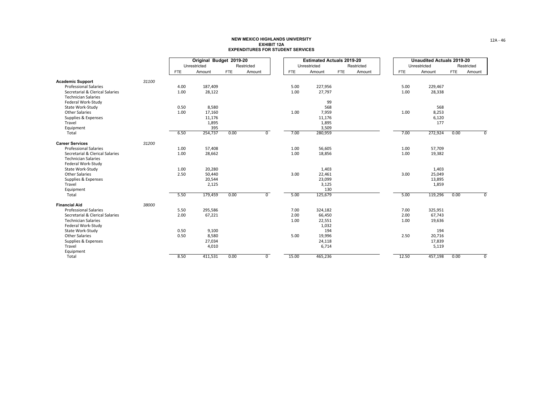|                                                  |       |            | Original Budget 2019-20 |            |                |            | <b>Estimated Actuals 2019-20</b> |            |            |            | <b>Unaudited Actuals 2019-20</b> |            |                |
|--------------------------------------------------|-------|------------|-------------------------|------------|----------------|------------|----------------------------------|------------|------------|------------|----------------------------------|------------|----------------|
|                                                  |       |            | Unrestricted            |            | Restricted     |            | Unrestricted                     |            | Restricted |            | Unrestricted                     |            | Restricted     |
|                                                  |       | <b>FTE</b> | Amount                  | <b>FTE</b> | Amount         | <b>FTE</b> | Amount                           | <b>FTE</b> | Amount     | <b>FTE</b> | Amount                           | <b>FTE</b> | Amount         |
| <b>Academic Support</b>                          | 31100 |            |                         |            |                |            |                                  |            |            |            |                                  |            |                |
| <b>Professional Salaries</b>                     |       | 4.00       | 187,409                 |            |                | 5.00       | 227,956                          |            |            | 5.00       | 229,467                          |            |                |
| Secretarial & Clerical Salaries                  |       | 1.00       | 28,122                  |            |                | 1.00       | 27,797                           |            |            | 1.00       | 28,338                           |            |                |
| <b>Technician Salaries</b>                       |       |            |                         |            |                |            |                                  |            |            |            |                                  |            |                |
| Federal Work-Study                               |       |            |                         |            |                |            | 99                               |            |            |            |                                  |            |                |
| State Work-Study                                 |       | 0.50       | 8,580                   |            |                |            | 568                              |            |            |            | 568                              |            |                |
| <b>Other Salaries</b>                            |       | 1.00       | 17,160                  |            |                | 1.00       | 7,959                            |            |            | 1.00       | 8,253                            |            |                |
| Supplies & Expenses<br>Travel                    |       |            | 11,176                  |            |                |            | 11,176                           |            |            |            | 6,120                            |            |                |
| Equipment                                        |       |            | 1,895<br>395            |            |                |            | 1,895<br>3,509                   |            |            |            | 177                              |            |                |
| Total                                            |       | 6.50       | 254,737                 | 0.00       | 0              | 7.00       | 280,959                          |            |            | 7.00       | 272,924                          | 0.00       | $^{\circ}$     |
|                                                  |       |            |                         |            |                |            |                                  |            |            |            |                                  |            |                |
| <b>Career Services</b>                           | 31200 |            |                         |            |                |            |                                  |            |            |            |                                  |            |                |
| <b>Professional Salaries</b>                     |       | 1.00       | 57,408                  |            |                | 1.00       | 56,605                           |            |            | 1.00       | 57,709                           |            |                |
| Secretarial & Clerical Salaries                  |       | 1.00       | 28,662                  |            |                | 1.00       | 18,856                           |            |            | 1.00       | 19,382                           |            |                |
| <b>Technician Salaries</b><br>Federal Work-Study |       |            |                         |            |                |            |                                  |            |            |            |                                  |            |                |
| State Work-Study                                 |       | 1.00       | 20,280                  |            |                |            | 1,403                            |            |            |            | 1,403                            |            |                |
| <b>Other Salaries</b>                            |       | 2.50       | 50,440                  |            |                | 3.00       | 22,461                           |            |            | 3.00       | 25,049                           |            |                |
| Supplies & Expenses                              |       |            | 20,544                  |            |                |            | 23,099                           |            |            |            | 13,895                           |            |                |
| Travel                                           |       |            | 2,125                   |            |                |            | 3,125                            |            |            |            | 1,859                            |            |                |
| Equipment                                        |       |            |                         |            |                |            | 130                              |            |            |            |                                  |            |                |
| Total                                            |       | 5.50       | 179,459                 | 0.00       | $\overline{0}$ | 5.00       | 125,679                          |            |            | 5.00       | 119,296                          | 0.00       | $\overline{0}$ |
| <b>Financial Aid</b>                             | 38000 |            |                         |            |                |            |                                  |            |            |            |                                  |            |                |
| <b>Professional Salaries</b>                     |       | 5.50       | 295,586                 |            |                | 7.00       | 324,182                          |            |            | 7.00       | 325,951                          |            |                |
| Secretarial & Clerical Salaries                  |       | 2.00       | 67,221                  |            |                | 2.00       | 66,450                           |            |            | 2.00       | 67,743                           |            |                |
| <b>Technician Salaries</b>                       |       |            |                         |            |                | 1.00       | 22,551                           |            |            | 1.00       | 19,636                           |            |                |
| Federal Work-Study                               |       |            |                         |            |                |            | 1,032                            |            |            |            |                                  |            |                |
| State Work-Study                                 |       | 0.50       | 9,100                   |            |                |            | 194                              |            |            |            | 194                              |            |                |
| <b>Other Salaries</b>                            |       | 0.50       | 8,580                   |            |                | 5.00       | 19,996                           |            |            | 2.50       | 20,716                           |            |                |
| Supplies & Expenses                              |       |            | 27,034                  |            |                |            | 24,118                           |            |            |            | 17,839                           |            |                |
| Travel                                           |       |            | 4,010                   |            |                |            | 6,714                            |            |            |            | 5,119                            |            |                |
| Equipment                                        |       |            |                         |            |                |            |                                  |            |            |            |                                  |            |                |
| Total                                            |       | 8.50       | 411,531                 | 0.00       | $\overline{0}$ | 15.00      | 465,236                          |            |            | 12.50      | 457,198                          | 0.00       | $\overline{0}$ |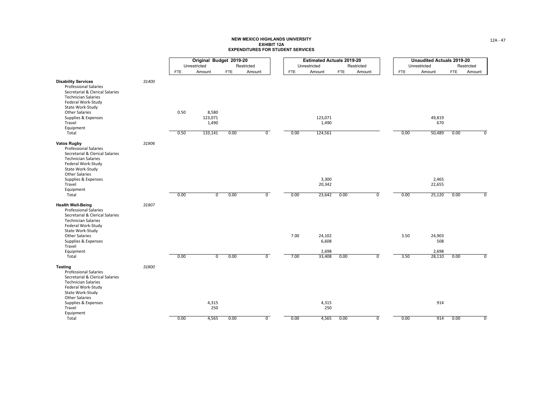|                                                                                                                                                                                                                                              |       |            | Original Budget 2019-20   |            |                |            | <b>Estimated Actuals 2019-20</b> |            |                |            | <b>Unaudited Actuals 2019-20</b> |            |                           |
|----------------------------------------------------------------------------------------------------------------------------------------------------------------------------------------------------------------------------------------------|-------|------------|---------------------------|------------|----------------|------------|----------------------------------|------------|----------------|------------|----------------------------------|------------|---------------------------|
|                                                                                                                                                                                                                                              |       |            | Unrestricted              |            | Restricted     |            | Unrestricted                     |            | Restricted     |            | Unrestricted                     |            | Restricted                |
|                                                                                                                                                                                                                                              |       | <b>FTE</b> | Amount                    | <b>FTE</b> | Amount         | <b>FTE</b> | Amount                           | <b>FTE</b> | Amount         | <b>FTE</b> | Amount                           | <b>FTE</b> | Amount                    |
| <b>Disability Services</b><br><b>Professional Salaries</b><br>Secretarial & Clerical Salaries<br><b>Technician Salaries</b><br>Federal Work-Study<br>State Work-Study<br><b>Other Salaries</b><br>Supplies & Expenses<br>Travel<br>Equipment | 31400 | 0.50       | 8,580<br>123,071<br>1,490 |            |                |            | 123,071<br>1,490                 |            |                |            | 49,819<br>670                    |            |                           |
| Total                                                                                                                                                                                                                                        |       | 0.50       | 133,141                   | 0.00       | $\overline{0}$ | 0.00       | 124,561                          |            |                | 0.00       | 50,489                           | 0.00       | $\overline{0}$            |
| <b>Vatos Rugby</b><br><b>Professional Salaries</b><br>Secretarial & Clerical Salaries<br><b>Technician Salaries</b><br>Federal Work-Study<br>State Work-Study<br><b>Other Salaries</b>                                                       | 31906 |            |                           |            |                |            |                                  |            |                |            |                                  |            |                           |
| Supplies & Expenses<br>Travel                                                                                                                                                                                                                |       |            |                           |            |                |            | 3,300<br>20,342                  |            |                |            | 2,465<br>22,655                  |            |                           |
| Equipment                                                                                                                                                                                                                                    |       |            |                           |            |                |            |                                  |            |                |            |                                  |            |                           |
| Total                                                                                                                                                                                                                                        |       | 0.00       | $\overline{0}$            | 0.00       | $\overline{0}$ | 0.00       | 23,642                           | 0.00       | ⊽              | 0.00       | 25,120                           | 0.00       | $\overline{\mathfrak{o}}$ |
| <b>Health Well-Being</b><br><b>Professional Salaries</b><br>Secretarial & Clerical Salaries<br><b>Technician Salaries</b><br>Federal Work-Study<br>State Work-Study                                                                          | 31907 |            |                           |            |                |            |                                  |            |                |            |                                  |            |                           |
| <b>Other Salaries</b>                                                                                                                                                                                                                        |       |            |                           |            |                | 7.00       | 24,102                           |            |                | 3.50       | 24,903                           |            |                           |
| Supplies & Expenses<br>Travel                                                                                                                                                                                                                |       |            |                           |            |                |            | 6,608                            |            |                |            | 508                              |            |                           |
| Equipment<br>Total                                                                                                                                                                                                                           |       | 0.00       | $\overline{0}$            | 0.00       | $\overline{0}$ | 7.00       | 2,698<br>33,408                  | 0.00       | $\overline{0}$ | 3.50       | 2,698<br>28,110                  | 0.00       | $\overline{0}$            |
| <b>Testing</b><br><b>Professional Salaries</b><br>Secretarial & Clerical Salaries<br><b>Technician Salaries</b><br>Federal Work-Study<br>State Work-Study<br><b>Other Salaries</b>                                                           | 31800 |            |                           |            |                |            |                                  |            |                |            |                                  |            |                           |
| Supplies & Expenses<br>Travel<br>Equipment                                                                                                                                                                                                   |       |            | 4,315<br>250              |            |                |            | 4,315<br>250                     |            |                |            | 914                              |            |                           |
| Total                                                                                                                                                                                                                                        |       | 0.00       | 4,565                     | 0.00       | $\overline{0}$ | 0.00       | 4,565                            | 0.00       | $\overline{0}$ | 0.00       | 914                              | 0.00       | $\overline{0}$            |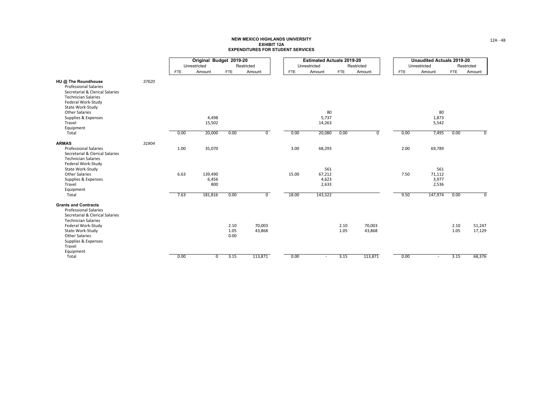|                                                                                                                                                                                                                                  |       |            | Original Budget 2019-20 |                      |                  |            | <b>Estimated Actuals 2019-20</b> |              |                  |            | <b>Unaudited Actuals 2019-20</b> |              |                  |
|----------------------------------------------------------------------------------------------------------------------------------------------------------------------------------------------------------------------------------|-------|------------|-------------------------|----------------------|------------------|------------|----------------------------------|--------------|------------------|------------|----------------------------------|--------------|------------------|
|                                                                                                                                                                                                                                  |       |            | Unrestricted            |                      | Restricted       |            | Unrestricted                     |              | Restricted       |            | Unrestricted                     |              | Restricted       |
|                                                                                                                                                                                                                                  |       | <b>FTE</b> | Amount                  | <b>FTE</b>           | Amount           | <b>FTE</b> | Amount                           | <b>FTE</b>   | Amount           | <b>FTE</b> | Amount                           | <b>FTE</b>   | Amount           |
| HU @ The Roundhouse<br><b>Professional Salaries</b><br>Secretarial & Clerical Salaries<br><b>Technician Salaries</b><br>Federal Work-Study<br>State Work-Study<br><b>Other Salaries</b><br>Supplies & Expenses<br>Travel         | 37620 |            | 4,498<br>15,502         |                      |                  |            | 80<br>5,737<br>14,263            |              |                  |            | 80<br>1,873<br>5,542             |              |                  |
| Equipment                                                                                                                                                                                                                        |       |            |                         |                      |                  |            |                                  |              |                  |            |                                  |              |                  |
| Total                                                                                                                                                                                                                            |       | 0.00       | 20,000                  | 0.00                 | $\overline{0}$   | 0.00       | 20,080                           | 0.00         | 0                | 0.00       | 7,495                            | 0.00         | 0                |
| <b>ARMAS</b><br><b>Professional Salaries</b><br>Secretarial & Clerical Salaries<br><b>Technician Salaries</b>                                                                                                                    | 31904 | 1.00       | 35,070                  |                      |                  | 3.00       | 68,293                           |              |                  | 2.00       | 69,789                           |              |                  |
| Federal Work-Study<br>State Work-Study<br><b>Other Salaries</b><br>Supplies & Expenses<br>Travel<br>Equipment                                                                                                                    |       | 6.63       | 139,490<br>6,456<br>800 |                      |                  | 15.00      | 561<br>67,212<br>4,623<br>2,633  |              |                  | 7.50       | 561<br>71,112<br>3,977<br>2,536  |              |                  |
| Total                                                                                                                                                                                                                            |       | 7.63       | 181,816                 | 0.00                 | $\overline{0}$   | 18.00      | 143,322                          |              |                  | 9.50       | 147,974                          | 0.00         | $\overline{0}$   |
| <b>Grants and Contracts</b><br><b>Professional Salaries</b><br>Secretarial & Clerical Salaries<br><b>Technician Salaries</b><br>Federal Work-Study<br>State Work-Study<br><b>Other Salaries</b><br>Supplies & Expenses<br>Travel |       |            |                         | 2.10<br>1.05<br>0.00 | 70,003<br>43,868 |            |                                  | 2.10<br>1.05 | 70,003<br>43,868 |            |                                  | 2.10<br>1.05 | 51,247<br>17,129 |
| Equipment<br>Total                                                                                                                                                                                                               |       | 0.00       | $\mathbf 0$             | 3.15                 | 113,871          | 0.00       | $\overline{\phantom{a}}$         | 3.15         | 113,871          | 0.00       |                                  | 3.15         | 68,376           |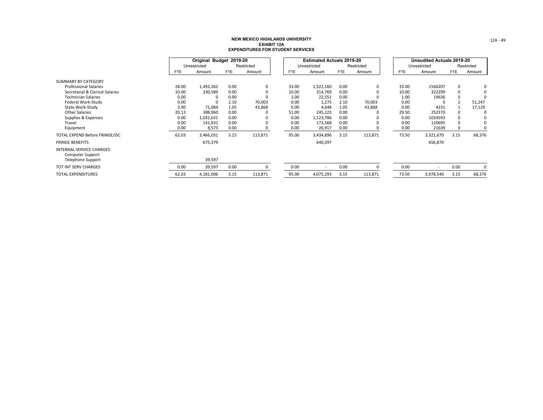|                                                                                        |            | Original Budget 2019-20 |            |            |            | <b>Estimated Actuals 2019-20</b> |            |            |            | <b>Unaudited Actuals 2019-20</b> |            |            |
|----------------------------------------------------------------------------------------|------------|-------------------------|------------|------------|------------|----------------------------------|------------|------------|------------|----------------------------------|------------|------------|
|                                                                                        |            | Unrestricted            |            | Restricted |            | Unrestricted                     |            | Restricted |            | Unrestricted                     |            | Restricted |
|                                                                                        | <b>FTE</b> | Amount                  | <b>FTE</b> | Amount     | <b>FTE</b> | Amount                           | <b>FTE</b> | Amount     | <b>FTE</b> | Amount                           | <b>FTE</b> | Amount     |
| SUMMARY BY CATEGORY                                                                    |            |                         |            |            |            |                                  |            |            |            |                                  |            |            |
| <b>Professional Salaries</b>                                                           | 28.00      | 1,492,262               | 0.00       | 0          | 33.00      | 1,522,160                        | 0.00       | 0          | 33.00      | 1566207                          | 0          | 0          |
| Secretarial & Clerical Salaries                                                        | 10.00      | 330,589                 | 0.00       | 0          | 10.00      | 314,769                          | 0.00       |            | 10.00      | 322299                           | 0          |            |
| <b>Technician Salaries</b>                                                             | 0.00       |                         | 0.00       | 0          | 1.00       | 22,551                           | 0.00       | $\Omega$   | 1.00       | 19636                            | 0          |            |
| Federal Work-Study                                                                     | 0.00       |                         | 2.10       | 70,003     | 0.00       | 1,275                            | 2.10       | 70,003     | 0.00       |                                  |            | 51,247     |
| State Work-Study                                                                       | 3.90       | 71,084                  | 1.05       | 43,868     | 0.00       | 4,648                            | 1.05       | 43,868     | 0.00       | 4231                             |            | 17,129     |
| <b>Other Salaries</b>                                                                  | 20.13      | 388,960                 | 0.00       |            | 51.00      | 245,223                          | 0.00       |            | 29.50      | 252370                           | $\Omega$   | 0          |
| Supplies & Expenses                                                                    | 0.00       | 1,032,631               | 0.00       |            | 0.00       | 1,123,786                        | 0.00       |            | 0.00       | 1024593                          | $\Omega$   |            |
| Travel                                                                                 | 0.00       | 141,931                 | 0.00       |            | 0.00       | 173,568                          | 0.00       |            | 0.00       | 110695                           | 0          |            |
| Equipment                                                                              | 0.00       | 8,573                   | 0.00       | 0          | 0.00       | 26,917                           | 0.00       |            | 0.00       | 21639                            | 0          |            |
| TOTAL EXPEND Before FRINGE/ISC                                                         | 62.03      | 3,466,031               | 3.15       | 113,871    | 95.00      | 3,434,896                        | 3.15       | 113,871    | 73.50      | 3,321,670                        | 3.15       | 68,376     |
| <b>FRINGE BENEFITS</b>                                                                 |            | 675,379                 |            |            |            | 640,397                          |            |            |            | 656,870                          |            |            |
| <b>INTERNAL SERVICE CHARGES</b><br><b>Computer Support</b><br><b>Telephone Support</b> |            | 39,597                  |            |            |            |                                  |            |            |            |                                  |            |            |
| TOT INT SERV CHARGES                                                                   | 0.00       | 39,597                  | 0.00       | 0          | 0.00       |                                  | 0.00       | $\Omega$   | 0.00       | $\overline{\phantom{a}}$         | 0.00       | 0          |
| <b>TOTAL EXPENDITURES</b>                                                              | 62.03      | 4,181,006               | 3.15       | 113,871    | 95.00      | 4,075,293                        | 3.15       | 113,871    | 73.50      | 3,978,540                        | 3.15       | 68,376     |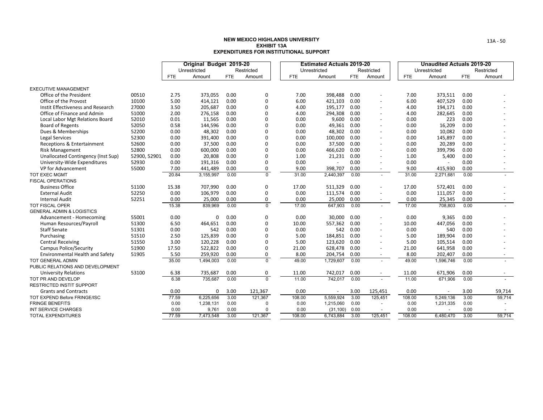|                                        |              |            | Original Budget 2019-20 |            |                |            | <b>Estimated Actuals 2019-20</b> |            |                          |            | <b>Unaudited Actuals 2019-20</b> |            |                          |
|----------------------------------------|--------------|------------|-------------------------|------------|----------------|------------|----------------------------------|------------|--------------------------|------------|----------------------------------|------------|--------------------------|
|                                        |              |            | Unrestricted            |            | Restricted     |            | Unrestricted                     |            | Restricted               |            | Unrestricted                     |            | Restricted               |
|                                        |              | <b>FTE</b> | Amount                  | <b>FTE</b> | Amount         | <b>FTE</b> | Amount                           | <b>FTE</b> | Amount                   | <b>FTE</b> | Amount                           | <b>FTE</b> | Amount                   |
| <b>EXECUTIVE MANAGEMENT</b>            |              |            |                         |            |                |            |                                  |            |                          |            |                                  |            |                          |
| Office of the President                | 00510        | 2.75       | 373,055                 | 0.00       | 0              | 7.00       | 398,488                          | 0.00       |                          | 7.00       | 373,511                          | 0.00       |                          |
| Office of the Provost                  | 10100        | 5.00       | 414,121                 | 0.00       | $\mathbf 0$    | 6.00       | 421,103                          | 0.00       | $\blacksquare$           | 6.00       | 407,529                          | 0.00       |                          |
| Instit Effectiveness and Research      | 27000        | 3.50       | 205,687                 | 0.00       | $\mathbf 0$    | 4.00       | 195,177                          | 0.00       | $\sim$                   | 4.00       | 194,171                          | 0.00       |                          |
| Office of Finance and Admin            | 51000        | 2.00       | 276,158                 | 0.00       | $\Omega$       | 4.00       | 294,308                          | 0.00       | $\overline{\phantom{a}}$ | 4.00       | 282,645                          | 0.00       |                          |
| Local Labor Mgt Relations Board        | 52010        | 0.01       | 11,565                  | 0.00       | 0              | 0.00       | 9,600                            | 0.00       | $\overline{\phantom{a}}$ | 0.00       | 223                              | 0.00       |                          |
| <b>Board of Regents</b>                | 52050        | 0.58       | 144,596                 | 0.00       | $\mathbf 0$    | 0.00       | 49,361                           | 0.00       | $\overline{\phantom{a}}$ | 0.00       | 16,209                           | 0.00       |                          |
| Dues & Memberships                     | 52200        | 0.00       | 48,302                  | 0.00       | $\mathbf 0$    | 0.00       | 48,302                           | 0.00       | $\overline{\phantom{a}}$ | 0.00       | 10,082                           | 0.00       |                          |
| Legal Services                         | 52300        | 0.00       | 391,400                 | 0.00       | $\mathbf 0$    | 0.00       | 100,000                          | 0.00       | $\overline{\phantom{a}}$ | 0.00       | 145,897                          | 0.00       |                          |
| Receptions & Entertainment             | 52600        | 0.00       | 37,500                  | 0.00       | $\Omega$       | 0.00       | 37,500                           | 0.00       | $\overline{\phantom{a}}$ | 0.00       | 20,289                           | 0.00       |                          |
| Risk Management                        | 52800        | 0.00       | 600,000                 | 0.00       | $\mathbf 0$    | 0.00       | 466,620                          | 0.00       | $\overline{\phantom{a}}$ | 0.00       | 399,796                          | 0.00       |                          |
| Unallocated Contingency (Inst Sup)     | 52900, 52901 | 0.00       | 20,808                  | 0.00       | $\mathbf 0$    | 1.00       | 21,231                           | 0.00       | $\overline{\phantom{a}}$ | 1.00       | 5,400                            | 0.00       |                          |
| University-Wide Expenditures           | 52930        | 0.00       | 191,316                 | 0.00       | $\mathbf 0$    | 0.00       |                                  | 0.00       | $\overline{\phantom{a}}$ | 0.00       |                                  | 0.00       |                          |
| VP for Advancement                     | 55000        | 7.00       | 441,489                 | 0.00       | 0              | 9.00       | 398,707                          | 0.00       | $\sim$                   | 9.00       | 415,930                          | 0.00       | $\overline{\phantom{a}}$ |
| TOT EXEC MGMT                          |              | 20.84      | 3,155,997               | 0.00       | $\Omega$       | 31.00      | 2,440,397                        | 0.00       | $\sim$                   | 31.00      | 2,271,681                        | 0.00       |                          |
| <b>FISCAL OPERATIONS</b>               |              |            |                         |            |                |            |                                  |            |                          |            |                                  |            |                          |
| <b>Business Office</b>                 | 51100        | 15.38      | 707,990                 | 0.00       | 0              | 17.00      | 511,329                          | 0.00       | $\sim$                   | 17.00      | 572,401                          | 0.00       |                          |
| <b>External Audit</b>                  | 52250        | 0.00       | 106,979                 | 0.00       | $\mathbf 0$    | 0.00       | 111,574                          | 0.00       | $\sim$                   | 0.00       | 111,057                          | 0.00       |                          |
| <b>Internal Audit</b>                  | 52251        | 0.00       | 25,000                  | 0.00       | 0              | 0.00       | 25,000                           | 0.00       | $\overline{\phantom{a}}$ | 0.00       | 25,345                           | 0.00       |                          |
| TOT FISCAL OPER                        |              | 15.38      | 839,969                 | 0.00       | $\overline{0}$ | 17.00      | 647,903                          | 0.00       | $\sim$                   | 17.00      | 708,803                          | 0.00       |                          |
| <b>GENERAL ADMIN &amp; LOGISTICS</b>   |              |            |                         |            |                |            |                                  |            |                          |            |                                  |            |                          |
| Advancement - Homecoming               | 55001        | 0.00       | $\Omega$                | 0.00       | $\mathbf 0$    | 0.00       | 30.000                           | 0.00       | $\blacksquare$           | 0.00       | 9,365                            | 0.00       |                          |
| Human Resources/Payroll                | 51300        | 6.50       | 464,651                 | 0.00       | $\Omega$       | 10.00      | 557,362                          | 0.00       | $\overline{\phantom{a}}$ | 10.00      | 447,056                          | 0.00       |                          |
| <b>Staff Senate</b>                    | 51301        | 0.00       | 542                     | 0.00       | $\mathbf 0$    | 0.00       | 542                              | 0.00       | $\overline{\phantom{a}}$ | 0.00       | 540                              | 0.00       |                          |
| Purchasing                             | 51510        | 2.50       | 125,839                 | 0.00       | $\mathbf 0$    | 5.00       | 184,851                          | 0.00       | $\overline{\phantom{a}}$ | 5.00       | 189,904                          | 0.00       |                          |
| <b>Central Receiving</b>               | 51550        | 3.00       | 120,228                 | 0.00       | $\Omega$       | 5.00       | 123,620                          | 0.00       | $\blacksquare$           | 5.00       | 105,514                          | 0.00       |                          |
| <b>Campus Police/Security</b>          | 51900        | 17.50      | 522,822                 | 0.00       | $\mathbf 0$    | 21.00      | 628,478                          | 0.00       | $\overline{\phantom{a}}$ | 21.00      | 641,958                          | 0.00       |                          |
| <b>Environmental Health and Safety</b> | 51905        | 5.50       | 259,920                 | 0.00       | 0              | 8.00       | 204,754                          | 0.00       | $\overline{\phantom{a}}$ | 8.00       | 202,407                          | 0.00       | $\sim$                   |
| <b>TOT GENERAL ADMIN</b>               |              | 35.00      | 1,494,003               | 0.00       | $\mathbf 0$    | 49.00      | 1,729,607                        | 0.00       | $\sim$                   | 49.00      | 1,596,746                        | 0.00       |                          |
| PUBLIC RELATIONS AND DEVELOPMENT       |              |            |                         |            |                |            |                                  |            |                          |            |                                  |            |                          |
| <b>University Relations</b>            | 53100        | 6.38       | 735,687                 | 0.00       | 0              | 11.00      | 742,017                          | 0.00       | $\overline{\phantom{a}}$ | 11.00      | 671,906                          | 0.00       | $\overline{\phantom{a}}$ |
| TOT PR AND DEVELOP                     |              | 6.38       | 735,687                 | 0.00       | $\overline{0}$ | 11.00      | 742,017                          | 0.00       | $\overline{\phantom{a}}$ | 11.00      | 671,906                          | 0.00       |                          |
| <b>RESTRICTED INSTIT SUPPORT</b>       |              |            |                         |            |                |            |                                  |            |                          |            |                                  |            |                          |
| <b>Grants and Contracts</b>            |              | 0.00       | 0                       | 3.00       | 121,367        | 0.00       |                                  | 3.00       | 125,451                  | 0.00       |                                  | 3.00       | 59,714                   |
| <b>TOT EXPEND Before FRINGE/ISC</b>    |              | 77.59      | 6,225,656               | 3.00       | 121,367        | 108.00     | 5,559,924                        | 3.00       | 125,451                  | 108.00     | 5,249,136                        | 3.00       | 59,714                   |
| <b>FRINGE BENEFITS</b>                 |              | 0.00       | 1,238,131               | 0.00       | $\Omega$       | 0.00       | 1,215,060                        | 0.00       | $\overline{\phantom{a}}$ | 0.00       | 1,231,335                        | 0.00       |                          |
| <b>INT SERVICE CHARGES</b>             |              | 0.00       | 9,761                   | 0.00       | $\Omega$       | 0.00       | (31, 100)                        | 0.00       |                          | 0.00       |                                  | 0.00       |                          |
| <b>TOTAL EXPENDITURES</b>              |              | 77.59      | 7,473,548               | 3.00       | 121,367        | 108.00     | 6,743,884                        | 3.00       | 125,451                  | 108.00     | 6,480,470                        | 3.00       | 59,714                   |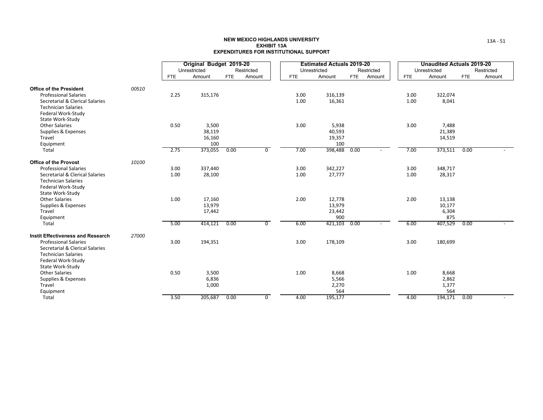|                                                                                                                                                                 |       |            | Original Budget 2019-20          |            |                |              | <b>Estimated Actuals 2019-20</b>  |            |            |              | <b>Unaudited Actuals 2019-20</b> |            |            |
|-----------------------------------------------------------------------------------------------------------------------------------------------------------------|-------|------------|----------------------------------|------------|----------------|--------------|-----------------------------------|------------|------------|--------------|----------------------------------|------------|------------|
|                                                                                                                                                                 |       |            | Unrestricted                     |            | Restricted     |              | Unrestricted                      |            | Restricted |              | Unrestricted                     |            | Restricted |
|                                                                                                                                                                 |       | <b>FTE</b> | Amount                           | <b>FTE</b> | Amount         | <b>FTE</b>   | Amount                            | <b>FTE</b> | Amount     | <b>FTE</b>   | Amount                           | <b>FTE</b> | Amount     |
| <b>Office of the President</b>                                                                                                                                  | 00510 |            |                                  |            |                |              |                                   |            |            |              |                                  |            |            |
| <b>Professional Salaries</b><br>Secretarial & Clerical Salaries<br><b>Technician Salaries</b><br>Federal Work-Study<br>State Work-Study                         |       | 2.25       | 315,176                          |            |                | 3.00<br>1.00 | 316,139<br>16,361                 |            |            | 3.00<br>1.00 | 322,074<br>8,041                 |            |            |
| <b>Other Salaries</b><br>Supplies & Expenses<br>Travel<br>Equipment                                                                                             |       | 0.50       | 3,500<br>38,119<br>16,160<br>100 |            |                | 3.00         | 5,938<br>40,593<br>19,357<br>100  |            |            | 3.00         | 7,488<br>21,389<br>14,519        |            |            |
| Total                                                                                                                                                           |       | 2.75       | 373,055                          | 0.00       | $\overline{0}$ | 7.00         | 398,488                           | 0.00       |            | 7.00         | 373,511                          | 0.00       |            |
| <b>Office of the Provost</b><br><b>Professional Salaries</b>                                                                                                    | 10100 | 3.00       | 337,440                          |            |                | 3.00         | 342,227                           |            |            | 3.00         | 348,717                          |            |            |
| Secretarial & Clerical Salaries<br><b>Technician Salaries</b><br>Federal Work-Study<br>State Work-Study                                                         |       | 1.00       | 28,100                           |            |                | 1.00         | 27,777                            |            |            | 1.00         | 28,317                           |            |            |
| <b>Other Salaries</b><br>Supplies & Expenses<br>Travel<br>Equipment                                                                                             |       | 1.00       | 17,160<br>13,979<br>17,442       |            |                | 2.00         | 12,778<br>13,979<br>23,442<br>900 |            |            | 2.00         | 13,138<br>10,177<br>6,304<br>875 |            |            |
| Total                                                                                                                                                           |       | 5.00       | 414,121                          | 0.00       | $\overline{0}$ | 6.00         | 421,103                           | 0.00       |            | 6.00         | 407,529                          | 0.00       |            |
| <b>Instit Effectiveness and Research</b><br><b>Professional Salaries</b><br>Secretarial & Clerical Salaries<br><b>Technician Salaries</b><br>Federal Work-Study | 27000 | 3.00       | 194,351                          |            |                | 3.00         | 178,109                           |            |            | 3.00         | 180,699                          |            |            |
| State Work-Study<br><b>Other Salaries</b><br>Supplies & Expenses<br>Travel<br>Equipment                                                                         |       | 0.50       | 3,500<br>6,836<br>1,000          |            |                | 1.00         | 8,668<br>5,566<br>2,270<br>564    |            |            | 1.00         | 8,668<br>2,862<br>1,377<br>564   |            |            |
| Total                                                                                                                                                           |       | 3.50       | 205,687                          | 0.00       | 0              | 4.00         | 195,177                           |            |            | 4.00         | 194,171                          | 0.00       |            |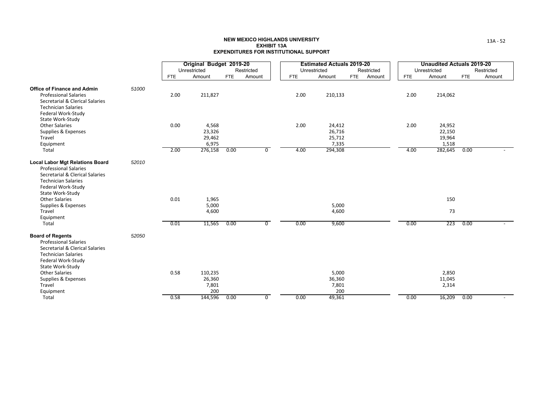|                                                                                                                                                                                      |              | Original Budget 2019-20<br>Unrestricted       |      | Restricted     |              | <b>Estimated Actuals 2019-20</b><br>Unrestricted |            | Restricted |              | <b>Unaudited Actuals 2019-20</b><br>Unrestricted |            | Restricted |
|--------------------------------------------------------------------------------------------------------------------------------------------------------------------------------------|--------------|-----------------------------------------------|------|----------------|--------------|--------------------------------------------------|------------|------------|--------------|--------------------------------------------------|------------|------------|
|                                                                                                                                                                                      | <b>FTE</b>   | Amount                                        | FTE  | Amount         | <b>FTE</b>   | Amount                                           | <b>FTE</b> | Amount     | <b>FTE</b>   | Amount                                           | <b>FTE</b> | Amount     |
| 51000<br><b>Office of Finance and Admin</b><br><b>Professional Salaries</b><br>Secretarial & Clerical Salaries<br><b>Technician Salaries</b>                                         | 2.00         | 211,827                                       |      |                | 2.00         | 210,133                                          |            |            | 2.00         | 214,062                                          |            |            |
| Federal Work-Study<br>State Work-Study<br><b>Other Salaries</b><br>Supplies & Expenses<br>Travel<br>Equipment<br>Total                                                               | 0.00<br>2.00 | 4,568<br>23,326<br>29,462<br>6,975<br>276,158 | 0.00 | 0              | 2.00<br>4.00 | 24,412<br>26,716<br>25,712<br>7,335<br>294,308   |            |            | 2.00<br>4.00 | 24,952<br>22,150<br>19,964<br>1,518<br>282,645   | 0.00       |            |
| <b>Local Labor Mgt Relations Board</b><br>52010<br><b>Professional Salaries</b><br>Secretarial & Clerical Salaries<br><b>Technician Salaries</b><br>Federal Work-Study               |              |                                               |      |                |              |                                                  |            |            |              |                                                  |            |            |
| State Work-Study<br><b>Other Salaries</b><br>Supplies & Expenses<br>Travel<br>Equipment                                                                                              | 0.01         | 1,965<br>5,000<br>4,600                       |      |                |              | 5,000<br>4,600                                   |            |            |              | 150<br>73                                        |            |            |
| Total<br>52050<br><b>Board of Regents</b><br><b>Professional Salaries</b><br>Secretarial & Clerical Salaries<br><b>Technician Salaries</b><br>Federal Work-Study<br>State Work-Study | 0.01         | 11,565                                        | 0.00 | $\overline{0}$ | 0.00         | 9,600                                            |            |            | 0.00         | 223                                              | 0.00       |            |
| <b>Other Salaries</b><br>Supplies & Expenses<br>Travel<br>Equipment<br>Total                                                                                                         | 0.58<br>0.58 | 110,235<br>26,360<br>7,801<br>200<br>144,596  | 0.00 | 0              | 0.00         | 5,000<br>36,360<br>7,801<br>200<br>49,361        |            |            | 0.00         | 2,850<br>11,045<br>2,314<br>16,209               | 0.00       |            |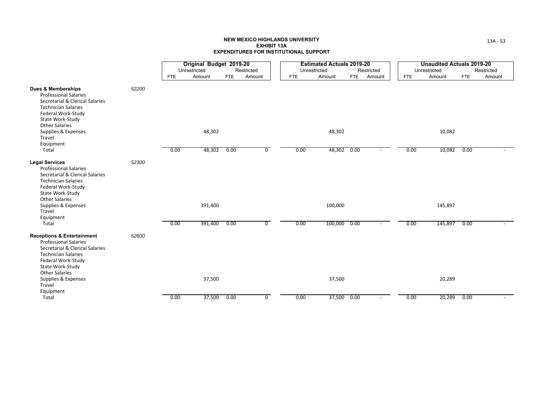|                                                                                                                                                                                                                                  |       |            | Original Budget 2019-20 |            |                |            | <b>Estimated Actuals 2019-20</b> |      |                          |            | <b>Unaudited Actuals 2019-20</b> |            |            |
|----------------------------------------------------------------------------------------------------------------------------------------------------------------------------------------------------------------------------------|-------|------------|-------------------------|------------|----------------|------------|----------------------------------|------|--------------------------|------------|----------------------------------|------------|------------|
|                                                                                                                                                                                                                                  |       |            | Unrestricted            |            | Restricted     |            | Unrestricted                     |      | Restricted               |            | Unrestricted                     |            | Restricted |
|                                                                                                                                                                                                                                  |       | <b>FTE</b> | Amount                  | <b>FTE</b> | Amount         | <b>FTE</b> | Amount                           | FTE  | Amount                   | <b>FTE</b> | Amount                           | <b>FTE</b> | Amount     |
| <b>Dues &amp; Memberships</b><br><b>Professional Salaries</b><br>Secretarial & Clerical Salaries<br><b>Technician Salaries</b><br>Federal Work-Study<br>State Work-Study<br><b>Other Salaries</b>                                | 52200 |            |                         |            |                |            |                                  |      |                          |            |                                  |            |            |
| Supplies & Expenses<br>Travel                                                                                                                                                                                                    |       |            | 48,302                  |            |                |            | 48,302                           |      |                          |            | 10,082                           |            |            |
| Equipment<br>Total                                                                                                                                                                                                               |       | 0.00       | 48,302                  | 0.00       | 0              | 0.00       | 48,302 0.00                      |      |                          | 0.00       | 10,082                           | 0.00       |            |
| <b>Legal Services</b><br><b>Professional Salaries</b><br>Secretarial & Clerical Salaries<br><b>Technician Salaries</b><br>Federal Work-Study<br>State Work-Study<br><b>Other Salaries</b><br>Supplies & Expenses                 | 52300 |            | 391,400                 |            |                |            | 100,000                          |      |                          |            | 145,897                          |            |            |
| Travel<br>Equipment                                                                                                                                                                                                              |       |            |                         |            |                |            |                                  |      |                          |            |                                  |            |            |
| Total                                                                                                                                                                                                                            |       | 0.00       | 391,400                 | 0.00       | $\mathbf 0$    | 0.00       | 100,000                          | 0.00 | $\sim$                   | 0.00       | 145,897                          | 0.00       |            |
| <b>Receptions &amp; Entertainment</b><br><b>Professional Salaries</b><br>Secretarial & Clerical Salaries<br><b>Technician Salaries</b><br>Federal Work-Study<br>State Work-Study<br><b>Other Salaries</b><br>Supplies & Expenses | 52600 |            | 37,500                  |            |                |            | 37,500                           |      |                          |            | 20,289                           |            |            |
| Travel<br>Equipment                                                                                                                                                                                                              |       |            |                         |            |                |            |                                  |      |                          |            |                                  |            |            |
| Total                                                                                                                                                                                                                            |       | 0.00       | 37,500                  | 0.00       | $\overline{0}$ | 0.00       | 37,500 0.00                      |      | $\overline{\phantom{a}}$ | 0.00       | 20,289                           | 0.00       |            |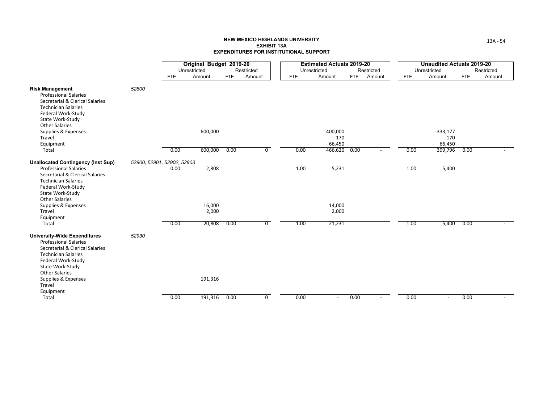|                                                                                                                                                                                                                                                       |                            |              | Original Budget 2019-20 |            |                |            | <b>Estimated Actuals 2019-20</b> |            |            |            | <b>Unaudited Actuals 2019-20</b> |            |            |
|-------------------------------------------------------------------------------------------------------------------------------------------------------------------------------------------------------------------------------------------------------|----------------------------|--------------|-------------------------|------------|----------------|------------|----------------------------------|------------|------------|------------|----------------------------------|------------|------------|
|                                                                                                                                                                                                                                                       |                            | Unrestricted |                         |            | Restricted     |            | Unrestricted                     |            | Restricted |            | Unrestricted                     |            | Restricted |
|                                                                                                                                                                                                                                                       |                            | <b>FTE</b>   | Amount                  | <b>FTE</b> | Amount         | <b>FTE</b> | Amount                           | <b>FTE</b> | Amount     | <b>FTE</b> | Amount                           | <b>FTE</b> | Amount     |
| <b>Risk Management</b><br><b>Professional Salaries</b><br>Secretarial & Clerical Salaries<br><b>Technician Salaries</b><br>Federal Work-Study<br>State Work-Study<br><b>Other Salaries</b>                                                            | 52800                      |              |                         |            |                |            |                                  |            |            |            |                                  |            |            |
| Supplies & Expenses                                                                                                                                                                                                                                   |                            |              | 600,000                 |            |                |            | 400,000                          |            |            |            | 333,177                          |            |            |
| Travel                                                                                                                                                                                                                                                |                            |              |                         |            |                |            | 170                              |            |            |            | 170                              |            |            |
| Equipment                                                                                                                                                                                                                                             |                            |              |                         |            |                |            | 66,450                           |            |            |            | 66,450                           |            |            |
| Total                                                                                                                                                                                                                                                 |                            | 0.00         | 600,000                 | 0.00       | $\overline{0}$ | 0.00       | 466,620                          | 0.00       |            | 0.00       | 399,796                          | 0.00       |            |
| <b>Unallocated Contingency (Inst Sup)</b><br><b>Professional Salaries</b><br>Secretarial & Clerical Salaries<br><b>Technician Salaries</b><br>Federal Work-Study<br>State Work-Study<br><b>Other Salaries</b>                                         | 52900, 52901, 52902, 52903 | 0.00         | 2,808                   |            |                | 1.00       | 5,231                            |            |            | 1.00       | 5,400                            |            |            |
| Supplies & Expenses                                                                                                                                                                                                                                   |                            |              | 16,000                  |            |                |            | 14,000                           |            |            |            |                                  |            |            |
| Travel                                                                                                                                                                                                                                                |                            |              | 2,000                   |            |                |            | 2,000                            |            |            |            |                                  |            |            |
| Equipment                                                                                                                                                                                                                                             |                            |              |                         |            |                |            |                                  |            |            |            |                                  |            |            |
| Total                                                                                                                                                                                                                                                 |                            | 0.00         | 20,808                  | 0.00       | $\overline{0}$ | 1.00       | 21,231                           |            |            | 1.00       | 5,400                            | 0.00       |            |
| <b>University-Wide Expenditures</b><br><b>Professional Salaries</b><br>Secretarial & Clerical Salaries<br><b>Technician Salaries</b><br>Federal Work-Study<br>State Work-Study<br><b>Other Salaries</b><br>Supplies & Expenses<br>Travel<br>Equipment | 52930                      |              | 191,316                 |            |                |            |                                  |            |            |            |                                  |            |            |
| Total                                                                                                                                                                                                                                                 |                            | 0.00         | 191,316                 | 0.00       | $\mathbf 0$    | 0.00       | $\overline{\phantom{a}}$         | 0.00       |            | 0.00       | $\overline{\phantom{a}}$         | 0.00       |            |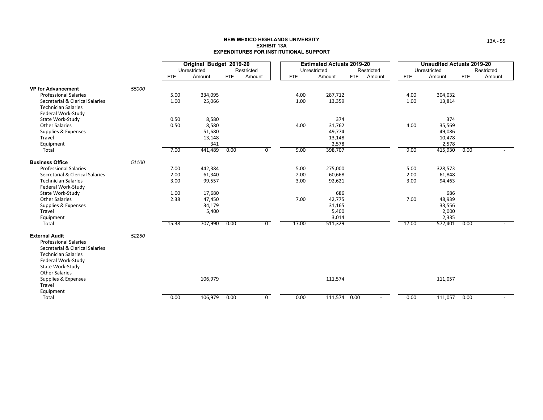|                                                               |       |            | Original Budget 2019-20 |            |                |            | <b>Estimated Actuals 2019-20</b> |            |                          |            | <b>Unaudited Actuals 2019-20</b> |      |            |
|---------------------------------------------------------------|-------|------------|-------------------------|------------|----------------|------------|----------------------------------|------------|--------------------------|------------|----------------------------------|------|------------|
|                                                               |       |            | Unrestricted            |            | Restricted     |            | Unrestricted                     |            | Restricted               |            | Unrestricted                     |      | Restricted |
|                                                               |       | <b>FTE</b> | Amount                  | <b>FTE</b> | Amount         | <b>FTE</b> | Amount                           | <b>FTE</b> | Amount                   | <b>FTE</b> | Amount                           | FTE  | Amount     |
| <b>VP for Advancement</b>                                     | 55000 |            |                         |            |                |            |                                  |            |                          |            |                                  |      |            |
| <b>Professional Salaries</b>                                  |       | 5.00       | 334,095                 |            |                | 4.00       | 287,712                          |            |                          | 4.00       | 304,032                          |      |            |
| Secretarial & Clerical Salaries                               |       | 1.00       | 25,066                  |            |                | 1.00       | 13,359                           |            |                          | 1.00       | 13,814                           |      |            |
| <b>Technician Salaries</b>                                    |       |            |                         |            |                |            |                                  |            |                          |            |                                  |      |            |
| Federal Work-Study                                            |       |            |                         |            |                |            |                                  |            |                          |            |                                  |      |            |
| State Work-Study                                              |       | 0.50       | 8,580                   |            |                |            | 374                              |            |                          |            | 374                              |      |            |
| <b>Other Salaries</b>                                         |       | 0.50       | 8,580                   |            |                | 4.00       | 31,762                           |            |                          | 4.00       | 35,569                           |      |            |
| Supplies & Expenses                                           |       |            | 51,680                  |            |                |            | 49,774                           |            |                          |            | 49,086                           |      |            |
| Travel                                                        |       |            | 13,148                  |            |                |            | 13,148                           |            |                          |            | 10,478                           |      |            |
| Equipment                                                     |       |            | 341                     |            |                |            | 2,578                            |            |                          |            | 2,578                            |      |            |
| Total                                                         |       | 7.00       | 441,489                 | 0.00       | $\mathbf 0$    | 9.00       | 398,707                          |            |                          | 9.00       | 415,930                          | 0.00 |            |
| <b>Business Office</b>                                        | 51100 |            |                         |            |                |            |                                  |            |                          |            |                                  |      |            |
| <b>Professional Salaries</b>                                  |       | 7.00       | 442,384                 |            |                | 5.00       | 275,000                          |            |                          | 5.00       | 328,573                          |      |            |
| Secretarial & Clerical Salaries                               |       | 2.00       | 61,340                  |            |                | 2.00       | 60,668                           |            |                          | 2.00       | 61,848                           |      |            |
| <b>Technician Salaries</b>                                    |       | 3.00       | 99,557                  |            |                | 3.00       | 92,621                           |            |                          | 3.00       | 94,463                           |      |            |
| Federal Work-Study                                            |       |            |                         |            |                |            |                                  |            |                          |            |                                  |      |            |
| State Work-Study                                              |       | 1.00       | 17,680                  |            |                |            | 686                              |            |                          |            | 686                              |      |            |
| <b>Other Salaries</b><br>Supplies & Expenses                  |       | 2.38       | 47,450<br>34,179        |            |                | 7.00       | 42,775<br>31,165                 |            |                          | 7.00       | 48,939<br>33,556                 |      |            |
| Travel                                                        |       |            | 5,400                   |            |                |            | 5,400                            |            |                          |            | 2,000                            |      |            |
| Equipment                                                     |       |            |                         |            |                |            | 3,014                            |            |                          |            | 2,335                            |      |            |
| Total                                                         |       | 15.38      | 707,990                 | 0.00       | $\overline{0}$ | 17.00      | 511,329                          |            |                          | 17.00      | 572,401                          | 0.00 |            |
|                                                               |       |            |                         |            |                |            |                                  |            |                          |            |                                  |      |            |
| <b>External Audit</b>                                         | 52250 |            |                         |            |                |            |                                  |            |                          |            |                                  |      |            |
| <b>Professional Salaries</b>                                  |       |            |                         |            |                |            |                                  |            |                          |            |                                  |      |            |
| Secretarial & Clerical Salaries<br><b>Technician Salaries</b> |       |            |                         |            |                |            |                                  |            |                          |            |                                  |      |            |
| Federal Work-Study                                            |       |            |                         |            |                |            |                                  |            |                          |            |                                  |      |            |
| State Work-Study                                              |       |            |                         |            |                |            |                                  |            |                          |            |                                  |      |            |
| <b>Other Salaries</b>                                         |       |            |                         |            |                |            |                                  |            |                          |            |                                  |      |            |
| Supplies & Expenses                                           |       |            | 106,979                 |            |                |            | 111,574                          |            |                          |            | 111,057                          |      |            |
| Travel                                                        |       |            |                         |            |                |            |                                  |            |                          |            |                                  |      |            |
| Equipment                                                     |       |            |                         |            |                |            |                                  |            |                          |            |                                  |      |            |
| Total                                                         |       | 0.00       | 106,979                 | 0.00       | 0              | 0.00       | 111,574 0.00                     |            | $\overline{\phantom{a}}$ | 0.00       | 111,057                          | 0.00 |            |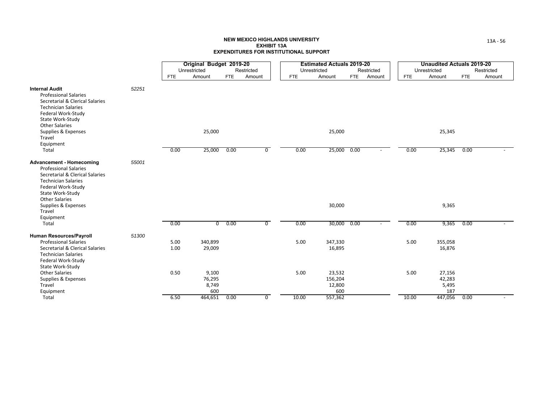|                                                                                                                                                                                                                                      |       |              | Original Budget 2019-20         |            |                |            | <b>Estimated Actuals 2019-20</b>   |            |            |            | <b>Unaudited Actuals 2019-20</b> |            |            |
|--------------------------------------------------------------------------------------------------------------------------------------------------------------------------------------------------------------------------------------|-------|--------------|---------------------------------|------------|----------------|------------|------------------------------------|------------|------------|------------|----------------------------------|------------|------------|
|                                                                                                                                                                                                                                      |       |              | Unrestricted                    |            | Restricted     |            | Unrestricted                       |            | Restricted |            | Unrestricted                     |            | Restricted |
|                                                                                                                                                                                                                                      |       | <b>FTE</b>   | Amount                          | <b>FTE</b> | Amount         | <b>FTE</b> | Amount                             | <b>FTE</b> | Amount     | <b>FTE</b> | Amount                           | <b>FTE</b> | Amount     |
| <b>Internal Audit</b><br><b>Professional Salaries</b><br>Secretarial & Clerical Salaries<br><b>Technician Salaries</b><br>Federal Work-Study<br>State Work-Study                                                                     | 52251 |              |                                 |            |                |            |                                    |            |            |            |                                  |            |            |
| <b>Other Salaries</b><br>Supplies & Expenses<br>Travel<br>Equipment                                                                                                                                                                  |       |              | 25,000                          |            |                |            | 25,000                             |            |            |            | 25,345                           |            |            |
| Total                                                                                                                                                                                                                                |       | 0.00         | 25,000                          | 0.00       | $\overline{0}$ | 0.00       | 25,000                             | 0.00       |            | 0.00       | 25,345                           | 0.00       |            |
| <b>Advancement - Homecoming</b><br><b>Professional Salaries</b><br>Secretarial & Clerical Salaries<br><b>Technician Salaries</b><br>Federal Work-Study<br>State Work-Study<br><b>Other Salaries</b><br>Supplies & Expenses<br>Travel | 55001 |              |                                 |            |                |            | 30,000                             |            |            |            | 9,365                            |            |            |
| Equipment                                                                                                                                                                                                                            |       |              |                                 |            |                |            |                                    |            |            |            |                                  |            |            |
| Total                                                                                                                                                                                                                                |       | 0.00         | $\overline{0}$                  | 0.00       | $\overline{0}$ | 0.00       | 30,000                             | 0.00       |            | 0.00       | 9,365                            | 0.00       |            |
| <b>Human Resources/Payroll</b><br><b>Professional Salaries</b><br>Secretarial & Clerical Salaries<br><b>Technician Salaries</b><br>Federal Work-Study                                                                                | 51300 | 5.00<br>1.00 | 340,899<br>29,009               |            |                | 5.00       | 347,330<br>16,895                  |            |            | 5.00       | 355,058<br>16,876                |            |            |
| State Work-Study<br><b>Other Salaries</b><br>Supplies & Expenses<br>Travel<br>Equipment                                                                                                                                              |       | 0.50         | 9,100<br>76,295<br>8,749<br>600 |            |                | 5.00       | 23,532<br>156,204<br>12,800<br>600 |            |            | 5.00       | 27,156<br>42,283<br>5,495<br>187 |            |            |
| Total                                                                                                                                                                                                                                |       | 6.50         | 464,651                         | 0.00       | $\mathbf{0}$   | 10.00      | 557,362                            |            |            | 10.00      | 447,056                          | 0.00       |            |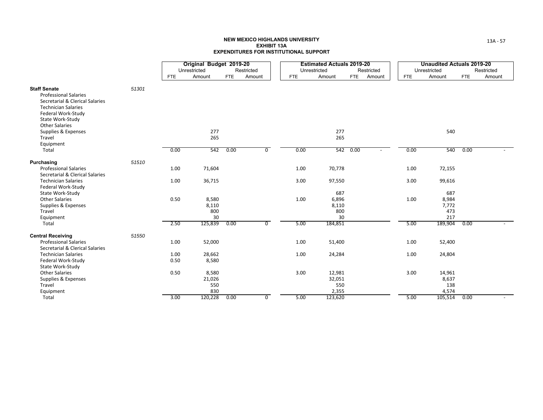|                                                                                                                                                                |       |              | Original Budget 2019-20 |            |                |            | <b>Estimated Actuals 2019-20</b> |                      |            | <b>Unaudited Actuals 2019-20</b> |            |            |
|----------------------------------------------------------------------------------------------------------------------------------------------------------------|-------|--------------|-------------------------|------------|----------------|------------|----------------------------------|----------------------|------------|----------------------------------|------------|------------|
|                                                                                                                                                                |       |              | Unrestricted            |            | Restricted     |            | Unrestricted                     | Restricted           |            | Unrestricted                     |            | Restricted |
|                                                                                                                                                                |       | FTE          | Amount                  | <b>FTE</b> | Amount         | <b>FTE</b> | Amount                           | <b>FTE</b><br>Amount | <b>FTE</b> | Amount                           | <b>FTE</b> | Amount     |
| <b>Staff Senate</b><br><b>Professional Salaries</b><br>Secretarial & Clerical Salaries<br><b>Technician Salaries</b><br>Federal Work-Study<br>State Work-Study | 51301 |              |                         |            |                |            |                                  |                      |            |                                  |            |            |
| <b>Other Salaries</b><br>Supplies & Expenses<br>Travel<br>Equipment                                                                                            |       |              | 277<br>265              |            |                |            | 277<br>265                       |                      |            | 540                              |            |            |
| Total                                                                                                                                                          |       | 0.00         | 542                     | 0.00       | $\overline{0}$ | 0.00       |                                  | 542 0.00             | 0.00       | 540                              | 0.00       |            |
| Purchasing<br><b>Professional Salaries</b><br>Secretarial & Clerical Salaries                                                                                  | 51510 | 1.00         | 71,604                  |            |                | 1.00       | 70,778                           |                      | 1.00       | 72,155                           |            |            |
| <b>Technician Salaries</b><br>Federal Work-Study                                                                                                               |       | 1.00         | 36,715                  |            |                | 3.00       | 97,550                           |                      | 3.00       | 99,616                           |            |            |
| State Work-Study<br><b>Other Salaries</b><br>Supplies & Expenses<br>Travel                                                                                     |       | 0.50         | 8,580<br>8,110<br>800   |            |                | 1.00       | 687<br>6,896<br>8,110<br>800     |                      | 1.00       | 687<br>8,984<br>7,772<br>473     |            |            |
| Equipment<br>Total                                                                                                                                             |       | 2.50         | 30<br>125,839           | 0.00       | $\overline{0}$ | 5.00       | 30<br>184,851                    |                      | 5.00       | 217<br>189,904                   | 0.00       |            |
| <b>Central Receiving</b><br><b>Professional Salaries</b>                                                                                                       | 51550 | 1.00         | 52,000                  |            |                | 1.00       | 51,400                           |                      | 1.00       | 52,400                           |            |            |
| Secretarial & Clerical Salaries<br><b>Technician Salaries</b><br>Federal Work-Study<br>State Work-Study                                                        |       | 1.00<br>0.50 | 28,662<br>8,580         |            |                | 1.00       | 24,284                           |                      | 1.00       | 24,804                           |            |            |
| <b>Other Salaries</b><br>Supplies & Expenses<br>Travel                                                                                                         |       | 0.50         | 8,580<br>21,026<br>550  |            |                | 3.00       | 12,981<br>32,051<br>550          |                      | 3.00       | 14,961<br>8,637<br>138           |            |            |
| Equipment<br>Total                                                                                                                                             |       | 3.00         | 830<br>120,228          | 0.00       | $\mathbf 0$    | 5.00       | 2,355<br>123,620                 |                      | 5.00       | 4,574<br>105,514                 | 0.00       |            |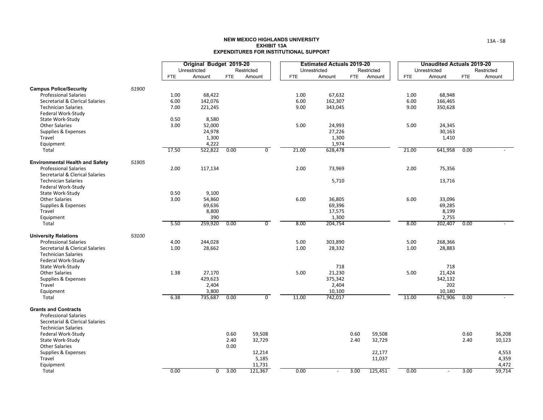|                                                                 |       |            | Original Budget 2019-20 |            |                 |            | <b>Estimated Actuals 2019-20</b> |      |                  |            | <b>Unaudited Actuals 2019-20</b> |            |                |
|-----------------------------------------------------------------|-------|------------|-------------------------|------------|-----------------|------------|----------------------------------|------|------------------|------------|----------------------------------|------------|----------------|
|                                                                 |       |            | Unrestricted            |            | Restricted      |            | Unrestricted                     |      | Restricted       |            | Unrestricted                     |            | Restricted     |
|                                                                 |       | <b>FTE</b> | Amount                  | <b>FTE</b> | Amount          | <b>FTE</b> | Amount                           | FTE  | Amount           | <b>FTE</b> | Amount                           | <b>FTE</b> | Amount         |
| <b>Campus Police/Security</b>                                   | 51900 |            |                         |            |                 |            |                                  |      |                  |            |                                  |            |                |
| <b>Professional Salaries</b>                                    |       | 1.00       | 68,422                  |            |                 | 1.00       | 67,632                           |      |                  | 1.00       | 68,948                           |            |                |
| Secretarial & Clerical Salaries                                 |       | 6.00       | 142,076                 |            |                 | 6.00       | 162,307                          |      |                  | 6.00       | 166,465                          |            |                |
| <b>Technician Salaries</b>                                      |       | 7.00       | 221,245                 |            |                 | 9.00       | 343,045                          |      |                  | 9.00       | 350,628                          |            |                |
| Federal Work-Study                                              |       |            |                         |            |                 |            |                                  |      |                  |            |                                  |            |                |
| State Work-Study                                                |       | 0.50       | 8,580                   |            |                 |            |                                  |      |                  |            |                                  |            |                |
| <b>Other Salaries</b>                                           |       | 3.00       | 52,000                  |            |                 | 5.00       | 24,993                           |      |                  | 5.00       | 24,345                           |            |                |
| Supplies & Expenses                                             |       |            | 24,978                  |            |                 |            | 27,226                           |      |                  |            | 30,163                           |            |                |
| Travel                                                          |       |            | 1,300                   |            |                 |            | 1,300                            |      |                  |            | 1,410                            |            |                |
| Equipment<br>Total                                              |       | 17.50      | 4,222<br>522,822        | 0.00       | $\overline{0}$  | 21.00      | 1,974<br>628,478                 |      |                  | 21.00      | 641,958                          | 0.00       |                |
|                                                                 |       |            |                         |            |                 |            |                                  |      |                  |            |                                  |            |                |
| <b>Environmental Health and Safety</b>                          | 51905 |            |                         |            |                 |            |                                  |      |                  |            |                                  |            |                |
| <b>Professional Salaries</b><br>Secretarial & Clerical Salaries |       | 2.00       | 117,134                 |            |                 | 2.00       | 73,969                           |      |                  | 2.00       | 75,356                           |            |                |
| <b>Technician Salaries</b>                                      |       |            |                         |            |                 |            | 5,710                            |      |                  |            | 13,716                           |            |                |
| Federal Work-Study                                              |       |            |                         |            |                 |            |                                  |      |                  |            |                                  |            |                |
| State Work-Study                                                |       | 0.50       | 9,100                   |            |                 |            |                                  |      |                  |            |                                  |            |                |
| <b>Other Salaries</b>                                           |       | 3.00       | 54,860                  |            |                 | 6.00       | 36,805                           |      |                  | 6.00       | 33,096                           |            |                |
| Supplies & Expenses                                             |       |            | 69,636                  |            |                 |            | 69,396                           |      |                  |            | 69,285                           |            |                |
| Travel                                                          |       |            | 8,800                   |            |                 |            | 17,575                           |      |                  |            | 8,199                            |            |                |
| Equipment                                                       |       |            | 390                     |            | $\overline{0}$  |            | 1,300                            |      |                  |            | 2,755                            |            |                |
| Total                                                           |       | 5.50       | 259,920                 | 0.00       |                 | 8.00       | 204,754                          |      |                  | 8.00       | 202,407                          | 0.00       |                |
| <b>University Relations</b>                                     | 53100 |            |                         |            |                 |            |                                  |      |                  |            |                                  |            |                |
| <b>Professional Salaries</b>                                    |       | 4.00       | 244,028                 |            |                 | 5.00       | 303,890                          |      |                  | 5.00       | 268,366                          |            |                |
| Secretarial & Clerical Salaries                                 |       | 1.00       | 28,662                  |            |                 | 1.00       | 28,332                           |      |                  | 1.00       | 28,883                           |            |                |
| <b>Technician Salaries</b><br>Federal Work-Study                |       |            |                         |            |                 |            |                                  |      |                  |            |                                  |            |                |
| State Work-Study                                                |       |            |                         |            |                 |            | 718                              |      |                  |            | 718                              |            |                |
| <b>Other Salaries</b>                                           |       | 1.38       | 27,170                  |            |                 | 5.00       | 21,230                           |      |                  | 5.00       | 21,424                           |            |                |
| Supplies & Expenses                                             |       |            | 429,623                 |            |                 |            | 375,342                          |      |                  |            | 342,132                          |            |                |
| Travel                                                          |       |            | 2,404                   |            |                 |            | 2,404                            |      |                  |            | 202                              |            |                |
| Equipment                                                       |       |            | 3,800                   |            |                 |            | 10,100                           |      |                  |            | 10,180                           |            |                |
| Total                                                           |       | 6.38       | 735,687                 | 0.00       | $\overline{0}$  | 11.00      | 742,017                          |      |                  | 11.00      | 671,906                          | 0.00       |                |
| <b>Grants and Contracts</b>                                     |       |            |                         |            |                 |            |                                  |      |                  |            |                                  |            |                |
| <b>Professional Salaries</b>                                    |       |            |                         |            |                 |            |                                  |      |                  |            |                                  |            |                |
| Secretarial & Clerical Salaries                                 |       |            |                         |            |                 |            |                                  |      |                  |            |                                  |            |                |
| <b>Technician Salaries</b>                                      |       |            |                         |            |                 |            |                                  |      |                  |            |                                  |            |                |
| Federal Work-Study                                              |       |            |                         | 0.60       | 59,508          |            |                                  | 0.60 | 59,508           |            |                                  | 0.60       | 36,208         |
| State Work-Study                                                |       |            |                         | 2.40       | 32,729          |            |                                  | 2.40 | 32,729           |            |                                  | 2.40       | 10,123         |
| <b>Other Salaries</b>                                           |       |            |                         | 0.00       |                 |            |                                  |      |                  |            |                                  |            |                |
| Supplies & Expenses<br>Travel                                   |       |            |                         |            | 12,214<br>5,185 |            |                                  |      | 22,177<br>11,037 |            |                                  |            | 4,553<br>4,359 |
| Equipment                                                       |       |            |                         |            | 11,731          |            |                                  |      |                  |            |                                  |            | 4,472          |
| Total                                                           |       | 0.00       | $\overline{0}$          | 3.00       | 121,367         | 0.00       |                                  | 3.00 | 125,451          | 0.00       | $\overline{\phantom{a}}$         | 3.00       | 59,714         |
|                                                                 |       |            |                         |            |                 |            |                                  |      |                  |            |                                  |            |                |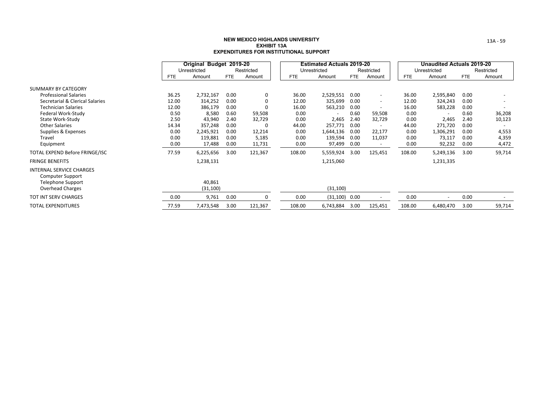|                                                            |       | Original Budget 2019-20 |            |            |            | <b>Estimated Actuals 2019-20</b> |            |                          |            | Unaudited Actuals 2019-20 |            |            |
|------------------------------------------------------------|-------|-------------------------|------------|------------|------------|----------------------------------|------------|--------------------------|------------|---------------------------|------------|------------|
|                                                            |       | Unrestricted            |            | Restricted |            | Unrestricted                     |            | Restricted               |            | Unrestricted              |            | Restricted |
|                                                            | FTE   | Amount                  | <b>FTE</b> | Amount     | <b>FTE</b> | Amount                           | <b>FTE</b> | Amount                   | <b>FTE</b> | Amount                    | <b>FTE</b> | Amount     |
| SUMMARY BY CATEGORY                                        |       |                         |            |            |            |                                  |            |                          |            |                           |            |            |
| <b>Professional Salaries</b>                               | 36.25 | 2,732,167               | 0.00       | 0          | 36.00      | 2,529,551                        | 0.00       | $\overline{\phantom{a}}$ | 36.00      | 2,595,840                 | 0.00       |            |
| Secretarial & Clerical Salaries                            | 12.00 | 314,252                 | 0.00       | 0          | 12.00      | 325,699                          | 0.00       | $\sim$                   | 12.00      | 324,243                   | 0.00       |            |
| <b>Technician Salaries</b>                                 | 12.00 | 386,179                 | 0.00       | 0          | 16.00      | 563,210                          | 0.00       | $\overline{\phantom{a}}$ | 16.00      | 583,228                   | 0.00       |            |
| Federal Work-Study                                         | 0.50  | 8,580                   | 0.60       | 59,508     | 0.00       | $\overline{\phantom{a}}$         | 0.60       | 59,508                   | 0.00       | $\overline{\phantom{a}}$  | 0.60       | 36,208     |
| State Work-Study                                           | 2.50  | 43,940                  | 2.40       | 32,729     | 0.00       | 2,465                            | 2.40       | 32,729                   | 0.00       | 2,465                     | 2.40       | 10,123     |
| <b>Other Salaries</b>                                      | 14.34 | 357,248                 | 0.00       | $\Omega$   | 44.00      | 257,771                          | 0.00       | $\overline{\phantom{a}}$ | 44.00      | 271,720                   | 0.00       |            |
| Supplies & Expenses                                        | 0.00  | 2,245,921               | 0.00       | 12,214     | 0.00       | 1,644,136                        | 0.00       | 22,177                   | 0.00       | 1,306,291                 | 0.00       | 4,553      |
| Travel                                                     | 0.00  | 119,881                 | 0.00       | 5,185      | 0.00       | 139,594                          | 0.00       | 11,037                   | 0.00       | 73,117                    | 0.00       | 4,359      |
| Equipment                                                  | 0.00  | 17,488                  | 0.00       | 11,731     | 0.00       | 97,499                           | 0.00       | $\overline{\phantom{a}}$ | 0.00       | 92,232                    | 0.00       | 4,472      |
| TOTAL EXPEND Before FRINGE/ISC                             | 77.59 | 6,225,656               | 3.00       | 121,367    | 108.00     | 5,559,924                        | 3.00       | 125,451                  | 108.00     | 5,249,136                 | 3.00       | 59,714     |
| <b>FRINGE BENEFITS</b>                                     |       | 1,238,131               |            |            |            | 1,215,060                        |            |                          |            | 1,231,335                 |            |            |
| <b>INTERNAL SERVICE CHARGES</b><br><b>Computer Support</b> |       |                         |            |            |            |                                  |            |                          |            |                           |            |            |
| <b>Telephone Support</b>                                   |       | 40,861                  |            |            |            |                                  |            |                          |            |                           |            |            |
| Overhead Charges                                           |       | (31, 100)               |            |            |            | (31, 100)                        |            |                          |            |                           |            |            |
| <b>TOT INT SERV CHARGES</b>                                | 0.00  | 9,761                   | 0.00       | 0          | 0.00       | $(31, 100)$ 0.00                 |            | $\overline{\phantom{a}}$ | 0.00       | $\overline{\phantom{a}}$  | 0.00       |            |
| <b>TOTAL EXPENDITURES</b>                                  | 77.59 | 7,473,548               | 3.00       | 121,367    | 108.00     | 6,743,884                        | 3.00       | 125,451                  | 108.00     | 6,480,470                 | 3.00       | 59,714     |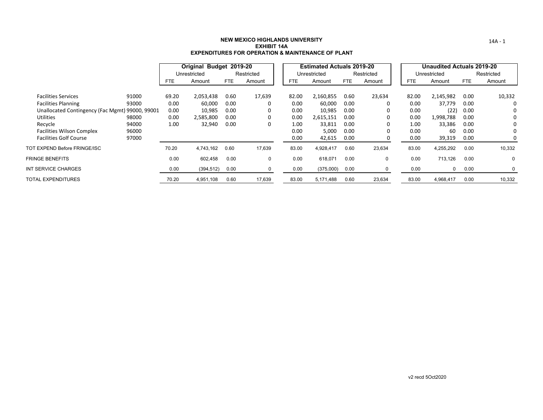|                                                 |       |            | Original Budget 2019-20 |            |            |       | <b>Estimated Actuals 2019-20</b> |            |             |            | <b>Unaudited Actuals 2019-20</b> |            |            |
|-------------------------------------------------|-------|------------|-------------------------|------------|------------|-------|----------------------------------|------------|-------------|------------|----------------------------------|------------|------------|
|                                                 |       |            | Unrestricted            |            | Restricted |       | Unrestricted                     |            | Restricted  |            | Unrestricted                     |            | Restricted |
|                                                 |       | <b>FTE</b> | Amount                  | <b>FTE</b> | Amount     | FTE.  | Amount                           | <b>FTE</b> | Amount      | <b>FTE</b> | Amount                           | <b>FTE</b> | Amount     |
| <b>Facilities Services</b>                      | 91000 | 69.20      | 2,053,438               | 0.60       | 17,639     | 82.00 | 2,160,855                        | 0.60       | 23,634      | 82.00      | 2,145,982                        | 0.00       | 10,332     |
| <b>Facilities Planning</b>                      | 93000 | 0.00       | 60,000                  | 0.00       | 0          | 0.00  | 60,000                           | 0.00       |             | 0.00       | 37,779                           | 0.00       | $\Omega$   |
|                                                 |       |            |                         |            |            |       |                                  |            |             |            |                                  |            |            |
| Unallocated Contingency (Fac Mgmt) 99000, 99001 |       | 0.00       | 10,985                  | 0.00       | 0          | 0.00  | 10,985                           | 0.00       |             | 0.00       | (22)                             | 0.00       | 0          |
| <b>Utilities</b>                                | 98000 | 0.00       | 2,585,800               | 0.00       | 0          | 0.00  | 2,615,151                        | 0.00       |             | 0.00       | 1,998,788                        | 0.00       | 0          |
| Recycle                                         | 94000 | 1.00       | 32,940                  | 0.00       | 0          | 1.00  | 33,811                           | 0.00       |             | 1.00       | 33,386                           | 0.00       | 0          |
| <b>Facilities Wilson Complex</b>                | 96000 |            |                         |            |            | 0.00  | 5,000                            | 0.00       |             | 0.00       | 60                               | 0.00       | 0          |
| <b>Facilities Golf Course</b>                   | 97000 |            |                         |            |            | 0.00  | 42,615                           | 0.00       |             | 0.00       | 39,319                           | 0.00       | 0          |
| TOT EXPEND Before FRINGE/ISC                    |       | 70.20      | 4,743,162               | 0.60       | 17,639     | 83.00 | 4,928,417                        | 0.60       | 23,634      | 83.00      | 4,255,292                        | 0.00       | 10,332     |
| <b>FRINGE BENEFITS</b>                          |       | 0.00       | 602,458                 | 0.00       | $\Omega$   | 0.00  | 618,071                          | 0.00       | $\mathbf 0$ | 0.00       | 713,126                          | 0.00       | 0          |
| INT SERVICE CHARGES                             |       | 0.00       | (394, 512)              | 0.00       | 0          | 0.00  | (375,000)                        | 0.00       | 0           | 0.00       | 0                                | 0.00       |            |
| TOTAL EXPENDITURES                              |       | 70.20      | 4,951,108               | 0.60       | 17,639     | 83.00 | 5,171,488                        | 0.60       | 23,634      | 83.00      | 4,968,417                        | 0.00       | 10,332     |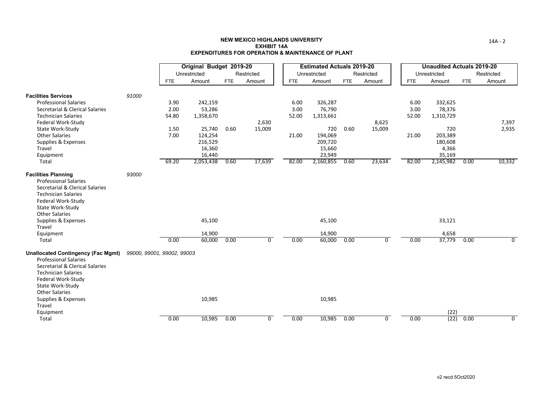|                                                                                                                                                                                                                                                       |                            |            | Original Budget 2019-20    |      |                |            | <b>Estimated Actuals 2019-20</b> |      |                |            | <b>Unaudited Actuals 2019-20</b> |            |                |
|-------------------------------------------------------------------------------------------------------------------------------------------------------------------------------------------------------------------------------------------------------|----------------------------|------------|----------------------------|------|----------------|------------|----------------------------------|------|----------------|------------|----------------------------------|------------|----------------|
|                                                                                                                                                                                                                                                       |                            |            | Unrestricted               |      | Restricted     |            | Unrestricted                     |      | Restricted     |            | Unrestricted                     |            | Restricted     |
|                                                                                                                                                                                                                                                       |                            | <b>FTE</b> | Amount                     | FTE  | Amount         | <b>FTE</b> | Amount                           | FTE  | Amount         | <b>FTE</b> | Amount                           | <b>FTE</b> | Amount         |
| <b>Facilities Services</b>                                                                                                                                                                                                                            | 91000                      |            |                            |      |                |            |                                  |      |                |            |                                  |            |                |
| <b>Professional Salaries</b>                                                                                                                                                                                                                          |                            | 3.90       | 242,159                    |      |                | 6.00       | 326,287                          |      |                | 6.00       | 332,625                          |            |                |
| Secretarial & Clerical Salaries                                                                                                                                                                                                                       |                            | 2.00       | 53,286                     |      |                | 3.00       | 76,790                           |      |                | 3.00       | 78,376                           |            |                |
| <b>Technician Salaries</b>                                                                                                                                                                                                                            |                            | 54.80      | 1,358,670                  |      |                | 52.00      | 1,313,661                        |      |                | 52.00      | 1,310,729                        |            |                |
| Federal Work-Study                                                                                                                                                                                                                                    |                            |            |                            |      | 2,630          |            |                                  |      | 8,625          |            |                                  |            | 7,397          |
| State Work-Study                                                                                                                                                                                                                                      |                            | 1.50       | 25,740                     | 0.60 | 15,009         |            | 720                              | 0.60 | 15,009         |            | 720                              |            | 2,935          |
| <b>Other Salaries</b>                                                                                                                                                                                                                                 |                            | 7.00       | 124,254                    |      |                | 21.00      | 194,069                          |      |                | 21.00      | 203,389                          |            |                |
| Supplies & Expenses                                                                                                                                                                                                                                   |                            |            | 216,529                    |      |                |            | 209,720                          |      |                |            | 180,608                          |            |                |
| Travel                                                                                                                                                                                                                                                |                            |            | 16,360                     |      |                |            | 15,660                           |      |                |            | 4,366                            |            |                |
| Equipment                                                                                                                                                                                                                                             |                            |            | 16,440                     |      |                |            | 23,949                           |      |                |            | 35,169                           |            |                |
| Total                                                                                                                                                                                                                                                 |                            | 69.20      | 2,053,438                  | 0.60 | 17,639         | 82.00      | 2,160,855                        | 0.60 | 23,634         | 82.00      | 2,145,982                        | 0.00       | 10,332         |
| <b>Facilities Planning</b><br><b>Professional Salaries</b><br>Secretarial & Clerical Salaries<br><b>Technician Salaries</b><br>Federal Work-Study<br>State Work-Study<br><b>Other Salaries</b><br>Supplies & Expenses<br>Travel<br>Equipment<br>Total | 93000                      | 0.00       | 45,100<br>14,900<br>60,000 | 0.00 | 0              | 0.00       | 45,100<br>14,900<br>60,000       | 0.00 | $\Omega$       | 0.00       | 33,121<br>4,658<br>37,779        | 0.00       | 0              |
| <b>Unallocated Contingency (Fac Mgmt)</b><br><b>Professional Salaries</b><br>Secretarial & Clerical Salaries<br><b>Technician Salaries</b><br>Federal Work-Study<br>State Work-Study<br><b>Other Salaries</b><br>Supplies & Expenses<br>Travel        | 99000, 99001, 99002, 99003 |            | 10,985                     |      |                |            | 10,985                           |      |                |            |                                  |            |                |
| Equipment                                                                                                                                                                                                                                             |                            |            |                            |      |                |            |                                  |      |                |            | (22)                             |            |                |
| Total                                                                                                                                                                                                                                                 |                            | 0.00       | 10,985                     | 0.00 | $\overline{0}$ | 0.00       | 10,985                           | 0.00 | $\overline{0}$ | 0.00       | (22)                             | 0.00       | $\overline{0}$ |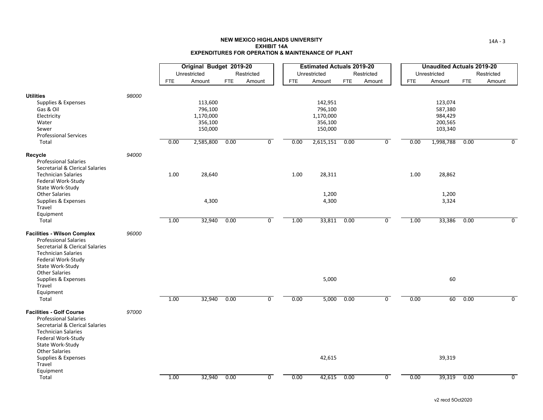|                                                                                                                                                                                                        |       |            | Original Budget 2019-20                                            |            |                |            | <b>Estimated Actuals 2019-20</b>                                   |            |                |            | <b>Unaudited Actuals 2019-20</b>                                 |            |                |
|--------------------------------------------------------------------------------------------------------------------------------------------------------------------------------------------------------|-------|------------|--------------------------------------------------------------------|------------|----------------|------------|--------------------------------------------------------------------|------------|----------------|------------|------------------------------------------------------------------|------------|----------------|
|                                                                                                                                                                                                        |       |            | Unrestricted                                                       | Restricted |                |            | Unrestricted                                                       | Restricted |                |            | Unrestricted                                                     |            | Restricted     |
|                                                                                                                                                                                                        |       | <b>FTE</b> | Amount                                                             | FTE        | Amount         | <b>FTE</b> | Amount                                                             | <b>FTE</b> | Amount         | <b>FTE</b> | Amount                                                           | <b>FTE</b> | Amount         |
| <b>Utilities</b><br>Supplies & Expenses<br>Gas & Oil<br>Electricity<br>Water<br>Sewer<br><b>Professional Services</b><br>Total                                                                         | 98000 | 0.00       | 113,600<br>796,100<br>1,170,000<br>356,100<br>150,000<br>2,585,800 | 0.00       | $\overline{0}$ | 0.00       | 142,951<br>796,100<br>1,170,000<br>356,100<br>150,000<br>2,615,151 | 0.00       | $\overline{0}$ | 0.00       | 123,074<br>587,380<br>984,429<br>200,565<br>103,340<br>1,998,788 | 0.00       | $\overline{0}$ |
| Recycle<br><b>Professional Salaries</b>                                                                                                                                                                | 94000 |            |                                                                    |            |                |            |                                                                    |            |                |            |                                                                  |            |                |
| Secretarial & Clerical Salaries<br><b>Technician Salaries</b><br>Federal Work-Study                                                                                                                    |       | 1.00       | 28,640                                                             |            |                | 1.00       | 28,311                                                             |            |                | 1.00       | 28,862                                                           |            |                |
| State Work-Study<br><b>Other Salaries</b><br>Supplies & Expenses<br>Travel<br>Equipment                                                                                                                |       |            | 4,300                                                              |            |                |            | 1,200<br>4,300                                                     |            |                |            | 1,200<br>3,324                                                   |            |                |
| Total                                                                                                                                                                                                  |       | 1.00       | 32,940                                                             | 0.00       | $\overline{0}$ | 1.00       | 33,811                                                             | 0.00       | $\overline{0}$ | 1.00       | 33,386                                                           | 0.00       | $\overline{0}$ |
| <b>Facilities - Wilson Complex</b><br><b>Professional Salaries</b><br>Secretarial & Clerical Salaries<br><b>Technician Salaries</b><br>Federal Work-Study<br>State Work-Study<br><b>Other Salaries</b> | 96000 |            |                                                                    |            |                |            |                                                                    |            |                |            |                                                                  |            |                |
| Supplies & Expenses<br>Travel                                                                                                                                                                          |       |            |                                                                    |            |                |            | 5,000                                                              |            |                |            | 60                                                               |            |                |
| Equipment<br>Total                                                                                                                                                                                     |       | 1.00       | 32,940                                                             | 0.00       | $\overline{0}$ | 0.00       | 5,000                                                              | 0.00       | $\overline{0}$ | 0.00       | 60                                                               | 0.00       | $\Omega$       |
| <b>Facilities - Golf Course</b><br><b>Professional Salaries</b><br>Secretarial & Clerical Salaries<br><b>Technician Salaries</b><br>Federal Work-Study<br>State Work-Study<br><b>Other Salaries</b>    | 97000 |            |                                                                    |            |                |            |                                                                    |            |                |            |                                                                  |            |                |
| Supplies & Expenses<br>Travel<br>Equipment                                                                                                                                                             |       |            |                                                                    |            |                |            | 42,615                                                             |            |                |            | 39,319                                                           |            |                |
| Total                                                                                                                                                                                                  |       | 1.00       | 32,940                                                             | 0.00       | $\overline{0}$ | 0.00       | 42,615                                                             | 0.00       | $\overline{0}$ | 0.00       | 39,319                                                           | 0.00       | $\overline{0}$ |

14A ‐ 3

v2 recd 5Oct2020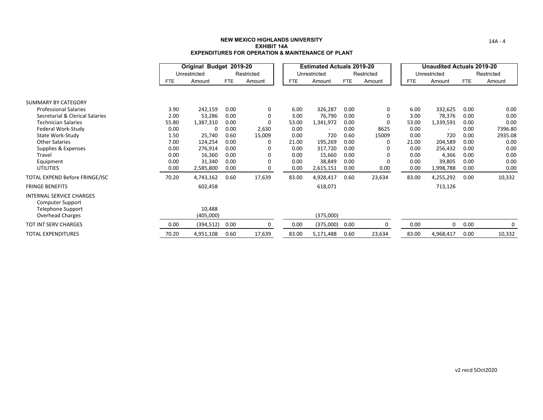|                                                                                                     |            | Original Budget 2019-20 |            |              |            | <b>Estimated Actuals 2019-20</b> |      |            |            | <b>Unaudited Actuals 2019-20</b> |      |            |
|-----------------------------------------------------------------------------------------------------|------------|-------------------------|------------|--------------|------------|----------------------------------|------|------------|------------|----------------------------------|------|------------|
|                                                                                                     |            | Unrestricted            |            | Restricted   |            | Unrestricted                     |      | Restricted |            | Unrestricted                     |      | Restricted |
|                                                                                                     | <b>FTE</b> | Amount                  | <b>FTE</b> | Amount       | <b>FTE</b> | Amount                           | FTE  | Amount     | <b>FTE</b> | Amount                           | FTE  | Amount     |
|                                                                                                     |            |                         |            |              |            |                                  |      |            |            |                                  |      |            |
| <b>SUMMARY BY CATEGORY</b>                                                                          |            |                         |            |              |            |                                  |      |            |            |                                  |      |            |
| <b>Professional Salaries</b>                                                                        | 3.90       | 242,159                 | 0.00       | 0            | 6.00       | 326,287                          | 0.00 | 0          | 6.00       | 332,625                          | 0.00 | 0.00       |
| Secretarial & Clerical Salaries                                                                     | 2.00       | 53,286                  | 0.00       | 0            | 3.00       | 76,790                           | 0.00 | 0          | 3.00       | 78,376                           | 0.00 | 0.00       |
| <b>Technician Salaries</b>                                                                          | 55.80      | 1,387,310               | 0.00       | $\Omega$     | 53.00      | 1,341,972                        | 0.00 | O          | 53.00      | 1,339,591                        | 0.00 | 0.00       |
| Federal Work-Study                                                                                  | 0.00       | 0                       | 0.00       | 2,630        | 0.00       | $\overline{\phantom{a}}$         | 0.00 | 8625       | 0.00       | $\overline{\phantom{a}}$         | 0.00 | 7396.80    |
| State Work-Study                                                                                    | 1.50       | 25,740                  | 0.60       | 15,009       | 0.00       | 720                              | 0.60 | 15009      | 0.00       | 720                              | 0.00 | 2935.08    |
| <b>Other Salaries</b>                                                                               | 7.00       | 124,254                 | 0.00       | 0            | 21.00      | 195,269                          | 0.00 | n          | 21.00      | 204,589                          | 0.00 | 0.00       |
| Supplies & Expenses                                                                                 | 0.00       | 276,914                 | 0.00       | 0            | 0.00       | 317,720                          | 0.00 |            | 0.00       | 256,432                          | 0.00 | 0.00       |
| Travel                                                                                              | 0.00       | 16,360                  | 0.00       | 0            | 0.00       | 15,660                           | 0.00 | 0          | 0.00       | 4,366                            | 0.00 | 0.00       |
| Equipment                                                                                           | 0.00       | 31,340                  | 0.00       | $\Omega$     | 0.00       | 38,849                           | 0.00 | $\Omega$   | 0.00       | 39,805                           | 0.00 | 0.00       |
| <b>UTILITIES</b>                                                                                    | 0.00       | 2,585,800               | 0.00       | <sup>0</sup> | 0.00       | 2,615,151                        | 0.00 | 0.00       | 0.00       | 1,998,788                        | 0.00 | 0.00       |
| TOTAL EXPEND Before FRINGE/ISC                                                                      | 70.20      | 4,743,162               | 0.60       | 17,639       | 83.00      | 4,928,417                        | 0.60 | 23,634     | 83.00      | 4,255,292                        | 0.00 | 10,332     |
| <b>FRINGE BENEFITS</b>                                                                              |            | 602,458                 |            |              |            | 618,071                          |      |            |            | 713,126                          |      |            |
| <b>INTERNAL SERVICE CHARGES</b><br>Computer Support<br><b>Telephone Support</b><br>Overhead Charges |            | 10,488<br>(405,000)     |            |              |            | (375,000)                        |      |            |            |                                  |      |            |
| TOT INT SERV CHARGES                                                                                | 0.00       | (394, 512)              | 0.00       | 0            | 0.00       | (375,000)                        | 0.00 | 0          | 0.00       | 0                                | 0.00 | 0          |
| TOTAL EXPENDITURES                                                                                  | 70.20      | 4,951,108               | 0.60       | 17,639       | 83.00      | 5,171,488                        | 0.60 | 23,634     | 83.00      | 4,968,417                        | 0.00 | 10,332     |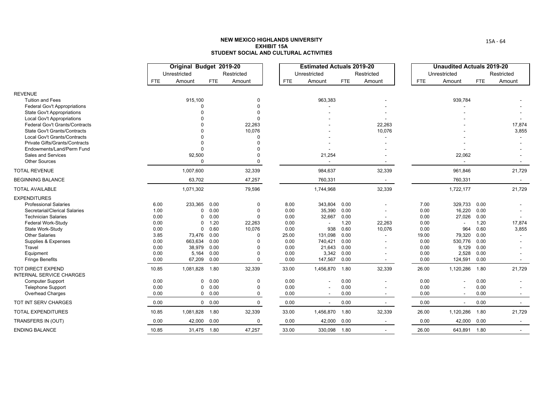|                                               |              | Original Budget 2019-20 |               |                    |               | <b>Estimated Actuals 2019-20</b> |              |                          |               | <b>Unaudited Actuals 2019-20</b>   |              |                                    |
|-----------------------------------------------|--------------|-------------------------|---------------|--------------------|---------------|----------------------------------|--------------|--------------------------|---------------|------------------------------------|--------------|------------------------------------|
|                                               |              | Unrestricted            |               | Restricted         |               | Unrestricted                     |              | Restricted               |               | Unrestricted                       |              | Restricted                         |
|                                               | <b>FTE</b>   | Amount                  | <b>FTE</b>    | Amount             | <b>FTE</b>    | Amount                           | FTE          | Amount                   | <b>FTE</b>    | Amount                             | FTE          | Amount                             |
| <b>REVENUE</b>                                |              |                         |               |                    |               |                                  |              |                          |               |                                    |              |                                    |
| <b>Tuition and Fees</b>                       |              | 915,100                 |               | 0                  |               | 963,383                          |              |                          |               | 939,784                            |              |                                    |
| <b>Federal Gov't Appropriations</b>           |              | $\Omega$                |               | $\Omega$           |               |                                  |              |                          |               |                                    |              |                                    |
| <b>State Gov't Appropriations</b>             |              |                         |               |                    |               |                                  |              |                          |               |                                    |              |                                    |
| Local Gov't Appropriations                    |              |                         |               | $\Omega$           |               |                                  |              |                          |               |                                    |              |                                    |
| Federal Gov't Grants/Contracts                |              |                         |               | 22,263             |               |                                  |              | 22,263                   |               |                                    |              | 17,874                             |
| <b>State Gov't Grants/Contracts</b>           |              |                         |               | 10,076             |               |                                  |              | 10,076                   |               |                                    |              | 3,855                              |
| Local Gov't Grants/Contracts                  |              |                         |               | $\Omega$           |               |                                  |              |                          |               |                                    |              |                                    |
| Private Gifts/Grants/Contracts                |              |                         |               |                    |               |                                  |              |                          |               |                                    |              |                                    |
| Endowments/Land/Perm Fund                     |              | $\Omega$                |               | $\Omega$           |               |                                  |              |                          |               |                                    |              |                                    |
| Sales and Services<br><b>Other Sources</b>    |              | 92,500<br>$\Omega$      |               | $\Omega$           |               | 21,254                           |              |                          |               | 22,062<br>$\overline{\phantom{a}}$ |              |                                    |
| <b>TOTAL REVENUE</b>                          |              | 1,007,600               |               | 32,339             |               | 984,637                          |              | 32,339                   |               | 961,846                            |              | $\overline{\phantom{0}}$<br>21,729 |
| <b>BEGINNING BALANCE</b>                      |              | 63,702                  |               | 47,257             |               | 760,331                          |              |                          |               | 760,331                            |              |                                    |
|                                               |              |                         |               |                    |               |                                  |              | $\sim$                   |               |                                    |              | $\sim$                             |
| <b>TOTAL AVAILABLE</b>                        |              | 1,071,302               |               | 79,596             |               | 1,744,968                        |              | 32,339                   |               | 1,722,177                          |              | 21,729                             |
| <b>EXPENDITURES</b>                           |              |                         |               |                    |               |                                  |              |                          |               |                                    |              |                                    |
| <b>Professional Salaries</b>                  | 6.00         | 233,365                 | 0.00          | 0                  | 8.00          | 343,804                          | 0.00         |                          | 7.00          | 329,733 0.00                       |              |                                    |
| Secretarial/Clerical Salaries                 | 1.00         | $\mathbf 0$             | 0.00          | $\Omega$           | 0.00          | 35,390                           | 0.00         |                          | 0.00          | 16,220                             | 0.00         |                                    |
| <b>Technician Salaries</b>                    | 0.00         | $\mathbf 0$             | 0.00          | $\Omega$           | 0.00          | 32.667                           | 0.00         |                          | 0.00          | 27,026                             | 0.00         |                                    |
| Federal Work-Study                            | 0.00         | $\mathbf 0$             | 1.20          | 22,263             | 0.00          |                                  | 1.20         | 22,263                   | 0.00          | $\overline{\phantom{a}}$           | 1.20         | 17,874                             |
| State Work-Study<br><b>Other Salaries</b>     | 0.00<br>3.85 | $\mathbf 0$<br>73,476   | 0.60<br>0.00  | 10,076<br>$\Omega$ | 0.00<br>25.00 | 938<br>131,098                   | 0.60<br>0.00 | 10,076                   | 0.00<br>19.00 | 964<br>79,320                      | 0.60<br>0.00 | 3,855                              |
| Supplies & Expenses                           | 0.00         | 663,634                 | 0.00          |                    | 0.00          | 740,421                          | 0.00         |                          | 0.00          | 530,776                            | 0.00         |                                    |
| Travel                                        | 0.00         | 38,979                  | 0.00          | $\Omega$           | 0.00          | 21,643                           | 0.00         |                          | 0.00          | 9,129                              | 0.00         |                                    |
| Equipment                                     | 0.00         | 5,164                   | 0.00          | $\Omega$           | 0.00          | 3.342                            | 0.00         |                          | 0.00          | 2,528                              | 0.00         |                                    |
| <b>Fringe Benefits</b>                        | 0.00         | 67,209                  | 0.00          | $\Omega$           | 0.00          | 147,567                          | 0.00         | $\overline{\phantom{a}}$ | 0.00          | 124,591                            | 0.00         |                                    |
| TOT DIRECT EXPEND<br>INTERNAL SERVICE CHARGES | 10.85        | 1,081,828               | 1.80          | 32,339             | 33.00         | 1,456,870                        | 1.80         | 32,339                   | 26.00         | 1,120,286                          | 1.80         | 21,729                             |
| <b>Computer Support</b>                       | 0.00         | $\mathbf 0$             | 0.00          | $\Omega$           | 0.00          |                                  | 0.00         |                          | 0.00          |                                    | 0.00         |                                    |
| <b>Telephone Support</b>                      | 0.00         | $\mathbf 0$             | 0.00          | $\Omega$           | 0.00          |                                  | 0.00         |                          | 0.00          |                                    | 0.00         |                                    |
| <b>Overhead Charges</b>                       | 0.00         | $\mathbf{0}$            | 0.00          | 0                  | 0.00          |                                  | 0.00         | $\overline{\phantom{a}}$ | 0.00          |                                    | 0.00         |                                    |
| TOT INT SERV CHARGES                          | 0.00         |                         | $0\quad 0.00$ | $\mathbf 0$        | 0.00          | $\blacksquare$                   | 0.00         | $\sim$                   | 0.00          | $\blacksquare$                     | 0.00         | $\sim$                             |
| <b>TOTAL EXPENDITURES</b>                     | 10.85        | 1,081,828               | 1.80          | 32,339             | 33.00         | 1,456,870                        | 1.80         | 32,339                   | 26.00         | 1,120,286                          | 1.80         | 21,729                             |
| TRANSFERS IN (OUT)                            | 0.00         | 42,000                  | 0.00          | 0                  | 0.00          | 42,000                           | 0.00         | $\sim$                   | 0.00          | 42,000                             | 0.00         | $\sim$                             |
| <b>ENDING BALANCE</b>                         | 10.85        | 31.475 1.80             |               | 47.257             | 33.00         | 330.098                          | 1.80         | $\blacksquare$           | 26.00         | 643.891 1.80                       |              | $\overline{\phantom{a}}$           |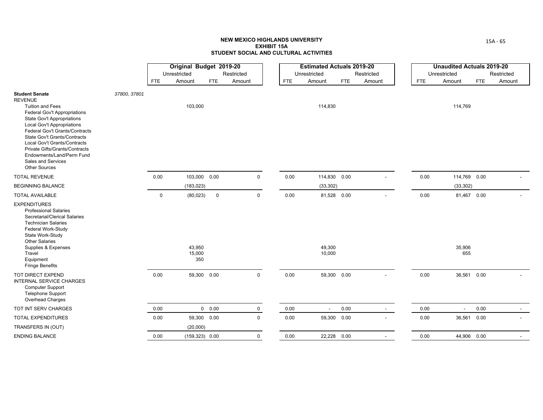|                                                                                                                                                                                                                                                                                                                                                                                             |              |             | Original Budget 2019-20 |               |                |            | <b>Estimated Actuals 2019-20</b> |      |                          |            | <b>Unaudited Actuals 2019-20</b> |            |            |
|---------------------------------------------------------------------------------------------------------------------------------------------------------------------------------------------------------------------------------------------------------------------------------------------------------------------------------------------------------------------------------------------|--------------|-------------|-------------------------|---------------|----------------|------------|----------------------------------|------|--------------------------|------------|----------------------------------|------------|------------|
|                                                                                                                                                                                                                                                                                                                                                                                             |              |             | Unrestricted            |               | Restricted     |            | Unrestricted                     |      | Restricted               |            | Unrestricted                     |            | Restricted |
|                                                                                                                                                                                                                                                                                                                                                                                             |              | <b>FTE</b>  | Amount                  | <b>FTE</b>    | Amount         | <b>FTE</b> | Amount                           | FTE  | Amount                   | <b>FTE</b> | Amount                           | <b>FTE</b> | Amount     |
| <b>Student Senate</b><br><b>REVENUE</b><br><b>Tuition and Fees</b><br>Federal Gov't Appropriations<br>State Gov't Appropriations<br><b>Local Gov't Appropriations</b><br>Federal Gov't Grants/Contracts<br><b>State Gov't Grants/Contracts</b><br>Local Gov't Grants/Contracts<br>Private Gifts/Grants/Contracts<br>Endowments/Land/Perm Fund<br>Sales and Services<br><b>Other Sources</b> | 37800, 37801 |             | 103,000                 |               |                |            | 114,830                          |      |                          |            | 114,769                          |            |            |
| <b>TOTAL REVENUE</b>                                                                                                                                                                                                                                                                                                                                                                        |              | 0.00        | 103,000 0.00            |               | $\mathbf 0$    | 0.00       | 114,830 0.00                     |      |                          | 0.00       | 114,769 0.00                     |            |            |
| <b>BEGINNING BALANCE</b>                                                                                                                                                                                                                                                                                                                                                                    |              |             | (183, 023)              |               |                |            | (33, 302)                        |      |                          |            | (33, 302)                        |            |            |
| <b>TOTAL AVAILABLE</b>                                                                                                                                                                                                                                                                                                                                                                      |              | $\mathbf 0$ | (80, 023)               | $\mathbf 0$   | $\mathbf 0$    | 0.00       | 81,528 0.00                      |      |                          | 0.00       | 81,467 0.00                      |            |            |
| <b>EXPENDITURES</b><br><b>Professional Salaries</b><br>Secretarial/Clerical Salaries<br><b>Technician Salaries</b><br>Federal Work-Study<br>State Work-Study<br><b>Other Salaries</b><br>Supplies & Expenses<br>Travel<br>Equipment<br><b>Fringe Benefits</b>                                                                                                                               |              |             | 43,950<br>15,000<br>350 |               |                |            | 49,300<br>10,000                 |      |                          |            | 35,906<br>655                    |            |            |
| TOT DIRECT EXPEND<br><b>INTERNAL SERVICE CHARGES</b><br><b>Computer Support</b><br><b>Telephone Support</b><br>Overhead Charges                                                                                                                                                                                                                                                             |              | 0.00        | 59,300 0.00             |               | $\mathbf 0$    | 0.00       | 59,300 0.00                      |      | $\overline{\phantom{a}}$ | 0.00       | 36,561 0.00                      |            |            |
| TOT INT SERV CHARGES                                                                                                                                                                                                                                                                                                                                                                        |              | 0.00        |                         | $0\quad 0.00$ | $\mathbf 0$    | 0.00       | $\sim$                           | 0.00 | $\sim$                   | 0.00       | $\overline{a}$                   | 0.00       | $\sim$     |
| <b>TOTAL EXPENDITURES</b>                                                                                                                                                                                                                                                                                                                                                                   |              | 0.00        | 59,300 0.00             |               | $\overline{0}$ | 0.00       | 59,300 0.00                      |      |                          | 0.00       | 36,561 0.00                      |            |            |
| TRANSFERS IN (OUT)                                                                                                                                                                                                                                                                                                                                                                          |              |             | (20,000)                |               |                |            |                                  |      |                          |            |                                  |            |            |
| <b>ENDING BALANCE</b>                                                                                                                                                                                                                                                                                                                                                                       |              | 0.00        | $(159,323)$ 0.00        |               | $\mathbf 0$    | 0.00       | 22,228 0.00                      |      | $\overline{\phantom{a}}$ | 0.00       | 44,906 0.00                      |            |            |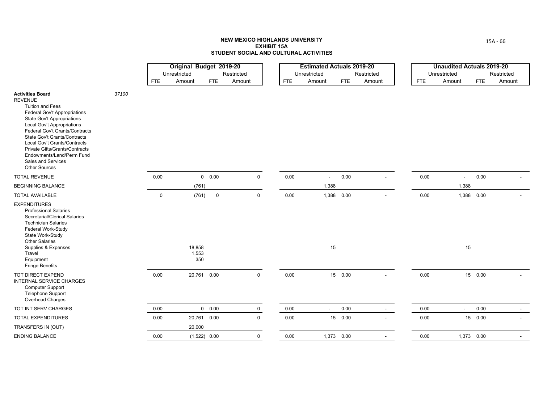|                                                                                                                                                                                                                                                                                                                                                                                                      |       |             | Original Budget 2019-20 |                |             |            | <b>Estimated Actuals 2019-20</b> |            |            |            | <b>Unaudited Actuals 2019-20</b> |            |                |
|------------------------------------------------------------------------------------------------------------------------------------------------------------------------------------------------------------------------------------------------------------------------------------------------------------------------------------------------------------------------------------------------------|-------|-------------|-------------------------|----------------|-------------|------------|----------------------------------|------------|------------|------------|----------------------------------|------------|----------------|
|                                                                                                                                                                                                                                                                                                                                                                                                      |       |             | Unrestricted            |                | Restricted  |            | Unrestricted                     |            | Restricted |            | Unrestricted                     |            | Restricted     |
|                                                                                                                                                                                                                                                                                                                                                                                                      |       | <b>FTE</b>  | Amount                  | <b>FTE</b>     | Amount      | <b>FTE</b> | Amount                           | <b>FTE</b> | Amount     | <b>FTE</b> | Amount                           | <b>FTE</b> | Amount         |
| <b>Activities Board</b><br><b>REVENUE</b><br><b>Tuition and Fees</b><br><b>Federal Gov't Appropriations</b><br>State Gov't Appropriations<br><b>Local Gov't Appropriations</b><br>Federal Gov't Grants/Contracts<br><b>State Gov't Grants/Contracts</b><br>Local Gov't Grants/Contracts<br>Private Gifts/Grants/Contracts<br>Endowments/Land/Perm Fund<br>Sales and Services<br><b>Other Sources</b> | 37100 |             |                         |                |             |            |                                  |            |            |            |                                  |            |                |
| <b>TOTAL REVENUE</b>                                                                                                                                                                                                                                                                                                                                                                                 |       | 0.00        |                         | 0 0.00         | $\mathbf 0$ | 0.00       | $\overline{\phantom{a}}$         | 0.00       |            | 0.00       | $\sim$                           | 0.00       |                |
| <b>BEGINNING BALANCE</b>                                                                                                                                                                                                                                                                                                                                                                             |       |             | (761)                   |                |             |            | 1,388                            |            |            |            | 1,388                            |            |                |
| <b>TOTAL AVAILABLE</b>                                                                                                                                                                                                                                                                                                                                                                               |       | $\mathbf 0$ | (761)                   | $\mathsf 0$    | $\mathsf 0$ | 0.00       |                                  | 1,388 0.00 |            | 0.00       |                                  | 1,388 0.00 |                |
| <b>EXPENDITURES</b><br><b>Professional Salaries</b><br>Secretarial/Clerical Salaries<br><b>Technician Salaries</b><br>Federal Work-Study<br>State Work-Study<br><b>Other Salaries</b><br>Supplies & Expenses<br>Travel<br>Equipment<br><b>Fringe Benefits</b>                                                                                                                                        |       |             | 18,858<br>1,553<br>350  |                |             |            | 15                               |            |            |            | 15                               |            |                |
| TOT DIRECT EXPEND<br>INTERNAL SERVICE CHARGES<br><b>Computer Support</b><br><b>Telephone Support</b><br>Overhead Charges                                                                                                                                                                                                                                                                             |       | 0.00        |                         | 20,761 0.00    | $\mathbf 0$ | 0.00       |                                  | 15 0.00    | $\sim$     | 0.00       |                                  | 15 0.00    |                |
| TOT INT SERV CHARGES                                                                                                                                                                                                                                                                                                                                                                                 |       | 0.00        |                         | $0\quad 0.00$  | $\mathbf 0$ | 0.00       | $\blacksquare$                   | 0.00       | $\sim$     | 0.00       | $\blacksquare$                   | 0.00       | $\overline{a}$ |
| TOTAL EXPENDITURES                                                                                                                                                                                                                                                                                                                                                                                   |       | 0.00        |                         | 20,761 0.00    | $\mathbf 0$ | 0.00       |                                  | 15 0.00    |            | 0.00       |                                  | 15 0.00    |                |
| TRANSFERS IN (OUT)                                                                                                                                                                                                                                                                                                                                                                                   |       |             | 20,000                  |                |             |            |                                  |            |            |            |                                  |            |                |
| <b>ENDING BALANCE</b>                                                                                                                                                                                                                                                                                                                                                                                |       | 0.00        |                         | $(1,522)$ 0.00 | $\mathbf 0$ | 0.00       |                                  | 1,373 0.00 |            | 0.00       |                                  | 1,373 0.00 |                |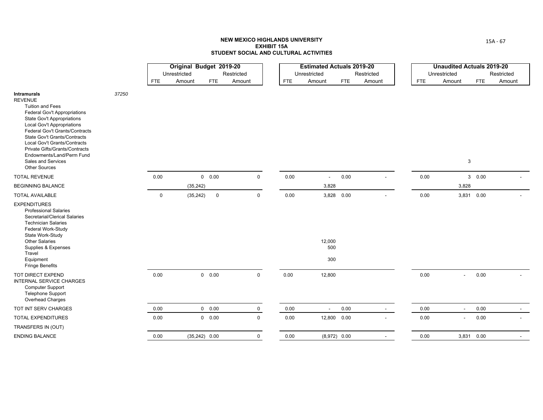|                                                                                                                                                                                                                                                                                                                                                                                   |       |             | Original Budget 2019-20 |                 |             |            | <b>Estimated Actuals 2019-20</b> |                |            |            | <b>Unaudited Actuals 2019-20</b> |            |            |
|-----------------------------------------------------------------------------------------------------------------------------------------------------------------------------------------------------------------------------------------------------------------------------------------------------------------------------------------------------------------------------------|-------|-------------|-------------------------|-----------------|-------------|------------|----------------------------------|----------------|------------|------------|----------------------------------|------------|------------|
|                                                                                                                                                                                                                                                                                                                                                                                   |       |             | Unrestricted            |                 | Restricted  |            | Unrestricted                     |                | Restricted |            | Unrestricted                     |            | Restricted |
|                                                                                                                                                                                                                                                                                                                                                                                   |       | <b>FTE</b>  | Amount                  | <b>FTE</b>      | Amount      | <b>FTE</b> | Amount                           | <b>FTE</b>     | Amount     | <b>FTE</b> | Amount                           | <b>FTE</b> | Amount     |
| Intramurals<br><b>REVENUE</b><br><b>Tuition and Fees</b><br><b>Federal Gov't Appropriations</b><br>State Gov't Appropriations<br><b>Local Gov't Appropriations</b><br>Federal Gov't Grants/Contracts<br>State Gov't Grants/Contracts<br>Local Gov't Grants/Contracts<br>Private Gifts/Grants/Contracts<br>Endowments/Land/Perm Fund<br>Sales and Services<br><b>Other Sources</b> | 37250 |             |                         |                 |             |            |                                  |                |            |            | 3                                |            |            |
| <b>TOTAL REVENUE</b>                                                                                                                                                                                                                                                                                                                                                              |       | 0.00        |                         | $0\quad 0.00$   | $\mathbf 0$ | 0.00       | $\blacksquare$                   | 0.00           |            | 0.00       |                                  | 30.00      |            |
| <b>BEGINNING BALANCE</b>                                                                                                                                                                                                                                                                                                                                                          |       |             | (35, 242)               |                 |             |            | 3,828                            |                |            |            | 3,828                            |            |            |
| <b>TOTAL AVAILABLE</b>                                                                                                                                                                                                                                                                                                                                                            |       | $\mathbf 0$ | (35, 242)               | $\mathbf 0$     | $\mathsf 0$ | 0.00       |                                  | 3,828 0.00     |            | 0.00       |                                  | 3,831 0.00 |            |
| <b>EXPENDITURES</b><br><b>Professional Salaries</b><br>Secretarial/Clerical Salaries<br><b>Technician Salaries</b><br>Federal Work-Study<br>State Work-Study<br><b>Other Salaries</b><br>Supplies & Expenses<br>Travel<br>Equipment<br><b>Fringe Benefits</b>                                                                                                                     |       |             |                         |                 |             |            | 12,000<br>500<br>300             |                |            |            |                                  |            |            |
| TOT DIRECT EXPEND<br>INTERNAL SERVICE CHARGES<br><b>Computer Support</b><br>Telephone Support<br>Overhead Charges                                                                                                                                                                                                                                                                 |       | 0.00        |                         | $0\quad 0.00$   | $\mathbf 0$ | 0.00       | 12,800                           |                |            | 0.00       | $\blacksquare$                   | 0.00       |            |
| TOT INT SERV CHARGES                                                                                                                                                                                                                                                                                                                                                              |       | 0.00        |                         | 0 0.00          | $\mathbf 0$ | 0.00       | $\blacksquare$                   | 0.00           | $\sim$     | 0.00       | $\blacksquare$                   | 0.00       |            |
| <b>TOTAL EXPENDITURES</b>                                                                                                                                                                                                                                                                                                                                                         |       | 0.00        |                         | $0\quad 0.00$   | $\mathbf 0$ | 0.00       | 12,800 0.00                      |                |            | 0.00       | $\blacksquare$                   | 0.00       |            |
| TRANSFERS IN (OUT)                                                                                                                                                                                                                                                                                                                                                                |       |             |                         |                 |             |            |                                  |                |            |            |                                  |            |            |
| <b>ENDING BALANCE</b>                                                                                                                                                                                                                                                                                                                                                             |       | 0.00        |                         | $(35,242)$ 0.00 | 0           | 0.00       |                                  | $(8,972)$ 0.00 |            | 0.00       |                                  | 3,831 0.00 |            |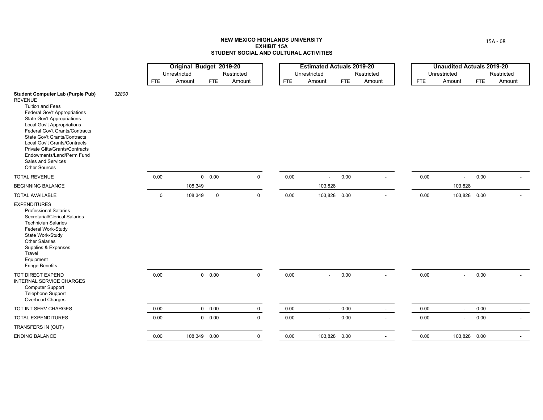|                                                                                                                                                                                                                                                                                                                                                                                                                |       |             | Original Budget 2019-20 |               |             |            | <b>Estimated Actuals 2019-20</b> |            |                |            | <b>Unaudited Actuals 2019-20</b> |            |            |
|----------------------------------------------------------------------------------------------------------------------------------------------------------------------------------------------------------------------------------------------------------------------------------------------------------------------------------------------------------------------------------------------------------------|-------|-------------|-------------------------|---------------|-------------|------------|----------------------------------|------------|----------------|------------|----------------------------------|------------|------------|
|                                                                                                                                                                                                                                                                                                                                                                                                                |       |             | Unrestricted            |               | Restricted  |            | Unrestricted                     |            | Restricted     |            | Unrestricted                     |            | Restricted |
|                                                                                                                                                                                                                                                                                                                                                                                                                |       | <b>FTE</b>  | Amount                  | <b>FTE</b>    | Amount      | <b>FTE</b> | Amount                           | <b>FTE</b> | Amount         | <b>FTE</b> | Amount                           | <b>FTE</b> | Amount     |
| <b>Student Computer Lab (Purple Pub)</b><br><b>REVENUE</b><br><b>Tuition and Fees</b><br>Federal Gov't Appropriations<br><b>State Gov't Appropriations</b><br>Local Gov't Appropriations<br><b>Federal Gov't Grants/Contracts</b><br>State Gov't Grants/Contracts<br>Local Gov't Grants/Contracts<br>Private Gifts/Grants/Contracts<br>Endowments/Land/Perm Fund<br>Sales and Services<br><b>Other Sources</b> | 32800 |             |                         |               |             |            |                                  |            |                |            |                                  |            |            |
| <b>TOTAL REVENUE</b>                                                                                                                                                                                                                                                                                                                                                                                           |       | 0.00        |                         | $0\quad 0.00$ | $\mathbf 0$ | 0.00       | $\blacksquare$                   | 0.00       |                | 0.00       | $\mathbf{r}$                     | 0.00       |            |
| <b>BEGINNING BALANCE</b>                                                                                                                                                                                                                                                                                                                                                                                       |       |             | 108,349                 |               |             |            | 103,828                          |            |                |            | 103,828                          |            |            |
| <b>TOTAL AVAILABLE</b>                                                                                                                                                                                                                                                                                                                                                                                         |       | $\mathbf 0$ | 108,349                 | $\mathsf 0$   | $\mathbf 0$ | 0.00       | 103,828 0.00                     |            |                | 0.00       | 103,828 0.00                     |            |            |
| <b>EXPENDITURES</b><br><b>Professional Salaries</b><br>Secretarial/Clerical Salaries<br><b>Technician Salaries</b><br>Federal Work-Study<br>State Work-Study<br><b>Other Salaries</b><br>Supplies & Expenses<br>Travel<br>Equipment<br><b>Fringe Benefits</b>                                                                                                                                                  |       |             |                         |               |             |            |                                  |            |                |            |                                  |            |            |
| TOT DIRECT EXPEND<br>INTERNAL SERVICE CHARGES<br><b>Computer Support</b><br>Telephone Support<br>Overhead Charges                                                                                                                                                                                                                                                                                              |       | 0.00        |                         | $0\quad 0.00$ | $\mathbf 0$ | 0.00       | $\sim$                           | 0.00       | $\overline{a}$ | 0.00       | $\sim$                           | 0.00       |            |
| TOT INT SERV CHARGES                                                                                                                                                                                                                                                                                                                                                                                           |       | 0.00        |                         | $0\quad 0.00$ | $\mathbf 0$ | 0.00       | $\blacksquare$                   | 0.00       | $\sim$         | 0.00       | $\sim$                           | 0.00       | $\sim$     |
| <b>TOTAL EXPENDITURES</b>                                                                                                                                                                                                                                                                                                                                                                                      |       | 0.00        |                         | 0 0.00        | $\mathbf 0$ | 0.00       |                                  | 0.00       |                | 0.00       | $\overline{a}$                   | 0.00       |            |
| TRANSFERS IN (OUT)                                                                                                                                                                                                                                                                                                                                                                                             |       |             |                         |               |             |            |                                  |            |                |            |                                  |            |            |
| <b>ENDING BALANCE</b>                                                                                                                                                                                                                                                                                                                                                                                          |       | 0.00        |                         | 108,349 0.00  | $\mathbf 0$ | 0.00       | 103,828 0.00                     |            |                | 0.00       | 103,828 0.00                     |            |            |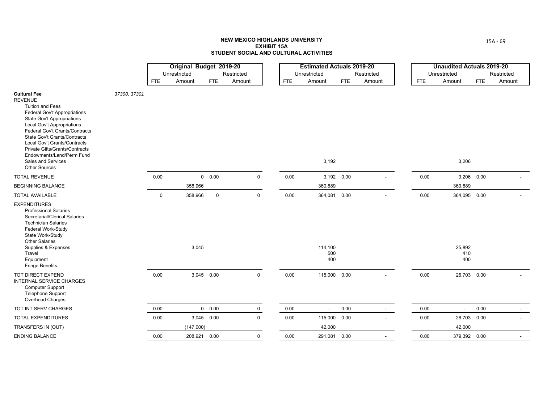|                                                                                                                                                                                                                                                                                                                                                                                                         |              |             | Original Budget 2019-20 |             |                      |            | <b>Estimated Actuals 2019-20</b> |      |                      |            | <b>Unaudited Actuals 2019-20</b> |            |                      |
|---------------------------------------------------------------------------------------------------------------------------------------------------------------------------------------------------------------------------------------------------------------------------------------------------------------------------------------------------------------------------------------------------------|--------------|-------------|-------------------------|-------------|----------------------|------------|----------------------------------|------|----------------------|------------|----------------------------------|------------|----------------------|
|                                                                                                                                                                                                                                                                                                                                                                                                         |              | <b>FTE</b>  | Unrestricted<br>Amount  | <b>FTE</b>  | Restricted<br>Amount | <b>FTE</b> | Unrestricted<br>Amount           | FTE  | Restricted<br>Amount | <b>FTE</b> | Unrestricted<br>Amount           | <b>FTE</b> | Restricted<br>Amount |
| <b>Cultural Fee</b><br><b>REVENUE</b><br><b>Tuition and Fees</b><br>Federal Gov't Appropriations<br><b>State Gov't Appropriations</b><br><b>Local Gov't Appropriations</b><br><b>Federal Gov't Grants/Contracts</b><br><b>State Gov't Grants/Contracts</b><br>Local Gov't Grants/Contracts<br>Private Gifts/Grants/Contracts<br>Endowments/Land/Perm Fund<br>Sales and Services<br><b>Other Sources</b> | 37300, 37301 |             |                         |             |                      |            | 3,192                            |      |                      |            | 3,206                            |            |                      |
| <b>TOTAL REVENUE</b>                                                                                                                                                                                                                                                                                                                                                                                    |              | 0.00        |                         | 0 0.00      | $\mathbf 0$          | 0.00       | 3,192 0.00                       |      |                      | 0.00       | 3,206 0.00                       |            |                      |
| <b>BEGINNING BALANCE</b>                                                                                                                                                                                                                                                                                                                                                                                |              |             | 358,966                 |             |                      |            | 360,889                          |      |                      |            | 360,889                          |            |                      |
| <b>TOTAL AVAILABLE</b>                                                                                                                                                                                                                                                                                                                                                                                  |              | $\mathsf 0$ | 358,966                 | $\mathbf 0$ | $\mathsf 0$          | 0.00       | 364,081 0.00                     |      |                      | 0.00       | 364,095 0.00                     |            |                      |
| <b>EXPENDITURES</b><br><b>Professional Salaries</b><br>Secretarial/Clerical Salaries<br><b>Technician Salaries</b><br>Federal Work-Study<br>State Work-Study<br><b>Other Salaries</b><br>Supplies & Expenses<br>Travel<br>Equipment<br><b>Fringe Benefits</b>                                                                                                                                           |              |             | 3,045                   |             |                      |            | 114,100<br>500<br>400            |      |                      |            | 25,892<br>410<br>400             |            |                      |
| <b>TOT DIRECT EXPEND</b><br><b>INTERNAL SERVICE CHARGES</b><br><b>Computer Support</b><br>Telephone Support<br>Overhead Charges                                                                                                                                                                                                                                                                         |              | 0.00        | 3,045 0.00              |             | $\mathbf 0$          | 0.00       | 115,000 0.00                     |      |                      | 0.00       | 26,703 0.00                      |            |                      |
| TOT INT SERV CHARGES                                                                                                                                                                                                                                                                                                                                                                                    |              | 0.00        |                         | 0 0.00      | $\mathbf 0$          | 0.00       | $\blacksquare$                   | 0.00 | $\sim$               | 0.00       | $\blacksquare$                   | 0.00       |                      |
| TOTAL EXPENDITURES                                                                                                                                                                                                                                                                                                                                                                                      |              | 0.00        | 3,045 0.00              |             | $\mathbf 0$          | 0.00       | 115,000 0.00                     |      |                      | 0.00       | 26,703                           | 0.00       |                      |
| TRANSFERS IN (OUT)                                                                                                                                                                                                                                                                                                                                                                                      |              |             | (147,000)               |             |                      |            | 42,000                           |      |                      |            | 42,000                           |            |                      |
| <b>ENDING BALANCE</b>                                                                                                                                                                                                                                                                                                                                                                                   |              | 0.00        | 208,921 0.00            |             | $\mathbf 0$          | 0.00       | 291,081 0.00                     |      |                      | 0.00       | 379,392 0.00                     |            |                      |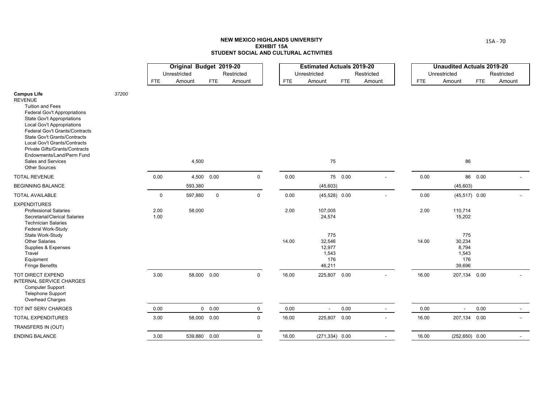|                                                                                                                                                                                                                                                                                                                                                                                                 |       |              | Original Budget 2019-20<br>Unrestricted |               | Restricted  |            | <b>Estimated Actuals 2019-20</b><br>Unrestricted  |         | Restricted |            | <b>Unaudited Actuals 2019-20</b><br>Unrestricted |          | Restricted |
|-------------------------------------------------------------------------------------------------------------------------------------------------------------------------------------------------------------------------------------------------------------------------------------------------------------------------------------------------------------------------------------------------|-------|--------------|-----------------------------------------|---------------|-------------|------------|---------------------------------------------------|---------|------------|------------|--------------------------------------------------|----------|------------|
|                                                                                                                                                                                                                                                                                                                                                                                                 |       | <b>FTE</b>   | Amount                                  | FTE           | Amount      | <b>FTE</b> | Amount                                            | FTE     | Amount     | <b>FTE</b> | Amount                                           | FTE      | Amount     |
| <b>Campus Life</b><br><b>REVENUE</b><br><b>Tuition and Fees</b><br>Federal Gov't Appropriations<br><b>State Gov't Appropriations</b><br><b>Local Gov't Appropriations</b><br>Federal Gov't Grants/Contracts<br><b>State Gov't Grants/Contracts</b><br>Local Gov't Grants/Contracts<br>Private Gifts/Grants/Contracts<br>Endowments/Land/Perm Fund<br>Sales and Services<br><b>Other Sources</b> | 37200 |              | 4,500                                   |               |             |            | 75                                                |         |            |            | 86                                               |          |            |
| <b>TOTAL REVENUE</b>                                                                                                                                                                                                                                                                                                                                                                            |       | 0.00         |                                         | 4,500 0.00    | $\mathbf 0$ | 0.00       |                                                   | 75 0.00 |            | 0.00       |                                                  | 86  0.00 |            |
| <b>BEGINNING BALANCE</b>                                                                                                                                                                                                                                                                                                                                                                        |       |              | 593,380                                 |               |             |            | (45, 603)                                         |         |            |            | (45, 603)                                        |          |            |
| <b>TOTAL AVAILABLE</b>                                                                                                                                                                                                                                                                                                                                                                          |       | $\mathbf 0$  | 597,880                                 | $\mathbf 0$   | 0           | 0.00       | $(45,528)$ 0.00                                   |         |            | 0.00       | $(45,517)$ 0.00                                  |          |            |
| <b>EXPENDITURES</b><br><b>Professional Salaries</b><br>Secretarial/Clerical Salaries<br><b>Technician Salaries</b>                                                                                                                                                                                                                                                                              |       | 2.00<br>1.00 | 58,000                                  |               |             | 2.00       | 107,005<br>24,574                                 |         |            | 2.00       | 110,714<br>15,202                                |          |            |
| Federal Work-Study<br>State Work-Study<br><b>Other Salaries</b><br>Supplies & Expenses<br>Travel<br>Equipment<br><b>Fringe Benefits</b>                                                                                                                                                                                                                                                         |       |              |                                         |               |             | 14.00      | 775<br>32,546<br>12,977<br>1,543<br>176<br>46,211 |         |            | 14.00      | 775<br>30,234<br>8,794<br>1,543<br>176<br>39,696 |          |            |
| TOT DIRECT EXPEND<br>INTERNAL SERVICE CHARGES<br>Computer Support<br><b>Telephone Support</b><br>Overhead Charges                                                                                                                                                                                                                                                                               |       | 3.00         | 58,000 0.00                             |               | $\mathbf 0$ | 16.00      | 225,807                                           | 0.00    |            | 16.00      | 207,134                                          | 0.00     |            |
| TOT INT SERV CHARGES                                                                                                                                                                                                                                                                                                                                                                            |       | 0.00         |                                         | $0\quad 0.00$ | $\mathbf 0$ | 0.00       | $\overline{a}$                                    | 0.00    | $\sim$     | 0.00       | $\blacksquare$                                   | 0.00     |            |
| TOTAL EXPENDITURES                                                                                                                                                                                                                                                                                                                                                                              |       | 3.00         | 58,000 0.00                             |               | $\mathbf 0$ | 16.00      | 225,807                                           | 0.00    |            | 16.00      | 207,134                                          | 0.00     |            |
| TRANSFERS IN (OUT)                                                                                                                                                                                                                                                                                                                                                                              |       |              |                                         |               |             |            |                                                   |         |            |            |                                                  |          |            |
| <b>ENDING BALANCE</b>                                                                                                                                                                                                                                                                                                                                                                           |       | 3.00         | 539,880 0.00                            |               | 0           | 16.00      | $(271, 334)$ 0.00                                 |         |            | 16.00      | $(252, 650)$ 0.00                                |          |            |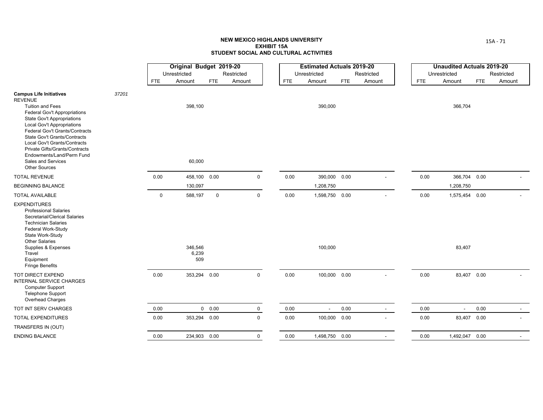|                                                                                                                                                                                                                        |       |      | Original Budget 2019-20 |             |             |            | <b>Estimated Actuals 2019-20</b> |            |                |            | <b>Unaudited Actuals 2019-20</b> |            |            |
|------------------------------------------------------------------------------------------------------------------------------------------------------------------------------------------------------------------------|-------|------|-------------------------|-------------|-------------|------------|----------------------------------|------------|----------------|------------|----------------------------------|------------|------------|
|                                                                                                                                                                                                                        |       |      | Unrestricted            |             | Restricted  |            | Unrestricted                     |            | Restricted     |            | Unrestricted                     |            | Restricted |
|                                                                                                                                                                                                                        |       | FTE  | Amount                  | <b>FTE</b>  | Amount      | <b>FTE</b> | Amount                           | <b>FTE</b> | Amount         | <b>FTE</b> | Amount                           | <b>FTE</b> | Amount     |
| <b>Campus Life Initiatives</b><br><b>REVENUE</b><br><b>Tuition and Fees</b><br><b>Federal Gov't Appropriations</b><br><b>State Gov't Appropriations</b><br><b>Local Gov't Appropriations</b>                           | 37201 |      | 398,100                 |             |             |            | 390,000                          |            |                |            | 366,704                          |            |            |
| Federal Gov't Grants/Contracts<br><b>State Gov't Grants/Contracts</b><br>Local Gov't Grants/Contracts<br>Private Gifts/Grants/Contracts<br>Endowments/Land/Perm Fund<br>Sales and Services<br><b>Other Sources</b>     |       |      | 60,000                  |             |             |            |                                  |            |                |            |                                  |            |            |
| <b>TOTAL REVENUE</b>                                                                                                                                                                                                   |       | 0.00 | 458,100                 | 0.00        | $\mathbf 0$ | 0.00       | 390,000 0.00                     |            |                | 0.00       | 366,704 0.00                     |            |            |
| <b>BEGINNING BALANCE</b>                                                                                                                                                                                               |       |      | 130,097                 |             |             |            | 1,208,750                        |            |                |            | 1,208,750                        |            |            |
| <b>TOTAL AVAILABLE</b>                                                                                                                                                                                                 |       | 0    | 588,197                 | $\mathsf 0$ | $\pmb{0}$   | 0.00       | 1,598,750 0.00                   |            |                | 0.00       | 1,575,454 0.00                   |            |            |
| <b>EXPENDITURES</b><br><b>Professional Salaries</b><br>Secretarial/Clerical Salaries<br><b>Technician Salaries</b><br>Federal Work-Study<br>State Work-Study<br><b>Other Salaries</b><br>Supplies & Expenses<br>Travel |       |      | 346,546<br>6,239        |             |             |            | 100,000                          |            |                |            | 83,407                           |            |            |
| Equipment<br><b>Fringe Benefits</b>                                                                                                                                                                                    |       |      | 509                     |             |             |            |                                  |            |                |            |                                  |            |            |
| <b>TOT DIRECT EXPEND</b><br>INTERNAL SERVICE CHARGES<br><b>Computer Support</b><br><b>Telephone Support</b><br>Overhead Charges                                                                                        |       | 0.00 | 353,294 0.00            |             | $\mathsf 0$ | 0.00       | 100,000 0.00                     |            |                | 0.00       | 83,407 0.00                      |            |            |
| TOT INT SERV CHARGES                                                                                                                                                                                                   |       | 0.00 |                         | 0 0.00      | $\mathbf 0$ | $0.00\,$   | $\blacksquare$                   | 0.00       | $\sim$         | 0.00       | $\sim$                           | 0.00       | $\sim$     |
| <b>TOTAL EXPENDITURES</b>                                                                                                                                                                                              |       | 0.00 | 353,294 0.00            |             | $\mathbf 0$ | 0.00       | 100,000 0.00                     |            | $\blacksquare$ | 0.00       | 83,407 0.00                      |            |            |
| TRANSFERS IN (OUT)                                                                                                                                                                                                     |       |      |                         |             |             |            |                                  |            |                |            |                                  |            |            |
| <b>ENDING BALANCE</b>                                                                                                                                                                                                  |       | 0.00 | 234,903 0.00            |             | $\mathsf 0$ | 0.00       | 1,498,750 0.00                   |            |                | 0.00       | 1,492,047 0.00                   |            |            |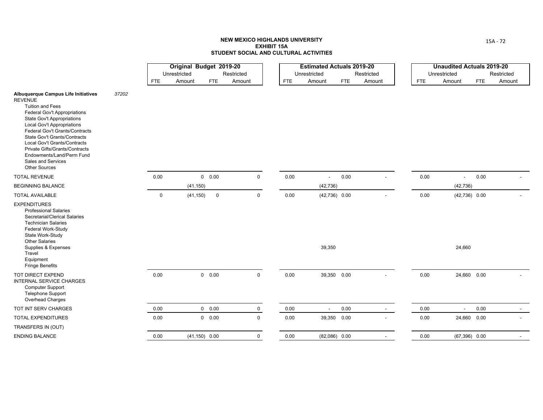|                                                                                                                                                                                                                                                                                                                                                                                                           |       |             | Original Budget 2019-20<br>Unrestricted |                  | Restricted  |            | <b>Estimated Actuals 2019-20</b><br>Unrestricted |      | Restricted |            | <b>Unaudited Actuals 2019-20</b><br>Unrestricted |      | Restricted |
|-----------------------------------------------------------------------------------------------------------------------------------------------------------------------------------------------------------------------------------------------------------------------------------------------------------------------------------------------------------------------------------------------------------|-------|-------------|-----------------------------------------|------------------|-------------|------------|--------------------------------------------------|------|------------|------------|--------------------------------------------------|------|------------|
|                                                                                                                                                                                                                                                                                                                                                                                                           |       | <b>FTE</b>  | Amount                                  | <b>FTE</b>       | Amount      | <b>FTE</b> | Amount                                           | FTE  | Amount     | <b>FTE</b> | Amount                                           | FTE  | Amount     |
| <b>Albuquerque Campus Life Initiatives</b><br><b>REVENUE</b><br><b>Tuition and Fees</b><br>Federal Gov't Appropriations<br>State Gov't Appropriations<br><b>Local Gov't Appropriations</b><br>Federal Gov't Grants/Contracts<br>State Gov't Grants/Contracts<br>Local Gov't Grants/Contracts<br>Private Gifts/Grants/Contracts<br>Endowments/Land/Perm Fund<br>Sales and Services<br><b>Other Sources</b> | 37202 |             |                                         |                  |             |            |                                                  |      |            |            |                                                  |      |            |
| <b>TOTAL REVENUE</b>                                                                                                                                                                                                                                                                                                                                                                                      |       | 0.00        |                                         | 0 0.00           | $\mathbf 0$ | 0.00       | $\overline{\phantom{a}}$                         | 0.00 |            | 0.00       | $\blacksquare$                                   | 0.00 |            |
| <b>BEGINNING BALANCE</b>                                                                                                                                                                                                                                                                                                                                                                                  |       |             | (41, 150)                               |                  |             |            | (42, 736)                                        |      |            |            | (42, 736)                                        |      |            |
| <b>TOTAL AVAILABLE</b>                                                                                                                                                                                                                                                                                                                                                                                    |       | $\mathbf 0$ | (41, 150)                               | $\mathsf 0$      | $\mathbf 0$ | 0.00       | $(42,736)$ 0.00                                  |      |            | 0.00       | $(42,736)$ 0.00                                  |      |            |
| <b>EXPENDITURES</b><br><b>Professional Salaries</b><br>Secretarial/Clerical Salaries<br><b>Technician Salaries</b><br>Federal Work-Study<br>State Work-Study<br><b>Other Salaries</b><br>Supplies & Expenses<br>Travel<br>Equipment<br><b>Fringe Benefits</b>                                                                                                                                             |       |             |                                         |                  |             |            | 39,350                                           |      |            |            | 24,660                                           |      |            |
| <b>TOT DIRECT EXPEND</b><br>INTERNAL SERVICE CHARGES<br><b>Computer Support</b><br><b>Telephone Support</b><br>Overhead Charges                                                                                                                                                                                                                                                                           |       | 0.00        |                                         | $0\quad 0.00$    | $\mathbf 0$ | 0.00       | 39,350 0.00                                      |      |            | 0.00       | 24,660 0.00                                      |      |            |
| TOT INT SERV CHARGES                                                                                                                                                                                                                                                                                                                                                                                      |       | 0.00        |                                         | $0\quad 0.00$    | $\mathbf 0$ | 0.00       | $\overline{\phantom{a}}$                         | 0.00 | $\sim$     | 0.00       | $\blacksquare$                                   | 0.00 |            |
| <b>TOTAL EXPENDITURES</b>                                                                                                                                                                                                                                                                                                                                                                                 |       | 0.00        |                                         | 0 0.00           | $\mathbf 0$ | 0.00       | 39,350 0.00                                      |      |            | 0.00       | 24,660 0.00                                      |      |            |
| TRANSFERS IN (OUT)                                                                                                                                                                                                                                                                                                                                                                                        |       |             |                                         |                  |             |            |                                                  |      |            |            |                                                  |      |            |
| <b>ENDING BALANCE</b>                                                                                                                                                                                                                                                                                                                                                                                     |       | 0.00        |                                         | $(41, 150)$ 0.00 | $\mathbf 0$ | 0.00       | $(82,086)$ 0.00                                  |      |            | 0.00       | $(67,396)$ 0.00                                  |      |            |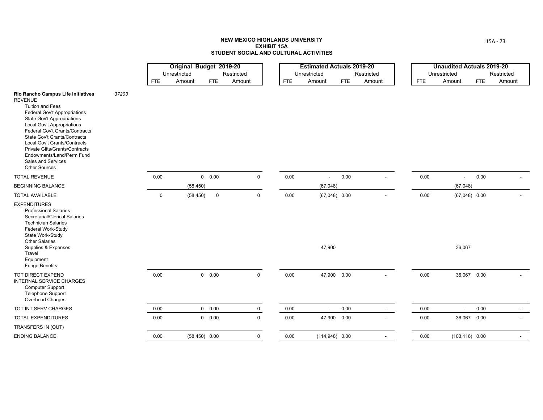|                                                                                                                                                                                                                                                                                                                                                                                                          |       |             | Original Budget 2019-20<br>Unrestricted | Restricted           |             |            | <b>Estimated Actuals 2019-20</b><br>Unrestricted |            | Restricted |            | <b>Unaudited Actuals 2019-20</b><br>Unrestricted |            | Restricted     |
|----------------------------------------------------------------------------------------------------------------------------------------------------------------------------------------------------------------------------------------------------------------------------------------------------------------------------------------------------------------------------------------------------------|-------|-------------|-----------------------------------------|----------------------|-------------|------------|--------------------------------------------------|------------|------------|------------|--------------------------------------------------|------------|----------------|
|                                                                                                                                                                                                                                                                                                                                                                                                          |       | <b>FTE</b>  | Amount                                  | <b>FTE</b><br>Amount |             | <b>FTE</b> | Amount                                           | <b>FTE</b> | Amount     | <b>FTE</b> | Amount                                           | <b>FTE</b> | Amount         |
| Rio Rancho Campus Life Initiatives<br><b>REVENUE</b><br><b>Tuition and Fees</b><br><b>Federal Gov't Appropriations</b><br>State Gov't Appropriations<br><b>Local Gov't Appropriations</b><br>Federal Gov't Grants/Contracts<br>State Gov't Grants/Contracts<br>Local Gov't Grants/Contracts<br>Private Gifts/Grants/Contracts<br>Endowments/Land/Perm Fund<br>Sales and Services<br><b>Other Sources</b> | 37203 |             |                                         |                      |             |            |                                                  |            |            |            |                                                  |            |                |
| <b>TOTAL REVENUE</b>                                                                                                                                                                                                                                                                                                                                                                                     |       | 0.00        | 0 0.00                                  |                      | $\mathbf 0$ | 0.00       |                                                  | 0.00       |            | 0.00       | $\overline{\phantom{a}}$                         | 0.00       |                |
| <b>BEGINNING BALANCE</b>                                                                                                                                                                                                                                                                                                                                                                                 |       |             | (58, 450)                               |                      |             |            | (67, 048)                                        |            |            |            | (67, 048)                                        |            |                |
| <b>TOTAL AVAILABLE</b>                                                                                                                                                                                                                                                                                                                                                                                   |       | $\mathbf 0$ | (58, 450)                               | $\mathbf 0$          | $\mathbf 0$ | 0.00       | $(67,048)$ 0.00                                  |            |            | 0.00       | $(67,048)$ 0.00                                  |            |                |
| <b>EXPENDITURES</b><br><b>Professional Salaries</b><br>Secretarial/Clerical Salaries<br><b>Technician Salaries</b><br>Federal Work-Study<br>State Work-Study<br><b>Other Salaries</b><br>Supplies & Expenses<br>Travel<br>Equipment<br><b>Fringe Benefits</b>                                                                                                                                            |       |             |                                         |                      |             |            | 47,900                                           |            |            |            | 36,067                                           |            |                |
| TOT DIRECT EXPEND<br>INTERNAL SERVICE CHARGES<br>Computer Support<br><b>Telephone Support</b><br>Overhead Charges                                                                                                                                                                                                                                                                                        |       | 0.00        | 0 0.00                                  |                      | $\mathsf 0$ | 0.00       | 47,900 0.00                                      |            |            | 0.00       | 36,067 0.00                                      |            |                |
| TOT INT SERV CHARGES                                                                                                                                                                                                                                                                                                                                                                                     |       | 0.00        | $0\quad 0.00$                           |                      | $\mathbf 0$ | 0.00       |                                                  | 0.00       | $\sim$     | 0.00       | $\sim$                                           | 0.00       | $\overline{a}$ |
| <b>TOTAL EXPENDITURES</b>                                                                                                                                                                                                                                                                                                                                                                                |       | 0.00        | $0\quad 0.00$                           |                      | $\mathbf 0$ | 0.00       | 47,900                                           | 0.00       |            | 0.00       | 36,067 0.00                                      |            |                |
| TRANSFERS IN (OUT)                                                                                                                                                                                                                                                                                                                                                                                       |       |             |                                         |                      |             |            |                                                  |            |            |            |                                                  |            |                |
| <b>ENDING BALANCE</b>                                                                                                                                                                                                                                                                                                                                                                                    |       | 0.00        | $(58, 450)$ 0.00                        |                      | $\mathbf 0$ | 0.00       | $(114,948)$ 0.00                                 |            |            | 0.00       | $(103, 116)$ 0.00                                |            |                |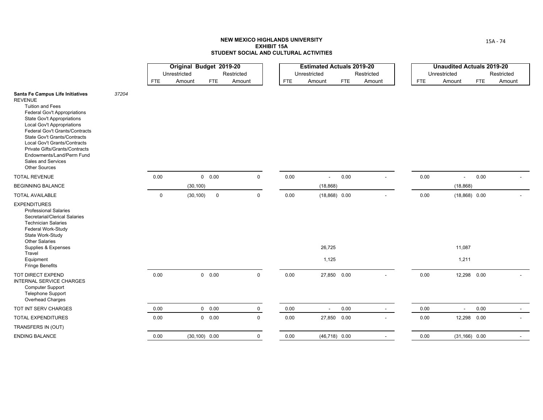|                                                                                                                                                                                                                                                                                                                                                                                                               |       |             | Original Budget 2019-20 |                  |                      |            | <b>Estimated Actuals 2019-20</b> |      |                      |            | <b>Unaudited Actuals 2019-20</b> |      |                      |
|---------------------------------------------------------------------------------------------------------------------------------------------------------------------------------------------------------------------------------------------------------------------------------------------------------------------------------------------------------------------------------------------------------------|-------|-------------|-------------------------|------------------|----------------------|------------|----------------------------------|------|----------------------|------------|----------------------------------|------|----------------------|
|                                                                                                                                                                                                                                                                                                                                                                                                               |       | <b>FTE</b>  | Unrestricted<br>Amount  | <b>FTE</b>       | Restricted<br>Amount | <b>FTE</b> | Unrestricted<br>Amount           | FTE  | Restricted<br>Amount |            | Unrestricted<br>Amount           | FTE  | Restricted<br>Amount |
|                                                                                                                                                                                                                                                                                                                                                                                                               |       |             |                         |                  |                      |            |                                  |      |                      | <b>FTE</b> |                                  |      |                      |
| Santa Fe Campus Life Initiatives<br><b>REVENUE</b><br><b>Tuition and Fees</b><br>Federal Gov't Appropriations<br><b>State Gov't Appropriations</b><br><b>Local Gov't Appropriations</b><br>Federal Gov't Grants/Contracts<br><b>State Gov't Grants/Contracts</b><br>Local Gov't Grants/Contracts<br>Private Gifts/Grants/Contracts<br>Endowments/Land/Perm Fund<br>Sales and Services<br><b>Other Sources</b> | 37204 |             |                         |                  |                      |            |                                  |      |                      |            |                                  |      |                      |
| <b>TOTAL REVENUE</b>                                                                                                                                                                                                                                                                                                                                                                                          |       | 0.00        |                         | 0 0.00           | $\mathbf 0$          | 0.00       | $\blacksquare$                   | 0.00 |                      | 0.00       | $\blacksquare$                   | 0.00 |                      |
| <b>BEGINNING BALANCE</b>                                                                                                                                                                                                                                                                                                                                                                                      |       |             | (30, 100)               |                  |                      |            | (18, 868)                        |      |                      |            | (18, 868)                        |      |                      |
| <b>TOTAL AVAILABLE</b>                                                                                                                                                                                                                                                                                                                                                                                        |       | $\mathbf 0$ | (30, 100)               | $\mathsf 0$      | 0                    | 0.00       | $(18,868)$ 0.00                  |      |                      | 0.00       | $(18,868)$ 0.00                  |      |                      |
| <b>EXPENDITURES</b><br><b>Professional Salaries</b><br>Secretarial/Clerical Salaries<br><b>Technician Salaries</b><br>Federal Work-Study<br>State Work-Study<br><b>Other Salaries</b><br>Supplies & Expenses<br>Travel<br>Equipment<br><b>Fringe Benefits</b>                                                                                                                                                 |       |             |                         |                  |                      |            | 26,725<br>1,125                  |      |                      |            | 11,087<br>1,211                  |      |                      |
| <b>TOT DIRECT EXPEND</b><br>INTERNAL SERVICE CHARGES<br><b>Computer Support</b><br><b>Telephone Support</b><br>Overhead Charges                                                                                                                                                                                                                                                                               |       | 0.00        |                         | 0 0.00           | $\mathbf 0$          | 0.00       | 27,850 0.00                      |      |                      | 0.00       | 12,298 0.00                      |      |                      |
| TOT INT SERV CHARGES                                                                                                                                                                                                                                                                                                                                                                                          |       | 0.00        |                         | 0 0.00           | $\mathbf 0$          | 0.00       | $\blacksquare$                   | 0.00 | $\sim$               | 0.00       | $\blacksquare$                   | 0.00 |                      |
| <b>TOTAL EXPENDITURES</b>                                                                                                                                                                                                                                                                                                                                                                                     |       | 0.00        |                         | 0 0.00           | $\mathbf 0$          | 0.00       | 27,850 0.00                      |      |                      | 0.00       | 12,298 0.00                      |      |                      |
| TRANSFERS IN (OUT)                                                                                                                                                                                                                                                                                                                                                                                            |       |             |                         |                  |                      |            |                                  |      |                      |            |                                  |      |                      |
| <b>ENDING BALANCE</b>                                                                                                                                                                                                                                                                                                                                                                                         |       | 0.00        |                         | $(30, 100)$ 0.00 | $\mathbf 0$          | 0.00       | $(46,718)$ 0.00                  |      |                      | 0.00       | $(31, 166)$ 0.00                 |      |                      |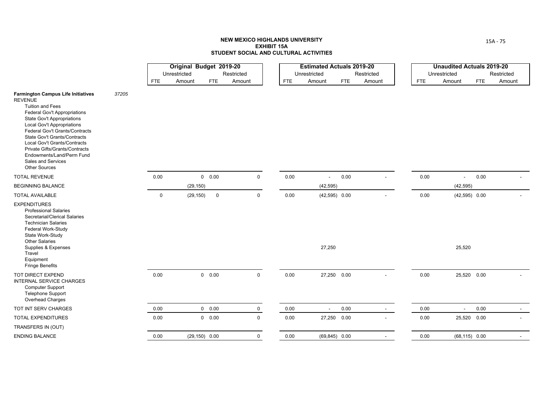|                                                                                                                                                                                                                                                                                                                                                                                                                 |       |             | Original Budget 2019-20<br>Unrestricted |                  | Restricted  |            | <b>Estimated Actuals 2019-20</b><br>Unrestricted |            | Restricted |            | <b>Unaudited Actuals 2019-20</b><br>Unrestricted |            | Restricted |
|-----------------------------------------------------------------------------------------------------------------------------------------------------------------------------------------------------------------------------------------------------------------------------------------------------------------------------------------------------------------------------------------------------------------|-------|-------------|-----------------------------------------|------------------|-------------|------------|--------------------------------------------------|------------|------------|------------|--------------------------------------------------|------------|------------|
|                                                                                                                                                                                                                                                                                                                                                                                                                 |       | <b>FTE</b>  | Amount                                  | <b>FTE</b>       | Amount      | <b>FTE</b> | Amount                                           | <b>FTE</b> | Amount     | <b>FTE</b> | Amount                                           | <b>FTE</b> | Amount     |
| <b>Farmington Campus Life Initiatives</b><br><b>REVENUE</b><br><b>Tuition and Fees</b><br>Federal Gov't Appropriations<br><b>State Gov't Appropriations</b><br>Local Gov't Appropriations<br>Federal Gov't Grants/Contracts<br><b>State Gov't Grants/Contracts</b><br>Local Gov't Grants/Contracts<br>Private Gifts/Grants/Contracts<br>Endowments/Land/Perm Fund<br>Sales and Services<br><b>Other Sources</b> | 37205 |             |                                         |                  |             |            |                                                  |            |            |            |                                                  |            |            |
| <b>TOTAL REVENUE</b>                                                                                                                                                                                                                                                                                                                                                                                            |       | 0.00        |                                         | 0 0.00           | $\mathbf 0$ | 0.00       |                                                  | 0.00       |            | 0.00       | $\mathbf{r}$                                     | 0.00       |            |
| <b>BEGINNING BALANCE</b>                                                                                                                                                                                                                                                                                                                                                                                        |       |             | (29, 150)                               |                  |             |            | (42, 595)                                        |            |            |            | (42, 595)                                        |            |            |
| <b>TOTAL AVAILABLE</b>                                                                                                                                                                                                                                                                                                                                                                                          |       | $\mathbf 0$ | (29, 150)                               | $\mathbf 0$      | $\mathbf 0$ | 0.00       | $(42,595)$ 0.00                                  |            |            | 0.00       | $(42,595)$ 0.00                                  |            |            |
| <b>EXPENDITURES</b><br><b>Professional Salaries</b><br>Secretarial/Clerical Salaries<br><b>Technician Salaries</b><br>Federal Work-Study<br>State Work-Study<br><b>Other Salaries</b><br>Supplies & Expenses<br>Travel<br>Equipment<br><b>Fringe Benefits</b>                                                                                                                                                   |       |             |                                         |                  |             |            | 27,250                                           |            |            |            | 25,520                                           |            |            |
| TOT DIRECT EXPEND<br><b>INTERNAL SERVICE CHARGES</b><br><b>Computer Support</b><br>Telephone Support<br>Overhead Charges                                                                                                                                                                                                                                                                                        |       | 0.00        |                                         | $0\quad 0.00$    | $\mathbf 0$ | 0.00       | 27,250 0.00                                      |            |            | 0.00       | 25,520 0.00                                      |            |            |
| TOT INT SERV CHARGES                                                                                                                                                                                                                                                                                                                                                                                            |       | 0.00        |                                         | 0 0.00           | $\mathbf 0$ | 0.00       |                                                  | 0.00       | $\sim$     | 0.00       | $\sim$                                           | 0.00       | $\sim$     |
| <b>TOTAL EXPENDITURES</b>                                                                                                                                                                                                                                                                                                                                                                                       |       | 0.00        |                                         | 0 0.00           | $\mathbf 0$ | 0.00       | 27,250                                           | 0.00       |            | 0.00       | 25,520 0.00                                      |            |            |
| TRANSFERS IN (OUT)                                                                                                                                                                                                                                                                                                                                                                                              |       |             |                                         |                  |             |            |                                                  |            |            |            |                                                  |            |            |
| <b>ENDING BALANCE</b>                                                                                                                                                                                                                                                                                                                                                                                           |       | 0.00        |                                         | $(29, 150)$ 0.00 | $\mathbf 0$ | 0.00       | $(69, 845)$ 0.00                                 |            |            | 0.00       | $(68, 115)$ 0.00                                 |            |            |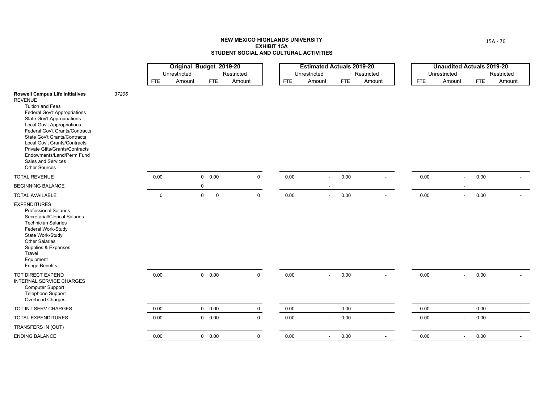|                                                                                                                                                                                                                                                                                                                                                                                                                            |       |             | Original Budget 2019-20 |                            |             |            | <b>Estimated Actuals 2019-20</b> |            |            |        |            | <b>Unaudited Actuals 2019-20</b> |            |            |
|----------------------------------------------------------------------------------------------------------------------------------------------------------------------------------------------------------------------------------------------------------------------------------------------------------------------------------------------------------------------------------------------------------------------------|-------|-------------|-------------------------|----------------------------|-------------|------------|----------------------------------|------------|------------|--------|------------|----------------------------------|------------|------------|
|                                                                                                                                                                                                                                                                                                                                                                                                                            |       |             | Unrestricted            |                            | Restricted  |            | Unrestricted                     |            | Restricted |        |            | Unrestricted                     |            | Restricted |
|                                                                                                                                                                                                                                                                                                                                                                                                                            |       | <b>FTE</b>  | Amount                  | <b>FTE</b>                 | Amount      | <b>FTE</b> | Amount                           | <b>FTE</b> | Amount     |        | <b>FTE</b> | Amount                           | <b>FTE</b> | Amount     |
| <b>Roswell Campus Life Initiatives</b><br><b>REVENUE</b><br><b>Tuition and Fees</b><br>Federal Gov't Appropriations<br><b>State Gov't Appropriations</b><br><b>Local Gov't Appropriations</b><br>Federal Gov't Grants/Contracts<br><b>State Gov't Grants/Contracts</b><br>Local Gov't Grants/Contracts<br><b>Private Gifts/Grants/Contracts</b><br>Endowments/Land/Perm Fund<br>Sales and Services<br><b>Other Sources</b> | 37206 |             |                         |                            |             |            |                                  |            |            |        |            |                                  |            |            |
| <b>TOTAL REVENUE</b>                                                                                                                                                                                                                                                                                                                                                                                                       |       | 0.00        |                         | $0\quad 0.00$              | $\mathbf 0$ | 0.00       | $\blacksquare$                   | 0.00       |            |        | 0.00       | $\blacksquare$                   | 0.00       |            |
| <b>BEGINNING BALANCE</b>                                                                                                                                                                                                                                                                                                                                                                                                   |       |             |                         | 0                          |             |            | $\overline{\phantom{a}}$         |            |            |        |            | $\overline{\phantom{a}}$         |            |            |
| <b>TOTAL AVAILABLE</b>                                                                                                                                                                                                                                                                                                                                                                                                     |       | $\mathbf 0$ |                         | $\mathbf 0$<br>$\mathbf 0$ | $\mathsf 0$ | 0.00       | $\blacksquare$                   | $0.00\,$   |            |        | 0.00       | $\blacksquare$                   | 0.00       |            |
| <b>EXPENDITURES</b><br><b>Professional Salaries</b><br>Secretarial/Clerical Salaries<br><b>Technician Salaries</b><br>Federal Work-Study<br>State Work-Study<br><b>Other Salaries</b><br>Supplies & Expenses<br>Travel<br>Equipment<br><b>Fringe Benefits</b>                                                                                                                                                              |       |             |                         |                            |             |            |                                  |            |            |        |            |                                  |            |            |
| TOT DIRECT EXPEND<br>INTERNAL SERVICE CHARGES<br><b>Computer Support</b><br>Telephone Support<br>Overhead Charges                                                                                                                                                                                                                                                                                                          |       | 0.00        |                         | $0\quad 0.00$              | $\mathbf 0$ | 0.00       | $\blacksquare$                   | 0.00       |            | $\sim$ | 0.00       | $\sim$                           | 0.00       |            |
| TOT INT SERV CHARGES                                                                                                                                                                                                                                                                                                                                                                                                       |       | 0.00        |                         | $0\quad 0.00$              | $\mathbf 0$ | 0.00       | $\sim$                           | 0.00       |            | $\sim$ | 0.00       | $\sim$                           | 0.00       | $\sim$     |
| <b>TOTAL EXPENDITURES</b>                                                                                                                                                                                                                                                                                                                                                                                                  |       | 0.00        |                         | 0 0.00                     | $\mathbf 0$ | 0.00       | $\blacksquare$                   | 0.00       |            |        | 0.00       | $\overline{\phantom{a}}$         | 0.00       |            |
| TRANSFERS IN (OUT)                                                                                                                                                                                                                                                                                                                                                                                                         |       |             |                         |                            |             |            |                                  |            |            |        |            |                                  |            |            |
| <b>ENDING BALANCE</b>                                                                                                                                                                                                                                                                                                                                                                                                      |       | 0.00        |                         | $0\quad 0.00$              | $\mathbf 0$ | 0.00       | $\overline{\phantom{a}}$         | 0.00       |            |        | 0.00       | $\overline{\phantom{a}}$         | 0.00       |            |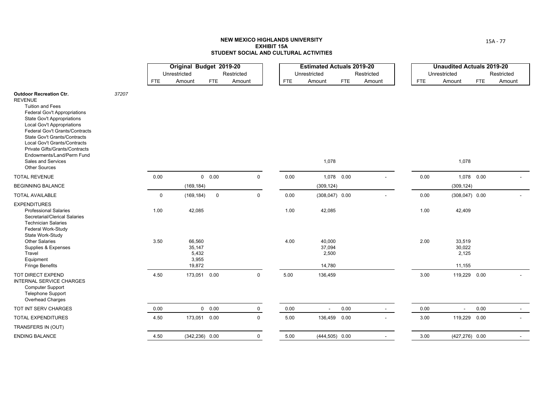|                                                                                                                                                                                                                                                                                                                                                                                                             |       |            | Original Budget 2019-20                      |               |             |            | <b>Estimated Actuals 2019-20</b>    |            |            |            | <b>Unaudited Actuals 2019-20</b>    |            |            |
|-------------------------------------------------------------------------------------------------------------------------------------------------------------------------------------------------------------------------------------------------------------------------------------------------------------------------------------------------------------------------------------------------------------|-------|------------|----------------------------------------------|---------------|-------------|------------|-------------------------------------|------------|------------|------------|-------------------------------------|------------|------------|
|                                                                                                                                                                                                                                                                                                                                                                                                             |       |            | Unrestricted                                 |               | Restricted  |            | Unrestricted                        |            | Restricted |            | Unrestricted                        |            | Restricted |
|                                                                                                                                                                                                                                                                                                                                                                                                             |       | <b>FTE</b> | Amount                                       | <b>FTE</b>    | Amount      | <b>FTE</b> | Amount                              | <b>FTE</b> | Amount     | <b>FTE</b> | Amount                              | <b>FTE</b> | Amount     |
| <b>Outdoor Recreation Ctr.</b><br><b>REVENUE</b><br><b>Tuition and Fees</b><br><b>Federal Gov't Appropriations</b><br>State Gov't Appropriations<br><b>Local Gov't Appropriations</b><br>Federal Gov't Grants/Contracts<br><b>State Gov't Grants/Contracts</b><br>Local Gov't Grants/Contracts<br>Private Gifts/Grants/Contracts<br>Endowments/Land/Perm Fund<br>Sales and Services<br><b>Other Sources</b> | 37207 |            |                                              |               |             |            | 1,078                               |            |            |            | 1,078                               |            |            |
| <b>TOTAL REVENUE</b>                                                                                                                                                                                                                                                                                                                                                                                        |       | 0.00       |                                              | 0 0.00        | $\mathbf 0$ | 0.00       | 1,078 0.00                          |            |            | 0.00       | 1,078 0.00                          |            |            |
| <b>BEGINNING BALANCE</b>                                                                                                                                                                                                                                                                                                                                                                                    |       |            | (169, 184)                                   |               |             |            | (309, 124)                          |            |            |            | (309, 124)                          |            |            |
| <b>TOTAL AVAILABLE</b>                                                                                                                                                                                                                                                                                                                                                                                      |       | 0          | (169, 184)                                   | $\mathsf 0$   | $\mathbf 0$ | $0.00\,$   | $(308, 047)$ 0.00                   |            |            | 0.00       | $(308, 047)$ 0.00                   |            |            |
| <b>EXPENDITURES</b><br><b>Professional Salaries</b><br>Secretarial/Clerical Salaries<br><b>Technician Salaries</b><br>Federal Work-Study                                                                                                                                                                                                                                                                    |       | 1.00       | 42,085                                       |               |             | 1.00       | 42,085                              |            |            | 1.00       | 42,409                              |            |            |
| State Work-Study<br><b>Other Salaries</b><br>Supplies & Expenses<br>Travel<br>Equipment<br><b>Fringe Benefits</b>                                                                                                                                                                                                                                                                                           |       | 3.50       | 66,560<br>35,147<br>5,432<br>3,955<br>19,872 |               |             | 4.00       | 40,000<br>37,094<br>2,500<br>14,780 |            |            | 2.00       | 33,519<br>30,022<br>2,125<br>11,155 |            |            |
| <b>TOT DIRECT EXPEND</b><br>INTERNAL SERVICE CHARGES<br><b>Computer Support</b><br><b>Telephone Support</b><br>Overhead Charges                                                                                                                                                                                                                                                                             |       | 4.50       | 173,051 0.00                                 |               | $\mathbf 0$ | 5.00       | 136,459                             |            |            | 3.00       | 119,229 0.00                        |            |            |
| TOT INT SERV CHARGES                                                                                                                                                                                                                                                                                                                                                                                        |       | 0.00       |                                              | $0\quad 0.00$ | $\mathbf 0$ | 0.00       |                                     | 0.00       | $\sim$     | 0.00       | $\sim$                              | 0.00       |            |
| <b>TOTAL EXPENDITURES</b>                                                                                                                                                                                                                                                                                                                                                                                   |       | 4.50       | 173,051 0.00                                 |               | $\mathbf 0$ | 5.00       | 136,459                             | 0.00       |            | 3.00       | 119,229 0.00                        |            |            |
| TRANSFERS IN (OUT)                                                                                                                                                                                                                                                                                                                                                                                          |       |            |                                              |               |             |            |                                     |            |            |            |                                     |            |            |
| <b>ENDING BALANCE</b>                                                                                                                                                                                                                                                                                                                                                                                       |       | 4.50       | $(342, 236)$ 0.00                            |               | $\mathbf 0$ | 5.00       | $(444, 505)$ 0.00                   |            |            | 3.00       | $(427, 276)$ 0.00                   |            |            |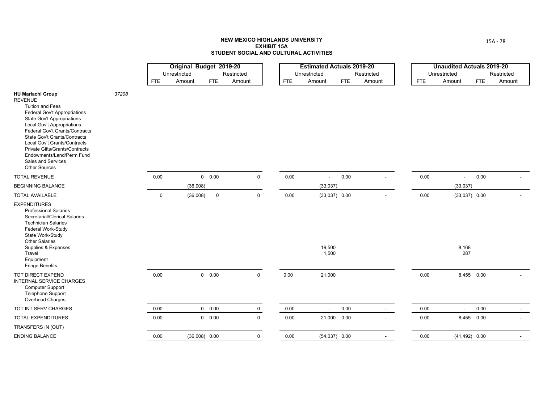|                                                                                                                                                                                                                                                                                                                                                                                                       |       |             | Original Budget 2019-20 |                            |            | <b>Estimated Actuals 2019-20</b> |                 |            |            | <b>Unaudited Actuals 2019-20</b> |            |            |
|-------------------------------------------------------------------------------------------------------------------------------------------------------------------------------------------------------------------------------------------------------------------------------------------------------------------------------------------------------------------------------------------------------|-------|-------------|-------------------------|----------------------------|------------|----------------------------------|-----------------|------------|------------|----------------------------------|------------|------------|
|                                                                                                                                                                                                                                                                                                                                                                                                       |       |             | Unrestricted            | Restricted                 |            | Unrestricted                     |                 | Restricted |            | Unrestricted                     |            | Restricted |
|                                                                                                                                                                                                                                                                                                                                                                                                       |       | <b>FTE</b>  | Amount                  | <b>FTE</b><br>Amount       | <b>FTE</b> | Amount                           | <b>FTE</b>      | Amount     | <b>FTE</b> | Amount                           | <b>FTE</b> | Amount     |
| <b>HU Mariachi Group</b><br><b>REVENUE</b><br><b>Tuition and Fees</b><br>Federal Gov't Appropriations<br>State Gov't Appropriations<br><b>Local Gov't Appropriations</b><br>Federal Gov't Grants/Contracts<br><b>State Gov't Grants/Contracts</b><br>Local Gov't Grants/Contracts<br><b>Private Gifts/Grants/Contracts</b><br>Endowments/Land/Perm Fund<br>Sales and Services<br><b>Other Sources</b> | 37208 |             |                         |                            |            |                                  |                 |            |            |                                  |            |            |
| <b>TOTAL REVENUE</b>                                                                                                                                                                                                                                                                                                                                                                                  |       | 0.00        | 0 0.00                  | $\mathsf 0$                | 0.00       | $\overline{\phantom{a}}$         | $0.00\,$        |            | 0.00       | $\sim$                           | 0.00       |            |
| <b>BEGINNING BALANCE</b>                                                                                                                                                                                                                                                                                                                                                                              |       |             | (36,008)                |                            |            | (33, 037)                        |                 |            |            | (33,037)                         |            |            |
| <b>TOTAL AVAILABLE</b>                                                                                                                                                                                                                                                                                                                                                                                |       | $\mathbf 0$ | (36,008)                | $\mathbf 0$<br>$\mathbf 0$ | 0.00       |                                  | $(33,037)$ 0.00 |            | 0.00       | $(33,037)$ 0.00                  |            |            |
| <b>EXPENDITURES</b><br><b>Professional Salaries</b><br>Secretarial/Clerical Salaries<br><b>Technician Salaries</b><br>Federal Work-Study<br>State Work-Study<br><b>Other Salaries</b><br>Supplies & Expenses<br>Travel<br>Equipment<br><b>Fringe Benefits</b>                                                                                                                                         |       |             |                         |                            |            | 19,500<br>1,500                  |                 |            |            | 8,168<br>287                     |            |            |
| TOT DIRECT EXPEND<br><b>INTERNAL SERVICE CHARGES</b><br><b>Computer Support</b><br><b>Telephone Support</b><br>Overhead Charges                                                                                                                                                                                                                                                                       |       | 0.00        | $0\quad 0.00$           | $\mathbf 0$                | 0.00       | 21,000                           |                 |            | 0.00       | 8,455 0.00                       |            |            |
| TOT INT SERV CHARGES                                                                                                                                                                                                                                                                                                                                                                                  |       | 0.00        | $0\quad 0.00$           | $\mathbf 0$                | $0.00\,$   | $\blacksquare$                   | 0.00            | $\sim$     | 0.00       | $\sim$                           | 0.00       | $\sim$     |
| <b>TOTAL EXPENDITURES</b>                                                                                                                                                                                                                                                                                                                                                                             |       | 0.00        | $0\quad 0.00$           | $\mathbf 0$                | 0.00       |                                  | 21,000 0.00     |            | 0.00       | 8,455 0.00                       |            |            |
| TRANSFERS IN (OUT)                                                                                                                                                                                                                                                                                                                                                                                    |       |             |                         |                            |            |                                  |                 |            |            |                                  |            |            |
| <b>ENDING BALANCE</b>                                                                                                                                                                                                                                                                                                                                                                                 |       | 0.00        | $(36,008)$ 0.00         | $\mathbf 0$                | 0.00       | $(54,037)$ 0.00                  |                 |            | 0.00       | $(41, 492)$ 0.00                 |            |            |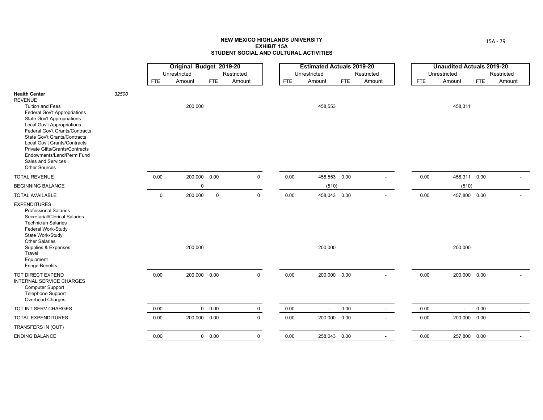|                                                                                                                                                                                                                                                                                                                                                                                            |       |             | Original Budget 2019-20 |             |             |            | <b>Estimated Actuals 2019-20</b> |            |                          |            | <b>Unaudited Actuals 2019-20</b> |            |            |
|--------------------------------------------------------------------------------------------------------------------------------------------------------------------------------------------------------------------------------------------------------------------------------------------------------------------------------------------------------------------------------------------|-------|-------------|-------------------------|-------------|-------------|------------|----------------------------------|------------|--------------------------|------------|----------------------------------|------------|------------|
|                                                                                                                                                                                                                                                                                                                                                                                            |       |             | Unrestricted            |             | Restricted  |            | Unrestricted                     |            | Restricted               |            | Unrestricted                     |            | Restricted |
|                                                                                                                                                                                                                                                                                                                                                                                            |       | <b>FTE</b>  | Amount                  | <b>FTE</b>  | Amount      | <b>FTE</b> | Amount                           | <b>FTE</b> | Amount                   | <b>FTE</b> | Amount                           | <b>FTE</b> | Amount     |
| <b>Health Center</b><br><b>REVENUE</b><br><b>Tuition and Fees</b><br>Federal Gov't Appropriations<br><b>State Gov't Appropriations</b><br><b>Local Gov't Appropriations</b><br>Federal Gov't Grants/Contracts<br>State Gov't Grants/Contracts<br>Local Gov't Grants/Contracts<br>Private Gifts/Grants/Contracts<br>Endowments/Land/Perm Fund<br>Sales and Services<br><b>Other Sources</b> | 32500 |             | 200,000                 |             |             |            | 458,553                          |            |                          |            | 458,311                          |            |            |
| <b>TOTAL REVENUE</b>                                                                                                                                                                                                                                                                                                                                                                       |       | 0.00        | 200,000                 | 0.00        | $\mathbf 0$ | 0.00       | 458,553 0.00                     |            |                          | 0.00       | 458,311 0.00                     |            |            |
| <b>BEGINNING BALANCE</b>                                                                                                                                                                                                                                                                                                                                                                   |       |             | 0                       |             |             |            | (510)                            |            |                          |            | (510)                            |            |            |
| <b>TOTAL AVAILABLE</b>                                                                                                                                                                                                                                                                                                                                                                     |       | $\mathbf 0$ | 200,000                 | $\mathbf 0$ | $\mathbf 0$ | 0.00       | 458,043 0.00                     |            |                          | 0.00       | 457,800 0.00                     |            |            |
| <b>EXPENDITURES</b><br><b>Professional Salaries</b><br>Secretarial/Clerical Salaries<br><b>Technician Salaries</b><br>Federal Work-Study<br>State Work-Study<br>Other Salaries<br>Supplies & Expenses<br>Travel<br>Equipment<br><b>Fringe Benefits</b>                                                                                                                                     |       |             | 200,000                 |             |             |            | 200,000                          |            |                          |            | 200,000                          |            |            |
| TOT DIRECT EXPEND<br>INTERNAL SERVICE CHARGES<br><b>Computer Support</b><br><b>Telephone Support</b><br>Overhead Charges                                                                                                                                                                                                                                                                   |       | 0.00        | 200,000 0.00            |             | $\mathbf 0$ | 0.00       | 200,000 0.00                     |            | $\blacksquare$           | 0.00       | 200,000 0.00                     |            |            |
| TOT INT SERV CHARGES                                                                                                                                                                                                                                                                                                                                                                       |       | 0.00        |                         | 0 0.00      | $\mathbf 0$ | $0.00\,$   | $\overline{\phantom{a}}$         | 0.00       | $\sim$                   | 0.00       | $\blacksquare$                   | 0.00       | $\sim$     |
| <b>TOTAL EXPENDITURES</b>                                                                                                                                                                                                                                                                                                                                                                  |       | 0.00        | 200,000 0.00            |             | $\mathbf 0$ | 0.00       | 200,000 0.00                     |            |                          | 0.00       | 200,000 0.00                     |            |            |
| TRANSFERS IN (OUT)                                                                                                                                                                                                                                                                                                                                                                         |       |             |                         |             |             |            |                                  |            |                          |            |                                  |            |            |
| <b>ENDING BALANCE</b>                                                                                                                                                                                                                                                                                                                                                                      |       | 0.00        |                         | 0 0.00      | $\mathbf 0$ | 0.00       | 258,043 0.00                     |            | $\overline{\phantom{a}}$ | 0.00       | 257,800 0.00                     |            |            |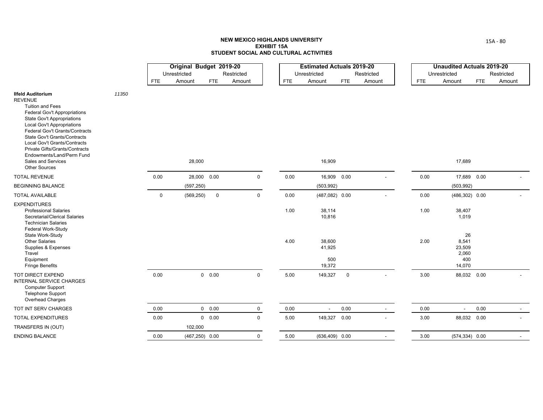|                                                                                                                                                                                                                                                                                                                                                                                                                     |       |             | Original Budget 2019-20 |               |             |            | <b>Estimated Actuals 2019-20</b>  |             |            |            | <b>Unaudited Actuals 2019-20</b>                |            |                          |
|---------------------------------------------------------------------------------------------------------------------------------------------------------------------------------------------------------------------------------------------------------------------------------------------------------------------------------------------------------------------------------------------------------------------|-------|-------------|-------------------------|---------------|-------------|------------|-----------------------------------|-------------|------------|------------|-------------------------------------------------|------------|--------------------------|
|                                                                                                                                                                                                                                                                                                                                                                                                                     |       |             | Unrestricted            |               | Restricted  |            | Unrestricted                      |             | Restricted |            | Unrestricted                                    |            | Restricted               |
|                                                                                                                                                                                                                                                                                                                                                                                                                     |       | <b>FTE</b>  | Amount                  | <b>FTE</b>    | Amount      | <b>FTE</b> | Amount                            | <b>FTE</b>  | Amount     | <b>FTE</b> | Amount                                          | <b>FTE</b> | Amount                   |
| <b>Ilfeld Auditorium</b><br><b>REVENUE</b><br><b>Tuition and Fees</b><br><b>Federal Gov't Appropriations</b><br><b>State Gov't Appropriations</b><br><b>Local Gov't Appropriations</b><br>Federal Gov't Grants/Contracts<br><b>State Gov't Grants/Contracts</b><br><b>Local Gov't Grants/Contracts</b><br>Private Gifts/Grants/Contracts<br>Endowments/Land/Perm Fund<br>Sales and Services<br><b>Other Sources</b> | 11350 |             | 28,000                  |               |             |            | 16,909                            |             |            |            | 17,689                                          |            |                          |
| <b>TOTAL REVENUE</b>                                                                                                                                                                                                                                                                                                                                                                                                |       | 0.00        | 28,000 0.00             |               | $\mathsf 0$ | 0.00       | 16,909 0.00                       |             |            | 0.00       | 17,689 0.00                                     |            |                          |
| <b>BEGINNING BALANCE</b>                                                                                                                                                                                                                                                                                                                                                                                            |       |             | (597, 250)              |               |             |            | (503, 992)                        |             |            |            | (503, 992)                                      |            |                          |
| <b>TOTAL AVAILABLE</b>                                                                                                                                                                                                                                                                                                                                                                                              |       | $\mathbf 0$ | (569, 250)              | $\mathsf 0$   | $\mathsf 0$ | 0.00       | $(487,082)$ 0.00                  |             |            | 0.00       | $(486, 302)$ 0.00                               |            |                          |
| <b>EXPENDITURES</b><br><b>Professional Salaries</b><br>Secretarial/Clerical Salaries<br><b>Technician Salaries</b><br>Federal Work-Study                                                                                                                                                                                                                                                                            |       |             |                         |               |             | 1.00       | 38,114<br>10,816                  |             |            | 1.00       | 38,407<br>1,019                                 |            |                          |
| State Work-Study<br><b>Other Salaries</b><br>Supplies & Expenses<br>Travel<br>Equipment<br><b>Fringe Benefits</b>                                                                                                                                                                                                                                                                                                   |       |             |                         |               |             | 4.00       | 38,600<br>41,925<br>500<br>19,372 |             |            | 2.00       | 26<br>8,541<br>23,509<br>2,060<br>400<br>14,070 |            |                          |
| TOT DIRECT EXPEND<br>INTERNAL SERVICE CHARGES<br><b>Computer Support</b><br><b>Telephone Support</b><br>Overhead Charges                                                                                                                                                                                                                                                                                            |       | 0.00        |                         | 0 0.00        | $\mathbf 0$ | 5.00       | 149,327                           | $\mathbf 0$ |            | 3.00       | 88,032 0.00                                     |            |                          |
| TOT INT SERV CHARGES                                                                                                                                                                                                                                                                                                                                                                                                |       | 0.00        |                         | $0\quad 0.00$ | $\mathbf 0$ | 0.00       | $\overline{\phantom{a}}$          | 0.00        | $\sim$     | 0.00       | $\sim$                                          | 0.00       | $\overline{\phantom{0}}$ |
| TOTAL EXPENDITURES                                                                                                                                                                                                                                                                                                                                                                                                  |       | 0.00        |                         | $0\quad 0.00$ | $\mathbf 0$ | 5.00       | 149,327 0.00                      |             |            | $3.00\,$   | 88,032 0.00                                     |            |                          |
| TRANSFERS IN (OUT)                                                                                                                                                                                                                                                                                                                                                                                                  |       |             | 102,000                 |               |             |            |                                   |             |            |            |                                                 |            |                          |
| <b>ENDING BALANCE</b>                                                                                                                                                                                                                                                                                                                                                                                               |       | 0.00        | $(467, 250)$ 0.00       |               | $\mathbf 0$ | 5.00       | $(636, 409)$ 0.00                 |             |            | 3.00       | $(574, 334)$ 0.00                               |            |                          |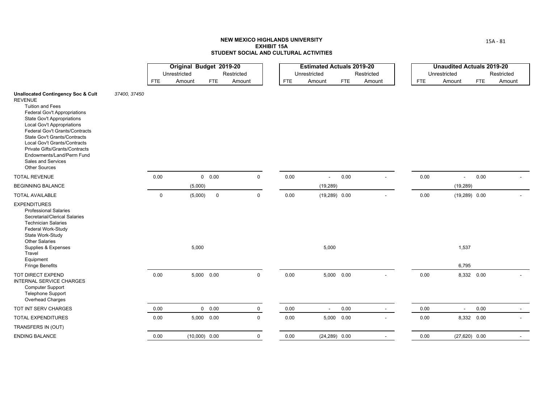|                                                                                                                                                                                                                                                                                                                                                                                                                                   |              |             | Original Budget 2019-20 |                 |             |            | <b>Estimated Actuals 2019-20</b> |            |            |            | <b>Unaudited Actuals 2019-20</b> |            |                          |
|-----------------------------------------------------------------------------------------------------------------------------------------------------------------------------------------------------------------------------------------------------------------------------------------------------------------------------------------------------------------------------------------------------------------------------------|--------------|-------------|-------------------------|-----------------|-------------|------------|----------------------------------|------------|------------|------------|----------------------------------|------------|--------------------------|
|                                                                                                                                                                                                                                                                                                                                                                                                                                   |              |             | Unrestricted            |                 | Restricted  |            | Unrestricted                     |            | Restricted |            | Unrestricted                     |            | Restricted               |
|                                                                                                                                                                                                                                                                                                                                                                                                                                   |              | <b>FTE</b>  | Amount                  | <b>FTE</b>      | Amount      | <b>FTE</b> | Amount                           | <b>FTE</b> | Amount     | <b>FTE</b> | Amount                           | <b>FTE</b> | Amount                   |
| <b>Unallocated Contingency Soc &amp; Cult</b><br><b>REVENUE</b><br><b>Tuition and Fees</b><br>Federal Gov't Appropriations<br><b>State Gov't Appropriations</b><br><b>Local Gov't Appropriations</b><br>Federal Gov't Grants/Contracts<br><b>State Gov't Grants/Contracts</b><br>Local Gov't Grants/Contracts<br><b>Private Gifts/Grants/Contracts</b><br>Endowments/Land/Perm Fund<br>Sales and Services<br><b>Other Sources</b> | 37400, 37450 |             |                         |                 |             |            |                                  |            |            |            |                                  |            |                          |
| <b>TOTAL REVENUE</b>                                                                                                                                                                                                                                                                                                                                                                                                              |              | 0.00        |                         | 0 0.00          | $\mathbf 0$ | 0.00       | $\overline{\phantom{a}}$         | 0.00       |            | 0.00       | $\sim$                           | 0.00       |                          |
| <b>BEGINNING BALANCE</b>                                                                                                                                                                                                                                                                                                                                                                                                          |              |             | (5,000)                 |                 |             |            | (19, 289)                        |            |            |            | (19, 289)                        |            |                          |
| <b>TOTAL AVAILABLE</b>                                                                                                                                                                                                                                                                                                                                                                                                            |              | $\mathbf 0$ | (5,000)                 | $\mathsf 0$     | $\mathbf 0$ | 0.00       | $(19,289)$ 0.00                  |            |            | 0.00       | $(19,289)$ 0.00                  |            |                          |
| <b>EXPENDITURES</b><br><b>Professional Salaries</b><br>Secretarial/Clerical Salaries<br><b>Technician Salaries</b><br>Federal Work-Study<br>State Work-Study<br><b>Other Salaries</b><br>Supplies & Expenses<br>Travel<br>Equipment<br><b>Fringe Benefits</b>                                                                                                                                                                     |              |             | 5,000                   |                 |             |            | 5,000                            |            |            |            | 1,537<br>6,795                   |            |                          |
| TOT DIRECT EXPEND<br>INTERNAL SERVICE CHARGES<br><b>Computer Support</b><br><b>Telephone Support</b><br>Overhead Charges                                                                                                                                                                                                                                                                                                          |              | 0.00        |                         | 5,000 0.00      | $\mathbf 0$ | 0.00       |                                  | 5,000 0.00 |            | 0.00       |                                  | 8,332 0.00 |                          |
| TOT INT SERV CHARGES                                                                                                                                                                                                                                                                                                                                                                                                              |              | 0.00        |                         | 0 0.00          | $\mathbf 0$ | 0.00       | $\sim$                           | 0.00       | $\sim$     | 0.00       | $\sim$                           | 0.00       | $\overline{\phantom{0}}$ |
| <b>TOTAL EXPENDITURES</b>                                                                                                                                                                                                                                                                                                                                                                                                         |              | 0.00        |                         | 5,000 0.00      | $\mathbf 0$ | 0.00       |                                  | 5,000 0.00 |            | 0.00       |                                  | 8,332 0.00 |                          |
| TRANSFERS IN (OUT)                                                                                                                                                                                                                                                                                                                                                                                                                |              |             |                         |                 |             |            |                                  |            |            |            |                                  |            |                          |
| <b>ENDING BALANCE</b>                                                                                                                                                                                                                                                                                                                                                                                                             |              | 0.00        |                         | $(10,000)$ 0.00 | $\mathbf 0$ | 0.00       | $(24, 289)$ 0.00                 |            |            | 0.00       | $(27,620)$ 0.00                  |            |                          |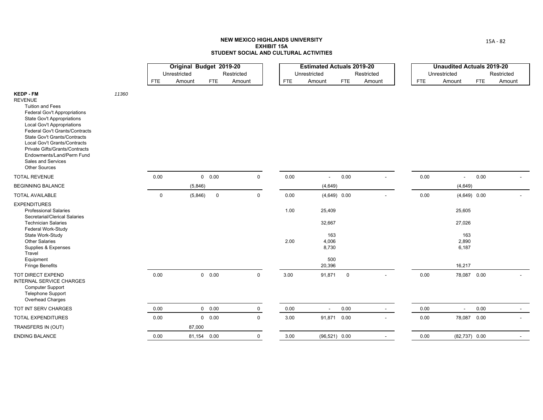|                                                                                                                                                                                                                                                                                                                                                                                                    |       |             | Original Budget 2019-20 |               |             |            | <b>Estimated Actuals 2019-20</b> |             |                          |            | <b>Unaudited Actuals 2019-20</b> |            |                |
|----------------------------------------------------------------------------------------------------------------------------------------------------------------------------------------------------------------------------------------------------------------------------------------------------------------------------------------------------------------------------------------------------|-------|-------------|-------------------------|---------------|-------------|------------|----------------------------------|-------------|--------------------------|------------|----------------------------------|------------|----------------|
|                                                                                                                                                                                                                                                                                                                                                                                                    |       |             | Unrestricted            |               | Restricted  |            | Unrestricted                     |             | Restricted               |            | Unrestricted                     |            | Restricted     |
|                                                                                                                                                                                                                                                                                                                                                                                                    |       | <b>FTE</b>  | Amount                  | <b>FTE</b>    | Amount      | <b>FTE</b> | Amount                           | <b>FTE</b>  | Amount                   | <b>FTE</b> | Amount                           | <b>FTE</b> | Amount         |
| <b>KEDP-FM</b><br><b>REVENUE</b><br><b>Tuition and Fees</b><br><b>Federal Gov't Appropriations</b><br><b>State Gov't Appropriations</b><br><b>Local Gov't Appropriations</b><br>Federal Gov't Grants/Contracts<br><b>State Gov't Grants/Contracts</b><br>Local Gov't Grants/Contracts<br>Private Gifts/Grants/Contracts<br>Endowments/Land/Perm Fund<br>Sales and Services<br><b>Other Sources</b> | 11360 |             |                         |               |             |            |                                  |             |                          |            |                                  |            |                |
| <b>TOTAL REVENUE</b>                                                                                                                                                                                                                                                                                                                                                                               |       | 0.00        |                         | $0\quad 0.00$ | $\mathbf 0$ | 0.00       | $\blacksquare$                   | 0.00        |                          | 0.00       | $\overline{\phantom{a}}$         | $0.00\,$   |                |
| <b>BEGINNING BALANCE</b>                                                                                                                                                                                                                                                                                                                                                                           |       |             | (5,846)                 |               |             |            | (4,649)                          |             |                          |            | (4,649)                          |            |                |
| TOTAL AVAILABLE                                                                                                                                                                                                                                                                                                                                                                                    |       | $\mathbf 0$ | (5,846)                 | $\mathsf 0$   | $\mathsf 0$ | 0.00       | $(4,649)$ 0.00                   |             |                          | 0.00       | $(4,649)$ 0.00                   |            |                |
| <b>EXPENDITURES</b><br><b>Professional Salaries</b><br>Secretarial/Clerical Salaries<br><b>Technician Salaries</b>                                                                                                                                                                                                                                                                                 |       |             |                         |               |             | 1.00       | 25,409<br>32,667                 |             |                          |            | 25,605<br>27,026                 |            |                |
| Federal Work-Study<br>State Work-Study<br><b>Other Salaries</b><br>Supplies & Expenses<br>Travel<br>Equipment                                                                                                                                                                                                                                                                                      |       |             |                         |               |             | 2.00       | 163<br>4,006<br>8,730<br>500     |             |                          |            | 163<br>2,890<br>6,187            |            |                |
| <b>Fringe Benefits</b>                                                                                                                                                                                                                                                                                                                                                                             |       |             |                         |               |             |            | 20,396                           |             |                          |            | 16,217                           |            |                |
| TOT DIRECT EXPEND<br>INTERNAL SERVICE CHARGES<br><b>Computer Support</b><br><b>Telephone Support</b><br>Overhead Charges                                                                                                                                                                                                                                                                           |       | 0.00        |                         | $0\quad 0.00$ | $\mathbf 0$ | 3.00       | 91,871                           | $\mathbf 0$ | $\overline{\phantom{a}}$ | 0.00       | 78,087 0.00                      |            |                |
| TOT INT SERV CHARGES                                                                                                                                                                                                                                                                                                                                                                               |       | 0.00        |                         | 0 0.00        | $\mathbf 0$ | 0.00       | $\blacksquare$                   | 0.00        | $\sim$                   | 0.00       | $\blacksquare$                   | 0.00       | $\overline{a}$ |
| <b>TOTAL EXPENDITURES</b>                                                                                                                                                                                                                                                                                                                                                                          |       | 0.00        |                         | 0 0.00        | $\mathbf 0$ | 3.00       | 91,871 0.00                      |             |                          | 0.00       | 78,087 0.00                      |            |                |
| TRANSFERS IN (OUT)                                                                                                                                                                                                                                                                                                                                                                                 |       |             | 87,000                  |               |             |            |                                  |             |                          |            |                                  |            |                |
| <b>ENDING BALANCE</b>                                                                                                                                                                                                                                                                                                                                                                              |       | 0.00        | 81,154 0.00             |               | $\mathbf 0$ | 3.00       | $(96,521)$ 0.00                  |             |                          | 0.00       | $(82,737)$ 0.00                  |            |                |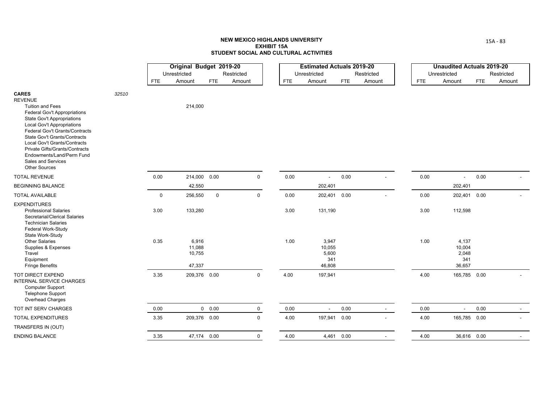|                                                                                                                                                                                                                                                                                                                                                                             |       |            | Original Budget 2019-20             |               |             |            | <b>Estimated Actuals 2019-20</b>          |            |            |            | <b>Unaudited Actuals 2019-20</b>          |            |                          |
|-----------------------------------------------------------------------------------------------------------------------------------------------------------------------------------------------------------------------------------------------------------------------------------------------------------------------------------------------------------------------------|-------|------------|-------------------------------------|---------------|-------------|------------|-------------------------------------------|------------|------------|------------|-------------------------------------------|------------|--------------------------|
|                                                                                                                                                                                                                                                                                                                                                                             |       |            | Unrestricted                        |               | Restricted  |            | Unrestricted                              |            | Restricted |            | Unrestricted                              |            | Restricted               |
|                                                                                                                                                                                                                                                                                                                                                                             |       | <b>FTE</b> | Amount                              | <b>FTE</b>    | Amount      | <b>FTE</b> | Amount                                    | <b>FTE</b> | Amount     | <b>FTE</b> | Amount                                    | <b>FTE</b> | Amount                   |
| <b>CARES</b><br><b>REVENUE</b><br><b>Tuition and Fees</b><br>Federal Gov't Appropriations<br>State Gov't Appropriations<br><b>Local Gov't Appropriations</b><br>Federal Gov't Grants/Contracts<br>State Gov't Grants/Contracts<br>Local Gov't Grants/Contracts<br>Private Gifts/Grants/Contracts<br>Endowments/Land/Perm Fund<br>Sales and Services<br><b>Other Sources</b> | 32510 |            | 214,000                             |               |             |            |                                           |            |            |            |                                           |            |                          |
| <b>TOTAL REVENUE</b>                                                                                                                                                                                                                                                                                                                                                        |       | 0.00       | 214,000 0.00                        |               | $\mathbf 0$ | 0.00       | $\overline{\phantom{a}}$                  | 0.00       | $\sim$     | 0.00       | $\overline{\phantom{a}}$                  | 0.00       |                          |
| <b>BEGINNING BALANCE</b>                                                                                                                                                                                                                                                                                                                                                    |       |            | 42,550                              |               |             |            | 202,401                                   |            |            |            | 202,401                                   |            |                          |
| <b>TOTAL AVAILABLE</b>                                                                                                                                                                                                                                                                                                                                                      |       | 0          | 256,550                             | $\mathsf 0$   | $\mathbf 0$ | $0.00\,$   | 202,401 0.00                              |            |            | 0.00       | 202,401 0.00                              |            |                          |
| <b>EXPENDITURES</b><br><b>Professional Salaries</b><br>Secretarial/Clerical Salaries<br><b>Technician Salaries</b><br>Federal Work-Study<br>State Work-Study                                                                                                                                                                                                                |       | 3.00       | 133,280                             |               |             | 3.00       | 131,190                                   |            |            | 3.00       | 112,598                                   |            |                          |
| <b>Other Salaries</b><br>Supplies & Expenses<br>Travel<br>Equipment<br><b>Fringe Benefits</b>                                                                                                                                                                                                                                                                               |       | 0.35       | 6,916<br>11,088<br>10,755<br>47,337 |               |             | 1.00       | 3,947<br>10,055<br>5,600<br>341<br>46,808 |            |            | 1.00       | 4,137<br>10,004<br>2,048<br>341<br>36,657 |            |                          |
| TOT DIRECT EXPEND<br><b>INTERNAL SERVICE CHARGES</b><br><b>Computer Support</b><br><b>Telephone Support</b><br>Overhead Charges                                                                                                                                                                                                                                             |       | 3.35       | 209,376 0.00                        |               | $\mathbf 0$ | 4.00       | 197,941                                   |            |            | 4.00       | 165,785 0.00                              |            |                          |
| TOT INT SERV CHARGES                                                                                                                                                                                                                                                                                                                                                        |       | 0.00       |                                     | $0\quad 0.00$ | 0           | $0.00\,$   | $\overline{\phantom{a}}$                  | 0.00       | $\sim$     | 0.00       | $\sim$                                    | 0.00       | $\overline{\phantom{a}}$ |
| <b>TOTAL EXPENDITURES</b>                                                                                                                                                                                                                                                                                                                                                   |       | 3.35       | 209,376 0.00                        |               | $\mathbf 0$ | 4.00       | 197,941 0.00                              |            |            | 4.00       | 165,785 0.00                              |            |                          |
| TRANSFERS IN (OUT)                                                                                                                                                                                                                                                                                                                                                          |       |            |                                     |               |             |            |                                           |            |            |            |                                           |            |                          |
| <b>ENDING BALANCE</b>                                                                                                                                                                                                                                                                                                                                                       |       | 3.35       | 47,174 0.00                         |               | $\mathbf 0$ | 4.00       | 4,461 0.00                                |            |            | 4.00       | 36,616 0.00                               |            |                          |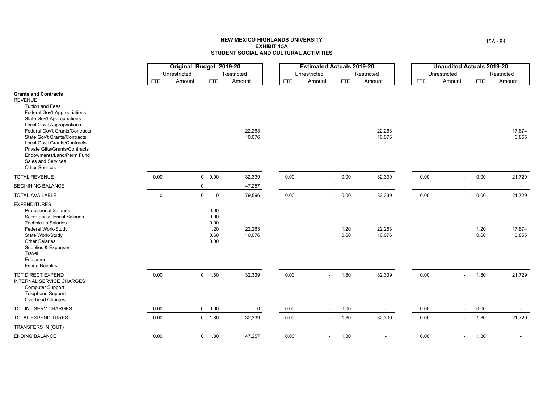|                                                                                                                                                                                                                                                                                                                                                                                                          |             | Original Budget 2019-20<br>Unrestricted |                                              | Restricted       |            | <b>Estimated Actuals 2019-20</b><br>Unrestricted |              | Restricted       |            | <b>Unaudited Actuals 2019-20</b><br>Unrestricted |              | Restricted      |
|----------------------------------------------------------------------------------------------------------------------------------------------------------------------------------------------------------------------------------------------------------------------------------------------------------------------------------------------------------------------------------------------------------|-------------|-----------------------------------------|----------------------------------------------|------------------|------------|--------------------------------------------------|--------------|------------------|------------|--------------------------------------------------|--------------|-----------------|
|                                                                                                                                                                                                                                                                                                                                                                                                          | <b>FTE</b>  | Amount                                  | <b>FTE</b>                                   | Amount           | <b>FTE</b> | Amount                                           | <b>FTE</b>   | Amount           | <b>FTE</b> | Amount                                           | <b>FTE</b>   | Amount          |
| <b>Grants and Contracts</b><br><b>REVENUE</b><br><b>Tuition and Fees</b><br>Federal Gov't Appropriations<br><b>State Gov't Appropriations</b><br><b>Local Gov't Appropriations</b><br>Federal Gov't Grants/Contracts<br><b>State Gov't Grants/Contracts</b><br>Local Gov't Grants/Contracts<br>Private Gifts/Grants/Contracts<br>Endowments/Land/Perm Fund<br>Sales and Services<br><b>Other Sources</b> |             |                                         |                                              | 22,263<br>10,076 |            |                                                  |              | 22,263<br>10,076 |            |                                                  |              | 17,874<br>3,855 |
| <b>TOTAL REVENUE</b>                                                                                                                                                                                                                                                                                                                                                                                     | 0.00        |                                         | 0 0.00                                       | 32,339           | 0.00       |                                                  | 0.00         | 32,339           | 0.00       |                                                  | 0.00         | 21,729          |
| <b>BEGINNING BALANCE</b>                                                                                                                                                                                                                                                                                                                                                                                 |             |                                         | 0                                            | 47,257           |            |                                                  |              | $\sim$           |            |                                                  |              | $\sim$          |
| <b>TOTAL AVAILABLE</b>                                                                                                                                                                                                                                                                                                                                                                                   | $\mathbf 0$ |                                         | $\mathbf 0$<br>$\mathsf 0$                   | 79,596           | 0.00       | $\blacksquare$                                   | 0.00         | 32,339           | 0.00       | $\blacksquare$                                   | 0.00         | 21,729          |
| <b>EXPENDITURES</b><br><b>Professional Salaries</b><br>Secretarial/Clerical Salaries<br><b>Technician Salaries</b><br>Federal Work-Study<br>State Work-Study<br><b>Other Salaries</b><br>Supplies & Expenses<br>Travel<br>Equipment<br><b>Fringe Benefits</b>                                                                                                                                            |             |                                         | 0.00<br>0.00<br>0.00<br>1.20<br>0.60<br>0.00 | 22,263<br>10,076 |            |                                                  | 1.20<br>0.60 | 22,263<br>10,076 |            |                                                  | 1.20<br>0.60 | 17,874<br>3,855 |
| <b>TOT DIRECT EXPEND</b><br><b>INTERNAL SERVICE CHARGES</b><br><b>Computer Support</b><br><b>Telephone Support</b><br>Overhead Charges                                                                                                                                                                                                                                                                   | 0.00        |                                         | 0 1.80                                       | 32,339           | 0.00       | $\sim$                                           | 1.80         | 32,339           | 0.00       | $\sim$                                           | 1.80         | 21,729          |
| TOT INT SERV CHARGES                                                                                                                                                                                                                                                                                                                                                                                     | 0.00        |                                         | 0 0.00                                       | $\mathbf 0$      | 0.00       | $\blacksquare$                                   | 0.00         | $\sim$           | 0.00       | $\sim$                                           | 0.00         |                 |
| <b>TOTAL EXPENDITURES</b>                                                                                                                                                                                                                                                                                                                                                                                | 0.00        |                                         | $0$ 1.80                                     | 32,339           | 0.00       |                                                  | 1.80         | 32,339           | 0.00       | $\blacksquare$                                   | 1.80         | 21,729          |
| TRANSFERS IN (OUT)                                                                                                                                                                                                                                                                                                                                                                                       |             |                                         |                                              |                  |            |                                                  |              |                  |            |                                                  |              |                 |
| <b>ENDING BALANCE</b>                                                                                                                                                                                                                                                                                                                                                                                    | 0.00        |                                         | $0$ 1.80                                     | 47,257           | 0.00       |                                                  | 1.80         |                  | 0.00       |                                                  | 1.80         |                 |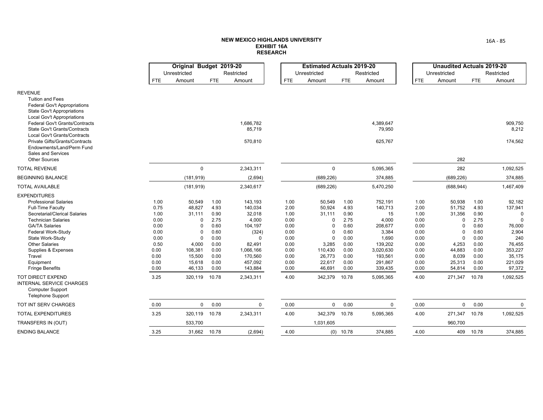|                                                                                                                                                                                                                                                                                                                                                                                                                                          |                                                                                                      | Original Budget 2019-20<br>Unrestricted                                                                                                 |                                                                                                       | Restricted                                                                                                                                 |                                                                                                      | <b>Estimated Actuals 2019-20</b><br>Unrestricted                                                                                              |                                                                                                       | Restricted                                                                                                                           |                                                                                                      | <b>Unaudited Actuals 2019-20</b><br>Unrestricted                                                                                      |                                                                                                       | Restricted                                                                                                                              |
|------------------------------------------------------------------------------------------------------------------------------------------------------------------------------------------------------------------------------------------------------------------------------------------------------------------------------------------------------------------------------------------------------------------------------------------|------------------------------------------------------------------------------------------------------|-----------------------------------------------------------------------------------------------------------------------------------------|-------------------------------------------------------------------------------------------------------|--------------------------------------------------------------------------------------------------------------------------------------------|------------------------------------------------------------------------------------------------------|-----------------------------------------------------------------------------------------------------------------------------------------------|-------------------------------------------------------------------------------------------------------|--------------------------------------------------------------------------------------------------------------------------------------|------------------------------------------------------------------------------------------------------|---------------------------------------------------------------------------------------------------------------------------------------|-------------------------------------------------------------------------------------------------------|-----------------------------------------------------------------------------------------------------------------------------------------|
|                                                                                                                                                                                                                                                                                                                                                                                                                                          | <b>FTE</b>                                                                                           | Amount                                                                                                                                  | <b>FTE</b>                                                                                            | Amount                                                                                                                                     | <b>FTE</b>                                                                                           | Amount                                                                                                                                        | <b>FTE</b>                                                                                            | Amount                                                                                                                               | <b>FTE</b>                                                                                           | Amount                                                                                                                                | <b>FTE</b>                                                                                            | Amount                                                                                                                                  |
| <b>REVENUE</b><br><b>Tuition and Fees</b><br><b>Federal Gov't Appropriations</b><br><b>State Gov't Appropriations</b>                                                                                                                                                                                                                                                                                                                    |                                                                                                      |                                                                                                                                         |                                                                                                       |                                                                                                                                            |                                                                                                      |                                                                                                                                               |                                                                                                       |                                                                                                                                      |                                                                                                      |                                                                                                                                       |                                                                                                       |                                                                                                                                         |
| <b>Local Gov't Appropriations</b><br>Federal Gov't Grants/Contracts<br><b>State Gov't Grants/Contracts</b><br>Local Gov't Grants/Contracts                                                                                                                                                                                                                                                                                               |                                                                                                      |                                                                                                                                         |                                                                                                       | 1,686,782<br>85,719                                                                                                                        |                                                                                                      |                                                                                                                                               |                                                                                                       | 4,389,647<br>79,950                                                                                                                  |                                                                                                      |                                                                                                                                       |                                                                                                       | 909,750<br>8,212                                                                                                                        |
| Private Gifts/Grants/Contracts<br>Endowments/Land/Perm Fund<br>Sales and Services<br><b>Other Sources</b>                                                                                                                                                                                                                                                                                                                                |                                                                                                      |                                                                                                                                         |                                                                                                       | 570,810                                                                                                                                    |                                                                                                      |                                                                                                                                               |                                                                                                       | 625,767                                                                                                                              |                                                                                                      | 282                                                                                                                                   |                                                                                                       | 174,562                                                                                                                                 |
| <b>TOTAL REVENUE</b>                                                                                                                                                                                                                                                                                                                                                                                                                     |                                                                                                      | $\mathbf 0$                                                                                                                             |                                                                                                       | 2,343,311                                                                                                                                  |                                                                                                      | $\mathbf 0$                                                                                                                                   |                                                                                                       | 5,095,365                                                                                                                            |                                                                                                      | 282                                                                                                                                   |                                                                                                       | 1,092,525                                                                                                                               |
| <b>BEGINNING BALANCE</b>                                                                                                                                                                                                                                                                                                                                                                                                                 |                                                                                                      | (181, 919)                                                                                                                              |                                                                                                       | (2,694)                                                                                                                                    |                                                                                                      | (689, 226)                                                                                                                                    |                                                                                                       | 374,885                                                                                                                              |                                                                                                      | (689, 226)                                                                                                                            |                                                                                                       | 374,885                                                                                                                                 |
| <b>TOTAL AVAILABLE</b>                                                                                                                                                                                                                                                                                                                                                                                                                   |                                                                                                      | (181, 919)                                                                                                                              |                                                                                                       | 2,340,617                                                                                                                                  |                                                                                                      | (689, 226)                                                                                                                                    |                                                                                                       | 5,470,250                                                                                                                            |                                                                                                      | (688, 944)                                                                                                                            |                                                                                                       | 1,467,409                                                                                                                               |
| <b>EXPENDITURES</b><br><b>Professional Salaries</b><br><b>Full-Time Faculty</b><br>Secretarial/Clerical Salaries<br><b>Technician Salaries</b><br><b>GA/TA Salaries</b><br>Federal Work-Study<br>State Work-Study<br><b>Other Salaries</b><br>Supplies & Expenses<br>Travel<br>Equipment<br><b>Fringe Benefits</b><br><b>TOT DIRECT EXPEND</b><br><b>INTERNAL SERVICE CHARGES</b><br><b>Computer Support</b><br><b>Telephone Support</b> | 1.00<br>0.75<br>1.00<br>0.00<br>0.00<br>0.00<br>0.00<br>0.50<br>0.00<br>0.00<br>0.00<br>0.00<br>3.25 | 50,549<br>48,827<br>31,111<br>$\Omega$<br>$\Omega$<br>$\Omega$<br>$\Omega$<br>4,000<br>108,381<br>15,500<br>15,618<br>46,133<br>320,119 | 1.00<br>4.93<br>0.90<br>2.75<br>0.60<br>0.60<br>0.00<br>0.00<br>0.00<br>0.00<br>0.00<br>0.00<br>10.78 | 143,193<br>140,034<br>32,018<br>4,000<br>104,197<br>(324)<br>$\Omega$<br>82,491<br>1,066,166<br>170,560<br>457,092<br>143,884<br>2,343,311 | 1.00<br>2.00<br>1.00<br>0.00<br>0.00<br>0.00<br>0.00<br>0.00<br>0.00<br>0.00<br>0.00<br>0.00<br>4.00 | 50,549<br>50,924<br>31,111<br>$\Omega$<br>$\mathbf 0$<br>$\Omega$<br>$\mathbf 0$<br>3,285<br>110,430<br>26,773<br>22,617<br>46,691<br>342,379 | 1.00<br>4.93<br>0.90<br>2.75<br>0.60<br>0.60<br>0.00<br>0.00<br>0.00<br>0.00<br>0.00<br>0.00<br>10.78 | 752,191<br>140,713<br>15<br>4,000<br>208,677<br>3,384<br>1,690<br>139,202<br>3,020,630<br>193,561<br>291,867<br>339,435<br>5,095,365 | 1.00<br>2.00<br>1.00<br>0.00<br>0.00<br>0.00<br>0.00<br>0.00<br>0.00<br>0.00<br>0.00<br>0.00<br>4.00 | 50,938<br>51,752<br>31,356<br>$\Omega$<br>$\Omega$<br>$\Omega$<br>$\Omega$<br>4,253<br>44,883<br>8,039<br>25,313<br>54,814<br>271,347 | 1.00<br>4.93<br>0.90<br>2.75<br>0.60<br>0.60<br>0.00<br>0.00<br>0.00<br>0.00<br>0.00<br>0.00<br>10.78 | 92,182<br>137,941<br>$\mathbf 0$<br>$\Omega$<br>76,000<br>2,904<br>240<br>76,455<br>353,227<br>35,175<br>221,029<br>97,372<br>1,092,525 |
| TOT INT SERV CHARGES                                                                                                                                                                                                                                                                                                                                                                                                                     | 0.00                                                                                                 | $\mathbf 0$                                                                                                                             | 0.00                                                                                                  | $\mathbf 0$                                                                                                                                | 0.00                                                                                                 | $\mathbf 0$                                                                                                                                   | 0.00                                                                                                  | $\mathbf 0$                                                                                                                          | 0.00                                                                                                 | $\mathbf 0$                                                                                                                           | 0.00                                                                                                  | 0                                                                                                                                       |
| <b>TOTAL EXPENDITURES</b>                                                                                                                                                                                                                                                                                                                                                                                                                | 3.25                                                                                                 | 320,119                                                                                                                                 | 10.78                                                                                                 | 2,343,311                                                                                                                                  | 4.00                                                                                                 | 342,379                                                                                                                                       | 10.78                                                                                                 | 5,095,365                                                                                                                            | 4.00                                                                                                 | 271,347                                                                                                                               | 10.78                                                                                                 | 1,092,525                                                                                                                               |
| TRANSFERS IN (OUT)                                                                                                                                                                                                                                                                                                                                                                                                                       |                                                                                                      | 533,700                                                                                                                                 |                                                                                                       |                                                                                                                                            |                                                                                                      | 1,031,605                                                                                                                                     |                                                                                                       |                                                                                                                                      |                                                                                                      | 960,700                                                                                                                               |                                                                                                       |                                                                                                                                         |
| <b>ENDING BALANCE</b>                                                                                                                                                                                                                                                                                                                                                                                                                    | 3.25                                                                                                 | 31,662                                                                                                                                  | 10.78                                                                                                 | (2,694)                                                                                                                                    | 4.00                                                                                                 |                                                                                                                                               | $(0)$ 10.78                                                                                           | 374,885                                                                                                                              | 4.00                                                                                                 | 409                                                                                                                                   | 10.78                                                                                                 | 374,885                                                                                                                                 |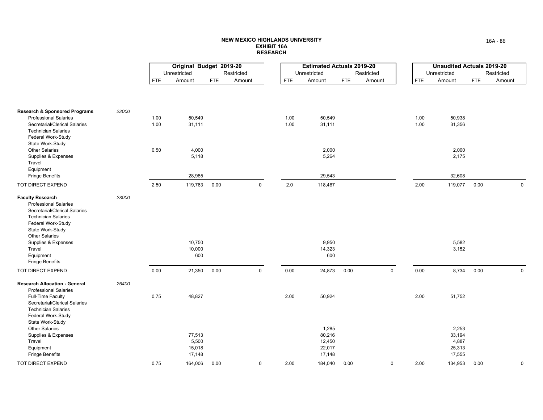|                                                                                   |       |            | Original Budget 2019-20<br>Unrestricted |            | Restricted  |            | <b>Estimated Actuals 2019-20</b><br>Unrestricted |            | Restricted  |            | <b>Unaudited Actuals 2019-20</b><br>Unrestricted |            | Restricted  |
|-----------------------------------------------------------------------------------|-------|------------|-----------------------------------------|------------|-------------|------------|--------------------------------------------------|------------|-------------|------------|--------------------------------------------------|------------|-------------|
|                                                                                   |       | <b>FTE</b> | Amount                                  | <b>FTE</b> | Amount      | <b>FTE</b> | Amount                                           | <b>FTE</b> | Amount      | <b>FTE</b> | Amount                                           | <b>FTE</b> | Amount      |
|                                                                                   |       |            |                                         |            |             |            |                                                  |            |             |            |                                                  |            |             |
| <b>Research &amp; Sponsored Programs</b>                                          | 22000 |            |                                         |            |             |            |                                                  |            |             |            |                                                  |            |             |
| <b>Professional Salaries</b>                                                      |       | 1.00       | 50,549                                  |            |             | 1.00       | 50,549                                           |            |             | 1.00       | 50,938                                           |            |             |
| Secretarial/Clerical Salaries                                                     |       | 1.00       | 31,111                                  |            |             | 1.00       | 31,111                                           |            |             | 1.00       | 31,356                                           |            |             |
| <b>Technician Salaries</b><br>Federal Work-Study<br>State Work-Study              |       |            |                                         |            |             |            |                                                  |            |             |            |                                                  |            |             |
| <b>Other Salaries</b>                                                             |       | 0.50       | 4,000                                   |            |             |            | 2,000                                            |            |             |            | 2,000                                            |            |             |
| Supplies & Expenses                                                               |       |            | 5,118                                   |            |             |            | 5,264                                            |            |             |            | 2,175                                            |            |             |
| Travel                                                                            |       |            |                                         |            |             |            |                                                  |            |             |            |                                                  |            |             |
| Equipment                                                                         |       |            |                                         |            |             |            |                                                  |            |             |            |                                                  |            |             |
| <b>Fringe Benefits</b>                                                            |       |            | 28,985                                  |            |             |            | 29,543                                           |            |             |            | 32,608                                           |            |             |
| TOT DIRECT EXPEND                                                                 |       | 2.50       | 119,763                                 | 0.00       | $\mathbf 0$ | 2.0        | 118,467                                          |            |             | 2.00       | 119,077                                          | 0.00       | $\mathbf 0$ |
| <b>Faculty Research</b><br><b>Professional Salaries</b>                           | 23000 |            |                                         |            |             |            |                                                  |            |             |            |                                                  |            |             |
| Secretarial/Clerical Salaries<br><b>Technician Salaries</b><br>Federal Work-Study |       |            |                                         |            |             |            |                                                  |            |             |            |                                                  |            |             |
| State Work-Study                                                                  |       |            |                                         |            |             |            |                                                  |            |             |            |                                                  |            |             |
| <b>Other Salaries</b>                                                             |       |            |                                         |            |             |            |                                                  |            |             |            |                                                  |            |             |
| Supplies & Expenses                                                               |       |            | 10,750                                  |            |             |            | 9,950                                            |            |             |            | 5,582                                            |            |             |
| Travel                                                                            |       |            | 10,000                                  |            |             |            | 14,323                                           |            |             |            | 3,152                                            |            |             |
| Equipment                                                                         |       |            | 600                                     |            |             |            | 600                                              |            |             |            |                                                  |            |             |
| <b>Fringe Benefits</b>                                                            |       |            |                                         |            |             |            |                                                  |            |             |            |                                                  |            |             |
| TOT DIRECT EXPEND                                                                 |       | 0.00       | 21,350                                  | 0.00       | $\mathbf 0$ | 0.00       | 24,873                                           | 0.00       | $\mathbf 0$ | 0.00       | 8,734                                            | 0.00       | $\mathbf 0$ |
| <b>Research Allocation - General</b>                                              | 26400 |            |                                         |            |             |            |                                                  |            |             |            |                                                  |            |             |
| <b>Professional Salaries</b><br>Full-Time Faculty                                 |       | 0.75       | 48,827                                  |            |             | 2.00       | 50,924                                           |            |             | 2.00       | 51,752                                           |            |             |
| Secretarial/Clerical Salaries                                                     |       |            |                                         |            |             |            |                                                  |            |             |            |                                                  |            |             |
| <b>Technician Salaries</b>                                                        |       |            |                                         |            |             |            |                                                  |            |             |            |                                                  |            |             |
| Federal Work-Study                                                                |       |            |                                         |            |             |            |                                                  |            |             |            |                                                  |            |             |
| State Work-Study                                                                  |       |            |                                         |            |             |            |                                                  |            |             |            |                                                  |            |             |
| <b>Other Salaries</b>                                                             |       |            |                                         |            |             |            | 1,285                                            |            |             |            | 2,253                                            |            |             |
| Supplies & Expenses                                                               |       |            | 77,513                                  |            |             |            | 80,216                                           |            |             |            | 33,194                                           |            |             |
| Travel                                                                            |       |            | 5,500                                   |            |             |            | 12,450                                           |            |             |            | 4,887                                            |            |             |
| Equipment                                                                         |       |            | 15,018                                  |            |             |            | 22,017                                           |            |             |            | 25,313                                           |            |             |
| <b>Fringe Benefits</b>                                                            |       |            | 17,148                                  |            |             |            | 17,148                                           |            |             |            | 17,555                                           |            |             |
| TOT DIRECT EXPEND                                                                 |       | 0.75       | 164,006                                 | 0.00       | $\pmb{0}$   | 2.00       | 184,040                                          | 0.00       | $\pmb{0}$   | 2.00       | 134,953                                          | 0.00       | $\pmb{0}$   |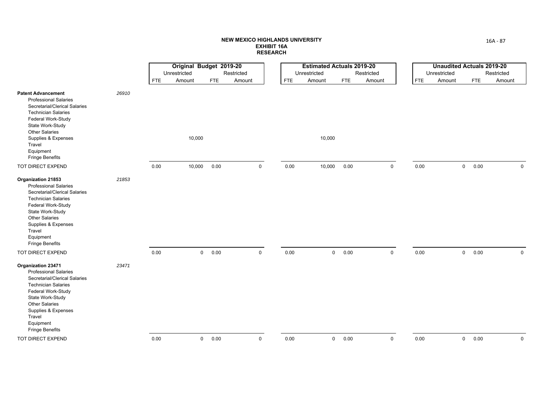|                                                                                                                                                                                                                                                              |       |            | Original Budget 2019-20<br>Unrestricted |      | Restricted  |            | <b>Estimated Actuals 2019-20</b><br>Unrestricted |                | Restricted  |            | <b>Unaudited Actuals 2019-20</b><br>Unrestricted |            | Restricted  |
|--------------------------------------------------------------------------------------------------------------------------------------------------------------------------------------------------------------------------------------------------------------|-------|------------|-----------------------------------------|------|-------------|------------|--------------------------------------------------|----------------|-------------|------------|--------------------------------------------------|------------|-------------|
|                                                                                                                                                                                                                                                              |       | <b>FTE</b> | Amount                                  | FTE  | Amount      | <b>FTE</b> | Amount                                           | FTE            | Amount      | <b>FTE</b> | Amount                                           | <b>FTE</b> | Amount      |
| <b>Patent Advancement</b><br><b>Professional Salaries</b><br>Secretarial/Clerical Salaries<br><b>Technician Salaries</b><br>Federal Work-Study<br>State Work-Study<br>Other Salaries<br>Supplies & Expenses<br>Travel<br>Equipment<br><b>Fringe Benefits</b> | 26910 |            | 10,000                                  |      |             |            | 10,000                                           |                |             |            |                                                  |            |             |
| TOT DIRECT EXPEND                                                                                                                                                                                                                                            |       | 0.00       | 10,000                                  | 0.00 | $\mathbf 0$ | 0.00       | 10,000                                           | 0.00           | $\mathbf 0$ | 0.00       | $\mathsf{O}$                                     | 0.00       | $\mathbf 0$ |
| Organization 21853<br><b>Professional Salaries</b><br>Secretarial/Clerical Salaries<br><b>Technician Salaries</b><br>Federal Work-Study<br>State Work-Study<br>Other Salaries<br>Supplies & Expenses<br>Travel<br>Equipment<br><b>Fringe Benefits</b>        | 21853 |            |                                         |      |             |            |                                                  |                |             |            |                                                  |            |             |
| TOT DIRECT EXPEND                                                                                                                                                                                                                                            |       | $0.00\,$   | $\mathbf 0$                             | 0.00 | $\mathbf 0$ | 0.00       |                                                  | $0\qquad 0.00$ | $\mathbf 0$ | 0.00       | $\mathbf 0$                                      | 0.00       | $\mathbf 0$ |
| Organization 23471<br><b>Professional Salaries</b><br>Secretarial/Clerical Salaries<br><b>Technician Salaries</b><br>Federal Work-Study<br>State Work-Study<br><b>Other Salaries</b><br>Supplies & Expenses<br>Travel<br>Equipment<br><b>Fringe Benefits</b> | 23471 |            |                                         |      |             |            |                                                  |                |             |            |                                                  |            |             |
| TOT DIRECT EXPEND                                                                                                                                                                                                                                            |       | 0.00       | $\mathbf 0$                             | 0.00 | $\mathbf 0$ | 0.00       | $\overline{0}$                                   | 0.00           | $\mathbf 0$ | 0.00       | 0                                                | 0.00       | $\mathbf 0$ |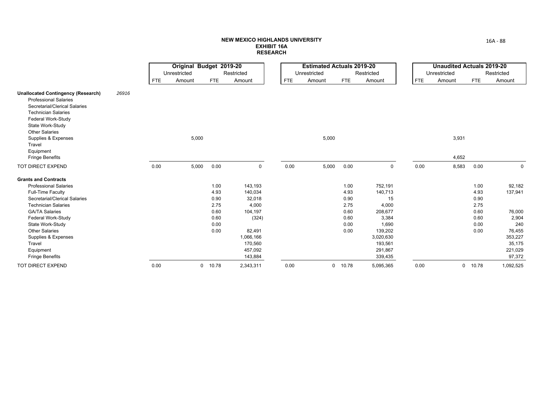|                                                                                                                                                                                                                                                           |       |            | Original Budget 2019-20 |            |             |            | <b>Estimated Actuals 2019-20</b> |            |             |            | <b>Unaudited Actuals 2019-20</b> |         |             |
|-----------------------------------------------------------------------------------------------------------------------------------------------------------------------------------------------------------------------------------------------------------|-------|------------|-------------------------|------------|-------------|------------|----------------------------------|------------|-------------|------------|----------------------------------|---------|-------------|
|                                                                                                                                                                                                                                                           |       |            | Unrestricted            |            | Restricted  |            | Unrestricted                     |            | Restricted  |            | Unrestricted                     |         | Restricted  |
|                                                                                                                                                                                                                                                           |       | <b>FTE</b> | Amount                  | <b>FTE</b> | Amount      | <b>FTE</b> | Amount                           | <b>FTE</b> | Amount      | <b>FTE</b> | Amount                           | FTE     | Amount      |
| <b>Unallocated Contingency (Research)</b><br><b>Professional Salaries</b><br>Secretarial/Clerical Salaries<br><b>Technician Salaries</b><br>Federal Work-Study<br>State Work-Study<br><b>Other Salaries</b><br>Supplies & Expenses<br>Travel<br>Equipment | 26916 |            | 5,000                   |            |             |            | 5,000                            |            |             |            | 3,931                            |         |             |
| <b>Fringe Benefits</b>                                                                                                                                                                                                                                    |       |            |                         |            |             |            |                                  |            |             |            | 4,652                            |         |             |
| TOT DIRECT EXPEND                                                                                                                                                                                                                                         |       | 0.00       | 5,000                   | 0.00       | $\mathbf 0$ | 0.00       | 5,000                            | 0.00       | $\mathbf 0$ | 0.00       | 8,583                            | 0.00    | $\mathbf 0$ |
| <b>Grants and Contracts</b>                                                                                                                                                                                                                               |       |            |                         |            |             |            |                                  |            |             |            |                                  |         |             |
| <b>Professional Salaries</b>                                                                                                                                                                                                                              |       |            |                         | 1.00       | 143,193     |            |                                  | 1.00       | 752,191     |            |                                  | 1.00    | 92,182      |
| <b>Full-Time Faculty</b>                                                                                                                                                                                                                                  |       |            |                         | 4.93       | 140,034     |            |                                  | 4.93       | 140,713     |            |                                  | 4.93    | 137,941     |
| Secretarial/Clerical Salaries                                                                                                                                                                                                                             |       |            |                         | 0.90       | 32,018      |            |                                  | 0.90       | 15          |            |                                  | 0.90    |             |
| <b>Technician Salaries</b>                                                                                                                                                                                                                                |       |            |                         | 2.75       | 4,000       |            |                                  | 2.75       | 4,000       |            |                                  | 2.75    |             |
| <b>GA/TA Salaries</b>                                                                                                                                                                                                                                     |       |            |                         | 0.60       | 104,197     |            |                                  | 0.60       | 208,677     |            |                                  | 0.60    | 76,000      |
| Federal Work-Study                                                                                                                                                                                                                                        |       |            |                         | 0.60       | (324)       |            |                                  | 0.60       | 3,384       |            |                                  | 0.60    | 2,904       |
| State Work-Study                                                                                                                                                                                                                                          |       |            |                         | 0.00       |             |            |                                  | 0.00       | 1,690       |            |                                  | 0.00    | 240         |
| <b>Other Salaries</b>                                                                                                                                                                                                                                     |       |            |                         | 0.00       | 82,491      |            |                                  | 0.00       | 139,202     |            |                                  | 0.00    | 76,455      |
| Supplies & Expenses                                                                                                                                                                                                                                       |       |            |                         |            | 1,066,166   |            |                                  |            | 3,020,630   |            |                                  |         | 353,227     |
| Travel                                                                                                                                                                                                                                                    |       |            |                         |            | 170,560     |            |                                  |            | 193,561     |            |                                  |         | 35,175      |
| Equipment                                                                                                                                                                                                                                                 |       |            |                         |            | 457,092     |            |                                  |            | 291,867     |            |                                  |         | 221,029     |
| <b>Fringe Benefits</b>                                                                                                                                                                                                                                    |       |            |                         |            | 143,884     |            |                                  |            | 339,435     |            |                                  |         | 97,372      |
| <b>TOT DIRECT EXPEND</b>                                                                                                                                                                                                                                  |       | 0.00       | $\mathbf{0}$            | 10.78      | 2,343,311   | 0.00       |                                  | 0 10.78    | 5,095,365   | 0.00       |                                  | 0 10.78 | 1,092,525   |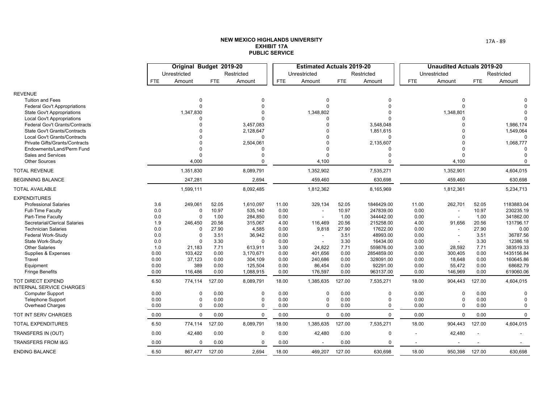|                                                             |            | Original Budget 2019-20 |            |                       |            | <b>Estimated Actuals 2019-20</b> |            |                       |            | <b>Unaudited Actuals 2019-20</b> |            |             |
|-------------------------------------------------------------|------------|-------------------------|------------|-----------------------|------------|----------------------------------|------------|-----------------------|------------|----------------------------------|------------|-------------|
|                                                             |            | Unrestricted            |            | Restricted            |            | Unrestricted                     |            | Restricted            |            | Unrestricted                     |            | Restricted  |
|                                                             | <b>FTE</b> | Amount                  | <b>FTE</b> | Amount                | <b>FTE</b> | Amount                           | <b>FTE</b> | Amount                | <b>FTE</b> | Amount                           | <b>FTE</b> | Amount      |
| <b>REVENUE</b>                                              |            |                         |            |                       |            |                                  |            |                       |            |                                  |            |             |
| <b>Tuition and Fees</b>                                     |            | $\Omega$                |            | <sup>0</sup>          |            | $\mathbf 0$                      |            | <sup>0</sup>          |            | $\Omega$                         |            |             |
| Federal Gov't Appropriations                                |            | $\Omega$                |            | $\Omega$              |            | $\Omega$                         |            | $\Omega$              |            | $\Omega$                         |            |             |
| <b>State Gov't Appropriations</b>                           |            | 1,347,830               |            |                       |            | 1,348,802                        |            |                       |            | 1,348,801                        |            |             |
| <b>Local Gov't Appropriations</b>                           |            |                         |            |                       |            | $\Omega$                         |            |                       |            |                                  |            |             |
| Federal Gov't Grants/Contracts                              |            |                         |            | 3,457,083             |            |                                  |            | 3,548,048             |            |                                  |            | 1,986,174   |
| State Gov't Grants/Contracts                                |            |                         |            | 2,128,647             |            |                                  |            | 1,851,615             |            |                                  |            | 1,549,064   |
| Local Gov't Grants/Contracts                                |            |                         |            | 0                     |            |                                  |            | $\mathbf 0$           |            |                                  |            |             |
| Private Gifts/Grants/Contracts<br>Endowments/Land/Perm Fund |            |                         |            | 2,504,061<br>$\Omega$ |            | $\Omega$                         |            | 2,135,607<br>$\Omega$ |            |                                  |            | 1,068,777   |
| Sales and Services                                          |            | $\Omega$                |            |                       |            | $\Omega$                         |            | $\Omega$              |            |                                  |            |             |
| <b>Other Sources</b>                                        |            | 4,000                   |            | $\Omega$              |            | 4,100                            |            | $\Omega$              |            | 4,100                            |            | $\Omega$    |
| <b>TOTAL REVENUE</b>                                        |            | 1,351,830               |            | 8,089,791             |            | 1,352,902                        |            | 7,535,271             |            | 1,352,901                        |            | 4,604,015   |
| <b>BEGINNING BALANCE</b>                                    |            | 247,281                 |            | 2,694                 |            | 459,460                          |            | 630,698               |            | 459,460                          |            | 630,698     |
| <b>TOTAL AVAILABLE</b>                                      |            | 1,599,111               |            | 8,092,485             |            | 1,812,362                        |            | 8,165,969             |            | 1,812,361                        |            | 5,234,713   |
| <b>EXPENDITURES</b>                                         |            |                         |            |                       |            |                                  |            |                       |            |                                  |            |             |
| <b>Professional Salaries</b>                                | 3.6        | 249,061                 | 52.05      | 1,610,097             | 11.00      | 329,134                          | 52.05      | 1846429.00            | 11.00      | 262,701                          | 52.05      | 1183883.04  |
| Full-Time Faculty                                           | 0.0        | $\Omega$                | 10.97      | 535,140               | 0.00       |                                  | 10.97      | 247839.00             | 0.00       | $\overline{a}$                   | 10.97      | 230235.19   |
| Part-Time Faculty                                           | 0.0        | $\Omega$                | 1.00       | 284,850               | 0.00       | $\sim$                           | 1.00       | 344442.00             | 0.00       | $\overline{\phantom{a}}$         | 1.00       | 341862.00   |
| Secretarial/Clerical Salaries                               | 1.9        | 246,450                 | 20.56      | 315,067               | 4.00       | 116,469                          | 20.56      | 215258.00             | 4.00       | 91,656                           | 20.56      | 131796.17   |
| <b>Technician Salaries</b>                                  | 0.0        | $\Omega$                | 27.90      | 4,585                 | 0.00       | 9,818                            | 27.90      | 17622.00              | 0.00       | $\overline{\phantom{a}}$         | 27.90      | 0.00        |
| <b>Federal Work-Study</b>                                   | 0.0        | $\Omega$                | 3.51       | 36,942                | 0.00       |                                  | 3.51       | 48993.00              | 0.00       |                                  | 3.51       | 36787.56    |
| State Work-Study                                            | 0.0        | $\Omega$                | 3.30       | $\mathbf 0$           | 0.00       | $\sim$                           | 3.30       | 16434.00              | 0.00       |                                  | 3.30       | 12386.18    |
| <b>Other Salaries</b>                                       | 1.0        | 21,183                  | 7.71       | 613,911               | 3.00       | 24,822                           | 7.71       | 559876.00             | 3.00       | 28,592                           | 7.71       | 383519.33   |
| Supplies & Expenses                                         | 0.00       | 103,422                 | 0.00       | 3,170,671             | 0.00       | 401,656                          | 0.00       | 2854859.00            | 0.00       | 300,405                          | 0.00       | 1435156.84  |
| Travel                                                      | 0.00       | 37,123                  | 0.00       | 304,109               | 0.00       | 240,686                          | 0.00       | 328091.00             | 0.00       | 18,648                           | 0.00       | 160645.86   |
| Equipment                                                   | 0.00       | 389                     | 0.00       | 125,504               | 0.00       | 86,454                           | 0.00       | 92291.00              | 0.00       | 55,472                           | 0.00       | 68682.79    |
| <b>Fringe Benefits</b>                                      | 0.00       | 116,486                 | 0.00       | 1,088,915             | 0.00       | 176,597                          | 0.00       | 963137.00             | 0.00       | 146,969                          | 0.00       | 619060.06   |
| TOT DIRECT EXPEND<br><b>INTERNAL SERVICE CHARGES</b>        | 6.50       | 774,114                 | 127.00     | 8,089,791             | 18.00      | 1,385,635                        | 127.00     | 7,535,271             | 18.00      | 904,443                          | 127.00     | 4,604,015   |
| <b>Computer Support</b>                                     | 0.00       | $\Omega$                | 0.00       | $\Omega$              | 0.00       | $\mathbf 0$                      | 0.00       | 0                     | 0.00       | $\Omega$                         | 0.00       |             |
| <b>Telephone Support</b>                                    | 0.00       | $\Omega$                | 0.00       | $\mathbf 0$           | 0.00       | $\Omega$                         | 0.00       | 0                     | 0.00       | $\Omega$                         | 0.00       | $\Omega$    |
| Overhead Charges                                            | 0.00       | 0                       | 0.00       | 0                     | 0.00       | $\Omega$                         | 0.00       | 0                     | 0.00       | $\Omega$                         | 0.00       | $\Omega$    |
| TOT INT SERV CHARGES                                        | 0.00       | $\mathbf 0$             | 0.00       | 0                     | 0.00       | $\Omega$                         | 0.00       | $\mathbf 0$           | 0.00       | $\mathbf 0$                      | 0.00       | $\mathbf 0$ |
| <b>TOTAL EXPENDITURES</b>                                   | 6.50       | 774,114                 | 127.00     | 8,089,791             | 18.00      | 1,385,635                        | 127.00     | 7,535,271             | 18.00      | 904,443                          | 127.00     | 4,604,015   |
| TRANSFERS IN (OUT)                                          | 0.00       | 42,480                  | 0.00       | 0                     | 0.00       | 42,480                           | 0.00       | 0                     |            | 42,480                           |            |             |
| <b>TRANSFERS FROM I&amp;G</b>                               | 0.00       | $\Omega$                | 0.00       | 0                     | 0.00       |                                  | 0.00       | 0                     |            |                                  |            |             |
| <b>ENDING BALANCE</b>                                       | 6.50       | 867,477                 | 127.00     | 2,694                 | 18.00      | 469,207                          | 127.00     | 630,698               | 18.00      | 950,398                          | 127.00     | 630,698     |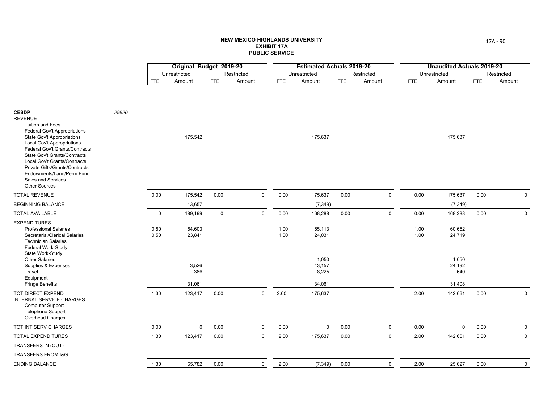| Unrestricted<br>Restricted<br>Unrestricted<br>Restricted<br>Unrestricted<br>Restricted<br>Amount<br>Amount<br><b>FTE</b><br>Amount<br><b>FTE</b><br><b>FTE</b><br>Amount<br><b>FTE</b><br>Amount<br><b>FTE</b><br>Amount<br><b>FTE</b><br><b>CESDP</b><br>29520<br><b>REVENUE</b><br><b>Tuition and Fees</b><br><b>Federal Gov't Appropriations</b><br>175,542<br>175,637<br>175,637<br>State Gov't Appropriations<br><b>Local Gov't Appropriations</b><br>Federal Gov't Grants/Contracts<br><b>State Gov't Grants/Contracts</b><br>Local Gov't Grants/Contracts<br>Private Gifts/Grants/Contracts<br>Endowments/Land/Perm Fund<br>Sales and Services<br><b>Other Sources</b><br>$\mathsf 0$<br>0.00<br>$\mathsf 0$<br>0.00<br><b>TOTAL REVENUE</b><br>175,542<br>0.00<br>175,637<br>0.00<br>0.00<br>175,637<br>0.00<br>0<br><b>BEGINNING BALANCE</b><br>13,657<br>(7, 349)<br>(7, 349)<br>$\mathbf 0$<br>0.00<br>$\mathsf{O}$<br>$\mathbf 0$<br>189,199<br>$\mathsf{O}$<br>168,288<br>0.00<br>0.00<br>168,288<br>0.00<br>$\mathbf 0$<br><b>TOTAL AVAILABLE</b><br><b>EXPENDITURES</b><br><b>Professional Salaries</b><br>0.80<br>64,603<br>1.00<br>65,113<br>1.00<br>60,652<br>Secretarial/Clerical Salaries<br>0.50<br>23,841<br>1.00<br>1.00<br>24,719<br>24,031<br><b>Technician Salaries</b><br>Federal Work-Study<br>State Work-Study<br><b>Other Salaries</b><br>1,050<br>1,050<br>3,526<br>43,157<br>24,192<br>Supplies & Expenses<br>386<br>8,225<br>640<br>Travel<br>Equipment<br><b>Fringe Benefits</b><br>31,061<br>34,061<br>31,408<br>$\mathbf 0$<br>TOT DIRECT EXPEND<br>1.30<br>123,417<br>0.00<br>2.00<br>2.00<br>142,661<br>0.00<br>$\mathbf 0$<br>175,637<br>INTERNAL SERVICE CHARGES<br>Computer Support<br><b>Telephone Support</b><br>Overhead Charges<br>$\mathbf 0$<br>$\mathsf 0$<br>$\mathsf 0$<br>TOT INT SERV CHARGES<br>0.00<br>0.00<br>0.00<br>$\mathsf 0$<br>0.00<br>0.00<br>$\mathbf 0$<br>0.00<br>$\mathbf 0$<br>$\mathbf 0$<br>2.00<br>$\mathbf 0$<br><b>TOTAL EXPENDITURES</b><br>1.30<br>123,417<br>0.00<br>175,637<br>0.00<br>2.00<br>142,661<br>0.00<br>TRANSFERS IN (OUT)<br>TRANSFERS FROM I&G<br><b>ENDING BALANCE</b><br>65,782<br>0.00<br>$\mathbf 0$<br>2.00<br>(7, 349)<br>0.00<br>$\mathbf 0$<br>2.00<br>25,627<br>0.00<br>1.30 |  | Original Budget 2019-20 |  | <b>Estimated Actuals 2019-20</b> |  |  | <b>Unaudited Actuals 2019-20</b> |             |
|-------------------------------------------------------------------------------------------------------------------------------------------------------------------------------------------------------------------------------------------------------------------------------------------------------------------------------------------------------------------------------------------------------------------------------------------------------------------------------------------------------------------------------------------------------------------------------------------------------------------------------------------------------------------------------------------------------------------------------------------------------------------------------------------------------------------------------------------------------------------------------------------------------------------------------------------------------------------------------------------------------------------------------------------------------------------------------------------------------------------------------------------------------------------------------------------------------------------------------------------------------------------------------------------------------------------------------------------------------------------------------------------------------------------------------------------------------------------------------------------------------------------------------------------------------------------------------------------------------------------------------------------------------------------------------------------------------------------------------------------------------------------------------------------------------------------------------------------------------------------------------------------------------------------------------------------------------------------------------------------------------------------------------------------------------------------------------------------------------------------------------------------------------------------------------------------------------------------------------------------------------------------------------|--|-------------------------|--|----------------------------------|--|--|----------------------------------|-------------|
|                                                                                                                                                                                                                                                                                                                                                                                                                                                                                                                                                                                                                                                                                                                                                                                                                                                                                                                                                                                                                                                                                                                                                                                                                                                                                                                                                                                                                                                                                                                                                                                                                                                                                                                                                                                                                                                                                                                                                                                                                                                                                                                                                                                                                                                                               |  |                         |  |                                  |  |  |                                  |             |
|                                                                                                                                                                                                                                                                                                                                                                                                                                                                                                                                                                                                                                                                                                                                                                                                                                                                                                                                                                                                                                                                                                                                                                                                                                                                                                                                                                                                                                                                                                                                                                                                                                                                                                                                                                                                                                                                                                                                                                                                                                                                                                                                                                                                                                                                               |  |                         |  |                                  |  |  |                                  |             |
|                                                                                                                                                                                                                                                                                                                                                                                                                                                                                                                                                                                                                                                                                                                                                                                                                                                                                                                                                                                                                                                                                                                                                                                                                                                                                                                                                                                                                                                                                                                                                                                                                                                                                                                                                                                                                                                                                                                                                                                                                                                                                                                                                                                                                                                                               |  |                         |  |                                  |  |  |                                  |             |
|                                                                                                                                                                                                                                                                                                                                                                                                                                                                                                                                                                                                                                                                                                                                                                                                                                                                                                                                                                                                                                                                                                                                                                                                                                                                                                                                                                                                                                                                                                                                                                                                                                                                                                                                                                                                                                                                                                                                                                                                                                                                                                                                                                                                                                                                               |  |                         |  |                                  |  |  |                                  |             |
|                                                                                                                                                                                                                                                                                                                                                                                                                                                                                                                                                                                                                                                                                                                                                                                                                                                                                                                                                                                                                                                                                                                                                                                                                                                                                                                                                                                                                                                                                                                                                                                                                                                                                                                                                                                                                                                                                                                                                                                                                                                                                                                                                                                                                                                                               |  |                         |  |                                  |  |  |                                  |             |
|                                                                                                                                                                                                                                                                                                                                                                                                                                                                                                                                                                                                                                                                                                                                                                                                                                                                                                                                                                                                                                                                                                                                                                                                                                                                                                                                                                                                                                                                                                                                                                                                                                                                                                                                                                                                                                                                                                                                                                                                                                                                                                                                                                                                                                                                               |  |                         |  |                                  |  |  |                                  |             |
|                                                                                                                                                                                                                                                                                                                                                                                                                                                                                                                                                                                                                                                                                                                                                                                                                                                                                                                                                                                                                                                                                                                                                                                                                                                                                                                                                                                                                                                                                                                                                                                                                                                                                                                                                                                                                                                                                                                                                                                                                                                                                                                                                                                                                                                                               |  |                         |  |                                  |  |  |                                  |             |
|                                                                                                                                                                                                                                                                                                                                                                                                                                                                                                                                                                                                                                                                                                                                                                                                                                                                                                                                                                                                                                                                                                                                                                                                                                                                                                                                                                                                                                                                                                                                                                                                                                                                                                                                                                                                                                                                                                                                                                                                                                                                                                                                                                                                                                                                               |  |                         |  |                                  |  |  |                                  |             |
|                                                                                                                                                                                                                                                                                                                                                                                                                                                                                                                                                                                                                                                                                                                                                                                                                                                                                                                                                                                                                                                                                                                                                                                                                                                                                                                                                                                                                                                                                                                                                                                                                                                                                                                                                                                                                                                                                                                                                                                                                                                                                                                                                                                                                                                                               |  |                         |  |                                  |  |  |                                  |             |
|                                                                                                                                                                                                                                                                                                                                                                                                                                                                                                                                                                                                                                                                                                                                                                                                                                                                                                                                                                                                                                                                                                                                                                                                                                                                                                                                                                                                                                                                                                                                                                                                                                                                                                                                                                                                                                                                                                                                                                                                                                                                                                                                                                                                                                                                               |  |                         |  |                                  |  |  |                                  | $\mathbf 0$ |
|                                                                                                                                                                                                                                                                                                                                                                                                                                                                                                                                                                                                                                                                                                                                                                                                                                                                                                                                                                                                                                                                                                                                                                                                                                                                                                                                                                                                                                                                                                                                                                                                                                                                                                                                                                                                                                                                                                                                                                                                                                                                                                                                                                                                                                                                               |  |                         |  |                                  |  |  |                                  |             |
|                                                                                                                                                                                                                                                                                                                                                                                                                                                                                                                                                                                                                                                                                                                                                                                                                                                                                                                                                                                                                                                                                                                                                                                                                                                                                                                                                                                                                                                                                                                                                                                                                                                                                                                                                                                                                                                                                                                                                                                                                                                                                                                                                                                                                                                                               |  |                         |  |                                  |  |  |                                  |             |
|                                                                                                                                                                                                                                                                                                                                                                                                                                                                                                                                                                                                                                                                                                                                                                                                                                                                                                                                                                                                                                                                                                                                                                                                                                                                                                                                                                                                                                                                                                                                                                                                                                                                                                                                                                                                                                                                                                                                                                                                                                                                                                                                                                                                                                                                               |  |                         |  |                                  |  |  |                                  |             |
|                                                                                                                                                                                                                                                                                                                                                                                                                                                                                                                                                                                                                                                                                                                                                                                                                                                                                                                                                                                                                                                                                                                                                                                                                                                                                                                                                                                                                                                                                                                                                                                                                                                                                                                                                                                                                                                                                                                                                                                                                                                                                                                                                                                                                                                                               |  |                         |  |                                  |  |  |                                  | $\mathbf 0$ |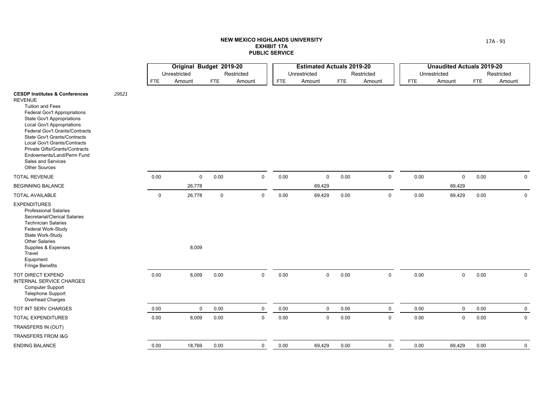|                                                                                                                                                                                                                                                                                                                                                                                                                 |       |              | Original Budget 2019-20 |             |             |            | <b>Estimated Actuals 2019-20</b> |            |             |            | <b>Unaudited Actuals 2019-20</b> |            |             |
|-----------------------------------------------------------------------------------------------------------------------------------------------------------------------------------------------------------------------------------------------------------------------------------------------------------------------------------------------------------------------------------------------------------------|-------|--------------|-------------------------|-------------|-------------|------------|----------------------------------|------------|-------------|------------|----------------------------------|------------|-------------|
|                                                                                                                                                                                                                                                                                                                                                                                                                 |       |              | Unrestricted            |             | Restricted  |            | Unrestricted                     |            | Restricted  |            | Unrestricted                     |            | Restricted  |
|                                                                                                                                                                                                                                                                                                                                                                                                                 |       | <b>FTE</b>   | Amount                  | <b>FTE</b>  | Amount      | <b>FTE</b> | Amount                           | <b>FTE</b> | Amount      | <b>FTE</b> | Amount                           | <b>FTE</b> | Amount      |
| <b>CESDP Institutes &amp; Conferences</b><br><b>REVENUE</b><br><b>Tuition and Fees</b><br><b>Federal Gov't Appropriations</b><br><b>State Gov't Appropriations</b><br>Local Gov't Appropriations<br>Federal Gov't Grants/Contracts<br><b>State Gov't Grants/Contracts</b><br>Local Gov't Grants/Contracts<br>Private Gifts/Grants/Contracts<br>Endowments/Land/Perm Fund<br>Sales and Services<br>Other Sources | 29521 |              |                         |             |             |            |                                  |            |             |            |                                  |            |             |
| <b>TOTAL REVENUE</b>                                                                                                                                                                                                                                                                                                                                                                                            |       | 0.00         | $\mathbf{0}$            | 0.00        | $\mathbf 0$ | 0.00       | $\mathbf 0$                      | 0.00       | $\mathbf 0$ | 0.00       | $\mathbf 0$                      | 0.00       | $\mathbf 0$ |
| BEGINNING BALANCE                                                                                                                                                                                                                                                                                                                                                                                               |       |              | 26,778                  |             |             |            | 69,429                           |            |             |            | 69,429                           |            |             |
| <b>TOTAL AVAILABLE</b>                                                                                                                                                                                                                                                                                                                                                                                          |       | $\mathsf{O}$ | 26,778                  | $\mathbf 0$ | $\mathbf 0$ | 0.00       | 69,429                           | 0.00       | $\mathbf 0$ | 0.00       | 69,429                           | 0.00       | $\mathbf 0$ |
| <b>EXPENDITURES</b><br><b>Professional Salaries</b><br>Secretarial/Clerical Salaries<br><b>Technician Salaries</b><br>Federal Work-Study<br>State Work-Study<br><b>Other Salaries</b><br>Supplies & Expenses<br>Travel<br>Equipment<br><b>Fringe Benefits</b>                                                                                                                                                   |       |              | 8,009                   |             |             |            |                                  |            |             |            |                                  |            |             |
| TOT DIRECT EXPEND<br><b>INTERNAL SERVICE CHARGES</b><br><b>Computer Support</b><br><b>Telephone Support</b><br>Overhead Charges                                                                                                                                                                                                                                                                                 |       | 0.00         | 8,009                   | 0.00        | $\mathbf 0$ | 0.00       | $\mathbf 0$                      | 0.00       | $\mathbf 0$ | 0.00       | $\mathbf 0$                      | 0.00       | $\mathbf 0$ |
| TOT INT SERV CHARGES                                                                                                                                                                                                                                                                                                                                                                                            |       | 0.00         | $\mathbf 0$             | 0.00        | $\mathbf 0$ | 0.00       | $\mathbf 0$                      | 0.00       | $\mathbf 0$ | 0.00       | $\mathbf 0$                      | 0.00       | $\mathbf 0$ |
| <b>TOTAL EXPENDITURES</b>                                                                                                                                                                                                                                                                                                                                                                                       |       | 0.00         | 8,009                   | 0.00        | $\mathbf 0$ | 0.00       | $\mathbf 0$                      | 0.00       | $\mathbf 0$ | 0.00       | $\mathsf 0$                      | 0.00       | $\mathbf 0$ |
| TRANSFERS IN (OUT)                                                                                                                                                                                                                                                                                                                                                                                              |       |              |                         |             |             |            |                                  |            |             |            |                                  |            |             |
| TRANSFERS FROM I&G                                                                                                                                                                                                                                                                                                                                                                                              |       |              |                         |             |             |            |                                  |            |             |            |                                  |            |             |
| <b>ENDING BALANCE</b>                                                                                                                                                                                                                                                                                                                                                                                           |       | 0.00         | 18,769                  | 0.00        | $\mathbf 0$ | 0.00       | 69,429                           | 0.00       | $\mathsf 0$ | 0.00       | 69,429                           | 0.00       | $\mathbf 0$ |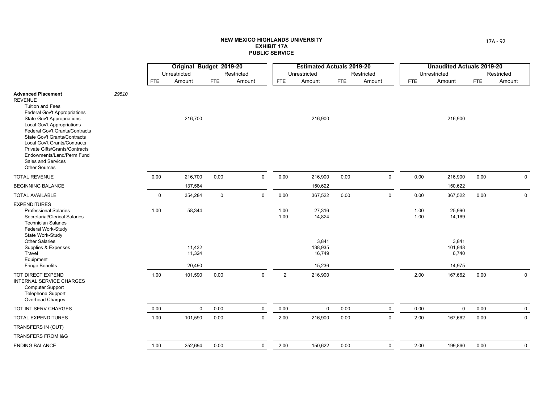|                                                                                                                                                                                                                                                                                                                                                                                                        |       |             | Original Budget 2019-20 |             |             |                | <b>Estimated Actuals 2019-20</b> |            |             |              | <b>Unaudited Actuals 2019-20</b> |            |             |
|--------------------------------------------------------------------------------------------------------------------------------------------------------------------------------------------------------------------------------------------------------------------------------------------------------------------------------------------------------------------------------------------------------|-------|-------------|-------------------------|-------------|-------------|----------------|----------------------------------|------------|-------------|--------------|----------------------------------|------------|-------------|
|                                                                                                                                                                                                                                                                                                                                                                                                        |       |             | Unrestricted            |             | Restricted  |                | Unrestricted                     |            | Restricted  |              | Unrestricted                     |            | Restricted  |
|                                                                                                                                                                                                                                                                                                                                                                                                        |       | FTE         | Amount                  | <b>FTE</b>  | Amount      | <b>FTE</b>     | Amount                           | <b>FTE</b> | Amount      | <b>FTE</b>   | Amount                           | <b>FTE</b> | Amount      |
| <b>Advanced Placement</b><br><b>REVENUE</b><br><b>Tuition and Fees</b><br>Federal Gov't Appropriations<br><b>State Gov't Appropriations</b><br><b>Local Gov't Appropriations</b><br>Federal Gov't Grants/Contracts<br><b>State Gov't Grants/Contracts</b><br>Local Gov't Grants/Contracts<br>Private Gifts/Grants/Contracts<br>Endowments/Land/Perm Fund<br>Sales and Services<br><b>Other Sources</b> | 29510 |             | 216,700                 |             |             |                | 216,900                          |            |             |              | 216,900                          |            |             |
| <b>TOTAL REVENUE</b>                                                                                                                                                                                                                                                                                                                                                                                   |       | 0.00        | 216,700                 | 0.00        | $\mathbf 0$ | 0.00           | 216,900                          | 0.00       | $\mathbf 0$ | 0.00         | 216,900                          | 0.00       | 0           |
| <b>BEGINNING BALANCE</b>                                                                                                                                                                                                                                                                                                                                                                               |       |             | 137,584                 |             |             |                | 150,622                          |            |             |              | 150,622                          |            |             |
| <b>TOTAL AVAILABLE</b>                                                                                                                                                                                                                                                                                                                                                                                 |       | $\mathbf 0$ | 354,284                 | $\mathbf 0$ | $\mathbf 0$ | 0.00           | 367,522                          | 0.00       | $\mathsf 0$ | 0.00         | 367,522                          | 0.00       | $\mathbf 0$ |
| <b>EXPENDITURES</b><br><b>Professional Salaries</b><br>Secretarial/Clerical Salaries<br><b>Technician Salaries</b><br>Federal Work-Study<br>State Work-Study                                                                                                                                                                                                                                           |       | 1.00        | 58,344                  |             |             | 1.00<br>1.00   | 27,316<br>14,824                 |            |             | 1.00<br>1.00 | 25,990<br>14,169                 |            |             |
| <b>Other Salaries</b><br>Supplies & Expenses<br>Travel<br>Equipment                                                                                                                                                                                                                                                                                                                                    |       |             | 11,432<br>11,324        |             |             |                | 3,841<br>138,935<br>16,749       |            |             |              | 3,841<br>101,948<br>6,740        |            |             |
| <b>Fringe Benefits</b>                                                                                                                                                                                                                                                                                                                                                                                 |       |             | 20,490                  |             |             |                | 15,236                           |            |             |              | 14,975                           |            |             |
| <b>TOT DIRECT EXPEND</b><br><b>INTERNAL SERVICE CHARGES</b><br><b>Computer Support</b><br>Telephone Support<br>Overhead Charges                                                                                                                                                                                                                                                                        |       | 1.00        | 101,590                 | 0.00        | $\mathsf 0$ | $\overline{2}$ | 216,900                          |            |             | 2.00         | 167,662                          | 0.00       | $\mathbf 0$ |
| TOT INT SERV CHARGES                                                                                                                                                                                                                                                                                                                                                                                   |       | 0.00        | $\mathbf 0$             | 0.00        | $\mathbf 0$ | 0.00           | $\mathbf 0$                      | 0.00       | $\mathbf 0$ | 0.00         | $\mathbf 0$                      | 0.00       | $\mathbf 0$ |
| <b>TOTAL EXPENDITURES</b>                                                                                                                                                                                                                                                                                                                                                                              |       | 1.00        | 101,590                 | 0.00        | $\mathsf 0$ | 2.00           | 216,900                          | 0.00       | $\mathsf 0$ | 2.00         | 167,662                          | 0.00       | 0           |
| TRANSFERS IN (OUT)                                                                                                                                                                                                                                                                                                                                                                                     |       |             |                         |             |             |                |                                  |            |             |              |                                  |            |             |
| <b>TRANSFERS FROM I&amp;G</b>                                                                                                                                                                                                                                                                                                                                                                          |       |             |                         |             |             |                |                                  |            |             |              |                                  |            |             |
| <b>ENDING BALANCE</b>                                                                                                                                                                                                                                                                                                                                                                                  |       | 1.00        | 252,694                 | 0.00        | 0           | 2.00           | 150,622                          | 0.00       | $\mathbf 0$ | 2.00         | 199,860                          | 0.00       | $\mathbf 0$ |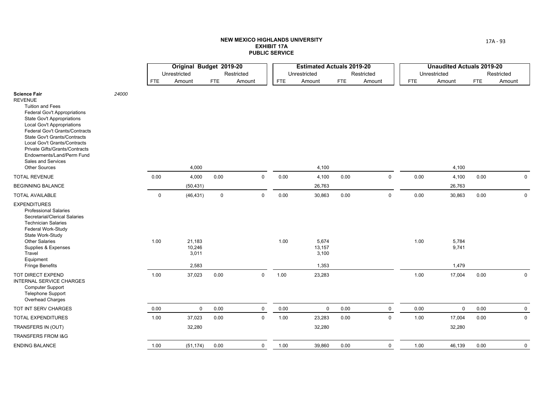|                                                                                                                                                                                                                                                                                                                                                                                                         |       |             | Original Budget 2019-20            |             |              |            | <b>Estimated Actuals 2019-20</b>  |            |             |            | <b>Unaudited Actuals 2019-20</b> |            |             |
|---------------------------------------------------------------------------------------------------------------------------------------------------------------------------------------------------------------------------------------------------------------------------------------------------------------------------------------------------------------------------------------------------------|-------|-------------|------------------------------------|-------------|--------------|------------|-----------------------------------|------------|-------------|------------|----------------------------------|------------|-------------|
|                                                                                                                                                                                                                                                                                                                                                                                                         |       |             | Unrestricted                       |             | Restricted   |            | Unrestricted                      |            | Restricted  |            | Unrestricted                     |            | Restricted  |
|                                                                                                                                                                                                                                                                                                                                                                                                         |       | <b>FTE</b>  | Amount                             | <b>FTE</b>  | Amount       | <b>FTE</b> | Amount                            | <b>FTE</b> | Amount      | <b>FTE</b> | Amount                           | <b>FTE</b> | Amount      |
| <b>Science Fair</b><br><b>REVENUE</b><br><b>Tuition and Fees</b><br><b>Federal Gov't Appropriations</b><br><b>State Gov't Appropriations</b><br><b>Local Gov't Appropriations</b><br>Federal Gov't Grants/Contracts<br><b>State Gov't Grants/Contracts</b><br>Local Gov't Grants/Contracts<br>Private Gifts/Grants/Contracts<br>Endowments/Land/Perm Fund<br>Sales and Services<br><b>Other Sources</b> | 24000 |             | 4,000                              |             |              |            | 4,100                             |            |             |            | 4,100                            |            |             |
| <b>TOTAL REVENUE</b>                                                                                                                                                                                                                                                                                                                                                                                    |       | 0.00        | 4,000                              | 0.00        | $\mathsf{O}$ | 0.00       | 4,100                             | 0.00       | $\mathsf 0$ | 0.00       | 4,100                            | 0.00       | $\mathsf 0$ |
| <b>BEGINNING BALANCE</b>                                                                                                                                                                                                                                                                                                                                                                                |       |             | (50, 431)                          |             |              |            | 26,763                            |            |             |            | 26,763                           |            |             |
| <b>TOTAL AVAILABLE</b>                                                                                                                                                                                                                                                                                                                                                                                  |       | $\mathbf 0$ | (46, 431)                          | $\mathbf 0$ | $\mathbf 0$  | 0.00       | 30,863                            | 0.00       | $\mathbf 0$ | 0.00       | 30,863                           | 0.00       | $\mathbf 0$ |
| <b>EXPENDITURES</b><br><b>Professional Salaries</b><br>Secretarial/Clerical Salaries<br><b>Technician Salaries</b><br>Federal Work-Study<br>State Work-Study<br><b>Other Salaries</b><br>Supplies & Expenses<br>Travel<br>Equipment<br><b>Fringe Benefits</b>                                                                                                                                           |       | 1.00        | 21,183<br>10,246<br>3,011<br>2,583 |             |              | 1.00       | 5,674<br>13,157<br>3,100<br>1,353 |            |             | 1.00       | 5,784<br>9,741<br>1,479          |            |             |
| TOT DIRECT EXPEND<br><b>INTERNAL SERVICE CHARGES</b><br><b>Computer Support</b><br><b>Telephone Support</b><br>Overhead Charges                                                                                                                                                                                                                                                                         |       | 1.00        | 37,023                             | 0.00        | $\mathbf 0$  | 1.00       | 23,283                            |            |             | 1.00       | 17,004                           | 0.00       | $\mathbf 0$ |
| TOT INT SERV CHARGES                                                                                                                                                                                                                                                                                                                                                                                    |       | 0.00        | $\mathbf 0$                        | 0.00        | $\mathbf 0$  | 0.00       | $\mathbf 0$                       | 0.00       | $\mathbf 0$ | 0.00       | $\mathbf 0$                      | 0.00       | $\mathbf 0$ |
| <b>TOTAL EXPENDITURES</b>                                                                                                                                                                                                                                                                                                                                                                               |       | 1.00        | 37,023                             | 0.00        | $\mathbf 0$  | 1.00       | 23,283                            | 0.00       | $\mathbf 0$ | 1.00       | 17,004                           | 0.00       | $\mathbf 0$ |
| TRANSFERS IN (OUT)                                                                                                                                                                                                                                                                                                                                                                                      |       |             | 32,280                             |             |              |            | 32,280                            |            |             |            | 32,280                           |            |             |
| <b>TRANSFERS FROM I&amp;G</b>                                                                                                                                                                                                                                                                                                                                                                           |       |             |                                    |             |              |            |                                   |            |             |            |                                  |            |             |
| <b>ENDING BALANCE</b>                                                                                                                                                                                                                                                                                                                                                                                   |       | 1.00        | (51, 174)                          | 0.00        | $\mathbf 0$  | 1.00       | 39,860                            | 0.00       | $\pmb{0}$   | 1.00       | 46,139                           | 0.00       | $\mathbf 0$ |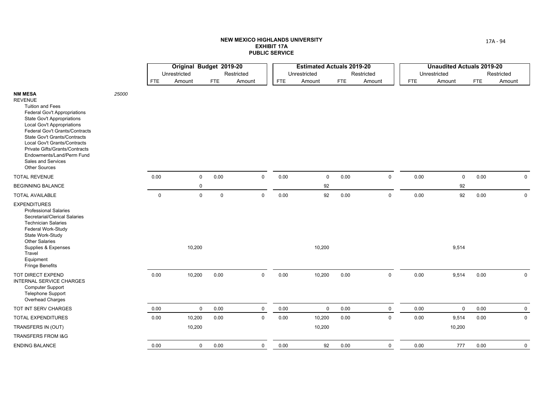|                                                                                                                                                                                                                                                                                                                                                                                             |       |             | Original Budget 2019-20 |             |             |            | <b>Estimated Actuals 2019-20</b> |            |             |            | <b>Unaudited Actuals 2019-20</b> |            |             |
|---------------------------------------------------------------------------------------------------------------------------------------------------------------------------------------------------------------------------------------------------------------------------------------------------------------------------------------------------------------------------------------------|-------|-------------|-------------------------|-------------|-------------|------------|----------------------------------|------------|-------------|------------|----------------------------------|------------|-------------|
|                                                                                                                                                                                                                                                                                                                                                                                             |       |             | Unrestricted            |             | Restricted  |            | Unrestricted                     |            | Restricted  |            | Unrestricted                     |            | Restricted  |
|                                                                                                                                                                                                                                                                                                                                                                                             |       | <b>FTE</b>  | Amount                  | <b>FTE</b>  | Amount      | <b>FTE</b> | Amount                           | <b>FTE</b> | Amount      | <b>FTE</b> | Amount                           | <b>FTE</b> | Amount      |
| <b>NM MESA</b><br><b>REVENUE</b><br><b>Tuition and Fees</b><br><b>Federal Gov't Appropriations</b><br><b>State Gov't Appropriations</b><br>Local Gov't Appropriations<br>Federal Gov't Grants/Contracts<br><b>State Gov't Grants/Contracts</b><br>Local Gov't Grants/Contracts<br>Private Gifts/Grants/Contracts<br>Endowments/Land/Perm Fund<br>Sales and Services<br><b>Other Sources</b> | 25000 |             |                         |             |             |            |                                  |            |             |            |                                  |            |             |
| <b>TOTAL REVENUE</b>                                                                                                                                                                                                                                                                                                                                                                        |       | 0.00        | $\mathbf 0$             | 0.00        | $\mathbf 0$ | 0.00       | $\mathbf 0$                      | 0.00       | $\mathbf 0$ | 0.00       | $\mathbf 0$                      | 0.00       | $\mathbf 0$ |
| <b>BEGINNING BALANCE</b>                                                                                                                                                                                                                                                                                                                                                                    |       |             | $\mathbf 0$             |             |             |            | 92                               |            |             |            | 92                               |            |             |
| <b>TOTAL AVAILABLE</b>                                                                                                                                                                                                                                                                                                                                                                      |       | $\mathbf 0$ | $\mathsf 0$             | $\mathbf 0$ | $\mathsf 0$ | 0.00       | 92                               | 0.00       | $\mathsf 0$ | 0.00       | 92                               | 0.00       | $\mathsf 0$ |
| <b>EXPENDITURES</b><br><b>Professional Salaries</b><br>Secretarial/Clerical Salaries<br><b>Technician Salaries</b><br>Federal Work-Study<br>State Work-Study<br><b>Other Salaries</b><br>Supplies & Expenses<br>Travel<br>Equipment<br><b>Fringe Benefits</b>                                                                                                                               |       |             | 10,200                  |             |             |            | 10,200                           |            |             |            | 9,514                            |            |             |
| TOT DIRECT EXPEND<br><b>INTERNAL SERVICE CHARGES</b><br><b>Computer Support</b><br><b>Telephone Support</b><br>Overhead Charges                                                                                                                                                                                                                                                             |       | $0.00\,$    | 10,200                  | 0.00        | $\mathsf 0$ | 0.00       | 10,200                           | 0.00       | $\mathbf 0$ | 0.00       | 9,514                            | 0.00       | $\mathbf 0$ |
| TOT INT SERV CHARGES                                                                                                                                                                                                                                                                                                                                                                        |       | $0.00\,$    | $\mathsf 0$             | 0.00        | $\mathsf 0$ | 0.00       | $\pmb{0}$                        | 0.00       | $\mathsf 0$ | 0.00       | $\mathbf 0$                      | 0.00       | $\mathbf 0$ |
| <b>TOTAL EXPENDITURES</b>                                                                                                                                                                                                                                                                                                                                                                   |       | 0.00        | 10,200                  | 0.00        | $\mathsf 0$ | 0.00       | 10,200                           | 0.00       | $\mathbf 0$ | 0.00       | 9,514                            | 0.00       | $\mathbf 0$ |
| TRANSFERS IN (OUT)                                                                                                                                                                                                                                                                                                                                                                          |       |             | 10,200                  |             |             |            | 10,200                           |            |             |            | 10,200                           |            |             |
| <b>TRANSFERS FROM I&amp;G</b>                                                                                                                                                                                                                                                                                                                                                               |       |             |                         |             |             |            |                                  |            |             |            |                                  |            |             |
| <b>ENDING BALANCE</b>                                                                                                                                                                                                                                                                                                                                                                       |       | 0.00        | $\mathbf 0$             | 0.00        | $\mathbf 0$ | 0.00       | 92                               | 0.00       | $\mathbf 0$ | 0.00       | 777                              | 0.00       | $\mathbf 0$ |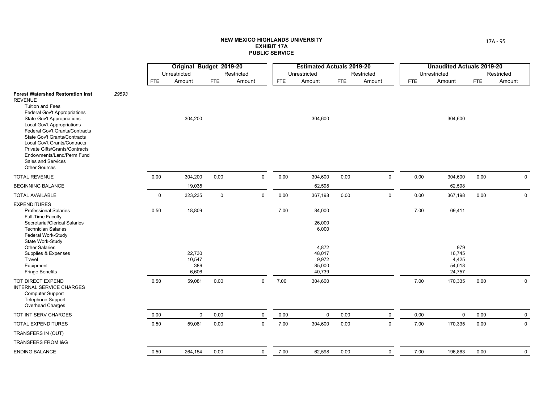|                                                                                                                                                                                                                                                                                                                                                                                                                              |       |             | Original Budget 2019-20          |            |              |            | <b>Estimated Actuals 2019-20</b>             |            |             |            | <b>Unaudited Actuals 2019-20</b>           |            |             |
|------------------------------------------------------------------------------------------------------------------------------------------------------------------------------------------------------------------------------------------------------------------------------------------------------------------------------------------------------------------------------------------------------------------------------|-------|-------------|----------------------------------|------------|--------------|------------|----------------------------------------------|------------|-------------|------------|--------------------------------------------|------------|-------------|
|                                                                                                                                                                                                                                                                                                                                                                                                                              |       |             | Unrestricted                     |            | Restricted   |            | Unrestricted                                 |            | Restricted  |            | Unrestricted                               |            | Restricted  |
|                                                                                                                                                                                                                                                                                                                                                                                                                              |       | <b>FTE</b>  | Amount                           | <b>FTE</b> | Amount       | <b>FTE</b> | Amount                                       | <b>FTE</b> | Amount      | <b>FTE</b> | Amount                                     | <b>FTE</b> | Amount      |
| <b>Forest Watershed Restoration Inst</b><br><b>REVENUE</b><br><b>Tuition and Fees</b><br><b>Federal Gov't Appropriations</b><br><b>State Gov't Appropriations</b><br><b>Local Gov't Appropriations</b><br>Federal Gov't Grants/Contracts<br><b>State Gov't Grants/Contracts</b><br>Local Gov't Grants/Contracts<br>Private Gifts/Grants/Contracts<br>Endowments/Land/Perm Fund<br>Sales and Services<br><b>Other Sources</b> | 29593 |             | 304,200                          |            |              |            | 304,600                                      |            |             |            | 304,600                                    |            |             |
| <b>TOTAL REVENUE</b>                                                                                                                                                                                                                                                                                                                                                                                                         |       | 0.00        | 304,200                          | 0.00       | $\mathbf 0$  | 0.00       | 304,600                                      | 0.00       | $\mathsf 0$ | 0.00       | 304,600                                    | 0.00       | $\mathbf 0$ |
| <b>BEGINNING BALANCE</b>                                                                                                                                                                                                                                                                                                                                                                                                     |       |             | 19,035                           |            |              |            | 62,598                                       |            |             |            | 62,598                                     |            |             |
| <b>TOTAL AVAILABLE</b>                                                                                                                                                                                                                                                                                                                                                                                                       |       | $\mathbf 0$ | 323,235                          | 0          | $\mathbf 0$  | 0.00       | 367,198                                      | 0.00       | $\mathsf 0$ | 0.00       | 367,198                                    | 0.00       | $\mathbf 0$ |
| <b>EXPENDITURES</b><br><b>Professional Salaries</b><br><b>Full-Time Faculty</b><br>Secretarial/Clerical Salaries<br><b>Technician Salaries</b><br>Federal Work-Study                                                                                                                                                                                                                                                         |       | 0.50        | 18,809                           |            |              | 7.00       | 84,000<br>26,000<br>6,000                    |            |             | 7.00       | 69,411                                     |            |             |
| State Work-Study<br><b>Other Salaries</b><br>Supplies & Expenses<br>Travel<br>Equipment<br><b>Fringe Benefits</b>                                                                                                                                                                                                                                                                                                            |       |             | 22,730<br>10,547<br>389<br>6,606 |            |              |            | 4,872<br>48,017<br>9,972<br>85,000<br>40,739 |            |             |            | 979<br>16,745<br>4,425<br>54,018<br>24,757 |            |             |
| <b>TOT DIRECT EXPEND</b><br><b>INTERNAL SERVICE CHARGES</b><br><b>Computer Support</b><br><b>Telephone Support</b><br>Overhead Charges                                                                                                                                                                                                                                                                                       |       | 0.50        | 59,081                           | 0.00       | $\mathsf{O}$ | 7.00       | 304,600                                      |            |             | 7.00       | 170,335                                    | 0.00       | $\mathbf 0$ |
| TOT INT SERV CHARGES                                                                                                                                                                                                                                                                                                                                                                                                         |       | 0.00        | $\mathbf 0$                      | 0.00       | $\mathbf 0$  | 0.00       | $\mathbf 0$                                  | 0.00       | $\mathbf 0$ | 0.00       | $\mathbf 0$                                | 0.00       | $\mathbf 0$ |
| <b>TOTAL EXPENDITURES</b>                                                                                                                                                                                                                                                                                                                                                                                                    |       | 0.50        | 59,081                           | 0.00       | $\mathbf 0$  | 7.00       | 304,600                                      | 0.00       | $\mathsf 0$ | 7.00       | 170,335                                    | 0.00       | $\mathsf 0$ |
| TRANSFERS IN (OUT)                                                                                                                                                                                                                                                                                                                                                                                                           |       |             |                                  |            |              |            |                                              |            |             |            |                                            |            |             |
| TRANSFERS FROM I&G                                                                                                                                                                                                                                                                                                                                                                                                           |       |             |                                  |            |              |            |                                              |            |             |            |                                            |            |             |
| <b>ENDING BALANCE</b>                                                                                                                                                                                                                                                                                                                                                                                                        |       | 0.50        | 264,154                          | 0.00       | $\mathbf 0$  | 7.00       | 62,598                                       | 0.00       | $\mathbf 0$ | 7.00       | 196,863                                    | 0.00       | $\mathbf 0$ |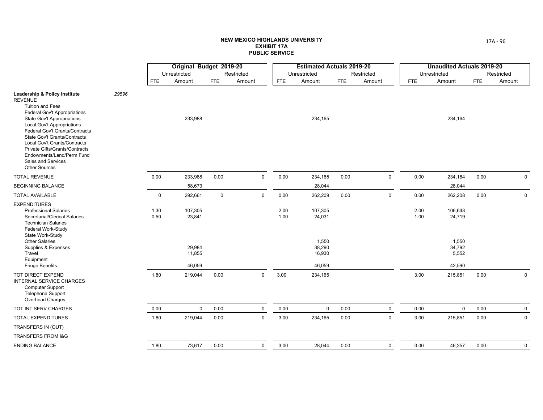|                                                                                                                                                                                                                                                                                                                                                                                                                |       |              | Original Budget 2019-20 |             |             |              | <b>Estimated Actuals 2019-20</b> |            |             |              | <b>Unaudited Actuals 2019-20</b> |      |              |
|----------------------------------------------------------------------------------------------------------------------------------------------------------------------------------------------------------------------------------------------------------------------------------------------------------------------------------------------------------------------------------------------------------------|-------|--------------|-------------------------|-------------|-------------|--------------|----------------------------------|------------|-------------|--------------|----------------------------------|------|--------------|
|                                                                                                                                                                                                                                                                                                                                                                                                                |       |              | Unrestricted            |             | Restricted  |              | Unrestricted                     |            | Restricted  |              | Unrestricted                     |      | Restricted   |
|                                                                                                                                                                                                                                                                                                                                                                                                                |       | <b>FTE</b>   | Amount                  | <b>FTE</b>  | Amount      | <b>FTE</b>   | Amount                           | <b>FTE</b> | Amount      | <b>FTE</b>   | Amount                           | FTE  | Amount       |
| <b>Leadership &amp; Policy Institute</b><br><b>REVENUE</b><br><b>Tuition and Fees</b><br>Federal Gov't Appropriations<br><b>State Gov't Appropriations</b><br><b>Local Gov't Appropriations</b><br>Federal Gov't Grants/Contracts<br>State Gov't Grants/Contracts<br>Local Gov't Grants/Contracts<br>Private Gifts/Grants/Contracts<br>Endowments/Land/Perm Fund<br>Sales and Services<br><b>Other Sources</b> | 29596 |              | 233,988                 |             |             |              | 234,165                          |            |             |              | 234,164                          |      |              |
| <b>TOTAL REVENUE</b>                                                                                                                                                                                                                                                                                                                                                                                           |       | $0.00\,$     | 233,988                 | 0.00        | $\mathsf 0$ | 0.00         | 234,165                          | 0.00       | $\mathsf 0$ | 0.00         | 234,164                          | 0.00 | $\mathsf{O}$ |
| <b>BEGINNING BALANCE</b>                                                                                                                                                                                                                                                                                                                                                                                       |       |              | 58,673                  |             |             |              | 28,044                           |            |             |              | 28,044                           |      |              |
| <b>TOTAL AVAILABLE</b>                                                                                                                                                                                                                                                                                                                                                                                         |       | $\mathbf 0$  | 292,661                 | $\mathsf 0$ | $\mathbf 0$ | 0.00         | 262,209                          | 0.00       | $\mathbf 0$ | 0.00         | 262,208                          | 0.00 | $\mathbf 0$  |
| <b>EXPENDITURES</b><br><b>Professional Salaries</b><br>Secretarial/Clerical Salaries<br><b>Technician Salaries</b><br>Federal Work-Study<br>State Work-Study                                                                                                                                                                                                                                                   |       | 1.30<br>0.50 | 107,305<br>23,841       |             |             | 2.00<br>1.00 | 107,305<br>24,031                |            |             | 2.00<br>1.00 | 106,648<br>24,719                |      |              |
| <b>Other Salaries</b><br>Supplies & Expenses<br>Travel<br>Equipment                                                                                                                                                                                                                                                                                                                                            |       |              | 29,984<br>11,855        |             |             |              | 1,550<br>38,290<br>16,930        |            |             |              | 1,550<br>34,792<br>5,552         |      |              |
| <b>Fringe Benefits</b>                                                                                                                                                                                                                                                                                                                                                                                         |       |              | 46,059                  |             |             |              | 46,059                           |            |             |              | 42,590                           |      |              |
| TOT DIRECT EXPEND<br><b>INTERNAL SERVICE CHARGES</b><br><b>Computer Support</b><br><b>Telephone Support</b><br>Overhead Charges                                                                                                                                                                                                                                                                                |       | 1.80         | 219,044                 | 0.00        | 0           | 3.00         | 234,165                          |            |             | 3.00         | 215,851                          | 0.00 | $\mathsf{O}$ |
| TOT INT SERV CHARGES                                                                                                                                                                                                                                                                                                                                                                                           |       | 0.00         | $\mathbf 0$             | 0.00        | $\mathbf 0$ | 0.00         | $\mathbf 0$                      | 0.00       | $\mathbf 0$ | 0.00         | $\mathbf 0$                      | 0.00 | $\mathbf 0$  |
| <b>TOTAL EXPENDITURES</b>                                                                                                                                                                                                                                                                                                                                                                                      |       | 1.80         | 219,044                 | 0.00        | 0           | 3.00         | 234,165                          | 0.00       | $\mathsf 0$ | 3.00         | 215,851                          | 0.00 | $\mathbf 0$  |
| TRANSFERS IN (OUT)                                                                                                                                                                                                                                                                                                                                                                                             |       |              |                         |             |             |              |                                  |            |             |              |                                  |      |              |
| <b>TRANSFERS FROM I&amp;G</b>                                                                                                                                                                                                                                                                                                                                                                                  |       |              |                         |             |             |              |                                  |            |             |              |                                  |      |              |
| <b>ENDING BALANCE</b>                                                                                                                                                                                                                                                                                                                                                                                          |       | 1.80         | 73,617                  | 0.00        | 0           | 3.00         | 28,044                           | 0.00       | $\mathbf 0$ | 3.00         | 46,357                           | 0.00 | $\mathbf 0$  |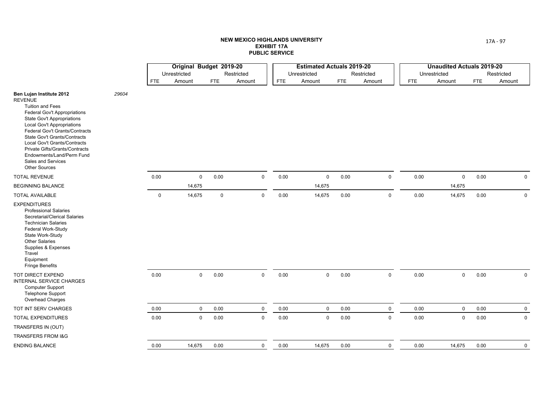|                                                                                                                                                                                                                                                                                                                                                                                                |       |             | Original Budget 2019-20 |             |              |            | <b>Estimated Actuals 2019-20</b> |      |             |            | <b>Unaudited Actuals 2019-20</b> |            |              |
|------------------------------------------------------------------------------------------------------------------------------------------------------------------------------------------------------------------------------------------------------------------------------------------------------------------------------------------------------------------------------------------------|-------|-------------|-------------------------|-------------|--------------|------------|----------------------------------|------|-------------|------------|----------------------------------|------------|--------------|
|                                                                                                                                                                                                                                                                                                                                                                                                |       |             | Unrestricted            |             | Restricted   |            | Unrestricted                     |      | Restricted  |            | Unrestricted                     |            | Restricted   |
|                                                                                                                                                                                                                                                                                                                                                                                                |       | <b>FTE</b>  | Amount                  | <b>FTE</b>  | Amount       | <b>FTE</b> | Amount                           | FTE  | Amount      | <b>FTE</b> | Amount                           | <b>FTE</b> | Amount       |
| Ben Lujan Institute 2012<br><b>REVENUE</b><br>Tuition and Fees<br><b>Federal Gov't Appropriations</b><br><b>State Gov't Appropriations</b><br>Local Gov't Appropriations<br>Federal Gov't Grants/Contracts<br><b>State Gov't Grants/Contracts</b><br>Local Gov't Grants/Contracts<br>Private Gifts/Grants/Contracts<br>Endowments/Land/Perm Fund<br>Sales and Services<br><b>Other Sources</b> | 29604 |             |                         |             |              |            |                                  |      |             |            |                                  |            |              |
| <b>TOTAL REVENUE</b>                                                                                                                                                                                                                                                                                                                                                                           |       | 0.00        | $\mathsf 0$             | 0.00        | $\mathbf 0$  | 0.00       | $\mathbf 0$                      | 0.00 | $\mathsf 0$ | 0.00       | $\mathbf 0$                      | 0.00       | $\mathbf 0$  |
| <b>BEGINNING BALANCE</b>                                                                                                                                                                                                                                                                                                                                                                       |       |             | 14,675                  |             |              |            | 14,675                           |      |             |            | 14,675                           |            |              |
| <b>TOTAL AVAILABLE</b>                                                                                                                                                                                                                                                                                                                                                                         |       | $\mathbf 0$ | 14,675                  | $\mathbf 0$ | $\mathbf 0$  | 0.00       | 14,675                           | 0.00 | $\mathsf 0$ | 0.00       | 14,675                           | 0.00       | $\mathbf 0$  |
| <b>EXPENDITURES</b><br><b>Professional Salaries</b><br>Secretarial/Clerical Salaries<br><b>Technician Salaries</b><br>Federal Work-Study<br>State Work-Study<br><b>Other Salaries</b><br>Supplies & Expenses<br>Travel<br>Equipment<br>Fringe Benefits                                                                                                                                         |       |             |                         |             |              |            |                                  |      |             |            |                                  |            |              |
| TOT DIRECT EXPEND<br>INTERNAL SERVICE CHARGES<br><b>Computer Support</b><br><b>Telephone Support</b><br>Overhead Charges                                                                                                                                                                                                                                                                       |       | 0.00        | $\mathbf 0$             | 0.00        | $\mathsf{O}$ | 0.00       | $\mathbf 0$                      | 0.00 | $\mathsf 0$ | 0.00       | $\mathsf{O}$                     | 0.00       | $\mathsf{O}$ |
| TOT INT SERV CHARGES                                                                                                                                                                                                                                                                                                                                                                           |       | 0.00        | $\mathbf 0$             | 0.00        | $\mathsf{O}$ | 0.00       | $\mathbf 0$                      | 0.00 | $\mathbf 0$ | 0.00       | $\mathsf{O}$                     | 0.00       | $\mathbf 0$  |
| <b>TOTAL EXPENDITURES</b>                                                                                                                                                                                                                                                                                                                                                                      |       | 0.00        | $\mathsf 0$             | 0.00        | $\mathbf 0$  | 0.00       | $\mathbf 0$                      | 0.00 | $\mathsf 0$ | 0.00       | $\mathbf 0$                      | 0.00       | $\mathbf 0$  |
| TRANSFERS IN (OUT)                                                                                                                                                                                                                                                                                                                                                                             |       |             |                         |             |              |            |                                  |      |             |            |                                  |            |              |
| <b>TRANSFERS FROM I&amp;G</b>                                                                                                                                                                                                                                                                                                                                                                  |       |             |                         |             |              |            |                                  |      |             |            |                                  |            |              |
| <b>ENDING BALANCE</b>                                                                                                                                                                                                                                                                                                                                                                          |       | 0.00        | 14,675                  | 0.00        | $\mathbf 0$  | 0.00       | 14,675                           | 0.00 | $\mathbf 0$ | 0.00       | 14,675                           | 0.00       | $\mathbf 0$  |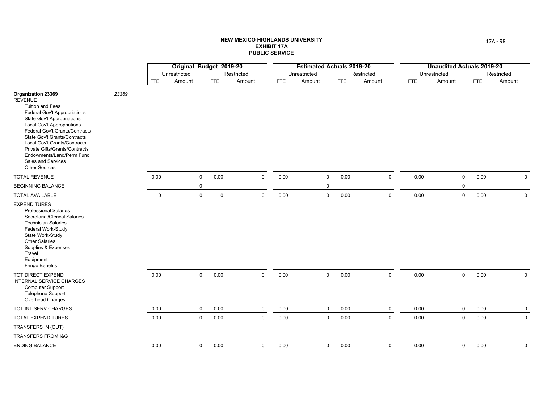|                                                                                                                                                                                                                                                                                                                                                                                                 |       |             | Original Budget 2019-20 |                      |             |                     |            | <b>Estimated Actuals 2019-20</b> |            |            |             |              | <b>Unaudited Actuals 2019-20</b> |            |              |
|-------------------------------------------------------------------------------------------------------------------------------------------------------------------------------------------------------------------------------------------------------------------------------------------------------------------------------------------------------------------------------------------------|-------|-------------|-------------------------|----------------------|-------------|---------------------|------------|----------------------------------|------------|------------|-------------|--------------|----------------------------------|------------|--------------|
|                                                                                                                                                                                                                                                                                                                                                                                                 |       |             | Unrestricted            |                      | Restricted  |                     |            | Unrestricted                     |            | Restricted |             | Unrestricted |                                  |            | Restricted   |
|                                                                                                                                                                                                                                                                                                                                                                                                 |       | <b>FTE</b>  | Amount                  | <b>FTE</b>           | Amount      |                     | <b>FTE</b> | Amount                           | <b>FTE</b> | Amount     |             | <b>FTE</b>   | Amount                           | <b>FTE</b> | Amount       |
| <b>Organization 23369</b><br><b>REVENUE</b><br><b>Tuition and Fees</b><br>Federal Gov't Appropriations<br><b>State Gov't Appropriations</b><br><b>Local Gov't Appropriations</b><br>Federal Gov't Grants/Contracts<br>State Gov't Grants/Contracts<br>Local Gov't Grants/Contracts<br>Private Gifts/Grants/Contracts<br>Endowments/Land/Perm Fund<br>Sales and Services<br><b>Other Sources</b> | 23369 |             |                         |                      |             |                     |            |                                  |            |            |             |              |                                  |            |              |
| <b>TOTAL REVENUE</b>                                                                                                                                                                                                                                                                                                                                                                            |       | 0.00        |                         | $\mathsf{O}$<br>0.00 |             | $\mathbf 0$         | 0.00       | $\mathbf 0$                      | 0.00       |            | $\mathbf 0$ | 0.00         | $\mathbf 0$                      | 0.00       | $\mathbf 0$  |
| <b>BEGINNING BALANCE</b>                                                                                                                                                                                                                                                                                                                                                                        |       |             |                         | $\mathbf 0$          |             |                     |            | 0                                |            |            |             |              | $\mathbf 0$                      |            |              |
| <b>TOTAL AVAILABLE</b>                                                                                                                                                                                                                                                                                                                                                                          |       | $\mathbf 0$ |                         | $\mathbf 0$          | $\mathsf 0$ | $\mathbf 0$         | 0.00       | $\mathbf 0$                      | 0.00       |            | $\mathbf 0$ | 0.00         | $\mathsf 0$                      | 0.00       | $\mathsf 0$  |
| <b>EXPENDITURES</b><br><b>Professional Salaries</b><br>Secretarial/Clerical Salaries<br><b>Technician Salaries</b><br>Federal Work-Study<br>State Work-Study<br><b>Other Salaries</b><br>Supplies & Expenses<br>Travel<br>Equipment<br><b>Fringe Benefits</b>                                                                                                                                   |       |             |                         |                      |             |                     |            |                                  |            |            |             |              |                                  |            |              |
| TOT DIRECT EXPEND<br>INTERNAL SERVICE CHARGES<br><b>Computer Support</b><br><b>Telephone Support</b><br>Overhead Charges                                                                                                                                                                                                                                                                        |       | 0.00        |                         | $\mathbf 0$<br>0.00  |             | $\mathsf{O}\xspace$ | 0.00       | 0                                | 0.00       |            | 0           | 0.00         | $\mathsf{O}\xspace$              | 0.00       | $\mathsf{O}$ |
| TOT INT SERV CHARGES                                                                                                                                                                                                                                                                                                                                                                            |       | 0.00        |                         | $\mathbf 0$<br>0.00  |             | $\mathbf 0$         | 0.00       | $\mathbf 0$                      | 0.00       |            | $\mathbf 0$ | 0.00         | $\mathbf 0$                      | 0.00       | $\mathbf 0$  |
| TOTAL EXPENDITURES                                                                                                                                                                                                                                                                                                                                                                              |       | $0.00\,$    |                         | 0<br>0.00            |             | $\mathsf 0$         | 0.00       | $\mathbf 0$                      | 0.00       |            | $\mathbf 0$ | 0.00         | $\mathbf 0$                      | 0.00       | $\mathsf 0$  |
| TRANSFERS IN (OUT)                                                                                                                                                                                                                                                                                                                                                                              |       |             |                         |                      |             |                     |            |                                  |            |            |             |              |                                  |            |              |
| <b>TRANSFERS FROM I&amp;G</b>                                                                                                                                                                                                                                                                                                                                                                   |       |             |                         |                      |             |                     |            |                                  |            |            |             |              |                                  |            |              |
| <b>ENDING BALANCE</b>                                                                                                                                                                                                                                                                                                                                                                           |       | 0.00        |                         | $\mathsf{O}$<br>0.00 |             | $\mathbf 0$         | 0.00       | 0                                | 0.00       |            | $\mathbf 0$ | 0.00         | $\mathsf 0$                      | 0.00       | $\mathbf 0$  |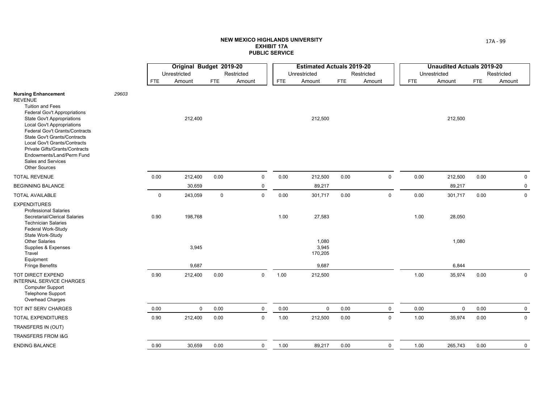|                                                                                                                                                                                                                                                                                                                                                                                                         |       |             | Original Budget 2019-20 |             |             |            | <b>Estimated Actuals 2019-20</b> |      |             |            | <b>Unaudited Actuals 2019-20</b> |            |              |
|---------------------------------------------------------------------------------------------------------------------------------------------------------------------------------------------------------------------------------------------------------------------------------------------------------------------------------------------------------------------------------------------------------|-------|-------------|-------------------------|-------------|-------------|------------|----------------------------------|------|-------------|------------|----------------------------------|------------|--------------|
|                                                                                                                                                                                                                                                                                                                                                                                                         |       |             | Unrestricted            |             | Restricted  |            | Unrestricted                     |      | Restricted  |            | Unrestricted                     |            | Restricted   |
|                                                                                                                                                                                                                                                                                                                                                                                                         |       | <b>FTE</b>  | Amount                  | <b>FTE</b>  | Amount      | <b>FTE</b> | Amount                           | FTE  | Amount      | <b>FTE</b> | Amount                           | <b>FTE</b> | Amount       |
| <b>Nursing Enhancement</b><br><b>REVENUE</b><br><b>Tuition and Fees</b><br>Federal Gov't Appropriations<br><b>State Gov't Appropriations</b><br><b>Local Gov't Appropriations</b><br>Federal Gov't Grants/Contracts<br>State Gov't Grants/Contracts<br>Local Gov't Grants/Contracts<br><b>Private Gifts/Grants/Contracts</b><br>Endowments/Land/Perm Fund<br>Sales and Services<br><b>Other Sources</b> | 29603 |             | 212,400                 |             |             |            | 212,500                          |      |             |            | 212,500                          |            |              |
| <b>TOTAL REVENUE</b>                                                                                                                                                                                                                                                                                                                                                                                    |       | 0.00        | 212,400                 | 0.00        | $\mathsf 0$ | 0.00       | 212,500                          | 0.00 | $\mathsf 0$ | 0.00       | 212,500                          | 0.00       | $\mathbf 0$  |
| <b>BEGINNING BALANCE</b>                                                                                                                                                                                                                                                                                                                                                                                |       |             | 30,659                  |             | $\mathbf 0$ |            | 89,217                           |      |             |            | 89,217                           |            | $\mathbf 0$  |
| <b>TOTAL AVAILABLE</b>                                                                                                                                                                                                                                                                                                                                                                                  |       | $\mathbf 0$ | 243,059                 | $\mathbf 0$ | $\mathbf 0$ | 0.00       | 301,717                          | 0.00 | $\mathbf 0$ | 0.00       | 301,717                          | 0.00       | $\mathbf 0$  |
| <b>EXPENDITURES</b><br><b>Professional Salaries</b><br>Secretarial/Clerical Salaries<br><b>Technician Salaries</b><br>Federal Work-Study<br>State Work-Study                                                                                                                                                                                                                                            |       | 0.90        | 198,768                 |             |             | 1.00       | 27,583                           |      |             | 1.00       | 28,050                           |            |              |
| <b>Other Salaries</b><br>Supplies & Expenses<br>Travel<br>Equipment                                                                                                                                                                                                                                                                                                                                     |       |             | 3,945                   |             |             |            | 1,080<br>3,945<br>170,205        |      |             |            | 1,080                            |            |              |
| <b>Fringe Benefits</b>                                                                                                                                                                                                                                                                                                                                                                                  |       |             | 9,687                   |             |             |            | 9,687                            |      |             |            | 6,844                            |            |              |
| <b>TOT DIRECT EXPEND</b><br><b>INTERNAL SERVICE CHARGES</b><br><b>Computer Support</b><br><b>Telephone Support</b><br>Overhead Charges                                                                                                                                                                                                                                                                  |       | 0.90        | 212,400                 | 0.00        | $\mathbf 0$ | 1.00       | 212,500                          |      |             | 1.00       | 35,974                           | 0.00       | $\mathsf{O}$ |
| TOT INT SERV CHARGES                                                                                                                                                                                                                                                                                                                                                                                    |       | 0.00        | $\mathbf 0$             | 0.00        | $\mathbf 0$ | 0.00       | $\mathbf 0$                      | 0.00 | $\mathbf 0$ | 0.00       | $\mathbf 0$                      | 0.00       | $\mathbf 0$  |
| TOTAL EXPENDITURES                                                                                                                                                                                                                                                                                                                                                                                      |       | 0.90        | 212,400                 | 0.00        | $\mathsf 0$ | 1.00       | 212,500                          | 0.00 | $\mathsf 0$ | 1.00       | 35,974                           | 0.00       | $\mathbf 0$  |
| TRANSFERS IN (OUT)                                                                                                                                                                                                                                                                                                                                                                                      |       |             |                         |             |             |            |                                  |      |             |            |                                  |            |              |
| <b>TRANSFERS FROM I&amp;G</b>                                                                                                                                                                                                                                                                                                                                                                           |       |             |                         |             |             |            |                                  |      |             |            |                                  |            |              |
| <b>ENDING BALANCE</b>                                                                                                                                                                                                                                                                                                                                                                                   |       | 0.90        | 30,659                  | 0.00        | 0           | 1.00       | 89,217                           | 0.00 | $\mathbf 0$ | 1.00       | 265,743                          | 0.00       | $\mathbf 0$  |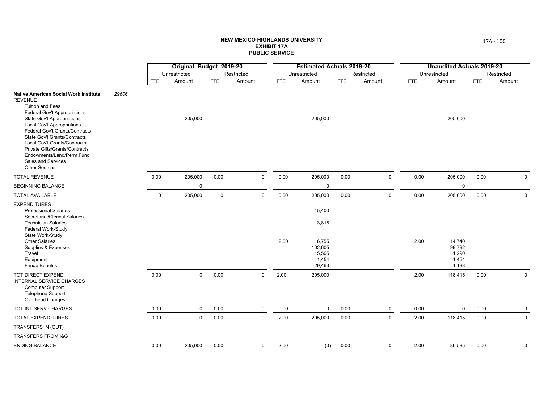<u>and the state</u>

|                                                                                                                                                                                                                                                                                                                                                                                                                                         |       |             | Original Budget 2019-20 |             |              |            | <b>Estimated Actuals 2019-20</b>              |            |             |            | <b>Unaudited Actuals 2019-20</b>            |            |             |
|-----------------------------------------------------------------------------------------------------------------------------------------------------------------------------------------------------------------------------------------------------------------------------------------------------------------------------------------------------------------------------------------------------------------------------------------|-------|-------------|-------------------------|-------------|--------------|------------|-----------------------------------------------|------------|-------------|------------|---------------------------------------------|------------|-------------|
|                                                                                                                                                                                                                                                                                                                                                                                                                                         |       |             | Unrestricted            |             | Restricted   |            | Unrestricted                                  |            | Restricted  |            | Unrestricted                                |            | Restricted  |
|                                                                                                                                                                                                                                                                                                                                                                                                                                         |       | <b>FTE</b>  | Amount                  | FTE         | Amount       | <b>FTE</b> | Amount                                        | <b>FTE</b> | Amount      | <b>FTE</b> | Amount                                      | <b>FTE</b> | Amount      |
| <b>Native American Social Work Institute</b><br><b>REVENUE</b><br><b>Tuition and Fees</b><br><b>Federal Gov't Appropriations</b><br><b>State Gov't Appropriations</b><br><b>Local Gov't Appropriations</b><br><b>Federal Gov't Grants/Contracts</b><br><b>State Gov't Grants/Contracts</b><br><b>Local Gov't Grants/Contracts</b><br>Private Gifts/Grants/Contracts<br>Endowments/Land/Perm Fund<br>Sales and Services<br>Other Sources | 29606 |             | 205,000                 |             |              |            | 205,000                                       |            |             |            | 205,000                                     |            |             |
| <b>TOTAL REVENUE</b>                                                                                                                                                                                                                                                                                                                                                                                                                    |       | 0.00        | 205,000                 | 0.00        | $\mathbf 0$  | 0.00       | 205,000                                       | 0.00       | $\mathsf 0$ | 0.00       | 205,000                                     | 0.00       | $\pmb{0}$   |
| <b>BEGINNING BALANCE</b>                                                                                                                                                                                                                                                                                                                                                                                                                |       |             | $\mathbf 0$             |             |              |            | $\mathbf 0$                                   |            |             |            | 0                                           |            |             |
| <b>TOTAL AVAILABLE</b>                                                                                                                                                                                                                                                                                                                                                                                                                  |       | $\mathbf 0$ | 205,000                 | $\mathbf 0$ | $\mathsf{O}$ | 0.00       | 205,000                                       | 0.00       | $\mathbf 0$ | 0.00       | 205,000                                     | 0.00       | $\mathbf 0$ |
| <b>EXPENDITURES</b><br><b>Professional Salaries</b><br>Secretarial/Clerical Salaries<br><b>Technician Salaries</b><br>Federal Work-Study<br>State Work-Study                                                                                                                                                                                                                                                                            |       |             |                         |             |              |            | 45,400<br>3,818                               |            |             |            |                                             |            |             |
| <b>Other Salaries</b><br>Supplies & Expenses<br>Travel<br>Equipment<br><b>Fringe Benefits</b>                                                                                                                                                                                                                                                                                                                                           |       |             |                         |             |              | 2.00       | 6,755<br>102,605<br>15,505<br>1,454<br>29,463 |            |             | 2.00       | 14,740<br>99,792<br>1,290<br>1,454<br>1,138 |            |             |
| <b>TOT DIRECT EXPEND</b><br><b>INTERNAL SERVICE CHARGES</b><br><b>Computer Support</b><br>Telephone Support<br>Overhead Charges                                                                                                                                                                                                                                                                                                         |       | 0.00        | $\mathbf 0$             | 0.00        | $\mathsf{O}$ | 2.00       | 205,000                                       |            |             | 2.00       | 118,415                                     | 0.00       | $\mathbf 0$ |
| TOT INT SERV CHARGES                                                                                                                                                                                                                                                                                                                                                                                                                    |       | 0.00        | $\mathbf 0$             | 0.00        | $\mathbf 0$  | 0.00       | $\mathbf 0$                                   | 0.00       | $\mathbf 0$ | 0.00       | $\mathbf 0$                                 | 0.00       | $\mathbf 0$ |
| <b>TOTAL EXPENDITURES</b>                                                                                                                                                                                                                                                                                                                                                                                                               |       | 0.00        | $\mathbf 0$             | 0.00        | $\mathbf 0$  | 2.00       | 205,000                                       | 0.00       | $\mathbf 0$ | 2.00       | 118,415                                     | 0.00       | $\mathsf 0$ |
| TRANSFERS IN (OUT)                                                                                                                                                                                                                                                                                                                                                                                                                      |       |             |                         |             |              |            |                                               |            |             |            |                                             |            |             |
| TRANSFERS FROM I&G                                                                                                                                                                                                                                                                                                                                                                                                                      |       |             |                         |             |              |            |                                               |            |             |            |                                             |            |             |
| <b>ENDING BALANCE</b>                                                                                                                                                                                                                                                                                                                                                                                                                   |       | 0.00        | 205,000                 | 0.00        | $\mathbf 0$  | 2.00       | (0)                                           | 0.00       | $\mathbf 0$ | 2.00       | 86,585                                      | 0.00       | $\mathbf 0$ |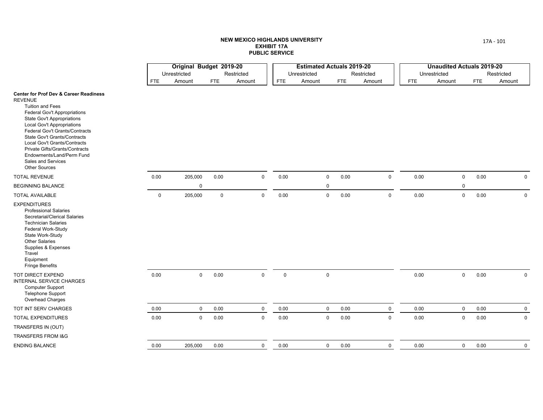|                                                                                                                                                                                                                                                                                                                                                                                                                                       |             | Original Budget 2019-20 |             |             |              | <b>Estimated Actuals 2019-20</b> |            |             |            | <b>Unaudited Actuals 2019-20</b> |      |              |
|---------------------------------------------------------------------------------------------------------------------------------------------------------------------------------------------------------------------------------------------------------------------------------------------------------------------------------------------------------------------------------------------------------------------------------------|-------------|-------------------------|-------------|-------------|--------------|----------------------------------|------------|-------------|------------|----------------------------------|------|--------------|
|                                                                                                                                                                                                                                                                                                                                                                                                                                       |             | Unrestricted            |             | Restricted  | Unrestricted |                                  |            | Restricted  |            | Unrestricted                     |      | Restricted   |
|                                                                                                                                                                                                                                                                                                                                                                                                                                       | <b>FTE</b>  | Amount                  | <b>FTE</b>  | Amount      | <b>FTE</b>   | Amount                           | <b>FTE</b> | Amount      | <b>FTE</b> | Amount                           | FTE  | Amount       |
| <b>Center for Prof Dev &amp; Career Readiness</b><br><b>REVENUE</b><br><b>Tuition and Fees</b><br><b>Federal Gov't Appropriations</b><br><b>State Gov't Appropriations</b><br><b>Local Gov't Appropriations</b><br>Federal Gov't Grants/Contracts<br><b>State Gov't Grants/Contracts</b><br>Local Gov't Grants/Contracts<br>Private Gifts/Grants/Contracts<br>Endowments/Land/Perm Fund<br>Sales and Services<br><b>Other Sources</b> |             |                         |             |             |              |                                  |            |             |            |                                  |      |              |
| <b>TOTAL REVENUE</b>                                                                                                                                                                                                                                                                                                                                                                                                                  | 0.00        | 205,000                 | 0.00        | $\mathbf 0$ | 0.00         | $\mathbf 0$                      | 0.00       | $\mathbf 0$ | 0.00       | 0                                | 0.00 | $\mathbf 0$  |
| <b>BEGINNING BALANCE</b>                                                                                                                                                                                                                                                                                                                                                                                                              |             | $\mathbf 0$             |             |             |              | $\mathbf 0$                      |            |             |            | 0                                |      |              |
| <b>TOTAL AVAILABLE</b>                                                                                                                                                                                                                                                                                                                                                                                                                | $\mathbf 0$ | 205,000                 | $\mathbf 0$ | $\mathsf 0$ | 0.00         | $\mathbf 0$                      | 0.00       | $\mathsf 0$ | $0.00\,$   | $\mathbf 0$                      | 0.00 | $\mathbf 0$  |
| <b>EXPENDITURES</b><br><b>Professional Salaries</b><br>Secretarial/Clerical Salaries<br><b>Technician Salaries</b><br>Federal Work-Study<br>State Work-Study<br>Other Salaries<br>Supplies & Expenses<br>Travel<br>Equipment<br>Fringe Benefits                                                                                                                                                                                       |             |                         |             |             |              |                                  |            |             |            |                                  |      |              |
| TOT DIRECT EXPEND<br>INTERNAL SERVICE CHARGES<br><b>Computer Support</b><br><b>Telephone Support</b><br>Overhead Charges                                                                                                                                                                                                                                                                                                              | 0.00        | $\mathbf 0$             | 0.00        | $\mathbf 0$ | $\mathbf 0$  | $\mathbf 0$                      |            |             | 0.00       | 0                                | 0.00 | $\mathsf{O}$ |
| TOT INT SERV CHARGES                                                                                                                                                                                                                                                                                                                                                                                                                  | 0.00        | $\mathbf 0$             | 0.00        | $\mathbf 0$ | 0.00         | $\mathbf 0$                      | 0.00       | $\mathbf 0$ | 0.00       | $\mathsf{O}$                     | 0.00 | $\mathbf 0$  |
| TOTAL EXPENDITURES                                                                                                                                                                                                                                                                                                                                                                                                                    | 0.00        | $\mathbf 0$             | 0.00        | $\mathbf 0$ | 0.00         | $\pmb{0}$                        | 0.00       | $\mathbf 0$ | 0.00       | 0                                | 0.00 | $\mathbf 0$  |
| TRANSFERS IN (OUT)                                                                                                                                                                                                                                                                                                                                                                                                                    |             |                         |             |             |              |                                  |            |             |            |                                  |      |              |
| <b>TRANSFERS FROM I&amp;G</b>                                                                                                                                                                                                                                                                                                                                                                                                         |             |                         |             |             |              |                                  |            |             |            |                                  |      |              |
| <b>ENDING BALANCE</b>                                                                                                                                                                                                                                                                                                                                                                                                                 | 0.00        | 205,000                 | 0.00        | $\mathbf 0$ | 0.00         | $\mathbf 0$                      | 0.00       | $\mathbf 0$ | 0.00       | 0                                | 0.00 | 0            |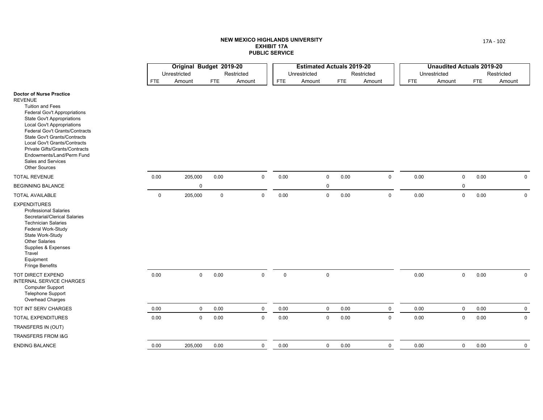|                                                                                                                                                                                                                                                                                                                                                                                                                     |             | Original Budget 2019-20 |             |                     |              | <b>Estimated Actuals 2019-20</b> |            |             |            | <b>Unaudited Actuals 2019-20</b> |            |             |
|---------------------------------------------------------------------------------------------------------------------------------------------------------------------------------------------------------------------------------------------------------------------------------------------------------------------------------------------------------------------------------------------------------------------|-------------|-------------------------|-------------|---------------------|--------------|----------------------------------|------------|-------------|------------|----------------------------------|------------|-------------|
|                                                                                                                                                                                                                                                                                                                                                                                                                     |             | Unrestricted            |             | Restricted          | Unrestricted |                                  |            | Restricted  |            | Unrestricted                     |            | Restricted  |
|                                                                                                                                                                                                                                                                                                                                                                                                                     | <b>FTE</b>  | Amount                  | <b>FTE</b>  | Amount              | <b>FTE</b>   | Amount                           | <b>FTE</b> | Amount      | <b>FTE</b> | Amount                           | <b>FTE</b> | Amount      |
| <b>Doctor of Nurse Practice</b><br><b>REVENUE</b><br><b>Tuition and Fees</b><br><b>Federal Gov't Appropriations</b><br><b>State Gov't Appropriations</b><br><b>Local Gov't Appropriations</b><br>Federal Gov't Grants/Contracts<br><b>State Gov't Grants/Contracts</b><br>Local Gov't Grants/Contracts<br><b>Private Gifts/Grants/Contracts</b><br>Endowments/Land/Perm Fund<br>Sales and Services<br>Other Sources |             |                         |             |                     |              |                                  |            |             |            |                                  |            |             |
| <b>TOTAL REVENUE</b>                                                                                                                                                                                                                                                                                                                                                                                                | 0.00        | 205,000                 | 0.00        | $\mathsf{O}\xspace$ | 0.00         | $\mathbf 0$                      | 0.00       | $\mathsf 0$ | 0.00       | $\mathsf 0$                      | 0.00       | $\mathbf 0$ |
| BEGINNING BALANCE                                                                                                                                                                                                                                                                                                                                                                                                   |             | $\Omega$                |             |                     |              | $\mathbf 0$                      |            |             |            | $\mathbf 0$                      |            |             |
| <b>TOTAL AVAILABLE</b>                                                                                                                                                                                                                                                                                                                                                                                              | $\mathbf 0$ | 205,000                 | $\mathsf 0$ | 0                   | 0.00         | $\mathsf 0$                      | 0.00       | $\mathsf 0$ | 0.00       | $\mathsf 0$                      | $0.00\,$   | $\mathsf 0$ |
| <b>EXPENDITURES</b><br><b>Professional Salaries</b><br>Secretarial/Clerical Salaries<br><b>Technician Salaries</b><br>Federal Work-Study<br>State Work-Study<br><b>Other Salaries</b><br>Supplies & Expenses<br>Travel<br>Equipment<br><b>Fringe Benefits</b>                                                                                                                                                       |             |                         |             |                     |              |                                  |            |             |            |                                  |            |             |
| TOT DIRECT EXPEND<br><b>INTERNAL SERVICE CHARGES</b><br><b>Computer Support</b><br>Telephone Support<br>Overhead Charges                                                                                                                                                                                                                                                                                            | $0.00\,$    | $\mathbf 0$             | 0.00        | $\mathsf 0$         | $\mathsf 0$  | $\mathsf 0$                      |            |             | 0.00       | $\mathbf 0$                      | 0.00       | $\mathbf 0$ |
| TOT INT SERV CHARGES                                                                                                                                                                                                                                                                                                                                                                                                | 0.00        | $\mathbf{0}$            | 0.00        | $\mathbf 0$         | 0.00         | $\mathbf 0$                      | 0.00       | $\mathbf 0$ | 0.00       | $\mathbf 0$                      | 0.00       | $\mathbf 0$ |
| TOTAL EXPENDITURES                                                                                                                                                                                                                                                                                                                                                                                                  | 0.00        | $\mathsf{O}$            | 0.00        | 0                   | 0.00         | $\pmb{0}$                        | 0.00       | $\mathsf 0$ | 0.00       | $\mathsf 0$                      | 0.00       | $\mathbf 0$ |
| TRANSFERS IN (OUT)                                                                                                                                                                                                                                                                                                                                                                                                  |             |                         |             |                     |              |                                  |            |             |            |                                  |            |             |
| TRANSFERS FROM 1&G                                                                                                                                                                                                                                                                                                                                                                                                  |             |                         |             |                     |              |                                  |            |             |            |                                  |            |             |
| <b>ENDING BALANCE</b>                                                                                                                                                                                                                                                                                                                                                                                               | 0.00        | 205,000                 | 0.00        | 0                   | 0.00         | $\mathbf 0$                      | 0.00       | $\mathbf 0$ | 0.00       | $\mathbf 0$                      | 0.00       | $\mathbf 0$ |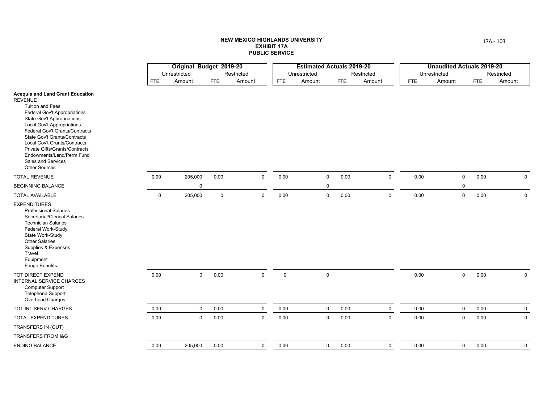|                                                                                                                                                                                                                                                                                                                                                                                                                             |             | Original Budget 2019-20 |             |                     |              | <b>Estimated Actuals 2019-20</b> |            |             |            | <b>Unaudited Actuals 2019-20</b> |            |             |
|-----------------------------------------------------------------------------------------------------------------------------------------------------------------------------------------------------------------------------------------------------------------------------------------------------------------------------------------------------------------------------------------------------------------------------|-------------|-------------------------|-------------|---------------------|--------------|----------------------------------|------------|-------------|------------|----------------------------------|------------|-------------|
|                                                                                                                                                                                                                                                                                                                                                                                                                             |             | Unrestricted            |             | Restricted          | Unrestricted |                                  |            | Restricted  |            | Unrestricted                     |            | Restricted  |
|                                                                                                                                                                                                                                                                                                                                                                                                                             | <b>FTE</b>  | Amount                  | <b>FTE</b>  | Amount              | <b>FTE</b>   | Amount                           | <b>FTE</b> | Amount      | <b>FTE</b> | Amount                           | <b>FTE</b> | Amount      |
| <b>Acequia and Land Grant Education</b><br><b>REVENUE</b><br><b>Tuition and Fees</b><br><b>Federal Gov't Appropriations</b><br><b>State Gov't Appropriations</b><br><b>Local Gov't Appropriations</b><br>Federal Gov't Grants/Contracts<br><b>State Gov't Grants/Contracts</b><br>Local Gov't Grants/Contracts<br>Private Gifts/Grants/Contracts<br>Endowments/Land/Perm Fund<br>Sales and Services<br><b>Other Sources</b> |             |                         |             |                     |              |                                  |            |             |            |                                  |            |             |
| <b>TOTAL REVENUE</b>                                                                                                                                                                                                                                                                                                                                                                                                        | 0.00        | 205,000                 | 0.00        | $\mathsf{O}\xspace$ | 0.00         | $\mathbf 0$                      | 0.00       | $\mathsf 0$ | 0.00       | $\mathbf 0$                      | 0.00       | $\mathbf 0$ |
| <b>BEGINNING BALANCE</b>                                                                                                                                                                                                                                                                                                                                                                                                    |             | $\mathbf 0$             |             |                     |              | 0                                |            |             |            | $\mathbf 0$                      |            |             |
| <b>TOTAL AVAILABLE</b>                                                                                                                                                                                                                                                                                                                                                                                                      | $\mathbf 0$ | 205,000                 | $\mathbf 0$ | $\mathsf 0$         | 0.00         | $\mathbf 0$                      | 0.00       | $\mathsf 0$ | 0.00       | $\mathbf 0$                      | 0.00       | $\mathbf 0$ |
| <b>EXPENDITURES</b><br><b>Professional Salaries</b><br>Secretarial/Clerical Salaries<br><b>Technician Salaries</b><br>Federal Work-Study<br>State Work-Study<br><b>Other Salaries</b><br>Supplies & Expenses<br>Travel<br>Equipment<br><b>Fringe Benefits</b>                                                                                                                                                               |             |                         |             |                     |              |                                  |            |             |            |                                  |            |             |
| TOT DIRECT EXPEND<br><b>INTERNAL SERVICE CHARGES</b><br><b>Computer Support</b><br><b>Telephone Support</b><br>Overhead Charges                                                                                                                                                                                                                                                                                             | 0.00        | $\mathbf 0$             | 0.00        | $\mathsf 0$         | $\mathsf 0$  | $\mathbf 0$                      |            |             | 0.00       | $\mathsf{O}\xspace$              | 0.00       | $\mathbf 0$ |
| TOT INT SERV CHARGES                                                                                                                                                                                                                                                                                                                                                                                                        | 0.00        | $\mathbf 0$             | 0.00        | $\mathbf 0$         | 0.00         | $\mathbf 0$                      | 0.00       | $\mathbf 0$ | 0.00       | $\mathbf 0$                      | 0.00       | $\mathbf 0$ |
| TOTAL EXPENDITURES                                                                                                                                                                                                                                                                                                                                                                                                          | 0.00        | $\mathbf 0$             | 0.00        | $\mathsf 0$         | 0.00         | $\mathbf 0$                      | 0.00       | $\mathsf 0$ | 0.00       | $\mathbf 0$                      | 0.00       | $\mathbf 0$ |
| TRANSFERS IN (OUT)                                                                                                                                                                                                                                                                                                                                                                                                          |             |                         |             |                     |              |                                  |            |             |            |                                  |            |             |
| <b>TRANSFERS FROM I&amp;G</b>                                                                                                                                                                                                                                                                                                                                                                                               |             |                         |             |                     |              |                                  |            |             |            |                                  |            |             |
| <b>ENDING BALANCE</b>                                                                                                                                                                                                                                                                                                                                                                                                       | 0.00        | 205,000                 | 0.00        | $\mathbf 0$         | 0.00         | $\mathbf 0$                      | 0.00       | $\mathbf 0$ | 0.00       | $\mathbf 0$                      | 0.00       | $\mathbf 0$ |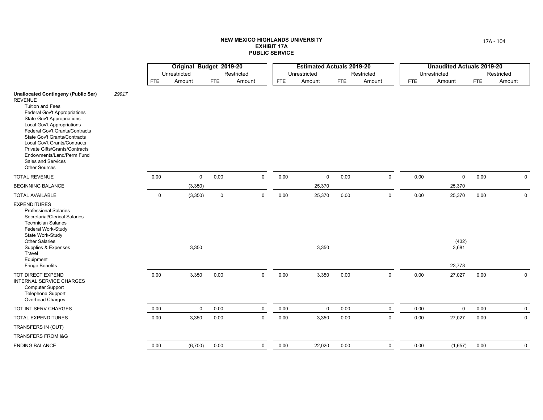|                                                                                                                                                                                                                                                                                                                                                                                                                         |       |             | Original Budget 2019-20 |            |              |            | <b>Estimated Actuals 2019-20</b> |            |             |            | <b>Unaudited Actuals 2019-20</b> |            |             |
|-------------------------------------------------------------------------------------------------------------------------------------------------------------------------------------------------------------------------------------------------------------------------------------------------------------------------------------------------------------------------------------------------------------------------|-------|-------------|-------------------------|------------|--------------|------------|----------------------------------|------------|-------------|------------|----------------------------------|------------|-------------|
|                                                                                                                                                                                                                                                                                                                                                                                                                         |       |             | Unrestricted            |            | Restricted   |            | Unrestricted                     |            | Restricted  |            | Unrestricted                     |            | Restricted  |
|                                                                                                                                                                                                                                                                                                                                                                                                                         |       | <b>FTE</b>  | Amount                  | <b>FTE</b> | Amount       | <b>FTE</b> | Amount                           | <b>FTE</b> | Amount      | <b>FTE</b> | Amount                           | <b>FTE</b> | Amount      |
| <b>Unallocated Contingeny (Public Ser)</b><br><b>REVENUE</b><br><b>Tuition and Fees</b><br><b>Federal Gov't Appropriations</b><br><b>State Gov't Appropriations</b><br><b>Local Gov't Appropriations</b><br>Federal Gov't Grants/Contracts<br>State Gov't Grants/Contracts<br>Local Gov't Grants/Contracts<br>Private Gifts/Grants/Contracts<br>Endowments/Land/Perm Fund<br>Sales and Services<br><b>Other Sources</b> | 29917 |             |                         |            |              |            |                                  |            |             |            |                                  |            |             |
| <b>TOTAL REVENUE</b>                                                                                                                                                                                                                                                                                                                                                                                                    |       | 0.00        | 0                       | 0.00       | 0            | 0.00       | $\mathbf 0$                      | 0.00       | $\mathbf 0$ | 0.00       | 0                                | $0.00\,$   | $\mathsf 0$ |
| <b>BEGINNING BALANCE</b>                                                                                                                                                                                                                                                                                                                                                                                                |       |             | (3,350)                 |            |              |            | 25,370                           |            |             |            | 25,370                           |            |             |
| <b>TOTAL AVAILABLE</b>                                                                                                                                                                                                                                                                                                                                                                                                  |       | $\mathbf 0$ | (3,350)                 | 0          | 0            | 0.00       | 25,370                           | 0.00       | $\mathbf 0$ | 0.00       | 25,370                           | 0.00       | $\mathbf 0$ |
| <b>EXPENDITURES</b><br><b>Professional Salaries</b><br>Secretarial/Clerical Salaries<br><b>Technician Salaries</b><br>Federal Work-Study<br>State Work-Study<br><b>Other Salaries</b><br>Supplies & Expenses<br>Travel                                                                                                                                                                                                  |       |             | 3,350                   |            |              |            | 3,350                            |            |             |            | (432)<br>3,681                   |            |             |
| Equipment<br><b>Fringe Benefits</b>                                                                                                                                                                                                                                                                                                                                                                                     |       |             |                         |            |              |            |                                  |            |             |            | 23,778                           |            |             |
| <b>TOT DIRECT EXPEND</b><br><b>INTERNAL SERVICE CHARGES</b><br>Computer Support<br><b>Telephone Support</b><br>Overhead Charges                                                                                                                                                                                                                                                                                         |       | 0.00        | 3,350                   | 0.00       | $\mathsf{O}$ | 0.00       | 3,350                            | 0.00       | $\mathbf 0$ | 0.00       | 27,027                           | 0.00       | $\mathbf 0$ |
| TOT INT SERV CHARGES                                                                                                                                                                                                                                                                                                                                                                                                    |       | 0.00        | 0                       | 0.00       | 0            | 0.00       | $\mathbf 0$                      | 0.00       | $\mathbf 0$ | 0.00       | $\mathbf 0$                      | 0.00       | $\mathbf 0$ |
| <b>TOTAL EXPENDITURES</b>                                                                                                                                                                                                                                                                                                                                                                                               |       | 0.00        | 3,350                   | 0.00       | $\mathbf 0$  | 0.00       | 3,350                            | 0.00       | $\mathbf 0$ | 0.00       | 27,027                           | 0.00       | $\mathbf 0$ |
| TRANSFERS IN (OUT)                                                                                                                                                                                                                                                                                                                                                                                                      |       |             |                         |            |              |            |                                  |            |             |            |                                  |            |             |
| TRANSFERS FROM I&G                                                                                                                                                                                                                                                                                                                                                                                                      |       |             |                         |            |              |            |                                  |            |             |            |                                  |            |             |
| <b>ENDING BALANCE</b>                                                                                                                                                                                                                                                                                                                                                                                                   |       | 0.00        | (6,700)                 | 0.00       | 0            | 0.00       | 22,020                           | 0.00       | $\mathbf 0$ | 0.00       | (1,657)                          | 0.00       | $\mathbf 0$ |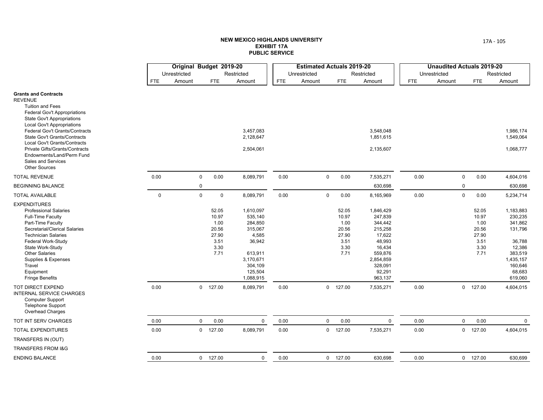|                                                                                                                                                                                                                                                                                                                                                                                                                        |             | Original Budget 2019-20 |                                                                  |                                                                                                                          |            | <b>Estimated Actuals 2019-20</b> |                                                                  |                                                                                                                                  |            | <b>Unaudited Actuals 2019-20</b> |                                                                  |                                                                                                                        |
|------------------------------------------------------------------------------------------------------------------------------------------------------------------------------------------------------------------------------------------------------------------------------------------------------------------------------------------------------------------------------------------------------------------------|-------------|-------------------------|------------------------------------------------------------------|--------------------------------------------------------------------------------------------------------------------------|------------|----------------------------------|------------------------------------------------------------------|----------------------------------------------------------------------------------------------------------------------------------|------------|----------------------------------|------------------------------------------------------------------|------------------------------------------------------------------------------------------------------------------------|
|                                                                                                                                                                                                                                                                                                                                                                                                                        |             | Unrestricted            |                                                                  | Restricted                                                                                                               |            | Unrestricted                     |                                                                  | Restricted                                                                                                                       |            | Unrestricted                     |                                                                  | Restricted                                                                                                             |
|                                                                                                                                                                                                                                                                                                                                                                                                                        | <b>FTE</b>  | Amount                  | <b>FTE</b>                                                       | Amount                                                                                                                   | <b>FTE</b> | Amount                           | <b>FTE</b>                                                       | Amount                                                                                                                           | <b>FTE</b> | Amount                           | <b>FTE</b>                                                       | Amount                                                                                                                 |
| <b>Grants and Contracts</b><br><b>REVENUE</b><br><b>Tuition and Fees</b><br>Federal Gov't Appropriations<br><b>State Gov't Appropriations</b><br><b>Local Gov't Appropriations</b><br>Federal Gov't Grants/Contracts<br><b>State Gov't Grants/Contracts</b><br>Local Gov't Grants/Contracts<br><b>Private Gifts/Grants/Contracts</b><br>Endowments/Land/Perm Fund<br><b>Sales and Services</b><br><b>Other Sources</b> |             |                         |                                                                  | 3,457,083<br>2,128,647<br>2,504,061                                                                                      |            |                                  |                                                                  | 3,548,048<br>1,851,615<br>2,135,607                                                                                              |            |                                  |                                                                  | 1,986,174<br>1,549,064<br>1,068,777                                                                                    |
| <b>TOTAL REVENUE</b>                                                                                                                                                                                                                                                                                                                                                                                                   | 0.00        | $\mathbf 0$             | 0.00                                                             | 8,089,791                                                                                                                | 0.00       | $\mathbf 0$                      | 0.00                                                             | 7,535,271                                                                                                                        | 0.00       |                                  | 0.00<br>$\mathbf 0$                                              | 4,604,016                                                                                                              |
| <b>BEGINNING BALANCE</b>                                                                                                                                                                                                                                                                                                                                                                                               |             | $\mathbf 0$             |                                                                  |                                                                                                                          |            |                                  |                                                                  | 630,698                                                                                                                          |            |                                  | $\mathbf 0$                                                      | 630,698                                                                                                                |
| <b>TOTAL AVAILABLE</b>                                                                                                                                                                                                                                                                                                                                                                                                 | $\mathbf 0$ | $\mathbf 0$             | $\mathbf 0$                                                      | 8,089,791                                                                                                                | 0.00       | $\mathbf 0$                      | 0.00                                                             | 8,165,969                                                                                                                        | 0.00       |                                  | $\mathbf 0$<br>0.00                                              | 5,234,714                                                                                                              |
| <b>EXPENDITURES</b><br><b>Professional Salaries</b><br>Full-Time Faculty<br>Part-Time Faculty<br>Secretarial/Clerical Salaries<br><b>Technician Salaries</b><br>Federal Work-Study<br>State Work-Study<br><b>Other Salaries</b><br>Supplies & Expenses<br>Travel<br>Equipment<br><b>Fringe Benefits</b>                                                                                                                |             |                         | 52.05<br>10.97<br>1.00<br>20.56<br>27.90<br>3.51<br>3.30<br>7.71 | 1,610,097<br>535,140<br>284,850<br>315,067<br>4,585<br>36,942<br>613,911<br>3,170,671<br>304,109<br>125,504<br>1,088,915 |            |                                  | 52.05<br>10.97<br>1.00<br>20.56<br>27.90<br>3.51<br>3.30<br>7.71 | 1,846,429<br>247,839<br>344,442<br>215,258<br>17,622<br>48,993<br>16,434<br>559,876<br>2,854,859<br>328,091<br>92,291<br>963,137 |            |                                  | 52.05<br>10.97<br>1.00<br>20.56<br>27.90<br>3.51<br>3.30<br>7.71 | 1,183,883<br>230,235<br>341,862<br>131,796<br>36,788<br>12,386<br>383,519<br>1,435,157<br>160,646<br>68,683<br>619,060 |
| TOT DIRECT EXPEND<br><b>INTERNAL SERVICE CHARGES</b><br><b>Computer Support</b><br><b>Telephone Support</b><br><b>Overhead Charges</b>                                                                                                                                                                                                                                                                                 | 0.00        |                         | $0$ 127.00                                                       | 8,089,791                                                                                                                | 0.00       |                                  | $0$ 127.00                                                       | 7,535,271                                                                                                                        | 0.00       |                                  | $0$ 127.00                                                       | 4,604,015                                                                                                              |
| TOT INT SERV CHARGES                                                                                                                                                                                                                                                                                                                                                                                                   | 0.00        | $\mathbf 0$             | 0.00                                                             | 0                                                                                                                        | 0.00       | $\mathbf 0$                      | 0.00                                                             | $\mathbf 0$                                                                                                                      | 0.00       |                                  | $\mathbf 0$<br>0.00                                              | $\mathbf 0$                                                                                                            |
| <b>TOTAL EXPENDITURES</b>                                                                                                                                                                                                                                                                                                                                                                                              | 0.00        |                         | $0$ 127.00                                                       | 8,089,791                                                                                                                | 0.00       | $\mathbf 0$                      | 127.00                                                           | 7,535,271                                                                                                                        | 0.00       |                                  | $0$ 127.00                                                       | 4,604,015                                                                                                              |
| TRANSFERS IN (OUT)                                                                                                                                                                                                                                                                                                                                                                                                     |             |                         |                                                                  |                                                                                                                          |            |                                  |                                                                  |                                                                                                                                  |            |                                  |                                                                  |                                                                                                                        |
| TRANSFERS FROM I&G                                                                                                                                                                                                                                                                                                                                                                                                     |             |                         |                                                                  |                                                                                                                          |            |                                  |                                                                  |                                                                                                                                  |            |                                  |                                                                  |                                                                                                                        |
| <b>ENDING BALANCE</b>                                                                                                                                                                                                                                                                                                                                                                                                  | 0.00        |                         | $0$ 127.00                                                       | 0                                                                                                                        | 0.00       |                                  | $0$ 127.00                                                       | 630,698                                                                                                                          | 0.00       |                                  | $0$ 127.00                                                       | 630,699                                                                                                                |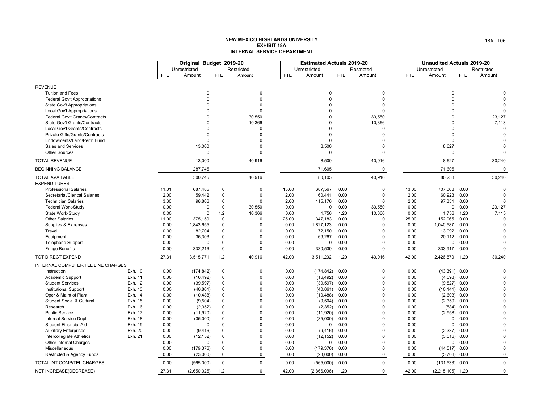#### **NEW MEXICO HIGHLANDS UNIVERSITY EXHIBIT 18AINTERNAL SERVICE DEPARTMENT**

|                                               |         |            | Original Budget 2019-20 |             |             |            | <b>Estimated Actuals 2019-20</b> |            |             |            | <b>Unaudited Actuals 2019-20</b> |            |             |
|-----------------------------------------------|---------|------------|-------------------------|-------------|-------------|------------|----------------------------------|------------|-------------|------------|----------------------------------|------------|-------------|
|                                               |         |            | Unrestricted            |             | Restricted  |            | Unrestricted                     |            | Restricted  |            | Unrestricted                     |            | Restricted  |
|                                               |         | <b>FTE</b> | Amount                  | <b>FTE</b>  | Amount      | <b>FTE</b> | Amount                           | <b>FTE</b> | Amount      | <b>FTE</b> | Amount                           | <b>FTE</b> | Amount      |
| <b>REVENUE</b>                                |         |            |                         |             |             |            |                                  |            |             |            |                                  |            |             |
| <b>Tuition and Fees</b>                       |         |            | 0                       |             | $\Omega$    |            | $\mathbf 0$                      |            | 0           |            | 0                                |            |             |
| Federal Gov't Appropriations                  |         |            | $\Omega$                |             | $\Omega$    |            | $\Omega$                         |            | $\Omega$    |            | $\Omega$                         |            |             |
| State Gov't Appropriations                    |         |            | $\Omega$                |             | $\Omega$    |            | $\Omega$                         |            | $\Omega$    |            | $\Omega$                         |            |             |
| Local Gov't Appropriations                    |         |            | $\Omega$                |             | $\Omega$    |            | $\Omega$                         |            | $\Omega$    |            | $\Omega$                         |            | $\Omega$    |
| Federal Gov't Grants/Contracts                |         |            | $\Omega$                |             | 30,550      |            | $\Omega$                         |            | 30,550      |            | $\Omega$                         |            | 23,127      |
| State Gov't Grants/Contracts                  |         |            | $\Omega$                |             | 10,366      |            | $\Omega$                         |            | 10,366      |            | $\mathbf 0$                      |            | 7,113       |
| Local Gov't Grants/Contracts                  |         |            | $\Omega$                |             | $\Omega$    |            | O                                |            | $\Omega$    |            | $\Omega$                         |            | $\Omega$    |
| Private Gifts/Grants/Contracts                |         |            | $\Omega$                |             | $\Omega$    |            | $\Omega$                         |            | $\Omega$    |            | $\Omega$                         |            | $\Omega$    |
| Endowments/Land/Perm Fund                     |         |            | $\Omega$                |             | $\Omega$    |            | $\Omega$                         |            | $\Omega$    |            | $\Omega$                         |            | $\Omega$    |
| Sales and Services                            |         |            | 13,000                  |             | $\Omega$    |            | 8,500                            |            | $\Omega$    |            | 8,627                            |            | $\Omega$    |
| <b>Other Sources</b>                          |         |            | $\Omega$                |             | $\Omega$    |            | $\Omega$                         |            | $\mathbf 0$ |            | $\Omega$                         |            | $\Omega$    |
| <b>TOTAL REVENUE</b>                          |         |            | 13,000                  |             | 40,916      |            | 8,500                            |            | 40,916      |            | 8,627                            |            | 30,240      |
| <b>BEGINNING BALANCE</b>                      |         |            | 287,745                 |             |             |            | 71,605                           |            | 0           |            | 71,605                           |            | $\Omega$    |
| <b>TOTAL AVAILABLE</b><br><b>EXPENDITURES</b> |         |            | 300,745                 |             | 40,916      |            | 80,105                           |            | 40,916      |            | 80,233                           |            | 30,240      |
| <b>Professional Salaries</b>                  |         | 11.01      | 687,485                 | $\mathbf 0$ | $\Omega$    | 13.00      | 687,567                          | 0.00       | $\Omega$    | 13.00      | 707,068                          | 0.00       | $\Omega$    |
| Secretarial/Clerical Salaries                 |         | 2.00       | 59,442                  | $\mathbf 0$ | $\Omega$    | 2.00       | 60,441                           | 0.00       | $\Omega$    | 2.00       | 60,923                           | 0.00       | $\Omega$    |
| <b>Technician Salaries</b>                    |         | 3.30       | 98,806                  | $\mathbf 0$ | $\Omega$    | 2.00       | 115,176                          | 0.00       | $\Omega$    | 2.00       | 97,351                           | 0.00       | $\Omega$    |
| Federal Work-Study                            |         | 0.00       | 0                       | $\mathbf 0$ | 30,550      | 0.00       | 0                                | 0.00       | 30,550      | 0.00       |                                  | 0 0.00     | 23,127      |
| State Work-Study                              |         | 0.00       | $\Omega$                | 1.2         | 10,366      | 0.00       | 1,756                            | 1.20       | 10,366      | 0.00       | 1,756                            | 1.20       | 7,113       |
| <b>Other Salaries</b>                         |         | 11.00      | 375,159                 | $\mathbf 0$ | $\Omega$    | 25.00      | 347,183                          | 0.00       | $\Omega$    | 25.00      | 152,065                          | 0.00       | $\Omega$    |
| Supplies & Expenses                           |         | 0.00       | 1,843,655               | $\Omega$    | $\Omega$    | 0.00       | 1,827,123                        | 0.00       | $\Omega$    | 0.00       | 1,040,587                        | 0.00       | $\Omega$    |
| Travel                                        |         | 0.00       | 82,704                  | $\mathbf 0$ | $\Omega$    | 0.00       | 72,150                           | 0.00       | $\Omega$    | 0.00       | 13,092                           | 0.00       |             |
| Equipment                                     |         | 0.00       | 36,303                  | $\mathbf 0$ | $\Omega$    | 0.00       | 69,267                           | 0.00       | $\Omega$    | 0.00       | 20,112 0.00                      |            | $\Omega$    |
| <b>Telephone Support</b>                      |         | 0.00       | $\mathbf 0$             | $\Omega$    | $\Omega$    | 0.00       | 0                                | 0.00       | $\Omega$    | 0.00       | 0                                | 0.00       | $\Omega$    |
| <b>Fringe Benefits</b>                        |         | 0.00       | 332,216                 | $\mathbf 0$ | $\mathbf 0$ | 0.00       | 330,539                          | 0.00       | 0           | 0.00       | 333,917                          | 0.00       | $\Omega$    |
| TOT DIRECT EXPEND                             |         | 27.31      | 3,515,771               | 1.2         | 40,916      | 42.00      | 3,511,202                        | 1.20       | 40,916      | 42.00      | 2,426,870 1.20                   |            | 30,240      |
| INTERNAL COMPUTER/TEL LINE CHARGES            |         |            |                         |             |             |            |                                  |            |             |            |                                  |            |             |
| Instruction                                   | Exh. 10 | 0.00       | (174, 842)              | $\mathbf 0$ | $\Omega$    | 0.00       | (174, 842)                       | 0.00       | $\Omega$    | 0.00       | $(43,391)$ 0.00                  |            | $\Omega$    |
| Academic Support                              | Exh. 11 | 0.00       | (16, 492)               | $\mathbf 0$ | $\Omega$    | 0.00       | (16, 492)                        | 0.00       | $\Omega$    | 0.00       | $(4,093)$ 0.00                   |            | $\Omega$    |
| <b>Student Services</b>                       | Exh. 12 | 0.00       | (39, 597)               | $\Omega$    | $\Omega$    | 0.00       | (39, 597)                        | 0.00       | $\Omega$    | 0.00       | $(9,827)$ 0.00                   |            | $\Omega$    |
| Institutional Support                         | Exh. 13 | 0.00       | (40, 861)               | $\mathbf 0$ | $\Omega$    | 0.00       | (40, 861)                        | 0.00       | $\Omega$    | 0.00       | $(10, 141)$ 0.00                 |            | $\Omega$    |
| Oper & Maint of Plant                         | Exh. 14 | 0.00       | (10, 488)               | $\Omega$    | $\Omega$    | 0.00       | (10, 488)                        | 0.00       | $\Omega$    | 0.00       | $(2,603)$ 0.00                   |            | $\Omega$    |
| Student Social & Cultural                     | Exh. 15 | 0.00       | (9,504)                 | $\Omega$    | $\Omega$    | 0.00       | (9,504)                          | 0.00       | $\Omega$    | 0.00       | $(2,359)$ 0.00                   |            | $\Omega$    |
| Research                                      | Exh. 16 | 0.00       | (2, 352)                | $\Omega$    | $\Omega$    | 0.00       | (2, 352)                         | 0.00       | $\Omega$    | 0.00       |                                  | (584) 0.00 |             |
| <b>Public Service</b>                         | Exh. 17 | 0.00       | (11, 920)               | $\Omega$    | $\Omega$    | 0.00       | (11, 920)                        | 0.00       | $\Omega$    | 0.00       | $(2,958)$ 0.00                   |            | $\Omega$    |
| Internal Service Dept.                        | Exh. 18 | 0.00       | (35,000)                | $\Omega$    | $\Omega$    | 0.00       | (35,000)                         | 0.00       | $\Omega$    | 0.00       | 0                                | 0.00       |             |
| Student Financial Aid                         | Exh. 19 | 0.00       | $\mathbf 0$             | $\Omega$    | $\Omega$    | 0.00       | $\Omega$                         | 0.00       | $\Omega$    | 0.00       | $\mathbf{0}$                     | 0.00       |             |
| <b>Auxiliary Enterprises</b>                  | Exh. 20 | 0.00       | (9, 416)                | $\Omega$    | $\Omega$    | 0.00       | (9, 416)                         | 0.00       | $\Omega$    | 0.00       | $(2,337)$ 0.00                   |            | $\Omega$    |
| Intercollegiate Athletics                     | Exh. 21 | 0.00       | (12, 152)               | $\Omega$    | $\Omega$    | 0.00       | (12, 152)                        | 0.00       | $\Omega$    | 0.00       | $(3,016)$ 0.00                   |            | $\Omega$    |
| Other internal Charges                        |         | 0.00       | $\Omega$                | $\Omega$    | $\Omega$    | 0.00       | 0                                | 0.00       | $\Omega$    | 0.00       |                                  | 0 0.00     | $\Omega$    |
| Miscellaneous                                 |         | 0.00       | (179, 376)              | $\mathbf 0$ | $\Omega$    | 0.00       | (179, 376)                       | 0.00       | $\Omega$    | 0.00       | $(44, 517)$ 0.00                 |            | $\Omega$    |
| Restricted & Agency Funds                     |         | 0.00       | (23,000)                | $\mathbf 0$ | $\Omega$    | 0.00       | (23,000)                         | 0.00       | 0           | 0.00       | $(5,708)$ 0.00                   |            | $\mathbf 0$ |
| TOTAL INT COMP/TEL CHARGES                    |         | 0.00       | (565,000)               | $\Omega$    | $\Omega$    | 0.00       | (565,000)                        | 0.00       | $\mathbf 0$ | 0.00       | $(131, 533)$ 0.00                |            | $\mathbf 0$ |
| NET INCREASE(DECREASE)                        |         | 27.31      | (2,650,025)             | 1.2         | $\Omega$    | 42.00      | (2,866,096)                      | 1.20       | $\Omega$    | 42.00      | $(2,215,105)$ 1.20               |            | $\Omega$    |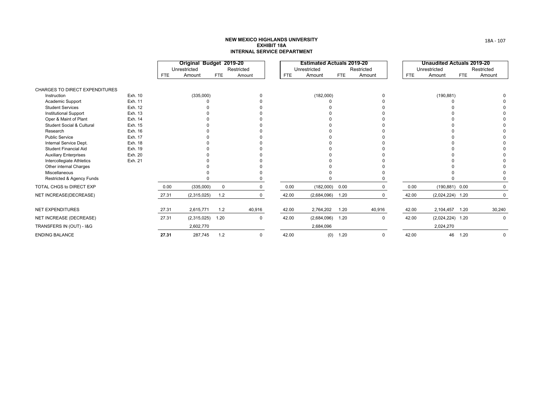#### **NEW MEXICO HIGHLANDS UNIVERSITY EXHIBIT 18AINTERNAL SERVICE DEPARTMENT**

|                                       |         |            | Original Budget 2019-20<br>Unrestricted |             | Restricted  |            | <b>Estimated Actuals 2019-20</b><br>Unrestricted |            | Restricted |            | <b>Unaudited Actuals 2019-20</b><br>Unrestricted |      | Restricted  |
|---------------------------------------|---------|------------|-----------------------------------------|-------------|-------------|------------|--------------------------------------------------|------------|------------|------------|--------------------------------------------------|------|-------------|
|                                       |         | <b>FTE</b> | Amount                                  | <b>FTE</b>  | Amount      | <b>FTE</b> | Amount                                           | <b>FTE</b> | Amount     | <b>FTE</b> | Amount                                           | FTE  | Amount      |
| <b>CHARGES TO DIRECT EXPENDITURES</b> |         |            |                                         |             |             |            |                                                  |            |            |            |                                                  |      |             |
| Instruction                           | Exh. 10 |            | (335,000)                               |             | $\Omega$    |            | (182,000)                                        |            |            |            | (190, 881)                                       |      |             |
| Academic Support                      | Exh. 11 |            |                                         |             |             |            |                                                  |            |            |            |                                                  |      |             |
| <b>Student Services</b>               | Exh. 12 |            |                                         |             |             |            |                                                  |            |            |            |                                                  |      |             |
| <b>Institutional Support</b>          | Exh. 13 |            |                                         |             |             |            |                                                  |            |            |            |                                                  |      |             |
| Oper & Maint of Plant                 | Exh. 14 |            |                                         |             |             |            |                                                  |            |            |            |                                                  |      |             |
| <b>Student Social &amp; Cultural</b>  | Exh. 15 |            |                                         |             |             |            |                                                  |            |            |            |                                                  |      |             |
| Research                              | Exh. 16 |            |                                         |             |             |            |                                                  |            |            |            |                                                  |      |             |
| <b>Public Service</b>                 | Exh. 17 |            |                                         |             |             |            |                                                  |            |            |            |                                                  |      |             |
| Internal Service Dept.                | Exh. 18 |            |                                         |             |             |            |                                                  |            |            |            |                                                  |      |             |
| <b>Student Financial Aid</b>          | Exh. 19 |            |                                         |             |             |            |                                                  |            |            |            |                                                  |      |             |
| <b>Auxiliary Enterprises</b>          | Exh. 20 |            |                                         |             |             |            |                                                  |            |            |            |                                                  |      |             |
| Intercollegiate Athletics             | Exh. 21 |            |                                         |             |             |            |                                                  |            |            |            |                                                  |      |             |
| Other internal Charges                |         |            |                                         |             |             |            |                                                  |            |            |            |                                                  |      |             |
| Miscellaneous                         |         |            |                                         |             |             |            |                                                  |            |            |            |                                                  |      |             |
| Restricted & Agency Funds             |         |            |                                         |             |             |            |                                                  |            |            |            |                                                  |      |             |
| TOTAL CHGS to DIRECT EXP              |         | 0.00       | (335,000)                               | $\mathbf 0$ | $\Omega$    | 0.00       | (182,000)                                        | 0.00       |            | 0.00       | $(190, 881)$ 0.00                                |      | 0           |
| NET INCREASE(DECREASE)                |         | 27.31      | (2,315,025)                             | 1.2         | 0           | 42.00      | $(2,684,096)$ 1.20                               |            |            | 42.00      | $(2,024,224)$ 1.20                               |      | $\Omega$    |
| <b>NET EXPENDITURES</b>               |         | 27.31      | 2,615,771                               | 1.2         | 40,916      | 42.00      | 2,764,202                                        | 1.20       | 40,916     | 42.00      | 2,104,457 1.20                                   |      | 30,240      |
| NET INCREASE (DECREASE)               |         | 27.31      | (2,315,025)                             | 1.20        | $\mathbf 0$ | 42.00      | (2,684,096)                                      | 1.20       | 0          | 42.00      | $(2,024,224)$ 1.20                               |      | $\Omega$    |
| TRANSFERS IN (OUT) - I&G              |         |            | 2,602,770                               |             |             |            | 2,684,096                                        |            |            |            | 2,024,270                                        |      |             |
| <b>ENDING BALANCE</b>                 |         | 27.31      | 287,745                                 | 1.2         | $\Omega$    | 42.00      | (0)                                              | 1.20       | $\Omega$   | 42.00      | 46                                               | 1.20 | $\mathbf 0$ |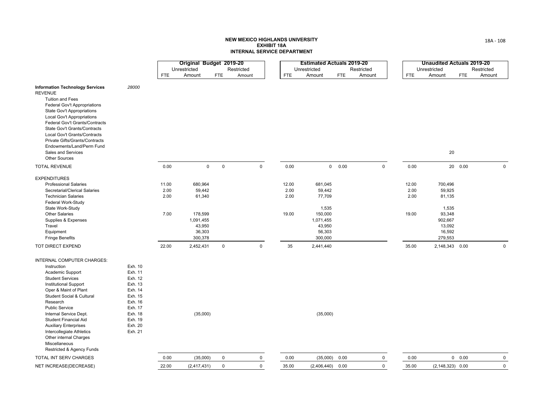#### **NEW MEXICO HIGHLANDS UNIVERSITY EXHIBIT 18AINTERNAL SERVICE DEPARTMENT**

|                                                                                                                                                                                                                                                                                                                                                                                                                                                                                                                                                            | Original Budget 2019-20       |                                                                                    |             |             |                                |    | <b>Estimated Actuals 2019-20</b>                                                            |            |              |                                | <b>Unaudited Actuals 2019-20</b>                                                         |            |                |
|------------------------------------------------------------------------------------------------------------------------------------------------------------------------------------------------------------------------------------------------------------------------------------------------------------------------------------------------------------------------------------------------------------------------------------------------------------------------------------------------------------------------------------------------------------|-------------------------------|------------------------------------------------------------------------------------|-------------|-------------|--------------------------------|----|---------------------------------------------------------------------------------------------|------------|--------------|--------------------------------|------------------------------------------------------------------------------------------|------------|----------------|
|                                                                                                                                                                                                                                                                                                                                                                                                                                                                                                                                                            |                               | Unrestricted                                                                       |             | Restricted  |                                |    | Unrestricted                                                                                |            | Restricted   |                                | Unrestricted                                                                             |            | Restricted     |
|                                                                                                                                                                                                                                                                                                                                                                                                                                                                                                                                                            | <b>FTE</b>                    | Amount                                                                             | <b>FTE</b>  | Amount      | <b>FTE</b>                     |    | Amount                                                                                      | <b>FTE</b> | Amount       | <b>FTE</b>                     | Amount                                                                                   | <b>FTE</b> | Amount         |
| <b>Information Technology Services</b><br>28000<br><b>REVENUE</b><br>Tuition and Fees<br>Federal Gov't Appropriations<br>State Gov't Appropriations<br><b>Local Gov't Appropriations</b><br>Federal Gov't Grants/Contracts<br><b>State Gov't Grants/Contracts</b><br>Local Gov't Grants/Contracts<br>Private Gifts/Grants/Contracts<br>Endowments/Land/Perm Fund<br>Sales and Services<br><b>Other Sources</b>                                                                                                                                             |                               |                                                                                    |             |             |                                |    |                                                                                             |            |              |                                | 20                                                                                       |            |                |
| <b>TOTAL REVENUE</b>                                                                                                                                                                                                                                                                                                                                                                                                                                                                                                                                       | 0.00                          | $\mathsf 0$                                                                        | $\mathsf 0$ | $\mathbf 0$ | 0.00                           |    |                                                                                             | 0 0.00     | $\mathsf 0$  | 0.00                           |                                                                                          | 20  0.00   | $\mathbf 0$    |
| <b>EXPENDITURES</b><br><b>Professional Salaries</b><br>Secretarial/Clerical Salaries<br><b>Technician Salaries</b><br>Federal Work-Study<br>State Work-Study<br>Other Salaries<br>Supplies & Expenses<br>Travel<br>Equipment<br><b>Fringe Benefits</b>                                                                                                                                                                                                                                                                                                     | 11.00<br>2.00<br>2.00<br>7.00 | 680,964<br>59,442<br>61,340<br>178,599<br>1,091,455<br>43,950<br>36,303<br>300,378 |             |             | 12.00<br>2.00<br>2.00<br>19.00 |    | 681,045<br>59,442<br>77,709<br>1,535<br>150,000<br>1,071,455<br>43,950<br>56,303<br>300,000 |            |              | 12.00<br>2.00<br>2.00<br>19.00 | 700,496<br>59,925<br>81,135<br>1,535<br>93,348<br>902,667<br>13,092<br>16,592<br>279,553 |            |                |
| TOT DIRECT EXPEND                                                                                                                                                                                                                                                                                                                                                                                                                                                                                                                                          | 22.00                         | 2,452,431                                                                          | $\mathsf 0$ | $\mathbf 0$ |                                | 35 | 2,441,440                                                                                   |            |              | 35.00                          | 2,148,343 0.00                                                                           |            | $\mathbf 0$    |
| INTERNAL COMPUTER CHARGES:<br>Instruction<br>Exh. 10<br>Exh. 11<br>Academic Support<br><b>Student Services</b><br>Exh. 12<br>Exh. 13<br><b>Institutional Support</b><br>Exh. 14<br>Oper & Maint of Plant<br>Exh. 15<br><b>Student Social &amp; Cultural</b><br>Exh. 16<br>Research<br>Public Service<br>Exh. 17<br>Internal Service Dept.<br>Exh. 18<br>Exh. 19<br><b>Student Financial Aid</b><br>Exh. 20<br><b>Auxiliary Enterprises</b><br>Intercollegiate Athletics<br>Exh. 21<br>Other internal Charges<br>Miscellaneous<br>Restricted & Agency Funds |                               | (35,000)                                                                           |             |             |                                |    | (35,000)                                                                                    |            |              |                                |                                                                                          |            |                |
| TOTAL INT SERV CHARGES                                                                                                                                                                                                                                                                                                                                                                                                                                                                                                                                     | 0.00                          | (35,000)                                                                           | $\mathbf 0$ | $\mathbf 0$ | 0.00                           |    | (35,000)                                                                                    | 0.00       | $\mathsf{O}$ | 0.00                           |                                                                                          | 0 0.00     | $\mathbf 0$    |
| NET INCREASE(DECREASE)                                                                                                                                                                                                                                                                                                                                                                                                                                                                                                                                     | 22.00                         | (2, 417, 431)                                                                      | $\mathbf 0$ | $\mathbf 0$ | 35.00                          |    | (2,406,440)                                                                                 | 0.00       | $\mathbf 0$  | 35.00                          | $(2, 148, 323)$ 0.00                                                                     |            | $\overline{0}$ |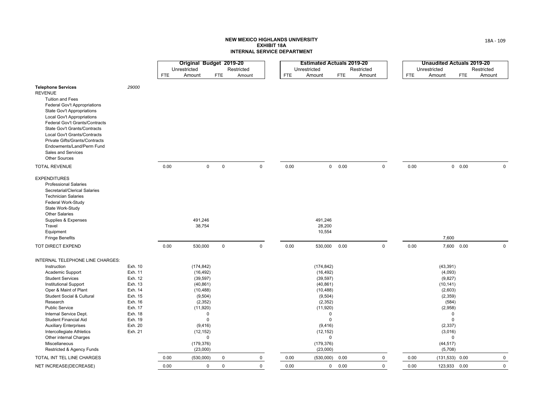|                                                                                                                                                                                                                                                                                                                                                                                                                              |                                                                                                                                  |            | Original Budget 2019-20                                                                                                                               |                                      |            |             |            | <b>Estimated Actuals 2019-20</b>                                                                                                                                                                   |            |             |            | <b>Unaudited Actuals 2019-20</b>                                                                                                       |                                     |             |
|------------------------------------------------------------------------------------------------------------------------------------------------------------------------------------------------------------------------------------------------------------------------------------------------------------------------------------------------------------------------------------------------------------------------------|----------------------------------------------------------------------------------------------------------------------------------|------------|-------------------------------------------------------------------------------------------------------------------------------------------------------|--------------------------------------|------------|-------------|------------|----------------------------------------------------------------------------------------------------------------------------------------------------------------------------------------------------|------------|-------------|------------|----------------------------------------------------------------------------------------------------------------------------------------|-------------------------------------|-------------|
|                                                                                                                                                                                                                                                                                                                                                                                                                              |                                                                                                                                  |            | Unrestricted                                                                                                                                          |                                      | Restricted |             |            | Unrestricted                                                                                                                                                                                       |            | Restricted  |            | Unrestricted                                                                                                                           |                                     | Restricted  |
|                                                                                                                                                                                                                                                                                                                                                                                                                              |                                                                                                                                  | <b>FTE</b> | Amount                                                                                                                                                | <b>FTE</b>                           | Amount     |             | <b>FTE</b> | Amount                                                                                                                                                                                             | <b>FTE</b> | Amount      | <b>FTE</b> | Amount                                                                                                                                 | <b>FTE</b>                          | Amount      |
| <b>Telephone Services</b><br><b>REVENUE</b><br><b>Tuition and Fees</b><br>Federal Gov't Appropriations<br>State Gov't Appropriations<br>Local Gov't Appropriations<br>Federal Gov't Grants/Contracts<br>State Gov't Grants/Contracts<br>Local Gov't Grants/Contracts<br>Private Gifts/Grants/Contracts<br>Endowments/Land/Perm Fund<br>Sales and Services<br><b>Other Sources</b>                                            | 29000                                                                                                                            |            |                                                                                                                                                       |                                      |            |             |            |                                                                                                                                                                                                    |            |             |            |                                                                                                                                        |                                     |             |
| <b>TOTAL REVENUE</b>                                                                                                                                                                                                                                                                                                                                                                                                         |                                                                                                                                  | 0.00       |                                                                                                                                                       | $\mathbf 0$<br>$\mathsf 0$           |            | $\mathbf 0$ | 0.00       | $\mathbf{0}$                                                                                                                                                                                       | 0.00       | $\mathbf 0$ | 0.00       |                                                                                                                                        | 0 0.00                              | $\mathbf 0$ |
| <b>EXPENDITURES</b><br><b>Professional Salaries</b><br>Secretarial/Clerical Salaries<br><b>Technician Salaries</b><br>Federal Work-Study<br>State Work-Study<br><b>Other Salaries</b><br>Supplies & Expenses<br>Travel<br>Equipment<br><b>Fringe Benefits</b>                                                                                                                                                                |                                                                                                                                  |            | 491,246<br>38,754                                                                                                                                     |                                      |            |             |            | 491,246<br>28,200<br>10,554                                                                                                                                                                        |            |             |            | 7,600                                                                                                                                  |                                     |             |
| TOT DIRECT EXPEND                                                                                                                                                                                                                                                                                                                                                                                                            |                                                                                                                                  | 0.00       | 530,000                                                                                                                                               | $\mathbf 0$                          |            | $\mathbf 0$ | 0.00       | 530,000                                                                                                                                                                                            | 0.00       | $\mathbf 0$ | 0.00       |                                                                                                                                        | 7,600 0.00                          | $\mathbf 0$ |
| INTERNAL TELEPHONE LINE CHARGES:<br>Instruction<br>Academic Support<br><b>Student Services</b><br><b>Institutional Support</b><br>Oper & Maint of Plant<br><b>Student Social &amp; Cultural</b><br>Research<br><b>Public Service</b><br>Internal Service Dept.<br>Student Financial Aid<br><b>Auxiliary Enterprises</b><br>Intercollegiate Athletics<br>Other internal Charges<br>Miscellaneous<br>Restricted & Agency Funds | Exh. 10<br>Exh. 11<br>Exh. 12<br>Exh. 13<br>Exh. 14<br>Exh. 15<br>Exh. 16<br>Exh. 17<br>Exh. 18<br>Exh. 19<br>Exh. 20<br>Exh. 21 |            | (174, 842)<br>(16, 492)<br>(39, 597)<br>(40, 861)<br>(10, 488)<br>(9,504)<br>(2, 352)<br>(11, 920)<br>(9, 416)<br>(12, 152)<br>(179, 376)<br>(23,000) | $\Omega$<br>$\pmb{0}$<br>$\mathbf 0$ |            |             |            | (174, 842)<br>(16, 492)<br>(39, 597)<br>(40, 861)<br>(10, 488)<br>(9, 504)<br>(2, 352)<br>(11,920)<br>$\mathbf 0$<br>$\mathbf 0$<br>(9, 416)<br>(12, 152)<br>$\mathbf 0$<br>(179, 376)<br>(23,000) |            |             |            | (43, 391)<br>(4,093)<br>(9,827)<br>(10, 141)<br>(2,603)<br>(2, 359)<br>(584)<br>(2,958)<br>(2, 337)<br>(3,016)<br>(44, 517)<br>(5,708) | $\Omega$<br>$\mathbf 0$<br>$\Omega$ |             |
| TOTAL INT TEL LINE CHARGES                                                                                                                                                                                                                                                                                                                                                                                                   |                                                                                                                                  | 0.00       | (530,000)                                                                                                                                             | $\mathbf 0$                          |            | 0           | 0.00       | (530,000)                                                                                                                                                                                          | 0.00       | 0           | 0.00       |                                                                                                                                        | $(131, 533)$ 0.00                   | $\mathbf 0$ |
| NET INCREASE(DECREASE)                                                                                                                                                                                                                                                                                                                                                                                                       |                                                                                                                                  | 0.00       |                                                                                                                                                       | $\Omega$<br>$\mathbf 0$              |            | $\Omega$    | 0.00       | $\mathbf 0$                                                                                                                                                                                        | 0.00       | $\Omega$    | 0.00       |                                                                                                                                        | 123,933 0.00                        | $\mathbf 0$ |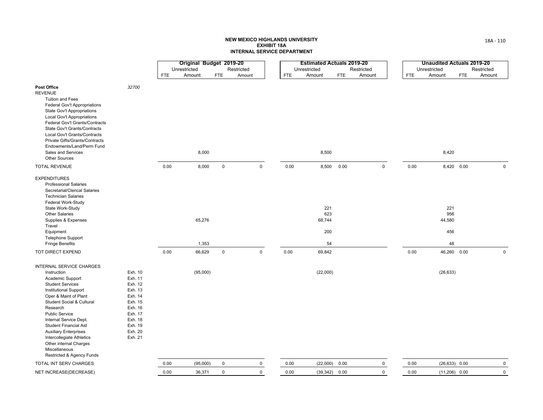|                                                                                                                                                                                                                                                                                                                                                                                                           |                                                                                                                                  |            | Original Budget 2019-20 |                     |            |             |            | <b>Estimated Actuals 2019-20</b>  |            |            |             |      | <b>Unaudited Actuals 2019-20</b>  |            |            |             |
|-----------------------------------------------------------------------------------------------------------------------------------------------------------------------------------------------------------------------------------------------------------------------------------------------------------------------------------------------------------------------------------------------------------|----------------------------------------------------------------------------------------------------------------------------------|------------|-------------------------|---------------------|------------|-------------|------------|-----------------------------------|------------|------------|-------------|------|-----------------------------------|------------|------------|-------------|
|                                                                                                                                                                                                                                                                                                                                                                                                           |                                                                                                                                  |            | Unrestricted            |                     | Restricted |             |            | Unrestricted                      |            | Restricted |             |      | Unrestricted                      |            | Restricted |             |
|                                                                                                                                                                                                                                                                                                                                                                                                           |                                                                                                                                  | <b>FTE</b> | Amount                  | <b>FTE</b>          | Amount     |             | <b>FTE</b> | Amount                            | <b>FTE</b> | Amount     |             | FTE  | Amount                            | <b>FTE</b> | Amount     |             |
| Post Office<br><b>REVENUE</b><br><b>Tuition and Fees</b><br>Federal Gov't Appropriations<br>State Gov't Appropriations<br><b>Local Gov't Appropriations</b><br>Federal Gov't Grants/Contracts<br>State Gov't Grants/Contracts<br>Local Gov't Grants/Contracts<br>Private Gifts/Grants/Contracts<br>Endowments/Land/Perm Fund<br>Sales and Services                                                        | 32700                                                                                                                            |            | 8,000                   |                     |            |             |            | 8,500                             |            |            |             |      | 8,420                             |            |            |             |
| <b>Other Sources</b>                                                                                                                                                                                                                                                                                                                                                                                      |                                                                                                                                  |            |                         |                     |            |             |            |                                   |            |            |             |      |                                   |            |            |             |
| <b>TOTAL REVENUE</b>                                                                                                                                                                                                                                                                                                                                                                                      |                                                                                                                                  | 0.00       | 8,000                   | $\mathsf{O}\xspace$ |            | $\mathbf 0$ | 0.00       | 8,500                             | 0.00       |            | $\mathsf 0$ | 0.00 |                                   | 8,420 0.00 |            | $\mathbf 0$ |
| <b>EXPENDITURES</b><br><b>Professional Salaries</b><br>Secretarial/Clerical Salaries<br><b>Technician Salaries</b><br>Federal Work-Study<br>State Work-Study<br><b>Other Salaries</b><br>Supplies & Expenses<br>Travel<br>Equipment<br><b>Telephone Support</b><br><b>Fringe Benefits</b>                                                                                                                 |                                                                                                                                  |            | 65,276<br>1,353         |                     |            |             |            | 221<br>623<br>68,744<br>200<br>54 |            |            |             |      | 221<br>956<br>44,580<br>456<br>48 |            |            |             |
| TOT DIRECT EXPEND                                                                                                                                                                                                                                                                                                                                                                                         |                                                                                                                                  | 0.00       | 66,629                  | $\mathsf 0$         |            | $\mathbf 0$ | 0.00       | 69,842                            |            |            |             | 0.00 | 46,260 0.00                       |            |            | $\mathbf 0$ |
| INTERNAL SERVICE CHARGES<br>Instruction<br>Academic Support<br><b>Student Services</b><br><b>Institutional Support</b><br>Oper & Maint of Plant<br>Student Social & Cultural<br>Research<br><b>Public Service</b><br>Internal Service Dept.<br>Student Financial Aid<br><b>Auxiliary Enterprises</b><br>Intercollegiate Athletics<br>Other internal Charges<br>Miscellaneous<br>Restricted & Agency Funds | Exh. 10<br>Exh. 11<br>Exh. 12<br>Exh. 13<br>Exh. 14<br>Exh. 15<br>Exh. 16<br>Exh. 17<br>Exh. 18<br>Exh. 19<br>Exh. 20<br>Exh. 21 |            | (95,000)                |                     |            |             |            | (22,000)                          |            |            |             |      | (26, 633)                         |            |            |             |
| TOTAL INT SERV CHARGES                                                                                                                                                                                                                                                                                                                                                                                    |                                                                                                                                  | 0.00       | (95,000)                | $\mathbf 0$         |            | 0           | 0.00       | (22,000)                          | 0.00       |            | $\mathbf 0$ | 0.00 | $(26, 633)$ 0.00                  |            |            | $\mathbf 0$ |
| NET INCREASE(DECREASE)                                                                                                                                                                                                                                                                                                                                                                                    |                                                                                                                                  | 0.00       | 36,371                  | $\mathbf 0$         |            | $\mathbf 0$ | 0.00       | $(39,342)$ 0.00                   |            |            | $\mathbf 0$ | 0.00 | $(11,206)$ 0.00                   |            |            | $\mathsf 0$ |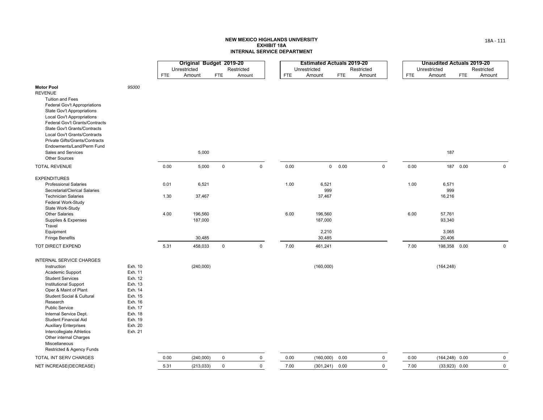|                                                                                                                                                                                                                                                                                                                                                   |                                                                                                            |            | Original Budget 2019-20 |             |            |              |            | <b>Estimated Actuals 2019-20</b> |            |            |              |            | <b>Unaudited Actuals 2019-20</b> |            |             |
|---------------------------------------------------------------------------------------------------------------------------------------------------------------------------------------------------------------------------------------------------------------------------------------------------------------------------------------------------|------------------------------------------------------------------------------------------------------------|------------|-------------------------|-------------|------------|--------------|------------|----------------------------------|------------|------------|--------------|------------|----------------------------------|------------|-------------|
|                                                                                                                                                                                                                                                                                                                                                   |                                                                                                            |            | Unrestricted            |             | Restricted |              |            | Unrestricted                     |            | Restricted |              |            | Unrestricted                     |            | Restricted  |
|                                                                                                                                                                                                                                                                                                                                                   |                                                                                                            | <b>FTE</b> | Amount                  | <b>FTE</b>  | Amount     |              | <b>FTE</b> | Amount                           | <b>FTE</b> | Amount     |              | <b>FTE</b> | Amount                           | <b>FTE</b> | Amount      |
| <b>Motor Pool</b><br><b>REVENUE</b><br>Tuition and Fees<br>Federal Gov't Appropriations<br>State Gov't Appropriations<br>Local Gov't Appropriations<br>Federal Gov't Grants/Contracts<br>State Gov't Grants/Contracts<br>Local Gov't Grants/Contracts<br>Private Gifts/Grants/Contracts<br>Endowments/Land/Perm Fund<br>Sales and Services        | 95000                                                                                                      |            |                         |             |            |              |            |                                  |            |            |              |            |                                  |            |             |
| <b>Other Sources</b>                                                                                                                                                                                                                                                                                                                              |                                                                                                            |            | 5,000                   |             |            |              |            |                                  |            |            |              |            | 187                              |            |             |
| <b>TOTAL REVENUE</b>                                                                                                                                                                                                                                                                                                                              |                                                                                                            | 0.00       | 5,000                   | $\mathsf 0$ |            | $\mathbf 0$  | 0.00       |                                  | 0 0.00     |            | $\mathbf 0$  | 0.00       |                                  | 187 0.00   | $\mathbf 0$ |
| <b>EXPENDITURES</b><br><b>Professional Salaries</b>                                                                                                                                                                                                                                                                                               |                                                                                                            | 0.01       | 6,521                   |             |            |              | 1.00       | 6,521                            |            |            |              | 1.00       | 6,571                            |            |             |
| Secretarial/Clerical Salaries<br><b>Technician Salaries</b><br>Federal Work-Study<br>State Work-Study                                                                                                                                                                                                                                             |                                                                                                            | 1.30       | 37,467                  |             |            |              |            | 999<br>37,467                    |            |            |              |            | 999<br>16,216                    |            |             |
| <b>Other Salaries</b><br>Supplies & Expenses<br>Travel                                                                                                                                                                                                                                                                                            |                                                                                                            | 4.00       | 196,560<br>187,000      |             |            |              | 6.00       | 196,560<br>187,000               |            |            |              | 6.00       | 57,761<br>93,340                 |            |             |
| Equipment<br><b>Fringe Benefits</b>                                                                                                                                                                                                                                                                                                               |                                                                                                            |            | 30,485                  |             |            |              |            | 2,210<br>30,485                  |            |            |              |            | 3,065<br>20,406                  |            |             |
| TOT DIRECT EXPEND                                                                                                                                                                                                                                                                                                                                 |                                                                                                            | 5.31       | 458,033                 | $\mathbf 0$ |            | $\mathbf{0}$ | 7.00       | 461,241                          |            |            |              | 7.00       | 198,358 0.00                     |            | $\Omega$    |
| INTERNAL SERVICE CHARGES<br>Instruction<br>Academic Support                                                                                                                                                                                                                                                                                       | Exh. 10<br>Exh. 11                                                                                         |            | (240,000)               |             |            |              |            | (160,000)                        |            |            |              |            | (164, 248)                       |            |             |
| <b>Student Services</b><br><b>Institutional Support</b><br>Oper & Maint of Plant<br>Student Social & Cultural<br>Research<br><b>Public Service</b><br>Internal Service Dept.<br><b>Student Financial Aid</b><br><b>Auxiliary Enterprises</b><br>Intercollegiate Athletics<br>Other internal Charges<br>Miscellaneous<br>Restricted & Agency Funds | Exh. 12<br>Exh. 13<br>Exh. 14<br>Exh. 15<br>Exh. 16<br>Exh. 17<br>Exh. 18<br>Exh. 19<br>Exh. 20<br>Exh. 21 |            |                         |             |            |              |            |                                  |            |            |              |            |                                  |            |             |
| TOTAL INT SERV CHARGES                                                                                                                                                                                                                                                                                                                            |                                                                                                            | 0.00       | (240,000)               | $\mathbf 0$ |            | $\mathbf 0$  | 0.00       | (160,000)                        | 0.00       |            | $\mathsf{O}$ | 0.00       | $(164, 248)$ 0.00                |            | $\mathsf 0$ |
| NET INCREASE(DECREASE)                                                                                                                                                                                                                                                                                                                            |                                                                                                            | 5.31       | (213, 033)              | $\mathsf 0$ |            | $\mathbf 0$  | 7.00       | (301, 241)                       | 0.00       |            | $\mathbf 0$  | 7.00       | $(33,923)$ 0.00                  |            | $\mathbf 0$ |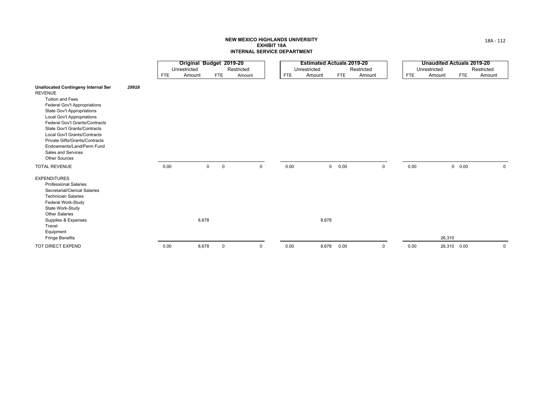|                                                                                                                                                                                                                                                                                                                                                                                                                           |            | Original Budget 2019-20 |                               |            |             |            | <b>Estimated Actuals 2019-20</b> |            |             |            | <b>Unaudited Actuals 2019-20</b> |               |             |
|---------------------------------------------------------------------------------------------------------------------------------------------------------------------------------------------------------------------------------------------------------------------------------------------------------------------------------------------------------------------------------------------------------------------------|------------|-------------------------|-------------------------------|------------|-------------|------------|----------------------------------|------------|-------------|------------|----------------------------------|---------------|-------------|
|                                                                                                                                                                                                                                                                                                                                                                                                                           |            | Unrestricted            |                               | Restricted |             |            | Unrestricted                     |            | Restricted  |            | Unrestricted                     |               | Restricted  |
|                                                                                                                                                                                                                                                                                                                                                                                                                           | <b>FTE</b> | Amount                  | <b>FTE</b>                    | Amount     |             | <b>FTE</b> | Amount                           | <b>FTE</b> | Amount      | <b>FTE</b> | Amount                           | <b>FTE</b>    | Amount      |
| <b>Unallocated Contingeny Internal Ser</b><br>29918<br><b>REVENUE</b><br><b>Tuition and Fees</b><br>Federal Gov't Appropriations<br><b>State Gov't Appropriations</b><br>Local Gov't Appropriations<br>Federal Gov't Grants/Contracts<br><b>State Gov't Grants/Contracts</b><br>Local Gov't Grants/Contracts<br>Private Gifts/Grants/Contracts<br>Endowments/Land/Perm Fund<br>Sales and Services<br><b>Other Sources</b> |            |                         |                               |            |             |            |                                  |            |             |            |                                  |               |             |
| <b>TOTAL REVENUE</b>                                                                                                                                                                                                                                                                                                                                                                                                      | 0.00       |                         | $\mathbf 0$<br>$\overline{0}$ |            | 0           | 0.00       |                                  | 0 0.00     | $\mathbf 0$ | 0.00       |                                  | $0\quad 0.00$ | $\mathbf 0$ |
| <b>EXPENDITURES</b><br><b>Professional Salaries</b><br>Secretarial/Clerical Salaries<br><b>Technician Salaries</b><br>Federal Work-Study<br>State Work-Study<br><b>Other Salaries</b><br>Supplies & Expenses<br>Travel<br>Equipment<br><b>Fringe Benefits</b>                                                                                                                                                             |            | 8,678                   |                               |            |             |            | 8,678                            |            |             |            | 26,310                           |               |             |
| TOT DIRECT EXPEND                                                                                                                                                                                                                                                                                                                                                                                                         | 0.00       | 8,678                   | $\mathbf 0$                   |            | $\mathbf 0$ | 0.00       | 8,678                            | 0.00       | $\Omega$    | 0.00       |                                  | 26,310 0.00   | 0           |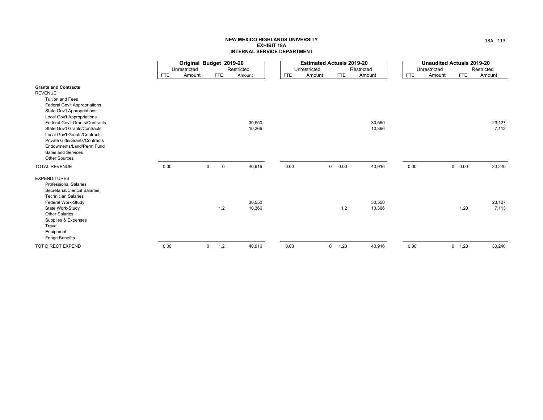|                                                                                                                                                                                                             |            | Original Budget 2019-20 |                            |                  |            | <b>Estimated Actuals 2019-20</b> |                |            |                  |            | <b>Unaudited Actuals 2019-20</b> |          |            |                 |
|-------------------------------------------------------------------------------------------------------------------------------------------------------------------------------------------------------------|------------|-------------------------|----------------------------|------------------|------------|----------------------------------|----------------|------------|------------------|------------|----------------------------------|----------|------------|-----------------|
|                                                                                                                                                                                                             |            | Unrestricted            |                            | Restricted       |            | Unrestricted                     |                |            | Restricted       |            | Unrestricted                     |          |            | Restricted      |
|                                                                                                                                                                                                             | <b>FTE</b> | Amount                  | <b>FTE</b>                 | Amount           | <b>FTE</b> | Amount                           |                | <b>FTE</b> | Amount           | <b>FTE</b> | Amount                           |          | <b>FTE</b> | Amount          |
| <b>Grants and Contracts</b><br><b>REVENUE</b>                                                                                                                                                               |            |                         |                            |                  |            |                                  |                |            |                  |            |                                  |          |            |                 |
| <b>Tuition and Fees</b><br>Federal Gov't Appropriations<br>State Gov't Appropriations<br>Local Gov't Appropriations                                                                                         |            |                         |                            |                  |            |                                  |                |            |                  |            |                                  |          |            |                 |
| Federal Gov't Grants/Contracts<br>State Gov't Grants/Contracts<br>Local Gov't Grants/Contracts<br>Private Gifts/Grants/Contracts<br>Endowments/Land/Perm Fund<br>Sales and Services<br><b>Other Sources</b> |            |                         |                            | 30,550<br>10,366 |            |                                  |                |            | 30,550<br>10,366 |            |                                  |          |            | 23,127<br>7,113 |
| <b>TOTAL REVENUE</b>                                                                                                                                                                                        | 0.00       |                         | $\mathbf 0$<br>$\mathbf 0$ | 40,916           | 0.00       |                                  | $\overline{0}$ | 0.00       | 40,916           | 0.00       |                                  | 0 0.00   |            | 30,240          |
| <b>EXPENDITURES</b><br><b>Professional Salaries</b><br>Secretarial/Clerical Salaries<br><b>Technician Salaries</b><br>Federal Work-Study                                                                    |            |                         |                            | 30,550           |            |                                  |                |            | 30,550           |            |                                  |          |            | 23,127          |
| State Work-Study<br><b>Other Salaries</b><br>Supplies & Expenses<br>Travel<br>Equipment<br><b>Fringe Benefits</b>                                                                                           |            |                         | 1.2                        | 10,366           |            |                                  |                | 1.2        | 10,366           |            |                                  |          | 1.20       | 7,113           |
| TOT DIRECT EXPEND                                                                                                                                                                                           | 0.00       |                         | 1.2<br>$\mathbf 0$         | 40,916           | 0.00       |                                  | $\mathbf{0}$   | 1.20       | 40,916           | 0.00       |                                  | $0$ 1.20 |            | 30,240          |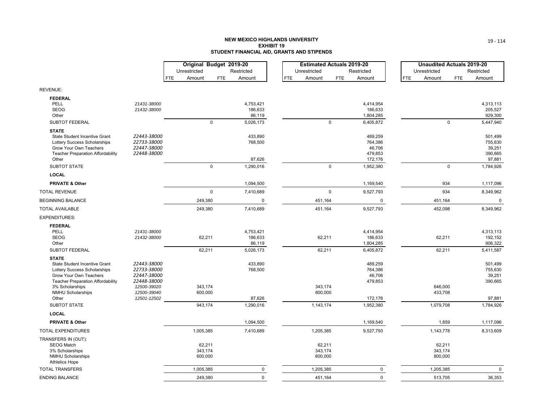#### **NEW MEXICO HIGHLANDS UNIVERSITY EXHIBIT 19STUDENT FINANCIAL AID, GRANTS AND STIPENDS**

|                                                               |                            | Original Budget 2019-20 |             |                     |            | <b>Estimated Actuals 2019-20</b> |             |                      |                      |             | <b>Unaudited Actuals 2019-20</b> |
|---------------------------------------------------------------|----------------------------|-------------------------|-------------|---------------------|------------|----------------------------------|-------------|----------------------|----------------------|-------------|----------------------------------|
|                                                               |                            | Unrestricted            |             | Restricted          |            | Unrestricted                     |             | Restricted           | Unrestricted         |             | Restricted                       |
|                                                               |                            | <b>FTE</b><br>Amount    | <b>FTE</b>  | Amount              | <b>FTE</b> | Amount                           | <b>FTE</b>  | Amount               | <b>FTE</b><br>Amount | FTE         | Amount                           |
| REVENUE:                                                      |                            |                         |             |                     |            |                                  |             |                      |                      |             |                                  |
| <b>FEDERAL</b>                                                |                            |                         |             |                     |            |                                  |             |                      |                      |             |                                  |
| PELL                                                          | 21431-38000                |                         |             | 4,753,421           |            |                                  |             | 4,414,954            |                      |             | 4,313,113                        |
| <b>SEOG</b>                                                   | 21432-38000                |                         |             | 186,633             |            |                                  |             | 186,633              |                      |             | 205,527                          |
| Other                                                         |                            |                         |             | 86,119              |            |                                  |             | 1,804,285            |                      |             | 929,300                          |
| SUBTOT FEDERAL                                                |                            |                         | $\mathbf 0$ | 5,026,173           |            |                                  | $\mathbf 0$ | 6,405,872            |                      | $\mathbf 0$ | 5,447,940                        |
| <b>STATE</b>                                                  |                            |                         |             |                     |            |                                  |             |                      |                      |             |                                  |
| State Student Incentive Grant<br>Lottery Success Scholarships | 22443-38000<br>22733-38000 |                         |             | 433,890<br>768,500  |            |                                  |             | 489,259<br>764,386   |                      |             | 501,499<br>755,630               |
| Grow Your Own Teachers                                        | 22447-38000                |                         |             |                     |            |                                  |             | 46,706               |                      |             | 39,251                           |
| <b>Teacher Preparation Affordability</b>                      | 22448-38000                |                         |             |                     |            |                                  |             | 479,853              |                      |             | 390,665                          |
| Other                                                         |                            |                         |             | 87,626              |            |                                  |             | 172,176              |                      |             | 97,881                           |
| <b>SUBTOT STATE</b>                                           |                            |                         | $\mathbf 0$ | 1,290,016           |            |                                  | $\mathbf 0$ | 1,952,380            |                      | $\mathbf 0$ | 1,784,926                        |
| <b>LOCAL</b>                                                  |                            |                         |             |                     |            |                                  |             |                      |                      |             |                                  |
| <b>PRIVATE &amp; Other</b>                                    |                            |                         |             | 1,094,500           |            |                                  |             | 1,169,540            |                      | 934         | 1,117,096                        |
| TOTAL REVENUE                                                 |                            |                         | $\mathsf 0$ | 7,410,689           |            |                                  | $\pmb{0}$   | 9,527,793            |                      | 934         | 8,349,962                        |
| <b>BEGINNING BALANCE</b>                                      |                            | 249,380                 |             | 0                   |            | 451,164                          |             | 0                    | 451,164              |             | 0                                |
| <b>TOTAL AVAILABLE</b>                                        |                            | 249,380                 |             | 7,410,689           |            | 451,164                          |             | 9,527,793            | 452,098              |             | 8,349,962                        |
| <b>EXPENDITURES:</b>                                          |                            |                         |             |                     |            |                                  |             |                      |                      |             |                                  |
| <b>FEDERAL</b>                                                |                            |                         |             |                     |            |                                  |             |                      |                      |             |                                  |
| PELL                                                          | 21431-38000                |                         |             | 4,753,421           |            |                                  |             | 4,414,954            |                      |             | 4,313,113                        |
| <b>SEOG</b><br>Other                                          | 21432-38000                | 62,211                  |             | 186,633             |            | 62,211                           |             | 186,633<br>1,804,285 |                      | 62,211      | 192,152<br>906,322               |
| <b>SUBTOT FEDERAL</b>                                         |                            | 62,211                  |             | 86,119<br>5,026,173 |            | 62,211                           |             | 6,405,872            |                      | 62,211      | 5,411,587                        |
| <b>STATE</b>                                                  |                            |                         |             |                     |            |                                  |             |                      |                      |             |                                  |
| State Student Incentive Grant                                 | 22443-38000                |                         |             | 433,890             |            |                                  |             | 489,259              |                      |             | 501,499                          |
| Lottery Success Scholarships                                  | 22733-38000                |                         |             | 768,500             |            |                                  |             | 764,386              |                      |             | 755,630                          |
| Grow Your Own Teachers                                        | 22447-38000                |                         |             |                     |            |                                  |             | 46,706               |                      |             | 39,251                           |
| <b>Teacher Preparation Affordability</b>                      | 22448-38000                |                         |             |                     |            |                                  |             | 479,853              |                      |             | 390,665                          |
| 3% Scholarships<br><b>NMHU Scholarships</b>                   | 12500-39020<br>12500-39040 | 343,174<br>600,000      |             |                     |            | 343,174<br>800,000               |             |                      | 646,000<br>433,708   |             |                                  |
| Other                                                         | 12501-12502                |                         |             | 87,626              |            |                                  |             | 172,176              |                      |             | 97,881                           |
| <b>SUBTOT STATE</b>                                           |                            | 943,174                 |             | 1,290,016           |            | 1,143,174                        |             | 1,952,380            | 1,079,708            |             | 1,784,926                        |
| <b>LOCAL</b>                                                  |                            |                         |             |                     |            |                                  |             |                      |                      |             |                                  |
| <b>PRIVATE &amp; Other</b>                                    |                            |                         |             | 1,094,500           |            |                                  |             | 1,169,540            |                      | 1,859       | 1,117,096                        |
| TOTAL EXPENDITURES                                            |                            | 1,005,385               |             | 7,410,689           |            | 1,205,385                        |             | 9,527,793            | 1,143,778            |             | 8,313,609                        |
| TRANSFERS IN (OUT):                                           |                            |                         |             |                     |            |                                  |             |                      |                      |             |                                  |
| <b>SEOG Match</b>                                             |                            | 62,211                  |             |                     |            | 62,211                           |             |                      |                      | 62,211      |                                  |
| 3% Scholarships                                               |                            | 343,174                 |             |                     |            | 343,174                          |             |                      | 343,174              |             |                                  |
| <b>NMHU Scholarships</b><br><b>Athletics Hope</b>             |                            | 600,000                 |             |                     |            | 800,000                          |             |                      | 800,000              |             |                                  |
| <b>TOTAL TRANSFERS</b>                                        |                            | 1,005,385               |             | 0                   |            | 1,205,385                        |             | 0                    | 1,205,385            |             | 0                                |
| ENDING BALANCE                                                |                            | 249,380                 |             | $\mathsf 0$         |            | 451,164                          |             | $\mathbf 0$          | 513,705              |             | 36,353                           |
|                                                               |                            |                         |             |                     |            |                                  |             |                      |                      |             |                                  |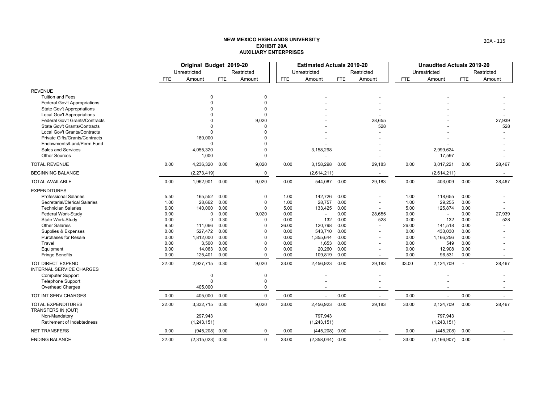|                                                                     |              | Original Budget 2019-20 |              |                      |               | <b>Estimated Actuals 2019-20</b> |              |                          |               | <b>Unaudited Actuals 2019-20</b> |                |                          |
|---------------------------------------------------------------------|--------------|-------------------------|--------------|----------------------|---------------|----------------------------------|--------------|--------------------------|---------------|----------------------------------|----------------|--------------------------|
|                                                                     |              | Unrestricted            |              | Restricted           |               | Unrestricted                     |              | Restricted               |               | Unrestricted                     |                | Restricted               |
|                                                                     | <b>FTE</b>   | Amount                  | <b>FTE</b>   | Amount               | <b>FTE</b>    | Amount                           | <b>FTE</b>   | Amount                   | <b>FTE</b>    | Amount                           | <b>FTE</b>     | Amount                   |
| <b>REVENUE</b>                                                      |              |                         |              |                      |               |                                  |              |                          |               |                                  |                |                          |
| <b>Tuition and Fees</b>                                             |              | $\Omega$                |              | $\Omega$             |               |                                  |              |                          |               |                                  |                |                          |
| <b>Federal Gov't Appropriations</b>                                 |              | $\Omega$                |              | $\Omega$             |               |                                  |              |                          |               |                                  |                |                          |
| <b>State Gov't Appropriations</b>                                   |              |                         |              | $\Omega$             |               |                                  |              |                          |               |                                  |                |                          |
| <b>Local Gov't Appropriations</b>                                   |              | $\Omega$                |              | $\Omega$             |               |                                  |              |                          |               |                                  |                |                          |
| <b>Federal Gov't Grants/Contracts</b>                               |              | $\Omega$                |              | 9,020                |               |                                  |              | 28,655                   |               |                                  |                | 27,939                   |
| <b>State Gov't Grants/Contracts</b><br>Local Gov't Grants/Contracts |              | $\Omega$<br>$\Omega$    |              | $\Omega$<br>$\Omega$ |               |                                  |              | 528                      |               |                                  |                | 528                      |
| Private Gifts/Grants/Contracts                                      |              | 180,000                 |              |                      |               |                                  |              |                          |               |                                  |                |                          |
| Endowments/Land/Perm Fund                                           |              | $\Omega$                |              |                      |               |                                  |              |                          |               |                                  |                |                          |
| <b>Sales and Services</b>                                           |              | 4,055,320               |              | $\Omega$             |               | 3,158,298                        |              |                          |               | 2,999,624                        |                |                          |
| <b>Other Sources</b>                                                |              | 1,000                   |              | $\Omega$             |               |                                  |              |                          |               | 17,597                           |                |                          |
| <b>TOTAL REVENUE</b>                                                | 0.00         | 4,236,320 0.00          |              | 9,020                | 0.00          | 3,158,298                        | 0.00         | 29,183                   | 0.00          | 3,017,221                        | 0.00           | 28,467                   |
| <b>BEGINNING BALANCE</b>                                            |              | (2, 273, 419)           |              | $\pmb{0}$            |               | (2,614,211)                      |              | $\overline{\phantom{a}}$ |               | (2,614,211)                      |                | $\overline{\phantom{0}}$ |
| <b>TOTAL AVAILABLE</b>                                              | 0.00         | 1,962,901               | 0.00         | 9,020                | 0.00          | 544,087                          | 0.00         | 29,183                   | 0.00          | 403,009                          | 0.00           | 28,467                   |
| <b>EXPENDITURES</b>                                                 |              |                         |              |                      |               |                                  |              |                          |               |                                  |                |                          |
| <b>Professional Salaries</b>                                        | 5.50         | 165,552                 | 0.00         | $\mathbf 0$          | 1.00          | 142,726                          | 0.00         |                          | 1.00          | 118,655                          | 0.00           |                          |
| Secretarial/Clerical Salaries                                       | 1.00         | 28,662                  | 0.00         | $\mathbf 0$          | 1.00          | 28,757                           | 0.00         | $\overline{\phantom{a}}$ | 1.00          | 29,255                           | 0.00           |                          |
| <b>Technician Salaries</b>                                          | 6.00         | 140,000                 | 0.00         | $\mathbf 0$          | 5.00          | 133,425                          | 0.00         |                          | 5.00          | 125,874                          | 0.00           |                          |
| Federal Work-Study                                                  | 0.00         | 0                       | 0.00         | 9,020                | 0.00          |                                  | 0.00         | 28,655                   | 0.00          | $\overline{\phantom{a}}$         | 0.00           | 27,939                   |
| State Work-Study                                                    | 0.00         | 0                       | 0.30         | 0                    | 0.00          | 132                              | 0.00         | 528                      | 0.00          | 132                              | 0.00           | 528                      |
| <b>Other Salaries</b><br>Supplies & Expenses                        | 9.50<br>0.00 | 111,066<br>527,472      | 0.00<br>0.00 | $\Omega$<br>$\Omega$ | 26.00<br>0.00 | 120,798<br>543,710               | 0.00<br>0.00 |                          | 26.00<br>0.00 | 141,518<br>433,030               | 0.00<br>0.00   |                          |
| <b>Purchases for Resale</b>                                         | 0.00         | 1,812,000               | 0.00         | $\Omega$             | 0.00          | 1,355,644                        | 0.00         |                          | 0.00          | 1,166,256                        | 0.00           |                          |
| Travel                                                              | 0.00         | 3,500                   | 0.00         | $\Omega$             | 0.00          | 1,653                            | 0.00         |                          | 0.00          | 549                              | 0.00           |                          |
| Equipment                                                           | 0.00         | 14,063                  | 0.00         | $\Omega$             | 0.00          | 20,260                           | 0.00         |                          | 0.00          | 12,908                           | 0.00           |                          |
| <b>Fringe Benefits</b>                                              | 0.00         | 125,401                 | 0.00         | $\mathbf 0$          | 0.00          | 109,819                          | 0.00         |                          | 0.00          | 96,531                           | 0.00           |                          |
| TOT DIRECT EXPEND<br><b>INTERNAL SERVICE CHARGES</b>                | 22.00        | 2,927,715 0.30          |              | 9,020                | 33.00         | 2,456,923                        | 0.00         | 29,183                   | 33.00         | 2,124,709                        | $\overline{a}$ | 28,467                   |
| <b>Computer Support</b>                                             |              | 0                       |              | $\mathbf 0$          |               |                                  |              |                          |               |                                  |                |                          |
| <b>Telephone Support</b>                                            |              | $\Omega$                |              | $\mathbf 0$          |               |                                  |              |                          |               |                                  |                |                          |
| Overhead Charges                                                    |              | 405,000                 |              | $\mathbf 0$          |               |                                  |              |                          |               |                                  |                |                          |
| TOT INT SERV CHARGES                                                | 0.00         | 405,000                 | 0.00         | $\mathbf 0$          | 0.00          | $\blacksquare$                   | 0.00         | $\overline{\phantom{a}}$ | 0.00          | $\overline{\phantom{a}}$         | 0.00           | $\sim$                   |
| <b>TOTAL EXPENDITURES</b><br>TRANSFERS IN (OUT)                     | 22.00        | 3,332,715 0.30          |              | 9,020                | 33.00         | 2,456,923                        | 0.00         | 29,183                   | 33.00         | 2,124,709                        | 0.00           | 28,467                   |
| Non-Mandatory                                                       |              | 297,943                 |              |                      |               | 797,943                          |              |                          |               | 797,943                          |                |                          |
| Retirement of Indebtedness                                          |              | (1, 243, 151)           |              |                      |               | (1,243,151)                      |              |                          |               | (1, 243, 151)                    |                |                          |
| <b>NET TRANSFERS</b>                                                | 0.00         | $(945, 208)$ 0.00       |              | 0                    | 0.00          | (445, 208)                       | 0.00         |                          | 0.00          | (445, 208)                       | 0.00           |                          |
| <b>ENDING BALANCE</b>                                               | 22.00        | $(2,315,023)$ 0.30      |              | $\mathbf 0$          | 33.00         | $(2,358,044)$ 0.00               |              |                          | 33.00         | (2, 166, 907)                    | 0.00           |                          |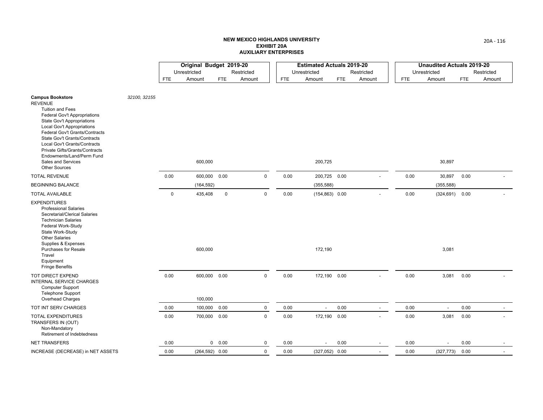|                                                                                                                                                                                                                                                                                       |              |             | Original Budget 2019-20 |             |             |            | <b>Estimated Actuals 2019-20</b> |            |                          |            | <b>Unaudited Actuals 2019-20</b> |            |            |
|---------------------------------------------------------------------------------------------------------------------------------------------------------------------------------------------------------------------------------------------------------------------------------------|--------------|-------------|-------------------------|-------------|-------------|------------|----------------------------------|------------|--------------------------|------------|----------------------------------|------------|------------|
|                                                                                                                                                                                                                                                                                       |              |             | Unrestricted            |             | Restricted  |            | Unrestricted                     |            | Restricted               |            | Unrestricted                     |            | Restricted |
|                                                                                                                                                                                                                                                                                       |              | <b>FTE</b>  | Amount                  | <b>FTE</b>  | Amount      | <b>FTE</b> | Amount                           | <b>FTE</b> | Amount                   | <b>FTE</b> | Amount                           | <b>FTE</b> | Amount     |
| <b>Campus Bookstore</b><br><b>REVENUE</b><br><b>Tuition and Fees</b><br><b>Federal Gov't Appropriations</b><br><b>State Gov't Appropriations</b><br><b>Local Gov't Appropriations</b>                                                                                                 | 32100, 32155 |             |                         |             |             |            |                                  |            |                          |            |                                  |            |            |
| Federal Gov't Grants/Contracts<br>State Gov't Grants/Contracts<br>Local Gov't Grants/Contracts<br>Private Gifts/Grants/Contracts<br>Endowments/Land/Perm Fund<br>Sales and Services<br><b>Other Sources</b>                                                                           |              |             | 600,000                 |             |             |            | 200,725                          |            |                          |            | 30,897                           |            |            |
| <b>TOTAL REVENUE</b>                                                                                                                                                                                                                                                                  |              | 0.00        | 600,000 0.00            |             | $\mathbf 0$ | 0.00       | 200,725 0.00                     |            |                          | 0.00       | 30,897                           | 0.00       |            |
| <b>BEGINNING BALANCE</b>                                                                                                                                                                                                                                                              |              |             | (164, 592)              |             |             |            | (355, 588)                       |            |                          |            | (355, 588)                       |            |            |
| <b>TOTAL AVAILABLE</b>                                                                                                                                                                                                                                                                |              | $\mathbf 0$ | 435,408                 | $\mathbf 0$ | $\mathbf 0$ | 0.00       | $(154, 863)$ 0.00                |            |                          | 0.00       | (324, 691)                       | 0.00       |            |
| <b>EXPENDITURES</b><br><b>Professional Salaries</b><br>Secretarial/Clerical Salaries<br><b>Technician Salaries</b><br>Federal Work-Study<br>State Work-Study<br><b>Other Salaries</b><br>Supplies & Expenses<br>Purchases for Resale<br>Travel<br>Equipment<br><b>Fringe Benefits</b> |              |             | 600,000                 |             |             |            | 172,190                          |            |                          |            | 3,081                            |            |            |
| TOT DIRECT EXPEND<br>INTERNAL SERVICE CHARGES<br>Computer Support<br><b>Telephone Support</b>                                                                                                                                                                                         |              | 0.00        | 600,000 0.00            |             | $\mathsf 0$ | 0.00       | 172,190 0.00                     |            |                          | 0.00       | 3,081                            | 0.00       |            |
| <b>Overhead Charges</b>                                                                                                                                                                                                                                                               |              |             | 100,000                 |             |             |            |                                  |            |                          |            |                                  |            |            |
| TOT INT SERV CHARGES                                                                                                                                                                                                                                                                  |              | 0.00        | 100,000 0.00            |             | $\mathbf 0$ | 0.00       | $\overline{a}$                   | 0.00       | $\overline{\phantom{a}}$ | 0.00       | $\overline{\phantom{a}}$         | 0.00       |            |
| TOTAL EXPENDITURES<br>TRANSFERS IN (OUT)<br>Non-Mandatory<br>Retirement of Indebtedness                                                                                                                                                                                               |              | 0.00        | 700,000 0.00            |             | $\mathbf 0$ | 0.00       | 172,190 0.00                     |            |                          | 0.00       | 3,081                            | 0.00       |            |
| <b>NET TRANSFERS</b>                                                                                                                                                                                                                                                                  |              | 0.00        |                         | 0 0.00      | $\mathbf 0$ | 0.00       |                                  | 0.00       | $\overline{\phantom{a}}$ | 0.00       |                                  | 0.00       |            |
| INCREASE (DECREASE) in NET ASSETS                                                                                                                                                                                                                                                     |              | 0.00        | $(264, 592)$ 0.00       |             | $\mathbf 0$ | 0.00       | $(327,052)$ 0.00                 |            | $\overline{\phantom{a}}$ | 0.00       | (327, 773)                       | 0.00       |            |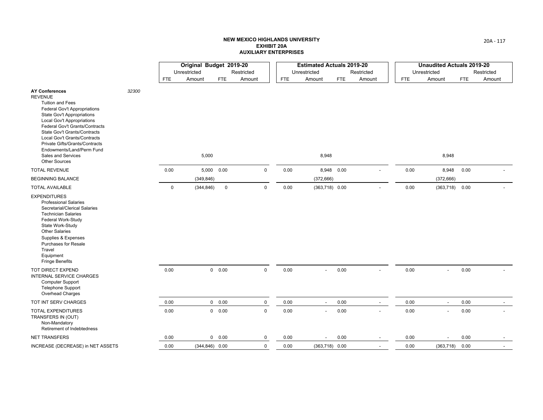|                                                                                                                                                                                                                                                                                                                                                                                                    |       |             | Original Budget 2019-20 |             |             |            | <b>Estimated Actuals 2019-20</b> |      |                          |      | <b>Unaudited Actuals 2019-20</b> |            |            |
|----------------------------------------------------------------------------------------------------------------------------------------------------------------------------------------------------------------------------------------------------------------------------------------------------------------------------------------------------------------------------------------------------|-------|-------------|-------------------------|-------------|-------------|------------|----------------------------------|------|--------------------------|------|----------------------------------|------------|------------|
|                                                                                                                                                                                                                                                                                                                                                                                                    |       |             | Unrestricted            |             | Restricted  |            | Unrestricted                     |      | Restricted               |      | Unrestricted                     |            | Restricted |
|                                                                                                                                                                                                                                                                                                                                                                                                    |       | <b>FTE</b>  | Amount                  | <b>FTE</b>  | Amount      | <b>FTE</b> | Amount                           | FTE  | Amount                   | FTE  | Amount                           | <b>FTE</b> | Amount     |
| <b>AY Conferences</b><br><b>REVENUE</b><br><b>Tuition and Fees</b><br><b>Federal Gov't Appropriations</b><br><b>State Gov't Appropriations</b><br><b>Local Gov't Appropriations</b><br>Federal Gov't Grants/Contracts<br>State Gov't Grants/Contracts<br>Local Gov't Grants/Contracts<br>Private Gifts/Grants/Contracts<br>Endowments/Land/Perm Fund<br>Sales and Services<br><b>Other Sources</b> | 32300 |             | 5,000                   |             |             |            | 8,948                            |      |                          |      | 8,948                            |            |            |
| <b>TOTAL REVENUE</b>                                                                                                                                                                                                                                                                                                                                                                               |       | 0.00        |                         | 5,000 0.00  | $\mathbf 0$ | 0.00       | 8,948 0.00                       |      |                          | 0.00 | 8,948                            | 0.00       |            |
| <b>BEGINNING BALANCE</b>                                                                                                                                                                                                                                                                                                                                                                           |       |             | (349, 846)              |             |             |            | (372, 666)                       |      |                          |      | (372, 666)                       |            |            |
| <b>TOTAL AVAILABLE</b>                                                                                                                                                                                                                                                                                                                                                                             |       | $\mathsf 0$ | (344, 846)              | $\mathsf 0$ | $\mathbf 0$ | 0.00       | $(363,718)$ 0.00                 |      |                          | 0.00 | $(363,718)$ 0.00                 |            |            |
| <b>EXPENDITURES</b><br><b>Professional Salaries</b><br>Secretarial/Clerical Salaries<br><b>Technician Salaries</b><br>Federal Work-Study<br>State Work-Study<br><b>Other Salaries</b><br>Supplies & Expenses<br><b>Purchases for Resale</b><br>Travel<br>Equipment<br><b>Fringe Benefits</b>                                                                                                       |       |             |                         |             |             |            |                                  |      |                          |      |                                  |            |            |
| TOT DIRECT EXPEND<br>INTERNAL SERVICE CHARGES<br><b>Computer Support</b><br><b>Telephone Support</b><br>Overhead Charges                                                                                                                                                                                                                                                                           |       | 0.00        |                         | 0 0.00      | $\mathbf 0$ | 0.00       | $\overline{a}$                   | 0.00 |                          | 0.00 | $\overline{\phantom{a}}$         | 0.00       |            |
| TOT INT SERV CHARGES                                                                                                                                                                                                                                                                                                                                                                               |       | 0.00        |                         | 0 0.00      | $\mathbf 0$ | 0.00       | $\blacksquare$                   | 0.00 | $\overline{\phantom{a}}$ | 0.00 | $\overline{\phantom{a}}$         | 0.00       |            |
| <b>TOTAL EXPENDITURES</b><br>TRANSFERS IN (OUT)<br>Non-Mandatory<br>Retirement of Indebtedness                                                                                                                                                                                                                                                                                                     |       | 0.00        |                         | 0 0.00      | $\mathbf 0$ | 0.00       |                                  | 0.00 |                          | 0.00 |                                  | 0.00       |            |
| <b>NET TRANSFERS</b>                                                                                                                                                                                                                                                                                                                                                                               |       | 0.00        |                         | 0 0.00      | 0           | 0.00       | $\overline{\phantom{0}}$         | 0.00 | $\overline{\phantom{a}}$ | 0.00 |                                  | 0.00       |            |
| INCREASE (DECREASE) in NET ASSETS                                                                                                                                                                                                                                                                                                                                                                  |       | 0.00        | $(344, 846)$ 0.00       |             | $\mathbf 0$ | 0.00       | $(363,718)$ 0.00                 |      |                          | 0.00 | (363, 718)                       | 0.00       |            |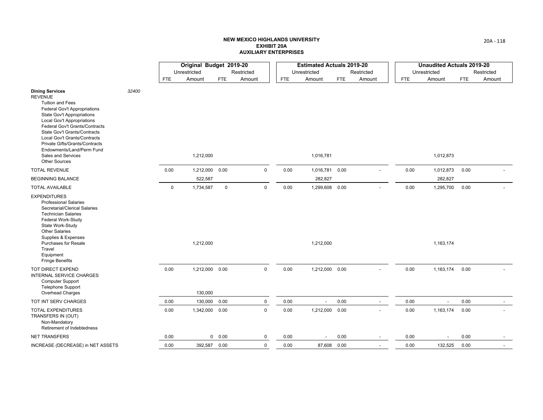|                                                                                                                                                                                                                                                                                                                                                                                              |       |             | Original Budget 2019-20   |             |             |            | <b>Estimated Actuals 2019-20</b> |            |                          |      | <b>Unaudited Actuals 2019-20</b> |            |            |
|----------------------------------------------------------------------------------------------------------------------------------------------------------------------------------------------------------------------------------------------------------------------------------------------------------------------------------------------------------------------------------------------|-------|-------------|---------------------------|-------------|-------------|------------|----------------------------------|------------|--------------------------|------|----------------------------------|------------|------------|
|                                                                                                                                                                                                                                                                                                                                                                                              |       |             | Unrestricted              |             | Restricted  |            | Unrestricted                     |            | Restricted               |      | Unrestricted                     |            | Restricted |
|                                                                                                                                                                                                                                                                                                                                                                                              |       | FTE         | Amount                    | <b>FTE</b>  | Amount      | <b>FTE</b> | Amount                           | <b>FTE</b> | Amount                   | FTE  | Amount                           | <b>FTE</b> | Amount     |
| <b>Dining Services</b><br><b>REVENUE</b><br><b>Tuition and Fees</b><br><b>Federal Gov't Appropriations</b><br><b>State Gov't Appropriations</b><br>Local Gov't Appropriations<br>Federal Gov't Grants/Contracts<br>State Gov't Grants/Contracts<br>Local Gov't Grants/Contracts<br>Private Gifts/Grants/Contracts<br>Endowments/Land/Perm Fund<br>Sales and Services<br><b>Other Sources</b> | 32400 |             | 1,212,000                 |             |             |            | 1,016,781                        |            |                          |      | 1,012,873                        |            |            |
| <b>TOTAL REVENUE</b>                                                                                                                                                                                                                                                                                                                                                                         |       | 0.00        | 1,212,000                 | 0.00        | $\mathbf 0$ | 0.00       | 1,016,781                        | 0.00       |                          | 0.00 | 1,012,873                        | 0.00       |            |
| <b>BEGINNING BALANCE</b>                                                                                                                                                                                                                                                                                                                                                                     |       |             | 522,587                   |             |             |            | 282,827                          |            |                          |      | 282,827                          |            |            |
| <b>TOTAL AVAILABLE</b>                                                                                                                                                                                                                                                                                                                                                                       |       | $\mathbf 0$ | 1,734,587                 | $\mathbf 0$ | $\mathbf 0$ | 0.00       | 1,299,608 0.00                   |            |                          | 0.00 | 1,295,700                        | 0.00       |            |
| <b>EXPENDITURES</b><br><b>Professional Salaries</b><br>Secretarial/Clerical Salaries<br><b>Technician Salaries</b><br>Federal Work-Study<br>State Work-Study<br><b>Other Salaries</b><br>Supplies & Expenses<br><b>Purchases for Resale</b><br>Travel<br>Equipment<br><b>Fringe Benefits</b>                                                                                                 |       |             | 1,212,000                 |             |             |            | 1,212,000                        |            |                          |      | 1,163,174                        |            |            |
| TOT DIRECT EXPEND<br><b>INTERNAL SERVICE CHARGES</b><br>Computer Support<br><b>Telephone Support</b><br><b>Overhead Charges</b>                                                                                                                                                                                                                                                              |       | 0.00        | 1,212,000 0.00<br>130,000 |             | $\mathbf 0$ | 0.00       | 1,212,000 0.00                   |            |                          | 0.00 | 1,163,174                        | 0.00       |            |
| TOT INT SERV CHARGES                                                                                                                                                                                                                                                                                                                                                                         |       | 0.00        | 130,000 0.00              |             | $\pmb{0}$   | 0.00       | $\overline{a}$                   | 0.00       | $\overline{\phantom{a}}$ | 0.00 |                                  | 0.00       |            |
|                                                                                                                                                                                                                                                                                                                                                                                              |       |             |                           |             | $\mathbf 0$ |            | 1,212,000 0.00                   |            |                          |      |                                  |            |            |
| TOTAL EXPENDITURES<br>TRANSFERS IN (OUT)<br>Non-Mandatory<br>Retirement of Indebtedness                                                                                                                                                                                                                                                                                                      |       | 0.00        | 1,342,000 0.00            |             |             | 0.00       |                                  |            |                          | 0.00 | 1,163,174                        | 0.00       |            |
| <b>NET TRANSFERS</b>                                                                                                                                                                                                                                                                                                                                                                         |       | 0.00        |                           | 0 0.00      | 0           | 0.00       |                                  | 0.00       | $\overline{\phantom{a}}$ | 0.00 |                                  | 0.00       |            |
| INCREASE (DECREASE) in NET ASSETS                                                                                                                                                                                                                                                                                                                                                            |       | 0.00        | 392,587                   | 0.00        | $\mathbf 0$ | 0.00       | 87,608 0.00                      |            |                          | 0.00 | 132,525                          | 0.00       |            |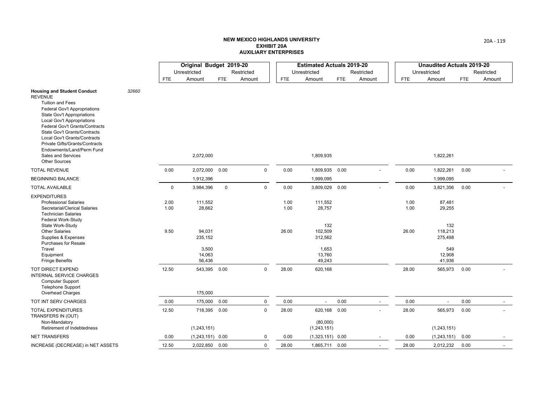|                                                                                                                                                                                                                                                                                                                                                                                                          |       |              | Original Budget 2019-20   |             |             |              | <b>Estimated Actuals 2019-20</b> |      |                          |              | <b>Unaudited Actuals 2019-20</b> |            |            |
|----------------------------------------------------------------------------------------------------------------------------------------------------------------------------------------------------------------------------------------------------------------------------------------------------------------------------------------------------------------------------------------------------------|-------|--------------|---------------------------|-------------|-------------|--------------|----------------------------------|------|--------------------------|--------------|----------------------------------|------------|------------|
|                                                                                                                                                                                                                                                                                                                                                                                                          |       |              | Unrestricted              |             | Restricted  |              | Unrestricted                     |      | Restricted               |              | Unrestricted                     |            | Restricted |
|                                                                                                                                                                                                                                                                                                                                                                                                          |       | <b>FTE</b>   | Amount                    | <b>FTE</b>  | Amount      | FTE          | Amount                           | FTE  | Amount                   | <b>FTE</b>   | Amount                           | <b>FTE</b> | Amount     |
| <b>Housing and Student Conduct</b><br><b>REVENUE</b><br><b>Tuition and Fees</b><br><b>Federal Gov't Appropriations</b><br><b>State Gov't Appropriations</b><br>Local Gov't Appropriations<br>Federal Gov't Grants/Contracts<br>State Gov't Grants/Contracts<br>Local Gov't Grants/Contracts<br>Private Gifts/Grants/Contracts<br>Endowments/Land/Perm Fund<br>Sales and Services<br><b>Other Sources</b> | 32660 |              | 2,072,000                 |             |             |              | 1,809,935                        |      |                          |              | 1,822,261                        |            |            |
| <b>TOTAL REVENUE</b>                                                                                                                                                                                                                                                                                                                                                                                     |       | 0.00         | 2,072,000                 | 0.00        | $\mathbf 0$ | 0.00         | 1,809,935                        | 0.00 |                          | 0.00         | 1,822,261                        | 0.00       |            |
| <b>BEGINNING BALANCE</b>                                                                                                                                                                                                                                                                                                                                                                                 |       |              | 1,912,396                 |             |             |              | 1,999,095                        |      |                          |              | 1,999,095                        |            |            |
| <b>TOTAL AVAILABLE</b>                                                                                                                                                                                                                                                                                                                                                                                   |       | $\mathbf 0$  | 3,984,396                 | $\mathbf 0$ | $\mathbf 0$ | 0.00         | 3,809,029 0.00                   |      |                          | 0.00         | 3,821,356                        | 0.00       |            |
| <b>EXPENDITURES</b><br><b>Professional Salaries</b><br>Secretarial/Clerical Salaries<br><b>Technician Salaries</b>                                                                                                                                                                                                                                                                                       |       | 2.00<br>1.00 | 111,552<br>28,662         |             |             | 1.00<br>1.00 | 111,552<br>28,757                |      |                          | 1.00<br>1.00 | 87,481<br>29,255                 |            |            |
| Federal Work-Study<br>State Work-Study<br><b>Other Salaries</b><br>Supplies & Expenses<br><b>Purchases for Resale</b>                                                                                                                                                                                                                                                                                    |       | 9.50         | 94,031<br>235,152         |             |             | 26.00        | 132<br>102,509<br>312,562        |      |                          | 26.00        | 132<br>118,213<br>275,498        |            |            |
| Travel<br>Equipment<br><b>Fringe Benefits</b>                                                                                                                                                                                                                                                                                                                                                            |       |              | 3,500<br>14,063<br>56,436 |             |             |              | 1,653<br>13,760<br>49,243        |      |                          |              | 549<br>12,908<br>41,936          |            |            |
| TOT DIRECT EXPEND<br><b>INTERNAL SERVICE CHARGES</b><br><b>Computer Support</b><br><b>Telephone Support</b>                                                                                                                                                                                                                                                                                              |       | 12.50        | 543,395 0.00              |             | $\Omega$    | 28.00        | 620,168                          |      |                          | 28.00        | 565,973                          | 0.00       |            |
| <b>Overhead Charges</b><br>TOT INT SERV CHARGES                                                                                                                                                                                                                                                                                                                                                          |       | 0.00         | 175,000<br>175,000 0.00   |             | $\mathbf 0$ | 0.00         |                                  | 0.00 | $\overline{\phantom{a}}$ | 0.00         | $\overline{\phantom{a}}$         | 0.00       |            |
| <b>TOTAL EXPENDITURES</b>                                                                                                                                                                                                                                                                                                                                                                                |       | 12.50        | 718,395 0.00              |             | $\mathbf 0$ | 28.00        | 620,168 0.00                     |      |                          | 28.00        | 565,973                          | 0.00       |            |
| TRANSFERS IN (OUT)<br>Non-Mandatory<br>Retirement of Indebtedness                                                                                                                                                                                                                                                                                                                                        |       |              | (1, 243, 151)             |             |             |              | (80,000)<br>(1, 243, 151)        |      |                          |              | (1, 243, 151)                    |            |            |
| <b>NET TRANSFERS</b>                                                                                                                                                                                                                                                                                                                                                                                     |       | 0.00         | $(1,243,151)$ 0.00        |             | 0           | 0.00         | $(1,323,151)$ 0.00               |      |                          | 0.00         | (1,243,151)                      | 0.00       |            |
| INCREASE (DECREASE) in NET ASSETS                                                                                                                                                                                                                                                                                                                                                                        |       | 12.50        | 2,022,850 0.00            |             | 0           | 28.00        | 1,865,711                        | 0.00 |                          | 28.00        | 2,012,232                        | 0.00       |            |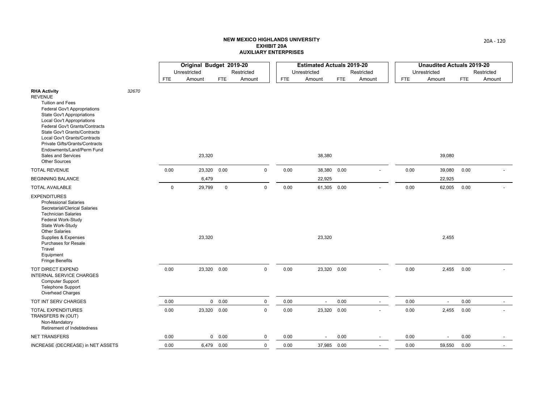|                                                                                                                                                                                                                                                                                                                                                                                    |       |             | Original Budget 2019-20 |             |             |            | <b>Estimated Actuals 2019-20</b> |            |                          |      | <b>Unaudited Actuals 2019-20</b> |            |            |
|------------------------------------------------------------------------------------------------------------------------------------------------------------------------------------------------------------------------------------------------------------------------------------------------------------------------------------------------------------------------------------|-------|-------------|-------------------------|-------------|-------------|------------|----------------------------------|------------|--------------------------|------|----------------------------------|------------|------------|
|                                                                                                                                                                                                                                                                                                                                                                                    |       |             | Unrestricted            |             | Restricted  |            | Unrestricted                     |            | Restricted               |      | Unrestricted                     |            | Restricted |
|                                                                                                                                                                                                                                                                                                                                                                                    |       | FTE         | Amount                  | <b>FTE</b>  | Amount      | <b>FTE</b> | Amount                           | <b>FTE</b> | Amount                   | FTE  | Amount                           | <b>FTE</b> | Amount     |
| <b>RHA Activity</b><br><b>REVENUE</b><br><b>Tuition and Fees</b><br>Federal Gov't Appropriations<br><b>State Gov't Appropriations</b><br>Local Gov't Appropriations<br>Federal Gov't Grants/Contracts<br>State Gov't Grants/Contracts<br>Local Gov't Grants/Contracts<br>Private Gifts/Grants/Contracts<br>Endowments/Land/Perm Fund<br>Sales and Services<br><b>Other Sources</b> | 32670 |             | 23,320                  |             |             |            | 38,380                           |            |                          |      | 39,080                           |            |            |
| <b>TOTAL REVENUE</b>                                                                                                                                                                                                                                                                                                                                                               |       | 0.00        | 23,320                  | 0.00        | $\mathbf 0$ | 0.00       | 38,380                           | 0.00       |                          | 0.00 | 39,080                           | 0.00       |            |
| <b>BEGINNING BALANCE</b>                                                                                                                                                                                                                                                                                                                                                           |       |             | 6,479                   |             |             |            | 22,925                           |            |                          |      | 22,925                           |            |            |
| <b>TOTAL AVAILABLE</b>                                                                                                                                                                                                                                                                                                                                                             |       | $\mathbf 0$ | 29,799                  | $\mathbf 0$ | $\mathbf 0$ | 0.00       | 61,305 0.00                      |            |                          | 0.00 | 62,005                           | 0.00       |            |
| <b>EXPENDITURES</b><br><b>Professional Salaries</b><br>Secretarial/Clerical Salaries<br><b>Technician Salaries</b><br>Federal Work-Study<br>State Work-Study<br><b>Other Salaries</b><br>Supplies & Expenses<br><b>Purchases for Resale</b><br>Travel<br>Equipment<br><b>Fringe Benefits</b>                                                                                       |       |             | 23,320                  |             |             |            | 23,320                           |            |                          |      | 2,455                            |            |            |
| TOT DIRECT EXPEND<br><b>INTERNAL SERVICE CHARGES</b><br>Computer Support<br><b>Telephone Support</b><br><b>Overhead Charges</b>                                                                                                                                                                                                                                                    |       | 0.00        | 23,320 0.00             |             | $\mathbf 0$ | 0.00       | 23,320 0.00                      |            |                          | 0.00 | 2,455                            | 0.00       |            |
| TOT INT SERV CHARGES                                                                                                                                                                                                                                                                                                                                                               |       | 0.00        |                         | 0 0.00      | $\pmb{0}$   | 0.00       | $\overline{\phantom{a}}$         | 0.00       | $\overline{\phantom{a}}$ | 0.00 |                                  | 0.00       |            |
| TOTAL EXPENDITURES<br>TRANSFERS IN (OUT)<br>Non-Mandatory<br>Retirement of Indebtedness                                                                                                                                                                                                                                                                                            |       | 0.00        | 23,320 0.00             |             | $\mathbf 0$ | 0.00       | 23,320 0.00                      |            |                          | 0.00 | 2,455                            | 0.00       |            |
| <b>NET TRANSFERS</b>                                                                                                                                                                                                                                                                                                                                                               |       | 0.00        |                         | 0 0.00      | 0           | 0.00       |                                  | 0.00       | $\overline{\phantom{a}}$ | 0.00 |                                  | 0.00       |            |
| INCREASE (DECREASE) in NET ASSETS                                                                                                                                                                                                                                                                                                                                                  |       | 0.00        |                         | 6,479 0.00  | $\mathbf 0$ | 0.00       | 37,985 0.00                      |            |                          | 0.00 | 59,550                           | 0.00       |            |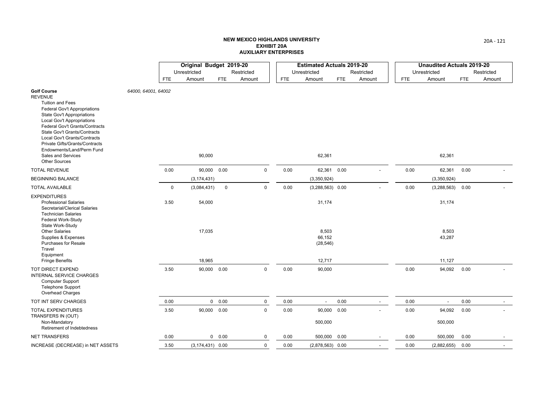|                                                                                                                                                                                                                                                                                                                                                                                                 |                     |            | Original Budget 2019-20 |             |              |      | <b>Estimated Actuals 2019-20</b> |            |                          |            | <b>Unaudited Actuals 2019-20</b> |            |            |
|-------------------------------------------------------------------------------------------------------------------------------------------------------------------------------------------------------------------------------------------------------------------------------------------------------------------------------------------------------------------------------------------------|---------------------|------------|-------------------------|-------------|--------------|------|----------------------------------|------------|--------------------------|------------|----------------------------------|------------|------------|
|                                                                                                                                                                                                                                                                                                                                                                                                 |                     |            | Unrestricted            |             | Restricted   |      | Unrestricted                     |            | Restricted               |            | Unrestricted                     |            | Restricted |
|                                                                                                                                                                                                                                                                                                                                                                                                 |                     | <b>FTE</b> | Amount                  | <b>FTE</b>  | Amount       | FTE  | Amount                           | <b>FTE</b> | Amount                   | <b>FTE</b> | Amount                           | <b>FTE</b> | Amount     |
| <b>Golf Course</b><br><b>REVENUE</b><br><b>Tuition and Fees</b><br>Federal Gov't Appropriations<br><b>State Gov't Appropriations</b><br><b>Local Gov't Appropriations</b><br>Federal Gov't Grants/Contracts<br><b>State Gov't Grants/Contracts</b><br>Local Gov't Grants/Contracts<br>Private Gifts/Grants/Contracts<br>Endowments/Land/Perm Fund<br>Sales and Services<br><b>Other Sources</b> | 64000, 64001, 64002 |            | 90,000                  |             |              |      | 62,361                           |            |                          |            | 62,361                           |            |            |
| <b>TOTAL REVENUE</b>                                                                                                                                                                                                                                                                                                                                                                            |                     | 0.00       | 90,000 0.00             |             | $\mathsf 0$  | 0.00 | 62,361                           | 0.00       |                          | 0.00       | 62,361                           | 0.00       |            |
| <b>BEGINNING BALANCE</b>                                                                                                                                                                                                                                                                                                                                                                        |                     |            | (3, 174, 431)           |             |              |      | (3,350,924)                      |            |                          |            | (3,350,924)                      |            |            |
| <b>TOTAL AVAILABLE</b>                                                                                                                                                                                                                                                                                                                                                                          |                     | 0          | (3,084,431)             | $\mathbf 0$ | $\mathsf 0$  | 0.00 | $(3,288,563)$ 0.00               |            |                          | 0.00       | (3, 288, 563)                    | 0.00       |            |
| <b>EXPENDITURES</b><br><b>Professional Salaries</b><br>Secretarial/Clerical Salaries<br><b>Technician Salaries</b><br>Federal Work-Study<br>State Work-Study                                                                                                                                                                                                                                    |                     | 3.50       | 54,000                  |             |              |      | 31,174                           |            |                          |            | 31,174                           |            |            |
| <b>Other Salaries</b><br>Supplies & Expenses<br><b>Purchases for Resale</b><br>Travel<br>Equipment                                                                                                                                                                                                                                                                                              |                     |            | 17,035                  |             |              |      | 8,503<br>66,152<br>(28, 546)     |            |                          |            | 8,503<br>43,287                  |            |            |
| <b>Fringe Benefits</b>                                                                                                                                                                                                                                                                                                                                                                          |                     |            | 18,965                  |             |              |      | 12,717                           |            |                          |            | 11,127                           |            |            |
| TOT DIRECT EXPEND<br><b>INTERNAL SERVICE CHARGES</b><br><b>Computer Support</b><br><b>Telephone Support</b><br>Overhead Charges                                                                                                                                                                                                                                                                 |                     | 3.50       | 90,000 0.00             |             | $\mathbf 0$  | 0.00 | 90,000                           |            |                          | 0.00       | 94,092                           | 0.00       |            |
| TOT INT SERV CHARGES                                                                                                                                                                                                                                                                                                                                                                            |                     | 0.00       |                         | 0 0.00      | $\mathsf 0$  | 0.00 | $\overline{a}$                   | 0.00       | $\overline{\phantom{a}}$ | 0.00       |                                  | 0.00       |            |
| <b>TOTAL EXPENDITURES</b><br>TRANSFERS IN (OUT)<br>Non-Mandatory<br>Retirement of Indebtedness                                                                                                                                                                                                                                                                                                  |                     | 3.50       | 90,000 0.00             |             | $\mathsf{O}$ | 0.00 | 90,000 0.00<br>500,000           |            |                          | 0.00       | 94,092<br>500,000                | 0.00       |            |
| <b>NET TRANSFERS</b>                                                                                                                                                                                                                                                                                                                                                                            |                     | 0.00       |                         | 0 0.00      | 0            | 0.00 | 500,000 0.00                     |            |                          | 0.00       | 500,000                          | 0.00       |            |
| INCREASE (DECREASE) in NET ASSETS                                                                                                                                                                                                                                                                                                                                                               |                     | 3.50       | $(3, 174, 431)$ 0.00    |             | 0            | 0.00 | $(2,878,563)$ 0.00               |            |                          | 0.00       | (2,882,655)                      | 0.00       |            |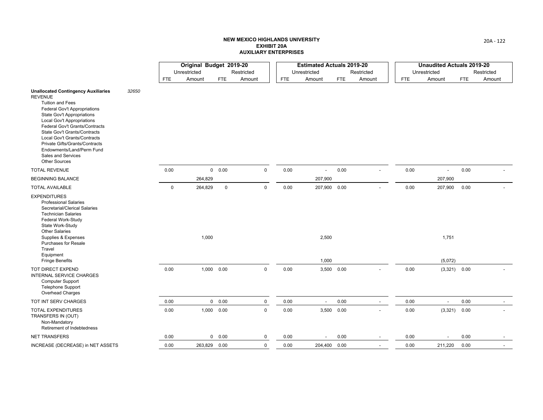|                                                                                                                                                                                                                                                                                                                                                                                                                         |       |             | Original Budget 2019-20 |             |             |            | <b>Estimated Actuals 2019-20</b> |            |                          |            | <b>Unaudited Actuals 2019-20</b> |            |            |
|-------------------------------------------------------------------------------------------------------------------------------------------------------------------------------------------------------------------------------------------------------------------------------------------------------------------------------------------------------------------------------------------------------------------------|-------|-------------|-------------------------|-------------|-------------|------------|----------------------------------|------------|--------------------------|------------|----------------------------------|------------|------------|
|                                                                                                                                                                                                                                                                                                                                                                                                                         |       |             | Unrestricted            |             | Restricted  |            | Unrestricted                     |            | Restricted               |            | Unrestricted                     |            | Restricted |
|                                                                                                                                                                                                                                                                                                                                                                                                                         |       | <b>FTE</b>  | Amount                  | <b>FTE</b>  | Amount      | <b>FTE</b> | Amount                           | <b>FTE</b> | Amount                   | <b>FTE</b> | Amount                           | <b>FTE</b> | Amount     |
| <b>Unallocated Contingency Auxiliaries</b><br><b>REVENUE</b><br><b>Tuition and Fees</b><br><b>Federal Gov't Appropriations</b><br><b>State Gov't Appropriations</b><br><b>Local Gov't Appropriations</b><br>Federal Gov't Grants/Contracts<br>State Gov't Grants/Contracts<br>Local Gov't Grants/Contracts<br>Private Gifts/Grants/Contracts<br>Endowments/Land/Perm Fund<br>Sales and Services<br><b>Other Sources</b> | 32650 |             |                         |             |             |            |                                  |            |                          |            |                                  |            |            |
| <b>TOTAL REVENUE</b>                                                                                                                                                                                                                                                                                                                                                                                                    |       | 0.00        |                         | 0 0.00      | $\mathbf 0$ | 0.00       |                                  | 0.00       | $\blacksquare$           | 0.00       | $\blacksquare$                   | 0.00       |            |
| <b>BEGINNING BALANCE</b>                                                                                                                                                                                                                                                                                                                                                                                                |       |             | 264,829                 |             |             |            | 207,900                          |            |                          |            | 207,900                          |            |            |
| <b>TOTAL AVAILABLE</b>                                                                                                                                                                                                                                                                                                                                                                                                  |       | $\mathbf 0$ | 264,829                 | $\mathbf 0$ | $\mathbf 0$ | 0.00       | 207,900 0.00                     |            |                          | 0.00       | 207,900                          | 0.00       |            |
| <b>EXPENDITURES</b><br><b>Professional Salaries</b><br>Secretarial/Clerical Salaries<br><b>Technician Salaries</b><br>Federal Work-Study<br>State Work-Study<br><b>Other Salaries</b><br>Supplies & Expenses<br><b>Purchases for Resale</b><br>Travel<br>Equipment                                                                                                                                                      |       |             | 1,000                   |             |             |            | 2,500                            |            |                          |            | 1,751                            |            |            |
| <b>Fringe Benefits</b>                                                                                                                                                                                                                                                                                                                                                                                                  |       |             |                         |             |             |            | 1,000                            |            |                          |            | (5,072)                          |            |            |
| TOT DIRECT EXPEND<br>INTERNAL SERVICE CHARGES<br><b>Computer Support</b><br><b>Telephone Support</b><br><b>Overhead Charges</b>                                                                                                                                                                                                                                                                                         |       | 0.00        |                         | 1,000 0.00  | $\mathbf 0$ | 0.00       | 3,500 0.00                       |            |                          | 0.00       | $(3,321)$ 0.00                   |            |            |
| TOT INT SERV CHARGES                                                                                                                                                                                                                                                                                                                                                                                                    |       | 0.00        |                         | 0 0.00      | $\pmb{0}$   | 0.00       | $\overline{\phantom{a}}$         | 0.00       | $\overline{\phantom{a}}$ | 0.00       | $\overline{\phantom{a}}$         | 0.00       |            |
| <b>TOTAL EXPENDITURES</b><br>TRANSFERS IN (OUT)<br>Non-Mandatory<br>Retirement of Indebtedness                                                                                                                                                                                                                                                                                                                          |       | 0.00        |                         | 1,000 0.00  | $\mathbf 0$ | 0.00       | 3,500 0.00                       |            |                          | 0.00       | $(3,321)$ 0.00                   |            |            |
| <b>NET TRANSFERS</b>                                                                                                                                                                                                                                                                                                                                                                                                    |       | 0.00        |                         | 0 0.00      | 0           | 0.00       |                                  | 0.00       |                          | 0.00       |                                  | 0.00       |            |
| INCREASE (DECREASE) in NET ASSETS                                                                                                                                                                                                                                                                                                                                                                                       |       | 0.00        | 263,829 0.00            |             | 0           | 0.00       | 204,400 0.00                     |            |                          | 0.00       | 211,220                          | 0.00       |            |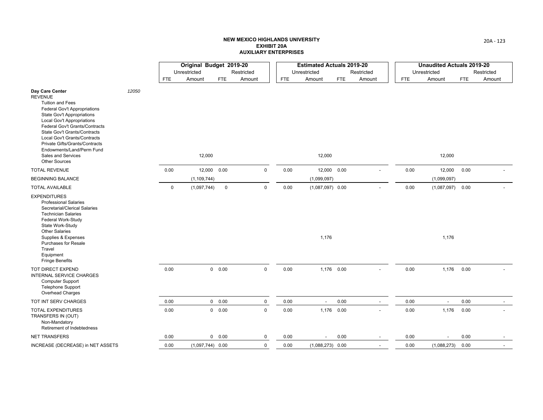|                                                                                                                                                                                                                                                                                                                                                                                       |       |      | Original Budget 2019-20 |               |             |            | <b>Estimated Actuals 2019-20</b> |            |                          |            | <b>Unaudited Actuals 2019-20</b> |      |            |
|---------------------------------------------------------------------------------------------------------------------------------------------------------------------------------------------------------------------------------------------------------------------------------------------------------------------------------------------------------------------------------------|-------|------|-------------------------|---------------|-------------|------------|----------------------------------|------------|--------------------------|------------|----------------------------------|------|------------|
|                                                                                                                                                                                                                                                                                                                                                                                       |       |      | Unrestricted            |               | Restricted  |            | Unrestricted                     |            | Restricted               |            | Unrestricted                     |      | Restricted |
|                                                                                                                                                                                                                                                                                                                                                                                       |       | FTE  | Amount                  | <b>FTE</b>    | Amount      | <b>FTE</b> | Amount                           | <b>FTE</b> | Amount                   | <b>FTE</b> | Amount                           | FTE  | Amount     |
| Day Care Center<br><b>REVENUE</b><br><b>Tuition and Fees</b><br><b>Federal Gov't Appropriations</b><br><b>State Gov't Appropriations</b><br>Local Gov't Appropriations<br>Federal Gov't Grants/Contracts<br>State Gov't Grants/Contracts<br>Local Gov't Grants/Contracts<br>Private Gifts/Grants/Contracts<br>Endowments/Land/Perm Fund<br>Sales and Services<br><b>Other Sources</b> | 12050 |      | 12,000                  |               |             |            | 12,000                           |            |                          |            | 12,000                           |      |            |
| <b>TOTAL REVENUE</b>                                                                                                                                                                                                                                                                                                                                                                  |       | 0.00 |                         | 12,000 0.00   | $\mathbf 0$ | 0.00       | 12,000 0.00                      |            |                          | 0.00       | 12,000                           | 0.00 |            |
| <b>BEGINNING BALANCE</b>                                                                                                                                                                                                                                                                                                                                                              |       |      | (1, 109, 744)           |               |             |            | (1,099,097)                      |            |                          |            | (1,099,097)                      |      |            |
| <b>TOTAL AVAILABLE</b>                                                                                                                                                                                                                                                                                                                                                                |       | 0    | (1,097,744)             | $\mathbf 0$   | $\mathbf 0$ | 0.00       | $(1,087,097)$ 0.00               |            |                          | 0.00       | (1,087,097)                      | 0.00 |            |
| <b>EXPENDITURES</b><br><b>Professional Salaries</b><br>Secretarial/Clerical Salaries<br><b>Technician Salaries</b><br>Federal Work-Study<br>State Work-Study<br><b>Other Salaries</b><br>Supplies & Expenses<br><b>Purchases for Resale</b><br>Travel<br>Equipment<br><b>Fringe Benefits</b>                                                                                          |       |      |                         |               |             |            | 1,176                            |            |                          |            | 1,176                            |      |            |
| TOT DIRECT EXPEND<br><b>INTERNAL SERVICE CHARGES</b><br>Computer Support<br><b>Telephone Support</b><br><b>Overhead Charges</b>                                                                                                                                                                                                                                                       |       | 0.00 |                         | $0\quad 0.00$ | $\mathbf 0$ | 0.00       | 1,176 0.00                       |            |                          | 0.00       | 1,176                            | 0.00 |            |
| TOT INT SERV CHARGES                                                                                                                                                                                                                                                                                                                                                                  |       | 0.00 |                         | 0 0.00        | $\mathsf 0$ | 0.00       | $\overline{\phantom{a}}$         | 0.00       | $\overline{\phantom{a}}$ | 0.00       | $\overline{\phantom{a}}$         | 0.00 |            |
| <b>TOTAL EXPENDITURES</b><br>TRANSFERS IN (OUT)<br>Non-Mandatory<br>Retirement of Indebtedness                                                                                                                                                                                                                                                                                        |       | 0.00 |                         | 0 0.00        | $\mathsf 0$ | 0.00       | 1,176 0.00                       |            |                          | 0.00       | 1,176                            | 0.00 |            |
| <b>NET TRANSFERS</b>                                                                                                                                                                                                                                                                                                                                                                  |       | 0.00 |                         | 0 0.00        | 0           | 0.00       | $\overline{\phantom{0}}$         | 0.00       | $\overline{\phantom{a}}$ | 0.00       |                                  | 0.00 |            |
| INCREASE (DECREASE) in NET ASSETS                                                                                                                                                                                                                                                                                                                                                     |       | 0.00 | $(1,097,744)$ 0.00      |               | 0           | 0.00       | $(1,088,273)$ 0.00               |            |                          | 0.00       | (1,088,273)                      | 0.00 |            |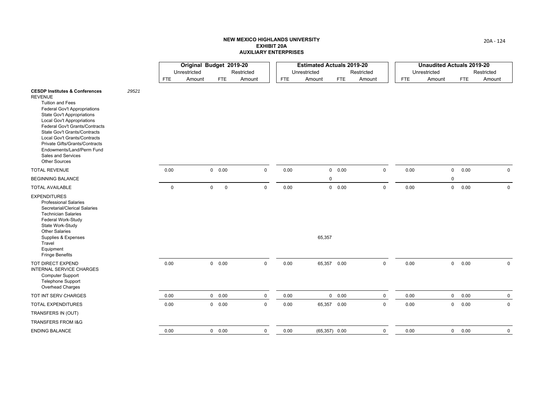|                                                                                                                                                                                                                                                                                                                                                                                                                 |       |             | Original Budget 2019-20 |                            |             |            | <b>Estimated Actuals 2019-20</b> |            |             |              | <b>Unaudited Actuals 2019-20</b> |            |             |
|-----------------------------------------------------------------------------------------------------------------------------------------------------------------------------------------------------------------------------------------------------------------------------------------------------------------------------------------------------------------------------------------------------------------|-------|-------------|-------------------------|----------------------------|-------------|------------|----------------------------------|------------|-------------|--------------|----------------------------------|------------|-------------|
|                                                                                                                                                                                                                                                                                                                                                                                                                 |       |             | Unrestricted            |                            | Restricted  |            | Unrestricted                     |            | Restricted  | Unrestricted |                                  |            | Restricted  |
|                                                                                                                                                                                                                                                                                                                                                                                                                 |       | <b>FTE</b>  | Amount                  | <b>FTE</b>                 | Amount      | <b>FTE</b> | Amount                           | <b>FTE</b> | Amount      | <b>FTE</b>   | Amount                           | <b>FTE</b> | Amount      |
| <b>CESDP Institutes &amp; Conferences</b><br><b>REVENUE</b><br><b>Tuition and Fees</b><br>Federal Gov't Appropriations<br><b>State Gov't Appropriations</b><br><b>Local Gov't Appropriations</b><br>Federal Gov't Grants/Contracts<br>State Gov't Grants/Contracts<br>Local Gov't Grants/Contracts<br>Private Gifts/Grants/Contracts<br>Endowments/Land/Perm Fund<br>Sales and Services<br><b>Other Sources</b> | 29521 |             |                         |                            |             |            |                                  |            |             |              |                                  |            |             |
| <b>TOTAL REVENUE</b>                                                                                                                                                                                                                                                                                                                                                                                            |       | 0.00        |                         | 0 0.00                     | $\mathbf 0$ | 0.00       |                                  | 0 0.00     | $\mathsf 0$ | 0.00         | $\mathbf 0$                      | 0.00       | $\mathbf 0$ |
| <b>BEGINNING BALANCE</b>                                                                                                                                                                                                                                                                                                                                                                                        |       |             |                         |                            |             |            | 0                                |            |             |              | 0                                |            |             |
| <b>TOTAL AVAILABLE</b>                                                                                                                                                                                                                                                                                                                                                                                          |       | $\mathbf 0$ |                         | $\mathbf 0$<br>$\mathbf 0$ | $\mathsf 0$ | 0.00       |                                  | 0 0.00     | $\mathbf 0$ | 0.00         | $\mathbf 0$                      | 0.00       | $\mathbf 0$ |
| <b>EXPENDITURES</b><br><b>Professional Salaries</b><br>Secretarial/Clerical Salaries<br><b>Technician Salaries</b><br>Federal Work-Study<br>State Work-Study<br><b>Other Salaries</b><br>Supplies & Expenses<br>Travel<br>Equipment<br><b>Fringe Benefits</b>                                                                                                                                                   |       |             |                         |                            |             |            | 65,357                           |            |             |              |                                  |            |             |
| TOT DIRECT EXPEND<br>INTERNAL SERVICE CHARGES<br><b>Computer Support</b><br><b>Telephone Support</b><br>Overhead Charges                                                                                                                                                                                                                                                                                        |       | 0.00        |                         | 0 0.00                     | $\mathsf 0$ | 0.00       | 65,357 0.00                      |            | $\mathsf 0$ | 0.00         | $\mathbf 0$                      | 0.00       | $\mathbf 0$ |
| TOT INT SERV CHARGES                                                                                                                                                                                                                                                                                                                                                                                            |       | 0.00        |                         | 0 0.00                     | $\mathsf 0$ | 0.00       |                                  | 0 0.00     | $\mathbf 0$ | 0.00         | $\mathbf 0$                      | 0.00       | $\mathbf 0$ |
| <b>TOTAL EXPENDITURES</b>                                                                                                                                                                                                                                                                                                                                                                                       |       | 0.00        |                         | $0\quad 0.00$              | $\mathsf 0$ | 0.00       | 65,357 0.00                      |            | $\mathbf 0$ | 0.00         | $\mathbf 0$                      | 0.00       | $\mathbf 0$ |
| TRANSFERS IN (OUT)                                                                                                                                                                                                                                                                                                                                                                                              |       |             |                         |                            |             |            |                                  |            |             |              |                                  |            |             |
| <b>TRANSFERS FROM I&amp;G</b>                                                                                                                                                                                                                                                                                                                                                                                   |       |             |                         |                            |             |            |                                  |            |             |              |                                  |            |             |
| <b>ENDING BALANCE</b>                                                                                                                                                                                                                                                                                                                                                                                           |       | 0.00        |                         | $0\quad 0.00$              | $\mathbf 0$ | 0.00       | $(65,357)$ 0.00                  |            | 0           | 0.00         | $\overline{0}$                   | 0.00       | 0           |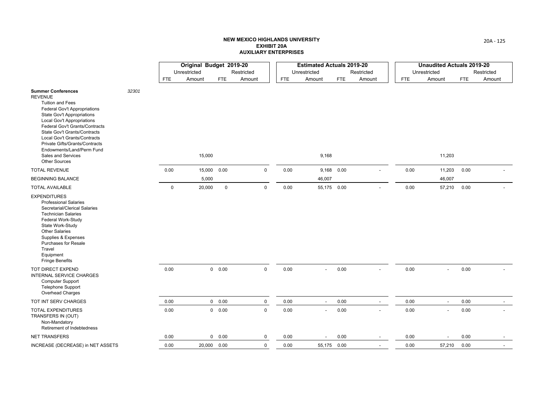|                                                                                                                                                                                                                                                                                                                                                                                   |       |            | Original Budget 2019-20 |               |              |      | <b>Estimated Actuals 2019-20</b> |      |                          |              | <b>Unaudited Actuals 2019-20</b> |            |            |
|-----------------------------------------------------------------------------------------------------------------------------------------------------------------------------------------------------------------------------------------------------------------------------------------------------------------------------------------------------------------------------------|-------|------------|-------------------------|---------------|--------------|------|----------------------------------|------|--------------------------|--------------|----------------------------------|------------|------------|
|                                                                                                                                                                                                                                                                                                                                                                                   |       |            | Unrestricted            |               | Restricted   |      | Unrestricted                     |      | Restricted               | Unrestricted |                                  |            | Restricted |
|                                                                                                                                                                                                                                                                                                                                                                                   |       | <b>FTE</b> | Amount                  | FTE           | Amount       | FTE  | Amount                           | FTE  | Amount                   | FTE          | Amount                           | <b>FTE</b> | Amount     |
| <b>Summer Conferences</b><br><b>REVENUE</b><br><b>Tuition and Fees</b><br>Federal Gov't Appropriations<br>State Gov't Appropriations<br>Local Gov't Appropriations<br>Federal Gov't Grants/Contracts<br>State Gov't Grants/Contracts<br>Local Gov't Grants/Contracts<br>Private Gifts/Grants/Contracts<br>Endowments/Land/Perm Fund<br>Sales and Services<br><b>Other Sources</b> | 32301 |            | 15,000                  |               |              |      | 9,168                            |      |                          |              | 11,203                           |            |            |
| <b>TOTAL REVENUE</b>                                                                                                                                                                                                                                                                                                                                                              |       | 0.00       | 15,000 0.00             |               | $\mathbf 0$  | 0.00 | 9,168 0.00                       |      |                          | 0.00         | 11,203                           | 0.00       |            |
| <b>BEGINNING BALANCE</b>                                                                                                                                                                                                                                                                                                                                                          |       |            | 5,000                   |               |              |      | 46,007                           |      |                          |              | 46,007                           |            |            |
| <b>TOTAL AVAILABLE</b>                                                                                                                                                                                                                                                                                                                                                            |       | 0          | 20,000                  | $\mathbf 0$   | $\mathsf{O}$ | 0.00 | 55,175 0.00                      |      |                          | 0.00         | 57,210                           | 0.00       |            |
| <b>EXPENDITURES</b><br><b>Professional Salaries</b><br>Secretarial/Clerical Salaries<br><b>Technician Salaries</b><br>Federal Work-Study<br>State Work-Study<br><b>Other Salaries</b><br>Supplies & Expenses<br><b>Purchases for Resale</b><br>Travel<br>Equipment<br><b>Fringe Benefits</b>                                                                                      |       |            |                         |               |              |      |                                  |      |                          |              |                                  |            |            |
| TOT DIRECT EXPEND<br><b>INTERNAL SERVICE CHARGES</b><br><b>Computer Support</b><br><b>Telephone Support</b><br>Overhead Charges                                                                                                                                                                                                                                                   |       | 0.00       |                         | 0 0.00        | $\mathsf{O}$ | 0.00 | $\overline{a}$                   | 0.00 |                          | 0.00         |                                  | 0.00       |            |
| TOT INT SERV CHARGES                                                                                                                                                                                                                                                                                                                                                              |       | 0.00       |                         | $0\quad 0.00$ | $\mathsf 0$  | 0.00 | $\overline{\phantom{a}}$         | 0.00 | $\blacksquare$           | 0.00         |                                  | 0.00       |            |
| <b>TOTAL EXPENDITURES</b><br>TRANSFERS IN (OUT)<br>Non-Mandatory<br>Retirement of Indebtedness                                                                                                                                                                                                                                                                                    |       | 0.00       |                         | 0 0.00        | $\mathbf 0$  | 0.00 |                                  | 0.00 | $\overline{a}$           | 0.00         |                                  | 0.00       |            |
| <b>NET TRANSFERS</b>                                                                                                                                                                                                                                                                                                                                                              |       | 0.00       |                         | 0 0.00        | 0            | 0.00 |                                  | 0.00 | $\overline{\phantom{0}}$ | 0.00         |                                  | 0.00       |            |
| INCREASE (DECREASE) in NET ASSETS                                                                                                                                                                                                                                                                                                                                                 |       | 0.00       | 20,000 0.00             |               | 0            | 0.00 | 55,175 0.00                      |      |                          | 0.00         | 57,210                           | 0.00       |            |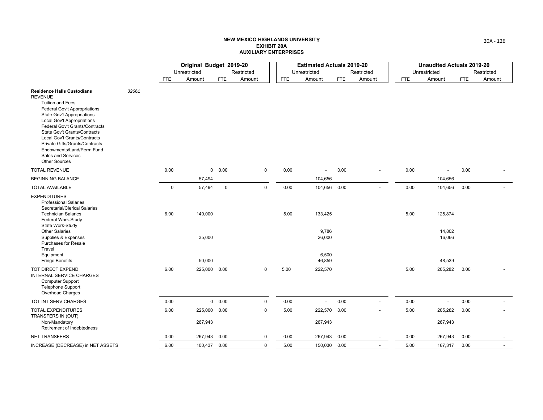|                                                                                                                                                                                                                                                                                                                                                                                                         |       |             | Original Budget 2019-20 |             |             |            | <b>Estimated Actuals 2019-20</b> |            |                          |            | <b>Unaudited Actuals 2019-20</b> |            |            |
|---------------------------------------------------------------------------------------------------------------------------------------------------------------------------------------------------------------------------------------------------------------------------------------------------------------------------------------------------------------------------------------------------------|-------|-------------|-------------------------|-------------|-------------|------------|----------------------------------|------------|--------------------------|------------|----------------------------------|------------|------------|
|                                                                                                                                                                                                                                                                                                                                                                                                         |       |             | Unrestricted            |             | Restricted  |            | Unrestricted                     |            | Restricted               |            | Unrestricted                     |            | Restricted |
|                                                                                                                                                                                                                                                                                                                                                                                                         |       | <b>FTE</b>  | Amount                  | <b>FTE</b>  | Amount      | <b>FTE</b> | Amount                           | <b>FTE</b> | Amount                   | <b>FTE</b> | Amount                           | <b>FTE</b> | Amount     |
| <b>Residence Halls Custodians</b><br><b>REVENUE</b><br><b>Tuition and Fees</b><br>Federal Gov't Appropriations<br><b>State Gov't Appropriations</b><br><b>Local Gov't Appropriations</b><br>Federal Gov't Grants/Contracts<br>State Gov't Grants/Contracts<br>Local Gov't Grants/Contracts<br>Private Gifts/Grants/Contracts<br>Endowments/Land/Perm Fund<br>Sales and Services<br><b>Other Sources</b> | 32661 |             |                         |             |             |            |                                  |            |                          |            |                                  |            |            |
| <b>TOTAL REVENUE</b>                                                                                                                                                                                                                                                                                                                                                                                    |       | 0.00        |                         | 0 0.00      | $\mathbf 0$ | 0.00       |                                  | 0.00       |                          | 0.00       |                                  | 0.00       |            |
| <b>BEGINNING BALANCE</b>                                                                                                                                                                                                                                                                                                                                                                                |       |             | 57,494                  |             |             |            | 104,656                          |            |                          |            | 104,656                          |            |            |
| <b>TOTAL AVAILABLE</b>                                                                                                                                                                                                                                                                                                                                                                                  |       | $\mathbf 0$ | 57,494                  | $\mathbf 0$ | $\mathbf 0$ | 0.00       | 104,656 0.00                     |            |                          | 0.00       | 104,656                          | 0.00       |            |
| <b>EXPENDITURES</b><br><b>Professional Salaries</b><br>Secretarial/Clerical Salaries<br><b>Technician Salaries</b><br>Federal Work-Study<br>State Work-Study<br><b>Other Salaries</b><br>Supplies & Expenses<br>Purchases for Resale                                                                                                                                                                    |       | 6.00        | 140,000<br>35,000       |             |             | 5.00       | 133,425<br>9,786<br>26,000       |            |                          | 5.00       | 125,874<br>14,802<br>16,066      |            |            |
| Travel<br>Equipment<br><b>Fringe Benefits</b>                                                                                                                                                                                                                                                                                                                                                           |       |             | 50,000                  |             |             |            | 6,500<br>46,859                  |            |                          |            | 48,539                           |            |            |
| TOT DIRECT EXPEND<br><b>INTERNAL SERVICE CHARGES</b><br><b>Computer Support</b><br><b>Telephone Support</b><br>Overhead Charges                                                                                                                                                                                                                                                                         |       | 6.00        | 225,000 0.00            |             | $\mathbf 0$ | 5.00       | 222,570                          |            |                          | 5.00       | 205,282                          | 0.00       |            |
| TOT INT SERV CHARGES                                                                                                                                                                                                                                                                                                                                                                                    |       | 0.00        |                         | 0 0.00      | $\mathbf 0$ | 0.00       |                                  | 0.00       | $\overline{\phantom{a}}$ | 0.00       |                                  | 0.00       |            |
| <b>TOTAL EXPENDITURES</b><br>TRANSFERS IN (OUT)<br>Non-Mandatory<br>Retirement of Indebtedness                                                                                                                                                                                                                                                                                                          |       | 6.00        | 225,000 0.00<br>267,943 |             | $\mathbf 0$ | 5.00       | 222,570 0.00<br>267,943          |            |                          | 5.00       | 205,282<br>267,943               | 0.00       |            |
| <b>NET TRANSFERS</b>                                                                                                                                                                                                                                                                                                                                                                                    |       | 0.00        | 267,943 0.00            |             | 0           | 0.00       | 267,943 0.00                     |            |                          | 0.00       | 267,943                          | 0.00       |            |
| INCREASE (DECREASE) in NET ASSETS                                                                                                                                                                                                                                                                                                                                                                       |       | 6.00        | 100,437                 | 0.00        | 0           | 5.00       | 150,030 0.00                     |            |                          | 5.00       | 167,317                          | 0.00       |            |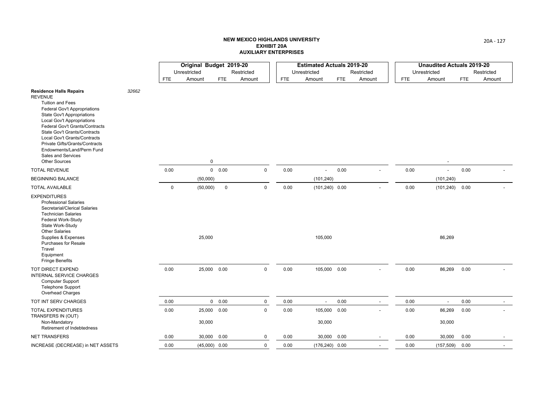|                                                                                                                                                                                                                                                                                                                                                                                                                    |       |            | Original Budget 2019-20 |               |             |            | <b>Estimated Actuals 2019-20</b> |            |                          |            | <b>Unaudited Actuals 2019-20</b> |            |            |
|--------------------------------------------------------------------------------------------------------------------------------------------------------------------------------------------------------------------------------------------------------------------------------------------------------------------------------------------------------------------------------------------------------------------|-------|------------|-------------------------|---------------|-------------|------------|----------------------------------|------------|--------------------------|------------|----------------------------------|------------|------------|
|                                                                                                                                                                                                                                                                                                                                                                                                                    |       |            | Unrestricted            |               | Restricted  |            | Unrestricted                     |            | Restricted               |            | Unrestricted                     |            | Restricted |
|                                                                                                                                                                                                                                                                                                                                                                                                                    |       | <b>FTE</b> | Amount                  | <b>FTE</b>    | Amount      | <b>FTE</b> | Amount                           | <b>FTE</b> | Amount                   | <b>FTE</b> | Amount                           | <b>FTE</b> | Amount     |
| <b>Residence Halls Repairs</b><br><b>REVENUE</b><br><b>Tuition and Fees</b><br><b>Federal Gov't Appropriations</b><br><b>State Gov't Appropriations</b><br><b>Local Gov't Appropriations</b><br>Federal Gov't Grants/Contracts<br>State Gov't Grants/Contracts<br><b>Local Gov't Grants/Contracts</b><br>Private Gifts/Grants/Contracts<br>Endowments/Land/Perm Fund<br>Sales and Services<br><b>Other Sources</b> | 32662 |            | $\mathbf 0$             |               |             |            |                                  |            |                          |            |                                  |            |            |
| <b>TOTAL REVENUE</b>                                                                                                                                                                                                                                                                                                                                                                                               |       | 0.00       |                         | 0 0.00        | $\mathbf 0$ | 0.00       |                                  | 0.00       |                          | 0.00       | $\overline{\phantom{a}}$         | 0.00       |            |
| <b>BEGINNING BALANCE</b>                                                                                                                                                                                                                                                                                                                                                                                           |       |            | (50,000)                |               |             |            | (101, 240)                       |            |                          |            | (101, 240)                       |            |            |
| <b>TOTAL AVAILABLE</b>                                                                                                                                                                                                                                                                                                                                                                                             |       | 0          | (50,000)                | $\mathsf 0$   | $\mathbf 0$ | 0.00       | $(101, 240)$ 0.00                |            |                          | 0.00       | (101, 240)                       | 0.00       |            |
| <b>EXPENDITURES</b><br><b>Professional Salaries</b><br>Secretarial/Clerical Salaries<br><b>Technician Salaries</b><br>Federal Work-Study<br>State Work-Study<br><b>Other Salaries</b><br>Supplies & Expenses<br><b>Purchases for Resale</b><br>Travel<br>Equipment<br><b>Fringe Benefits</b>                                                                                                                       |       |            | 25,000                  |               |             |            | 105,000                          |            |                          |            | 86,269                           |            |            |
| TOT DIRECT EXPEND<br><b>INTERNAL SERVICE CHARGES</b><br><b>Computer Support</b><br><b>Telephone Support</b><br>Overhead Charges                                                                                                                                                                                                                                                                                    |       | 0.00       | 25,000 0.00             |               | $\mathbf 0$ | 0.00       | 105,000 0.00                     |            |                          | 0.00       | 86,269                           | 0.00       |            |
| TOT INT SERV CHARGES                                                                                                                                                                                                                                                                                                                                                                                               |       | 0.00       |                         | $0\quad 0.00$ | $\mathbf 0$ | 0.00       | $\blacksquare$                   | 0.00       | $\overline{\phantom{a}}$ | 0.00       |                                  | 0.00       |            |
| <b>TOTAL EXPENDITURES</b><br>TRANSFERS IN (OUT)<br>Non-Mandatory<br>Retirement of Indebtedness                                                                                                                                                                                                                                                                                                                     |       | 0.00       | 25,000 0.00<br>30,000   |               | $\mathsf 0$ | 0.00       | 105,000 0.00<br>30,000           |            |                          | 0.00       | 86,269<br>30,000                 | 0.00       |            |
| <b>NET TRANSFERS</b>                                                                                                                                                                                                                                                                                                                                                                                               |       | 0.00       | 30,000 0.00             |               | 0           | 0.00       | 30,000 0.00                      |            |                          | 0.00       | 30,000                           | 0.00       |            |
| INCREASE (DECREASE) in NET ASSETS                                                                                                                                                                                                                                                                                                                                                                                  |       | 0.00       | $(45,000)$ 0.00         |               | 0           | 0.00       | $(176, 240)$ 0.00                |            |                          | 0.00       | (157, 509)                       | 0.00       |            |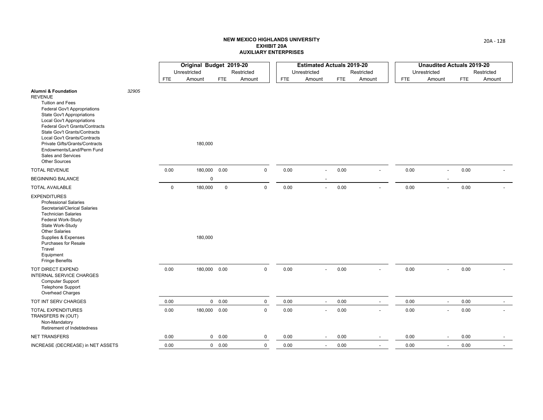|                                                                                                                                                                                                                                                                                                                                                                                                             |       |             | Original Budget 2019-20 |               |             |              | <b>Estimated Actuals 2019-20</b> |            |                          |              | <b>Unaudited Actuals 2019-20</b> |            |            |
|-------------------------------------------------------------------------------------------------------------------------------------------------------------------------------------------------------------------------------------------------------------------------------------------------------------------------------------------------------------------------------------------------------------|-------|-------------|-------------------------|---------------|-------------|--------------|----------------------------------|------------|--------------------------|--------------|----------------------------------|------------|------------|
|                                                                                                                                                                                                                                                                                                                                                                                                             |       |             | Unrestricted            |               | Restricted  | Unrestricted |                                  |            | Restricted               | Unrestricted |                                  |            | Restricted |
|                                                                                                                                                                                                                                                                                                                                                                                                             |       | FTE         | Amount                  | <b>FTE</b>    | Amount      | <b>FTE</b>   | Amount                           | <b>FTE</b> | Amount                   | FTE          | Amount                           | <b>FTE</b> | Amount     |
| <b>Alumni &amp; Foundation</b><br><b>REVENUE</b><br><b>Tuition and Fees</b><br><b>Federal Gov't Appropriations</b><br><b>State Gov't Appropriations</b><br><b>Local Gov't Appropriations</b><br>Federal Gov't Grants/Contracts<br>State Gov't Grants/Contracts<br>Local Gov't Grants/Contracts<br>Private Gifts/Grants/Contracts<br>Endowments/Land/Perm Fund<br>Sales and Services<br><b>Other Sources</b> | 32905 |             | 180,000                 |               |             |              |                                  |            |                          |              |                                  |            |            |
| <b>TOTAL REVENUE</b>                                                                                                                                                                                                                                                                                                                                                                                        |       | 0.00        | 180,000 0.00            |               | $\mathbf 0$ | 0.00         | $\overline{a}$                   | 0.00       | $\overline{\phantom{a}}$ | 0.00         | $\overline{\phantom{a}}$         | 0.00       |            |
| <b>BEGINNING BALANCE</b>                                                                                                                                                                                                                                                                                                                                                                                    |       |             | $\mathbf 0$             |               |             |              |                                  |            |                          |              |                                  |            |            |
| <b>TOTAL AVAILABLE</b>                                                                                                                                                                                                                                                                                                                                                                                      |       | $\mathsf 0$ | 180,000                 | $\mathbf 0$   | $\mathbf 0$ | 0.00         | $\overline{a}$                   | 0.00       |                          | 0.00         | $\sim$                           | 0.00       |            |
| <b>EXPENDITURES</b><br><b>Professional Salaries</b><br>Secretarial/Clerical Salaries<br><b>Technician Salaries</b><br>Federal Work-Study<br>State Work-Study<br><b>Other Salaries</b><br>Supplies & Expenses<br>Purchases for Resale<br>Travel<br>Equipment<br><b>Fringe Benefits</b>                                                                                                                       |       |             | 180,000                 |               |             |              |                                  |            |                          |              |                                  |            |            |
| TOT DIRECT EXPEND<br>INTERNAL SERVICE CHARGES<br><b>Computer Support</b><br><b>Telephone Support</b><br>Overhead Charges                                                                                                                                                                                                                                                                                    |       | 0.00        | 180,000 0.00            |               | $\mathbf 0$ | 0.00         | $\overline{a}$                   | 0.00       |                          | 0.00         |                                  | 0.00       |            |
| TOT INT SERV CHARGES                                                                                                                                                                                                                                                                                                                                                                                        |       | 0.00        |                         | $0\quad 0.00$ | $\mathbf 0$ | 0.00         | $\blacksquare$                   | 0.00       | $\overline{\phantom{a}}$ | 0.00         |                                  | 0.00       |            |
| <b>TOTAL EXPENDITURES</b><br>TRANSFERS IN (OUT)<br>Non-Mandatory<br>Retirement of Indebtedness                                                                                                                                                                                                                                                                                                              |       | 0.00        | 180,000 0.00            |               | $\mathsf 0$ | 0.00         |                                  | 0.00       |                          | 0.00         |                                  | 0.00       |            |
| <b>NET TRANSFERS</b>                                                                                                                                                                                                                                                                                                                                                                                        |       | 0.00        |                         | 0 0.00        | $\mathbf 0$ | 0.00         | $\overline{\phantom{a}}$         | 0.00       | $\overline{\phantom{a}}$ | 0.00         |                                  | 0.00       |            |
| INCREASE (DECREASE) in NET ASSETS                                                                                                                                                                                                                                                                                                                                                                           |       | 0.00        |                         | 0 0.00        | $\mathbf 0$ | 0.00         | $\overline{a}$                   | 0.00       | $\overline{\phantom{a}}$ | 0.00         |                                  | 0.00       |            |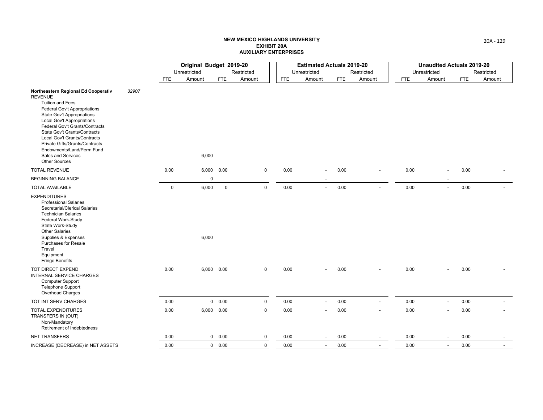|                                                                                                                                                                                                                                                                                                                                                                                                    |       |             | Original Budget 2019-20 |               |             |              | <b>Estimated Actuals 2019-20</b> |            |                          |              | <b>Unaudited Actuals 2019-20</b> |            |            |
|----------------------------------------------------------------------------------------------------------------------------------------------------------------------------------------------------------------------------------------------------------------------------------------------------------------------------------------------------------------------------------------------------|-------|-------------|-------------------------|---------------|-------------|--------------|----------------------------------|------------|--------------------------|--------------|----------------------------------|------------|------------|
|                                                                                                                                                                                                                                                                                                                                                                                                    |       |             | Unrestricted            |               | Restricted  | Unrestricted |                                  |            | Restricted               | Unrestricted |                                  |            | Restricted |
|                                                                                                                                                                                                                                                                                                                                                                                                    |       | <b>FTE</b>  | Amount                  | <b>FTE</b>    | Amount      | <b>FTE</b>   | Amount                           | <b>FTE</b> | Amount                   | <b>FTE</b>   | Amount                           | <b>FTE</b> | Amount     |
| Northeastern Regional Ed Cooperativ<br><b>REVENUE</b><br><b>Tuition and Fees</b><br>Federal Gov't Appropriations<br><b>State Gov't Appropriations</b><br><b>Local Gov't Appropriations</b><br>Federal Gov't Grants/Contracts<br>State Gov't Grants/Contracts<br>Local Gov't Grants/Contracts<br>Private Gifts/Grants/Contracts<br>Endowments/Land/Perm Fund<br>Sales and Services<br>Other Sources | 32907 |             | 6,000                   |               |             |              |                                  |            |                          |              |                                  |            |            |
| <b>TOTAL REVENUE</b>                                                                                                                                                                                                                                                                                                                                                                               |       | 0.00        |                         | 6,000 0.00    | $\mathbf 0$ | 0.00         |                                  | 0.00       | $\overline{\phantom{a}}$ | 0.00         | $\overline{\phantom{a}}$         | 0.00       |            |
| <b>BEGINNING BALANCE</b>                                                                                                                                                                                                                                                                                                                                                                           |       |             | $\pmb{0}$               |               |             |              |                                  |            |                          |              |                                  |            |            |
| <b>TOTAL AVAILABLE</b>                                                                                                                                                                                                                                                                                                                                                                             |       | $\mathbf 0$ | 6,000                   | $\mathsf 0$   | $\mathsf 0$ | 0.00         |                                  | 0.00       |                          | 0.00         |                                  | 0.00       |            |
| <b>EXPENDITURES</b><br><b>Professional Salaries</b><br>Secretarial/Clerical Salaries<br><b>Technician Salaries</b><br>Federal Work-Study<br>State Work-Study<br><b>Other Salaries</b><br>Supplies & Expenses<br><b>Purchases for Resale</b><br>Travel<br>Equipment<br><b>Fringe Benefits</b>                                                                                                       |       |             | 6,000                   |               |             |              |                                  |            |                          |              |                                  |            |            |
| TOT DIRECT EXPEND<br>INTERNAL SERVICE CHARGES<br>Computer Support<br><b>Telephone Support</b><br>Overhead Charges                                                                                                                                                                                                                                                                                  |       | 0.00        |                         | 6,000 0.00    | $\mathsf 0$ | 0.00         | $\blacksquare$                   | 0.00       |                          | 0.00         |                                  | 0.00       |            |
| TOT INT SERV CHARGES                                                                                                                                                                                                                                                                                                                                                                               |       | 0.00        |                         | 0 0.00        | $\pmb{0}$   | 0.00         |                                  | 0.00       | $\overline{\phantom{a}}$ | 0.00         |                                  | 0.00       |            |
| <b>TOTAL EXPENDITURES</b><br>TRANSFERS IN (OUT)<br>Non-Mandatory<br>Retirement of Indebtedness                                                                                                                                                                                                                                                                                                     |       | 0.00        |                         | 6,000 0.00    | $\mathsf 0$ | 0.00         |                                  | 0.00       | $\overline{a}$           | 0.00         |                                  | 0.00       |            |
| <b>NET TRANSFERS</b>                                                                                                                                                                                                                                                                                                                                                                               |       | 0.00        |                         | $0\quad 0.00$ | 0           | 0.00         |                                  | 0.00       | $\overline{\phantom{a}}$ | 0.00         |                                  | 0.00       |            |
| INCREASE (DECREASE) in NET ASSETS                                                                                                                                                                                                                                                                                                                                                                  |       | 0.00        |                         | $0\quad 0.00$ | $\mathbf 0$ | 0.00         |                                  | 0.00       | $\overline{a}$           | 0.00         | $\overline{\phantom{a}}$         | 0.00       |            |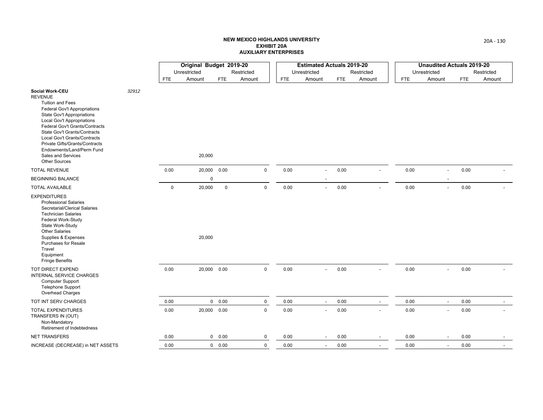|                                                                                                                                                                                                                                                                                                                                                                                       |       |              | Original Budget 2019-20 |             |              |            | <b>Estimated Actuals 2019-20</b> |                          |            |                          |      | <b>Unaudited Actuals 2019-20</b> |            |            |
|---------------------------------------------------------------------------------------------------------------------------------------------------------------------------------------------------------------------------------------------------------------------------------------------------------------------------------------------------------------------------------------|-------|--------------|-------------------------|-------------|--------------|------------|----------------------------------|--------------------------|------------|--------------------------|------|----------------------------------|------------|------------|
|                                                                                                                                                                                                                                                                                                                                                                                       |       |              | Unrestricted            |             | Restricted   |            | Unrestricted                     |                          |            | Restricted               |      | Unrestricted                     |            | Restricted |
|                                                                                                                                                                                                                                                                                                                                                                                       |       | <b>FTE</b>   | Amount                  | <b>FTE</b>  | Amount       | <b>FTE</b> | Amount                           |                          | <b>FTE</b> | Amount                   | FTE  | Amount                           | <b>FTE</b> | Amount     |
| Social Work-CEU<br><b>REVENUE</b><br><b>Tuition and Fees</b><br>Federal Gov't Appropriations<br><b>State Gov't Appropriations</b><br><b>Local Gov't Appropriations</b><br>Federal Gov't Grants/Contracts<br>State Gov't Grants/Contracts<br>Local Gov't Grants/Contracts<br>Private Gifts/Grants/Contracts<br>Endowments/Land/Perm Fund<br>Sales and Services<br><b>Other Sources</b> | 32912 |              | 20,000                  |             |              |            |                                  |                          |            |                          |      |                                  |            |            |
| <b>TOTAL REVENUE</b>                                                                                                                                                                                                                                                                                                                                                                  |       | 0.00         | 20,000 0.00             |             | $\mathsf 0$  | 0.00       |                                  | $\overline{a}$           | 0.00       | $\overline{\phantom{a}}$ | 0.00 | $\overline{\phantom{a}}$         | 0.00       |            |
| <b>BEGINNING BALANCE</b>                                                                                                                                                                                                                                                                                                                                                              |       |              | 0                       |             |              |            |                                  |                          |            |                          |      |                                  |            |            |
| <b>TOTAL AVAILABLE</b>                                                                                                                                                                                                                                                                                                                                                                |       | $\mathbf{0}$ | 20,000                  | $\mathbf 0$ | $\mathbf 0$  | 0.00       |                                  | $\blacksquare$           | 0.00       |                          | 0.00 | $\sim$                           | 0.00       |            |
| <b>EXPENDITURES</b><br><b>Professional Salaries</b><br>Secretarial/Clerical Salaries<br><b>Technician Salaries</b><br>Federal Work-Study<br>State Work-Study<br><b>Other Salaries</b><br>Supplies & Expenses<br><b>Purchases for Resale</b><br>Travel<br>Equipment<br><b>Fringe Benefits</b>                                                                                          |       |              | 20,000                  |             |              |            |                                  |                          |            |                          |      |                                  |            |            |
| TOT DIRECT EXPEND<br><b>INTERNAL SERVICE CHARGES</b><br><b>Computer Support</b><br><b>Telephone Support</b><br><b>Overhead Charges</b>                                                                                                                                                                                                                                                |       | 0.00         | 20,000 0.00             |             | $\mathsf{O}$ | 0.00       |                                  | $\overline{\phantom{a}}$ | 0.00       |                          | 0.00 |                                  | 0.00       |            |
| TOT INT SERV CHARGES                                                                                                                                                                                                                                                                                                                                                                  |       | 0.00         |                         | 0 0.00      | $\pmb{0}$    | 0.00       |                                  | $\blacksquare$           | 0.00       | $\overline{\phantom{a}}$ | 0.00 |                                  | 0.00       |            |
| <b>TOTAL EXPENDITURES</b><br>TRANSFERS IN (OUT)<br>Non-Mandatory<br>Retirement of Indebtedness                                                                                                                                                                                                                                                                                        |       | 0.00         | 20,000 0.00             |             | $\mathbf 0$  | 0.00       |                                  |                          | 0.00       |                          | 0.00 |                                  | $0.00\,$   |            |
| <b>NET TRANSFERS</b>                                                                                                                                                                                                                                                                                                                                                                  |       | 0.00         |                         | 0 0.00      | 0            | 0.00       |                                  | $\overline{\phantom{a}}$ | 0.00       | $\overline{\phantom{a}}$ | 0.00 |                                  | 0.00       |            |
| INCREASE (DECREASE) in NET ASSETS                                                                                                                                                                                                                                                                                                                                                     |       | 0.00         |                         | 0 0.00      | 0            | 0.00       |                                  | $\overline{a}$           | 0.00       | $\overline{a}$           | 0.00 |                                  | 0.00       |            |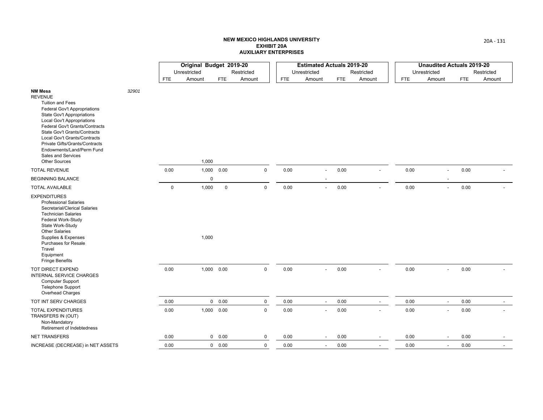|                                                                                                                                                                                                                                                                                                                                                                                      |       |             | Original Budget 2019-20 |             |             |            | <b>Estimated Actuals 2019-20</b> |            |                          |              | <b>Unaudited Actuals 2019-20</b> |            |            |
|--------------------------------------------------------------------------------------------------------------------------------------------------------------------------------------------------------------------------------------------------------------------------------------------------------------------------------------------------------------------------------------|-------|-------------|-------------------------|-------------|-------------|------------|----------------------------------|------------|--------------------------|--------------|----------------------------------|------------|------------|
|                                                                                                                                                                                                                                                                                                                                                                                      |       |             | Unrestricted            |             | Restricted  |            | Unrestricted                     |            | Restricted               | Unrestricted |                                  |            | Restricted |
|                                                                                                                                                                                                                                                                                                                                                                                      |       | <b>FTE</b>  | Amount                  | <b>FTE</b>  | Amount      | <b>FTE</b> | Amount                           | <b>FTE</b> | Amount                   | FTE          | Amount                           | <b>FTE</b> | Amount     |
| <b>NM Mesa</b><br><b>REVENUE</b><br><b>Tuition and Fees</b><br>Federal Gov't Appropriations<br><b>State Gov't Appropriations</b><br><b>Local Gov't Appropriations</b><br>Federal Gov't Grants/Contracts<br>State Gov't Grants/Contracts<br>Local Gov't Grants/Contracts<br>Private Gifts/Grants/Contracts<br>Endowments/Land/Perm Fund<br>Sales and Services<br><b>Other Sources</b> | 32901 |             | 1,000                   |             |             |            |                                  |            |                          |              |                                  |            |            |
| <b>TOTAL REVENUE</b>                                                                                                                                                                                                                                                                                                                                                                 |       | 0.00        | 1,000                   | 0.00        | $\pmb{0}$   | 0.00       | $\overline{\phantom{a}}$         | 0.00       |                          | 0.00         | $\overline{\phantom{a}}$         | 0.00       |            |
| <b>BEGINNING BALANCE</b>                                                                                                                                                                                                                                                                                                                                                             |       |             | $\mathbf 0$             |             |             |            |                                  |            |                          |              |                                  |            |            |
| <b>TOTAL AVAILABLE</b>                                                                                                                                                                                                                                                                                                                                                               |       | $\mathbf 0$ | 1,000                   | $\mathsf 0$ | $\mathbf 0$ | 0.00       | $\overline{a}$                   | 0.00       |                          | 0.00         | $\overline{a}$                   | 0.00       |            |
| <b>EXPENDITURES</b><br><b>Professional Salaries</b><br>Secretarial/Clerical Salaries<br><b>Technician Salaries</b><br>Federal Work-Study<br>State Work-Study<br><b>Other Salaries</b><br>Supplies & Expenses<br>Purchases for Resale<br>Travel<br>Equipment<br><b>Fringe Benefits</b>                                                                                                |       |             | 1,000                   |             |             |            |                                  |            |                          |              |                                  |            |            |
| TOT DIRECT EXPEND<br>INTERNAL SERVICE CHARGES<br>Computer Support<br><b>Telephone Support</b><br>Overhead Charges                                                                                                                                                                                                                                                                    |       | 0.00        |                         | 1,000 0.00  | $\mathbf 0$ | 0.00       | $\overline{a}$                   | 0.00       |                          | 0.00         | $\overline{\phantom{a}}$         | 0.00       |            |
| TOT INT SERV CHARGES                                                                                                                                                                                                                                                                                                                                                                 |       | 0.00        |                         | 0 0.00      | $\pmb{0}$   | 0.00       | $\blacksquare$                   | 0.00       | $\overline{\phantom{a}}$ | 0.00         | $\overline{\phantom{a}}$         | 0.00       |            |
| <b>TOTAL EXPENDITURES</b><br>TRANSFERS IN (OUT)<br>Non-Mandatory<br>Retirement of Indebtedness                                                                                                                                                                                                                                                                                       |       | 0.00        |                         | 1,000 0.00  | $\mathsf 0$ | 0.00       | $\overline{a}$                   | 0.00       | $\overline{a}$           | 0.00         |                                  | 0.00       |            |
| <b>NET TRANSFERS</b>                                                                                                                                                                                                                                                                                                                                                                 |       | 0.00        |                         | 0 0.00      | $\mathbf 0$ | 0.00       | $\overline{\phantom{a}}$         | 0.00       | $\overline{\phantom{a}}$ | 0.00         |                                  | 0.00       |            |
| INCREASE (DECREASE) in NET ASSETS                                                                                                                                                                                                                                                                                                                                                    |       | 0.00        |                         | 0 0.00      | $\mathbf 0$ | 0.00       | $\overline{a}$                   | 0.00       | $\overline{\phantom{a}}$ | 0.00         | $\overline{\phantom{a}}$         | 0.00       |            |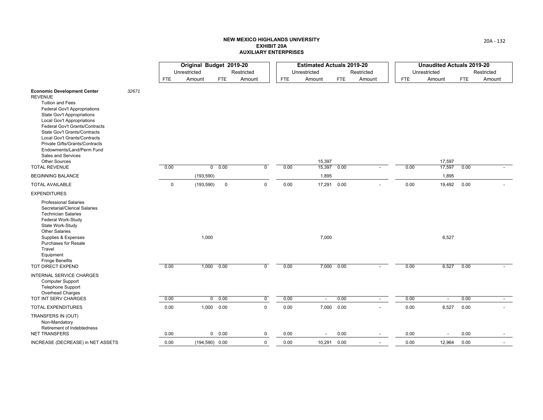|                                                                                                                                                                                                                                                                                                                                                                                                                                  |       |             | Original Budget 2019-20 |                   |                |            | <b>Estimated Actuals 2019-20</b> |            |                |            | <b>Unaudited Actuals 2019-20</b> |            |                          |
|----------------------------------------------------------------------------------------------------------------------------------------------------------------------------------------------------------------------------------------------------------------------------------------------------------------------------------------------------------------------------------------------------------------------------------|-------|-------------|-------------------------|-------------------|----------------|------------|----------------------------------|------------|----------------|------------|----------------------------------|------------|--------------------------|
|                                                                                                                                                                                                                                                                                                                                                                                                                                  |       |             | Unrestricted            |                   | Restricted     |            | Unrestricted                     |            | Restricted     |            | Unrestricted                     |            | Restricted               |
|                                                                                                                                                                                                                                                                                                                                                                                                                                  |       | <b>FTE</b>  | Amount                  | <b>FTE</b>        | Amount         | <b>FTE</b> | Amount                           | <b>FTE</b> | Amount         | <b>FTE</b> | Amount                           | <b>FTE</b> | Amount                   |
| <b>Economic Development Center</b><br><b>REVENUE</b><br><b>Tuition and Fees</b><br>Federal Gov't Appropriations<br><b>State Gov't Appropriations</b><br>Local Gov't Appropriations<br>Federal Gov't Grants/Contracts<br><b>State Gov't Grants/Contracts</b><br>Local Gov't Grants/Contracts<br>Private Gifts/Grants/Contracts<br>Endowments/Land/Perm Fund<br>Sales and Services<br><b>Other Sources</b><br><b>TOTAL REVENUE</b> | 32671 | 0.00        |                         | 0 0.00            | $\overline{0}$ | 0.00       | 15,397<br>15,397                 | 0.00       |                | 0.00       | 17,597<br>17,597                 | 0.00       |                          |
| <b>BEGINNING BALANCE</b>                                                                                                                                                                                                                                                                                                                                                                                                         |       |             | (193, 590)              |                   |                |            | 1,895                            |            |                |            | 1,895                            |            |                          |
| <b>TOTAL AVAILABLE</b>                                                                                                                                                                                                                                                                                                                                                                                                           |       | $\mathbf 0$ | (193, 590)              | $\mathbf 0$       | $\mathbf 0$    | 0.00       | 17,291                           | 0.00       | $\overline{a}$ | 0.00       | 19,492                           | 0.00       |                          |
| <b>EXPENDITURES</b>                                                                                                                                                                                                                                                                                                                                                                                                              |       |             |                         |                   |                |            |                                  |            |                |            |                                  |            |                          |
| <b>Professional Salaries</b><br>Secretarial/Clerical Salaries<br><b>Technician Salaries</b><br>Federal Work-Study<br>State Work-Study<br><b>Other Salaries</b><br>Supplies & Expenses                                                                                                                                                                                                                                            |       |             | 1,000                   |                   |                |            | 7,000                            |            |                |            | 6,527                            |            |                          |
| Purchases for Resale<br>Travel<br>Equipment<br><b>Fringe Benefits</b><br>TOT DIRECT EXPEND                                                                                                                                                                                                                                                                                                                                       |       | 0.00        |                         | $1,000$ $0.00$    | $\overline{0}$ | 0.00       | 7,000                            | 0.00       |                | 0.00       | 6,527                            | 0.00       |                          |
| <b>INTERNAL SERVICE CHARGES</b><br><b>Computer Support</b><br><b>Telephone Support</b><br>Overhead Charges                                                                                                                                                                                                                                                                                                                       |       |             |                         |                   |                |            |                                  |            |                |            |                                  |            |                          |
| TOT INT SERV CHARGES                                                                                                                                                                                                                                                                                                                                                                                                             |       | 0.00        |                         | 0 0.00            | $\overline{0}$ | 0.00       | $\sim$                           | 0.00       | $\sim$         | 0.00       | $\overline{\phantom{a}}$         | 0.00       | $\sim$                   |
| <b>TOTAL EXPENDITURES</b>                                                                                                                                                                                                                                                                                                                                                                                                        |       | 0.00        |                         | 1,000 0.00        | $\mathbf 0$    | 0.00       | 7,000                            | 0.00       | $\overline{a}$ | 0.00       | 6,527                            | 0.00       | $\overline{\phantom{a}}$ |
| TRANSFERS IN (OUT)<br>Non-Mandatory<br>Retirement of Indebtedness                                                                                                                                                                                                                                                                                                                                                                |       |             |                         |                   |                |            |                                  |            |                |            |                                  |            |                          |
| <b>NET TRANSFERS</b>                                                                                                                                                                                                                                                                                                                                                                                                             |       | 0.00        |                         | 0 0.00            | 0              | 0.00       |                                  | 0.00       |                | 0.00       |                                  | 0.00       |                          |
| INCREASE (DECREASE) in NET ASSETS                                                                                                                                                                                                                                                                                                                                                                                                |       | 0.00        |                         | $(194, 590)$ 0.00 | $\mathsf 0$    | 0.00       | 10,291 0.00                      |            | $\overline{a}$ | 0.00       | 12,964                           | 0.00       | $\overline{\phantom{a}}$ |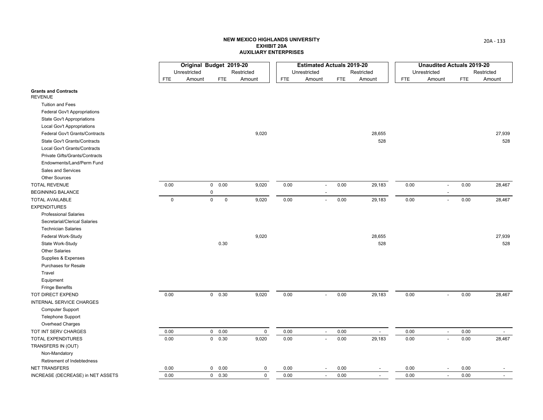|                                               |             | Original Budget 2019-20 |                            |             |              | <b>Estimated Actuals 2019-20</b> |            |                          |              | <b>Unaudited Actuals 2019-20</b> |            |                          |
|-----------------------------------------------|-------------|-------------------------|----------------------------|-------------|--------------|----------------------------------|------------|--------------------------|--------------|----------------------------------|------------|--------------------------|
|                                               |             | Unrestricted            |                            | Restricted  | Unrestricted |                                  |            | Restricted               | Unrestricted |                                  |            | Restricted               |
|                                               | <b>FTE</b>  | Amount                  | <b>FTE</b>                 | Amount      | <b>FTE</b>   | Amount                           | <b>FTE</b> | Amount                   | <b>FTE</b>   | Amount                           | <b>FTE</b> | Amount                   |
| <b>Grants and Contracts</b><br><b>REVENUE</b> |             |                         |                            |             |              |                                  |            |                          |              |                                  |            |                          |
| <b>Tuition and Fees</b>                       |             |                         |                            |             |              |                                  |            |                          |              |                                  |            |                          |
| Federal Gov't Appropriations                  |             |                         |                            |             |              |                                  |            |                          |              |                                  |            |                          |
| State Gov't Appropriations                    |             |                         |                            |             |              |                                  |            |                          |              |                                  |            |                          |
| Local Gov't Appropriations                    |             |                         |                            |             |              |                                  |            |                          |              |                                  |            |                          |
| Federal Gov't Grants/Contracts                |             |                         |                            | 9,020       |              |                                  |            | 28,655                   |              |                                  |            | 27,939                   |
| State Gov't Grants/Contracts                  |             |                         |                            |             |              |                                  |            | 528                      |              |                                  |            | 528                      |
| Local Gov't Grants/Contracts                  |             |                         |                            |             |              |                                  |            |                          |              |                                  |            |                          |
| Private Gifts/Grants/Contracts                |             |                         |                            |             |              |                                  |            |                          |              |                                  |            |                          |
| Endowments/Land/Perm Fund                     |             |                         |                            |             |              |                                  |            |                          |              |                                  |            |                          |
| Sales and Services                            |             |                         |                            |             |              |                                  |            |                          |              |                                  |            |                          |
| Other Sources                                 |             |                         |                            |             |              |                                  |            |                          |              |                                  |            |                          |
| <b>TOTAL REVENUE</b>                          | 0.00        |                         | 0 0.00                     | 9,020       | 0.00         |                                  | 0.00       | 29,183                   | 0.00         | $\overline{a}$                   | 0.00       | 28,467                   |
| <b>BEGINNING BALANCE</b>                      |             |                         | 0                          |             |              |                                  |            |                          |              |                                  |            |                          |
| <b>TOTAL AVAILABLE</b>                        | $\mathbf 0$ |                         | $\mathsf 0$<br>$\mathsf 0$ | 9,020       | 0.00         | $\overline{\phantom{a}}$         | 0.00       | 29,183                   | 0.00         | $\blacksquare$                   | 0.00       | 28,467                   |
| <b>EXPENDITURES</b>                           |             |                         |                            |             |              |                                  |            |                          |              |                                  |            |                          |
| <b>Professional Salaries</b>                  |             |                         |                            |             |              |                                  |            |                          |              |                                  |            |                          |
| Secretarial/Clerical Salaries                 |             |                         |                            |             |              |                                  |            |                          |              |                                  |            |                          |
| <b>Technician Salaries</b>                    |             |                         |                            |             |              |                                  |            |                          |              |                                  |            |                          |
| Federal Work-Study                            |             |                         |                            | 9,020       |              |                                  |            | 28,655                   |              |                                  |            | 27,939                   |
| State Work-Study                              |             |                         | 0.30                       |             |              |                                  |            | 528                      |              |                                  |            | 528                      |
| <b>Other Salaries</b>                         |             |                         |                            |             |              |                                  |            |                          |              |                                  |            |                          |
| Supplies & Expenses                           |             |                         |                            |             |              |                                  |            |                          |              |                                  |            |                          |
| Purchases for Resale                          |             |                         |                            |             |              |                                  |            |                          |              |                                  |            |                          |
| Travel                                        |             |                         |                            |             |              |                                  |            |                          |              |                                  |            |                          |
| Equipment                                     |             |                         |                            |             |              |                                  |            |                          |              |                                  |            |                          |
| <b>Fringe Benefits</b>                        |             |                         |                            |             |              |                                  |            |                          |              |                                  |            |                          |
| TOT DIRECT EXPEND                             | 0.00        |                         | 0 0.30                     | 9,020       | 0.00         |                                  | 0.00       | 29,183                   | 0.00         | $\overline{a}$                   | 0.00       | 28,467                   |
| INTERNAL SERVICE CHARGES                      |             |                         |                            |             |              |                                  |            |                          |              |                                  |            |                          |
| <b>Computer Support</b>                       |             |                         |                            |             |              |                                  |            |                          |              |                                  |            |                          |
| Telephone Support                             |             |                         |                            |             |              |                                  |            |                          |              |                                  |            |                          |
| Overhead Charges                              |             |                         |                            |             |              |                                  |            |                          |              |                                  |            |                          |
| TOT INT SERV CHARGES                          | 0.00        |                         | 0 0.00                     | $\mathsf 0$ | 0.00         | $\overline{\phantom{a}}$         | 0.00       | $\overline{\phantom{a}}$ | 0.00         | $\overline{\phantom{a}}$         | 0.00       | $\sim$                   |
| <b>TOTAL EXPENDITURES</b>                     | 0.00        |                         | $0\quad 0.30$              | 9,020       | 0.00         |                                  | 0.00       | 29,183                   | 0.00         | $\overline{\phantom{a}}$         | 0.00       | 28,467                   |
| TRANSFERS IN (OUT)                            |             |                         |                            |             |              |                                  |            |                          |              |                                  |            |                          |
| Non-Mandatory                                 |             |                         |                            |             |              |                                  |            |                          |              |                                  |            |                          |
| Retirement of Indebtedness                    |             |                         |                            |             |              |                                  |            |                          |              |                                  |            |                          |
| <b>NET TRANSFERS</b>                          | 0.00        |                         | 0 0.00                     | $\mathbf 0$ | 0.00         |                                  | 0.00       |                          | 0.00         |                                  | 0.00       |                          |
| INCREASE (DECREASE) in NET ASSETS             | 0.00        |                         | 0 0.30                     | $\mathsf 0$ | 0.00         | $\overline{\phantom{a}}$         | 0.00       | $\overline{\phantom{a}}$ | 0.00         | $\overline{\phantom{a}}$         | $0.00\,$   | $\overline{\phantom{a}}$ |
|                                               |             |                         |                            |             |              |                                  |            |                          |              |                                  |            |                          |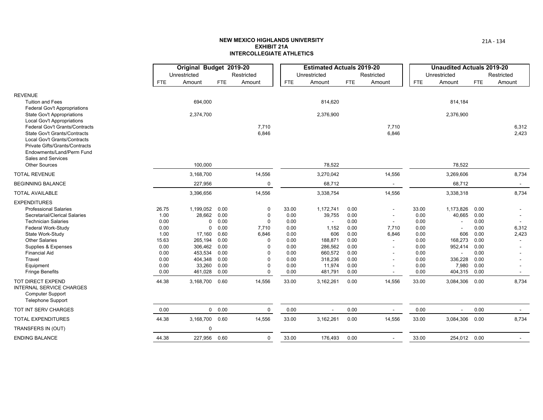|                                                                       |              | Original Budget 2019-20 |               |                      |              | <b>Estimated Actuals 2019-20</b> |              |                                   |              | <b>Unaudited Actuals 2019-20</b> |              |                |
|-----------------------------------------------------------------------|--------------|-------------------------|---------------|----------------------|--------------|----------------------------------|--------------|-----------------------------------|--------------|----------------------------------|--------------|----------------|
|                                                                       |              | Unrestricted            |               | Restricted           |              | Unrestricted                     |              | Restricted                        |              | Unrestricted                     |              | Restricted     |
|                                                                       | <b>FTE</b>   | Amount                  | <b>FTE</b>    | Amount               | FTE.         | Amount                           | <b>FTE</b>   | Amount                            | <b>FTE</b>   | Amount                           | <b>FTE</b>   | Amount         |
| <b>REVENUE</b><br><b>Tuition and Fees</b>                             |              | 694,000                 |               |                      |              | 814,620                          |              |                                   |              | 814,184                          |              |                |
| <b>Federal Gov't Appropriations</b>                                   |              |                         |               |                      |              |                                  |              |                                   |              |                                  |              |                |
| <b>State Gov't Appropriations</b>                                     |              | 2,374,700               |               |                      |              | 2,376,900                        |              |                                   |              | 2,376,900                        |              |                |
| <b>Local Gov't Appropriations</b>                                     |              |                         |               |                      |              |                                  |              |                                   |              |                                  |              |                |
| Federal Gov't Grants/Contracts<br><b>State Gov't Grants/Contracts</b> |              |                         |               | 7,710<br>6,846       |              |                                  |              | 7,710<br>6,846                    |              |                                  |              | 6,312<br>2,423 |
| <b>Local Gov't Grants/Contracts</b>                                   |              |                         |               |                      |              |                                  |              |                                   |              |                                  |              |                |
| <b>Private Gifts/Grants/Contracts</b>                                 |              |                         |               |                      |              |                                  |              |                                   |              |                                  |              |                |
| Endowments/Land/Perm Fund                                             |              |                         |               |                      |              |                                  |              |                                   |              |                                  |              |                |
| Sales and Services<br>Other Sources                                   |              |                         |               |                      |              |                                  |              |                                   |              |                                  |              |                |
|                                                                       |              | 100,000                 |               |                      |              | 78,522                           |              |                                   |              | 78,522                           |              |                |
| <b>TOTAL REVENUE</b>                                                  |              | 3,168,700               |               | 14,556               |              | 3,270,042                        |              | 14,556                            |              | 3,269,606                        |              | 8,734          |
| <b>BEGINNING BALANCE</b>                                              |              | 227,956                 |               | $\Omega$             |              | 68,712                           |              |                                   |              | 68,712                           |              |                |
| <b>TOTAL AVAILABLE</b>                                                |              | 3,396,656               |               | 14,556               |              | 3,338,754                        |              | 14,556                            |              | 3,338,318                        |              | 8,734          |
| <b>EXPENDITURES</b>                                                   |              |                         |               |                      |              |                                  |              |                                   |              |                                  |              |                |
| <b>Professional Salaries</b>                                          | 26.75        | 1,199,052               | 0.00          | $\mathbf 0$          | 33.00        | 1,172,741                        | 0.00         |                                   | 33.00        | 1,173,826                        | 0.00         |                |
| Secretarial/Clerical Salaries                                         | 1.00         | 28,662                  | 0.00          | $\Omega$             | 0.00         | 39,755                           | 0.00         |                                   | 0.00         | 40,665                           | 0.00         |                |
| <b>Technician Salaries</b><br>Federal Work-Study                      | 0.00<br>0.00 | $\Omega$<br>$\mathbf 0$ | 0.00<br>0.00  | $\Omega$<br>7,710    | 0.00<br>0.00 | 1,152                            | 0.00<br>0.00 | $\overline{\phantom{a}}$<br>7,710 | 0.00<br>0.00 | $\blacksquare$                   | 0.00<br>0.00 | 6,312          |
| State Work-Study                                                      | 1.00         | 17,160                  | 0.60          | 6,846                | 0.00         | 606                              | 0.00         | 6,846                             | 0.00         | 606                              | 0.00         | 2,423          |
| <b>Other Salaries</b>                                                 | 15.63        | 265,194                 | 0.00          | $\Omega$             | 0.00         | 188,871                          | 0.00         | $\sim$                            | 0.00         | 168,273                          | 0.00         |                |
| Supplies & Expenses                                                   | 0.00         | 306,462                 | 0.00          | $\Omega$             | 0.00         | 286,562                          | 0.00         |                                   | 0.00         | 952,414                          | 0.00         |                |
| <b>Financial Aid</b>                                                  | 0.00         | 453,534                 | 0.00          | ŋ                    | 0.00         | 660,572                          | 0.00         |                                   | 0.00         | $\blacksquare$                   | 0.00         |                |
| Travel                                                                | 0.00<br>0.00 | 404,348<br>33,260       | 0.00<br>0.00  | $\Omega$<br>$\Omega$ | 0.00<br>0.00 | 318,236                          | 0.00<br>0.00 |                                   | 0.00<br>0.00 | 336,228<br>7,980                 | 0.00<br>0.00 |                |
| Equipment<br><b>Fringe Benefits</b>                                   | 0.00         | 461,028                 | 0.00          | $\Omega$             | 0.00         | 11,974<br>481,791                | 0.00         |                                   | 0.00         | 404,315                          | 0.00         |                |
| TOT DIRECT EXPEND                                                     | 44.38        | 3,168,700               | 0.60          | 14,556               | 33.00        | 3,162,261                        | 0.00         | 14,556                            | 33.00        | 3,084,306                        | 0.00         | 8,734          |
| <b>INTERNAL SERVICE CHARGES</b>                                       |              |                         |               |                      |              |                                  |              |                                   |              |                                  |              |                |
| <b>Computer Support</b>                                               |              |                         |               |                      |              |                                  |              |                                   |              |                                  |              |                |
| <b>Telephone Support</b>                                              |              |                         |               |                      |              |                                  |              |                                   |              |                                  |              |                |
| TOT INT SERV CHARGES                                                  | 0.00         |                         | $0\quad 0.00$ | $\mathbf 0$          | 0.00         | $\sim$                           | 0.00         | $\sim$                            | 0.00         |                                  | 0.00         |                |
| <b>TOTAL EXPENDITURES</b>                                             | 44.38        | 3,168,700 0.60          |               | 14,556               | 33.00        | 3,162,261                        | 0.00         | 14,556                            | 33.00        | 3,084,306                        | 0.00         | 8,734          |
| TRANSFERS IN (OUT)                                                    |              | $\mathbf 0$             |               |                      |              |                                  |              |                                   |              |                                  |              |                |
| <b>ENDING BALANCE</b>                                                 | 44.38        | 227,956 0.60            |               | 0                    | 33.00        | 176,493                          | 0.00         |                                   | 33.00        | 254,012 0.00                     |              |                |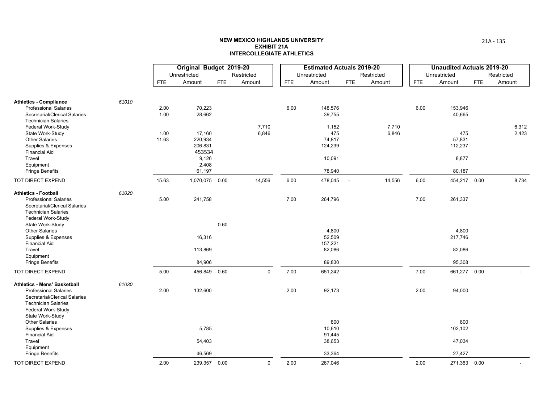|                                                                                             |       |            | Original Budget 2019-20 |            |             |            | <b>Estimated Actuals 2019-20</b> |            |            |            | <b>Unaudited Actuals 2019-20</b> |            |            |
|---------------------------------------------------------------------------------------------|-------|------------|-------------------------|------------|-------------|------------|----------------------------------|------------|------------|------------|----------------------------------|------------|------------|
|                                                                                             |       |            | Unrestricted            |            | Restricted  |            | Unrestricted                     |            | Restricted |            | Unrestricted                     |            | Restricted |
|                                                                                             |       | <b>FTE</b> | Amount                  | <b>FTE</b> | Amount      | <b>FTE</b> | Amount                           | <b>FTE</b> | Amount     | <b>FTE</b> | Amount                           | <b>FTE</b> | Amount     |
| <b>Athletics - Compliance</b><br><b>Professional Salaries</b>                               | 61010 | 2.00       | 70,223                  |            |             | 6.00       | 148,576                          |            |            | 6.00       | 153,946                          |            |            |
| Secretarial/Clerical Salaries<br><b>Technician Salaries</b>                                 |       | 1.00       | 28,662                  |            |             |            | 39,755                           |            |            |            | 40,665                           |            |            |
| Federal Work-Study                                                                          |       |            |                         |            | 7,710       |            | 1,152                            |            | 7,710      |            |                                  |            | 6,312      |
| State Work-Study                                                                            |       | 1.00       | 17,160                  |            | 6,846       |            | 475<br>74,817                    |            | 6,846      |            | 475                              |            | 2,423      |
| <b>Other Salaries</b><br>Supplies & Expenses                                                |       | 11.63      | 220,934<br>206,831      |            |             |            | 124,239                          |            |            |            | 57,831<br>112,237                |            |            |
| <b>Financial Aid</b>                                                                        |       |            | 453534                  |            |             |            |                                  |            |            |            |                                  |            |            |
| Travel                                                                                      |       |            | 9,126                   |            |             |            | 10,091                           |            |            |            | 8,877                            |            |            |
| Equipment                                                                                   |       |            | 2,408                   |            |             |            |                                  |            |            |            |                                  |            |            |
| <b>Fringe Benefits</b>                                                                      |       |            | 61,197                  |            |             |            | 78,940                           |            |            |            | 80,187                           |            |            |
| TOT DIRECT EXPEND                                                                           |       | 15.63      | 1,070,075 0.00          |            | 14,556      | 6.00       | 478,045                          | $\sim$ $-$ | 14,556     | 6.00       | 454,217 0.00                     |            | 8,734      |
| <b>Athletics - Football</b>                                                                 | 61020 |            |                         |            |             |            |                                  |            |            |            |                                  |            |            |
| <b>Professional Salaries</b><br>Secretarial/Clerical Salaries<br><b>Technician Salaries</b> |       | 5.00       | 241,758                 |            |             | 7.00       | 264,796                          |            |            | 7.00       | 261,337                          |            |            |
| Federal Work-Study<br>State Work-Study                                                      |       |            |                         | 0.60       |             |            |                                  |            |            |            |                                  |            |            |
| <b>Other Salaries</b>                                                                       |       |            |                         |            |             |            | 4,800                            |            |            |            | 4,800                            |            |            |
| Supplies & Expenses                                                                         |       |            | 16,316                  |            |             |            | 52,509                           |            |            |            | 217,746                          |            |            |
| <b>Financial Aid</b>                                                                        |       |            |                         |            |             |            | 157,221                          |            |            |            |                                  |            |            |
| Travel                                                                                      |       |            | 113,869                 |            |             |            | 82,086                           |            |            |            | 82,086                           |            |            |
| Equipment                                                                                   |       |            |                         |            |             |            |                                  |            |            |            |                                  |            |            |
| <b>Fringe Benefits</b>                                                                      |       |            | 84,906                  |            |             |            | 89,830                           |            |            |            | 95,308                           |            |            |
| TOT DIRECT EXPEND                                                                           |       | 5.00       | 456,849 0.60            |            | $\mathbf 0$ | 7.00       | 651,242                          |            |            | 7.00       | 661,277 0.00                     |            |            |
| <b>Athletics - Mens' Basketball</b>                                                         | 61030 |            |                         |            |             |            |                                  |            |            |            |                                  |            |            |
| <b>Professional Salaries</b><br>Secretarial/Clerical Salaries<br><b>Technician Salaries</b> |       | 2.00       | 132,600                 |            |             | 2.00       | 92,173                           |            |            | 2.00       | 94,000                           |            |            |
| Federal Work-Study<br>State Work-Study                                                      |       |            |                         |            |             |            |                                  |            |            |            |                                  |            |            |
| <b>Other Salaries</b>                                                                       |       |            |                         |            |             |            | 800                              |            |            |            | 800                              |            |            |
| Supplies & Expenses                                                                         |       |            | 5,785                   |            |             |            | 10,610                           |            |            |            | 102,102                          |            |            |
| <b>Financial Aid</b>                                                                        |       |            |                         |            |             |            | 91,445                           |            |            |            |                                  |            |            |
| Travel<br>Equipment                                                                         |       |            | 54,403                  |            |             |            | 38,653                           |            |            |            | 47,034                           |            |            |
| <b>Fringe Benefits</b>                                                                      |       |            | 46,569                  |            |             |            | 33,364                           |            |            |            | 27,427                           |            |            |
| TOT DIRECT EXPEND                                                                           |       | 2.00       | 239,357 0.00            |            | $\mathbf 0$ | 2.00       | 267,046                          |            |            | 2.00       | 271,363 0.00                     |            |            |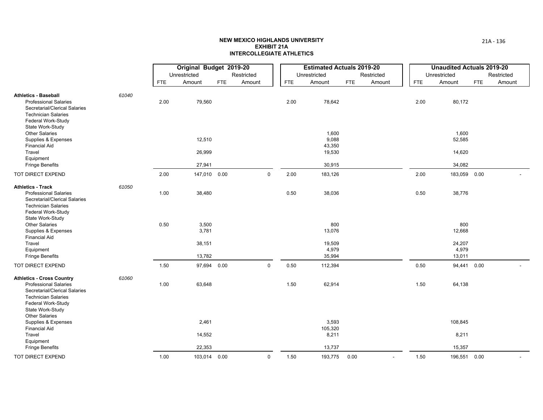|                                                                                                                                                                           |       |            | Original Budget 2019-20 |            |             |      | <b>Estimated Actuals 2019-20</b>   |            |            |            | <b>Unaudited Actuals 2019-20</b> |            |            |
|---------------------------------------------------------------------------------------------------------------------------------------------------------------------------|-------|------------|-------------------------|------------|-------------|------|------------------------------------|------------|------------|------------|----------------------------------|------------|------------|
|                                                                                                                                                                           |       |            | Unrestricted            |            | Restricted  |      | Unrestricted                       |            | Restricted |            | Unrestricted                     |            | Restricted |
|                                                                                                                                                                           |       | <b>FTE</b> | Amount                  | <b>FTE</b> | Amount      | FTE  | Amount                             | <b>FTE</b> | Amount     | <b>FTE</b> | Amount                           | <b>FTE</b> | Amount     |
| <b>Athletics - Baseball</b><br><b>Professional Salaries</b><br>Secretarial/Clerical Salaries<br><b>Technician Salaries</b><br>Federal Work-Study                          | 61040 | 2.00       | 79,560                  |            |             | 2.00 | 78,642                             |            |            | 2.00       | 80,172                           |            |            |
| State Work-Study<br><b>Other Salaries</b><br>Supplies & Expenses<br><b>Financial Aid</b><br>Travel                                                                        |       |            | 12,510<br>26,999        |            |             |      | 1,600<br>9,088<br>43,350<br>19,530 |            |            |            | 1,600<br>52,585<br>14,620        |            |            |
| Equipment<br><b>Fringe Benefits</b>                                                                                                                                       |       |            | 27,941                  |            |             |      | 30,915                             |            |            |            | 34,082                           |            |            |
| TOT DIRECT EXPEND                                                                                                                                                         |       | 2.00       | 147,010 0.00            |            | $\mathbf 0$ | 2.00 | 183,126                            |            |            | 2.00       | 183,059                          | 0.00       |            |
| <b>Athletics - Track</b><br><b>Professional Salaries</b><br>Secretarial/Clerical Salaries<br><b>Technician Salaries</b><br>Federal Work-Study                             | 61050 | 1.00       | 38,480                  |            |             | 0.50 | 38,036                             |            |            | 0.50       | 38,776                           |            |            |
| State Work-Study<br><b>Other Salaries</b><br>Supplies & Expenses<br><b>Financial Aid</b>                                                                                  |       | 0.50       | 3,500<br>3,781          |            |             |      | 800<br>13,076                      |            |            |            | 800<br>12,668                    |            |            |
| Travel<br>Equipment<br><b>Fringe Benefits</b>                                                                                                                             |       |            | 38,151<br>13,782        |            |             |      | 19,509<br>4,979<br>35,994          |            |            |            | 24,207<br>4,979<br>13,011        |            |            |
| TOT DIRECT EXPEND                                                                                                                                                         |       | 1.50       | 97,694 0.00             |            | $\pmb{0}$   | 0.50 | 112,394                            |            |            | 0.50       | 94,441 0.00                      |            |            |
| <b>Athletics - Cross Country</b><br><b>Professional Salaries</b><br>Secretarial/Clerical Salaries<br><b>Technician Salaries</b><br>Federal Work-Study<br>State Work-Study | 61060 | 1.00       | 63,648                  |            |             | 1.50 | 62,914                             |            |            | 1.50       | 64,138                           |            |            |
| <b>Other Salaries</b><br>Supplies & Expenses<br><b>Financial Aid</b><br>Travel<br>Equipment                                                                               |       |            | 2,461<br>14,552         |            |             |      | 3,593<br>105,320<br>8,211          |            |            |            | 108,845<br>8,211                 |            |            |
| <b>Fringe Benefits</b>                                                                                                                                                    |       |            | 22,353                  |            |             |      | 13,737                             |            |            |            | 15,357                           |            |            |
| TOT DIRECT EXPEND                                                                                                                                                         |       | 1.00       | 103,014 0.00            |            | $\mathsf 0$ | 1.50 | 193,775                            | 0.00       |            | 1.50       | 196,551 0.00                     |            |            |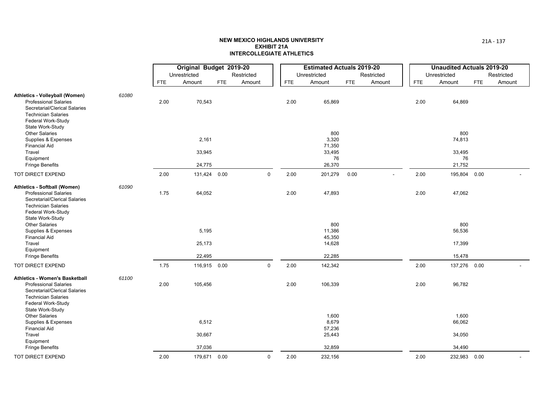|                                                                                                                                                                         |       |            | Original Budget 2019-20 |            |             |      | <b>Estimated Actuals 2019-20</b>   |            |                          |            |      | <b>Unaudited Actuals 2019-20</b> |            |            |
|-------------------------------------------------------------------------------------------------------------------------------------------------------------------------|-------|------------|-------------------------|------------|-------------|------|------------------------------------|------------|--------------------------|------------|------|----------------------------------|------------|------------|
|                                                                                                                                                                         |       |            | Unrestricted            |            | Restricted  |      | Unrestricted                       |            | Restricted               |            |      | Unrestricted                     |            | Restricted |
|                                                                                                                                                                         |       | <b>FTE</b> | Amount                  | <b>FTE</b> | Amount      | FTE  | Amount                             | <b>FTE</b> | Amount                   | <b>FTE</b> |      | Amount                           | <b>FTE</b> | Amount     |
| Athletics - Volleyball (Women)<br><b>Professional Salaries</b><br>Secretarial/Clerical Salaries<br><b>Technician Salaries</b><br>Federal Work-Study                     | 61080 | 2.00       | 70,543                  |            |             | 2.00 | 65,869                             |            |                          |            | 2.00 | 64,869                           |            |            |
| State Work-Study<br><b>Other Salaries</b><br>Supplies & Expenses<br><b>Financial Aid</b>                                                                                |       |            | 2,161                   |            |             |      | 800<br>3,320<br>71,350             |            |                          |            |      | 800<br>74,813                    |            |            |
| Travel<br>Equipment<br><b>Fringe Benefits</b>                                                                                                                           |       |            | 33,945<br>24,775        |            |             |      | 33,495<br>76<br>26,370             |            |                          |            |      | 33,495<br>76<br>21,752           |            |            |
| TOT DIRECT EXPEND                                                                                                                                                       |       | 2.00       | 131,424 0.00            |            | $\mathbf 0$ | 2.00 | 201,279                            | 0.00       | $\overline{\phantom{a}}$ |            | 2.00 | 195,804 0.00                     |            |            |
| Athletics - Softball (Women)<br><b>Professional Salaries</b><br>Secretarial/Clerical Salaries<br><b>Technician Salaries</b><br>Federal Work-Study                       | 61090 | 1.75       | 64,052                  |            |             | 2.00 | 47,893                             |            |                          |            | 2.00 | 47,062                           |            |            |
| State Work-Study<br><b>Other Salaries</b><br>Supplies & Expenses<br><b>Financial Aid</b>                                                                                |       |            | 5,195                   |            |             |      | 800<br>11,386<br>45,350            |            |                          |            |      | 800<br>56,536                    |            |            |
| Travel<br>Equipment                                                                                                                                                     |       |            | 25,173                  |            |             |      | 14,628                             |            |                          |            |      | 17,399                           |            |            |
| <b>Fringe Benefits</b>                                                                                                                                                  |       |            | 22,495                  |            |             |      | 22,285                             |            |                          |            |      | 15,478                           |            |            |
| TOT DIRECT EXPEND                                                                                                                                                       |       | 1.75       | 116,915 0.00            |            | $\mathbf 0$ | 2.00 | 142,342                            |            |                          |            | 2.00 | 137,276 0.00                     |            |            |
| Athletics - Women's Basketball<br><b>Professional Salaries</b><br>Secretarial/Clerical Salaries<br><b>Technician Salaries</b><br>Federal Work-Study<br>State Work-Study | 61100 | 2.00       | 105,456                 |            |             | 2.00 | 106,339                            |            |                          |            | 2.00 | 96,782                           |            |            |
| <b>Other Salaries</b><br>Supplies & Expenses<br><b>Financial Aid</b><br>Travel                                                                                          |       |            | 6,512<br>30,667         |            |             |      | 1,600<br>8,679<br>57,236<br>25,443 |            |                          |            |      | 1,600<br>66,062<br>34,050        |            |            |
| Equipment<br><b>Fringe Benefits</b>                                                                                                                                     |       |            | 37,036                  |            |             |      | 32,859                             |            |                          |            |      | 34,490                           |            |            |
| TOT DIRECT EXPEND                                                                                                                                                       |       | 2.00       | 179,671 0.00            |            | $\pmb{0}$   | 2.00 | 232,156                            |            |                          |            | 2.00 | 232,983 0.00                     |            |            |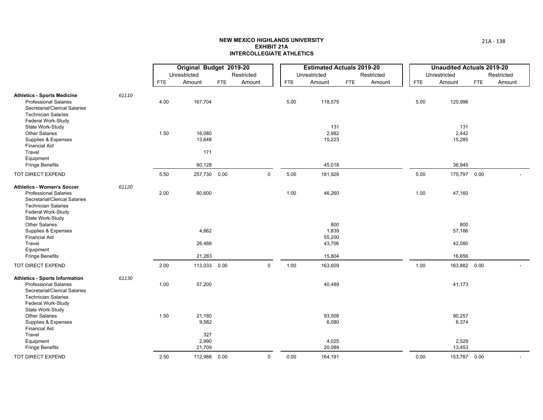|                                                                                                                                                            |       |            | Original Budget 2019-20<br>Unrestricted |     | Restricted  |            | <b>Estimated Actuals 2019-20</b><br>Unrestricted |     | Restricted |      | <b>Unaudited Actuals 2019-20</b><br>Unrestricted |            | Restricted |
|------------------------------------------------------------------------------------------------------------------------------------------------------------|-------|------------|-----------------------------------------|-----|-------------|------------|--------------------------------------------------|-----|------------|------|--------------------------------------------------|------------|------------|
|                                                                                                                                                            |       | <b>FTE</b> | Amount                                  | FTE | Amount      | <b>FTE</b> | Amount                                           | FTE | Amount     | FTE  | Amount                                           | <b>FTE</b> | Amount     |
| <b>Athletics - Sports Medicine</b><br><b>Professional Salaries</b><br>Secretarial/Clerical Salaries<br><b>Technician Salaries</b><br>Federal Work-Study    | 61110 | 4.00       | 167,704                                 |     |             | 5.00       | 118,575                                          |     |            | 5.00 | 120,996                                          |            |            |
| State Work-Study<br><b>Other Salaries</b><br>Supplies & Expenses<br><b>Financial Aid</b>                                                                   |       | 1.50       | 16,080<br>13,648                        |     |             |            | 131<br>2,982<br>15,223                           |     |            |      | 131<br>2,442<br>15,285                           |            |            |
| Travel<br>Equipment<br><b>Fringe Benefits</b>                                                                                                              |       |            | 171<br>60,128                           |     |             |            | 45,018                                           |     |            |      | 36,945                                           |            |            |
| TOT DIRECT EXPEND                                                                                                                                          |       | 5.50       | 257,730 0.00                            |     | $\Omega$    | 5.00       | 181,928                                          |     |            | 5.00 | 175,797 0.00                                     |            |            |
| <b>Athletics - Women's Soccer</b><br><b>Professional Salaries</b><br>Secretarial/Clerical Salaries<br><b>Technician Salaries</b><br>Federal Work-Study     | 61120 | 2.00       | 60,600                                  |     |             | 1.00       | 46,260                                           |     |            | 1.00 | 47,160                                           |            |            |
| State Work-Study<br><b>Other Salaries</b><br>Supplies & Expenses<br><b>Financial Aid</b>                                                                   |       |            | 4,662                                   |     |             |            | 800<br>1,839<br>55,200                           |     |            |      | 800<br>57,186                                    |            |            |
| Travel<br>Equipment<br><b>Fringe Benefits</b>                                                                                                              |       |            | 26,488<br>21,283                        |     |             |            | 43,706<br>15,804                                 |     |            |      | 42,080<br>16,656                                 |            |            |
| TOT DIRECT EXPEND                                                                                                                                          |       | 2.00       | 113,033 0.00                            |     | $\mathbf 0$ | 1.00       | 163,609                                          |     |            | 1.00 | 163,882 0.00                                     |            |            |
| <b>Athletics - Sports Information</b><br><b>Professional Salaries</b><br>Secretarial/Clerical Salaries<br><b>Technician Salaries</b><br>Federal Work-Study | 61130 | 1.00       | 57,200                                  |     |             |            | 40,489                                           |     |            |      | 41,173                                           |            |            |
| State Work-Study<br><b>Other Salaries</b><br>Supplies & Expenses<br><b>Financial Aid</b><br>Travel<br>Equipment                                            |       | 1.50       | 21,180<br>9,582<br>327<br>2,990         |     |             |            | 93,508<br>6,080<br>4,025                         |     |            |      | 90,257<br>6,374<br>2,529                         |            |            |
| <b>Fringe Benefits</b>                                                                                                                                     |       |            | 21,709                                  |     |             |            | 20,089                                           |     |            |      | 13,453                                           |            |            |
| <b>TOT DIRECT EXPEND</b>                                                                                                                                   |       | 2.50       | 112,988 0.00                            |     | $\mathbf 0$ | 0.00       | 164,191                                          |     |            | 0.00 | 153,787 0.00                                     |            |            |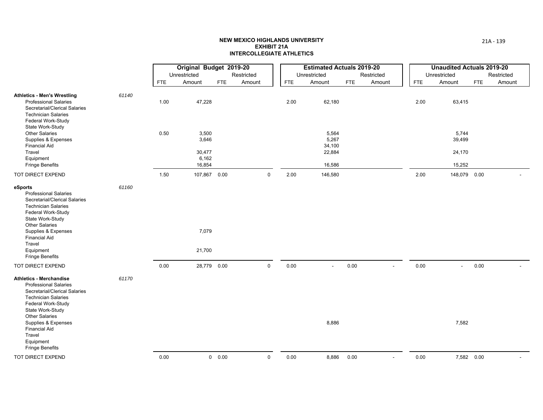|                                                                                                                                                                                                                                                                                                  |       |            | Original Budget 2019-20                     |               |            |             |            | <b>Estimated Actuals 2019-20</b>             |      |                          |      | <b>Unaudited Actuals 2019-20</b>    |            |            |
|--------------------------------------------------------------------------------------------------------------------------------------------------------------------------------------------------------------------------------------------------------------------------------------------------|-------|------------|---------------------------------------------|---------------|------------|-------------|------------|----------------------------------------------|------|--------------------------|------|-------------------------------------|------------|------------|
|                                                                                                                                                                                                                                                                                                  |       |            | Unrestricted                                |               | Restricted |             |            | Unrestricted                                 |      | Restricted               |      | Unrestricted                        |            | Restricted |
|                                                                                                                                                                                                                                                                                                  |       | <b>FTE</b> | Amount                                      | <b>FTE</b>    | Amount     |             | <b>FTE</b> | Amount                                       | FTE  | Amount                   | FTE  | Amount                              | <b>FTE</b> | Amount     |
| <b>Athletics - Men's Wrestling</b><br><b>Professional Salaries</b><br>Secretarial/Clerical Salaries<br><b>Technician Salaries</b><br>Federal Work-Study                                                                                                                                          | 61140 | 1.00       | 47,228                                      |               |            |             | 2.00       | 62,180                                       |      |                          | 2.00 | 63,415                              |            |            |
| State Work-Study<br><b>Other Salaries</b><br>Supplies & Expenses<br><b>Financial Aid</b><br>Travel<br>Equipment<br><b>Fringe Benefits</b>                                                                                                                                                        |       | 0.50       | 3,500<br>3,646<br>30,477<br>6,162<br>16,854 |               |            |             |            | 5,564<br>5,267<br>34,100<br>22,884<br>16,586 |      |                          |      | 5,744<br>39,499<br>24,170<br>15,252 |            |            |
| TOT DIRECT EXPEND                                                                                                                                                                                                                                                                                |       | 1.50       | 107,867 0.00                                |               |            | $\mathbf 0$ | 2.00       | 146,580                                      |      |                          | 2.00 | 148,079 0.00                        |            |            |
| eSports<br><b>Professional Salaries</b><br>Secretarial/Clerical Salaries<br><b>Technician Salaries</b><br>Federal Work-Study<br>State Work-Study<br><b>Other Salaries</b><br>Supplies & Expenses<br><b>Financial Aid</b><br>Travel<br>Equipment<br><b>Fringe Benefits</b>                        | 61160 |            | 7,079<br>21,700                             |               |            |             |            |                                              |      |                          |      |                                     |            |            |
| TOT DIRECT EXPEND                                                                                                                                                                                                                                                                                |       | 0.00       | 28,779 0.00                                 |               |            | $\mathbf 0$ | 0.00       | $\sim$                                       | 0.00 | ÷.                       | 0.00 | $\mathbf{r}$                        | 0.00       |            |
| <b>Athletics - Merchandise</b><br><b>Professional Salaries</b><br>Secretarial/Clerical Salaries<br><b>Technician Salaries</b><br>Federal Work-Study<br>State Work-Study<br><b>Other Salaries</b><br>Supplies & Expenses<br><b>Financial Aid</b><br>Travel<br>Equipment<br><b>Fringe Benefits</b> | 61170 |            |                                             |               |            |             |            | 8,886                                        |      |                          |      | 7,582                               |            |            |
| TOT DIRECT EXPEND                                                                                                                                                                                                                                                                                |       | 0.00       |                                             | $0\quad 0.00$ |            | $\mathbf 0$ | 0.00       | 8,886                                        | 0.00 | $\overline{\phantom{a}}$ | 0.00 | 7,582 0.00                          |            |            |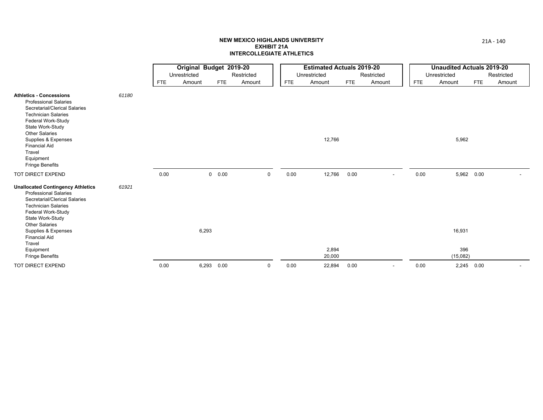|                                                                                                                                                                                                                                                                                                            |       |            | Original Budget 2019-20 |            |            |            | <b>Estimated Actuals 2019-20</b> |            |                |            | <b>Unaudited Actuals 2019-20</b> |            |            |
|------------------------------------------------------------------------------------------------------------------------------------------------------------------------------------------------------------------------------------------------------------------------------------------------------------|-------|------------|-------------------------|------------|------------|------------|----------------------------------|------------|----------------|------------|----------------------------------|------------|------------|
|                                                                                                                                                                                                                                                                                                            |       |            | Unrestricted            |            | Restricted |            | Unrestricted                     |            | Restricted     |            | Unrestricted                     |            | Restricted |
|                                                                                                                                                                                                                                                                                                            |       | <b>FTE</b> | Amount                  | FTE        | Amount     | <b>FTE</b> | Amount                           | <b>FTE</b> | Amount         | <b>FTE</b> | Amount                           | <b>FTE</b> | Amount     |
| <b>Athletics - Concessions</b><br><b>Professional Salaries</b><br>Secretarial/Clerical Salaries<br><b>Technician Salaries</b><br>Federal Work-Study<br>State Work-Study<br><b>Other Salaries</b><br>Supplies & Expenses<br><b>Financial Aid</b><br>Travel<br>Equipment<br><b>Fringe Benefits</b>           | 61180 |            |                         |            |            |            | 12,766                           |            |                |            | 5,962                            |            |            |
| TOT DIRECT EXPEND                                                                                                                                                                                                                                                                                          |       | 0.00       |                         | 0 0.00     | $\Omega$   | 0.00       | 12,766                           | 0.00       | $\blacksquare$ | 0.00       | 5,962 0.00                       |            |            |
| <b>Unallocated Contingency Athletics</b><br><b>Professional Salaries</b><br>Secretarial/Clerical Salaries<br><b>Technician Salaries</b><br>Federal Work-Study<br>State Work-Study<br><b>Other Salaries</b><br>Supplies & Expenses<br><b>Financial Aid</b><br>Travel<br>Equipment<br><b>Fringe Benefits</b> | 61921 |            | 6,293                   |            |            |            | 2,894<br>20,000                  |            |                |            | 16,931<br>396<br>(15,082)        |            |            |
| TOT DIRECT EXPEND                                                                                                                                                                                                                                                                                          |       | 0.00       |                         | 6,293 0.00 | 0          | 0.00       | 22,894                           | 0.00       |                | 0.00       | 2,245 0.00                       |            |            |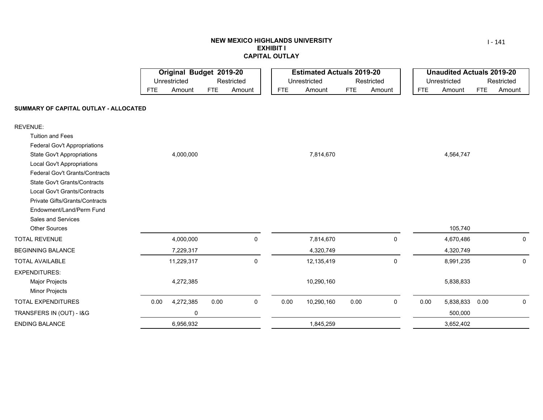## **NEW MEXICO HIGHLANDS UNIVERSITY EXHIBIT ICAPITAL OUTLAY**

|                                       |            | Original Budget 2019-20 |            |            |            |      | <b>Estimated Actuals 2019-20</b> |            |             |            | <b>Unaudited Actuals 2019-20</b> |            |             |
|---------------------------------------|------------|-------------------------|------------|------------|------------|------|----------------------------------|------------|-------------|------------|----------------------------------|------------|-------------|
|                                       |            | Unrestricted            |            | Restricted |            |      | Unrestricted                     |            | Restricted  |            | Unrestricted                     |            | Restricted  |
|                                       | <b>FTE</b> | Amount                  | <b>FTE</b> | Amount     | <b>FTE</b> |      | Amount                           | <b>FTE</b> | Amount      | <b>FTE</b> | Amount                           | <b>FTE</b> | Amount      |
| SUMMARY OF CAPITAL OUTLAY - ALLOCATED |            |                         |            |            |            |      |                                  |            |             |            |                                  |            |             |
| <b>REVENUE:</b>                       |            |                         |            |            |            |      |                                  |            |             |            |                                  |            |             |
| <b>Tuition and Fees</b>               |            |                         |            |            |            |      |                                  |            |             |            |                                  |            |             |
| <b>Federal Gov't Appropriations</b>   |            |                         |            |            |            |      |                                  |            |             |            |                                  |            |             |
| <b>State Gov't Appropriations</b>     |            | 4,000,000               |            |            |            |      | 7,814,670                        |            |             |            | 4,564,747                        |            |             |
| <b>Local Gov't Appropriations</b>     |            |                         |            |            |            |      |                                  |            |             |            |                                  |            |             |
| <b>Federal Gov't Grants/Contracts</b> |            |                         |            |            |            |      |                                  |            |             |            |                                  |            |             |
| <b>State Gov't Grants/Contracts</b>   |            |                         |            |            |            |      |                                  |            |             |            |                                  |            |             |
| Local Gov't Grants/Contracts          |            |                         |            |            |            |      |                                  |            |             |            |                                  |            |             |
| Private Gifts/Grants/Contracts        |            |                         |            |            |            |      |                                  |            |             |            |                                  |            |             |
| Endowment/Land/Perm Fund              |            |                         |            |            |            |      |                                  |            |             |            |                                  |            |             |
| Sales and Services                    |            |                         |            |            |            |      |                                  |            |             |            |                                  |            |             |
| <b>Other Sources</b>                  |            |                         |            |            |            |      |                                  |            |             |            | 105,740                          |            |             |
| <b>TOTAL REVENUE</b>                  |            | 4,000,000               |            | 0          |            |      | 7,814,670                        |            | 0           |            | 4,670,486                        |            | 0           |
| <b>BEGINNING BALANCE</b>              |            | 7,229,317               |            |            |            |      | 4,320,749                        |            |             |            | 4,320,749                        |            |             |
| <b>TOTAL AVAILABLE</b>                |            | 11,229,317              |            | 0          |            |      | 12,135,419                       |            | $\mathbf 0$ |            | 8,991,235                        |            | $\mathbf 0$ |
| <b>EXPENDITURES:</b>                  |            |                         |            |            |            |      |                                  |            |             |            |                                  |            |             |
| Major Projects                        |            | 4,272,385               |            |            |            |      | 10,290,160                       |            |             |            | 5,838,833                        |            |             |
| Minor Projects                        |            |                         |            |            |            |      |                                  |            |             |            |                                  |            |             |
| TOTAL EXPENDITURES                    | 0.00       | 4,272,385               | 0.00       | 0          |            | 0.00 | 10,290,160                       | 0.00       | 0           | 0.00       | 5,838,833                        | 0.00       | 0           |
| TRANSFERS IN (OUT) - I&G              |            | 0                       |            |            |            |      |                                  |            |             |            | 500,000                          |            |             |
| <b>ENDING BALANCE</b>                 |            | 6,956,932               |            |            |            |      | 1,845,259                        |            |             |            | 3.652.402                        |            |             |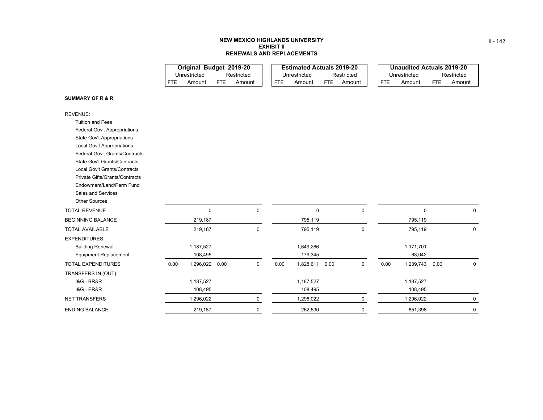## **NEW MEXICO HIGHLANDS UNIVERSITY EXHIBIT IIRENEWALS AND REPLACEMENTS**

|                            | Original Budget 2019-20 |     |        |  |     | <b>Estimated Actuals 2019-20</b> |     |            |            | <b>Unaudited Actuals 2019-20</b> |     |            |
|----------------------------|-------------------------|-----|--------|--|-----|----------------------------------|-----|------------|------------|----------------------------------|-----|------------|
| Restricted<br>Unrestricted |                         |     |        |  |     | Unrestricted                     |     | Restricted |            | Unrestricted                     |     | Restricted |
| FTF                        | Amount                  | FTF | Amount |  | FTE | Amount                           | FTE | Amount     | <b>FTE</b> | Amount                           | FTF | Amount     |

#### **SUMMARY OF R & R**

| <b>REVENUE:</b>                       |      |           |      |           |      |             |      |             |      |             |      |             |
|---------------------------------------|------|-----------|------|-----------|------|-------------|------|-------------|------|-------------|------|-------------|
| <b>Tuition and Fees</b>               |      |           |      |           |      |             |      |             |      |             |      |             |
| Federal Gov't Appropriations          |      |           |      |           |      |             |      |             |      |             |      |             |
| <b>State Gov't Appropriations</b>     |      |           |      |           |      |             |      |             |      |             |      |             |
| <b>Local Gov't Appropriations</b>     |      |           |      |           |      |             |      |             |      |             |      |             |
| <b>Federal Gov't Grants/Contracts</b> |      |           |      |           |      |             |      |             |      |             |      |             |
| <b>State Gov't Grants/Contracts</b>   |      |           |      |           |      |             |      |             |      |             |      |             |
| Local Gov't Grants/Contracts          |      |           |      |           |      |             |      |             |      |             |      |             |
| Private Gifts/Grants/Contracts        |      |           |      |           |      |             |      |             |      |             |      |             |
| Endowment/Land/Perm Fund              |      |           |      |           |      |             |      |             |      |             |      |             |
| Sales and Services                    |      |           |      |           |      |             |      |             |      |             |      |             |
| <b>Other Sources</b>                  |      |           |      |           |      |             |      |             |      |             |      |             |
| <b>TOTAL REVENUE</b>                  |      | 0         |      | 0         |      | $\mathbf 0$ |      | 0           |      | $\mathbf 0$ |      | $\mathbf 0$ |
| <b>BEGINNING BALANCE</b>              |      | 219,187   |      |           |      | 795,119     |      |             |      | 795,119     |      |             |
| <b>TOTAL AVAILABLE</b>                |      | 219,187   |      | $\pmb{0}$ |      | 795,119     |      | $\mathbf 0$ |      | 795,119     |      | $\mathbf 0$ |
| <b>EXPENDITURES:</b>                  |      |           |      |           |      |             |      |             |      |             |      |             |
| <b>Building Renewal</b>               |      | 1,187,527 |      |           |      | 1,649,266   |      |             |      | 1,171,701   |      |             |
| <b>Equipment Replacement</b>          |      | 108,495   |      |           |      | 179,345     |      |             |      | 68,042      |      |             |
| <b>TOTAL EXPENDITURES</b>             | 0.00 | 1,296,022 | 0.00 | 0         | 0.00 | 1,828,611   | 0.00 | 0           | 0.00 | 1,239,743   | 0.00 | 0           |
| TRANSFERS IN (OUT):                   |      |           |      |           |      |             |      |             |      |             |      |             |
| <b>1&amp;G - BR&amp;R</b>             |      | 1,187,527 |      |           |      | 1,187,527   |      |             |      | 1,187,527   |      |             |
| <b>1&amp;G - ER&amp;R</b>             |      | 108,495   |      |           |      | 108,495     |      |             |      | 108,495     |      |             |
| <b>NET TRANSFERS</b>                  |      | 1,296,022 |      | 0         |      | 1,296,022   |      | 0           |      | 1,296,022   |      | 0           |
| <b>ENDING BALANCE</b>                 |      | 219,187   |      | $\pmb{0}$ |      | 262,530     |      | 0           |      | 851,398     |      | 0           |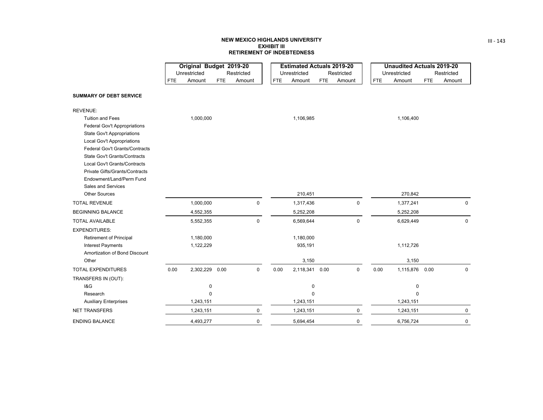## **NEW MEXICO HIGHLANDS UNIVERSITYEXHIBIT III RETIREMENT OF INDEBTEDNESS**

<u>and the state</u>

|                                       |            | Original Budget 2019-20 |            |             |            | <b>Estimated Actuals 2019-20</b> |            |             |            | <b>Unaudited Actuals 2019-20</b> |            |             |
|---------------------------------------|------------|-------------------------|------------|-------------|------------|----------------------------------|------------|-------------|------------|----------------------------------|------------|-------------|
|                                       |            | Unrestricted            |            | Restricted  |            | Unrestricted                     |            | Restricted  |            | Unrestricted                     |            | Restricted  |
|                                       | <b>FTE</b> | Amount                  | <b>FTE</b> | Amount      | <b>FTE</b> | Amount                           | <b>FTE</b> | Amount      | <b>FTE</b> | Amount                           | <b>FTE</b> | Amount      |
| <b>SUMMARY OF DEBT SERVICE</b>        |            |                         |            |             |            |                                  |            |             |            |                                  |            |             |
| <b>REVENUE:</b>                       |            |                         |            |             |            |                                  |            |             |            |                                  |            |             |
| <b>Tuition and Fees</b>               |            | 1,000,000               |            |             |            | 1,106,985                        |            |             |            | 1,106,400                        |            |             |
| Federal Gov't Appropriations          |            |                         |            |             |            |                                  |            |             |            |                                  |            |             |
| <b>State Gov't Appropriations</b>     |            |                         |            |             |            |                                  |            |             |            |                                  |            |             |
| Local Gov't Appropriations            |            |                         |            |             |            |                                  |            |             |            |                                  |            |             |
| <b>Federal Gov't Grants/Contracts</b> |            |                         |            |             |            |                                  |            |             |            |                                  |            |             |
| <b>State Gov't Grants/Contracts</b>   |            |                         |            |             |            |                                  |            |             |            |                                  |            |             |
| Local Gov't Grants/Contracts          |            |                         |            |             |            |                                  |            |             |            |                                  |            |             |
| Private Gifts/Grants/Contracts        |            |                         |            |             |            |                                  |            |             |            |                                  |            |             |
| Endowment/Land/Perm Fund              |            |                         |            |             |            |                                  |            |             |            |                                  |            |             |
| Sales and Services                    |            |                         |            |             |            |                                  |            |             |            |                                  |            |             |
| <b>Other Sources</b>                  |            |                         |            |             |            | 210,451                          |            |             |            | 270,842                          |            |             |
| <b>TOTAL REVENUE</b>                  |            | 1,000,000               |            | 0           |            | 1,317,436                        |            | $\pmb{0}$   |            | 1,377,241                        |            | $\mathbf 0$ |
| <b>BEGINNING BALANCE</b>              |            | 4,552,355               |            |             |            | 5,252,208                        |            |             |            | 5,252,208                        |            |             |
| <b>TOTAL AVAILABLE</b>                |            | 5,552,355               |            | 0           |            | 6,569,644                        |            | 0           |            | 6,629,449                        |            | $\mathbf 0$ |
| <b>EXPENDITURES:</b>                  |            |                         |            |             |            |                                  |            |             |            |                                  |            |             |
| <b>Retirement of Principal</b>        |            | 1,180,000               |            |             |            | 1,180,000                        |            |             |            |                                  |            |             |
| <b>Interest Payments</b>              |            | 1,122,229               |            |             |            | 935,191                          |            |             |            | 1,112,726                        |            |             |
| Amortization of Bond Discount         |            |                         |            |             |            |                                  |            |             |            |                                  |            |             |
| Other                                 |            |                         |            |             |            | 3,150                            |            |             |            | 3,150                            |            |             |
| <b>TOTAL EXPENDITURES</b>             | 0.00       | 2,302,229 0.00          |            | $\mathbf 0$ | 0.00       | 2,118,341 0.00                   |            | $\mathbf 0$ | 0.00       | 1,115,876 0.00                   |            | $\mathbf 0$ |
| TRANSFERS IN (OUT):                   |            |                         |            |             |            |                                  |            |             |            |                                  |            |             |
| 18G                                   |            | $\pmb{0}$               |            |             |            | 0                                |            |             |            | 0                                |            |             |
| Research                              |            | $\mathbf{0}$            |            |             |            | $\mathbf 0$                      |            |             |            | $\Omega$                         |            |             |
| <b>Auxiliary Enterprises</b>          |            | 1,243,151               |            |             |            | 1,243,151                        |            |             |            | 1,243,151                        |            |             |
| <b>NET TRANSFERS</b>                  |            | 1,243,151               |            | $\mathbf 0$ |            | 1,243,151                        |            | $\mathbf 0$ |            | 1,243,151                        |            | $\mathbf 0$ |
| <b>ENDING BALANCE</b>                 |            | 4,493,277               |            | 0           |            | 5,694,454                        |            | $\mathbf 0$ |            | 6,756,724                        |            | 0           |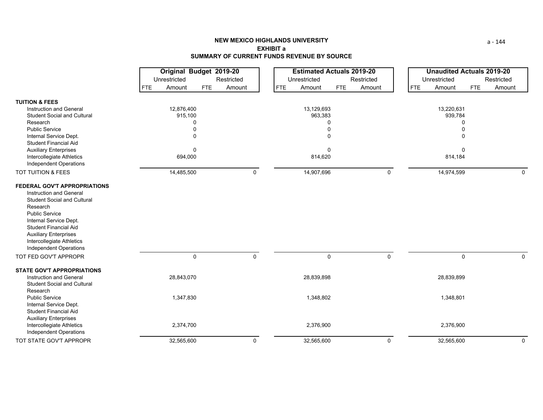# **NEW MEXICO HIGHLANDS UNIVERSITYEXHIBIT aSUMMARY OF CURRENT FUNDS REVENUE BY SOURCE**

|                                                                                                                                                                                                                                                                                            | Original Budget 2019-20<br>Unrestricted<br>Restricted |                      |                      | <b>Estimated Actuals 2019-20</b><br>Unrestricted<br>Restricted |                      | <b>Unaudited Actuals 2019-20</b><br>Unrestricted<br>Restricted |  |
|--------------------------------------------------------------------------------------------------------------------------------------------------------------------------------------------------------------------------------------------------------------------------------------------|-------------------------------------------------------|----------------------|----------------------|----------------------------------------------------------------|----------------------|----------------------------------------------------------------|--|
|                                                                                                                                                                                                                                                                                            |                                                       |                      |                      |                                                                |                      |                                                                |  |
|                                                                                                                                                                                                                                                                                            | Amount<br><b>FTE</b>                                  | Amount<br><b>FTE</b> | <b>FTE</b><br>Amount | Amount<br><b>FTE</b>                                           | <b>FTE</b><br>Amount | Amount<br><b>FTE</b>                                           |  |
| <b>TUITION &amp; FEES</b>                                                                                                                                                                                                                                                                  |                                                       |                      |                      |                                                                |                      |                                                                |  |
| Instruction and General                                                                                                                                                                                                                                                                    | 12,876,400                                            |                      | 13,129,693           |                                                                | 13,220,631           |                                                                |  |
| <b>Student Social and Cultural</b>                                                                                                                                                                                                                                                         | 915,100                                               |                      | 963,383              |                                                                | 939,784              |                                                                |  |
| Research                                                                                                                                                                                                                                                                                   | $\Omega$                                              |                      | 0                    |                                                                | 0                    |                                                                |  |
| <b>Public Service</b>                                                                                                                                                                                                                                                                      | $\Omega$                                              |                      |                      |                                                                |                      |                                                                |  |
| Internal Service Dept.                                                                                                                                                                                                                                                                     | $\Omega$                                              |                      | 0                    |                                                                | $\Omega$             |                                                                |  |
| <b>Student Financial Aid</b>                                                                                                                                                                                                                                                               |                                                       |                      |                      |                                                                |                      |                                                                |  |
| <b>Auxiliary Enterprises</b>                                                                                                                                                                                                                                                               | $\mathbf 0$                                           |                      | 0                    |                                                                | 0                    |                                                                |  |
| Intercollegiate Athletics<br><b>Independent Operations</b>                                                                                                                                                                                                                                 | 694,000                                               |                      | 814,620              |                                                                | 814,184              |                                                                |  |
| TOT TUITION & FEES                                                                                                                                                                                                                                                                         | 14,485,500                                            | 0                    | 14,907,696           | 0                                                              | 14,974,599           | 0                                                              |  |
| FEDERAL GOV'T APPROPRIATIONS<br>Instruction and General<br><b>Student Social and Cultural</b><br>Research<br><b>Public Service</b><br>Internal Service Dept.<br><b>Student Financial Aid</b><br><b>Auxiliary Enterprises</b><br>Intercollegiate Athletics<br><b>Independent Operations</b> |                                                       | $\mathbf 0$          |                      | $\mathbf 0$                                                    |                      |                                                                |  |
| TOT FED GOV'T APPROPR                                                                                                                                                                                                                                                                      |                                                       | $\mathbf 0$          | $\mathbf 0$          |                                                                | $\mathbf 0$          | $\mathbf 0$                                                    |  |
| <b>STATE GOV'T APPROPRIATIONS</b>                                                                                                                                                                                                                                                          |                                                       |                      |                      |                                                                |                      |                                                                |  |
| Instruction and General<br><b>Student Social and Cultural</b><br>Research                                                                                                                                                                                                                  | 28,843,070                                            |                      | 28,839,898           |                                                                | 28,839,899           |                                                                |  |
| <b>Public Service</b><br>Internal Service Dept.<br><b>Student Financial Aid</b><br><b>Auxiliary Enterprises</b>                                                                                                                                                                            | 1,347,830                                             |                      | 1,348,802            |                                                                | 1,348,801            |                                                                |  |
| Intercollegiate Athletics<br><b>Independent Operations</b>                                                                                                                                                                                                                                 | 2,374,700                                             |                      | 2,376,900            |                                                                | 2,376,900            |                                                                |  |
| TOT STATE GOV'T APPROPR                                                                                                                                                                                                                                                                    | 32,565,600                                            | $\mathbf 0$          | 32,565,600           | 0                                                              | 32,565,600           | 0                                                              |  |

a ‐ 144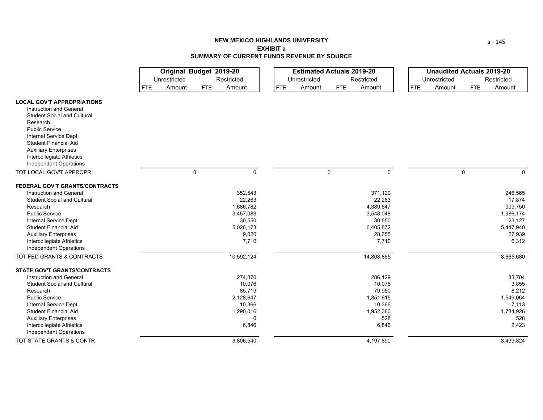|                                                                     |                      | Original Budget 2019-20 |                      | <b>Estimated Actuals 2019-20</b> | <b>Unaudited Actuals 2019-20</b> |                             |  |  |  |
|---------------------------------------------------------------------|----------------------|-------------------------|----------------------|----------------------------------|----------------------------------|-----------------------------|--|--|--|
|                                                                     | Unrestricted         | Restricted              | Unrestricted         | Restricted                       | Unrestricted                     | Restricted                  |  |  |  |
|                                                                     | Amount<br><b>FTE</b> | Amount<br><b>FTE</b>    | <b>FTE</b><br>Amount | Amount<br><b>FTE</b>             | <b>FTE</b><br>Amount             | <b>FTE</b><br>Amount        |  |  |  |
| <b>LOCAL GOV'T APPROPRIATIONS</b><br><b>Instruction and General</b> |                      |                         |                      |                                  |                                  |                             |  |  |  |
| <b>Student Social and Cultural</b>                                  |                      |                         |                      |                                  |                                  |                             |  |  |  |
| Research                                                            |                      |                         |                      |                                  |                                  |                             |  |  |  |
| <b>Public Service</b>                                               |                      |                         |                      |                                  |                                  |                             |  |  |  |
| Internal Service Dept.                                              |                      |                         |                      |                                  |                                  |                             |  |  |  |
| <b>Student Financial Aid</b>                                        |                      |                         |                      |                                  |                                  |                             |  |  |  |
| <b>Auxiliary Enterprises</b><br>Intercollegiate Athletics           |                      |                         |                      |                                  |                                  |                             |  |  |  |
| Independent Operations                                              |                      |                         |                      |                                  |                                  |                             |  |  |  |
| TOT LOCAL GOV'T APPROPR                                             |                      | 0<br>0                  | 0                    | $\mathbf 0$                      |                                  | $\mathbf 0$<br>$\mathbf{0}$ |  |  |  |
|                                                                     |                      |                         |                      |                                  |                                  |                             |  |  |  |
| FEDERAL GOV'T GRANTS/CONTRACTS                                      |                      |                         |                      |                                  |                                  |                             |  |  |  |
| <b>Instruction and General</b>                                      |                      | 352,543                 |                      | 371,120                          |                                  | 246,565                     |  |  |  |
| <b>Student Social and Cultural</b>                                  |                      | 22,263                  |                      | 22,263                           |                                  | 17,874                      |  |  |  |
| Research                                                            |                      | 1,686,782               |                      | 4,389,647                        |                                  | 909,750                     |  |  |  |
| <b>Public Service</b>                                               |                      | 3,457,083               |                      | 3,548,048                        |                                  | 1,986,174                   |  |  |  |
| Internal Service Dept.                                              |                      | 30,550                  |                      | 30,550                           |                                  | 23,127                      |  |  |  |
| <b>Student Financial Aid</b><br><b>Auxiliary Enterprises</b>        |                      | 5,026,173<br>9,020      |                      | 6,405,872<br>28,655              |                                  | 5,447,940<br>27,939         |  |  |  |
| Intercollegiate Athletics                                           |                      | 7,710                   |                      | 7,710                            |                                  | 6,312                       |  |  |  |
| Independent Operations                                              |                      |                         |                      |                                  |                                  |                             |  |  |  |
| TOT FED GRANTS & CONTRACTS                                          |                      | 10,592,124              |                      | 14,803,865                       |                                  | 8,665,680                   |  |  |  |
|                                                                     |                      |                         |                      |                                  |                                  |                             |  |  |  |
| <b>STATE GOV'T GRANTS/CONTRACTS</b>                                 |                      |                         |                      |                                  |                                  |                             |  |  |  |
| <b>Instruction and General</b>                                      |                      | 274,870                 |                      | 286,129                          |                                  | 83,704                      |  |  |  |
| <b>Student Social and Cultural</b>                                  |                      | 10,076                  |                      | 10,076                           |                                  | 3,855                       |  |  |  |
| Research                                                            |                      | 85,719                  |                      | 79,950                           |                                  | 8,212                       |  |  |  |
| <b>Public Service</b>                                               |                      | 2,128,647               |                      | 1,851,615                        |                                  | 1,549,064                   |  |  |  |
| Internal Service Dept.<br><b>Student Financial Aid</b>              |                      | 10,366<br>1,290,016     |                      | 10,366<br>1,952,380              |                                  | 7,113<br>1,784,926          |  |  |  |
| <b>Auxiliary Enterprises</b>                                        |                      | 0                       |                      | 528                              |                                  | 528                         |  |  |  |
| Intercollegiate Athletics                                           |                      | 6,846                   |                      | 6,846                            |                                  | 2,423                       |  |  |  |
| Independent Operations                                              |                      |                         |                      |                                  |                                  |                             |  |  |  |
| TOT STATE GRANTS & CONTR                                            |                      | 3,806,540               |                      | 4,197,890                        |                                  | 3,439,824                   |  |  |  |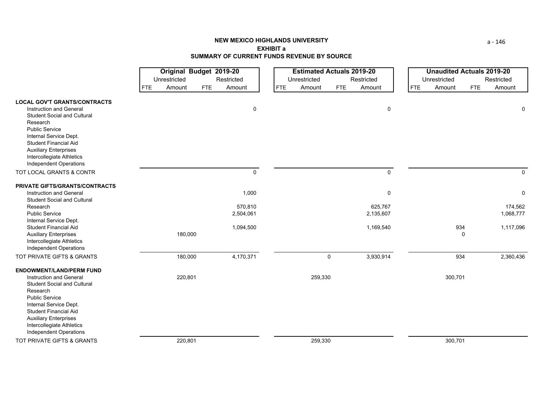|                                                                                                                                                                        |            | <b>Original Budget 2019-20</b> |            |                      | <b>Estimated Actuals 2019-20</b> |             |                      |  |            | <b>Unaudited Actuals 2019-20</b> |             |                      |  |  |
|------------------------------------------------------------------------------------------------------------------------------------------------------------------------|------------|--------------------------------|------------|----------------------|----------------------------------|-------------|----------------------|--|------------|----------------------------------|-------------|----------------------|--|--|
|                                                                                                                                                                        |            | Unrestricted                   |            | Restricted           | Unrestricted<br>Restricted       |             |                      |  |            | Unrestricted                     |             | Restricted           |  |  |
|                                                                                                                                                                        | <b>FTE</b> | Amount                         | <b>FTE</b> | Amount               | <b>FTE</b><br>Amount             | <b>FTE</b>  | Amount               |  | <b>FTE</b> | Amount                           | <b>FTE</b>  | Amount               |  |  |
| <b>LOCAL GOV'T GRANTS/CONTRACTS</b>                                                                                                                                    |            |                                |            |                      |                                  |             |                      |  |            |                                  |             |                      |  |  |
| Instruction and General<br><b>Student Social and Cultural</b><br>Research<br><b>Public Service</b><br>Internal Service Dept.<br><b>Student Financial Aid</b>           |            |                                |            | 0                    |                                  |             | $\mathbf 0$          |  |            |                                  |             | 0                    |  |  |
| <b>Auxiliary Enterprises</b><br>Intercollegiate Athletics<br>Independent Operations                                                                                    |            |                                |            |                      |                                  |             |                      |  |            |                                  |             |                      |  |  |
| TOT LOCAL GRANTS & CONTR                                                                                                                                               |            |                                |            | $\mathbf 0$          |                                  |             | $\mathbf 0$          |  |            |                                  |             | $\Omega$             |  |  |
| <b>PRIVATE GIFTS/GRANTS/CONTRACTS</b>                                                                                                                                  |            |                                |            |                      |                                  |             |                      |  |            |                                  |             |                      |  |  |
| Instruction and General<br><b>Student Social and Cultural</b>                                                                                                          |            |                                |            | 1,000                |                                  |             | $\pmb{0}$            |  |            |                                  |             | 0                    |  |  |
| Research<br><b>Public Service</b><br>Internal Service Dept.                                                                                                            |            |                                |            | 570,810<br>2,504,061 |                                  |             | 625,767<br>2,135,607 |  |            |                                  |             | 174,562<br>1,068,777 |  |  |
| <b>Student Financial Aid</b><br><b>Auxiliary Enterprises</b><br>Intercollegiate Athletics<br>Independent Operations                                                    |            | 180,000                        |            | 1,094,500            |                                  |             | 1,169,540            |  |            | 934                              | $\mathbf 0$ | 1,117,096            |  |  |
| TOT PRIVATE GIFTS & GRANTS                                                                                                                                             |            | 180,000                        |            | 4,170,371            |                                  | $\mathbf 0$ | 3,930,914            |  |            | 934                              |             | 2,360,436            |  |  |
| <b>ENDOWMENT/LAND/PERM FUND</b><br>Instruction and General<br><b>Student Social and Cultural</b><br>Research                                                           |            | 220,801                        |            |                      |                                  | 259,330     |                      |  |            | 300,701                          |             |                      |  |  |
| <b>Public Service</b><br>Internal Service Dept.<br><b>Student Financial Aid</b><br><b>Auxiliary Enterprises</b><br>Intercollegiate Athletics<br>Independent Operations |            |                                |            |                      |                                  |             |                      |  |            |                                  |             |                      |  |  |
| TOT PRIVATE GIFTS & GRANTS                                                                                                                                             |            | 220,801                        |            |                      |                                  | 259,330     |                      |  |            | 300,701                          |             |                      |  |  |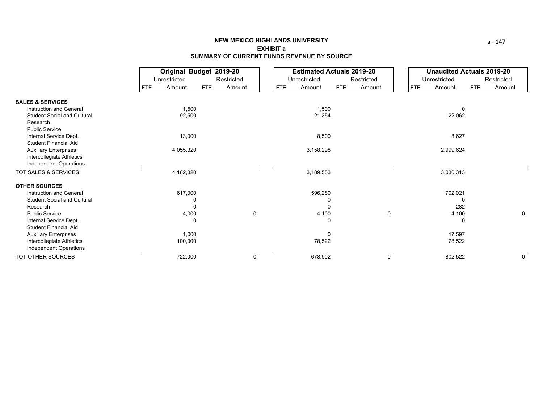|                                                        |            | Original Budget 2019-20 |            |            | <b>Estimated Actuals 2019-20</b> |           |              |        |              |            |           | <b>Unaudited Actuals 2019-20</b> |        |  |
|--------------------------------------------------------|------------|-------------------------|------------|------------|----------------------------------|-----------|--------------|--------|--------------|------------|-----------|----------------------------------|--------|--|
|                                                        |            | Unrestricted            |            | Restricted | Unrestricted<br>Restricted       |           |              |        | Unrestricted |            |           | Restricted                       |        |  |
|                                                        | <b>FTE</b> | Amount                  | <b>FTE</b> | Amount     | <b>FTE</b>                       | Amount    | <b>FTE</b>   | Amount |              | <b>FTE</b> | Amount    | <b>FTE</b>                       | Amount |  |
| <b>SALES &amp; SERVICES</b>                            |            |                         |            |            |                                  |           |              |        |              |            |           |                                  |        |  |
| <b>Instruction and General</b>                         |            | 1,500                   |            |            |                                  | 1,500     |              |        |              |            |           | 0                                |        |  |
| <b>Student Social and Cultural</b><br>Research         |            | 92,500                  |            |            |                                  | 21,254    |              |        |              |            | 22,062    |                                  |        |  |
| <b>Public Service</b>                                  |            |                         |            |            |                                  |           |              |        |              |            |           |                                  |        |  |
| Internal Service Dept.<br><b>Student Financial Aid</b> |            | 13,000                  |            |            |                                  | 8,500     |              |        |              |            | 8,627     |                                  |        |  |
| <b>Auxiliary Enterprises</b>                           |            | 4,055,320               |            |            |                                  | 3,158,298 |              |        |              |            | 2,999,624 |                                  |        |  |
| Intercollegiate Athletics<br>Independent Operations    |            |                         |            |            |                                  |           |              |        |              |            |           |                                  |        |  |
| TOT SALES & SERVICES                                   |            | 4,162,320               |            |            |                                  | 3,189,553 |              |        |              |            | 3,030,313 |                                  |        |  |
| <b>OTHER SOURCES</b>                                   |            |                         |            |            |                                  |           |              |        |              |            |           |                                  |        |  |
| Instruction and General                                |            | 617,000                 |            |            |                                  | 596,280   |              |        |              |            | 702,021   |                                  |        |  |
| <b>Student Social and Cultural</b>                     |            |                         | 0          |            |                                  |           | 0            |        |              |            |           | <sup>0</sup>                     |        |  |
| Research                                               |            |                         | 0          |            |                                  |           | 0            |        |              |            | 282       |                                  |        |  |
| <b>Public Service</b>                                  |            | 4,000                   |            | 0          |                                  | 4,100     |              | 0      |              |            | 4,100     |                                  | 0      |  |
| Internal Service Dept.                                 |            |                         | 0          |            |                                  |           | 0            |        |              |            |           | 0                                |        |  |
| <b>Student Financial Aid</b>                           |            |                         |            |            |                                  |           |              |        |              |            |           |                                  |        |  |
| <b>Auxiliary Enterprises</b>                           |            | 1,000                   |            |            |                                  |           | $\mathbf{0}$ |        |              |            | 17,597    |                                  |        |  |
| Intercollegiate Athletics<br>Independent Operations    |            | 100,000                 |            |            |                                  | 78,522    |              |        |              |            | 78,522    |                                  |        |  |
| TOT OTHER SOURCES                                      |            | 722,000                 |            | 0          |                                  | 678,902   |              | 0      |              |            | 802,522   |                                  | 0      |  |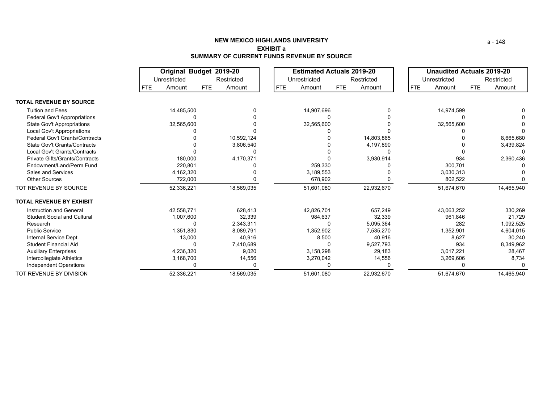|                                       |      | Original Budget 2019-20 |     |            | <b>Estimated Actuals 2019-20</b> |              |            |            |  | <b>Unaudited Actuals 2019-20</b> |              |            |            |
|---------------------------------------|------|-------------------------|-----|------------|----------------------------------|--------------|------------|------------|--|----------------------------------|--------------|------------|------------|
|                                       |      | Unrestricted            |     | Restricted |                                  | Unrestricted |            | Restricted |  |                                  | Unrestricted |            | Restricted |
|                                       | FTE. | Amount                  | FTE | Amount     | <b>FTE</b>                       | Amount       | <b>FTE</b> | Amount     |  | <b>FTE</b>                       | Amount       | <b>FTE</b> | Amount     |
| <b>TOTAL REVENUE BY SOURCE</b>        |      |                         |     |            |                                  |              |            |            |  |                                  |              |            |            |
| <b>Tuition and Fees</b>               |      | 14,485,500              |     |            |                                  | 14,907,696   |            |            |  |                                  | 14,974,599   |            |            |
| Federal Gov't Appropriations          |      |                         |     |            |                                  |              |            |            |  |                                  |              |            |            |
| <b>State Gov't Appropriations</b>     |      | 32,565,600              |     |            |                                  | 32,565,600   |            |            |  |                                  | 32,565,600   |            |            |
| Local Gov't Appropriations            |      |                         |     |            |                                  |              |            |            |  |                                  |              |            |            |
| <b>Federal Gov't Grants/Contracts</b> |      |                         |     | 10,592,124 |                                  |              |            | 14,803,865 |  |                                  |              |            | 8,665,680  |
| <b>State Gov't Grants/Contracts</b>   |      |                         |     | 3,806,540  |                                  |              |            | 4,197,890  |  |                                  |              |            | 3,439,824  |
| Local Gov't Grants/Contracts          |      |                         |     |            |                                  |              |            |            |  |                                  |              |            |            |
| Private Gifts/Grants/Contracts        |      | 180,000                 |     | 4,170,371  |                                  |              |            | 3,930,914  |  |                                  | 934          |            | 2,360,436  |
| Endowment/Land/Perm Fund              |      | 220,801                 |     |            |                                  | 259,330      |            |            |  |                                  | 300,701      |            |            |
| <b>Sales and Services</b>             |      | 4,162,320               |     |            |                                  | 3,189,553    |            |            |  |                                  | 3,030,313    |            |            |
| <b>Other Sources</b>                  |      | 722,000                 |     |            |                                  | 678,902      |            |            |  |                                  | 802,522      |            |            |
| TOT REVENUE BY SOURCE                 |      | 52,336,221              |     | 18,569,035 |                                  | 51,601,080   |            | 22,932,670 |  |                                  | 51,674,670   |            | 14,465,940 |
| <b>TOTAL REVENUE BY EXHIBIT</b>       |      |                         |     |            |                                  |              |            |            |  |                                  |              |            |            |
| Instruction and General               |      | 42.558.771              |     | 628.413    |                                  | 42.826.701   |            | 657,249    |  |                                  | 43.063.252   |            | 330,269    |
| <b>Student Social and Cultural</b>    |      | 1,007,600               |     | 32,339     |                                  | 984,637      |            | 32,339     |  |                                  | 961,846      |            | 21,729     |
| Research                              |      |                         |     | 2,343,311  |                                  |              |            | 5,095,364  |  |                                  | 282          |            | 1,092,525  |
| <b>Public Service</b>                 |      | 1,351,830               |     | 8,089,791  |                                  | 1,352,902    |            | 7,535,270  |  |                                  | 1,352,901    |            | 4,604,015  |
| Internal Service Dept.                |      | 13,000                  |     | 40,916     |                                  | 8,500        |            | 40,916     |  |                                  | 8.627        |            | 30,240     |
| Student Financial Aid                 |      |                         |     | 7,410,689  |                                  |              |            | 9,527,793  |  |                                  | 934          |            | 8,349,962  |
| <b>Auxiliary Enterprises</b>          |      | 4,236,320               |     | 9,020      |                                  | 3,158,298    |            | 29,183     |  |                                  | 3,017,221    |            | 28,467     |
| Intercollegiate Athletics             |      | 3,168,700               |     | 14,556     |                                  | 3,270,042    |            | 14,556     |  |                                  | 3,269,606    |            | 8,734      |
| <b>Independent Operations</b>         |      |                         |     |            |                                  |              |            |            |  |                                  |              |            |            |
| TOT REVENUE BY DIVISION               |      | 52,336,221              |     | 18.569.035 |                                  | 51.601.080   |            | 22.932.670 |  |                                  | 51.674.670   |            | 14.465.940 |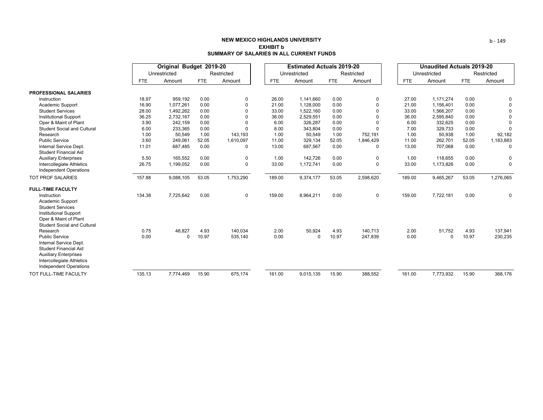|                                                                                                                                                                        |            |              | Original Budget 2019-20 |             |            | <b>Estimated Actuals 2019-20</b> |       |             | <b>Unaudited Actuals 2019-20</b> |              |       |             |  |
|------------------------------------------------------------------------------------------------------------------------------------------------------------------------|------------|--------------|-------------------------|-------------|------------|----------------------------------|-------|-------------|----------------------------------|--------------|-------|-------------|--|
|                                                                                                                                                                        |            | Unrestricted |                         | Restricted  |            | Unrestricted                     |       | Restricted  |                                  | Unrestricted |       | Restricted  |  |
|                                                                                                                                                                        | <b>FTE</b> | Amount       | <b>FTE</b>              | Amount      | <b>FTE</b> | Amount                           | FTE   | Amount      | <b>FTE</b>                       | Amount       | FTE   | Amount      |  |
| <b>PROFESSIONAL SALARIES</b>                                                                                                                                           |            |              |                         |             |            |                                  |       |             |                                  |              |       |             |  |
| Instruction                                                                                                                                                            | 18.97      | 959,192      | 0.00                    | 0           | 26.00      | 1.141.660                        | 0.00  | 0           | 27.00                            | 1,171,274    | 0.00  |             |  |
| Academic Support                                                                                                                                                       | 16.90      | 1,077,261    | 0.00                    | 0           | 21.00      | 1,128,000                        | 0.00  | $\mathbf 0$ | 21.00                            | 1.156.401    | 0.00  |             |  |
| <b>Student Services</b>                                                                                                                                                | 28.00      | 1,492,262    | 0.00                    | $\Omega$    | 33.00      | 1,522,160                        | 0.00  | $\Omega$    | 33.00                            | 1,566,207    | 0.00  |             |  |
| <b>Institutional Support</b>                                                                                                                                           | 36.25      | 2,732,167    | 0.00                    | $\Omega$    | 36.00      | 2,529,551                        | 0.00  | $\Omega$    | 36.00                            | 2,595,840    | 0.00  |             |  |
| Oper & Maint of Plant                                                                                                                                                  | 3.90       | 242,159      | 0.00                    | $\Omega$    | 6.00       | 326.287                          | 0.00  | $\Omega$    | 6.00                             | 332,625      | 0.00  |             |  |
| <b>Student Social and Cultural</b>                                                                                                                                     | 6.00       | 233,365      | 0.00                    | $\Omega$    | 8.00       | 343.804                          | 0.00  | $\Omega$    | 7.00                             | 329,733      | 0.00  | $\Omega$    |  |
| Research                                                                                                                                                               | 1.00       | 50,549       | 1.00                    | 143,193     | 1.00       | 50,549                           | 1.00  | 752,191     | 1.00                             | 50,938       | 1.00  | 92,182      |  |
| <b>Public Service</b>                                                                                                                                                  | 3.60       | 249,061      | 52.05                   | 1,610,097   | 11.00      | 329,134                          | 52.05 | 1,846,429   | 11.00                            | 262,701      | 52.05 | 1,183,883   |  |
| Internal Service Dept.<br><b>Student Financial Aid</b>                                                                                                                 | 11.01      | 687,485      | 0.00                    | $\Omega$    | 13.00      | 687,567                          | 0.00  | 0           | 13.00                            | 707,068      | 0.00  | 0           |  |
| <b>Auxiliary Enterprises</b>                                                                                                                                           | 5.50       | 165,552      | 0.00                    | 0           | 1.00       | 142,726                          | 0.00  | 0           | 1.00                             | 118.655      | 0.00  |             |  |
| Intercollegiate Athletics<br><b>Independent Operations</b>                                                                                                             | 26.75      | 1,199,052    | 0.00                    | $\mathbf 0$ | 33.00      | 1,172,741                        | 0.00  | $\mathbf 0$ | 33.00                            | 1,173,826    | 0.00  | $\mathbf 0$ |  |
| <b>TOT PROF SALARIES</b>                                                                                                                                               | 157.88     | 9,088,105    | 53.05                   | 1,753,290   | 189.00     | 9,374,177                        | 53.05 | 2,598,620   | 189.00                           | 9,465,267    | 53.05 | 1,276,065   |  |
| <b>FULL-TIME FACULTY</b>                                                                                                                                               |            |              |                         |             |            |                                  |       |             |                                  |              |       |             |  |
| Instruction<br>Academic Support<br><b>Student Services</b><br><b>Institutional Support</b><br>Oper & Maint of Plant<br><b>Student Social and Cultural</b>              | 134.38     | 7,725,642    | 0.00                    | 0           | 159.00     | 8,964,211                        | 0.00  | $\mathbf 0$ | 159.00                           | 7,722,181    | 0.00  | 0           |  |
| Research                                                                                                                                                               | 0.75       | 48,827       | 4.93                    | 140,034     | 2.00       | 50,924                           | 4.93  | 140,713     | 2.00                             | 51,752       | 4.93  | 137,941     |  |
| <b>Public Service</b><br>Internal Service Dept.<br>Student Financial Aid<br><b>Auxiliary Enterprises</b><br>Intercollegiate Athletics<br><b>Independent Operations</b> | 0.00       | 0            | 10.97                   | 535,140     | 0.00       | 0                                | 10.97 | 247,839     | 0.00                             | 0            | 10.97 | 230,235     |  |
| TOT FULL-TIME FACULTY                                                                                                                                                  | 135.13     | 7.774.469    | 15.90                   | 675.174     | 161.00     | 9.015.135                        | 15.90 | 388.552     | 161.00                           | 7,773,932    | 15.90 | 368.176     |  |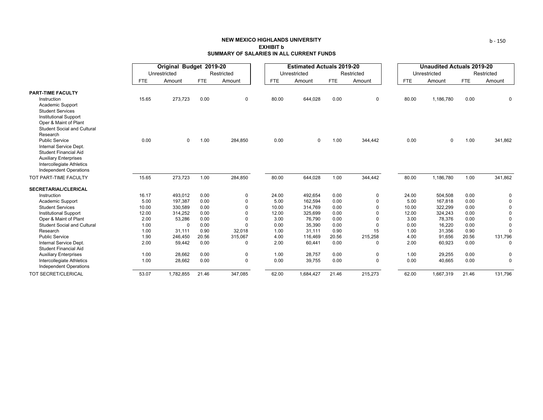|                                                             |            | Original Budget 2019-20 |            |             |            | <b>Estimated Actuals 2019-20</b> |            |              | <b>Unaudited Actuals 2019-20</b> |              |            |             |  |
|-------------------------------------------------------------|------------|-------------------------|------------|-------------|------------|----------------------------------|------------|--------------|----------------------------------|--------------|------------|-------------|--|
|                                                             |            | Unrestricted            |            | Restricted  |            | Unrestricted                     |            | Restricted   |                                  | Unrestricted |            | Restricted  |  |
|                                                             | <b>FTE</b> | Amount                  | <b>FTE</b> | Amount      | <b>FTE</b> | Amount                           | <b>FTE</b> | Amount       | <b>FTE</b>                       | Amount       | <b>FTE</b> | Amount      |  |
| <b>PART-TIME FACULTY</b>                                    |            |                         |            |             |            |                                  |            |              |                                  |              |            |             |  |
| Instruction                                                 | 15.65      | 273,723                 | 0.00       | $\mathbf 0$ | 80.00      | 644,028                          | 0.00       | 0            | 80.00                            | 1,186,780    | 0.00       | 0           |  |
| Academic Support                                            |            |                         |            |             |            |                                  |            |              |                                  |              |            |             |  |
| <b>Student Services</b>                                     |            |                         |            |             |            |                                  |            |              |                                  |              |            |             |  |
| <b>Institutional Support</b>                                |            |                         |            |             |            |                                  |            |              |                                  |              |            |             |  |
| Oper & Maint of Plant<br><b>Student Social and Cultural</b> |            |                         |            |             |            |                                  |            |              |                                  |              |            |             |  |
| Research                                                    |            |                         |            |             |            |                                  |            |              |                                  |              |            |             |  |
| <b>Public Service</b>                                       | 0.00       | $\mathbf 0$             | 1.00       | 284,850     | 0.00       | $\Omega$                         | 1.00       | 344,442      | 0.00                             | $\mathbf 0$  | 1.00       | 341,862     |  |
| Internal Service Dept.                                      |            |                         |            |             |            |                                  |            |              |                                  |              |            |             |  |
| <b>Student Financial Aid</b>                                |            |                         |            |             |            |                                  |            |              |                                  |              |            |             |  |
| <b>Auxiliary Enterprises</b>                                |            |                         |            |             |            |                                  |            |              |                                  |              |            |             |  |
| Intercollegiate Athletics                                   |            |                         |            |             |            |                                  |            |              |                                  |              |            |             |  |
| <b>Independent Operations</b>                               |            |                         |            |             |            |                                  |            |              |                                  |              |            |             |  |
| TOT PART-TIME FACULTY                                       | 15.65      | 273,723                 | 1.00       | 284,850     | 80.00      | 644,028                          | 1.00       | 344,442      | 80.00                            | 1,186,780    | 1.00       | 341,862     |  |
| <b>SECRETARIAL/CLERICAL</b>                                 |            |                         |            |             |            |                                  |            |              |                                  |              |            |             |  |
| Instruction                                                 | 16.17      | 493,012                 | 0.00       | 0           | 24.00      | 492.654                          | 0.00       | 0            | 24.00                            | 504,508      | 0.00       | 0           |  |
| Academic Support                                            | 5.00       | 197,387                 | 0.00       | $\Omega$    | 5.00       | 162.594                          | 0.00       | $\Omega$     | 5.00                             | 167,818      | 0.00       | $\mathbf 0$ |  |
| <b>Student Services</b>                                     | 10.00      | 330,589                 | 0.00       | $\Omega$    | 10.00      | 314,769                          | 0.00       | $\Omega$     | 10.00                            | 322,299      | 0.00       | $\Omega$    |  |
| <b>Institutional Support</b>                                | 12.00      | 314,252                 | 0.00       | $\Omega$    | 12.00      | 325,699                          | 0.00       | O            | 12.00                            | 324,243      | 0.00       | $\Omega$    |  |
| Oper & Maint of Plant                                       | 2.00       | 53,286                  | 0.00       | $\Omega$    | 3.00       | 76,790                           | 0.00       | $\Omega$     | 3.00                             | 78,376       | 0.00       | $\Omega$    |  |
| <b>Student Social and Cultural</b>                          | 1.00       | $\mathbf 0$             | 0.00       | $\Omega$    | 0.00       | 35,390                           | 0.00       | <sup>n</sup> | 0.00                             | 16,220       | 0.00       | $\Omega$    |  |
| Research                                                    | 1.00       | 31,111                  | 0.90       | 32,018      | 1.00       | 31,111                           | 0.90       | 15           | 1.00                             | 31,356       | 0.90       | $\Omega$    |  |
| <b>Public Service</b>                                       | 1.90       | 246,450                 | 20.56      | 315,067     | 4.00       | 116,469                          | 20.56      | 215,258      | 4.00                             | 91,656       | 20.56      | 131,796     |  |
| Internal Service Dept.                                      | 2.00       | 59,442                  | 0.00       | 0           | 2.00       | 60,441                           | 0.00       | $\Omega$     | 2.00                             | 60,923       | 0.00       | $\Omega$    |  |
| <b>Student Financial Aid</b>                                |            |                         | 0.00       |             | 1.00       |                                  |            |              |                                  |              |            |             |  |
| <b>Auxiliary Enterprises</b>                                | 1.00       | 28,662                  |            | 0           |            | 28,757                           | 0.00       | 0            | 1.00                             | 29,255       | 0.00       | 0           |  |
| Intercollegiate Athletics<br><b>Independent Operations</b>  | 1.00       | 28,662                  | 0.00       | 0           | 0.00       | 39,755                           | 0.00       | 0            | 0.00                             | 40,665       | 0.00       | $\mathbf 0$ |  |
| <b>TOT SECRET/CLERICAL</b>                                  | 53.07      | 1,782,855               | 21.46      | 347,085     | 62.00      | 1,684,427                        | 21.46      | 215,273      | 62.00                            | 1,667,319    | 21.46      | 131,796     |  |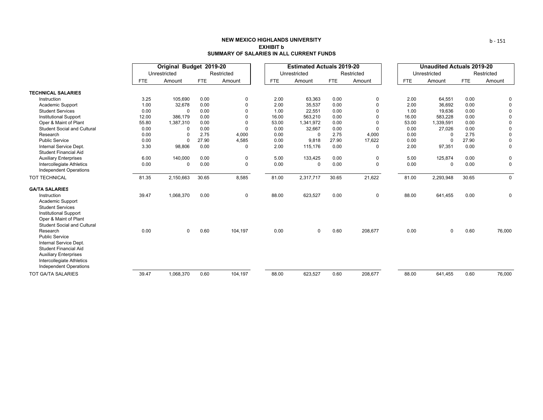|                                                                                                                                                                                    |            |              | Original Budget 2019-20 |             |            | <b>Estimated Actuals 2019-20</b> |            |             | <b>Unaudited Actuals 2019-20</b> |              |            |  |
|------------------------------------------------------------------------------------------------------------------------------------------------------------------------------------|------------|--------------|-------------------------|-------------|------------|----------------------------------|------------|-------------|----------------------------------|--------------|------------|--|
|                                                                                                                                                                                    |            | Unrestricted |                         | Restricted  |            | Unrestricted                     |            | Restricted  |                                  | Unrestricted | Restricted |  |
|                                                                                                                                                                                    | <b>FTE</b> | Amount       | <b>FTE</b>              | Amount      | <b>FTE</b> | Amount                           | <b>FTE</b> | Amount      | <b>FTE</b>                       | Amount       | FTE        |  |
| <b>TECHNICAL SALARIES</b>                                                                                                                                                          |            |              |                         |             |            |                                  |            |             |                                  |              |            |  |
| Instruction                                                                                                                                                                        | 3.25       | 105,690      | 0.00                    | $\mathbf 0$ | 2.00       | 63,363                           | 0.00       | 0           | 2.00                             | 64,551       | 0.00       |  |
| Academic Support                                                                                                                                                                   | 1.00       | 32,678       | 0.00                    | $\Omega$    | 2.00       | 35,537                           | 0.00       | $\Omega$    | 2.00                             | 36,692       | 0.00       |  |
| <b>Student Services</b>                                                                                                                                                            | 0.00       | $\Omega$     | 0.00                    | $\Omega$    | 1.00       | 22,551                           | 0.00       | $\Omega$    | 1.00                             | 19,636       | 0.00       |  |
| <b>Institutional Support</b>                                                                                                                                                       | 12.00      | 386,179      | 0.00                    | $\Omega$    | 16.00      | 563,210                          | 0.00       | $\Omega$    | 16.00                            | 583,228      | 0.00       |  |
| Oper & Maint of Plant                                                                                                                                                              | 55.80      | 1,387,310    | 0.00                    | $\Omega$    | 53.00      | 1,341,972                        | 0.00       | $\Omega$    | 53.00                            | 1,339,591    | 0.00       |  |
| <b>Student Social and Cultural</b>                                                                                                                                                 | 0.00       | $\mathbf 0$  | 0.00                    | $\Omega$    | 0.00       | 32,667                           | 0.00       | $\Omega$    | 0.00                             | 27,026       | 0.00       |  |
| Research                                                                                                                                                                           | 0.00       | 0            | 2.75                    | 4,000       | 0.00       | $\Omega$                         | 2.75       | 4,000       | 0.00                             | $\Omega$     | 2.75       |  |
| <b>Public Service</b>                                                                                                                                                              | 0.00       | 0            | 27.90                   | 4,585       | 0.00       | 9,818                            | 27.90      | 17,622      | 0.00                             | $\Omega$     | 27.90      |  |
| Internal Service Dept.<br><b>Student Financial Aid</b>                                                                                                                             | 3.30       | 98,806       | 0.00                    | $\Omega$    | 2.00       | 115,176                          | 0.00       | $\Omega$    | 2.00                             | 97,351       | 0.00       |  |
| <b>Auxiliary Enterprises</b>                                                                                                                                                       | 6.00       | 140,000      | 0.00                    | 0           | 5.00       | 133,425                          | 0.00       | 0           | 5.00                             | 125,874      | 0.00       |  |
| Intercollegiate Athletics<br><b>Independent Operations</b>                                                                                                                         | 0.00       | $\mathbf 0$  | 0.00                    | $\mathbf 0$ | 0.00       | $\mathbf 0$                      | 0.00       | $\mathbf 0$ | 0.00                             | $\Omega$     | 0.00       |  |
| <b>TOT TECHNICAL</b>                                                                                                                                                               | 81.35      | 2,150,663    | 30.65                   | 8,585       | 81.00      | 2,317,717                        | 30.65      | 21,622      | 81.00                            | 2,293,948    | 30.65      |  |
| <b>GA/TA SALARIES</b>                                                                                                                                                              |            |              |                         |             |            |                                  |            |             |                                  |              |            |  |
| Instruction<br>Academic Support<br><b>Student Services</b><br><b>Institutional Support</b><br>Oper & Maint of Plant<br><b>Student Social and Cultural</b>                          | 39.47      | 1,068,370    | 0.00                    | $\mathbf 0$ | 88.00      | 623,527                          | 0.00       | $\mathbf 0$ | 88.00                            | 641,455      | 0.00       |  |
| Research<br><b>Public Service</b><br>Internal Service Dept.<br>Student Financial Aid<br><b>Auxiliary Enterprises</b><br>Intercollegiate Athletics<br><b>Independent Operations</b> | 0.00       | $\mathbf 0$  | 0.60                    | 104,197     | 0.00       | $\mathbf 0$                      | 0.60       | 208,677     | 0.00                             | 0            | 0.60       |  |
| <b>TOT GA/TA SALARIES</b>                                                                                                                                                          | 39.47      | 1.068.370    | 0.60                    | 104.197     | 88.00      | 623.527                          | 0.60       | 208.677     | 88.00                            | 641.455      | 0.60       |  |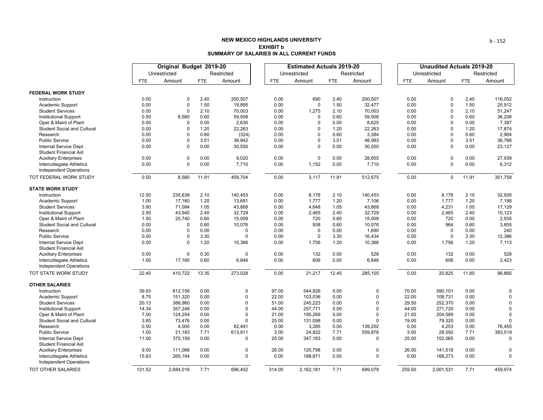|                                                            | Original Budget 2019-20 |              |            | <b>Estimated Actuals 2019-20</b> |            |              |            |             | <b>Unaudited Actuals 2019-20</b> |            |              |            |             |
|------------------------------------------------------------|-------------------------|--------------|------------|----------------------------------|------------|--------------|------------|-------------|----------------------------------|------------|--------------|------------|-------------|
|                                                            |                         | Unrestricted |            | Restricted                       |            | Unrestricted |            | Restricted  |                                  |            | Unrestricted |            | Restricted  |
|                                                            | <b>FTE</b>              | Amount       | <b>FTE</b> | Amount                           | <b>FTE</b> | Amount       | <b>FTE</b> | Amount      |                                  | <b>FTE</b> | Amount       | <b>FTE</b> | Amount      |
| <b>FEDERAL WORK STUDY</b>                                  |                         |              |            |                                  |            |              |            |             |                                  |            |              |            |             |
| Instruction                                                | 0.00                    | $\Omega$     | 2.40       | 200,507                          | 0.00       | 690          | 2.40       | 200,507     |                                  | 0.00       | 0            | 2.40       | 116,052     |
| Academic Support                                           | 0.00                    | $\mathbf 0$  | 1.50       | 19,895                           | 0.00       | $\Omega$     | 1.50       | 32,477      |                                  | 0.00       | $\Omega$     | 1.50       | 25,912      |
| <b>Student Services</b>                                    | 0.00                    | $\Omega$     | 2.10       | 70,003                           | 0.00       | 1,275        | 2.10       | 70,003      |                                  | 0.00       | $\Omega$     | 2.10       | 51,247      |
| <b>Institutional Support</b>                               | 0.50                    | 8,580        | 0.60       | 59,508                           | 0.00       | $\Omega$     | 0.60       | 59,508      |                                  | 0.00       | $\Omega$     | 0.60       | 36,208      |
| Oper & Maint of Plant                                      | 0.00                    | $\mathbf 0$  | 0.00       | 2,630                            | 0.00       | $\mathbf 0$  | 0.00       | 8,625       |                                  | 0.00       | $\mathbf 0$  | 0.00       | 7,397       |
| <b>Student Social and Cultural</b>                         | 0.00                    | 0            | 1.20       | 22,263                           | 0.00       | 0            | 1.20       | 22,263      |                                  | 0.00       | 0            | 1.20       | 17,874      |
| Research                                                   | 0.00                    | $\Omega$     | 0.60       | (324)                            | 0.00       | $\mathbf 0$  | 0.60       | 3,384       |                                  | 0.00       | $\Omega$     | 0.60       | 2,904       |
| <b>Public Service</b>                                      | 0.00                    | $\mathbf 0$  | 3.51       | 36,942                           | 0.00       | $\mathbf 0$  | 3.51       | 48,993      |                                  | 0.00       | $\Omega$     | 3.51       | 36,788      |
| Internal Service Dept.                                     | 0.00                    | $\Omega$     | 0.00       | 30,550                           | 0.00       | $\mathbf 0$  | 0.00       | 30,550      |                                  | 0.00       | $\Omega$     | 0.00       | 23,127      |
| <b>Student Financial Aid</b>                               |                         |              |            |                                  |            |              |            |             |                                  |            |              |            |             |
| <b>Auxiliary Enterprises</b>                               | 0.00                    | $\mathbf 0$  | 0.00       | 9,020                            | 0.00       | $\mathbf 0$  | 0.00       | 28,655      |                                  | 0.00       | 0            | 0.00       | 27,939      |
| Intercollegiate Athletics                                  | 0.00                    | $\Omega$     | 0.00       | 7,710                            | 0.00       | 1,152        | 0.00       | 7,710       |                                  | 0.00       | $\Omega$     | 0.00       | 6,312       |
| <b>Independent Operations</b>                              |                         |              |            |                                  |            |              |            |             |                                  |            |              |            |             |
| TOT FEDERAL WORK STUDY                                     | 0.50                    | 8,580        | 11.91      | 458,704                          | 0.00       | 3,117        | 11.91      | 512,675     |                                  | 0.00       | 0            | 11.91      | 351,758     |
| <b>STATE WORK STUDY</b>                                    |                         |              |            |                                  |            |              |            |             |                                  |            |              |            |             |
| Instruction                                                | 12.50                   | 235,638      | 2.10       | 140,453                          | 0.00       | 8,176        | 2.10       | 140,453     |                                  | 0.00       | 8,176        | 2.10       | 32,935      |
| Academic Support                                           | 1.00                    | 17,160       | 1.20       | 13,681                           | 0.00       | 1,777        | 1.20       | 7,106       |                                  | 0.00       | 1,777        | 1.20       | 7,198       |
| <b>Student Services</b>                                    | 3.90                    | 71,084       | 1.05       | 43,868                           | 0.00       | 4,648        | 1.05       | 43,868      |                                  | 0.00       | 4,231        | 1.05       | 17,129      |
| <b>Institutional Support</b>                               | 2.50                    | 43,940       | 2.40       | 32,729                           | 0.00       | 2,465        | 2.40       | 32,729      |                                  | 0.00       | 2,465        | 2.40       | 10,123      |
| Oper & Maint of Plant                                      | 1.50                    | 25,740       | 0.60       | 15,009                           | 0.00       | 720          | 0.60       | 15,009      |                                  | 0.00       | 720          | 0.00       | 2,935       |
| <b>Student Social and Cultural</b>                         | 0.00                    | 0            | 0.60       | 10,076                           | 0.00       | 938          | 0.60       | 10,076      |                                  | 0.00       | 964          | 0.60       | 3,855       |
| Research                                                   | 0.00                    | $\Omega$     | 0.00       | $\mathbf 0$                      | 0.00       | $\mathbf 0$  | 0.00       | 1,690       |                                  | 0.00       | $\mathbf 0$  | 0.00       | 240         |
| <b>Public Service</b>                                      | 0.00                    | $\mathbf 0$  | 3.30       | $\Omega$                         | 0.00       | $\mathbf 0$  | 3.30       | 16,434      |                                  | 0.00       | $\Omega$     | 3.30       | 12,386      |
| Internal Service Dept.                                     | 0.00                    | $\Omega$     | 1.20       | 10,366                           | 0.00       | 1,756        | 1.20       | 10,366      |                                  | 0.00       | 1,756        | 1.20       | 7,113       |
| <b>Student Financial Aid</b>                               |                         |              |            |                                  |            |              |            |             |                                  |            |              |            |             |
| <b>Auxiliary Enterprises</b>                               | 0.00                    | $\mathbf 0$  | 0.30       | $\mathbf 0$                      | 0.00       | 132          | 0.00       | 528         |                                  | 0.00       | 132          | 0.00       | 528         |
| Intercollegiate Athletics<br><b>Independent Operations</b> | 1.00                    | 17,160       | 0.60       | 6,846                            | 0.00       | 606          | 0.00       | 6,846       |                                  | 0.00       | 606          | 0.00       | 2,423       |
| TOT STATE WORK STUDY                                       | 22.40                   | 410,722      | 13.35      | 273,028                          | 0.00       | 21,217       | 12.45      | 285,105     |                                  | 0.00       | 20,825       | 11.85      | 96,865      |
| <b>OTHER SALARIES</b>                                      |                         |              |            |                                  |            |              |            |             |                                  |            |              |            |             |
| Instruction                                                | 39.83                   | 812,156      | 0.00       | 0                                | 97.00      | 544,826      | 0.00       | $\mathbf 0$ |                                  | 70.00      | 590,101      | 0.00       | 0           |
| Academic Support                                           | 8.75                    | 151,320      | 0.00       | $\Omega$                         | 22.00      | 103,036      | 0.00       | $\Omega$    |                                  | 22.00      | 108,731      | 0.00       | $\mathbf 0$ |
| <b>Student Services</b>                                    | 20.13                   | 388,960      | 0.00       | $\Omega$                         | 51.00      | 245,223      | 0.00       | $\Omega$    |                                  | 29.50      | 252,370      | 0.00       | $\Omega$    |
| <b>Institutional Support</b>                               | 14.34                   | 357,248      | 0.00       | $\Omega$                         | 44.00      | 257,771      | 0.00       | $\Omega$    |                                  | 44.00      | 271,720      | 0.00       | $\Omega$    |
| Oper & Maint of Plant                                      | 7.00                    | 124,254      | 0.00       | $\Omega$                         | 21.00      | 195,269      | 0.00       | $\Omega$    |                                  | 21.00      | 204,589      | 0.00       | $\mathbf 0$ |
| <b>Student Social and Cultural</b>                         | 3.85                    | 73,476       | 0.00       | $\Omega$                         | 25.00      | 131,098      | 0.00       | $\Omega$    |                                  | 19.00      | 79,320       | 0.00       | $\Omega$    |
| Research                                                   | 0.50                    | 4,000        | 0.00       | 82,491                           | 0.00       | 3,285        | 0.00       | 139,202     |                                  | 0.00       | 4,253        | 0.00       | 76,455      |
| <b>Public Service</b>                                      | 1.00                    | 21,183       | 7.71       | 613,911                          | 3.00       | 24,822       | 7.71       | 559,876     |                                  | 3.00       | 28,592       | 7.71       | 383,519     |
| Internal Service Dept.<br><b>Student Financial Aid</b>     | 11.00                   | 375,159      | 0.00       | $\mathbf 0$                      | 25.00      | 347,183      | 0.00       | $\Omega$    |                                  | 25.00      | 152,065      | 0.00       | $\Omega$    |
| <b>Auxiliary Enterprises</b>                               | 9.50                    | 111,066      | 0.00       | $\mathbf 0$                      | 26.00      | 120,798      | 0.00       | $\mathbf 0$ |                                  | 26.00      | 141,518      | 0.00       | 0           |
| Intercollegiate Athletics<br><b>Independent Operations</b> | 15.63                   | 265,194      | 0.00       | $\mathbf{0}$                     | 0.00       | 188,871      | 0.00       | $\Omega$    |                                  | 0.00       | 168,273      | 0.00       | $\Omega$    |
| TOT OTHER SALARIES                                         | 131.52                  | 2.684.016    | 7.71       | 696.402                          | 314.00     | 2.162.181    | 7.71       | 699.078     |                                  | 259.50     | 2.001.531    | 7.71       | 459.974     |

b ‐ 152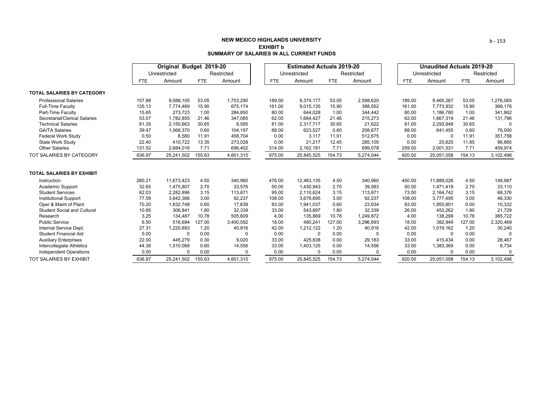|                                    |        | Original Budget 2019-20 |            |            |            | <b>Estimated Actuals 2019-20</b> |            |            | <b>Unaudited Actuals 2019-20</b> |              |            |            |  |
|------------------------------------|--------|-------------------------|------------|------------|------------|----------------------------------|------------|------------|----------------------------------|--------------|------------|------------|--|
|                                    |        | Unrestricted            |            | Restricted |            | Unrestricted                     |            | Restricted |                                  | Unrestricted |            | Restricted |  |
|                                    | FTE    | Amount                  | <b>FTE</b> | Amount     | <b>FTE</b> | Amount                           | <b>FTE</b> | Amount     | <b>FTE</b>                       | Amount       | <b>FTE</b> | Amount     |  |
| <b>TOTAL SALARIES BY CATEGORY</b>  |        |                         |            |            |            |                                  |            |            |                                  |              |            |            |  |
| <b>Professional Salaries</b>       | 157.88 | 9,088,105               | 53.05      | 1,753,290  | 189.00     | 9,374,177                        | 53.05      | 2,598,620  | 189.00                           | 9,465,267    | 53.05      | 1,276,065  |  |
| <b>Full-Time Faculty</b>           | 135.13 | 7,774,469               | 15.90      | 675,174    | 161.00     | 9,015,135                        | 15.90      | 388,552    | 161.00                           | 7,773,932    | 15.90      | 368,176    |  |
| Part-Time Faculty                  | 15.65  | 273,723                 | 1.00       | 284,850    | 80.00      | 644,028                          | 1.00       | 344,442    | 80.00                            | 1,186,780    | 1.00       | 341,862    |  |
| Secretarial/Clerical Salaries      | 53.07  | 1,782,855               | 21.46      | 347,085    | 62.00      | 1,684,427                        | 21.46      | 215,273    | 62.00                            | 1,667,319    | 21.46      | 131,796    |  |
| <b>Technical Salaries</b>          | 81.35  | 2,150,663               | 30.65      | 8,585      | 81.00      | 2,317,717                        | 30.65      | 21,622     | 81.00                            | 2,293,948    | 30.65      | $\Omega$   |  |
| <b>GA/TA Salaries</b>              | 39.47  | 1,068,370               | 0.60       | 104,197    | 88.00      | 623,527                          | 0.60       | 208,677    | 88.00                            | 641,455      | 0.60       | 76,000     |  |
| <b>Federal Work Study</b>          | 0.50   | 8,580                   | 11.91      | 458,704    | 0.00       | 3.117                            | 11.91      | 512,675    | 0.00                             | 0            | 11.91      | 351,758    |  |
| State Work Study                   | 22.40  | 410,722                 | 13.35      | 273,028    | 0.00       | 21,217                           | 12.45      | 285,105    | 0.00                             | 20,825       | 11.85      | 96,865     |  |
| <b>Other Salaries</b>              | 131.52 | 2,684,016               | 7.71       | 696,402    | 314.00     | 2,162,181                        | 7.71       | 699,078    | 259.50                           | 2,001,531    | 7.71       | 459,974    |  |
| TOT SALARIES BY CATEGORY           | 636.97 | 25,241,502              | 155.63     | 4,601,315  | 975.00     | 25,845,525                       | 154.73     | 5,274,044  | 920.50                           | 25,051,058   | 154.13     | 3,102,496  |  |
| <b>TOTAL SALARIES BY EXHIBIT</b>   |        |                         |            |            |            |                                  |            |            |                                  |              |            |            |  |
| Instruction                        | 280.21 | 11,673,423              | 4.50       | 340,960    | 476.00     | 12,483,135                       | 4.50       | 340,960    | 450.00                           | 11,889,026   | 4.50       | 148,987    |  |
| Academic Support                   | 32.65  | 1,475,807               | 2.70       | 33,576     | 50.00      | 1,430,943                        | 2.70       | 39,583     | 50.00                            | 1,471,418    | 2.70       | 33,110     |  |
| <b>Student Services</b>            | 62.03  | 2,282,896               | 3.15       | 113,871    | 95.00      | 2,110,624                        | 3.15       | 113,871    | 73.50                            | 2,164,742    | 3.15       | 68,376     |  |
| <b>Institutional Support</b>       | 77.59  | 3,842,366               | 3.00       | 92,237     | 108.00     | 3,678,695                        | 3.00       | 92,237     | 108.00                           | 3,777,495    | 3.00       | 46,330     |  |
| Oper & Maint of Plant              | 70.20  | 1,832,748               | 0.60       | 17,639     | 83.00      | 1,941,037                        | 0.60       | 23,634     | 83.00                            | 1,955,901    | 0.00       | 10,332     |  |
| <b>Student Social and Cultural</b> | 10.85  | 306,841                 | 1.80       | 32,339     | 33.00      | 543,897                          | 1.80       | 32,339     | 26.00                            | 453,262      | 1.80       | 21,729     |  |
| Research                           | 3.25   | 134,487                 | 10.78      | 505,609    | 4.00       | 135,869                          | 10.78      | 1,249,872  | 4.00                             | 138,299      | 10.78      | 385,722    |  |
| <b>Public Service</b>              | 6.50   | 516,694                 | 127.00     | 3,400,592  | 18.00      | 480,241                          | 127.00     | 3,296,893  | 18.00                            | 382,949      | 127.00     | 2,320,469  |  |
| Internal Service Dept.             | 27.31  | 1,220,893               | 1.20       | 40,916     | 42.00      | 1,212,122                        | 1.20       | 40,916     | 42.00                            | 1,019,162    | 1.20       | 30,240     |  |
| <b>Student Financial Aid</b>       | 0.00   | $\Omega$                | 0.00       | $\Omega$   | 0.00       | $\Omega$                         | 0.00       | $\Omega$   | 0.00                             | $\Omega$     | 0.00       | $\Omega$   |  |
| <b>Auxiliary Enterprises</b>       | 22.00  | 445,279                 | 0.30       | 9,020      | 33.00      | 425.838                          | 0.00       | 29,183     | 33.00                            | 415,434      | 0.00       | 28,467     |  |
| Intercollegiate Athletics          | 44.38  | 1,510,068               | 0.60       | 14,556     | 33.00      | 1,403,125                        | 0.00       | 14,556     | 33.00                            | 1,383,369    | 0.00       | 8,734      |  |
| Independent Operations             | 0.00   | $\Omega$                | 0.00       | $\Omega$   | 0.00       | $\Omega$                         | 0.00       | $\Omega$   | 0.00                             | $\Omega$     | 0.00       | $\Omega$   |  |
| <b>TOT SALARIES BY EXHIBIT</b>     | 636.97 | 25,241,502              | 155.63     | 4.601.315  | 975.00     | 25,845,525                       | 154.73     | 5,274,044  | 920.50                           | 25,051,058   | 154.13     | 3,102,496  |  |

b ‐ 153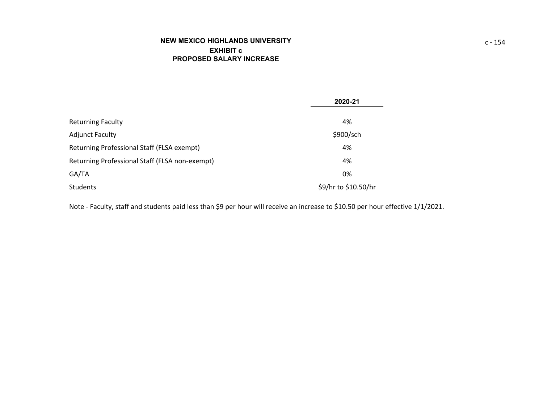|                                                | 2020-21              |
|------------------------------------------------|----------------------|
| <b>Returning Faculty</b>                       | 4%                   |
| <b>Adjunct Faculty</b>                         | \$900/sch            |
| Returning Professional Staff (FLSA exempt)     | 4%                   |
| Returning Professional Staff (FLSA non-exempt) | 4%                   |
| GA/TA                                          | 0%                   |
| Students                                       | \$9/hr to \$10.50/hr |

Note ‐ Faculty, staff and students paid less than \$9 per hour will receive an increase to \$10.50 per hour effective 1/1/2021.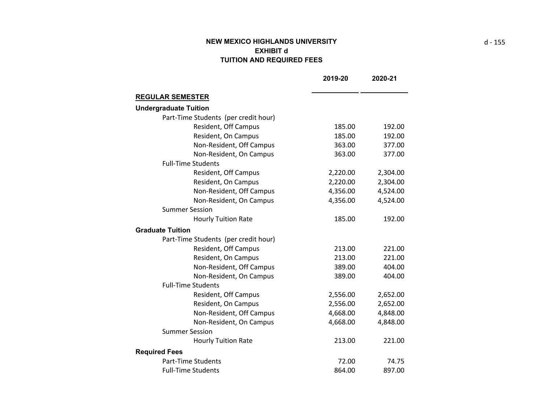# **NEW MEXICO HIGHLANDS UNIVERSITY EXHIBIT d TUITION AND REQUIRED FEES**

|                                      | 2019-20  | 2020-21  |
|--------------------------------------|----------|----------|
| <b>REGULAR SEMESTER</b>              |          |          |
| <b>Undergraduate Tuition</b>         |          |          |
| Part-Time Students (per credit hour) |          |          |
| Resident, Off Campus                 | 185.00   | 192.00   |
| Resident, On Campus                  | 185.00   | 192.00   |
| Non-Resident, Off Campus             | 363.00   | 377.00   |
| Non-Resident, On Campus              | 363.00   | 377.00   |
| <b>Full-Time Students</b>            |          |          |
| Resident, Off Campus                 | 2,220.00 | 2,304.00 |
| Resident, On Campus                  | 2,220.00 | 2,304.00 |
| Non-Resident, Off Campus             | 4,356.00 | 4,524.00 |
| Non-Resident, On Campus              | 4,356.00 | 4,524.00 |
| <b>Summer Session</b>                |          |          |
| <b>Hourly Tuition Rate</b>           | 185.00   | 192.00   |
| <b>Graduate Tuition</b>              |          |          |
| Part-Time Students (per credit hour) |          |          |
| Resident, Off Campus                 | 213.00   | 221.00   |
| Resident, On Campus                  | 213.00   | 221.00   |
| Non-Resident, Off Campus             | 389.00   | 404.00   |
| Non-Resident, On Campus              | 389.00   | 404.00   |
| <b>Full-Time Students</b>            |          |          |
| Resident, Off Campus                 | 2,556.00 | 2,652.00 |
| Resident, On Campus                  | 2,556.00 | 2,652.00 |
| Non-Resident, Off Campus             | 4,668.00 | 4,848.00 |
| Non-Resident, On Campus              | 4,668.00 | 4,848.00 |
| <b>Summer Session</b>                |          |          |
| <b>Hourly Tuition Rate</b>           | 213.00   | 221.00   |
| <b>Required Fees</b>                 |          |          |
| <b>Part-Time Students</b>            | 72.00    | 74.75    |
| <b>Full-Time Students</b>            | 864.00   | 897.00   |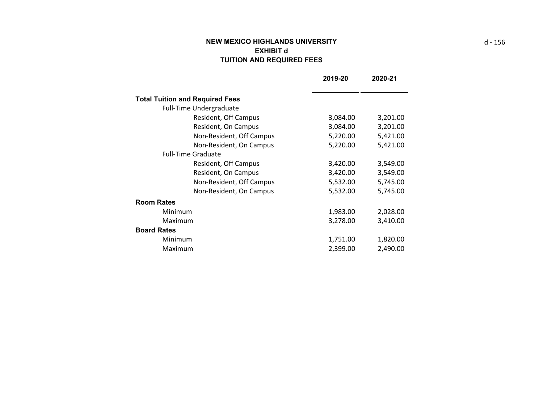# **NEW MEXICO HIGHLANDS UNIVERSITY EXHIBIT d TUITION AND REQUIRED FEES**

|                                        | 2019-20  | 2020-21  |
|----------------------------------------|----------|----------|
|                                        |          |          |
| <b>Total Tuition and Required Fees</b> |          |          |
| <b>Full-Time Undergraduate</b>         |          |          |
| Resident, Off Campus                   | 3,084.00 | 3,201.00 |
| Resident, On Campus                    | 3,084.00 | 3,201.00 |
| Non-Resident, Off Campus               | 5,220.00 | 5,421.00 |
| Non-Resident, On Campus                | 5,220.00 | 5,421.00 |
| <b>Full-Time Graduate</b>              |          |          |
| Resident, Off Campus                   | 3,420.00 | 3,549.00 |
| Resident, On Campus                    | 3,420.00 | 3,549.00 |
| Non-Resident, Off Campus               | 5,532.00 | 5,745.00 |
| Non-Resident, On Campus                | 5,532.00 | 5,745.00 |
| <b>Room Rates</b>                      |          |          |
| Minimum                                | 1,983.00 | 2,028.00 |
| Maximum                                | 3,278.00 | 3,410.00 |
| <b>Board Rates</b>                     |          |          |
| Minimum                                | 1,751.00 | 1,820.00 |
| Maximum                                | 2,399.00 | 2,490.00 |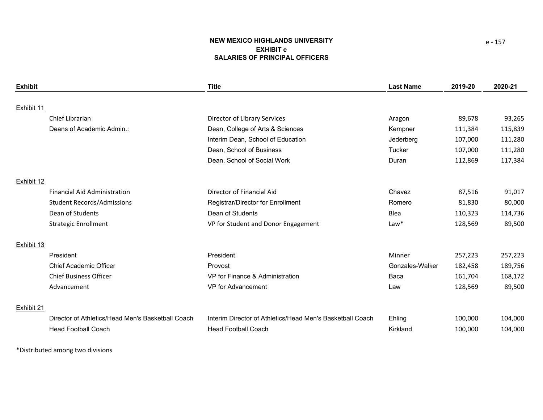# **NEW MEXICO HIGHLANDS UNIVERSITY EXHIBIT eSALARIES OF PRINCIPAL OFFICERS**

| Exhibit    |                                                   | <b>Title</b>                                              | <b>Last Name</b> | 2019-20 | 2020-21 |
|------------|---------------------------------------------------|-----------------------------------------------------------|------------------|---------|---------|
|            |                                                   |                                                           |                  |         |         |
| Exhibit 11 |                                                   |                                                           |                  |         |         |
|            | Chief Librarian                                   | Director of Library Services                              | Aragon           | 89,678  | 93,265  |
|            | Deans of Academic Admin.:                         | Dean, College of Arts & Sciences                          | Kempner          | 111,384 | 115,839 |
|            |                                                   | Interim Dean, School of Education                         | Jederberg        | 107,000 | 111,280 |
|            |                                                   | Dean, School of Business                                  | Tucker           | 107,000 | 111,280 |
|            |                                                   | Dean, School of Social Work                               | Duran            | 112,869 | 117,384 |
|            |                                                   |                                                           |                  |         |         |
| Exhibit 12 |                                                   |                                                           |                  |         |         |
|            | <b>Financial Aid Administration</b>               | Director of Financial Aid                                 | Chavez           | 87,516  | 91,017  |
|            | <b>Student Records/Admissions</b>                 | Registrar/Director for Enrollment                         | Romero           | 81,830  | 80,000  |
|            | Dean of Students                                  | Dean of Students                                          | Blea             | 110,323 | 114,736 |
|            | <b>Strategic Enrollment</b>                       | VP for Student and Donor Engagement                       | $Law*$           | 128,569 | 89,500  |
|            |                                                   |                                                           |                  |         |         |
| Exhibit 13 |                                                   |                                                           |                  |         |         |
|            | President                                         | President                                                 | Minner           | 257,223 | 257,223 |
|            | <b>Chief Academic Officer</b>                     | Provost                                                   | Gonzales-Walker  | 182,458 | 189,756 |
|            | <b>Chief Business Officer</b>                     | VP for Finance & Administration                           | Baca             | 161,704 | 168,172 |
|            | Advancement                                       | VP for Advancement                                        | Law              | 128,569 | 89,500  |
|            |                                                   |                                                           |                  |         |         |
| Exhibit 21 |                                                   |                                                           |                  |         |         |
|            | Director of Athletics/Head Men's Basketball Coach | Interim Director of Athletics/Head Men's Basketball Coach | Ehling           | 100,000 | 104,000 |
|            | <b>Head Football Coach</b>                        | <b>Head Football Coach</b>                                | Kirkland         | 100,000 | 104,000 |

\*Distributed among two divisions

e ‐ 157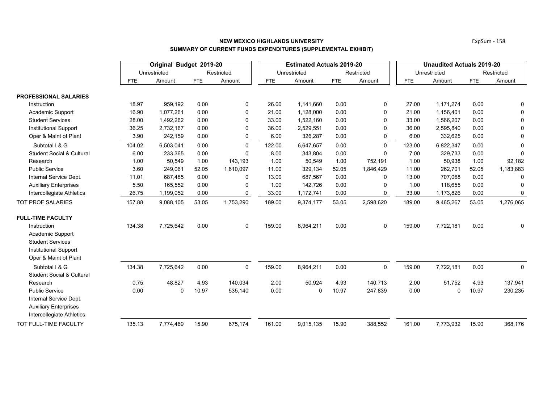|                                                           |            | Original Budget 2019-20 |            |             |            | <b>Estimated Actuals 2019-20</b> |            |             | <b>Unaudited Actuals 2019-20</b> |              |            |             |
|-----------------------------------------------------------|------------|-------------------------|------------|-------------|------------|----------------------------------|------------|-------------|----------------------------------|--------------|------------|-------------|
|                                                           |            | Unrestricted            |            | Restricted  |            | Unrestricted                     |            | Restricted  |                                  | Unrestricted |            | Restricted  |
|                                                           | <b>FTE</b> | Amount                  | <b>FTE</b> | Amount      | <b>FTE</b> | Amount                           | <b>FTE</b> | Amount      | <b>FTE</b>                       | Amount       | <b>FTE</b> | Amount      |
| <b>PROFESSIONAL SALARIES</b>                              |            |                         |            |             |            |                                  |            |             |                                  |              |            |             |
| Instruction                                               | 18.97      | 959,192                 | 0.00       | 0           | 26.00      | 1,141,660                        | 0.00       | 0           | 27.00                            | 1,171,274    | 0.00       | 0           |
| Academic Support                                          | 16.90      | 1,077,261               | 0.00       | $\Omega$    | 21.00      | 1,128,000                        | 0.00       | $\mathbf 0$ | 21.00                            | 1,156,401    | 0.00       | 0           |
| <b>Student Services</b>                                   | 28.00      | 1,492,262               | 0.00       | 0           | 33.00      | 1,522,160                        | 0.00       | 0           | 33.00                            | 1,566,207    | 0.00       | 0           |
| <b>Institutional Support</b>                              | 36.25      | 2,732,167               | 0.00       | 0           | 36.00      | 2,529,551                        | 0.00       | 0           | 36.00                            | 2,595,840    | 0.00       | $\mathbf 0$ |
| Oper & Maint of Plant                                     | 3.90       | 242,159                 | 0.00       | 0           | 6.00       | 326,287                          | 0.00       | 0           | 6.00                             | 332,625      | 0.00       | 0           |
| Subtotal I & G                                            | 104.02     | 6,503,041               | 0.00       | $\Omega$    | 122.00     | 6,647,657                        | 0.00       | $\Omega$    | 123.00                           | 6,822,347    | 0.00       | $\mathbf 0$ |
| <b>Student Social &amp; Cultural</b>                      | 6.00       | 233,365                 | 0.00       | $\mathbf 0$ | 8.00       | 343,804                          | 0.00       | 0           | 7.00                             | 329,733      | 0.00       | 0           |
| Research                                                  | 1.00       | 50,549                  | 1.00       | 143,193     | 1.00       | 50,549                           | 1.00       | 752,191     | 1.00                             | 50,938       | 1.00       | 92,182      |
| <b>Public Service</b>                                     | 3.60       | 249,061                 | 52.05      | 1,610,097   | 11.00      | 329,134                          | 52.05      | 1,846,429   | 11.00                            | 262,701      | 52.05      | 1,183,883   |
| Internal Service Dept.                                    | 11.01      | 687,485                 | 0.00       | $\mathbf 0$ | 13.00      | 687,567                          | 0.00       | $\mathbf 0$ | 13.00                            | 707,068      | 0.00       | 0           |
| <b>Auxiliary Enterprises</b>                              | 5.50       | 165,552                 | 0.00       | 0           | 1.00       | 142,726                          | 0.00       | 0           | 1.00                             | 118,655      | 0.00       | 0           |
| Intercollegiate Athletics                                 | 26.75      | 1,199,052               | 0.00       | 0           | 33.00      | 1,172,741                        | 0.00       | 0           | 33.00                            | 1,173,826    | 0.00       | 0           |
| <b>TOT PROF SALARIES</b>                                  | 157.88     | 9,088,105               | 53.05      | 1,753,290   | 189.00     | 9,374,177                        | 53.05      | 2,598,620   | 189.00                           | 9,465,267    | 53.05      | 1,276,065   |
| <b>FULL-TIME FACULTY</b>                                  |            |                         |            |             |            |                                  |            |             |                                  |              |            |             |
| Instruction                                               | 134.38     | 7,725,642               | 0.00       | $\mathbf 0$ | 159.00     | 8,964,211                        | 0.00       | $\mathbf 0$ | 159.00                           | 7,722,181    | 0.00       | 0           |
| Academic Support                                          |            |                         |            |             |            |                                  |            |             |                                  |              |            |             |
| <b>Student Services</b>                                   |            |                         |            |             |            |                                  |            |             |                                  |              |            |             |
| <b>Institutional Support</b>                              |            |                         |            |             |            |                                  |            |             |                                  |              |            |             |
| Oper & Maint of Plant                                     |            |                         |            |             |            |                                  |            |             |                                  |              |            |             |
| Subtotal I & G                                            | 134.38     | 7,725,642               | 0.00       | $\mathbf 0$ | 159.00     | 8,964,211                        | 0.00       | $\mathbf 0$ | 159.00                           | 7,722,181    | 0.00       | $\mathbf 0$ |
| <b>Student Social &amp; Cultural</b>                      |            |                         |            |             |            |                                  |            |             |                                  |              |            |             |
| Research                                                  | 0.75       | 48,827                  | 4.93       | 140,034     | 2.00       | 50,924                           | 4.93       | 140,713     | 2.00                             | 51,752       | 4.93       | 137,941     |
| <b>Public Service</b>                                     | 0.00       | $\mathbf 0$             | 10.97      | 535,140     | 0.00       | 0                                | 10.97      | 247,839     | 0.00                             | $\mathbf 0$  | 10.97      | 230,235     |
| Internal Service Dept.                                    |            |                         |            |             |            |                                  |            |             |                                  |              |            |             |
| <b>Auxiliary Enterprises</b><br>Intercollegiate Athletics |            |                         |            |             |            |                                  |            |             |                                  |              |            |             |
| TOT FULL-TIME FACULTY                                     | 135.13     |                         | 15.90      |             | 161.00     |                                  | 15.90      |             | 161.00                           |              | 15.90      |             |
|                                                           |            | 7,774,469               |            | 675,174     |            | 9,015,135                        |            | 388,552     |                                  | 7,773,932    |            | 368,176     |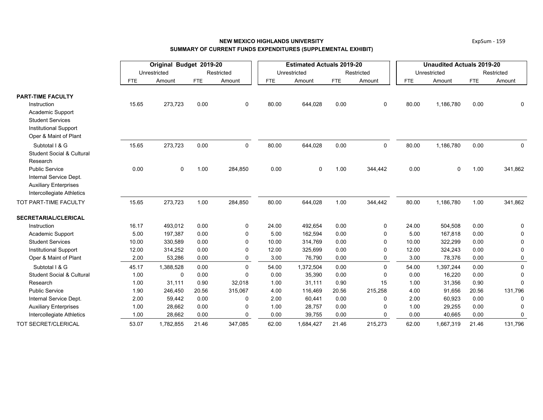## **NEW MEXICO HIGHLANDS UNIVERSITYSUMMARY OF CURRENT FUNDS EXPENDITURES (SUPPLEMENTAL EXHIBIT)**

|                                      |            | Original Budget 2019-20 |       |              |            | <b>Estimated Actuals 2019-20</b> |            |              | <b>Unaudited Actuals 2019-20</b> |              |            |             |  |
|--------------------------------------|------------|-------------------------|-------|--------------|------------|----------------------------------|------------|--------------|----------------------------------|--------------|------------|-------------|--|
|                                      |            | Unrestricted            |       | Restricted   |            | Unrestricted                     |            | Restricted   |                                  | Unrestricted |            | Restricted  |  |
|                                      | <b>FTE</b> | Amount                  | FTE   | Amount       | <b>FTE</b> | Amount                           | <b>FTE</b> | Amount       | <b>FTE</b>                       | Amount       | <b>FTE</b> | Amount      |  |
| <b>PART-TIME FACULTY</b>             |            |                         |       |              |            |                                  |            |              |                                  |              |            |             |  |
| Instruction                          | 15.65      | 273,723                 | 0.00  | 0            | 80.00      | 644,028                          | 0.00       | 0            | 80.00                            | 1,186,780    | 0.00       | $\Omega$    |  |
| Academic Support                     |            |                         |       |              |            |                                  |            |              |                                  |              |            |             |  |
| <b>Student Services</b>              |            |                         |       |              |            |                                  |            |              |                                  |              |            |             |  |
| <b>Institutional Support</b>         |            |                         |       |              |            |                                  |            |              |                                  |              |            |             |  |
| Oper & Maint of Plant                |            |                         |       |              |            |                                  |            |              |                                  |              |            |             |  |
| Subtotal I & G                       | 15.65      | 273,723                 | 0.00  | $\mathbf 0$  | 80.00      | 644,028                          | 0.00       | 0            | 80.00                            | 1,186,780    | 0.00       | 0           |  |
| <b>Student Social &amp; Cultural</b> |            |                         |       |              |            |                                  |            |              |                                  |              |            |             |  |
| Research                             |            |                         |       |              |            |                                  |            |              |                                  |              |            |             |  |
| <b>Public Service</b>                | 0.00       | $\mathbf 0$             | 1.00  | 284,850      | 0.00       | $\mathbf 0$                      | 1.00       | 344,442      | 0.00                             | $\Omega$     | 1.00       | 341,862     |  |
| Internal Service Dept.               |            |                         |       |              |            |                                  |            |              |                                  |              |            |             |  |
| <b>Auxiliary Enterprises</b>         |            |                         |       |              |            |                                  |            |              |                                  |              |            |             |  |
| Intercollegiate Athletics            |            |                         |       |              |            |                                  |            |              |                                  |              |            |             |  |
| TOT PART-TIME FACULTY                | 15.65      | 273,723                 | 1.00  | 284,850      | 80.00      | 644,028                          | 1.00       | 344,442      | 80.00                            | 1,186,780    | 1.00       | 341,862     |  |
| <b>SECRETARIAL/CLERICAL</b>          |            |                         |       |              |            |                                  |            |              |                                  |              |            |             |  |
| Instruction                          | 16.17      | 493,012                 | 0.00  | 0            | 24.00      | 492,654                          | 0.00       | 0            | 24.00                            | 504,508      | 0.00       | 0           |  |
| Academic Support                     | 5.00       | 197,387                 | 0.00  | 0            | 5.00       | 162,594                          | 0.00       | $\mathbf{0}$ | 5.00                             | 167,818      | 0.00       | $\Omega$    |  |
| <b>Student Services</b>              | 10.00      | 330,589                 | 0.00  | $\mathbf{0}$ | 10.00      | 314,769                          | 0.00       | $\Omega$     | 10.00                            | 322,299      | 0.00       | $\Omega$    |  |
| <b>Institutional Support</b>         | 12.00      | 314,252                 | 0.00  | $\Omega$     | 12.00      | 325,699                          | 0.00       | $\Omega$     | 12.00                            | 324,243      | 0.00       | $\Omega$    |  |
| Oper & Maint of Plant                | 2.00       | 53,286                  | 0.00  | $\mathbf{0}$ | 3.00       | 76,790                           | 0.00       | 0            | 3.00                             | 78,376       | 0.00       | 0           |  |
| Subtotal I & G                       | 45.17      | 1,388,528               | 0.00  | $\Omega$     | 54.00      | 1,372,504                        | 0.00       | $\mathbf 0$  | 54.00                            | 1,397,244    | 0.00       | $\pmb{0}$   |  |
| <b>Student Social &amp; Cultural</b> | 1.00       | $\mathbf 0$             | 0.00  | $\Omega$     | 0.00       | 35,390                           | 0.00       | $\Omega$     | 0.00                             | 16,220       | 0.00       | $\Omega$    |  |
| Research                             | 1.00       | 31,111                  | 0.90  | 32,018       | 1.00       | 31,111                           | 0.90       | 15           | 1.00                             | 31,356       | 0.90       | $\Omega$    |  |
| <b>Public Service</b>                | 1.90       | 246,450                 | 20.56 | 315,067      | 4.00       | 116,469                          | 20.56      | 215,258      | 4.00                             | 91,656       | 20.56      | 131,796     |  |
| Internal Service Dept.               | 2.00       | 59,442                  | 0.00  | $\Omega$     | 2.00       | 60,441                           | 0.00       | $\Omega$     | 2.00                             | 60,923       | 0.00       | $\Omega$    |  |
| <b>Auxiliary Enterprises</b>         | 1.00       | 28,662                  | 0.00  | $\Omega$     | 1.00       | 28,757                           | 0.00       | $\Omega$     | 1.00                             | 29,255       | 0.00       | $\Omega$    |  |
| Intercollegiate Athletics            | 1.00       | 28,662                  | 0.00  | $\Omega$     | 0.00       | 39,755                           | 0.00       | $\Omega$     | 0.00                             | 40,665       | 0.00       | $\mathbf 0$ |  |
| TOT SECRET/CLERICAL                  | 53.07      | 1,782,855               | 21.46 | 347,085      | 62.00      | 1,684,427                        | 21.46      | 215,273      | 62.00                            | 1,667,319    | 21.46      | 131,796     |  |

ExpSum ‐ 159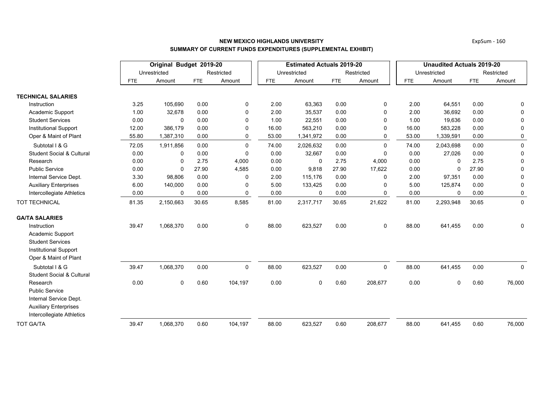|                                                                                                                          |            | Original Budget 2019-20 |            |             |            | <b>Estimated Actuals 2019-20</b> |            |              | <b>Unaudited Actuals 2019-20</b> |              |            |             |  |
|--------------------------------------------------------------------------------------------------------------------------|------------|-------------------------|------------|-------------|------------|----------------------------------|------------|--------------|----------------------------------|--------------|------------|-------------|--|
|                                                                                                                          |            | Unrestricted            |            | Restricted  |            | Unrestricted                     |            | Restricted   |                                  | Unrestricted |            | Restricted  |  |
|                                                                                                                          | <b>FTE</b> | Amount                  | <b>FTE</b> | Amount      | <b>FTE</b> | Amount                           | <b>FTE</b> | Amount       | <b>FTE</b>                       | Amount       | <b>FTE</b> | Amount      |  |
| <b>TECHNICAL SALARIES</b>                                                                                                |            |                         |            |             |            |                                  |            |              |                                  |              |            |             |  |
| Instruction                                                                                                              | 3.25       | 105,690                 | 0.00       | 0           | 2.00       | 63,363                           | 0.00       | 0            | 2.00                             | 64,551       | 0.00       | 0           |  |
| Academic Support                                                                                                         | 1.00       | 32,678                  | 0.00       | $\Omega$    | 2.00       | 35,537                           | 0.00       | $\mathbf{0}$ | 2.00                             | 36,692       | 0.00       | 0           |  |
| <b>Student Services</b>                                                                                                  | 0.00       | 0                       | 0.00       | 0           | 1.00       | 22,551                           | 0.00       | $\Omega$     | 1.00                             | 19,636       | 0.00       | 0           |  |
| <b>Institutional Support</b>                                                                                             | 12.00      | 386,179                 | 0.00       | 0           | 16.00      | 563,210                          | 0.00       | $\Omega$     | 16.00                            | 583,228      | 0.00       | 0           |  |
| Oper & Maint of Plant                                                                                                    | 55.80      | 1,387,310               | 0.00       | 0           | 53.00      | 1,341,972                        | 0.00       | $\Omega$     | 53.00                            | 1,339,591    | 0.00       | 0           |  |
| Subtotal I & G                                                                                                           | 72.05      | 1,911,856               | 0.00       | 0           | 74.00      | 2,026,632                        | 0.00       | $\mathbf 0$  | 74.00                            | 2,043,698    | 0.00       | $\mathbf 0$ |  |
| <b>Student Social &amp; Cultural</b>                                                                                     | 0.00       | 0                       | 0.00       | 0           | 0.00       | 32,667                           | 0.00       | $\Omega$     | 0.00                             | 27,026       | 0.00       | 0           |  |
| Research                                                                                                                 | 0.00       | 0                       | 2.75       | 4,000       | 0.00       | 0                                | 2.75       | 4,000        | 0.00                             | $\Omega$     | 2.75       | $\mathbf 0$ |  |
| <b>Public Service</b>                                                                                                    | 0.00       | $\mathbf 0$             | 27.90      | 4,585       | 0.00       | 9,818                            | 27.90      | 17,622       | 0.00                             | $\mathbf 0$  | 27.90      | 0           |  |
| Internal Service Dept.                                                                                                   | 3.30       | 98,806                  | 0.00       | 0           | 2.00       | 115,176                          | 0.00       | 0            | 2.00                             | 97,351       | 0.00       | 0           |  |
| <b>Auxiliary Enterprises</b>                                                                                             | 6.00       | 140,000                 | 0.00       | 0           | 5.00       | 133,425                          | 0.00       | $\mathbf{0}$ | 5.00                             | 125,874      | 0.00       | 0           |  |
| Intercollegiate Athletics                                                                                                | 0.00       | 0                       | 0.00       | 0           | 0.00       | 0                                | 0.00       | 0            | 0.00                             | 0            | 0.00       | 0           |  |
| <b>TOT TECHNICAL</b>                                                                                                     | 81.35      | 2,150,663               | 30.65      | 8,585       | 81.00      | 2,317,717                        | 30.65      | 21,622       | 81.00                            | 2,293,948    | 30.65      | $\mathbf 0$ |  |
| <b>GA/TA SALARIES</b>                                                                                                    |            |                         |            |             |            |                                  |            |              |                                  |              |            |             |  |
| Instruction<br>Academic Support<br><b>Student Services</b><br><b>Institutional Support</b>                               | 39.47      | 1,068,370               | 0.00       | $\mathbf 0$ | 88.00      | 623,527                          | 0.00       | $\mathbf 0$  | 88.00                            | 641,455      | 0.00       | 0           |  |
| Oper & Maint of Plant                                                                                                    |            |                         |            |             |            |                                  |            |              |                                  |              |            |             |  |
| Subtotal I & G<br><b>Student Social &amp; Cultural</b>                                                                   | 39.47      | 1,068,370               | 0.00       | 0           | 88.00      | 623,527                          | 0.00       | $\mathbf 0$  | 88.00                            | 641,455      | 0.00       | $\mathbf 0$ |  |
| Research<br><b>Public Service</b><br>Internal Service Dept.<br><b>Auxiliary Enterprises</b><br>Intercollegiate Athletics | 0.00       | 0                       | 0.60       | 104,197     | 0.00       | 0                                | 0.60       | 208,677      | 0.00                             | 0            | 0.60       | 76,000      |  |
| <b>TOT GA/TA</b>                                                                                                         | 39.47      | 1,068,370               | 0.60       | 104,197     | 88.00      | 623,527                          | 0.60       | 208,677      | 88.00                            | 641,455      | 0.60       | 76,000      |  |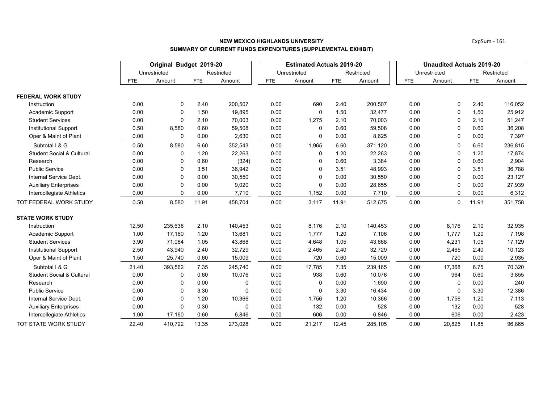|                                      |       | Original Budget 2019-20 |            |            |            | <b>Estimated Actuals 2019-20</b> |            |            | <b>Unaudited Actuals 2019-20</b> |              |            |            |
|--------------------------------------|-------|-------------------------|------------|------------|------------|----------------------------------|------------|------------|----------------------------------|--------------|------------|------------|
|                                      |       | Unrestricted            |            | Restricted |            | Unrestricted                     |            | Restricted |                                  | Unrestricted |            | Restricted |
|                                      | FTE   | Amount                  | <b>FTE</b> | Amount     | <b>FTE</b> | Amount                           | <b>FTE</b> | Amount     | <b>FTE</b>                       | Amount       | <b>FTE</b> | Amount     |
| <b>FEDERAL WORK STUDY</b>            |       |                         |            |            |            |                                  |            |            |                                  |              |            |            |
| Instruction                          | 0.00  | 0                       | 2.40       | 200,507    | 0.00       | 690                              | 2.40       | 200,507    | 0.00                             | 0            | 2.40       | 116,052    |
| Academic Support                     | 0.00  | $\mathbf 0$             | 1.50       | 19,895     | 0.00       | 0                                | 1.50       | 32,477     | 0.00                             | $\mathbf 0$  | 1.50       | 25,912     |
| <b>Student Services</b>              | 0.00  | $\mathbf 0$             | 2.10       | 70,003     | 0.00       | 1,275                            | 2.10       | 70,003     | 0.00                             | $\Omega$     | 2.10       | 51,247     |
| <b>Institutional Support</b>         | 0.50  | 8,580                   | 0.60       | 59,508     | 0.00       | 0                                | 0.60       | 59,508     | 0.00                             | $\Omega$     | 0.60       | 36,208     |
| Oper & Maint of Plant                | 0.00  | $\mathbf 0$             | 0.00       | 2,630      | 0.00       | 0                                | 0.00       | 8,625      | 0.00                             | $\mathbf 0$  | 0.00       | 7,397      |
| Subtotal I & G                       | 0.50  | 8,580                   | 6.60       | 352,543    | 0.00       | 1,965                            | 6.60       | 371,120    | 0.00                             | $\mathbf 0$  | 6.60       | 236,815    |
| <b>Student Social &amp; Cultural</b> | 0.00  | 0                       | 1.20       | 22,263     | 0.00       | 0                                | 1.20       | 22,263     | 0.00                             | 0            | 1.20       | 17,874     |
| Research                             | 0.00  | 0                       | 0.60       | (324)      | 0.00       | 0                                | 0.60       | 3,384      | 0.00                             | $\Omega$     | 0.60       | 2,904      |
| <b>Public Service</b>                | 0.00  | $\mathbf 0$             | 3.51       | 36,942     | 0.00       | 0                                | 3.51       | 48,993     | 0.00                             | $\Omega$     | 3.51       | 36,788     |
| Internal Service Dept.               | 0.00  | $\mathbf 0$             | 0.00       | 30,550     | 0.00       | 0                                | 0.00       | 30,550     | 0.00                             | $\Omega$     | 0.00       | 23,127     |
| <b>Auxiliary Enterprises</b>         | 0.00  | 0                       | 0.00       | 9,020      | 0.00       | 0                                | 0.00       | 28,655     | 0.00                             | 0            | 0.00       | 27,939     |
| Intercollegiate Athletics            | 0.00  | 0                       | 0.00       | 7,710      | 0.00       | 1,152                            | 0.00       | 7,710      | 0.00                             | $\Omega$     | 0.00       | 6,312      |
| TOT FEDERAL WORK STUDY               | 0.50  | 8,580                   | 11.91      | 458,704    | 0.00       | 3,117                            | 11.91      | 512,675    | 0.00                             | $\mathbf 0$  | 11.91      | 351,758    |
| <b>STATE WORK STUDY</b>              |       |                         |            |            |            |                                  |            |            |                                  |              |            |            |
| Instruction                          | 12.50 | 235,638                 | 2.10       | 140,453    | 0.00       | 8,176                            | 2.10       | 140,453    | 0.00                             | 8,176        | 2.10       | 32,935     |
| Academic Support                     | 1.00  | 17,160                  | 1.20       | 13,681     | 0.00       | 1,777                            | 1.20       | 7,106      | 0.00                             | 1,777        | 1.20       | 7,198      |
| <b>Student Services</b>              | 3.90  | 71,084                  | 1.05       | 43,868     | 0.00       | 4,648                            | 1.05       | 43,868     | 0.00                             | 4,231        | 1.05       | 17,129     |
| <b>Institutional Support</b>         | 2.50  | 43,940                  | 2.40       | 32,729     | 0.00       | 2,465                            | 2.40       | 32,729     | 0.00                             | 2,465        | 2.40       | 10,123     |
| Oper & Maint of Plant                | 1.50  | 25,740                  | 0.60       | 15,009     | 0.00       | 720                              | 0.60       | 15,009     | 0.00                             | 720          | 0.00       | 2,935      |
| Subtotal I & G                       | 21.40 | 393,562                 | 7.35       | 245,740    | 0.00       | 17,785                           | 7.35       | 239,165    | 0.00                             | 17,368       | 6.75       | 70,320     |
| <b>Student Social &amp; Cultural</b> | 0.00  | 0                       | 0.60       | 10,076     | 0.00       | 938                              | 0.60       | 10,076     | 0.00                             | 964          | 0.60       | 3,855      |
| Research                             | 0.00  | 0                       | 0.00       | 0          | 0.00       | 0                                | 0.00       | 1,690      | 0.00                             | 0            | 0.00       | 240        |
| <b>Public Service</b>                | 0.00  | $\mathbf 0$             | 3.30       | $\Omega$   | 0.00       | 0                                | 3.30       | 16,434     | 0.00                             | $\Omega$     | 3.30       | 12,386     |
| Internal Service Dept.               | 0.00  | $\mathbf 0$             | 1.20       | 10,366     | 0.00       | 1,756                            | 1.20       | 10,366     | 0.00                             | 1,756        | 1.20       | 7,113      |
| <b>Auxiliary Enterprises</b>         | 0.00  | $\Omega$                | 0.30       | $\Omega$   | 0.00       | 132                              | 0.00       | 528        | 0.00                             | 132          | 0.00       | 528        |
| Intercollegiate Athletics            | 1.00  | 17,160                  | 0.60       | 6,846      | 0.00       | 606                              | 0.00       | 6,846      | 0.00                             | 606          | 0.00       | 2,423      |
| TOT STATE WORK STUDY                 | 22.40 | 410.722                 | 13.35      | 273.028    | 0.00       | 21,217                           | 12.45      | 285.105    | 0.00                             | 20,825       | 11.85      | 96,865     |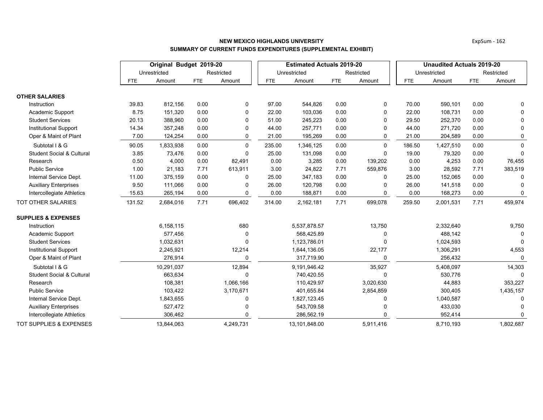|                                      |            | Original Budget 2019-20 |            |              |        | <b>Estimated Actuals 2019-20</b> |            |            | <b>Unaudited Actuals 2019-20</b> |              |            |              |
|--------------------------------------|------------|-------------------------|------------|--------------|--------|----------------------------------|------------|------------|----------------------------------|--------------|------------|--------------|
|                                      |            | Unrestricted            |            | Restricted   |        | Unrestricted                     |            | Restricted |                                  | Unrestricted |            | Restricted   |
|                                      | <b>FTE</b> | Amount                  | <b>FTE</b> | Amount       | FTE    | Amount                           | <b>FTE</b> | Amount     | <b>FTE</b>                       | Amount       | <b>FTE</b> | Amount       |
| <b>OTHER SALARIES</b>                |            |                         |            |              |        |                                  |            |            |                                  |              |            |              |
| Instruction                          | 39.83      | 812,156                 | 0.00       | 0            | 97.00  | 544,826                          | 0.00       | 0          | 70.00                            | 590,101      | 0.00       | 0            |
| Academic Support                     | 8.75       | 151,320                 | 0.00       | $\Omega$     | 22.00  | 103,036                          | 0.00       | $\Omega$   | 22.00                            | 108,731      | 0.00       | $\Omega$     |
| <b>Student Services</b>              | 20.13      | 388,960                 | 0.00       | $\Omega$     | 51.00  | 245,223                          | 0.00       | 0          | 29.50                            | 252,370      | 0.00       | 0            |
| <b>Institutional Support</b>         | 14.34      | 357,248                 | 0.00       | $\Omega$     | 44.00  | 257,771                          | 0.00       | $\Omega$   | 44.00                            | 271,720      | 0.00       | $\Omega$     |
| Oper & Maint of Plant                | 7.00       | 124,254                 | 0.00       | 0            | 21.00  | 195,269                          | 0.00       | 0          | 21.00                            | 204,589      | 0.00       | 0            |
| Subtotal I & G                       | 90.05      | 1,833,938               | 0.00       | $\mathbf{0}$ | 235.00 | 1,346,125                        | 0.00       | $\Omega$   | 186.50                           | 1,427,510    | 0.00       | $\Omega$     |
| <b>Student Social &amp; Cultural</b> | 3.85       | 73,476                  | 0.00       | $\Omega$     | 25.00  | 131,098                          | 0.00       | $\Omega$   | 19.00                            | 79,320       | 0.00       | $\Omega$     |
| Research                             | 0.50       | 4,000                   | 0.00       | 82,491       | 0.00   | 3,285                            | 0.00       | 139,202    | 0.00                             | 4,253        | 0.00       | 76,455       |
| <b>Public Service</b>                | 1.00       | 21,183                  | 7.71       | 613,911      | 3.00   | 24,822                           | 7.71       | 559,876    | 3.00                             | 28,592       | 7.71       | 383,519      |
| Internal Service Dept.               | 11.00      | 375,159                 | 0.00       | $\Omega$     | 25.00  | 347,183                          | 0.00       | $\Omega$   | 25.00                            | 152,065      | 0.00       | 0            |
| <b>Auxiliary Enterprises</b>         | 9.50       | 111,066                 | 0.00       | 0            | 26.00  | 120,798                          | 0.00       | $\Omega$   | 26.00                            | 141,518      | 0.00       | $\Omega$     |
| Intercollegiate Athletics            | 15.63      | 265,194                 | 0.00       | 0            | 0.00   | 188,871                          | 0.00       | 0          | 0.00                             | 168,273      | 0.00       | $\mathbf{0}$ |
| TOT OTHER SALARIES                   | 131.52     | 2,684,016               | 7.71       | 696,402      | 314.00 | 2,162,181                        | 7.71       | 699,078    | 259.50                           | 2,001,531    | 7.71       | 459,974      |
| <b>SUPPLIES &amp; EXPENSES</b>       |            |                         |            |              |        |                                  |            |            |                                  |              |            |              |
| Instruction                          |            | 6,158,115               |            | 680          |        | 5,537,878.57                     |            | 13,750     |                                  | 2,332,640    |            | 9,750        |
| Academic Support                     |            | 577,456                 |            | $\mathbf 0$  |        | 568,425.89                       |            | $\Omega$   |                                  | 488,142      |            |              |
| <b>Student Services</b>              |            | 1,032,631               |            | $\Omega$     |        | 1,123,786.01                     |            | $\Omega$   |                                  | 1,024,593    |            |              |
| <b>Institutional Support</b>         |            | 2,245,921               |            | 12,214       |        | 1,644,136.05                     |            | 22,177     |                                  | 1,306,291    |            | 4,553        |
| Oper & Maint of Plant                |            | 276,914                 |            | 0            |        | 317,719.90                       |            | $\Omega$   |                                  | 256,432      |            | $\Omega$     |
| Subtotal I & G                       |            | 10,291,037              |            | 12,894       |        | 9,191,946.42                     |            | 35,927     |                                  | 5,408,097    |            | 14,303       |
| <b>Student Social &amp; Cultural</b> |            | 663,634                 |            | $\Omega$     |        | 740,420.55                       |            | $\Omega$   |                                  | 530,776      |            |              |
| Research                             |            | 108,381                 |            | 1,066,166    |        | 110,429.97                       |            | 3,020,630  |                                  | 44,883       |            | 353,227      |
| <b>Public Service</b>                |            | 103,422                 |            | 3,170,671    |        | 401,655.84                       |            | 2,854,859  |                                  | 300,405      |            | 1,435,157    |
| Internal Service Dept.               |            | 1,843,655               |            | 0            |        | 1,827,123.45                     |            | $\Omega$   |                                  | 1,040,587    |            |              |
| <b>Auxiliary Enterprises</b>         |            | 527,472                 |            | 0            |        | 543,709.58                       |            | $\Omega$   |                                  | 433,030      |            |              |
| Intercollegiate Athletics            |            | 306,462                 |            | $\Omega$     |        | 286,562.19                       |            |            |                                  | 952,414      |            |              |
| TOT SUPPLIES & EXPENSES              |            | 13,844,063              |            | 4,249,731    |        | 13,101,848.00                    |            | 5,911,416  |                                  | 8,710,193    |            | 1,802,687    |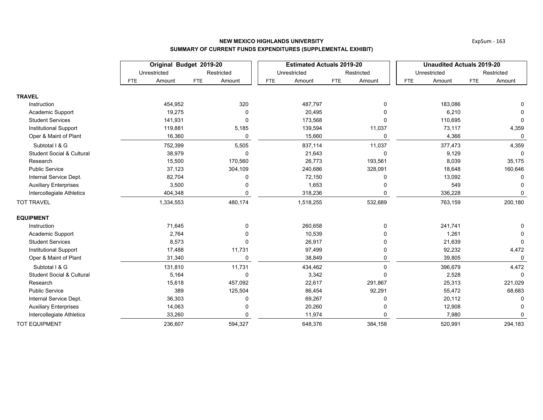|                                      |                      | Original Budget 2019-20 | <b>Estimated Actuals 2019-20</b> |                      | <b>Unaudited Actuals 2019-20</b> |              |            |              |
|--------------------------------------|----------------------|-------------------------|----------------------------------|----------------------|----------------------------------|--------------|------------|--------------|
|                                      | Unrestricted         | Restricted              | Unrestricted                     | Restricted           |                                  | Unrestricted |            | Restricted   |
|                                      | Amount<br><b>FTE</b> | Amount<br><b>FTE</b>    | Amount<br><b>FTE</b>             | <b>FTE</b><br>Amount | <b>FTE</b>                       | Amount       | <b>FTE</b> | Amount       |
| <b>TRAVEL</b>                        |                      |                         |                                  |                      |                                  |              |            |              |
| Instruction                          | 454,952              | 320                     | 487,797                          |                      |                                  | 183,086      |            |              |
| Academic Support                     | 19,275               | $\Omega$                | 20,495                           |                      |                                  | 6,210        |            | 0            |
| <b>Student Services</b>              | 141,931              | $\Omega$                | 173,568                          |                      |                                  | 110,695      |            | $\Omega$     |
| <b>Institutional Support</b>         | 119,881              | 5,185                   | 139,594                          | 11,037               |                                  | 73,117       |            | 4,359        |
| Oper & Maint of Plant                | 16,360               | $\mathbf{0}$            | 15,660                           | $\Omega$             |                                  | 4,366        |            | $\Omega$     |
| Subtotal I & G                       | 752,399              | 5,505                   | 837,114                          | 11,037               |                                  | 377,473      |            | 4,359        |
| <b>Student Social &amp; Cultural</b> | 38,979               | $\Omega$                | 21,643                           |                      |                                  | 9,129        |            | 0            |
| Research                             | 15,500               | 170,560                 | 26,773                           | 193,561              |                                  | 8,039        |            | 35,175       |
| <b>Public Service</b>                | 37,123               | 304,109                 | 240,686                          | 328,091              |                                  | 18,648       |            | 160,646      |
| Internal Service Dept.               | 82,704               | U                       | 72,150                           |                      |                                  | 13,092       |            | ∩            |
| <b>Auxiliary Enterprises</b>         | 3,500                |                         | 1,653                            |                      |                                  | 549          |            |              |
| Intercollegiate Athletics            | 404,348              | n                       | 318,236                          |                      |                                  | 336,228      |            | $\Omega$     |
| <b>TOT TRAVEL</b>                    | 1,334,553            | 480,174                 | 1,518,255                        | 532,689              |                                  | 763,159      |            | 200,180      |
| <b>EQUIPMENT</b>                     |                      |                         |                                  |                      |                                  |              |            |              |
| Instruction                          | 71,645               | 0                       | 260,658                          | 0                    |                                  | 241,741      |            |              |
| Academic Support                     | 2,764                |                         | 10,539                           |                      |                                  | 1,261        |            |              |
| <b>Student Services</b>              | 8,573                |                         | 26,917                           |                      |                                  | 21,639       |            | $\mathbf{0}$ |
| <b>Institutional Support</b>         | 17,488               | 11,731                  | 97,499                           |                      |                                  | 92,232       |            | 4,472        |
| Oper & Maint of Plant                | 31,340               | 0                       | 38,849                           | 0                    |                                  | 39,805       |            | 0            |
| Subtotal I & G                       | 131,810              | 11,731                  | 434,462                          | $\Omega$             |                                  | 396,679      |            | 4,472        |
| <b>Student Social &amp; Cultural</b> | 5,164                | 0                       | 3,342                            | $\Omega$             |                                  | 2,528        |            | $\mathbf 0$  |
| Research                             | 15,618               | 457,092                 | 22,617                           | 291,867              |                                  | 25,313       |            | 221,029      |
| <b>Public Service</b>                | 389                  | 125,504                 | 86,454                           | 92,291               |                                  | 55,472       |            | 68,683       |
| Internal Service Dept.               | 36,303               |                         | 69,267                           |                      | 20,112                           | 0            |            |              |
| <b>Auxiliary Enterprises</b>         | 14,063               |                         | 20,260                           |                      |                                  | 12,908       |            |              |
| Intercollegiate Athletics            | 33,260               |                         | 11,974                           |                      |                                  | 7,980        |            | $\Omega$     |
| <b>TOT EQUIPMENT</b>                 | 236,607              | 594,327                 | 648,376                          | 384,158              |                                  | 520,991      |            | 294,183      |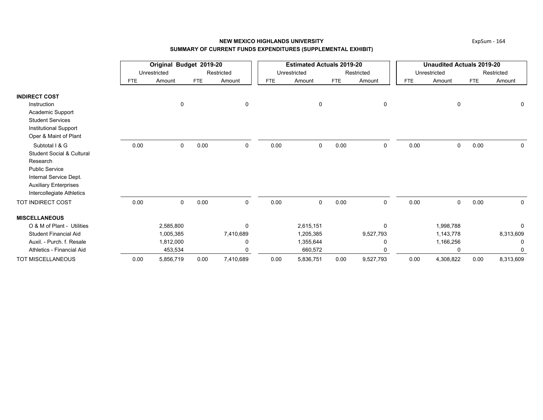|                                      |            | Original Budget 2019-20 |            |             |            | <b>Estimated Actuals 2019-20</b> |            |            | <b>Unaudited Actuals 2019-20</b> |              |            |            |
|--------------------------------------|------------|-------------------------|------------|-------------|------------|----------------------------------|------------|------------|----------------------------------|--------------|------------|------------|
|                                      |            | Unrestricted            |            | Restricted  |            | Unrestricted                     |            | Restricted |                                  | Unrestricted |            | Restricted |
|                                      | <b>FTE</b> | Amount                  | <b>FTE</b> | Amount      | <b>FTE</b> | Amount                           | <b>FTE</b> | Amount     | <b>FTE</b>                       | Amount       | <b>FTE</b> | Amount     |
| <b>INDIRECT COST</b>                 |            |                         |            |             |            |                                  |            |            |                                  |              |            |            |
| Instruction                          |            | 0                       |            | $\mathbf 0$ |            | 0                                |            | 0          |                                  | $\mathbf 0$  |            | 0          |
| Academic Support                     |            |                         |            |             |            |                                  |            |            |                                  |              |            |            |
| <b>Student Services</b>              |            |                         |            |             |            |                                  |            |            |                                  |              |            |            |
| <b>Institutional Support</b>         |            |                         |            |             |            |                                  |            |            |                                  |              |            |            |
| Oper & Maint of Plant                |            |                         |            |             |            |                                  |            |            |                                  |              |            |            |
| Subtotal I & G                       | 0.00       | 0                       | 0.00       | 0           | 0.00       | 0                                | 0.00       | 0          | 0.00                             | 0            | 0.00       | 0          |
| <b>Student Social &amp; Cultural</b> |            |                         |            |             |            |                                  |            |            |                                  |              |            |            |
| Research                             |            |                         |            |             |            |                                  |            |            |                                  |              |            |            |
| <b>Public Service</b>                |            |                         |            |             |            |                                  |            |            |                                  |              |            |            |
| Internal Service Dept.               |            |                         |            |             |            |                                  |            |            |                                  |              |            |            |
| <b>Auxiliary Enterprises</b>         |            |                         |            |             |            |                                  |            |            |                                  |              |            |            |
| Intercollegiate Athletics            |            |                         |            |             |            |                                  |            |            |                                  |              |            |            |
| <b>TOT INDIRECT COST</b>             | 0.00       | 0                       | 0.00       | 0           | 0.00       | 0                                | 0.00       | 0          | 0.00                             | $\mathbf 0$  | 0.00       | $\Omega$   |
| <b>MISCELLANEOUS</b>                 |            |                         |            |             |            |                                  |            |            |                                  |              |            |            |
| O & M of Plant - Utilities           |            | 2,585,800               |            | 0           |            | 2,615,151                        |            | $\Omega$   |                                  | 1,998,788    |            | 0          |
| <b>Student Financial Aid</b>         |            | 1,005,385               |            | 7,410,689   |            | 1,205,385                        |            | 9,527,793  |                                  | 1,143,778    |            | 8,313,609  |
| Auxil. - Purch. f. Resale            |            | 1,812,000               |            | 0           |            | 1,355,644                        |            | 0          |                                  | 1,166,256    |            | 0          |
| Athletics - Financial Aid            |            | 453,534                 |            | $\Omega$    |            | 660,572                          |            | $\Omega$   |                                  | $\Omega$     |            | $\Omega$   |
| <b>TOT MISCELLANEOUS</b>             | 0.00       | 5,856,719               | 0.00       | 7,410,689   | 0.00       | 5,836,751                        | 0.00       | 9,527,793  | 0.00                             | 4,308,822    | 0.00       | 8,313,609  |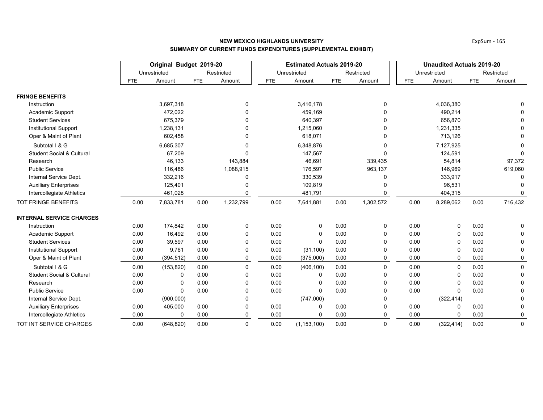|                                      |            | Original Budget 2019-20 |            |            |      | <b>Estimated Actuals 2019-20</b> |            |              | <b>Unaudited Actuals 2019-20</b> |              |            |              |
|--------------------------------------|------------|-------------------------|------------|------------|------|----------------------------------|------------|--------------|----------------------------------|--------------|------------|--------------|
|                                      |            | Unrestricted            |            | Restricted |      | Unrestricted                     |            | Restricted   |                                  | Unrestricted |            | Restricted   |
|                                      | <b>FTE</b> | Amount                  | <b>FTE</b> | Amount     | FTE  | Amount                           | <b>FTE</b> | Amount       | <b>FTE</b>                       | Amount       | <b>FTE</b> | Amount       |
| <b>FRINGE BENEFITS</b>               |            |                         |            |            |      |                                  |            |              |                                  |              |            |              |
| Instruction                          |            | 3,697,318               |            | 0          |      | 3,416,178                        |            | 0            |                                  | 4,036,380    |            | 0            |
| Academic Support                     |            | 472,022                 |            | $\Omega$   |      | 459,169                          |            |              |                                  | 490,214      |            | $\Omega$     |
| <b>Student Services</b>              |            | 675,379                 |            | 0          |      | 640,397                          |            |              |                                  | 656,870      |            |              |
| <b>Institutional Support</b>         |            | 1,238,131               |            |            |      | 1,215,060                        |            |              |                                  | 1,231,335    |            | 0            |
| Oper & Maint of Plant                |            | 602,458                 |            | 0          |      | 618,071                          |            |              |                                  | 713,126      |            | 0            |
| Subtotal I & G                       |            | 6,685,307               |            | $\Omega$   |      | 6,348,876                        |            | $\Omega$     |                                  | 7,127,925    |            | $\Omega$     |
| <b>Student Social &amp; Cultural</b> |            | 67,209                  |            | $\Omega$   |      | 147,567                          |            | $\Omega$     |                                  | 124,591      |            | $\Omega$     |
| Research                             |            | 46,133                  |            | 143,884    |      | 46,691                           |            | 339,435      |                                  | 54,814       |            | 97,372       |
| <b>Public Service</b>                |            | 116,486                 |            | 1,088,915  |      | 176,597                          |            | 963,137      |                                  | 146,969      |            | 619,060      |
| Internal Service Dept.               |            | 332,216                 |            | 0          |      | 330,539                          |            |              |                                  | 333,917      |            | 0            |
| <b>Auxiliary Enterprises</b>         |            | 125,401                 |            |            |      | 109,819                          |            |              |                                  | 96,531       |            |              |
| Intercollegiate Athletics            |            | 461,028                 |            | 0          |      | 481,791                          |            |              |                                  | 404,315      |            | 0            |
| TOT FRINGE BENEFITS                  | 0.00       | 7,833,781               | 0.00       | 1,232,799  | 0.00 | 7,641,881                        | 0.00       | 1,302,572    | 0.00                             | 8,289,062    | 0.00       | 716,432      |
| <b>INTERNAL SERVICE CHARGES</b>      |            |                         |            |            |      |                                  |            |              |                                  |              |            |              |
| Instruction                          | 0.00       | 174,842                 | 0.00       | 0          | 0.00 | 0                                | 0.00       | 0            | 0.00                             | 0            | 0.00       | 0            |
| Academic Support                     | 0.00       | 16,492                  | 0.00       | $\Omega$   | 0.00 | 0                                | 0.00       | $\Omega$     | 0.00                             | 0            | 0.00       | $\Omega$     |
| <b>Student Services</b>              | 0.00       | 39,597                  | 0.00       | 0          | 0.00 | $\mathbf 0$                      | 0.00       | $\Omega$     | 0.00                             | 0            | 0.00       | 0            |
| <b>Institutional Support</b>         | 0.00       | 9,761                   | 0.00       | 0          | 0.00 | (31, 100)                        | 0.00       |              | 0.00                             | 0            | 0.00       | 0            |
| Oper & Maint of Plant                | 0.00       | (394, 512)              | 0.00       | 0          | 0.00 | (375,000)                        | 0.00       | $\mathbf{0}$ | 0.00                             | $\mathbf 0$  | 0.00       | 0            |
| Subtotal I & G                       | 0.00       | (153, 820)              | 0.00       | $\Omega$   | 0.00 | (406, 100)                       | 0.00       | $\Omega$     | 0.00                             | $\mathbf 0$  | 0.00       | $\mathbf 0$  |
| <b>Student Social &amp; Cultural</b> | 0.00       | 0                       | 0.00       | $\Omega$   | 0.00 | 0                                | 0.00       | 0            | 0.00                             | 0            | 0.00       | $\mathbf 0$  |
| Research                             | 0.00       | 0                       | 0.00       | $\Omega$   | 0.00 | 0                                | 0.00       | $\Omega$     | 0.00                             | $\mathbf 0$  | 0.00       | 0            |
| <b>Public Service</b>                | 0.00       | $\Omega$                | 0.00       | $\Omega$   | 0.00 | $\Omega$                         | 0.00       | $\Omega$     | 0.00                             | $\Omega$     | 0.00       | $\Omega$     |
| Internal Service Dept.               |            | (900,000)               |            | 0          |      | (747,000)                        |            | $\Omega$     |                                  | (322, 414)   |            | 0            |
| <b>Auxiliary Enterprises</b>         | 0.00       | 405,000                 | 0.00       | 0          | 0.00 | 0                                | 0.00       |              | 0.00                             | 0            | 0.00       | 0            |
| Intercollegiate Athletics            | 0.00       | 0                       | 0.00       | $\Omega$   | 0.00 | 0                                | 0.00       | $\Omega$     | 0.00                             | $\mathbf 0$  | 0.00       | 0            |
| TOT INT SERVICE CHARGES              | 0.00       | (648, 820)              | 0.00       | $\Omega$   | 0.00 | (1, 153, 100)                    | 0.00       | $\Omega$     | 0.00                             | (322, 414)   | 0.00       | $\mathbf{0}$ |